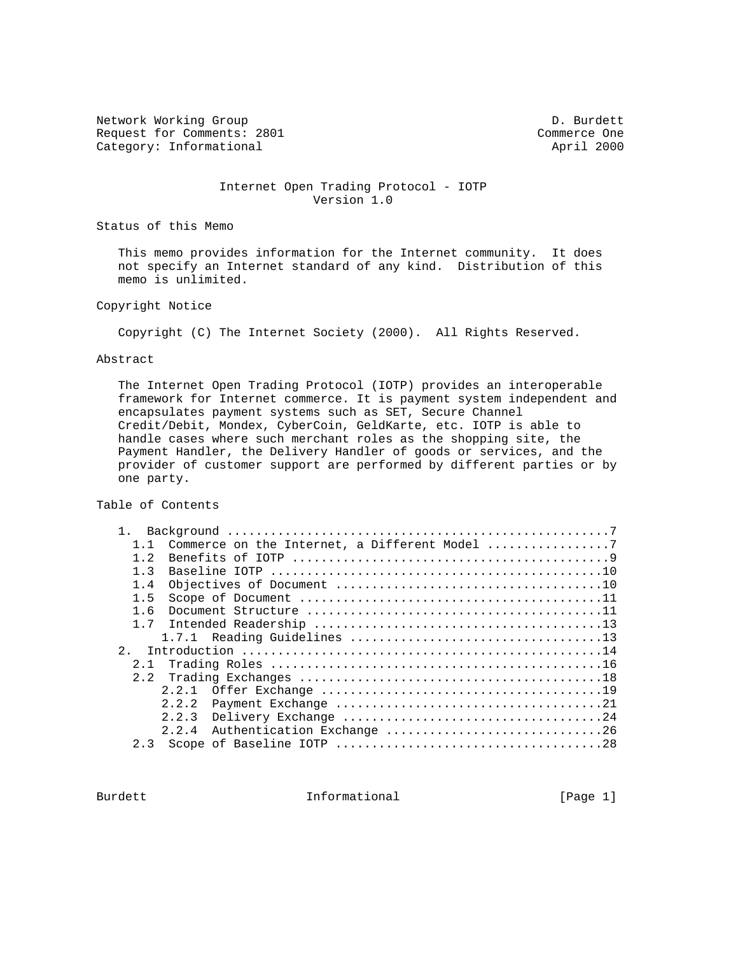Network Working Group D. Burdett Request for Comments: 2801 Commerce One<br>
Category: Informational Category: Informational April 2000 Category: Informational

## Internet Open Trading Protocol - IOTP Version 1.0

Status of this Memo

 This memo provides information for the Internet community. It does not specify an Internet standard of any kind. Distribution of this memo is unlimited.

Copyright Notice

Copyright (C) The Internet Society (2000). All Rights Reserved.

Abstract

 The Internet Open Trading Protocol (IOTP) provides an interoperable framework for Internet commerce. It is payment system independent and encapsulates payment systems such as SET, Secure Channel Credit/Debit, Mondex, CyberCoin, GeldKarte, etc. IOTP is able to handle cases where such merchant roles as the shopping site, the Payment Handler, the Delivery Handler of goods or services, and the provider of customer support are performed by different parties or by one party.

Table of Contents

| $1 \quad 1$                         |
|-------------------------------------|
| $1 \t2$                             |
| 1 <sup>3</sup>                      |
| 1.4                                 |
| 1.5                                 |
| 1.6                                 |
| 1 7                                 |
|                                     |
| 2.1                                 |
| $2 \t1$                             |
| 2.2                                 |
| 2 2 1                               |
| 2.2.2                               |
| 2.2.3                               |
| Authentication Exchange 26<br>2.2.4 |
| 2.3                                 |

Burdett **Informational Informational** [Page 1]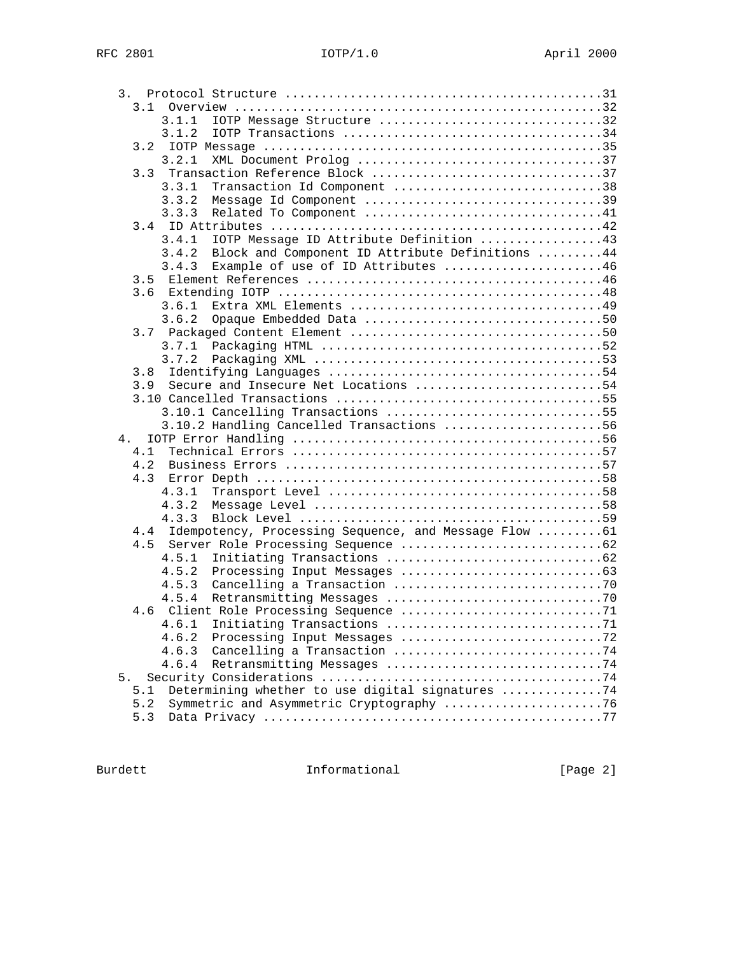| 3.                                                            |  |
|---------------------------------------------------------------|--|
| 3.1                                                           |  |
| IOTP Message Structure 32<br>3.1.1                            |  |
| IOTP Transactions 34<br>3.1.2                                 |  |
| 3.2                                                           |  |
| XML Document Prolog 37<br>3.2.1                               |  |
| Transaction Reference Block 37<br>3.3                         |  |
| Transaction Id Component 38<br>3.3.1                          |  |
| 3.3.2<br>Message Id Component 39                              |  |
| 3.3.3                                                         |  |
| 3.4                                                           |  |
| IOTP Message ID Attribute Definition 43<br>3.4.1              |  |
| 3.4.2<br>Block and Component ID Attribute Definitions 44      |  |
| Example of use of ID Attributes 46<br>3.4.3                   |  |
| 3.5                                                           |  |
| 3.6                                                           |  |
|                                                               |  |
| Extra XML Elements 49<br>3.6.1                                |  |
| 3.6.2                                                         |  |
| 3.7                                                           |  |
| 3.7.1                                                         |  |
| 3.7.2                                                         |  |
| 3.8                                                           |  |
| Secure and Insecure Net Locations 54<br>3.9                   |  |
|                                                               |  |
| 3.10.1 Cancelling Transactions 55                             |  |
| 3.10.2 Handling Cancelled Transactions 56                     |  |
| 4.                                                            |  |
| 4.1                                                           |  |
| 4.2                                                           |  |
| 4.3                                                           |  |
| 4.3.1                                                         |  |
| 4.3.2                                                         |  |
| 4.3.3                                                         |  |
| Idempotency, Processing Sequence, and Message Flow  61<br>4.4 |  |
| 4.5                                                           |  |
| 4.5.1                                                         |  |
| 4.5.2                                                         |  |
| 4.5.3                                                         |  |
| 4.5.4                                                         |  |
|                                                               |  |
|                                                               |  |
| Processing Input Messages 72<br>4.6.2                         |  |
| 4.6.3<br>Cancelling a Transaction 74                          |  |
| 4.6.4                                                         |  |
| Retransmitting Messages 74                                    |  |
| 5.                                                            |  |
| Determining whether to use digital signatures 74<br>5.1       |  |
| 5.2<br>Symmetric and Asymmetric Cryptography 76               |  |
| 5.3                                                           |  |

Burdett **Informational Informational** [Page 2]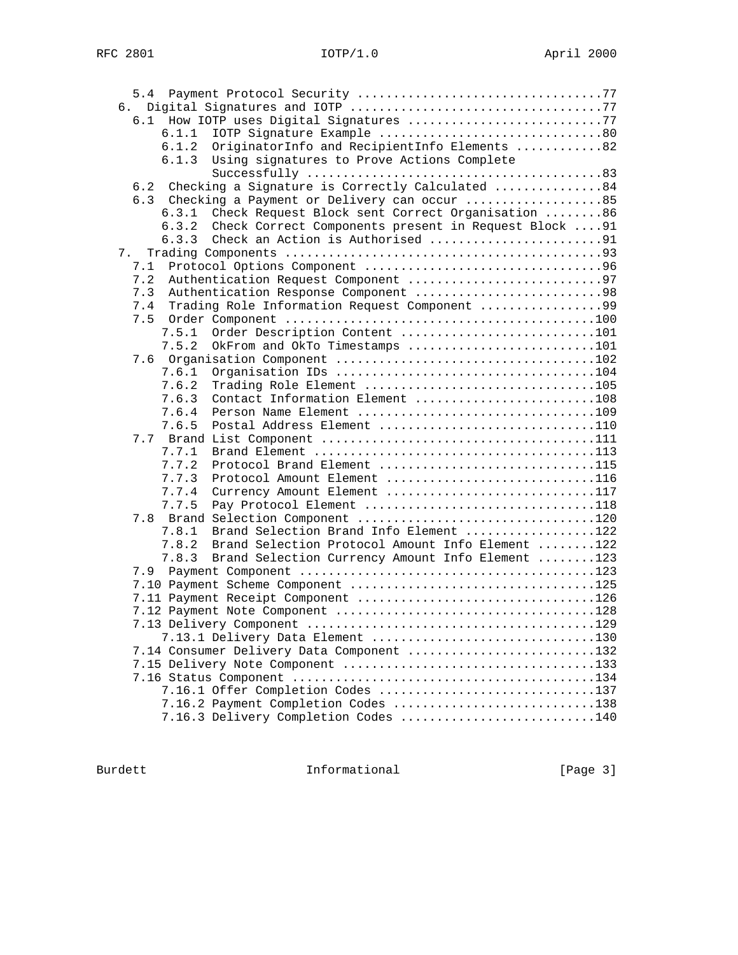| 5.4                                                            |  |
|----------------------------------------------------------------|--|
| 6.                                                             |  |
| 6.1 How IOTP uses Digital Signatures 77                        |  |
| IOTP Signature Example 80<br>6.1.1                             |  |
| OriginatorInfo and RecipientInfo Elements 82<br>6.1.2          |  |
| 6.1.3<br>Using signatures to Prove Actions Complete            |  |
|                                                                |  |
| Checking a Signature is Correctly Calculated 84<br>6.2         |  |
| 6.3<br>Checking a Payment or Delivery can occur 85             |  |
| 6.3.1 Check Request Block sent Correct Organisation 86         |  |
| 6.3.2<br>Check Correct Components present in Request Block  91 |  |
| Check an Action is Authorised 91<br>6.3.3                      |  |
| 7.                                                             |  |
| 7.1                                                            |  |
| Authentication Request Component 97<br>7.2                     |  |
| 7.3<br>Authentication Response Component 98                    |  |
| Trading Role Information Request Component 99<br>7.4           |  |
| 7.5                                                            |  |
| Order Description Content 101<br>7.5.1                         |  |
| 7.5.2<br>OkFrom and OkTo Timestamps 101                        |  |
|                                                                |  |
| 7.6.1                                                          |  |
| 7.6.2<br>Trading Role Element 105                              |  |
| Contact Information Element 108<br>7.6.3                       |  |
| Person Name Element 109<br>7.6.4                               |  |
| Postal Address Element 110<br>7.6.5                            |  |
|                                                                |  |
| 7.7.1                                                          |  |
| 7.7.2<br>Protocol Brand Element 115                            |  |
|                                                                |  |
| Protocol Amount Element 116<br>7.7.3                           |  |
| Currency Amount Element 117<br>7.7.4                           |  |
| Pay Protocol Element 118<br>7.7.5                              |  |
|                                                                |  |
| 7.8.1<br>Brand Selection Brand Info Element 122                |  |
| Brand Selection Protocol Amount Info Element 122<br>7.8.2      |  |
| Brand Selection Currency Amount Info Element 123<br>7.8.3      |  |
| 7.9                                                            |  |
|                                                                |  |
|                                                                |  |
|                                                                |  |
|                                                                |  |
| 7.13.1 Delivery Data Element 130                               |  |
| 7.14 Consumer Delivery Data Component 132                      |  |
|                                                                |  |
|                                                                |  |
| 7.16.1 Offer Completion Codes 137                              |  |
| 7.16.2 Payment Completion Codes 138                            |  |
| 7.16.3 Delivery Completion Codes 140                           |  |

Burdett Informational [Page 3]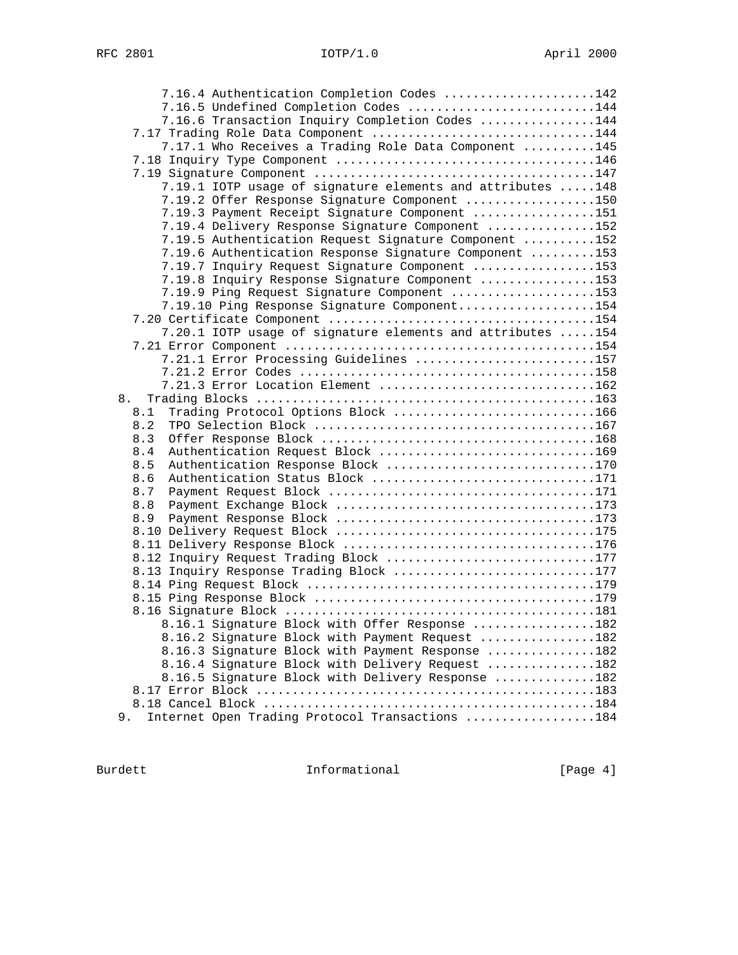| 7.16.4 Authentication Completion Codes 142                 |  |
|------------------------------------------------------------|--|
| 7.16.5 Undefined Completion Codes 144                      |  |
| 7.16.6 Transaction Inquiry Completion Codes 144            |  |
| 7.17 Trading Role Data Component 144                       |  |
| 7.17.1 Who Receives a Trading Role Data Component 145      |  |
|                                                            |  |
|                                                            |  |
| 7.19.1 IOTP usage of signature elements and attributes 148 |  |
| 7.19.2 Offer Response Signature Component 150              |  |
| 7.19.3 Payment Receipt Signature Component 151             |  |
| 7.19.4 Delivery Response Signature Component 152           |  |
| 7.19.5 Authentication Request Signature Component 152      |  |
| 7.19.6 Authentication Response Signature Component 153     |  |
| 7.19.7 Inquiry Request Signature Component 153             |  |
| 7.19.8 Inquiry Response Signature Component 153            |  |
| 7.19.9 Ping Request Signature Component 153                |  |
| 7.19.10 Ping Response Signature Component154               |  |
|                                                            |  |
| 7.20.1 IOTP usage of signature elements and attributes 154 |  |
|                                                            |  |
| 7.21.1 Error Processing Guidelines 157                     |  |
|                                                            |  |
| 7.21.3 Error Location Element 162                          |  |
| 8.                                                         |  |
| Trading Protocol Options Block 166<br>8.1                  |  |
| 8.2                                                        |  |
| 8.3                                                        |  |
| 8.4<br>Authentication Request Block 169                    |  |
| 8.5<br>Authentication Response Block 170<br>8.6            |  |
| Authentication Status Block 171<br>8.7                     |  |
| 8.8                                                        |  |
| 8.9                                                        |  |
|                                                            |  |
|                                                            |  |
| 8.12 Inquiry Request Trading Block 177                     |  |
| 8.13 Inquiry Response Trading Block 177                    |  |
|                                                            |  |
|                                                            |  |
|                                                            |  |
| 8.16.1 Signature Block with Offer Response 182             |  |
| 8.16.2 Signature Block with Payment Request 182            |  |
| 8.16.3 Signature Block with Payment Response 182           |  |
| 8.16.4 Signature Block with Delivery Request 182           |  |
| 8.16.5 Signature Block with Delivery Response 182          |  |
|                                                            |  |
|                                                            |  |
| Internet Open Trading Protocol Transactions 184<br>9.      |  |
|                                                            |  |

Burdett Informational [Page 4]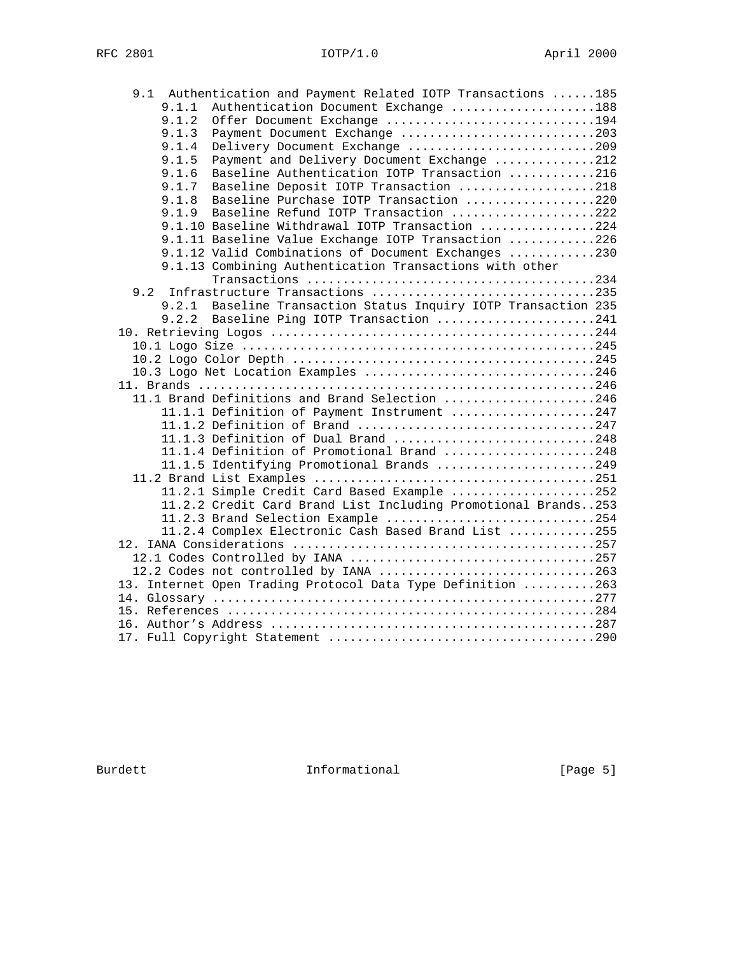| 9.1 Authentication and Payment Related IOTP Transactions 185                      |  |
|-----------------------------------------------------------------------------------|--|
| 9.1.1<br>Authentication Document Exchange 188                                     |  |
| 9.1.2<br>Offer Document Exchange 194                                              |  |
| 9.1.3<br>Payment Document Exchange 203                                            |  |
| 9.1.4<br>Delivery Document Exchange 209                                           |  |
| 9.1.5<br>Payment and Delivery Document Exchange 212                               |  |
| 9.1.6<br>Baseline Authentication IOTP Transaction 216                             |  |
| 9.1.7<br>Baseline Deposit IOTP Transaction 218                                    |  |
| 9.1.8<br>Baseline Purchase IOTP Transaction 220                                   |  |
| 9.1.9<br>Baseline Refund IOTP Transaction 222                                     |  |
| 9.1.10 Baseline Withdrawal IOTP Transaction 224                                   |  |
| 9.1.11 Baseline Value Exchange IOTP Transaction 226                               |  |
| 9.1.12 Valid Combinations of Document Exchanges 230                               |  |
| 9.1.13 Combining Authentication Transactions with other                           |  |
|                                                                                   |  |
| Infrastructure Transactions 235<br>9.2                                            |  |
| Baseline Transaction Status Inquiry IOTP Transaction 235<br>9.2.1                 |  |
| Baseline Ping IOTP Transaction 241<br>9.2.2                                       |  |
|                                                                                   |  |
|                                                                                   |  |
|                                                                                   |  |
| 10.3 Logo Net Location Examples 246                                               |  |
|                                                                                   |  |
| 11.1 Brand Definitions and Brand Selection 246                                    |  |
| 11.1.1 Definition of Payment Instrument 247                                       |  |
| 11.1.2 Definition of Brand 247                                                    |  |
| 11.1.3 Definition of Dual Brand 248<br>11.1.4 Definition of Promotional Brand 248 |  |
| 11.1.5 Identifying Promotional Brands 249                                         |  |
|                                                                                   |  |
| 11.2.1 Simple Credit Card Based Example 252                                       |  |
| 11.2.2 Credit Card Brand List Including Promotional Brands253                     |  |
| 11.2.3 Brand Selection Example 254                                                |  |
| 11.2.4 Complex Electronic Cash Based Brand List 255                               |  |
|                                                                                   |  |
|                                                                                   |  |
| 12.2 Codes not controlled by IANA 263                                             |  |
| 13. Internet Open Trading Protocol Data Type Definition 263                       |  |
|                                                                                   |  |
|                                                                                   |  |
|                                                                                   |  |
|                                                                                   |  |
|                                                                                   |  |

Burdett **Informational Informational** [Page 5]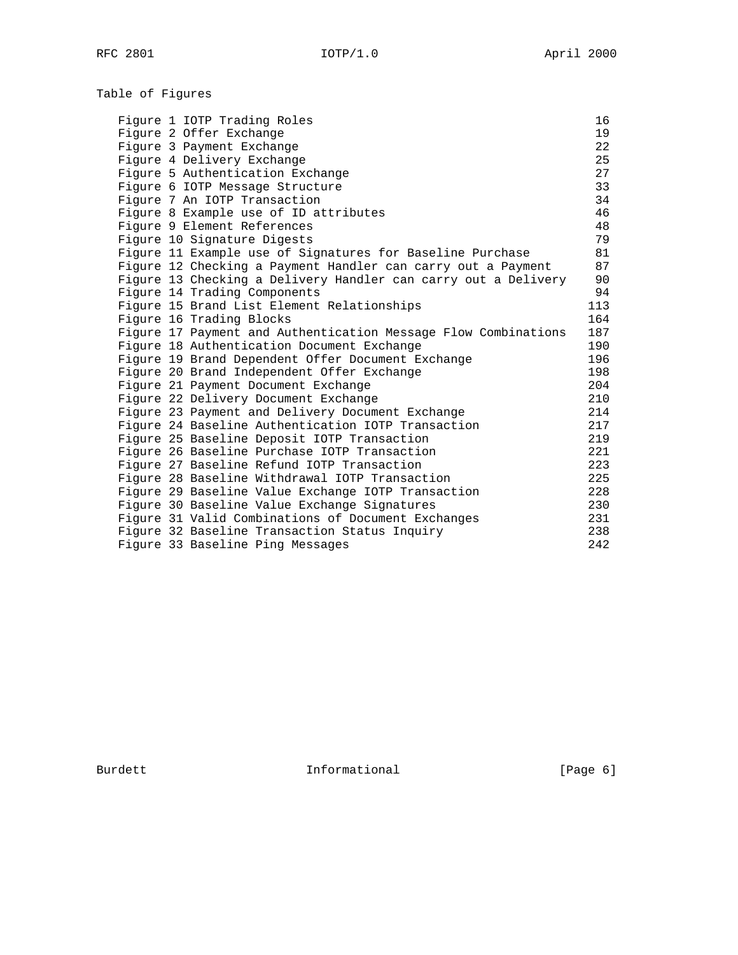| Table of Figures                                               |     |
|----------------------------------------------------------------|-----|
| Figure 1 IOTP Trading Roles                                    | 16  |
| Figure 2 Offer Exchange                                        | 19  |
| Figure 3 Payment Exchange                                      | 22  |
| Figure 4 Delivery Exchange                                     | 25  |
| Figure 5 Authentication Exchange                               | 27  |
| Figure 6 IOTP Message Structure                                | 33  |
| Figure 7 An IOTP Transaction                                   | 34  |
| Figure 8 Example use of ID attributes                          | 46  |
| Figure 9 Element References                                    | 48  |
| Figure 10 Signature Digests                                    | 79  |
| Figure 11 Example use of Signatures for Baseline Purchase      | 81  |
| Figure 12 Checking a Payment Handler can carry out a Payment   | 87  |
| Figure 13 Checking a Delivery Handler can carry out a Delivery | 90  |
| Figure 14 Trading Components                                   | 94  |
| Figure 15 Brand List Element Relationships                     | 113 |
| Figure 16 Trading Blocks                                       | 164 |
| Figure 17 Payment and Authentication Message Flow Combinations | 187 |
| Figure 18 Authentication Document Exchange                     | 190 |
| Figure 19 Brand Dependent Offer Document Exchange              | 196 |
| Figure 20 Brand Independent Offer Exchange                     | 198 |
| Figure 21 Payment Document Exchange                            | 204 |
| Figure 22 Delivery Document Exchange                           | 210 |
| Figure 23 Payment and Delivery Document Exchange               | 214 |
| Figure 24 Baseline Authentication IOTP Transaction             | 217 |
| Figure 25 Baseline Deposit IOTP Transaction                    | 219 |
| Figure 26 Baseline Purchase IOTP Transaction                   | 221 |
| Figure 27 Baseline Refund IOTP Transaction                     | 223 |
| Figure 28 Baseline Withdrawal IOTP Transaction                 | 225 |
| Figure 29 Baseline Value Exchange IOTP Transaction             | 228 |
| Figure 30 Baseline Value Exchange Signatures                   | 230 |
| Figure 31 Valid Combinations of Document Exchanges             | 231 |
| Figure 32 Baseline Transaction Status Inquiry                  | 238 |
| Figure 33 Baseline Ping Messages                               | 242 |

Burdett **Informational Informational** [Page 6]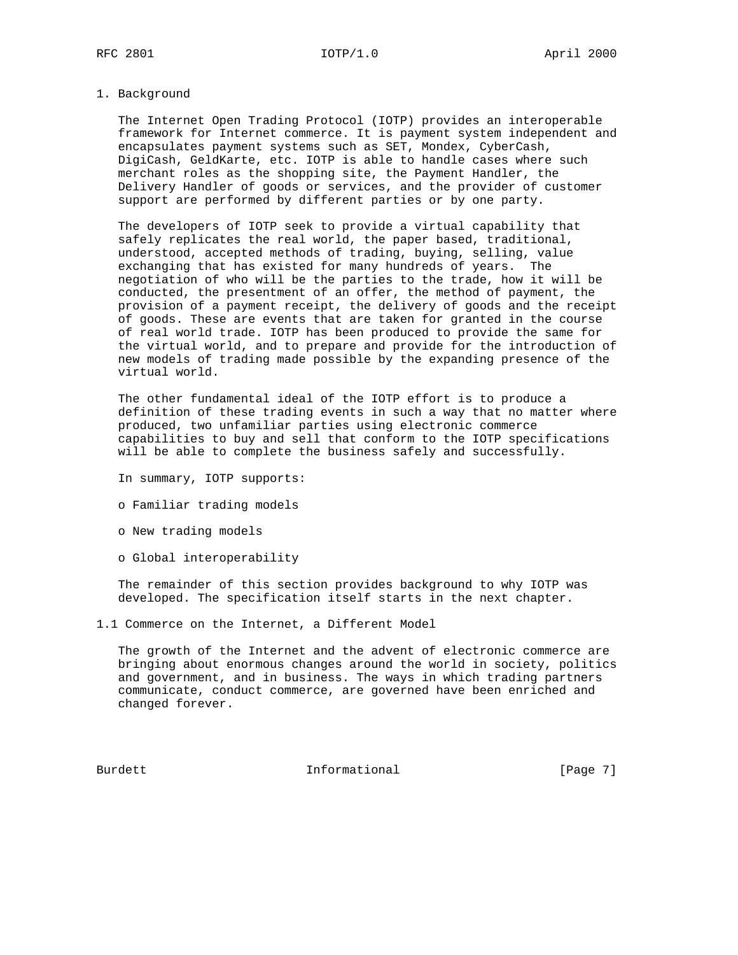## 1. Background

 The Internet Open Trading Protocol (IOTP) provides an interoperable framework for Internet commerce. It is payment system independent and encapsulates payment systems such as SET, Mondex, CyberCash, DigiCash, GeldKarte, etc. IOTP is able to handle cases where such merchant roles as the shopping site, the Payment Handler, the Delivery Handler of goods or services, and the provider of customer support are performed by different parties or by one party.

 The developers of IOTP seek to provide a virtual capability that safely replicates the real world, the paper based, traditional, understood, accepted methods of trading, buying, selling, value exchanging that has existed for many hundreds of years. The negotiation of who will be the parties to the trade, how it will be conducted, the presentment of an offer, the method of payment, the provision of a payment receipt, the delivery of goods and the receipt of goods. These are events that are taken for granted in the course of real world trade. IOTP has been produced to provide the same for the virtual world, and to prepare and provide for the introduction of new models of trading made possible by the expanding presence of the virtual world.

 The other fundamental ideal of the IOTP effort is to produce a definition of these trading events in such a way that no matter where produced, two unfamiliar parties using electronic commerce capabilities to buy and sell that conform to the IOTP specifications will be able to complete the business safely and successfully.

In summary, IOTP supports:

- o Familiar trading models
- o New trading models
- o Global interoperability

 The remainder of this section provides background to why IOTP was developed. The specification itself starts in the next chapter.

1.1 Commerce on the Internet, a Different Model

 The growth of the Internet and the advent of electronic commerce are bringing about enormous changes around the world in society, politics and government, and in business. The ways in which trading partners communicate, conduct commerce, are governed have been enriched and changed forever.

Burdett **Informational Informational** [Page 7]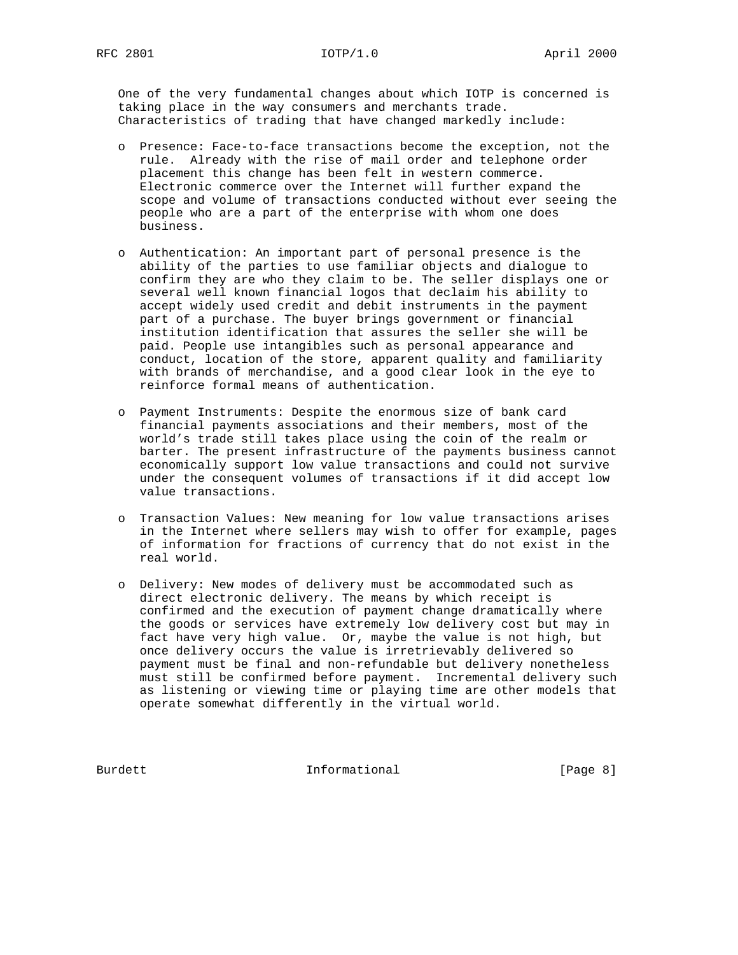One of the very fundamental changes about which IOTP is concerned is taking place in the way consumers and merchants trade. Characteristics of trading that have changed markedly include:

- o Presence: Face-to-face transactions become the exception, not the rule. Already with the rise of mail order and telephone order placement this change has been felt in western commerce. Electronic commerce over the Internet will further expand the scope and volume of transactions conducted without ever seeing the people who are a part of the enterprise with whom one does business.
- o Authentication: An important part of personal presence is the ability of the parties to use familiar objects and dialogue to confirm they are who they claim to be. The seller displays one or several well known financial logos that declaim his ability to accept widely used credit and debit instruments in the payment part of a purchase. The buyer brings government or financial institution identification that assures the seller she will be paid. People use intangibles such as personal appearance and conduct, location of the store, apparent quality and familiarity with brands of merchandise, and a good clear look in the eye to reinforce formal means of authentication.
- o Payment Instruments: Despite the enormous size of bank card financial payments associations and their members, most of the world's trade still takes place using the coin of the realm or barter. The present infrastructure of the payments business cannot economically support low value transactions and could not survive under the consequent volumes of transactions if it did accept low value transactions.
- o Transaction Values: New meaning for low value transactions arises in the Internet where sellers may wish to offer for example, pages of information for fractions of currency that do not exist in the real world.
- o Delivery: New modes of delivery must be accommodated such as direct electronic delivery. The means by which receipt is confirmed and the execution of payment change dramatically where the goods or services have extremely low delivery cost but may in fact have very high value. Or, maybe the value is not high, but once delivery occurs the value is irretrievably delivered so payment must be final and non-refundable but delivery nonetheless must still be confirmed before payment. Incremental delivery such as listening or viewing time or playing time are other models that operate somewhat differently in the virtual world.

Burdett Informational [Page 8]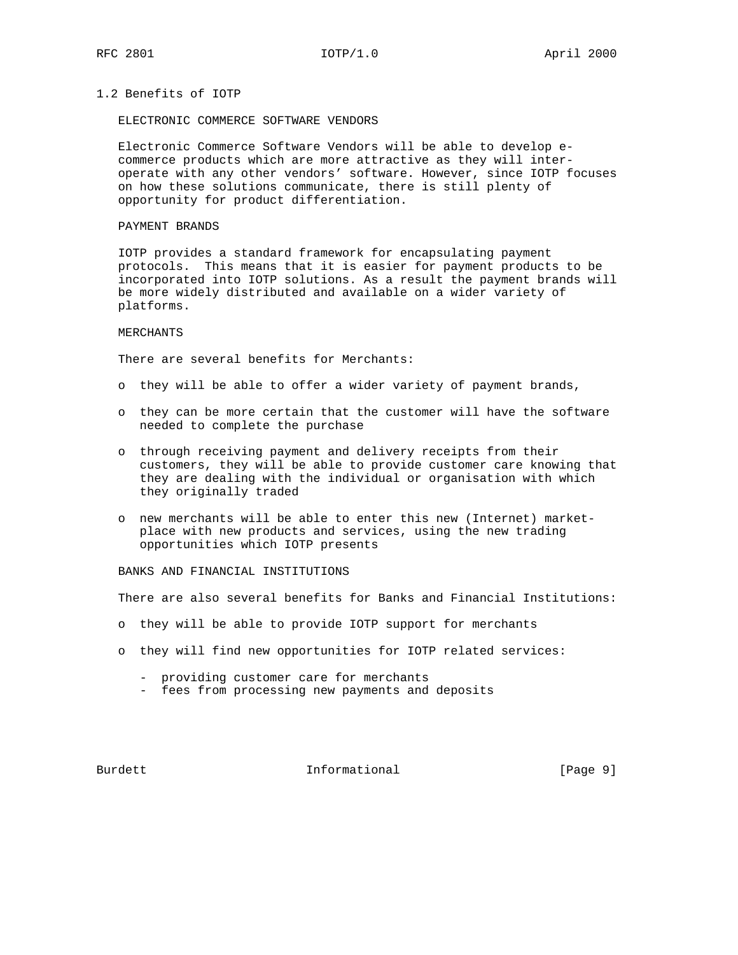1.2 Benefits of IOTP

ELECTRONIC COMMERCE SOFTWARE VENDORS

 Electronic Commerce Software Vendors will be able to develop e commerce products which are more attractive as they will inter operate with any other vendors' software. However, since IOTP focuses on how these solutions communicate, there is still plenty of opportunity for product differentiation.

## PAYMENT BRANDS

 IOTP provides a standard framework for encapsulating payment protocols. This means that it is easier for payment products to be incorporated into IOTP solutions. As a result the payment brands will be more widely distributed and available on a wider variety of platforms.

## MERCHANTS

There are several benefits for Merchants:

- o they will be able to offer a wider variety of payment brands,
- o they can be more certain that the customer will have the software needed to complete the purchase
- o through receiving payment and delivery receipts from their customers, they will be able to provide customer care knowing that they are dealing with the individual or organisation with which they originally traded
- o new merchants will be able to enter this new (Internet) market place with new products and services, using the new trading opportunities which IOTP presents

BANKS AND FINANCIAL INSTITUTIONS

There are also several benefits for Banks and Financial Institutions:

- o they will be able to provide IOTP support for merchants
- o they will find new opportunities for IOTP related services:
	- providing customer care for merchants
	- fees from processing new payments and deposits

Burdett **Informational Informational** [Page 9]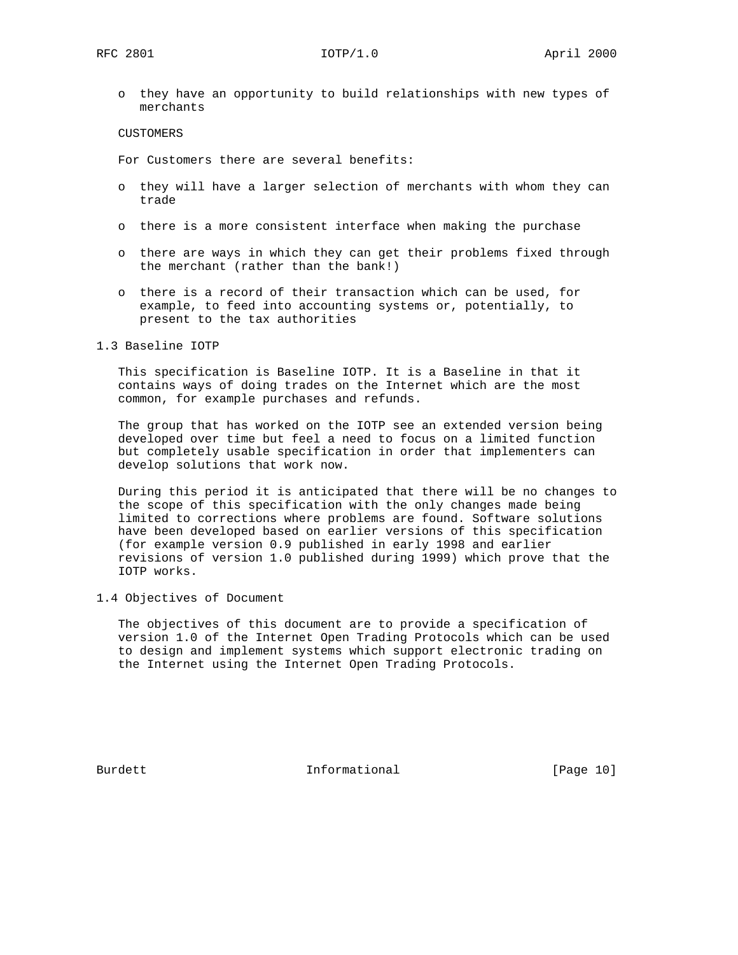o they have an opportunity to build relationships with new types of merchants

CUSTOMERS

For Customers there are several benefits:

- o they will have a larger selection of merchants with whom they can trade
- o there is a more consistent interface when making the purchase
- o there are ways in which they can get their problems fixed through the merchant (rather than the bank!)
- o there is a record of their transaction which can be used, for example, to feed into accounting systems or, potentially, to present to the tax authorities

1.3 Baseline IOTP

 This specification is Baseline IOTP. It is a Baseline in that it contains ways of doing trades on the Internet which are the most common, for example purchases and refunds.

 The group that has worked on the IOTP see an extended version being developed over time but feel a need to focus on a limited function but completely usable specification in order that implementers can develop solutions that work now.

 During this period it is anticipated that there will be no changes to the scope of this specification with the only changes made being limited to corrections where problems are found. Software solutions have been developed based on earlier versions of this specification (for example version 0.9 published in early 1998 and earlier revisions of version 1.0 published during 1999) which prove that the IOTP works.

1.4 Objectives of Document

 The objectives of this document are to provide a specification of version 1.0 of the Internet Open Trading Protocols which can be used to design and implement systems which support electronic trading on the Internet using the Internet Open Trading Protocols.

Burdett **Informational** [Page 10]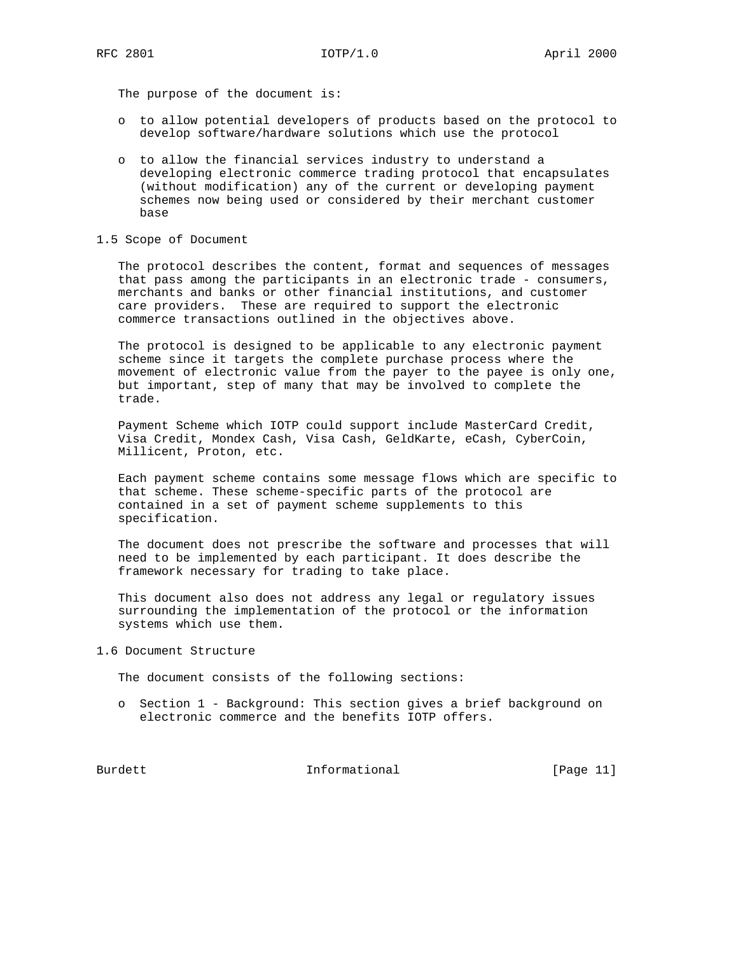The purpose of the document is:

- o to allow potential developers of products based on the protocol to develop software/hardware solutions which use the protocol
- o to allow the financial services industry to understand a developing electronic commerce trading protocol that encapsulates (without modification) any of the current or developing payment schemes now being used or considered by their merchant customer base
- 1.5 Scope of Document

 The protocol describes the content, format and sequences of messages that pass among the participants in an electronic trade - consumers, merchants and banks or other financial institutions, and customer care providers. These are required to support the electronic commerce transactions outlined in the objectives above.

 The protocol is designed to be applicable to any electronic payment scheme since it targets the complete purchase process where the movement of electronic value from the payer to the payee is only one, but important, step of many that may be involved to complete the trade.

 Payment Scheme which IOTP could support include MasterCard Credit, Visa Credit, Mondex Cash, Visa Cash, GeldKarte, eCash, CyberCoin, Millicent, Proton, etc.

 Each payment scheme contains some message flows which are specific to that scheme. These scheme-specific parts of the protocol are contained in a set of payment scheme supplements to this specification.

 The document does not prescribe the software and processes that will need to be implemented by each participant. It does describe the framework necessary for trading to take place.

 This document also does not address any legal or regulatory issues surrounding the implementation of the protocol or the information systems which use them.

1.6 Document Structure

The document consists of the following sections:

 o Section 1 - Background: This section gives a brief background on electronic commerce and the benefits IOTP offers.

Burdett **Informational** [Page 11]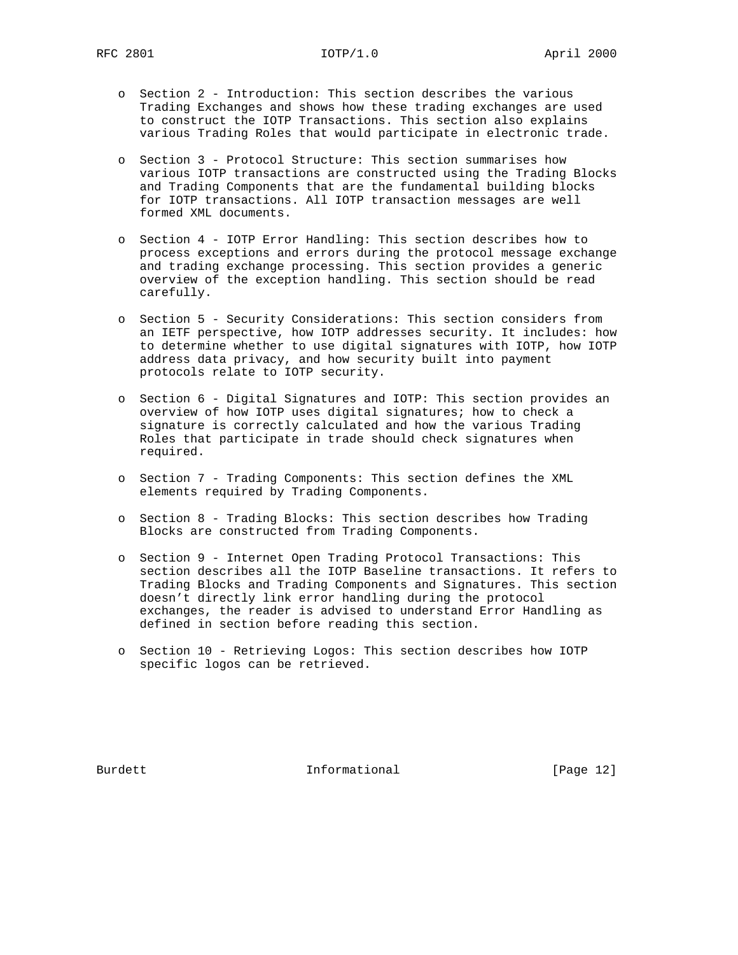- o Section 2 Introduction: This section describes the various Trading Exchanges and shows how these trading exchanges are used to construct the IOTP Transactions. This section also explains various Trading Roles that would participate in electronic trade.
- o Section 3 Protocol Structure: This section summarises how various IOTP transactions are constructed using the Trading Blocks and Trading Components that are the fundamental building blocks for IOTP transactions. All IOTP transaction messages are well formed XML documents.
- o Section 4 IOTP Error Handling: This section describes how to process exceptions and errors during the protocol message exchange and trading exchange processing. This section provides a generic overview of the exception handling. This section should be read carefully.
- o Section 5 Security Considerations: This section considers from an IETF perspective, how IOTP addresses security. It includes: how to determine whether to use digital signatures with IOTP, how IOTP address data privacy, and how security built into payment protocols relate to IOTP security.
- o Section 6 Digital Signatures and IOTP: This section provides an overview of how IOTP uses digital signatures; how to check a signature is correctly calculated and how the various Trading Roles that participate in trade should check signatures when required.
- o Section 7 Trading Components: This section defines the XML elements required by Trading Components.
- o Section 8 Trading Blocks: This section describes how Trading Blocks are constructed from Trading Components.
- o Section 9 Internet Open Trading Protocol Transactions: This section describes all the IOTP Baseline transactions. It refers to Trading Blocks and Trading Components and Signatures. This section doesn't directly link error handling during the protocol exchanges, the reader is advised to understand Error Handling as defined in section before reading this section.
- o Section 10 Retrieving Logos: This section describes how IOTP specific logos can be retrieved.

Burdett **Informational Informational** [Page 12]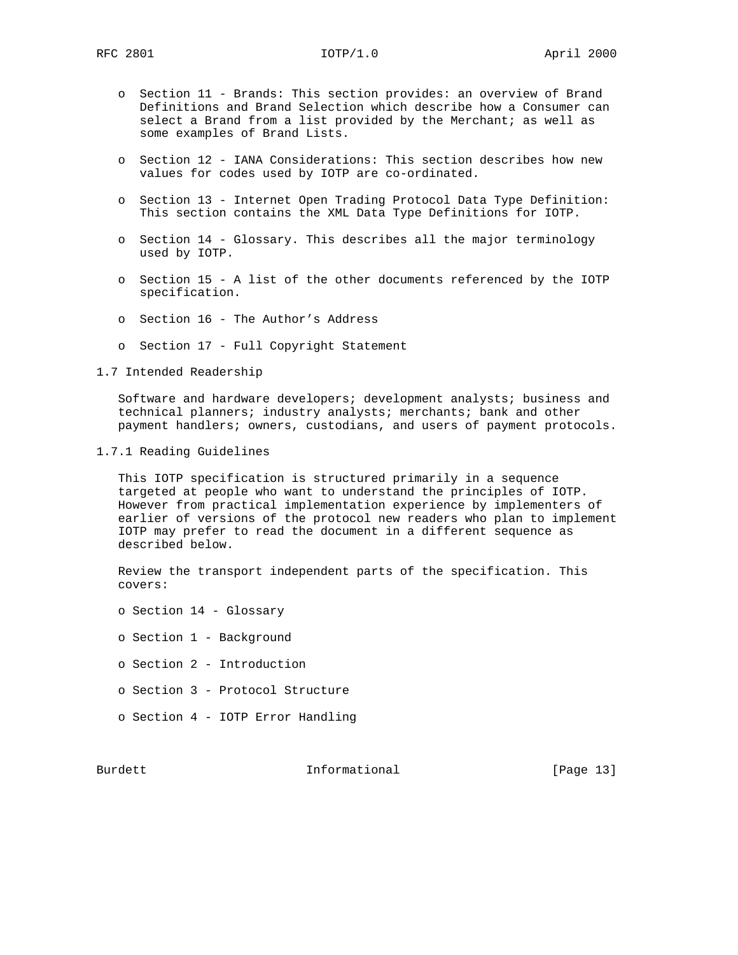- o Section 11 Brands: This section provides: an overview of Brand Definitions and Brand Selection which describe how a Consumer can select a Brand from a list provided by the Merchant; as well as some examples of Brand Lists.
- o Section 12 IANA Considerations: This section describes how new values for codes used by IOTP are co-ordinated.
- o Section 13 Internet Open Trading Protocol Data Type Definition: This section contains the XML Data Type Definitions for IOTP.
- o Section 14 Glossary. This describes all the major terminology used by IOTP.
- o Section 15 A list of the other documents referenced by the IOTP specification.
- o Section 16 The Author's Address
- o Section 17 Full Copyright Statement

## 1.7 Intended Readership

 Software and hardware developers; development analysts; business and technical planners; industry analysts; merchants; bank and other payment handlers; owners, custodians, and users of payment protocols.

1.7.1 Reading Guidelines

 This IOTP specification is structured primarily in a sequence targeted at people who want to understand the principles of IOTP. However from practical implementation experience by implementers of earlier of versions of the protocol new readers who plan to implement IOTP may prefer to read the document in a different sequence as described below.

 Review the transport independent parts of the specification. This covers:

- o Section 14 Glossary
- o Section 1 Background
- o Section 2 Introduction
- o Section 3 Protocol Structure
- o Section 4 IOTP Error Handling

Burdett **Informational** [Page 13]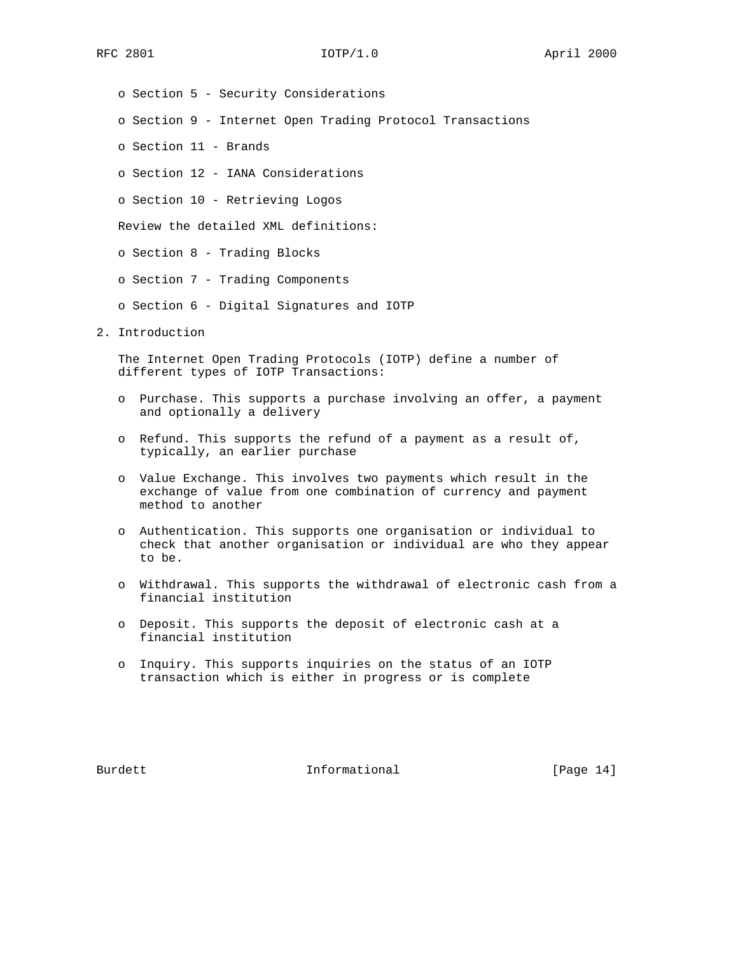- o Section 5 Security Considerations
- o Section 9 Internet Open Trading Protocol Transactions
- o Section 11 Brands
- o Section 12 IANA Considerations
- o Section 10 Retrieving Logos

Review the detailed XML definitions:

- o Section 8 Trading Blocks
- o Section 7 Trading Components
- o Section 6 Digital Signatures and IOTP
- 2. Introduction

 The Internet Open Trading Protocols (IOTP) define a number of different types of IOTP Transactions:

- o Purchase. This supports a purchase involving an offer, a payment and optionally a delivery
- o Refund. This supports the refund of a payment as a result of, typically, an earlier purchase
- o Value Exchange. This involves two payments which result in the exchange of value from one combination of currency and payment method to another
- o Authentication. This supports one organisation or individual to check that another organisation or individual are who they appear to be.
- o Withdrawal. This supports the withdrawal of electronic cash from a financial institution
- o Deposit. This supports the deposit of electronic cash at a financial institution
- o Inquiry. This supports inquiries on the status of an IOTP transaction which is either in progress or is complete

Burdett **Informational** [Page 14]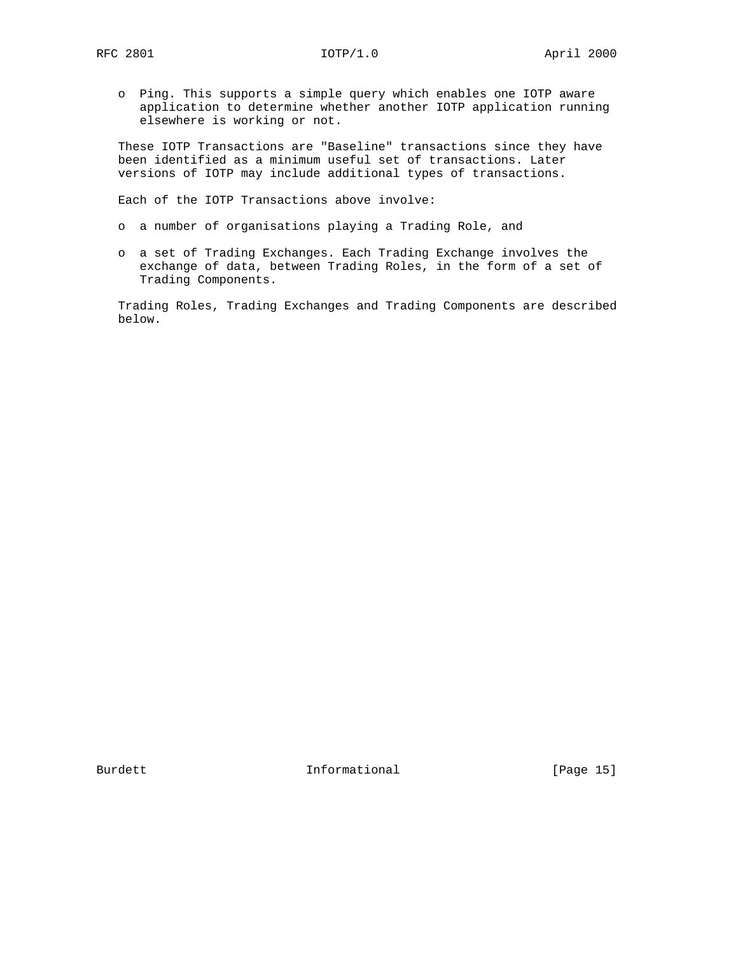o Ping. This supports a simple query which enables one IOTP aware application to determine whether another IOTP application running elsewhere is working or not.

 These IOTP Transactions are "Baseline" transactions since they have been identified as a minimum useful set of transactions. Later versions of IOTP may include additional types of transactions.

Each of the IOTP Transactions above involve:

- o a number of organisations playing a Trading Role, and
- o a set of Trading Exchanges. Each Trading Exchange involves the exchange of data, between Trading Roles, in the form of a set of Trading Components.

 Trading Roles, Trading Exchanges and Trading Components are described below.

Burdett **Informational** [Page 15]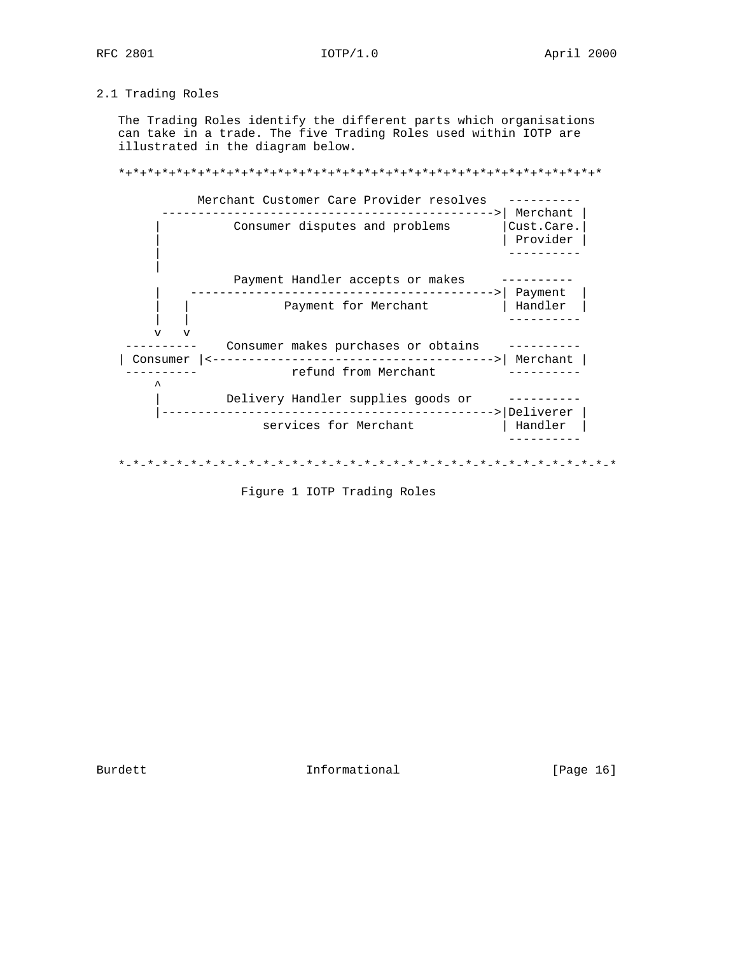2.1 Trading Roles

 The Trading Roles identify the different parts which organisations can take in a trade. The five Trading Roles used within IOTP are illustrated in the diagram below.



Figure 1 IOTP Trading Roles

Burdett **Informational Informational** [Page 16]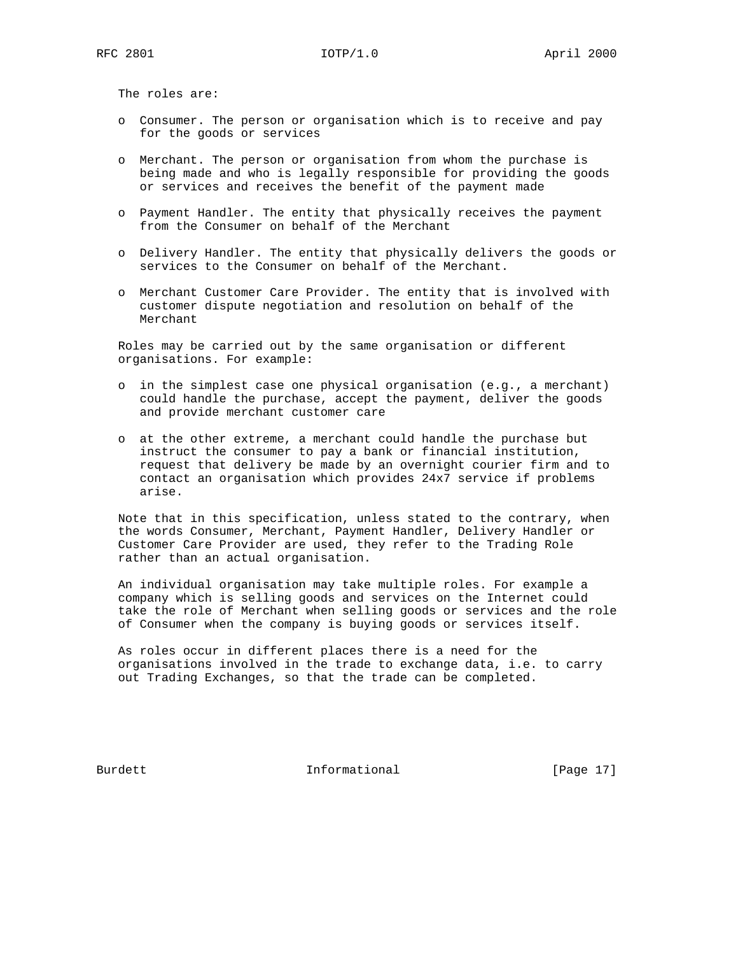The roles are:

- o Consumer. The person or organisation which is to receive and pay for the goods or services
- o Merchant. The person or organisation from whom the purchase is being made and who is legally responsible for providing the goods or services and receives the benefit of the payment made
- o Payment Handler. The entity that physically receives the payment from the Consumer on behalf of the Merchant
- o Delivery Handler. The entity that physically delivers the goods or services to the Consumer on behalf of the Merchant.
- o Merchant Customer Care Provider. The entity that is involved with customer dispute negotiation and resolution on behalf of the Merchant

 Roles may be carried out by the same organisation or different organisations. For example:

- o in the simplest case one physical organisation (e.g., a merchant) could handle the purchase, accept the payment, deliver the goods and provide merchant customer care
- o at the other extreme, a merchant could handle the purchase but instruct the consumer to pay a bank or financial institution, request that delivery be made by an overnight courier firm and to contact an organisation which provides 24x7 service if problems arise.

 Note that in this specification, unless stated to the contrary, when the words Consumer, Merchant, Payment Handler, Delivery Handler or Customer Care Provider are used, they refer to the Trading Role rather than an actual organisation.

 An individual organisation may take multiple roles. For example a company which is selling goods and services on the Internet could take the role of Merchant when selling goods or services and the role of Consumer when the company is buying goods or services itself.

 As roles occur in different places there is a need for the organisations involved in the trade to exchange data, i.e. to carry out Trading Exchanges, so that the trade can be completed.

Burdett **Informational** [Page 17]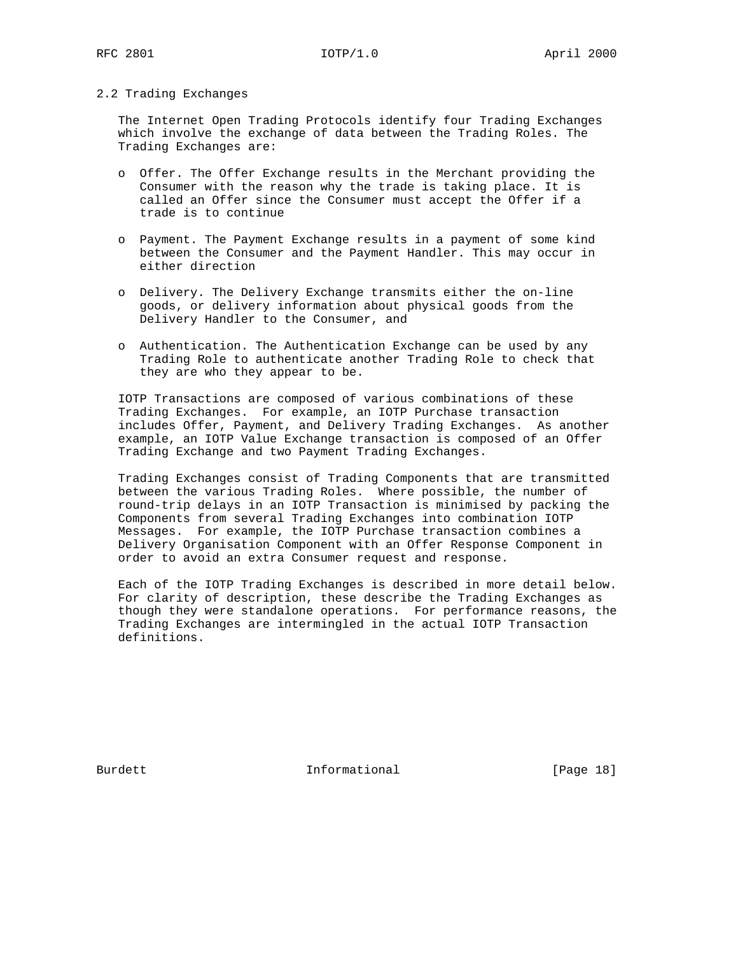## 2.2 Trading Exchanges

 The Internet Open Trading Protocols identify four Trading Exchanges which involve the exchange of data between the Trading Roles. The Trading Exchanges are:

- o Offer. The Offer Exchange results in the Merchant providing the Consumer with the reason why the trade is taking place. It is called an Offer since the Consumer must accept the Offer if a trade is to continue
- o Payment. The Payment Exchange results in a payment of some kind between the Consumer and the Payment Handler. This may occur in either direction
- o Delivery. The Delivery Exchange transmits either the on-line goods, or delivery information about physical goods from the Delivery Handler to the Consumer, and
- o Authentication. The Authentication Exchange can be used by any Trading Role to authenticate another Trading Role to check that they are who they appear to be.

 IOTP Transactions are composed of various combinations of these Trading Exchanges. For example, an IOTP Purchase transaction includes Offer, Payment, and Delivery Trading Exchanges. As another example, an IOTP Value Exchange transaction is composed of an Offer Trading Exchange and two Payment Trading Exchanges.

 Trading Exchanges consist of Trading Components that are transmitted between the various Trading Roles. Where possible, the number of round-trip delays in an IOTP Transaction is minimised by packing the Components from several Trading Exchanges into combination IOTP Messages. For example, the IOTP Purchase transaction combines a Delivery Organisation Component with an Offer Response Component in order to avoid an extra Consumer request and response.

 Each of the IOTP Trading Exchanges is described in more detail below. For clarity of description, these describe the Trading Exchanges as though they were standalone operations. For performance reasons, the Trading Exchanges are intermingled in the actual IOTP Transaction definitions.

Burdett **Informational** [Page 18]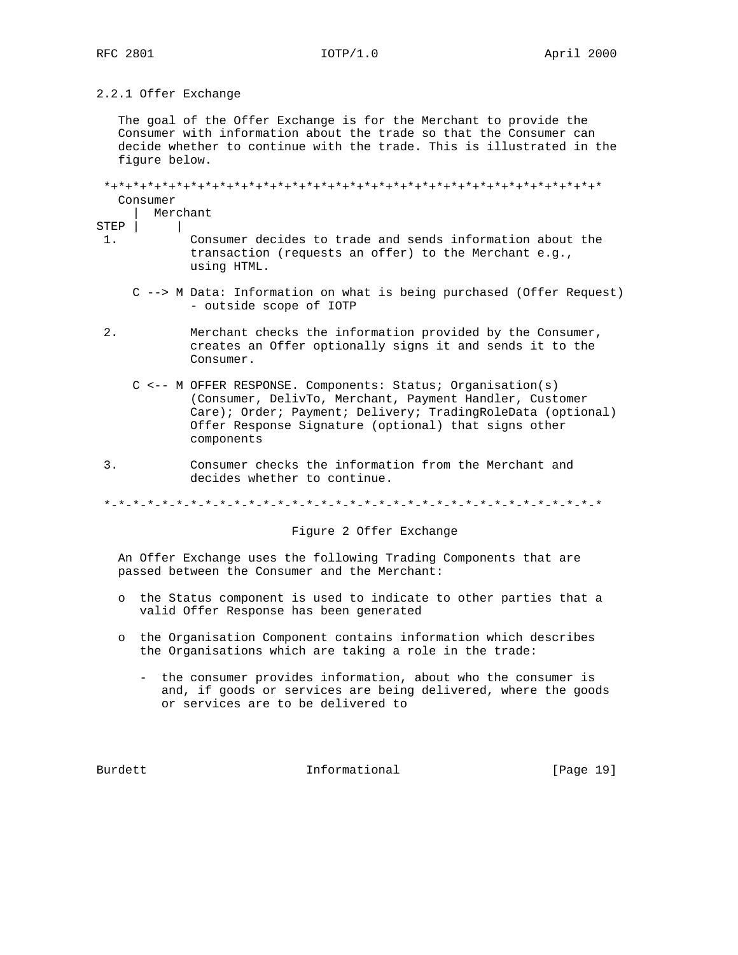2.2.1 Offer Exchange

 The goal of the Offer Exchange is for the Merchant to provide the Consumer with information about the trade so that the Consumer can decide whether to continue with the trade. This is illustrated in the figure below.

 \*+\*+\*+\*+\*+\*+\*+\*+\*+\*+\*+\*+\*+\*+\*+\*+\*+\*+\*+\*+\*+\*+\*+\*+\*+\*+\*+\*+\*+\*+\*+\*+\*+\*+\* Consumer

| Merchant

STEP | |

 1. Consumer decides to trade and sends information about the transaction (requests an offer) to the Merchant e.g., using HTML.

- C --> M Data: Information on what is being purchased (Offer Request) - outside scope of IOTP
- 2. Merchant checks the information provided by the Consumer, creates an Offer optionally signs it and sends it to the Consumer.
	- C <-- M OFFER RESPONSE. Components: Status; Organisation(s) (Consumer, DelivTo, Merchant, Payment Handler, Customer Care); Order; Payment; Delivery; TradingRoleData (optional) Offer Response Signature (optional) that signs other components
- 3. Consumer checks the information from the Merchant and decides whether to continue.

\*-\*-\*-\*-\*-\*-\*-\*-\*-\*-\*-\*-\*-\*-\*-\*-\*-\*-\*-\*-\*-\*-\*-\*-\*-\*-\*-\*-\*-\*-\*-\*-\*-\*-\*

## Figure 2 Offer Exchange

 An Offer Exchange uses the following Trading Components that are passed between the Consumer and the Merchant:

- o the Status component is used to indicate to other parties that a valid Offer Response has been generated
- o the Organisation Component contains information which describes the Organisations which are taking a role in the trade:
	- the consumer provides information, about who the consumer is and, if goods or services are being delivered, where the goods or services are to be delivered to

Burdett **Informational** [Page 19]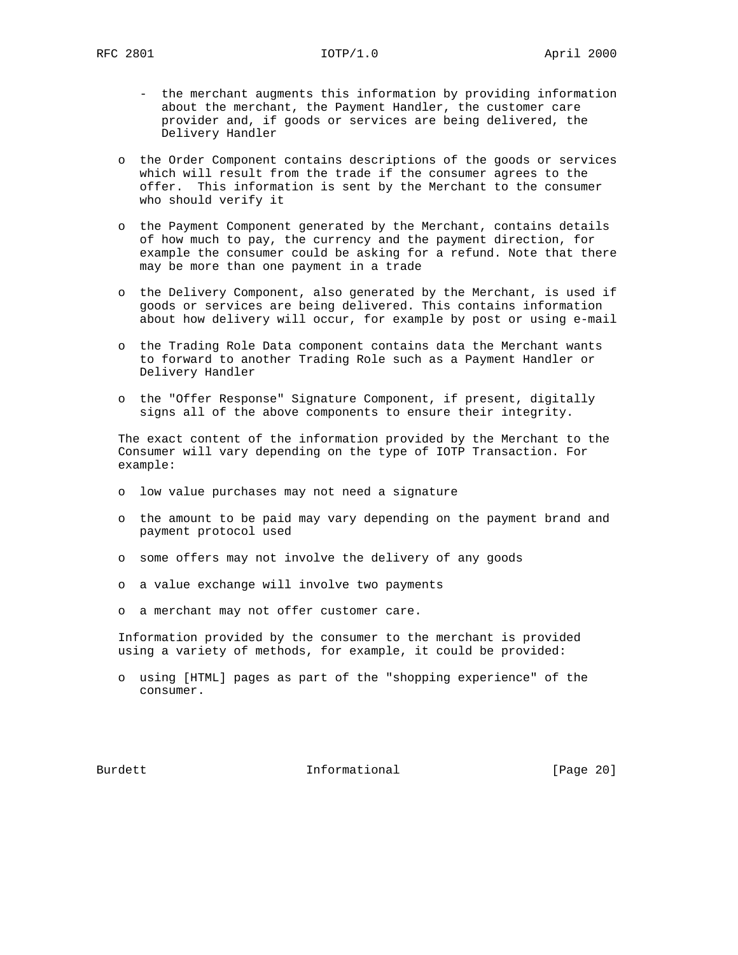- the merchant augments this information by providing information about the merchant, the Payment Handler, the customer care provider and, if goods or services are being delivered, the Delivery Handler
- o the Order Component contains descriptions of the goods or services which will result from the trade if the consumer agrees to the offer. This information is sent by the Merchant to the consumer who should verify it
- o the Payment Component generated by the Merchant, contains details of how much to pay, the currency and the payment direction, for example the consumer could be asking for a refund. Note that there may be more than one payment in a trade
- o the Delivery Component, also generated by the Merchant, is used if goods or services are being delivered. This contains information about how delivery will occur, for example by post or using e-mail
- o the Trading Role Data component contains data the Merchant wants to forward to another Trading Role such as a Payment Handler or Delivery Handler
- o the "Offer Response" Signature Component, if present, digitally signs all of the above components to ensure their integrity.

 The exact content of the information provided by the Merchant to the Consumer will vary depending on the type of IOTP Transaction. For example:

- o low value purchases may not need a signature
- o the amount to be paid may vary depending on the payment brand and payment protocol used
- o some offers may not involve the delivery of any goods
- o a value exchange will involve two payments
- o a merchant may not offer customer care.

 Information provided by the consumer to the merchant is provided using a variety of methods, for example, it could be provided:

 o using [HTML] pages as part of the "shopping experience" of the consumer.

Burdett **Informational** [Page 20]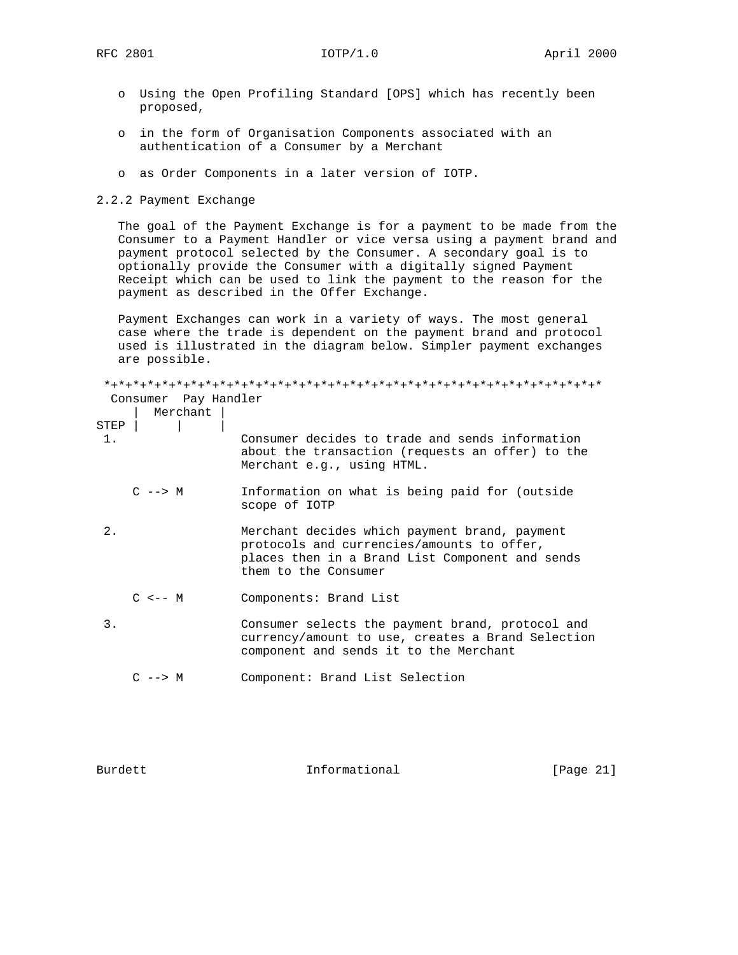- o Using the Open Profiling Standard [OPS] which has recently been proposed,
- o in the form of Organisation Components associated with an authentication of a Consumer by a Merchant
- o as Order Components in a later version of IOTP.
- 2.2.2 Payment Exchange

 The goal of the Payment Exchange is for a payment to be made from the Consumer to a Payment Handler or vice versa using a payment brand and payment protocol selected by the Consumer. A secondary goal is to optionally provide the Consumer with a digitally signed Payment Receipt which can be used to link the payment to the reason for the payment as described in the Offer Exchange.

 Payment Exchanges can work in a variety of ways. The most general case where the trade is dependent on the payment brand and protocol used is illustrated in the diagram below. Simpler payment exchanges are possible.

| Consumer Pay Handler |                   |          |                                                                                                                                                                        |
|----------------------|-------------------|----------|------------------------------------------------------------------------------------------------------------------------------------------------------------------------|
|                      |                   | Merchant |                                                                                                                                                                        |
| STEP                 |                   |          |                                                                                                                                                                        |
| 1.                   |                   |          | Consumer decides to trade and sends information<br>about the transaction (requests an offer) to the<br>Merchant e.g., using HTML.                                      |
|                      | $C \rightarrow M$ |          | Information on what is being paid for (outside<br>scope of IOTP                                                                                                        |
| $2$ .                |                   |          | Merchant decides which payment brand, payment<br>protocols and currencies/amounts to offer,<br>places then in a Brand List Component and sends<br>them to the Consumer |
|                      | $C \leftarrow -M$ |          | Components: Brand List                                                                                                                                                 |
| $3$ .                |                   |          | Consumer selects the payment brand, protocol and<br>currency/amount to use, creates a Brand Selection<br>component and sends it to the Merchant                        |
|                      | $C \rightarrow M$ |          | Component: Brand List Selection                                                                                                                                        |

Burdett **Informational** [Page 21]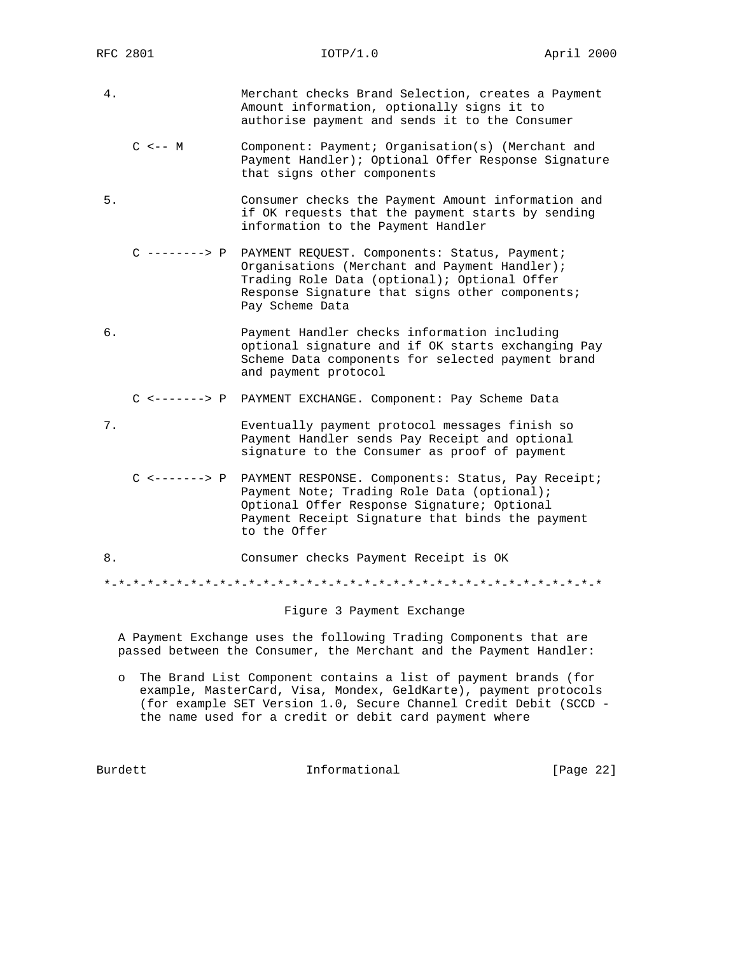- 4. Merchant checks Brand Selection, creates a Payment Amount information, optionally signs it to authorise payment and sends it to the Consumer
	- C <-- M Component: Payment; Organisation(s) (Merchant and Payment Handler); Optional Offer Response Signature that signs other components
- 5. Consumer checks the Payment Amount information and if OK requests that the payment starts by sending information to the Payment Handler
	- C --------> P PAYMENT REQUEST. Components: Status, Payment; Organisations (Merchant and Payment Handler); Trading Role Data (optional); Optional Offer Response Signature that signs other components; Pay Scheme Data
- 6. Payment Handler checks information including optional signature and if OK starts exchanging Pay Scheme Data components for selected payment brand and payment protocol
	- C <-------> P PAYMENT EXCHANGE. Component: Pay Scheme Data
- 7. Eventually payment protocol messages finish so Payment Handler sends Pay Receipt and optional signature to the Consumer as proof of payment
	- C <-------> P PAYMENT RESPONSE. Components: Status, Pay Receipt; Payment Note; Trading Role Data (optional); Optional Offer Response Signature; Optional Payment Receipt Signature that binds the payment to the Offer

8. Consumer checks Payment Receipt is OK

\*-\*-\*-\*-\*-\*-\*-\*-\*-\*-\*-\*-\*-\*-\*-\*-\*-\*-\*-\*-\*-\*-\*-\*-\*-\*-\*-\*-\*-\*-\*-\*-\*-\*-\*

## Figure 3 Payment Exchange

 A Payment Exchange uses the following Trading Components that are passed between the Consumer, the Merchant and the Payment Handler:

 o The Brand List Component contains a list of payment brands (for example, MasterCard, Visa, Mondex, GeldKarte), payment protocols (for example SET Version 1.0, Secure Channel Credit Debit (SCCD the name used for a credit or debit card payment where

Burdett **Informational** [Page 22]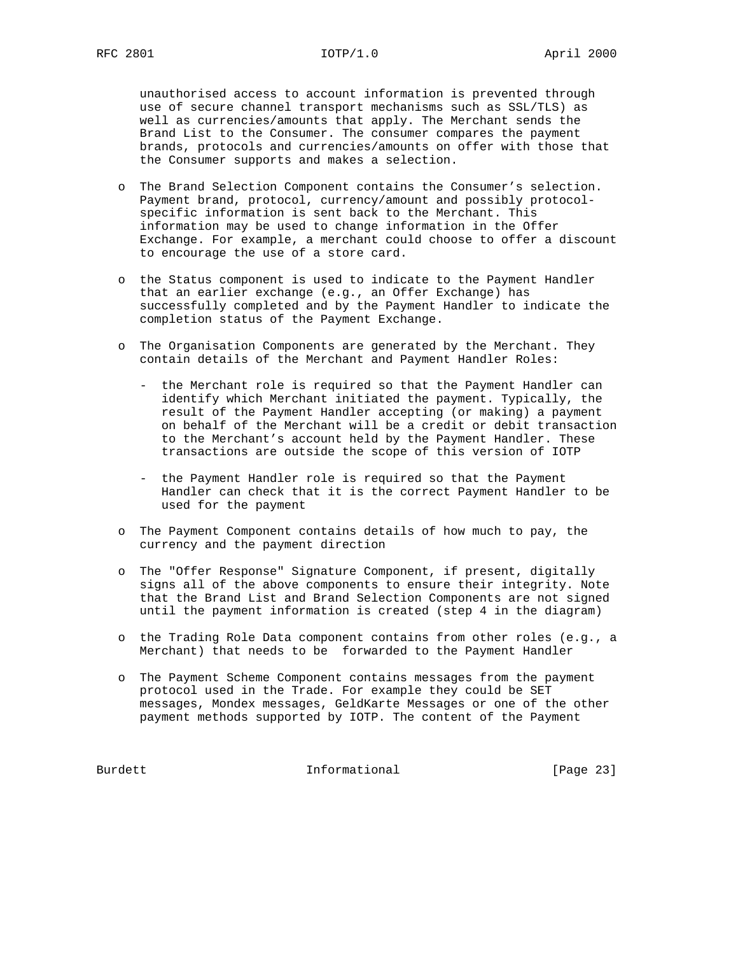unauthorised access to account information is prevented through use of secure channel transport mechanisms such as SSL/TLS) as well as currencies/amounts that apply. The Merchant sends the Brand List to the Consumer. The consumer compares the payment brands, protocols and currencies/amounts on offer with those that the Consumer supports and makes a selection.

- o The Brand Selection Component contains the Consumer's selection. Payment brand, protocol, currency/amount and possibly protocol specific information is sent back to the Merchant. This information may be used to change information in the Offer Exchange. For example, a merchant could choose to offer a discount to encourage the use of a store card.
- o the Status component is used to indicate to the Payment Handler that an earlier exchange (e.g., an Offer Exchange) has successfully completed and by the Payment Handler to indicate the completion status of the Payment Exchange.
- o The Organisation Components are generated by the Merchant. They contain details of the Merchant and Payment Handler Roles:
	- the Merchant role is required so that the Payment Handler can identify which Merchant initiated the payment. Typically, the result of the Payment Handler accepting (or making) a payment on behalf of the Merchant will be a credit or debit transaction to the Merchant's account held by the Payment Handler. These transactions are outside the scope of this version of IOTP
	- the Payment Handler role is required so that the Payment Handler can check that it is the correct Payment Handler to be used for the payment
- o The Payment Component contains details of how much to pay, the currency and the payment direction
- o The "Offer Response" Signature Component, if present, digitally signs all of the above components to ensure their integrity. Note that the Brand List and Brand Selection Components are not signed until the payment information is created (step 4 in the diagram)
- o the Trading Role Data component contains from other roles (e.g., a Merchant) that needs to be forwarded to the Payment Handler
- o The Payment Scheme Component contains messages from the payment protocol used in the Trade. For example they could be SET messages, Mondex messages, GeldKarte Messages or one of the other payment methods supported by IOTP. The content of the Payment

Burdett **Informational** [Page 23]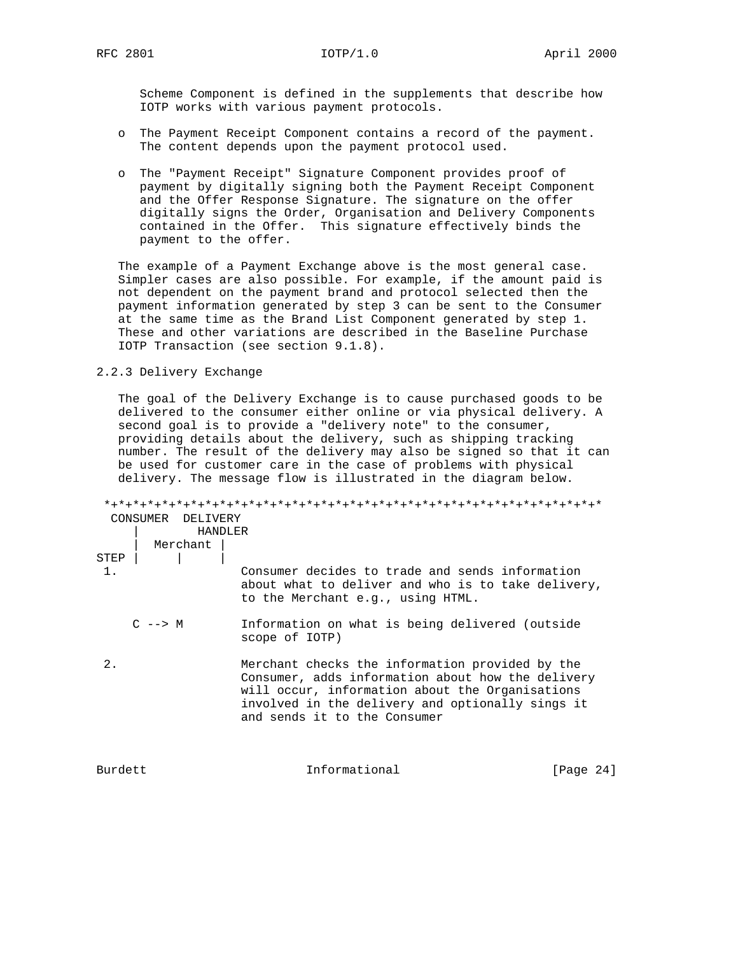Scheme Component is defined in the supplements that describe how IOTP works with various payment protocols.

- o The Payment Receipt Component contains a record of the payment. The content depends upon the payment protocol used.
- o The "Payment Receipt" Signature Component provides proof of payment by digitally signing both the Payment Receipt Component and the Offer Response Signature. The signature on the offer digitally signs the Order, Organisation and Delivery Components contained in the Offer. This signature effectively binds the payment to the offer.

 The example of a Payment Exchange above is the most general case. Simpler cases are also possible. For example, if the amount paid is not dependent on the payment brand and protocol selected then the payment information generated by step 3 can be sent to the Consumer at the same time as the Brand List Component generated by step 1. These and other variations are described in the Baseline Purchase IOTP Transaction (see section 9.1.8).

## 2.2.3 Delivery Exchange

 The goal of the Delivery Exchange is to cause purchased goods to be delivered to the consumer either online or via physical delivery. A second goal is to provide a "delivery note" to the consumer, providing details about the delivery, such as shipping tracking number. The result of the delivery may also be signed so that it can be used for customer care in the case of problems with physical delivery. The message flow is illustrated in the diagram below.

 \*+\*+\*+\*+\*+\*+\*+\*+\*+\*+\*+\*+\*+\*+\*+\*+\*+\*+\*+\*+\*+\*+\*+\*+\*+\*+\*+\*+\*+\*+\*+\*+\*+\*+\* CONSUMER DELIVERY | HANDLER | Merchant | STEP | | 1. Consumer decides to trade and sends information about what to deliver and who is to take delivery, to the Merchant e.g., using HTML. C --> M Information on what is being delivered (outside scope of IOTP) 2. Merchant checks the information provided by the Consumer, adds information about how the delivery will occur, information about the Organisations involved in the delivery and optionally sings it and sends it to the Consumer

Burdett **Informational Informational** [Page 24]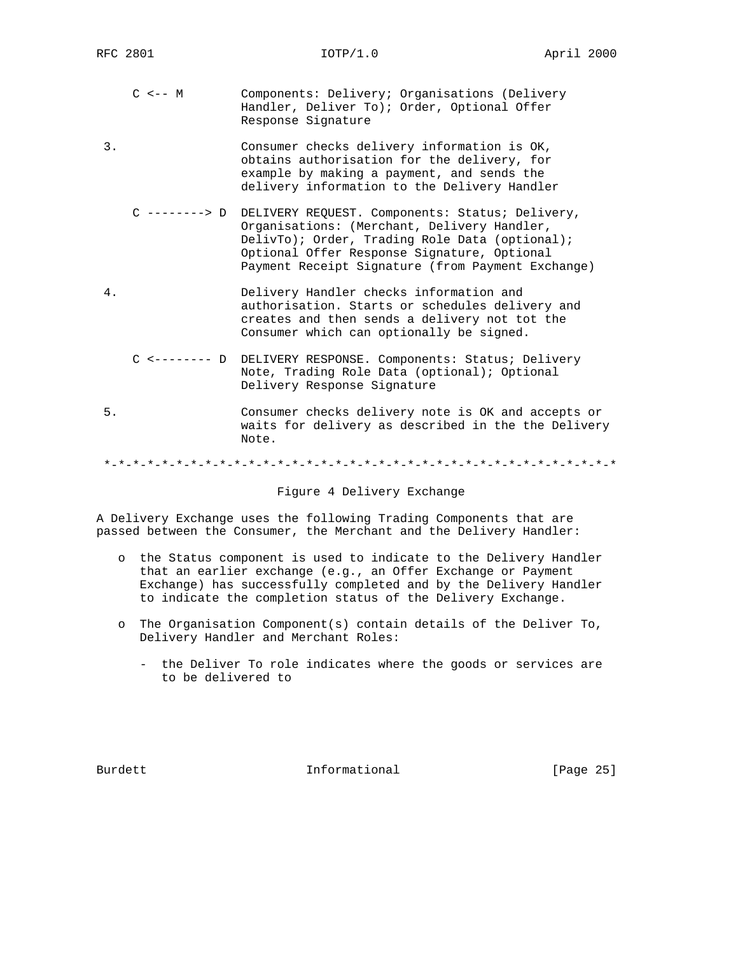- C <-- M Components: Delivery; Organisations (Delivery Handler, Deliver To); Order, Optional Offer Response Signature
- 3. Consumer checks delivery information is OK, obtains authorisation for the delivery, for example by making a payment, and sends the delivery information to the Delivery Handler
	- C --------> D DELIVERY REQUEST. Components: Status; Delivery, Organisations: (Merchant, Delivery Handler, DelivTo); Order, Trading Role Data (optional); Optional Offer Response Signature, Optional Payment Receipt Signature (from Payment Exchange)
- 4. Delivery Handler checks information and authorisation. Starts or schedules delivery and creates and then sends a delivery not tot the Consumer which can optionally be signed.
	- C <-------- D DELIVERY RESPONSE. Components: Status; Delivery Note, Trading Role Data (optional); Optional Delivery Response Signature
- 5. Consumer checks delivery note is OK and accepts or waits for delivery as described in the the Delivery Note.

\*-\*-\*-\*-\*-\*-\*-\*-\*-\*-\*-\*-\*-\*-\*-\*-\*-\*-\*-\*-\*-\*-\*-\*-\*-\*-\*-\*-\*-\*-\*-\*-\*-\*-\*-\*

Figure 4 Delivery Exchange

A Delivery Exchange uses the following Trading Components that are passed between the Consumer, the Merchant and the Delivery Handler:

- o the Status component is used to indicate to the Delivery Handler that an earlier exchange (e.g., an Offer Exchange or Payment Exchange) has successfully completed and by the Delivery Handler to indicate the completion status of the Delivery Exchange.
- o The Organisation Component(s) contain details of the Deliver To, Delivery Handler and Merchant Roles:
	- the Deliver To role indicates where the goods or services are to be delivered to

Burdett **Informational** [Page 25]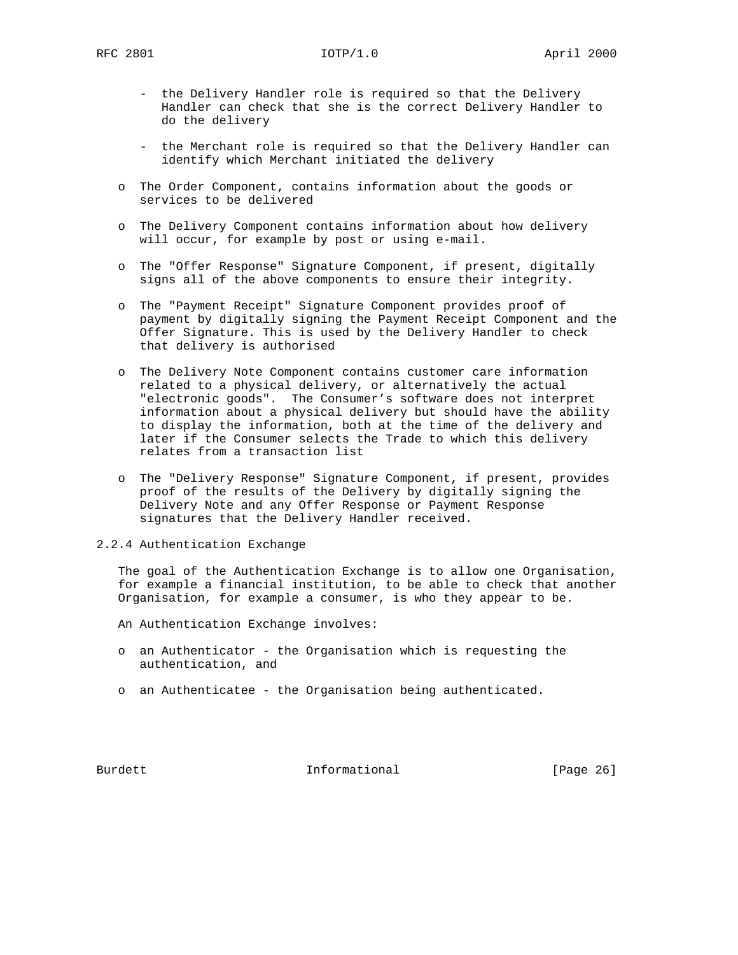- the Delivery Handler role is required so that the Delivery Handler can check that she is the correct Delivery Handler to do the delivery
- the Merchant role is required so that the Delivery Handler can identify which Merchant initiated the delivery
- o The Order Component, contains information about the goods or services to be delivered
- o The Delivery Component contains information about how delivery will occur, for example by post or using e-mail.
- o The "Offer Response" Signature Component, if present, digitally signs all of the above components to ensure their integrity.
- o The "Payment Receipt" Signature Component provides proof of payment by digitally signing the Payment Receipt Component and the Offer Signature. This is used by the Delivery Handler to check that delivery is authorised
- o The Delivery Note Component contains customer care information related to a physical delivery, or alternatively the actual "electronic goods". The Consumer's software does not interpret information about a physical delivery but should have the ability to display the information, both at the time of the delivery and later if the Consumer selects the Trade to which this delivery relates from a transaction list
- o The "Delivery Response" Signature Component, if present, provides proof of the results of the Delivery by digitally signing the Delivery Note and any Offer Response or Payment Response signatures that the Delivery Handler received.
- 2.2.4 Authentication Exchange

 The goal of the Authentication Exchange is to allow one Organisation, for example a financial institution, to be able to check that another Organisation, for example a consumer, is who they appear to be.

An Authentication Exchange involves:

- o an Authenticator the Organisation which is requesting the authentication, and
- o an Authenticatee the Organisation being authenticated.

Burdett **Informational** [Page 26]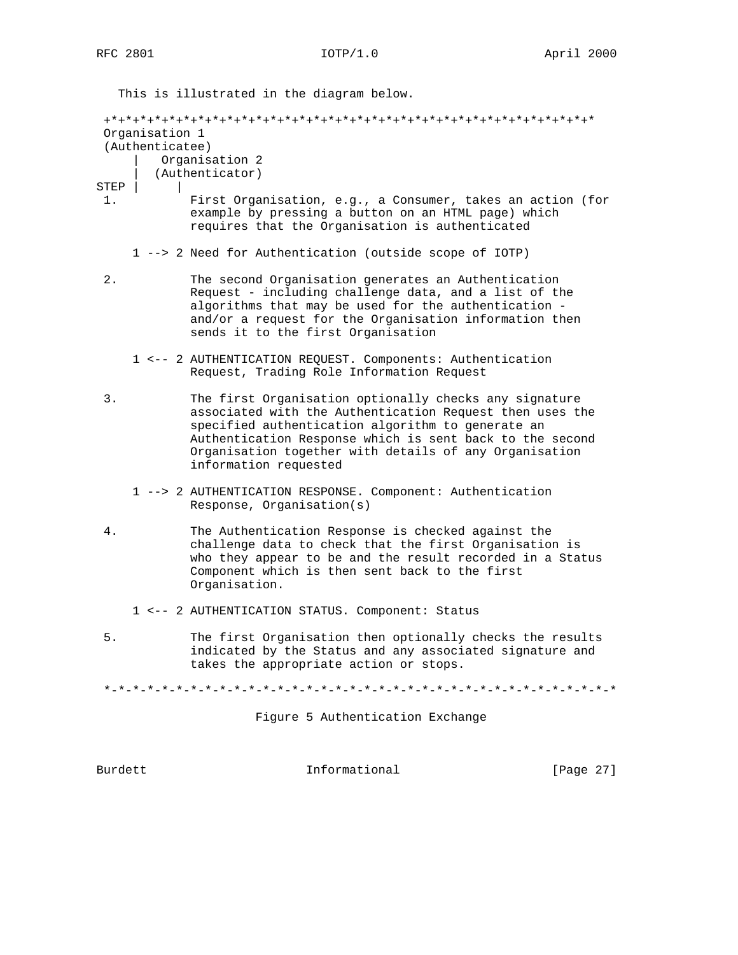This is illustrated in the diagram below.

```
 +*+*+*+*+*+*+*+*+*+*+*+*+*+*+*+*+*+*+*+*+*+*+*+*+*+*+*+*+*+*+*+*+*+*
  Organisation 1
  (Authenticatee)
        Organisation 2
         | (Authenticator)
STEP | |
 1. First Organisation, e.g., a Consumer, takes an action (for
              example by pressing a button on an HTML page) which
              requires that the Organisation is authenticated
      1 --> 2 Need for Authentication (outside scope of IOTP)
```
- 2. The second Organisation generates an Authentication Request - including challenge data, and a list of the algorithms that may be used for the authentication and/or a request for the Organisation information then sends it to the first Organisation
	- 1 <-- 2 AUTHENTICATION REQUEST. Components: Authentication Request, Trading Role Information Request
- 3. The first Organisation optionally checks any signature associated with the Authentication Request then uses the specified authentication algorithm to generate an Authentication Response which is sent back to the second Organisation together with details of any Organisation information requested
	- 1 --> 2 AUTHENTICATION RESPONSE. Component: Authentication Response, Organisation(s)
- 4. The Authentication Response is checked against the challenge data to check that the first Organisation is who they appear to be and the result recorded in a Status Component which is then sent back to the first Organisation.
	- 1 <-- 2 AUTHENTICATION STATUS. Component: Status
- 5. The first Organisation then optionally checks the results indicated by the Status and any associated signature and takes the appropriate action or stops.

\*-\*-\*-\*-\*-\*-\*-\*-\*-\*-\*-\*-\*-\*-\*-\*-\*-\*-\*-\*-\*-\*-\*-\*-\*-\*-\*-\*-\*-\*-\*-\*-\*-\*-\*-\*

Figure 5 Authentication Exchange

Burdett **Informational** [Page 27]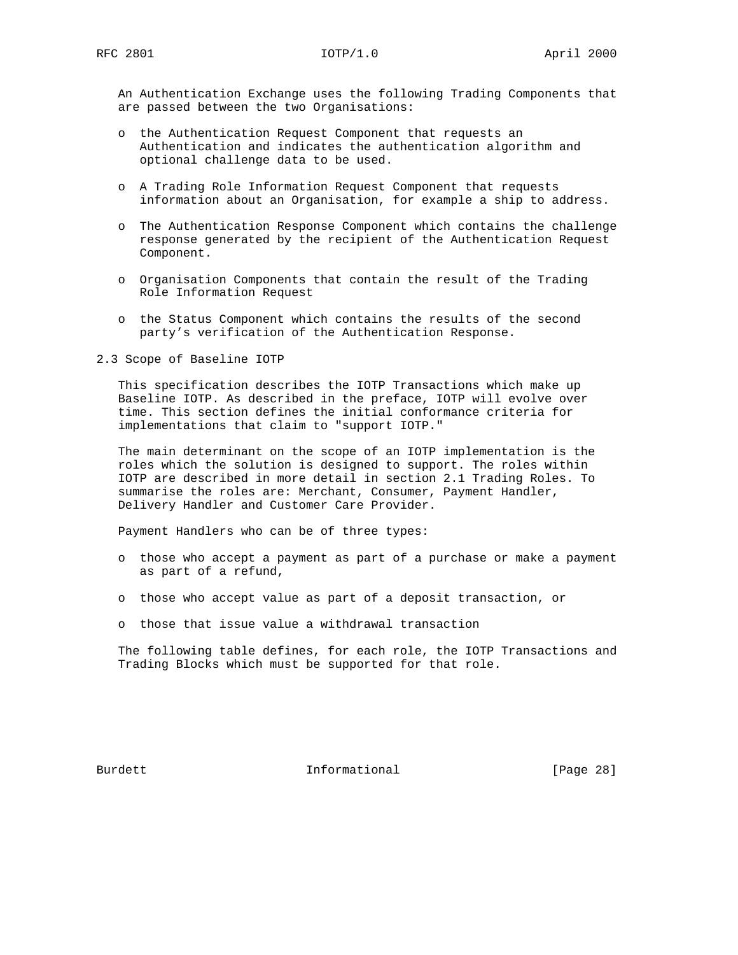An Authentication Exchange uses the following Trading Components that are passed between the two Organisations:

- o the Authentication Request Component that requests an Authentication and indicates the authentication algorithm and optional challenge data to be used.
- o A Trading Role Information Request Component that requests information about an Organisation, for example a ship to address.
- o The Authentication Response Component which contains the challenge response generated by the recipient of the Authentication Request Component.
- o Organisation Components that contain the result of the Trading Role Information Request
- o the Status Component which contains the results of the second party's verification of the Authentication Response.

2.3 Scope of Baseline IOTP

 This specification describes the IOTP Transactions which make up Baseline IOTP. As described in the preface, IOTP will evolve over time. This section defines the initial conformance criteria for implementations that claim to "support IOTP."

 The main determinant on the scope of an IOTP implementation is the roles which the solution is designed to support. The roles within IOTP are described in more detail in section 2.1 Trading Roles. To summarise the roles are: Merchant, Consumer, Payment Handler, Delivery Handler and Customer Care Provider.

Payment Handlers who can be of three types:

- o those who accept a payment as part of a purchase or make a payment as part of a refund,
- o those who accept value as part of a deposit transaction, or
- o those that issue value a withdrawal transaction

 The following table defines, for each role, the IOTP Transactions and Trading Blocks which must be supported for that role.

Burdett **Informational** [Page 28]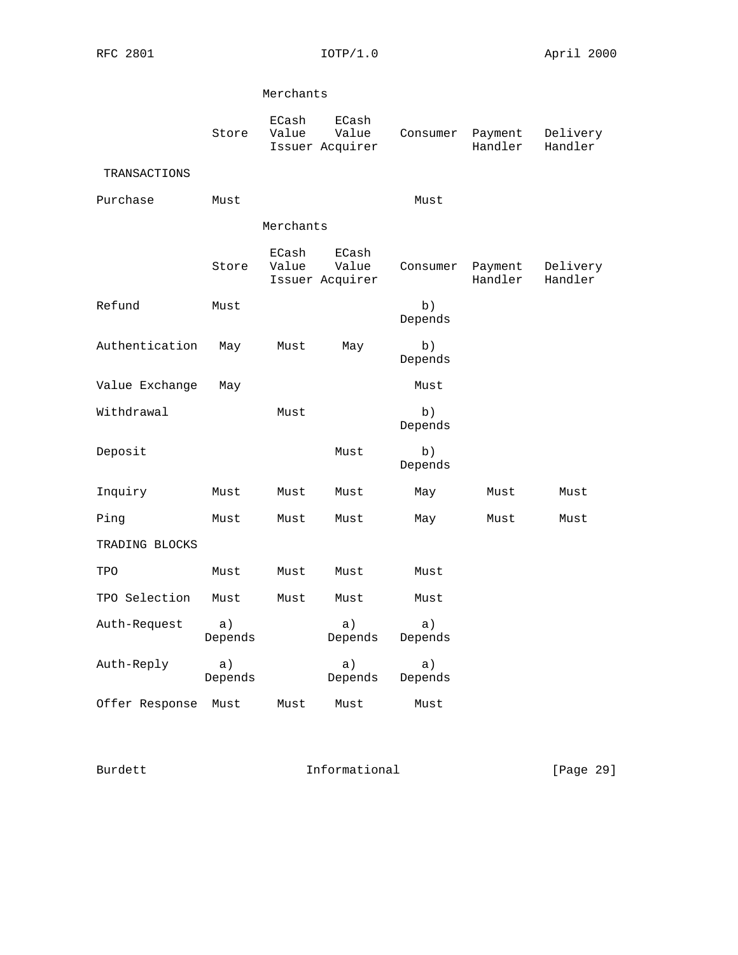|                | Store         | ECash<br>Value | ECash<br>Value<br>Issuer Acquirer | Consumer      | Payment<br>Handler | Delivery<br>Handler |
|----------------|---------------|----------------|-----------------------------------|---------------|--------------------|---------------------|
| TRANSACTIONS   |               |                |                                   |               |                    |                     |
| Purchase       | Must          |                |                                   | Must          |                    |                     |
|                |               | Merchants      |                                   |               |                    |                     |
|                | Store         | ECash<br>Value | ECash<br>Value<br>Issuer Acquirer | Consumer      | Payment<br>Handler | Delivery<br>Handler |
| Refund         | Must          |                |                                   | b)<br>Depends |                    |                     |
| Authentication | May           | Must           | May                               | b)<br>Depends |                    |                     |
| Value Exchange | May           |                |                                   | Must          |                    |                     |
| Withdrawal     |               | Must           |                                   | b)<br>Depends |                    |                     |
| Deposit        |               |                | Must                              | b)<br>Depends |                    |                     |
| Inquiry        | Must          | Must           | Must                              | May           | Must               | Must                |
| Ping           | Must          | Must           | Must                              | May           | Must               | Must                |
| TRADING BLOCKS |               |                |                                   |               |                    |                     |
| TPO            | Must          | Must           | Must                              | Must          |                    |                     |
| TPO Selection  | Must          | Must           | Must                              | Must          |                    |                     |
| Auth-Request   | a)<br>Depends |                | a)<br>Depends                     | a)<br>Depends |                    |                     |
| Auth-Reply     | a)<br>Depends |                | a)<br>Depends                     | a)<br>Depends |                    |                     |
| Offer Response | Must          | Must           | Must                              | Must          |                    |                     |

Burdett **Informational Informational** [Page 29]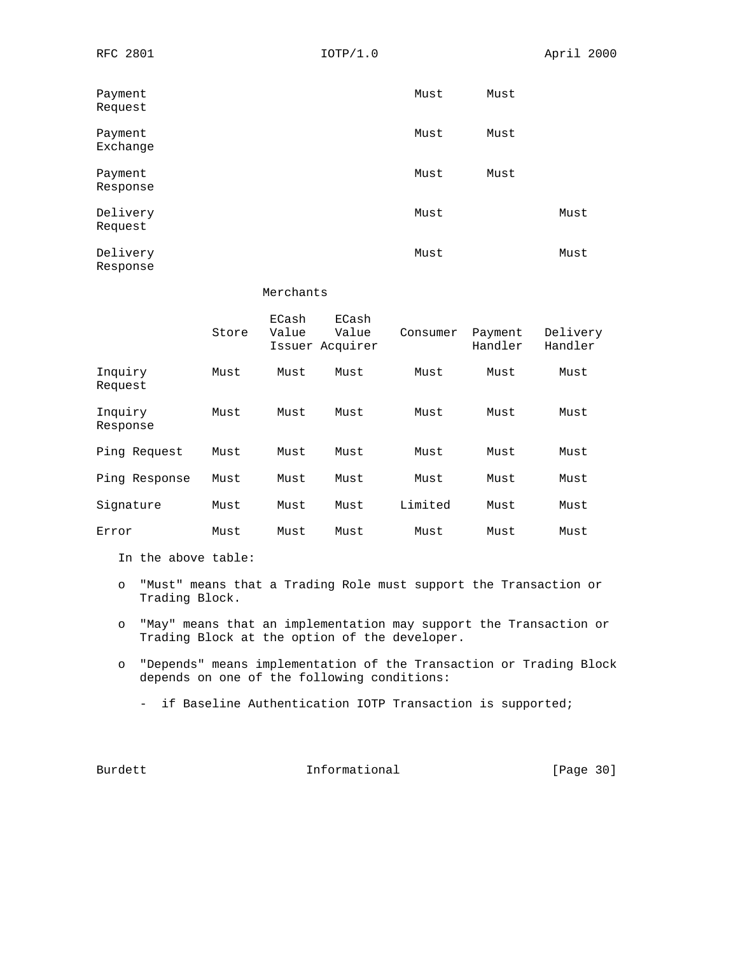| Payment<br>Request   | Must | Must |      |
|----------------------|------|------|------|
| Payment<br>Exchange  | Must | Must |      |
| Payment<br>Response  | Must | Must |      |
| Delivery<br>Request  | Must |      | Must |
| Delivery<br>Response | Must |      | Must |

#### Merchants

|                     | Store | ECash<br>Value | ECash<br>Value<br>Issuer Acquirer | Consumer | Payment<br>Handler | Delivery<br>Handler |
|---------------------|-------|----------------|-----------------------------------|----------|--------------------|---------------------|
| Inquiry<br>Request  | Must  | Must           | Must                              | Must     | Must               | Must                |
| Inquiry<br>Response | Must  | Must           | Must                              | Must     | Must               | Must                |
| Ping Request        | Must  | Must           | Must                              | Must     | Must               | Must                |
| Ping Response       | Must  | Must           | Must                              | Must     | Must               | Must                |
| Signature           | Must  | Must           | Must                              | Limited  | Must               | Must                |
| Error               | Must  | Must           | Must                              | Must     | Must               | Must                |

In the above table:

- o "Must" means that a Trading Role must support the Transaction or Trading Block.
- o "May" means that an implementation may support the Transaction or Trading Block at the option of the developer.
- o "Depends" means implementation of the Transaction or Trading Block depends on one of the following conditions:
	- if Baseline Authentication IOTP Transaction is supported;

Burdett Informational [Page 30]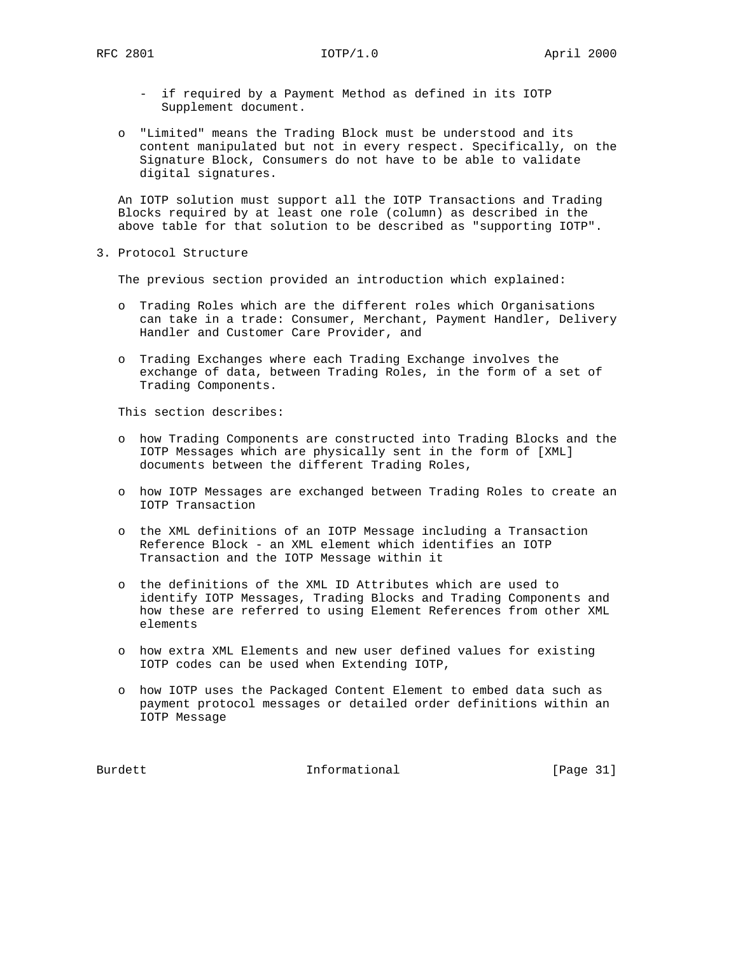- if required by a Payment Method as defined in its IOTP Supplement document.
- o "Limited" means the Trading Block must be understood and its content manipulated but not in every respect. Specifically, on the Signature Block, Consumers do not have to be able to validate digital signatures.

 An IOTP solution must support all the IOTP Transactions and Trading Blocks required by at least one role (column) as described in the above table for that solution to be described as "supporting IOTP".

3. Protocol Structure

The previous section provided an introduction which explained:

- o Trading Roles which are the different roles which Organisations can take in a trade: Consumer, Merchant, Payment Handler, Delivery Handler and Customer Care Provider, and
- o Trading Exchanges where each Trading Exchange involves the exchange of data, between Trading Roles, in the form of a set of Trading Components.

This section describes:

- o how Trading Components are constructed into Trading Blocks and the IOTP Messages which are physically sent in the form of [XML] documents between the different Trading Roles,
- o how IOTP Messages are exchanged between Trading Roles to create an IOTP Transaction
- o the XML definitions of an IOTP Message including a Transaction Reference Block - an XML element which identifies an IOTP Transaction and the IOTP Message within it
- o the definitions of the XML ID Attributes which are used to identify IOTP Messages, Trading Blocks and Trading Components and how these are referred to using Element References from other XML elements
- o how extra XML Elements and new user defined values for existing IOTP codes can be used when Extending IOTP,
- o how IOTP uses the Packaged Content Element to embed data such as payment protocol messages or detailed order definitions within an IOTP Message

Burdett **Informational** [Page 31]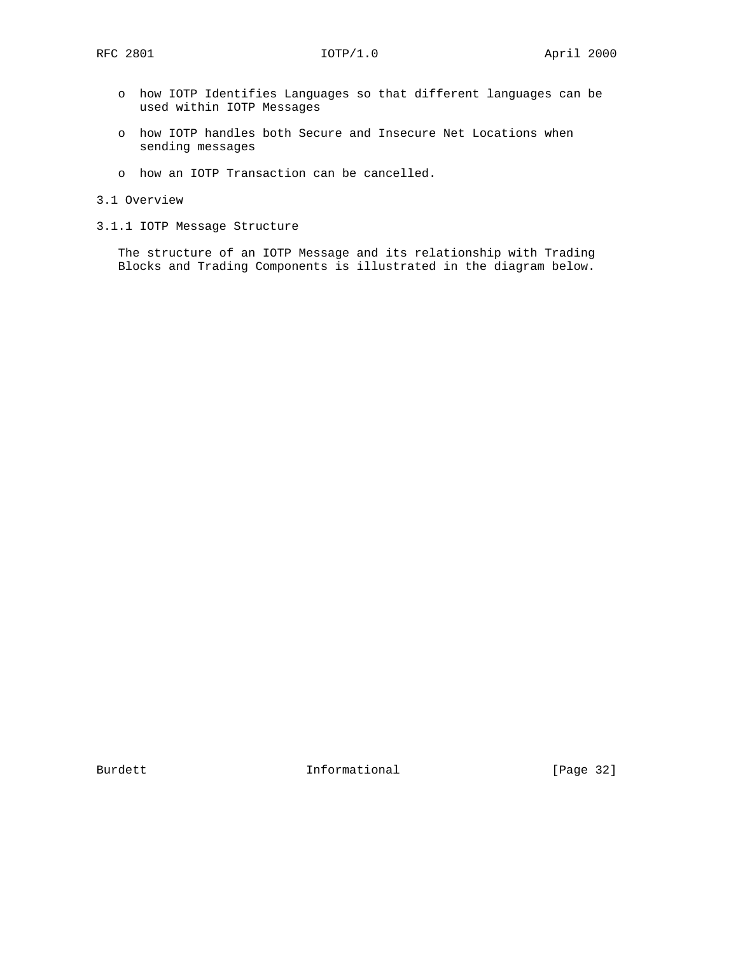- o how IOTP Identifies Languages so that different languages can be used within IOTP Messages
- o how IOTP handles both Secure and Insecure Net Locations when sending messages
- o how an IOTP Transaction can be cancelled.

# 3.1 Overview

3.1.1 IOTP Message Structure

 The structure of an IOTP Message and its relationship with Trading Blocks and Trading Components is illustrated in the diagram below.

Burdett Informational [Page 32]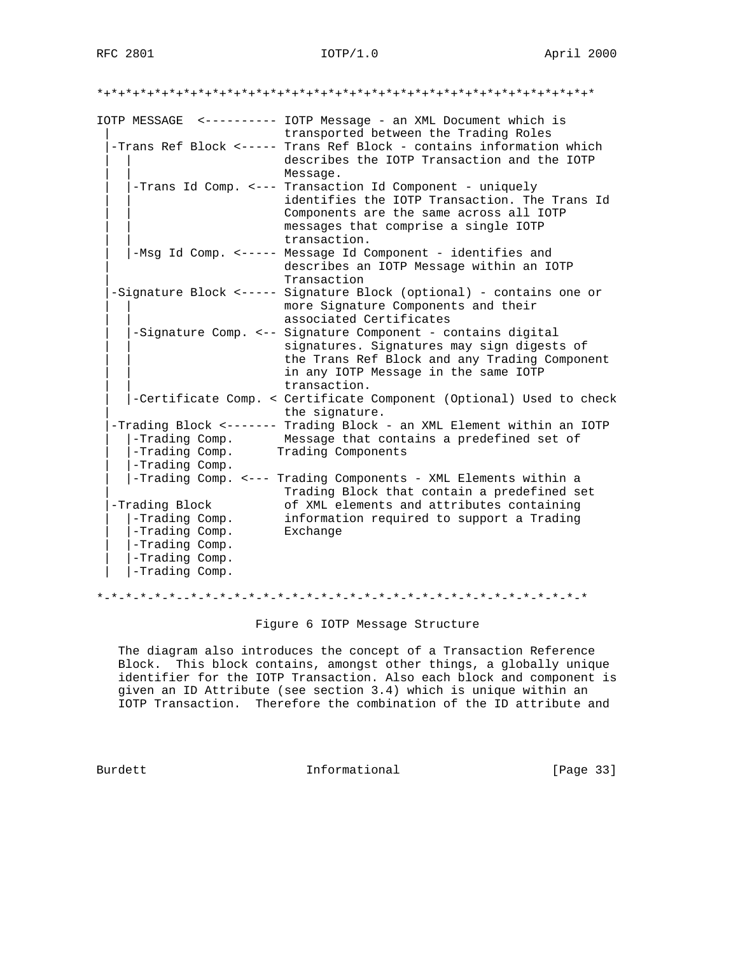\*+\*+\*+\*+\*+\*+\*+\*+\*+\*+\*+\*+\*+\*+\*+\*+\*+\*+\*+\*+\*+\*+\*+\*+\*+\*+\*+\*+\*+\*+\*+\*+\*+\*+\*

|                                                                                                          | IOTP MESSAGE <--------- IOTP Message - an XML Document which is<br>transported between the Trading Roles                                                                                                           |
|----------------------------------------------------------------------------------------------------------|--------------------------------------------------------------------------------------------------------------------------------------------------------------------------------------------------------------------|
|                                                                                                          | -Trans Ref Block <----- Trans Ref Block - contains information which<br>describes the IOTP Transaction and the IOTP<br>Message.                                                                                    |
|                                                                                                          | -Trans Id Comp. <--- Transaction Id Component - uniquely<br>identifies the IOTP Transaction. The Trans Id<br>Components are the same across all IOTP<br>messages that comprise a single IOTP<br>transaction.       |
|                                                                                                          | -Msg Id Comp. <----- Message Id Component - identifies and<br>describes an IOTP Message within an IOTP<br>Transaction                                                                                              |
|                                                                                                          | -Signature Block <----- Signature Block (optional) - contains one or<br>more Signature Components and their<br>associated Certificates                                                                             |
|                                                                                                          | -Signature Comp. <-- Signature Component - contains digital<br>signatures. Signatures may sign digests of<br>the Trans Ref Block and any Trading Component<br>in any IOTP Message in the same IOTP<br>transaction. |
|                                                                                                          | -Certificate Comp. < Certificate Component (Optional) Used to check<br>the signature.                                                                                                                              |
| -Trading Comp.<br>-Trading Comp.                                                                         | -Trading Block <------ Trading Block - an XML Element within an IOTP<br>-Trading Comp. Message that contains a predefined set of<br>Trading Components                                                             |
|                                                                                                          | -Trading Comp. <--- Trading Components - XML Elements within a<br>Trading Block that contain a predefined set                                                                                                      |
| -Trading Block<br>-Trading Comp.<br>-Trading Comp.<br>-Trading Comp.<br>-Trading Comp.<br>-Trading Comp. | of XML elements and attributes containing<br>information required to support a Trading<br>Exchange                                                                                                                 |

\*-\*-\*-\*-\*-\*--\*-\*-\*-\*-\*-\*-\*-\*-\*-\*-\*-\*-\*-\*-\*-\*-\*-\*-\*-\*-\*-\*-\*-\*-\*-\*-\*-\*

Figure 6 IOTP Message Structure

 The diagram also introduces the concept of a Transaction Reference Block. This block contains, amongst other things, a globally unique identifier for the IOTP Transaction. Also each block and component is given an ID Attribute (see section 3.4) which is unique within an IOTP Transaction. Therefore the combination of the ID attribute and

Burdett **Informational Informational** [Page 33]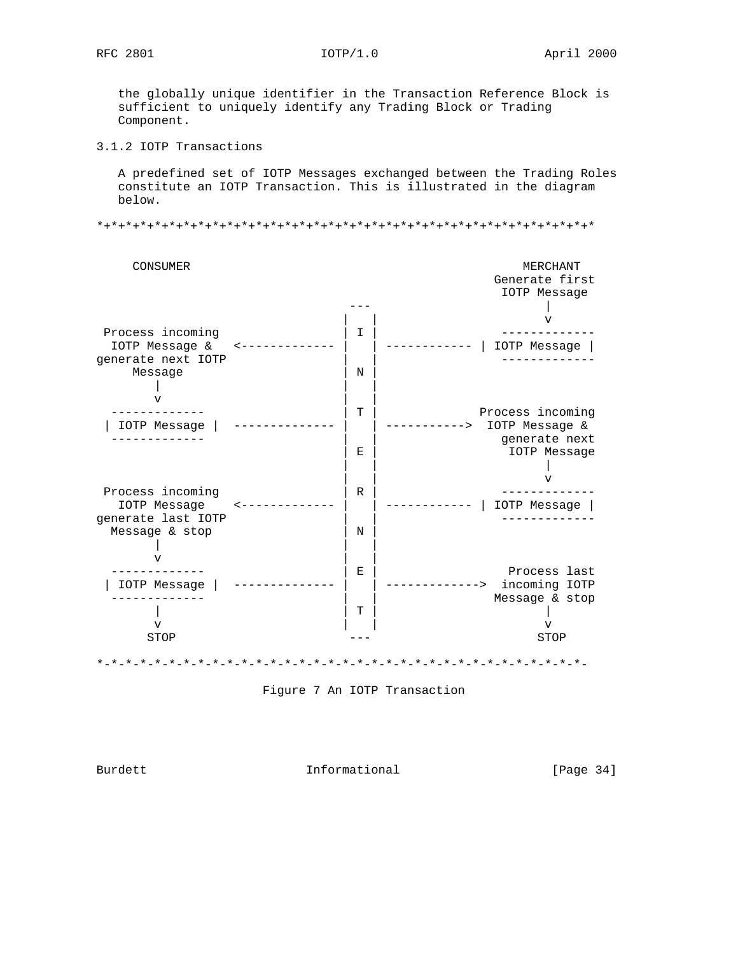the globally unique identifier in the Transaction Reference Block is sufficient to uniquely identify any Trading Block or Trading Component.

3.1.2 IOTP Transactions

 A predefined set of IOTP Messages exchanged between the Trading Roles constitute an IOTP Transaction. This is illustrated in the diagram below.

\*+\*+\*+\*+\*+\*+\*+\*+\*+\*+\*+\*+\*+\*+\*+\*+\*+\*+\*+\*+\*+\*+\*+\*+\*+\*+\*+\*+\*+\*+\*+\*+\*+\*+\*

| <b>CONSUMER</b>                      |    | MERCHANT<br>Generate first<br>IOTP Message |
|--------------------------------------|----|--------------------------------------------|
| Process incoming<br>IOTP Message &   | I  | $\mathbf v$<br>IOTP Message                |
| generate next IOTP<br>Message        | N  |                                            |
| $\mathbf v$<br>IOTP Message          | T  | Process incoming<br>IOTP Message &         |
|                                      | F. | generate next<br>IOTP Message              |
| Process incoming<br>IOTP Message     | R  | $\overline{V}$<br>IOTP Message             |
| generate last IOTP<br>Message & stop | N  |                                            |
| v<br>IOTP Message                    | Е  | Process last<br>incoming IOTP              |
| $\mathbf v$                          | T  | Message & stop<br>$\mathbf v$              |
| STOP                                 |    | STOP                                       |
|                                      |    |                                            |

Figure 7 An IOTP Transaction

Burdett **Informational** [Page 34]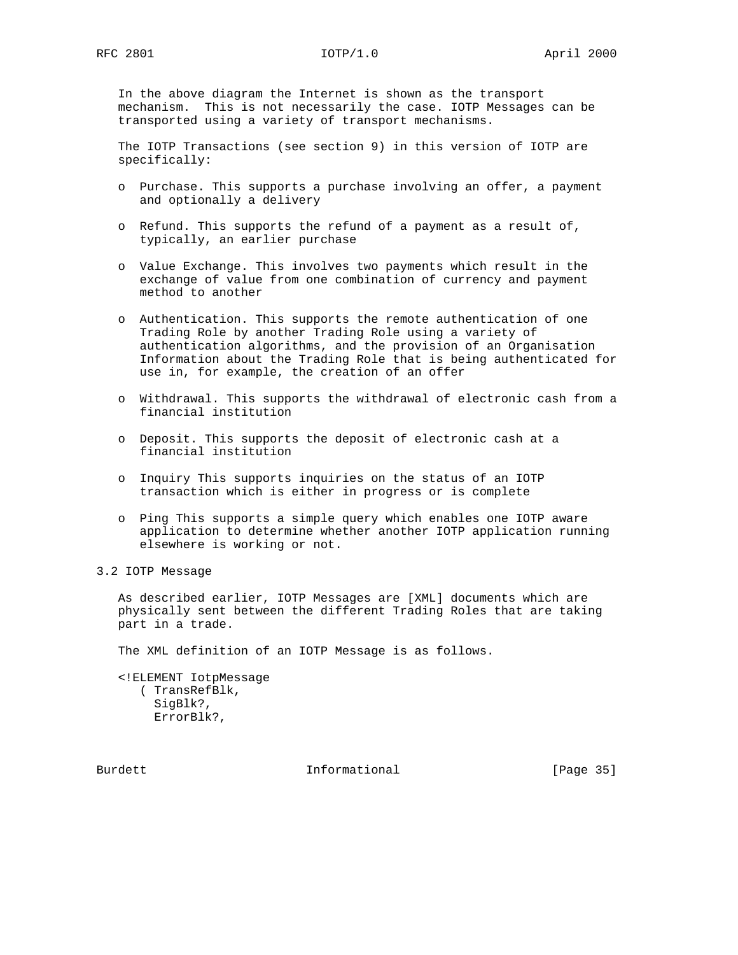In the above diagram the Internet is shown as the transport mechanism. This is not necessarily the case. IOTP Messages can be transported using a variety of transport mechanisms.

 The IOTP Transactions (see section 9) in this version of IOTP are specifically:

- o Purchase. This supports a purchase involving an offer, a payment and optionally a delivery
- o Refund. This supports the refund of a payment as a result of, typically, an earlier purchase
- o Value Exchange. This involves two payments which result in the exchange of value from one combination of currency and payment method to another
- o Authentication. This supports the remote authentication of one Trading Role by another Trading Role using a variety of authentication algorithms, and the provision of an Organisation Information about the Trading Role that is being authenticated for use in, for example, the creation of an offer
- o Withdrawal. This supports the withdrawal of electronic cash from a financial institution
- o Deposit. This supports the deposit of electronic cash at a financial institution
- o Inquiry This supports inquiries on the status of an IOTP transaction which is either in progress or is complete
- o Ping This supports a simple query which enables one IOTP aware application to determine whether another IOTP application running elsewhere is working or not.
- 3.2 IOTP Message

 As described earlier, IOTP Messages are [XML] documents which are physically sent between the different Trading Roles that are taking part in a trade.

The XML definition of an IOTP Message is as follows.

 <!ELEMENT IotpMessage ( TransRefBlk, SigBlk?, ErrorBlk?,

Burdett **Informational Informational** [Page 35]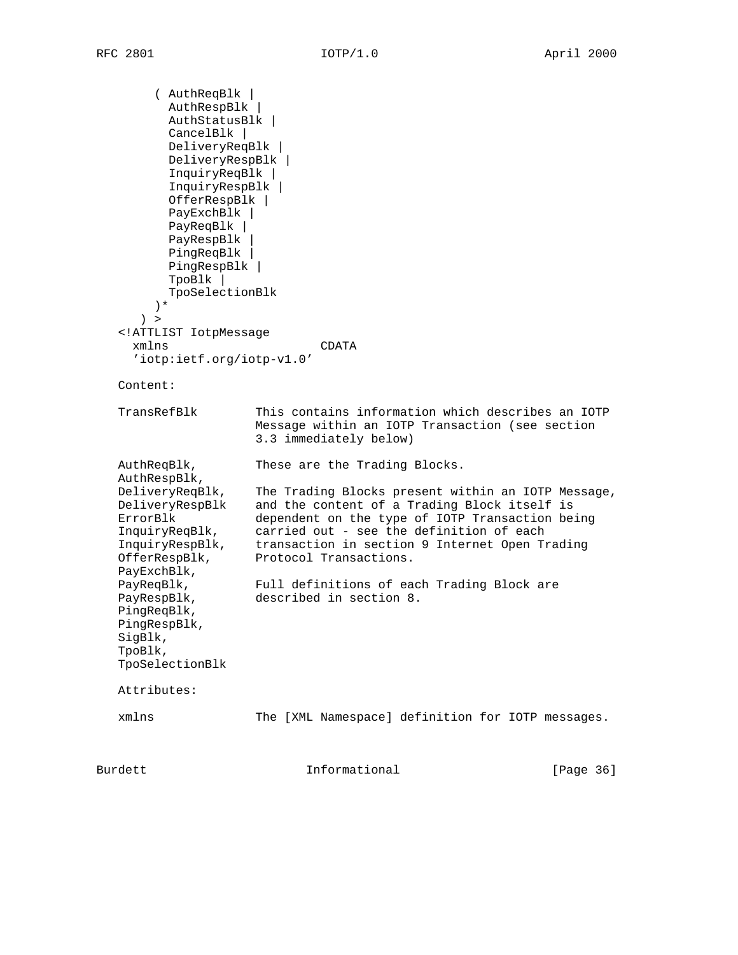( AuthReqBlk | AuthRespBlk | AuthStatusBlk | CancelBlk | DeliveryReqBlk | DeliveryRespBlk | InquiryReqBlk | InquiryRespBlk | OfferRespBlk | PayExchBlk | PayReqBlk | PayRespBlk | PingReqBlk | PingRespBlk | TpoBlk | TpoSelectionBlk )\* ) > <!ATTLIST IotpMessage xmlns CDATA 'iotp:ietf.org/iotp-v1.0' Content: TransRefBlk This contains information which describes an IOTP Message within an IOTP Transaction (see section 3.3 immediately below) AuthReqBlk, These are the Trading Blocks. AuthRespBlk, DeliveryReqBlk, The Trading Blocks present within an IOTP Message, DeliveryRespBlk and the content of a Trading Block itself is ErrorBlk dependent on the type of IOTP Transaction being InquiryReqBlk, carried out - see the definition of each InquiryRespBlk, transaction in section 9 Internet Open Trading OfferRespBlk, Protocol Transactions. PayExchBlk, PayReqBlk, Full definitions of each Trading Block are<br>PayRespBlk, described in section 8. described in section 8. PingReqBlk, PingRespBlk, SigBlk, TpoBlk, TpoSelectionBlk Attributes: xmlns The [XML Namespace] definition for IOTP messages. Burdett **Informational** [Page 36]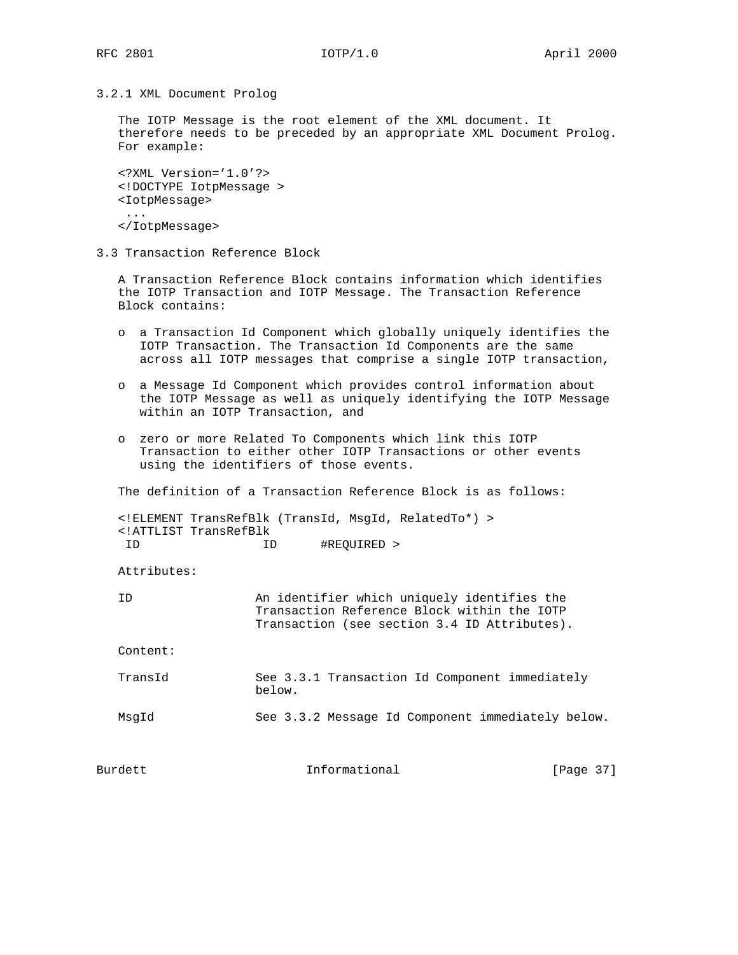3.2.1 XML Document Prolog

 The IOTP Message is the root element of the XML document. It therefore needs to be preceded by an appropriate XML Document Prolog. For example:

 <?XML Version='1.0'?> <!DOCTYPE IotpMessage > <IotpMessage> ... </IotpMessage>

3.3 Transaction Reference Block

 A Transaction Reference Block contains information which identifies the IOTP Transaction and IOTP Message. The Transaction Reference Block contains:

- o a Transaction Id Component which globally uniquely identifies the IOTP Transaction. The Transaction Id Components are the same across all IOTP messages that comprise a single IOTP transaction,
- o a Message Id Component which provides control information about the IOTP Message as well as uniquely identifying the IOTP Message within an IOTP Transaction, and
- o zero or more Related To Components which link this IOTP Transaction to either other IOTP Transactions or other events using the identifiers of those events.

The definition of a Transaction Reference Block is as follows:

 <!ELEMENT TransRefBlk (TransId, MsgId, RelatedTo\*) > <!ATTLIST TransRefBlk ID ID #REQUIRED > Attributes: ID An identifier which uniquely identifies the Transaction Reference Block within the IOTP Transaction (see section 3.4 ID Attributes). Content: TransId See 3.3.1 Transaction Id Component immediately below. MsgId See 3.3.2 Message Id Component immediately below.

Burdett **Informational Informational** [Page 37]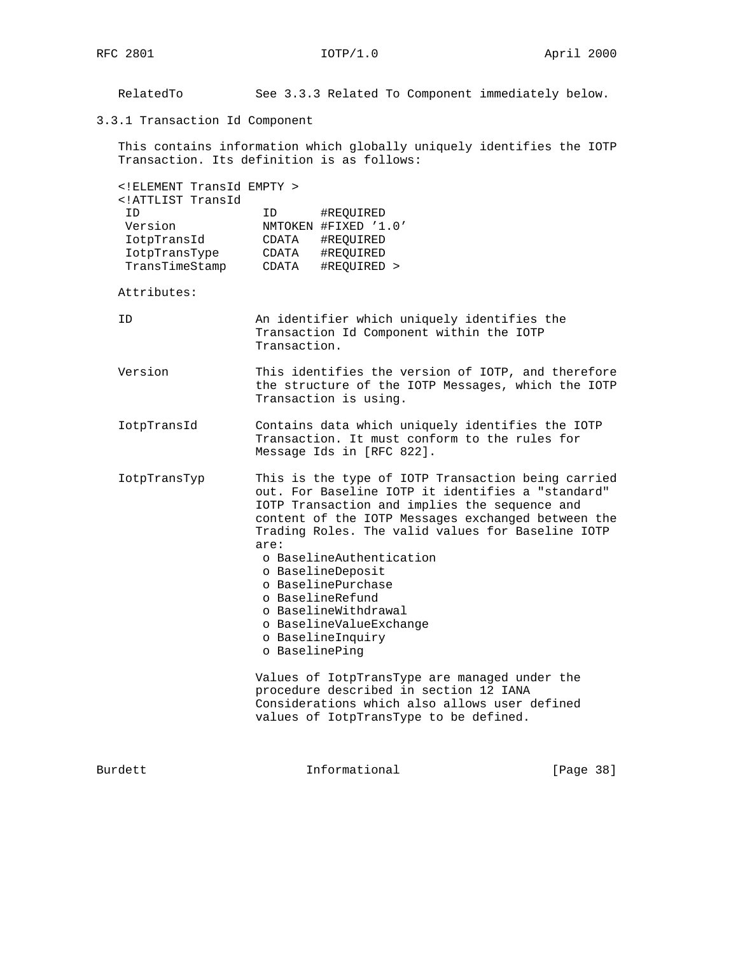RelatedTo See 3.3.3 Related To Component immediately below.

3.3.1 Transaction Id Component

 This contains information which globally uniquely identifies the IOTP Transaction. Its definition is as follows:

| ELEMENT TransId EMPTY                   |       |                      |
|-----------------------------------------|-------|----------------------|
| ATTLIST TransId</td <td></td> <td></td> |       |                      |
| TD                                      | TD    | #REOUIRED            |
| Version                                 |       | NMTOKEN #FIXED '1.0' |
| IotpTransId                             | CDATA | #REOUIRED            |
| IotpTransType                           | CDATA | #REQUIRED            |
| TransTimeStamp                          | CDATA | #REQUIRED >          |
|                                         |       |                      |

Attributes:

- ID An identifier which uniquely identifies the Transaction Id Component within the IOTP Transaction.
- Version This identifies the version of IOTP, and therefore the structure of the IOTP Messages, which the IOTP Transaction is using.
- IotpTransId Contains data which uniquely identifies the IOTP Transaction. It must conform to the rules for Message Ids in [RFC 822].
- IotpTransTyp This is the type of IOTP Transaction being carried out. For Baseline IOTP it identifies a "standard" IOTP Transaction and implies the sequence and content of the IOTP Messages exchanged between the Trading Roles. The valid values for Baseline IOTP are:
	- o BaselineAuthentication
	- o BaselineDeposit
	- o BaselinePurchase
	- o BaselineRefund
	- o BaselineWithdrawal
	- o BaselineValueExchange
	- o BaselineInquiry
	- o BaselinePing

 Values of IotpTransType are managed under the procedure described in section 12 IANA Considerations which also allows user defined values of IotpTransType to be defined.

Burdett **Informational** [Page 38]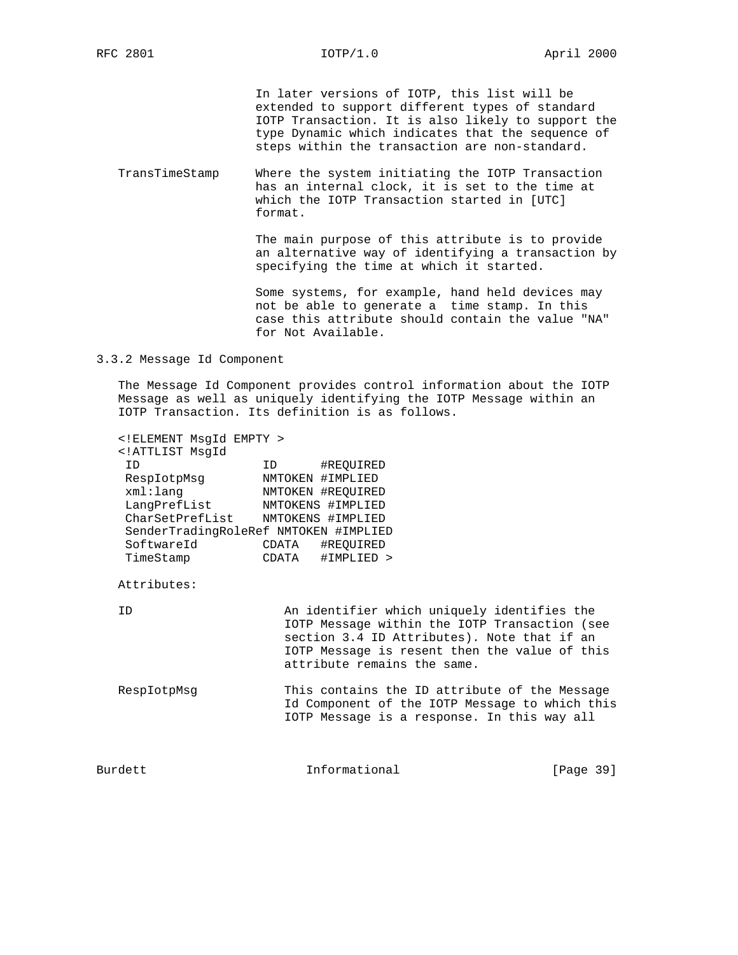In later versions of IOTP, this list will be extended to support different types of standard IOTP Transaction. It is also likely to support the type Dynamic which indicates that the sequence of steps within the transaction are non-standard.

 TransTimeStamp Where the system initiating the IOTP Transaction has an internal clock, it is set to the time at which the IOTP Transaction started in [UTC] format.

> The main purpose of this attribute is to provide an alternative way of identifying a transaction by specifying the time at which it started.

 Some systems, for example, hand held devices may not be able to generate a time stamp. In this case this attribute should contain the value "NA" for Not Available.

#### 3.3.2 Message Id Component

 The Message Id Component provides control information about the IOTP Message as well as uniquely identifying the IOTP Message within an IOTP Transaction. Its definition is as follows.

| ELEMENT MsgId EMPTY                   |       |                   |
|---------------------------------------|-------|-------------------|
| ATTLIST MsgId</td <td></td> <td></td> |       |                   |
| TD                                    | ΙD    | #REOUIRED         |
| ResplotpMsq                           |       | NMTOKEN #IMPLIED  |
| xml:lang                              |       | NMTOKEN #REOUIRED |
| LangPrefList                          |       | NMTOKENS #IMPLIED |
| CharSetPrefList                       |       | NMTOKENS #IMPLIED |
| SenderTradingRoleRef NMTOKEN #IMPLIED |       |                   |
| SoftwareId                            | CDATA | #REOUIRED         |
| TimeStamp                             | CDATA | #IMPLIED >        |

Attributes:

| TD. | An identifier which uniquely identifies the   |
|-----|-----------------------------------------------|
|     | IOTP Message within the IOTP Transaction (see |
|     | section 3.4 ID Attributes). Note that if an   |
|     | IOTP Message is resent then the value of this |
|     | attribute remains the same.                   |

RespIotpMsg This contains the ID attribute of the Message Id Component of the IOTP Message to which this IOTP Message is a response. In this way all

| Burdett | Informational | [Page 39] |  |
|---------|---------------|-----------|--|
|         |               |           |  |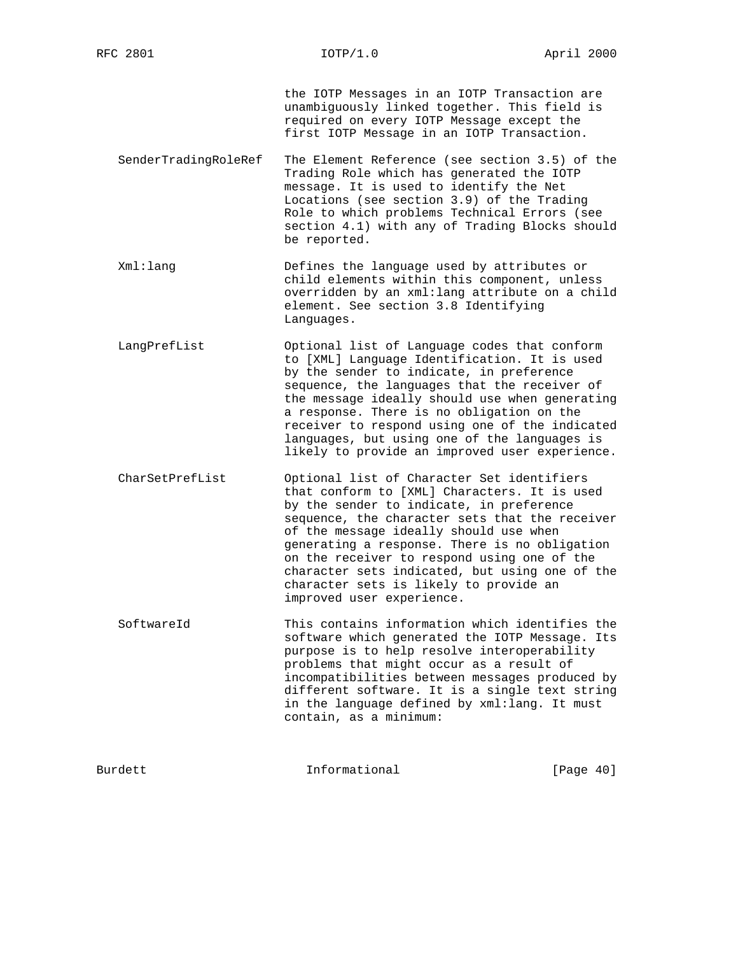the IOTP Messages in an IOTP Transaction are unambiguously linked together. This field is required on every IOTP Message except the first IOTP Message in an IOTP Transaction.

- SenderTradingRoleRef The Element Reference (see section 3.5) of the Trading Role which has generated the IOTP message. It is used to identify the Net Locations (see section 3.9) of the Trading Role to which problems Technical Errors (see section 4.1) with any of Trading Blocks should be reported.
- Xml:lang Defines the language used by attributes or child elements within this component, unless overridden by an xml:lang attribute on a child element. See section 3.8 Identifying Languages.
- LangPrefList Optional list of Language codes that conform to [XML] Language Identification. It is used by the sender to indicate, in preference sequence, the languages that the receiver of the message ideally should use when generating a response. There is no obligation on the receiver to respond using one of the indicated languages, but using one of the languages is likely to provide an improved user experience.
- CharSetPrefList Optional list of Character Set identifiers that conform to [XML] Characters. It is used by the sender to indicate, in preference sequence, the character sets that the receiver of the message ideally should use when generating a response. There is no obligation on the receiver to respond using one of the character sets indicated, but using one of the character sets is likely to provide an improved user experience.
- SoftwareId This contains information which identifies the software which generated the IOTP Message. Its purpose is to help resolve interoperability problems that might occur as a result of incompatibilities between messages produced by different software. It is a single text string in the language defined by xml:lang. It must contain, as a minimum:

| Burdett | Informational | [Page 40] |  |
|---------|---------------|-----------|--|
|         |               |           |  |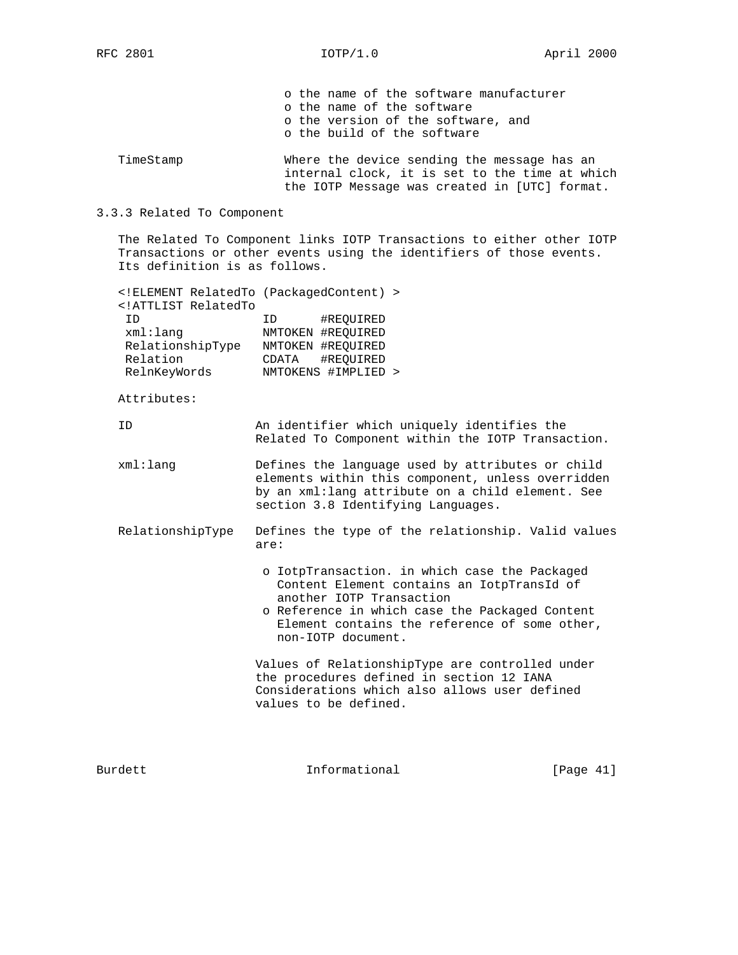o the name of the software manufacturer o the name of the software o the version of the software, and o the build of the software

 TimeStamp Where the device sending the message has an internal clock, it is set to the time at which the IOTP Message was created in [UTC] format.

## 3.3.3 Related To Component

 The Related To Component links IOTP Transactions to either other IOTP Transactions or other events using the identifiers of those events. Its definition is as follows.

| ELEMENT RelatedTo (PackagedContent)                 |       |                     |  |
|-----------------------------------------------------|-------|---------------------|--|
| ATTLIST RelatedTo</td <td></td> <td></td> <td></td> |       |                     |  |
| ΤD                                                  | TD.   | #REOUIRED           |  |
| xml:lang                                            |       | NMTOKEN #REQUIRED   |  |
| RelationshipType                                    |       | NMTOKEN #REOUIRED   |  |
| Relation                                            | CDATA | #REQUIRED           |  |
| RelnKeyWords                                        |       | NMTOKENS #IMPLIED > |  |

Attributes:

- ID An identifier which uniquely identifies the Related To Component within the IOTP Transaction.
- xml:lang Defines the language used by attributes or child elements within this component, unless overridden by an xml:lang attribute on a child element. See section 3.8 Identifying Languages.
- RelationshipType Defines the type of the relationship. Valid values are:
	- o IotpTransaction. in which case the Packaged Content Element contains an IotpTransId of another IOTP Transaction
	- o Reference in which case the Packaged Content Element contains the reference of some other, non-IOTP document.

 Values of RelationshipType are controlled under the procedures defined in section 12 IANA Considerations which also allows user defined values to be defined.

Burdett **Informational** [Page 41]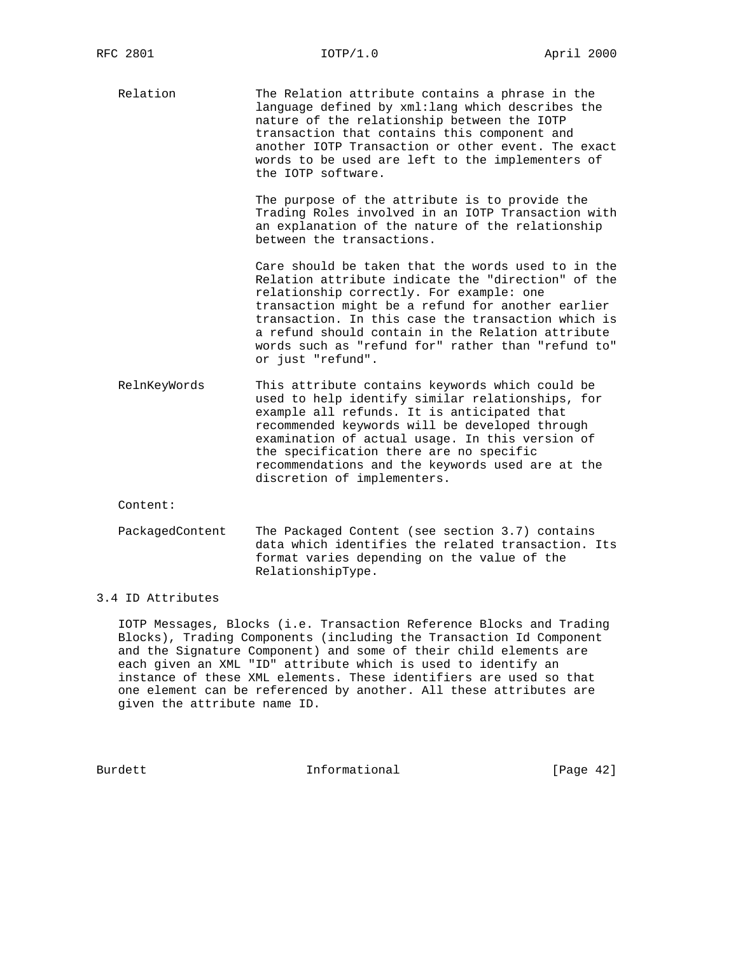Relation The Relation attribute contains a phrase in the language defined by xml:lang which describes the nature of the relationship between the IOTP transaction that contains this component and another IOTP Transaction or other event. The exact words to be used are left to the implementers of the IOTP software.

> The purpose of the attribute is to provide the Trading Roles involved in an IOTP Transaction with an explanation of the nature of the relationship between the transactions.

> Care should be taken that the words used to in the Relation attribute indicate the "direction" of the relationship correctly. For example: one transaction might be a refund for another earlier transaction. In this case the transaction which is a refund should contain in the Relation attribute words such as "refund for" rather than "refund to" or just "refund".

 RelnKeyWords This attribute contains keywords which could be used to help identify similar relationships, for example all refunds. It is anticipated that recommended keywords will be developed through examination of actual usage. In this version of the specification there are no specific recommendations and the keywords used are at the discretion of implementers.

Content:

 PackagedContent The Packaged Content (see section 3.7) contains data which identifies the related transaction. Its format varies depending on the value of the RelationshipType.

# 3.4 ID Attributes

 IOTP Messages, Blocks (i.e. Transaction Reference Blocks and Trading Blocks), Trading Components (including the Transaction Id Component and the Signature Component) and some of their child elements are each given an XML "ID" attribute which is used to identify an instance of these XML elements. These identifiers are used so that one element can be referenced by another. All these attributes are given the attribute name ID.

Burdett **Informational Informational** [Page 42]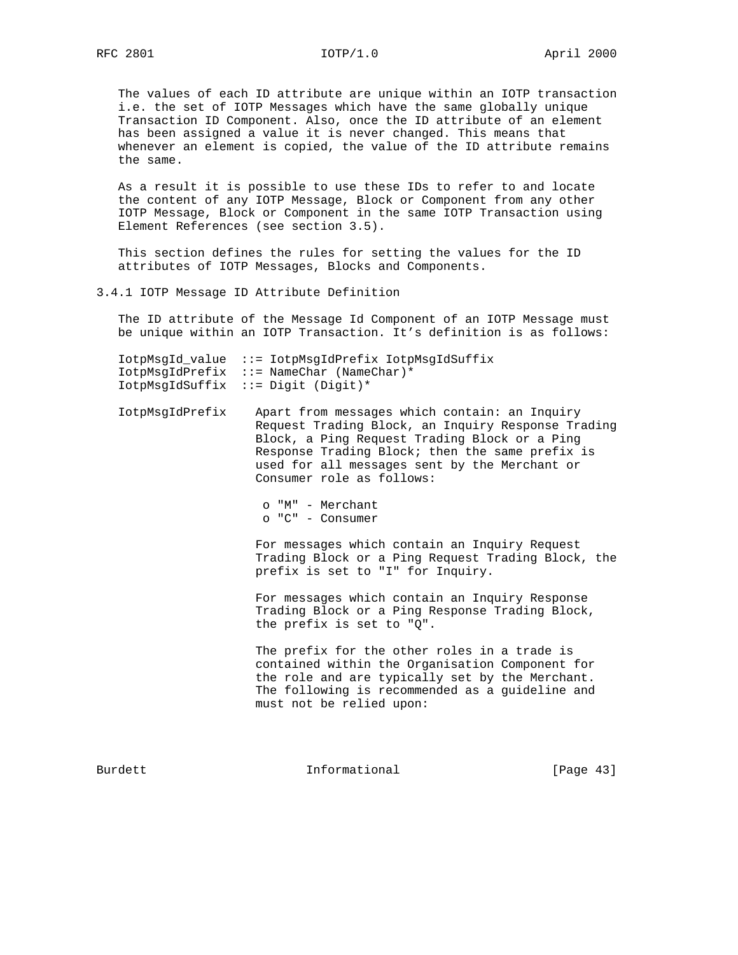The values of each ID attribute are unique within an IOTP transaction i.e. the set of IOTP Messages which have the same globally unique Transaction ID Component. Also, once the ID attribute of an element has been assigned a value it is never changed. This means that whenever an element is copied, the value of the ID attribute remains the same.

 As a result it is possible to use these IDs to refer to and locate the content of any IOTP Message, Block or Component from any other IOTP Message, Block or Component in the same IOTP Transaction using Element References (see section 3.5).

 This section defines the rules for setting the values for the ID attributes of IOTP Messages, Blocks and Components.

#### 3.4.1 IOTP Message ID Attribute Definition

 The ID attribute of the Message Id Component of an IOTP Message must be unique within an IOTP Transaction. It's definition is as follows:

| IotpMsgId value ::= IotpMsgIdPrefix IotpMsgIdSuffix |
|-----------------------------------------------------|
| $IotpMsqIdPrefix$ ::= NameChar (NameChar)*          |
| $IotpMsqIdSuffix$ ::= Digit (Digit)*                |

- IotpMsgIdPrefix Apart from messages which contain: an Inquiry Request Trading Block, an Inquiry Response Trading Block, a Ping Request Trading Block or a Ping Response Trading Block; then the same prefix is used for all messages sent by the Merchant or Consumer role as follows:
	- o "M" Merchant o "C" - Consumer

 For messages which contain an Inquiry Request Trading Block or a Ping Request Trading Block, the prefix is set to "I" for Inquiry.

 For messages which contain an Inquiry Response Trading Block or a Ping Response Trading Block, the prefix is set to "Q".

 The prefix for the other roles in a trade is contained within the Organisation Component for the role and are typically set by the Merchant. The following is recommended as a guideline and must not be relied upon:

Burdett **Informational** [Page 43]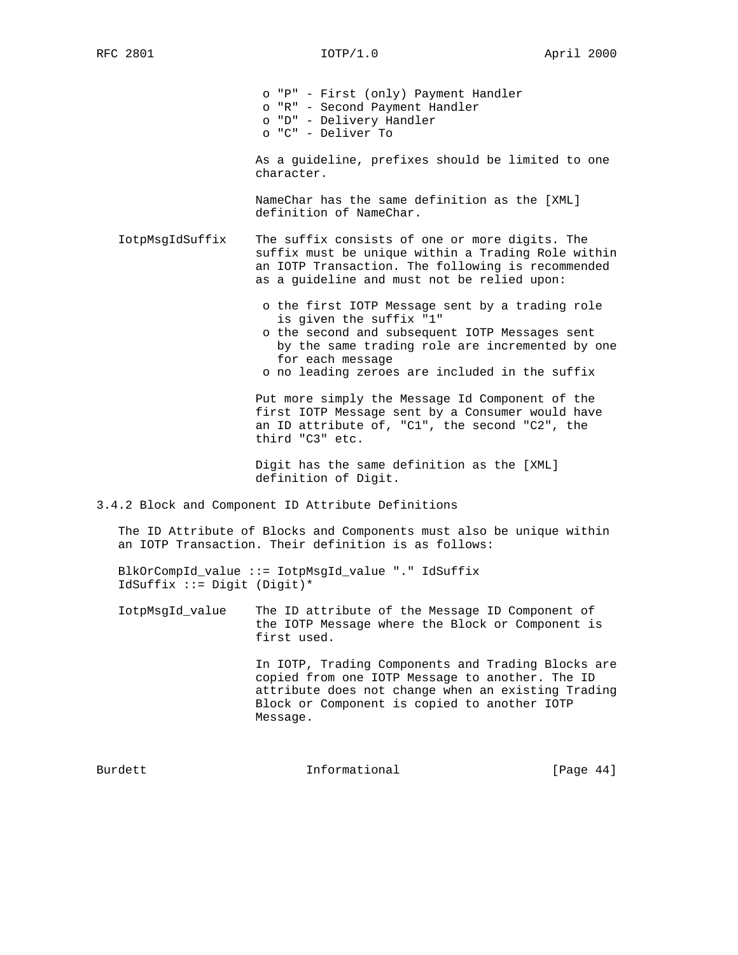o "P" - First (only) Payment Handler o "R" - Second Payment Handler o "D" - Delivery Handler o "C" - Deliver To

 As a guideline, prefixes should be limited to one character.

 NameChar has the same definition as the [XML] definition of NameChar.

 IotpMsgIdSuffix The suffix consists of one or more digits. The suffix must be unique within a Trading Role within an IOTP Transaction. The following is recommended as a guideline and must not be relied upon:

- o the first IOTP Message sent by a trading role is given the suffix "1"
- o the second and subsequent IOTP Messages sent by the same trading role are incremented by one for each message
- o no leading zeroes are included in the suffix

 Put more simply the Message Id Component of the first IOTP Message sent by a Consumer would have an ID attribute of, "C1", the second "C2", the third "C3" etc.

 Digit has the same definition as the [XML] definition of Digit.

3.4.2 Block and Component ID Attribute Definitions

 The ID Attribute of Blocks and Components must also be unique within an IOTP Transaction. Their definition is as follows:

 BlkOrCompId\_value ::= IotpMsgId\_value "." IdSuffix IdSuffix ::= Digit (Digit)\*

 IotpMsgId\_value The ID attribute of the Message ID Component of the IOTP Message where the Block or Component is first used.

> In IOTP, Trading Components and Trading Blocks are copied from one IOTP Message to another. The ID attribute does not change when an existing Trading Block or Component is copied to another IOTP Message.

Burdett **Informational** [Page 44]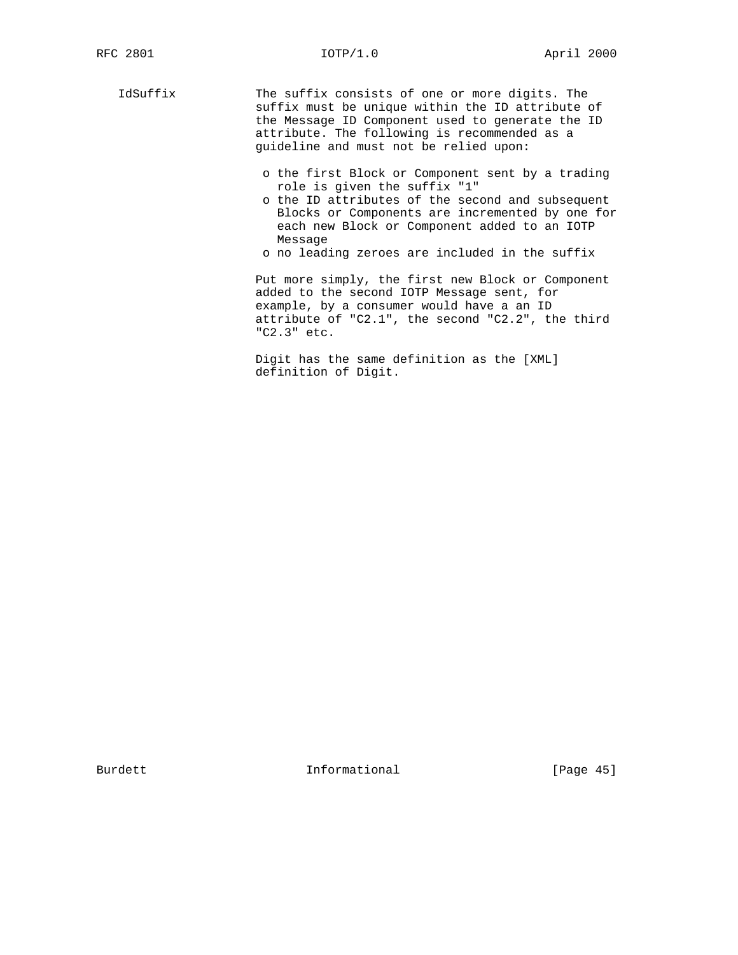IdSuffix The suffix consists of one or more digits. The suffix must be unique within the ID attribute of the Message ID Component used to generate the ID attribute. The following is recommended as a guideline and must not be relied upon:

- o the first Block or Component sent by a trading role is given the suffix "1"
- o the ID attributes of the second and subsequent Blocks or Components are incremented by one for each new Block or Component added to an IOTP Message
- o no leading zeroes are included in the suffix

 Put more simply, the first new Block or Component added to the second IOTP Message sent, for example, by a consumer would have a an ID attribute of "C2.1", the second "C2.2", the third "C2.3" etc.

 Digit has the same definition as the [XML] definition of Digit.

Burdett **Informational** [Page 45]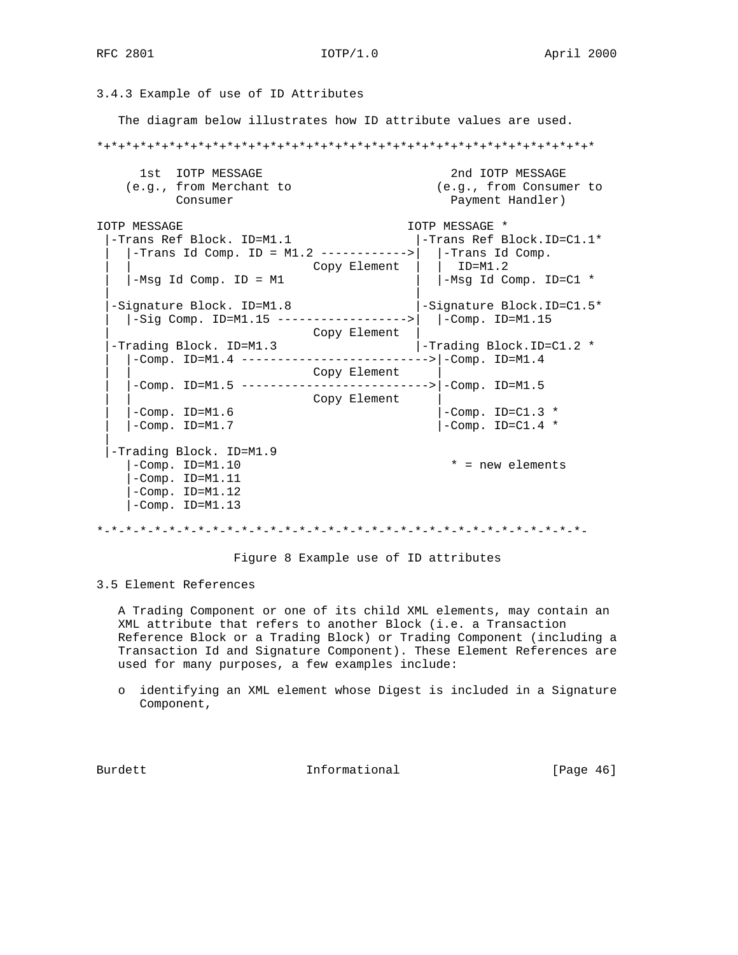3.4.3 Example of use of ID Attributes The diagram below illustrates how ID attribute values are used. \*+\*+\*+\*+\*+\*+\*+\*+\*+\*+\*+\*+\*+\*+\*+\*+\*+\*+\*+\*+\*+\*+\*+\*+\*+\*+\*+\*+\*+\*+\*+\*+\*+\*+\* 1st IOTP MESSAGE 2nd IOTP MESSAGE (e.g., from Merchant to (e.g., from Consumer to Consumer **Payment Handler**) IOTP MESSAGE IOTP MESSAGE \* |-Trans Ref Block. ID=M1.1 |-Trans Ref Block.ID=C1.1\*  $|\text{-Trans Id Comp. ID} = M1.2 \text{ --- } - - - - - - - >|$  |-Trans Id Comp. | | Copy Element | | ID=M1.2 | |-Msg Id Comp. ID = M1 | |-Msg Id Comp. ID=C1 \* | | |-Signature Block. ID=M1.8 |-Signature Block.ID=C1.5\* | |-Sig Comp. ID=M1.15 ------------------>| |-Comp. ID=M1.15 Copy Element |-Trading Block. ID=M1.3 |-Trading Block.ID=C1.2 \* | |-Comp. ID=M1.4 -------------------------->|-Comp. ID=M1.4 Copy Element | |-Comp. ID=M1.5 -------------------------->|-Comp. ID=M1.5 Copy Element  $|-Comp. ID=M1.6|$ <br> $|-Comp. ID=M1.7|$ <br> $|-Comp. ID=Cl.4 *$  $|$ -Comp. ID=C1.4  $*$  $\blacksquare$  |-Trading Block. ID=M1.9 |-Comp. ID=M1.10 \* = new elements |-Comp. ID=M1.11 |-Comp. ID=M1.12 |-Comp. ID=M1.13

\*-\*-\*-\*-\*-\*-\*-\*-\*-\*-\*-\*-\*-\*-\*-\*-\*-\*-\*-\*-\*-\*-\*-\*-\*-\*-\*-\*-\*-\*-\*-\*-\*-\*-

Figure 8 Example use of ID attributes

3.5 Element References

 A Trading Component or one of its child XML elements, may contain an XML attribute that refers to another Block (i.e. a Transaction Reference Block or a Trading Block) or Trading Component (including a Transaction Id and Signature Component). These Element References are used for many purposes, a few examples include:

 o identifying an XML element whose Digest is included in a Signature Component,

Burdett **Informational** [Page 46]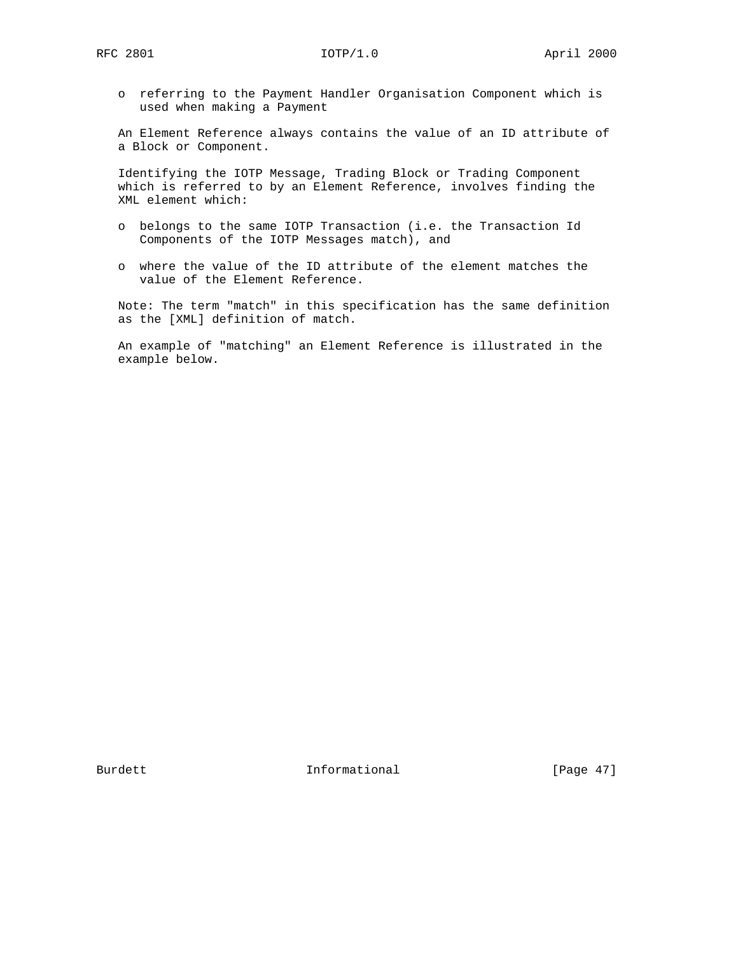o referring to the Payment Handler Organisation Component which is used when making a Payment

 An Element Reference always contains the value of an ID attribute of a Block or Component.

 Identifying the IOTP Message, Trading Block or Trading Component which is referred to by an Element Reference, involves finding the XML element which:

- o belongs to the same IOTP Transaction (i.e. the Transaction Id Components of the IOTP Messages match), and
- o where the value of the ID attribute of the element matches the value of the Element Reference.

 Note: The term "match" in this specification has the same definition as the [XML] definition of match.

 An example of "matching" an Element Reference is illustrated in the example below.

Burdett **Informational** [Page 47]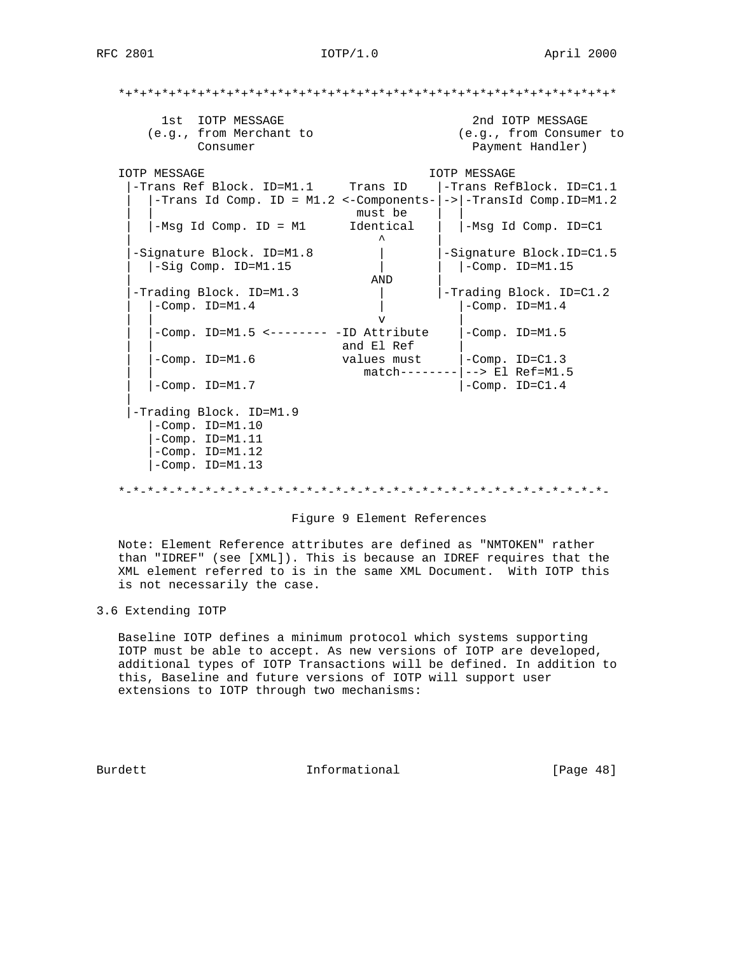\*+\*+\*+\*+\*+\*+\*+\*+\*+\*+\*+\*+\*+\*+\*+\*+\*+\*+\*+\*+\*+\*+\*+\*+\*+\*+\*+\*+\*+\*+\*+\*+\*+\*+\* 1st IOTP MESSAGE 2nd IOTP MESSAGE

(e.g., from Merchant to (e.g., from Consumer to

Consumer **Payment Handler**) IOTP MESSAGE SERVICES AND TOTP MESSAGE |-Trans Ref Block. ID=M1.1 Trans ID |-Trans RefBlock. ID=C1.1 | |-Trans Id Comp. ID = M1.2 <-Components-|->|-TransId Comp.ID=M1.2 | | must be | | | |-Msg Id Comp. ID = M1 Identical | |-Msg Id Comp. ID=C1 | ^ | |-Signature Block. ID=M1.8 | |-Signature Block.ID=C1.5 | |-Sig Comp. ID=M1.15 | | |-Comp. ID=M1.15 | AND | AND | AND | AND | AND | AND | AND | AND | AND | AND | AND | AND | AND | AND | AND | AND | AND | AND | AND | AND | AND | AND | AND | AND | AND | AND | AND | AND | AND | AND | AND | AND | AND | AND | AND | AND | AND |-Trading Block. ID=M1.3 | |-Trading Block. ID=C1.2 | |-Comp. ID=M1.4 | |-Comp. ID=M1.4  $\mathbf v$   $\mathbf v$  | v | |-Comp. ID=M1.5 <-------- -ID Attribute |-Comp. ID=M1.5 | | and El Ref | | |-Comp. ID=M1.6 values must |-Comp. ID=C1.3 | | match--------|--> El Ref=M1.5  $\vert$ -Comp. ID=M1.7  $\vert$ -Comp. ID=C1.4 | |-Trading Block. ID=M1.9 |-Comp. ID=M1.10 |-Comp. ID=M1.11 |-Comp. ID=M1.12 |-Comp. ID=M1.13 \*-\*-\*-\*-\*-\*-\*-\*-\*-\*-\*-\*-\*-\*-\*-\*-\*-\*-\*-\*-\*-\*-\*-\*-\*-\*-\*-\*-\*-\*-\*-\*-\*-\*-

# Figure 9 Element References

 Note: Element Reference attributes are defined as "NMTOKEN" rather than "IDREF" (see [XML]). This is because an IDREF requires that the XML element referred to is in the same XML Document. With IOTP this is not necessarily the case.

### 3.6 Extending IOTP

 Baseline IOTP defines a minimum protocol which systems supporting IOTP must be able to accept. As new versions of IOTP are developed, additional types of IOTP Transactions will be defined. In addition to this, Baseline and future versions of IOTP will support user extensions to IOTP through two mechanisms:

Burdett **Informational** [Page 48]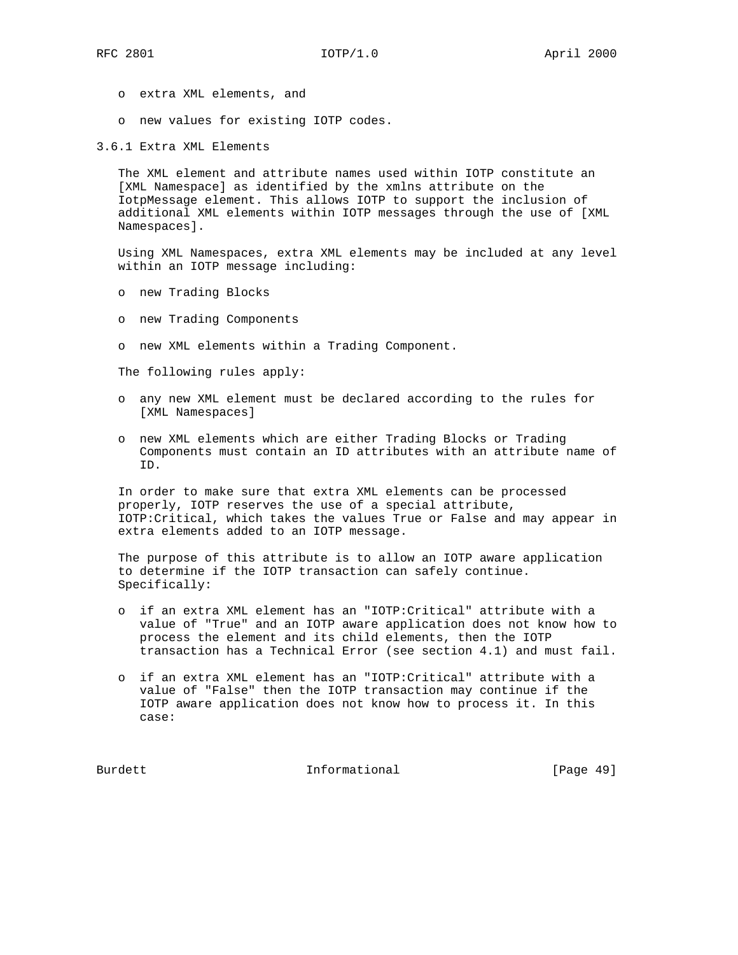- o extra XML elements, and
- o new values for existing IOTP codes.

3.6.1 Extra XML Elements

 The XML element and attribute names used within IOTP constitute an [XML Namespace] as identified by the xmlns attribute on the IotpMessage element. This allows IOTP to support the inclusion of additional XML elements within IOTP messages through the use of [XML Namespaces].

 Using XML Namespaces, extra XML elements may be included at any level within an IOTP message including:

- o new Trading Blocks
- o new Trading Components
- o new XML elements within a Trading Component.

The following rules apply:

- o any new XML element must be declared according to the rules for [XML Namespaces]
- o new XML elements which are either Trading Blocks or Trading Components must contain an ID attributes with an attribute name of ID.

 In order to make sure that extra XML elements can be processed properly, IOTP reserves the use of a special attribute, IOTP:Critical, which takes the values True or False and may appear in extra elements added to an IOTP message.

 The purpose of this attribute is to allow an IOTP aware application to determine if the IOTP transaction can safely continue. Specifically:

- o if an extra XML element has an "IOTP:Critical" attribute with a value of "True" and an IOTP aware application does not know how to process the element and its child elements, then the IOTP transaction has a Technical Error (see section 4.1) and must fail.
- o if an extra XML element has an "IOTP:Critical" attribute with a value of "False" then the IOTP transaction may continue if the IOTP aware application does not know how to process it. In this case:

Burdett **Informational** [Page 49]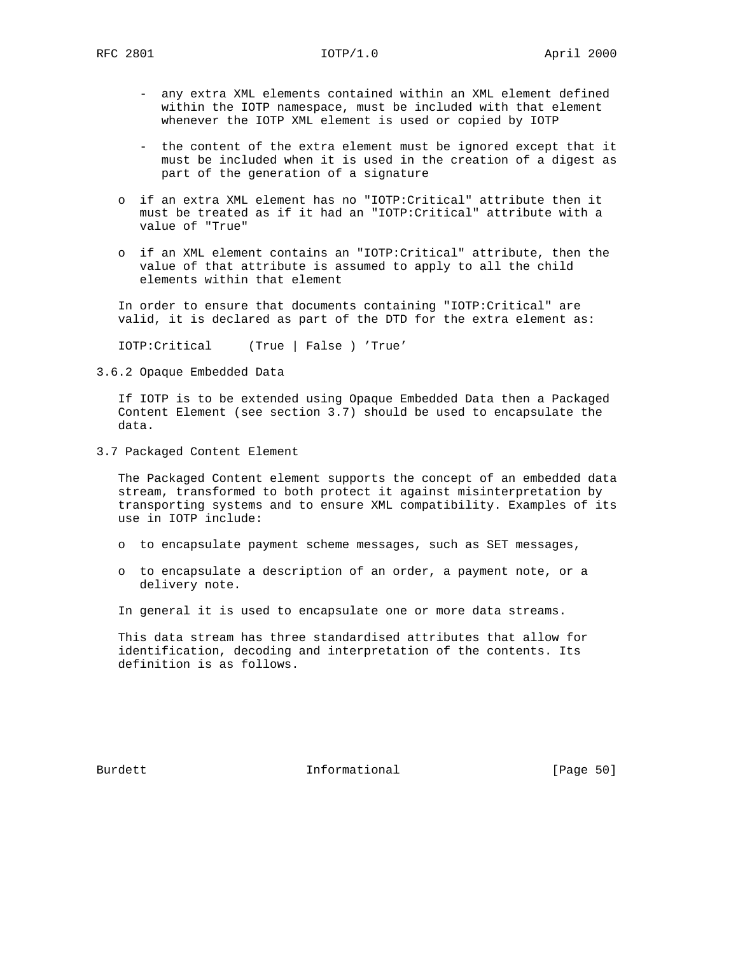- any extra XML elements contained within an XML element defined within the IOTP namespace, must be included with that element whenever the IOTP XML element is used or copied by IOTP
- the content of the extra element must be ignored except that it must be included when it is used in the creation of a digest as part of the generation of a signature
- o if an extra XML element has no "IOTP:Critical" attribute then it must be treated as if it had an "IOTP:Critical" attribute with a value of "True"
- o if an XML element contains an "IOTP:Critical" attribute, then the value of that attribute is assumed to apply to all the child elements within that element

 In order to ensure that documents containing "IOTP:Critical" are valid, it is declared as part of the DTD for the extra element as:

IOTP:Critical (True | False ) 'True'

3.6.2 Opaque Embedded Data

 If IOTP is to be extended using Opaque Embedded Data then a Packaged Content Element (see section 3.7) should be used to encapsulate the data.

3.7 Packaged Content Element

 The Packaged Content element supports the concept of an embedded data stream, transformed to both protect it against misinterpretation by transporting systems and to ensure XML compatibility. Examples of its use in IOTP include:

- o to encapsulate payment scheme messages, such as SET messages,
- o to encapsulate a description of an order, a payment note, or a delivery note.

In general it is used to encapsulate one or more data streams.

 This data stream has three standardised attributes that allow for identification, decoding and interpretation of the contents. Its definition is as follows.

Burdett **Informational** [Page 50]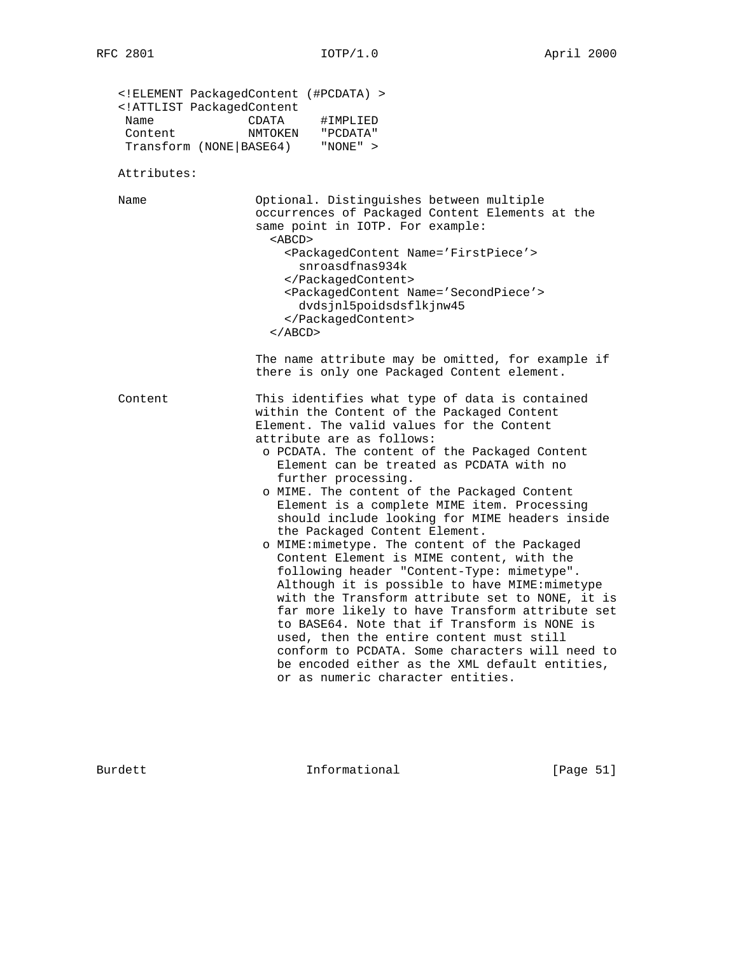<!ELEMENT PackagedContent (#PCDATA) >

| Name<br>Content | ATTLIST PackagedContent<br CDATA<br>NMTOKEN<br>Transform (NONE   BASE64) | #IMPLIED<br>"PCDATA"<br>" $NONE"$ >                                                                                                                                                                                                                                                                                                                                                                                                                                                                                                                                                                                                                                                                                                                                                                                                                                                                                                                                                                                   |
|-----------------|--------------------------------------------------------------------------|-----------------------------------------------------------------------------------------------------------------------------------------------------------------------------------------------------------------------------------------------------------------------------------------------------------------------------------------------------------------------------------------------------------------------------------------------------------------------------------------------------------------------------------------------------------------------------------------------------------------------------------------------------------------------------------------------------------------------------------------------------------------------------------------------------------------------------------------------------------------------------------------------------------------------------------------------------------------------------------------------------------------------|
| Attributes:     |                                                                          |                                                                                                                                                                                                                                                                                                                                                                                                                                                                                                                                                                                                                                                                                                                                                                                                                                                                                                                                                                                                                       |
| Name            | $<$ ABCD $>$<br>$<$ /ABCD>                                               | Optional. Distinguishes between multiple<br>occurrences of Packaged Content Elements at the<br>same point in IOTP. For example:<br><packagedcontent name="FirstPiece"><br/>snroasdfnas934k<br/></packagedcontent><br><packagedcontent name="SecondPiece"><br/>dvdsjnl5poidsdsflkjnw45<br/></packagedcontent>                                                                                                                                                                                                                                                                                                                                                                                                                                                                                                                                                                                                                                                                                                          |
|                 |                                                                          | The name attribute may be omitted, for example if<br>there is only one Packaged Content element.                                                                                                                                                                                                                                                                                                                                                                                                                                                                                                                                                                                                                                                                                                                                                                                                                                                                                                                      |
| Content         |                                                                          | This identifies what type of data is contained<br>within the Content of the Packaged Content<br>Element. The valid values for the Content<br>attribute are as follows:<br>o PCDATA. The content of the Packaged Content<br>Element can be treated as PCDATA with no<br>further processing.<br>o MIME. The content of the Packaged Content<br>Element is a complete MIME item. Processing<br>should include looking for MIME headers inside<br>the Packaged Content Element.<br>o MIME: mimetype. The content of the Packaged<br>Content Element is MIME content, with the<br>following header "Content-Type: mimetype".<br>Although it is possible to have MIME: mimetype<br>with the Transform attribute set to NONE, it is<br>far more likely to have Transform attribute set<br>to BASE64. Note that if Transform is NONE is<br>used, then the entire content must still<br>conform to PCDATA. Some characters will need to<br>be encoded either as the XML default entities,<br>or as numeric character entities. |

Burdett **Informational** [Page 51]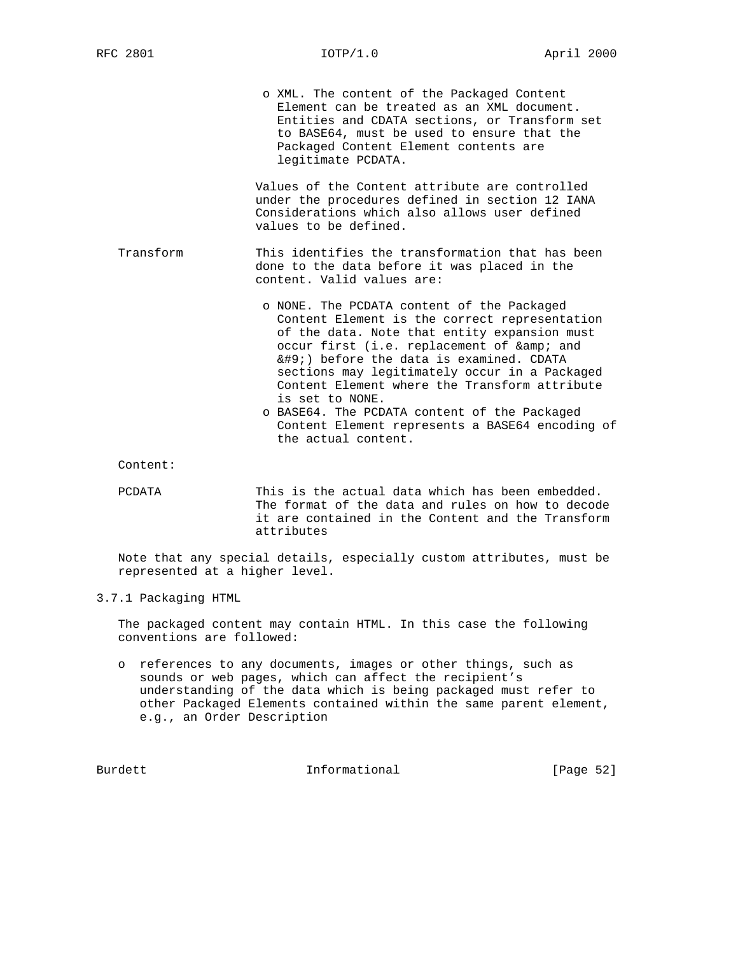o XML. The content of the Packaged Content Element can be treated as an XML document. Entities and CDATA sections, or Transform set to BASE64, must be used to ensure that the Packaged Content Element contents are legitimate PCDATA.

 Values of the Content attribute are controlled under the procedures defined in section 12 IANA Considerations which also allows user defined values to be defined.

- Transform This identifies the transformation that has been done to the data before it was placed in the content. Valid values are:
	- o NONE. The PCDATA content of the Packaged Content Element is the correct representation of the data. Note that entity expansion must occur first (i.e. replacement of & amp; and  $x#9$ ;) before the data is examined. CDATA sections may legitimately occur in a Packaged Content Element where the Transform attribute is set to NONE.
	- o BASE64. The PCDATA content of the Packaged Content Element represents a BASE64 encoding of the actual content.

Content:

 PCDATA This is the actual data which has been embedded. The format of the data and rules on how to decode it are contained in the Content and the Transform attributes

 Note that any special details, especially custom attributes, must be represented at a higher level.

3.7.1 Packaging HTML

 The packaged content may contain HTML. In this case the following conventions are followed:

 o references to any documents, images or other things, such as sounds or web pages, which can affect the recipient's understanding of the data which is being packaged must refer to other Packaged Elements contained within the same parent element, e.g., an Order Description

Burdett **Informational Informational** [Page 52]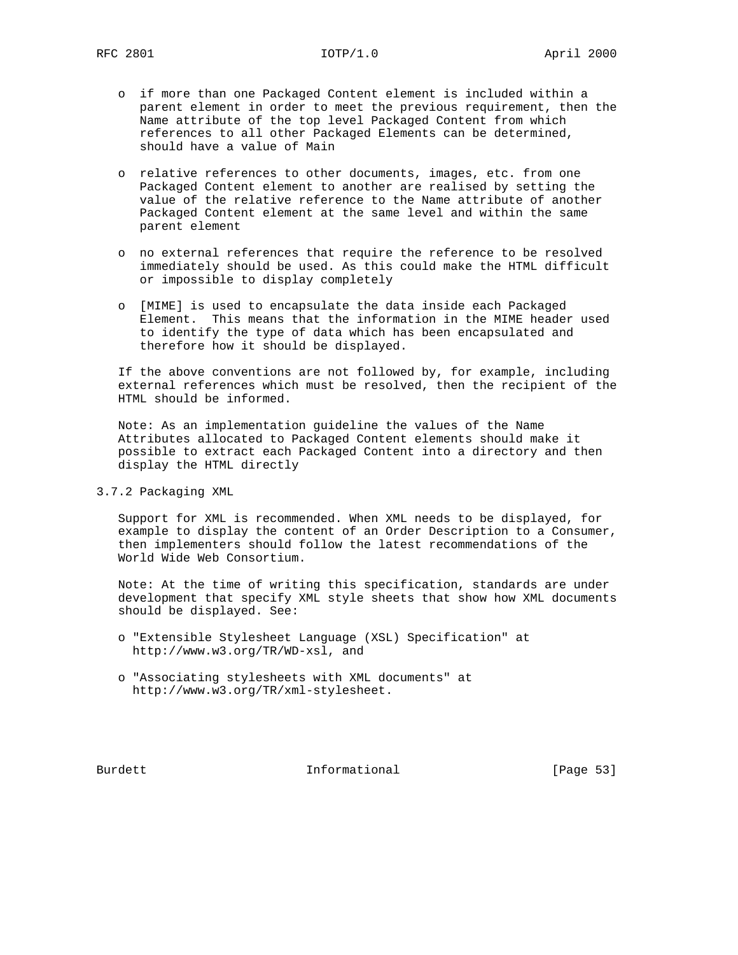- o if more than one Packaged Content element is included within a parent element in order to meet the previous requirement, then the Name attribute of the top level Packaged Content from which references to all other Packaged Elements can be determined, should have a value of Main
- o relative references to other documents, images, etc. from one Packaged Content element to another are realised by setting the value of the relative reference to the Name attribute of another Packaged Content element at the same level and within the same parent element
- o no external references that require the reference to be resolved immediately should be used. As this could make the HTML difficult or impossible to display completely
- o [MIME] is used to encapsulate the data inside each Packaged Element. This means that the information in the MIME header used to identify the type of data which has been encapsulated and therefore how it should be displayed.

 If the above conventions are not followed by, for example, including external references which must be resolved, then the recipient of the HTML should be informed.

 Note: As an implementation guideline the values of the Name Attributes allocated to Packaged Content elements should make it possible to extract each Packaged Content into a directory and then display the HTML directly

3.7.2 Packaging XML

 Support for XML is recommended. When XML needs to be displayed, for example to display the content of an Order Description to a Consumer, then implementers should follow the latest recommendations of the World Wide Web Consortium.

 Note: At the time of writing this specification, standards are under development that specify XML style sheets that show how XML documents should be displayed. See:

- o "Extensible Stylesheet Language (XSL) Specification" at http://www.w3.org/TR/WD-xsl, and
- o "Associating stylesheets with XML documents" at http://www.w3.org/TR/xml-stylesheet.

Burdett **Informational Informational** [Page 53]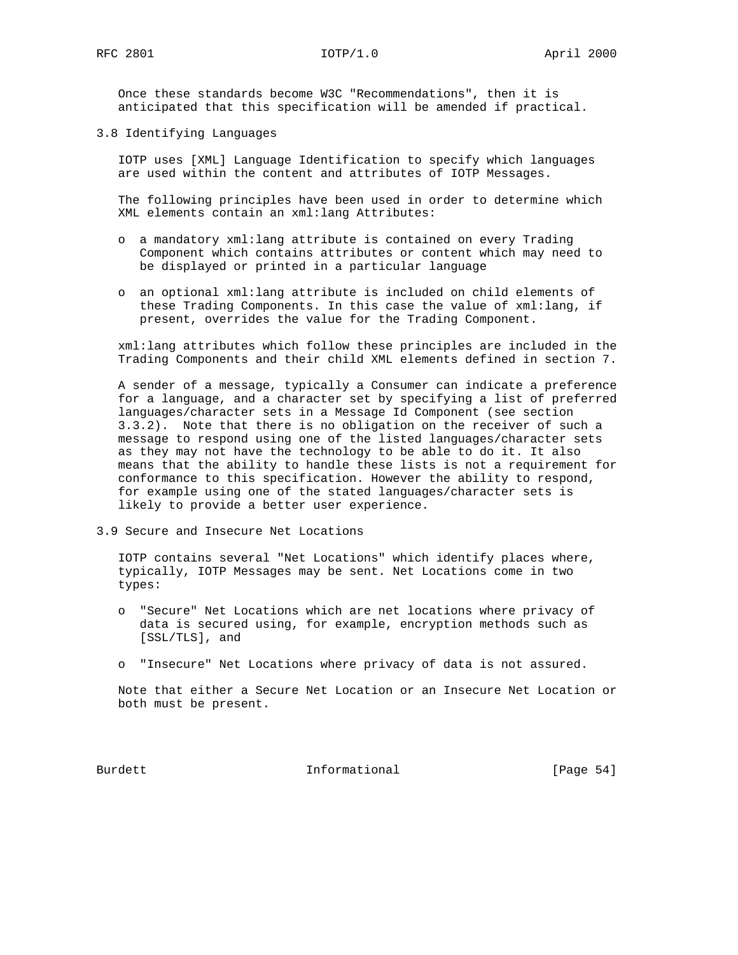Once these standards become W3C "Recommendations", then it is anticipated that this specification will be amended if practical.

3.8 Identifying Languages

 IOTP uses [XML] Language Identification to specify which languages are used within the content and attributes of IOTP Messages.

 The following principles have been used in order to determine which XML elements contain an xml:lang Attributes:

- o a mandatory xml:lang attribute is contained on every Trading Component which contains attributes or content which may need to be displayed or printed in a particular language
- o an optional xml:lang attribute is included on child elements of these Trading Components. In this case the value of xml:lang, if present, overrides the value for the Trading Component.

 xml:lang attributes which follow these principles are included in the Trading Components and their child XML elements defined in section 7.

 A sender of a message, typically a Consumer can indicate a preference for a language, and a character set by specifying a list of preferred languages/character sets in a Message Id Component (see section 3.3.2). Note that there is no obligation on the receiver of such a message to respond using one of the listed languages/character sets as they may not have the technology to be able to do it. It also means that the ability to handle these lists is not a requirement for conformance to this specification. However the ability to respond, for example using one of the stated languages/character sets is likely to provide a better user experience.

3.9 Secure and Insecure Net Locations

 IOTP contains several "Net Locations" which identify places where, typically, IOTP Messages may be sent. Net Locations come in two types:

- o "Secure" Net Locations which are net locations where privacy of data is secured using, for example, encryption methods such as [SSL/TLS], and
- o "Insecure" Net Locations where privacy of data is not assured.

 Note that either a Secure Net Location or an Insecure Net Location or both must be present.

Burdett **Informational** [Page 54]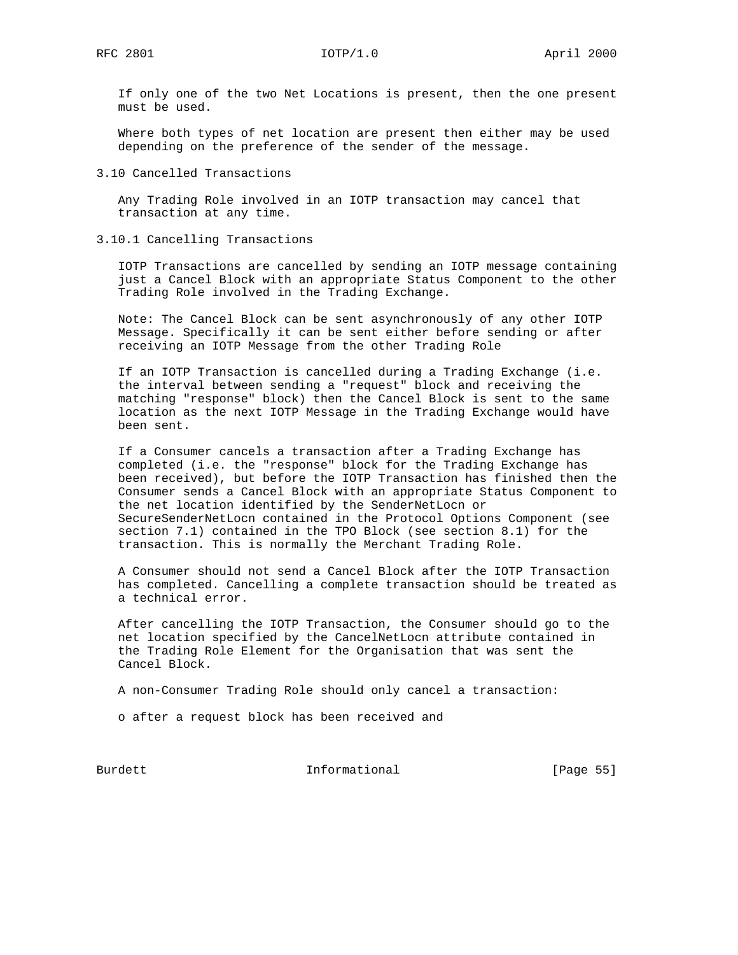If only one of the two Net Locations is present, then the one present must be used.

 Where both types of net location are present then either may be used depending on the preference of the sender of the message.

3.10 Cancelled Transactions

 Any Trading Role involved in an IOTP transaction may cancel that transaction at any time.

3.10.1 Cancelling Transactions

 IOTP Transactions are cancelled by sending an IOTP message containing just a Cancel Block with an appropriate Status Component to the other Trading Role involved in the Trading Exchange.

 Note: The Cancel Block can be sent asynchronously of any other IOTP Message. Specifically it can be sent either before sending or after receiving an IOTP Message from the other Trading Role

 If an IOTP Transaction is cancelled during a Trading Exchange (i.e. the interval between sending a "request" block and receiving the matching "response" block) then the Cancel Block is sent to the same location as the next IOTP Message in the Trading Exchange would have been sent.

 If a Consumer cancels a transaction after a Trading Exchange has completed (i.e. the "response" block for the Trading Exchange has been received), but before the IOTP Transaction has finished then the Consumer sends a Cancel Block with an appropriate Status Component to the net location identified by the SenderNetLocn or SecureSenderNetLocn contained in the Protocol Options Component (see section 7.1) contained in the TPO Block (see section 8.1) for the transaction. This is normally the Merchant Trading Role.

 A Consumer should not send a Cancel Block after the IOTP Transaction has completed. Cancelling a complete transaction should be treated as a technical error.

 After cancelling the IOTP Transaction, the Consumer should go to the net location specified by the CancelNetLocn attribute contained in the Trading Role Element for the Organisation that was sent the Cancel Block.

A non-Consumer Trading Role should only cancel a transaction:

o after a request block has been received and

Burdett **Informational** [Page 55]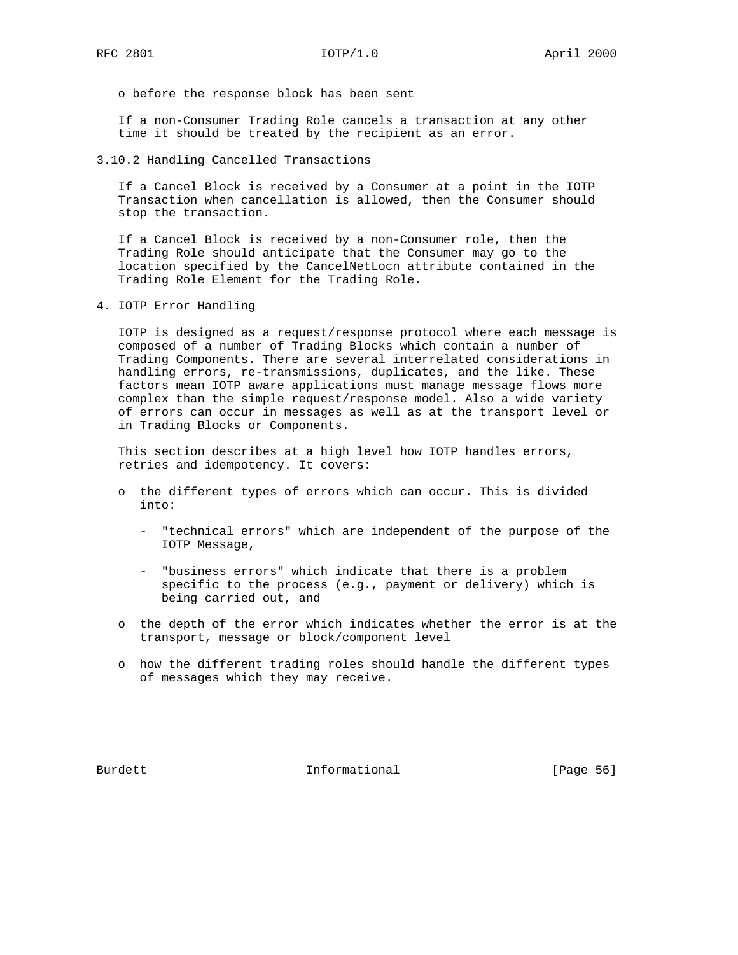o before the response block has been sent

 If a non-Consumer Trading Role cancels a transaction at any other time it should be treated by the recipient as an error.

3.10.2 Handling Cancelled Transactions

 If a Cancel Block is received by a Consumer at a point in the IOTP Transaction when cancellation is allowed, then the Consumer should stop the transaction.

 If a Cancel Block is received by a non-Consumer role, then the Trading Role should anticipate that the Consumer may go to the location specified by the CancelNetLocn attribute contained in the Trading Role Element for the Trading Role.

4. IOTP Error Handling

 IOTP is designed as a request/response protocol where each message is composed of a number of Trading Blocks which contain a number of Trading Components. There are several interrelated considerations in handling errors, re-transmissions, duplicates, and the like. These factors mean IOTP aware applications must manage message flows more complex than the simple request/response model. Also a wide variety of errors can occur in messages as well as at the transport level or in Trading Blocks or Components.

 This section describes at a high level how IOTP handles errors, retries and idempotency. It covers:

- o the different types of errors which can occur. This is divided into:
	- "technical errors" which are independent of the purpose of the IOTP Message,
	- "business errors" which indicate that there is a problem specific to the process (e.g., payment or delivery) which is being carried out, and
- o the depth of the error which indicates whether the error is at the transport, message or block/component level
- o how the different trading roles should handle the different types of messages which they may receive.

Burdett **Informational** [Page 56]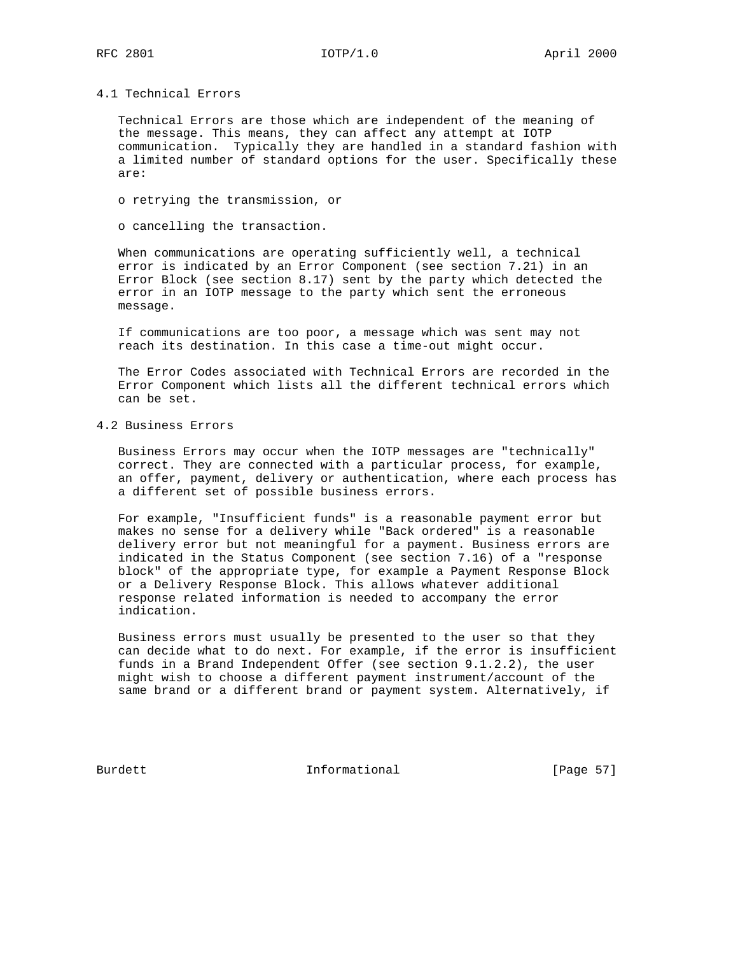# 4.1 Technical Errors

 Technical Errors are those which are independent of the meaning of the message. This means, they can affect any attempt at IOTP communication. Typically they are handled in a standard fashion with a limited number of standard options for the user. Specifically these are:

o retrying the transmission, or

o cancelling the transaction.

 When communications are operating sufficiently well, a technical error is indicated by an Error Component (see section 7.21) in an Error Block (see section 8.17) sent by the party which detected the error in an IOTP message to the party which sent the erroneous message.

 If communications are too poor, a message which was sent may not reach its destination. In this case a time-out might occur.

 The Error Codes associated with Technical Errors are recorded in the Error Component which lists all the different technical errors which can be set.

4.2 Business Errors

 Business Errors may occur when the IOTP messages are "technically" correct. They are connected with a particular process, for example, an offer, payment, delivery or authentication, where each process has a different set of possible business errors.

 For example, "Insufficient funds" is a reasonable payment error but makes no sense for a delivery while "Back ordered" is a reasonable delivery error but not meaningful for a payment. Business errors are indicated in the Status Component (see section 7.16) of a "response block" of the appropriate type, for example a Payment Response Block or a Delivery Response Block. This allows whatever additional response related information is needed to accompany the error indication.

 Business errors must usually be presented to the user so that they can decide what to do next. For example, if the error is insufficient funds in a Brand Independent Offer (see section 9.1.2.2), the user might wish to choose a different payment instrument/account of the same brand or a different brand or payment system. Alternatively, if

Burdett **Informational** [Page 57]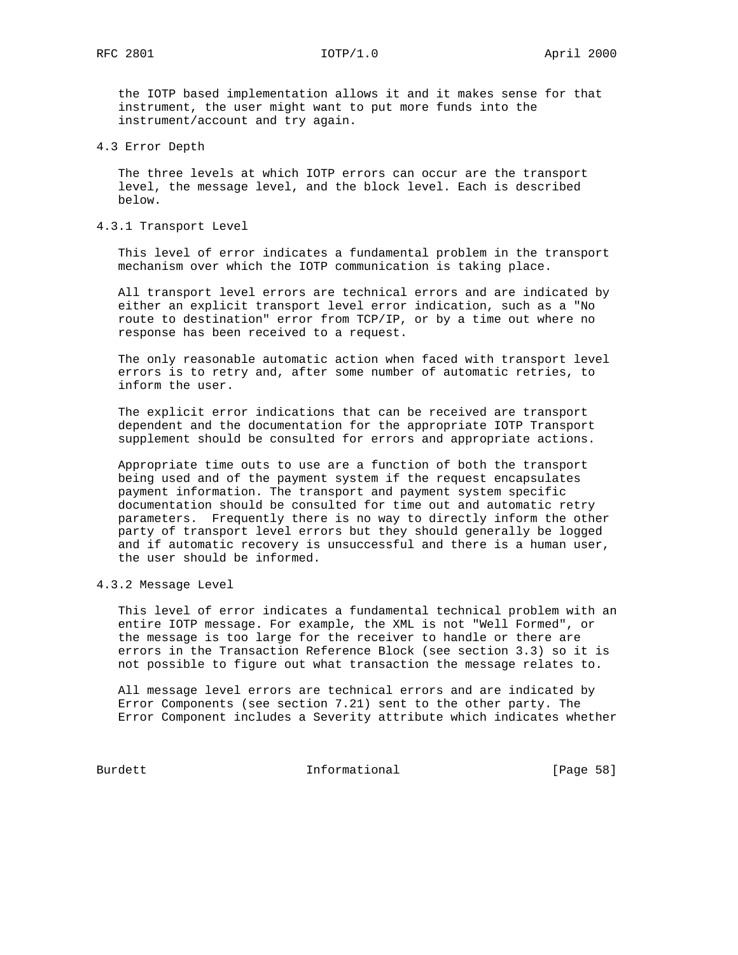the IOTP based implementation allows it and it makes sense for that instrument, the user might want to put more funds into the instrument/account and try again.

4.3 Error Depth

 The three levels at which IOTP errors can occur are the transport level, the message level, and the block level. Each is described below.

4.3.1 Transport Level

 This level of error indicates a fundamental problem in the transport mechanism over which the IOTP communication is taking place.

 All transport level errors are technical errors and are indicated by either an explicit transport level error indication, such as a "No route to destination" error from TCP/IP, or by a time out where no response has been received to a request.

 The only reasonable automatic action when faced with transport level errors is to retry and, after some number of automatic retries, to inform the user.

 The explicit error indications that can be received are transport dependent and the documentation for the appropriate IOTP Transport supplement should be consulted for errors and appropriate actions.

 Appropriate time outs to use are a function of both the transport being used and of the payment system if the request encapsulates payment information. The transport and payment system specific documentation should be consulted for time out and automatic retry parameters. Frequently there is no way to directly inform the other party of transport level errors but they should generally be logged and if automatic recovery is unsuccessful and there is a human user, the user should be informed.

4.3.2 Message Level

 This level of error indicates a fundamental technical problem with an entire IOTP message. For example, the XML is not "Well Formed", or the message is too large for the receiver to handle or there are errors in the Transaction Reference Block (see section 3.3) so it is not possible to figure out what transaction the message relates to.

 All message level errors are technical errors and are indicated by Error Components (see section 7.21) sent to the other party. The Error Component includes a Severity attribute which indicates whether

Burdett **Informational** [Page 58]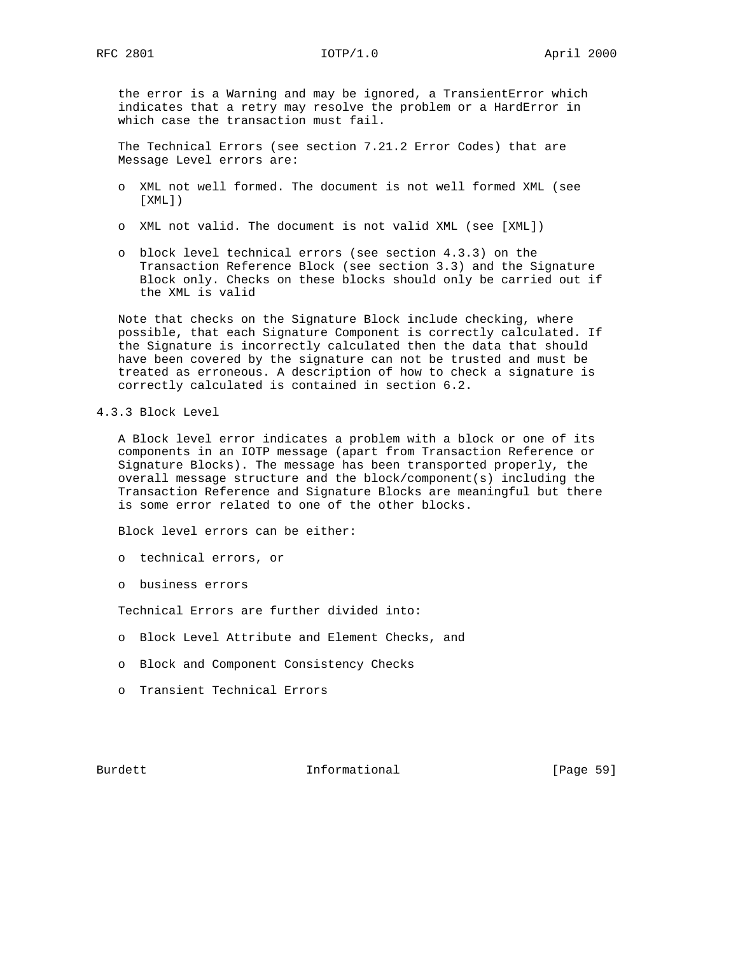the error is a Warning and may be ignored, a TransientError which indicates that a retry may resolve the problem or a HardError in which case the transaction must fail.

 The Technical Errors (see section 7.21.2 Error Codes) that are Message Level errors are:

- o XML not well formed. The document is not well formed XML (see [XML])
- o XML not valid. The document is not valid XML (see [XML])
- o block level technical errors (see section 4.3.3) on the Transaction Reference Block (see section 3.3) and the Signature Block only. Checks on these blocks should only be carried out if the XML is valid

 Note that checks on the Signature Block include checking, where possible, that each Signature Component is correctly calculated. If the Signature is incorrectly calculated then the data that should have been covered by the signature can not be trusted and must be treated as erroneous. A description of how to check a signature is correctly calculated is contained in section 6.2.

4.3.3 Block Level

 A Block level error indicates a problem with a block or one of its components in an IOTP message (apart from Transaction Reference or Signature Blocks). The message has been transported properly, the overall message structure and the block/component(s) including the Transaction Reference and Signature Blocks are meaningful but there is some error related to one of the other blocks.

Block level errors can be either:

- o technical errors, or
- o business errors

Technical Errors are further divided into:

- o Block Level Attribute and Element Checks, and
- o Block and Component Consistency Checks
- o Transient Technical Errors

Burdett **Informational** [Page 59]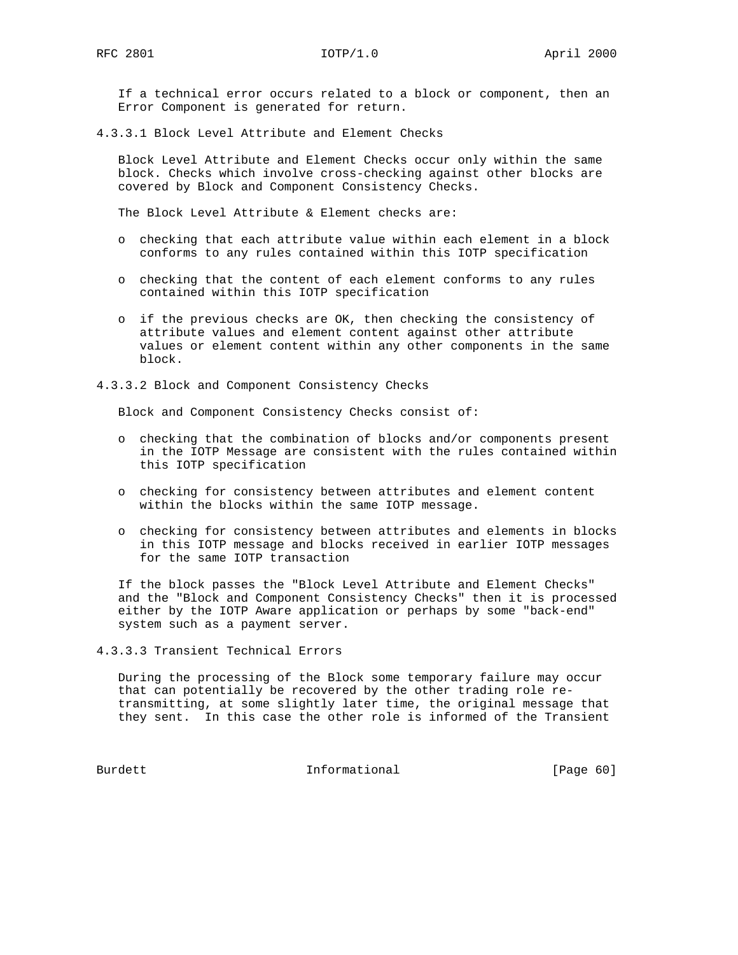If a technical error occurs related to a block or component, then an Error Component is generated for return.

4.3.3.1 Block Level Attribute and Element Checks

 Block Level Attribute and Element Checks occur only within the same block. Checks which involve cross-checking against other blocks are covered by Block and Component Consistency Checks.

The Block Level Attribute & Element checks are:

- o checking that each attribute value within each element in a block conforms to any rules contained within this IOTP specification
- o checking that the content of each element conforms to any rules contained within this IOTP specification
- o if the previous checks are OK, then checking the consistency of attribute values and element content against other attribute values or element content within any other components in the same block.

4.3.3.2 Block and Component Consistency Checks

Block and Component Consistency Checks consist of:

- o checking that the combination of blocks and/or components present in the IOTP Message are consistent with the rules contained within this IOTP specification
- o checking for consistency between attributes and element content within the blocks within the same IOTP message.
- o checking for consistency between attributes and elements in blocks in this IOTP message and blocks received in earlier IOTP messages for the same IOTP transaction

 If the block passes the "Block Level Attribute and Element Checks" and the "Block and Component Consistency Checks" then it is processed either by the IOTP Aware application or perhaps by some "back-end" system such as a payment server.

4.3.3.3 Transient Technical Errors

 During the processing of the Block some temporary failure may occur that can potentially be recovered by the other trading role re transmitting, at some slightly later time, the original message that they sent. In this case the other role is informed of the Transient

Burdett Informational [Page 60]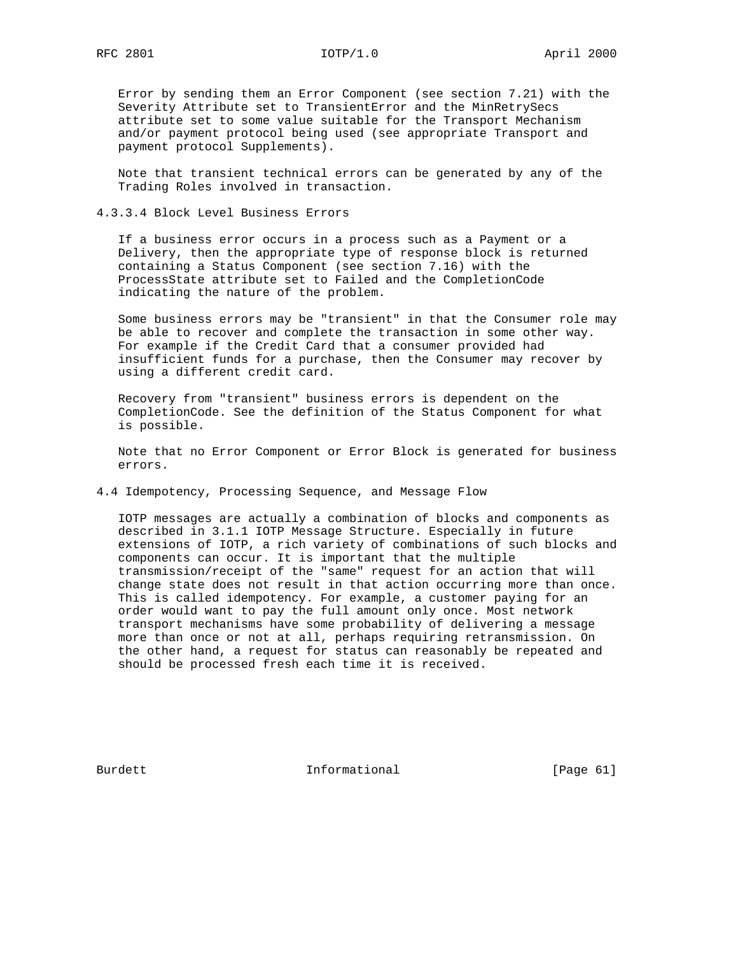Error by sending them an Error Component (see section 7.21) with the Severity Attribute set to TransientError and the MinRetrySecs attribute set to some value suitable for the Transport Mechanism and/or payment protocol being used (see appropriate Transport and payment protocol Supplements).

 Note that transient technical errors can be generated by any of the Trading Roles involved in transaction.

### 4.3.3.4 Block Level Business Errors

 If a business error occurs in a process such as a Payment or a Delivery, then the appropriate type of response block is returned containing a Status Component (see section 7.16) with the ProcessState attribute set to Failed and the CompletionCode indicating the nature of the problem.

 Some business errors may be "transient" in that the Consumer role may be able to recover and complete the transaction in some other way. For example if the Credit Card that a consumer provided had insufficient funds for a purchase, then the Consumer may recover by using a different credit card.

 Recovery from "transient" business errors is dependent on the CompletionCode. See the definition of the Status Component for what is possible.

 Note that no Error Component or Error Block is generated for business errors.

### 4.4 Idempotency, Processing Sequence, and Message Flow

 IOTP messages are actually a combination of blocks and components as described in 3.1.1 IOTP Message Structure. Especially in future extensions of IOTP, a rich variety of combinations of such blocks and components can occur. It is important that the multiple transmission/receipt of the "same" request for an action that will change state does not result in that action occurring more than once. This is called idempotency. For example, a customer paying for an order would want to pay the full amount only once. Most network transport mechanisms have some probability of delivering a message more than once or not at all, perhaps requiring retransmission. On the other hand, a request for status can reasonably be repeated and should be processed fresh each time it is received.

Burdett **Informational** [Page 61]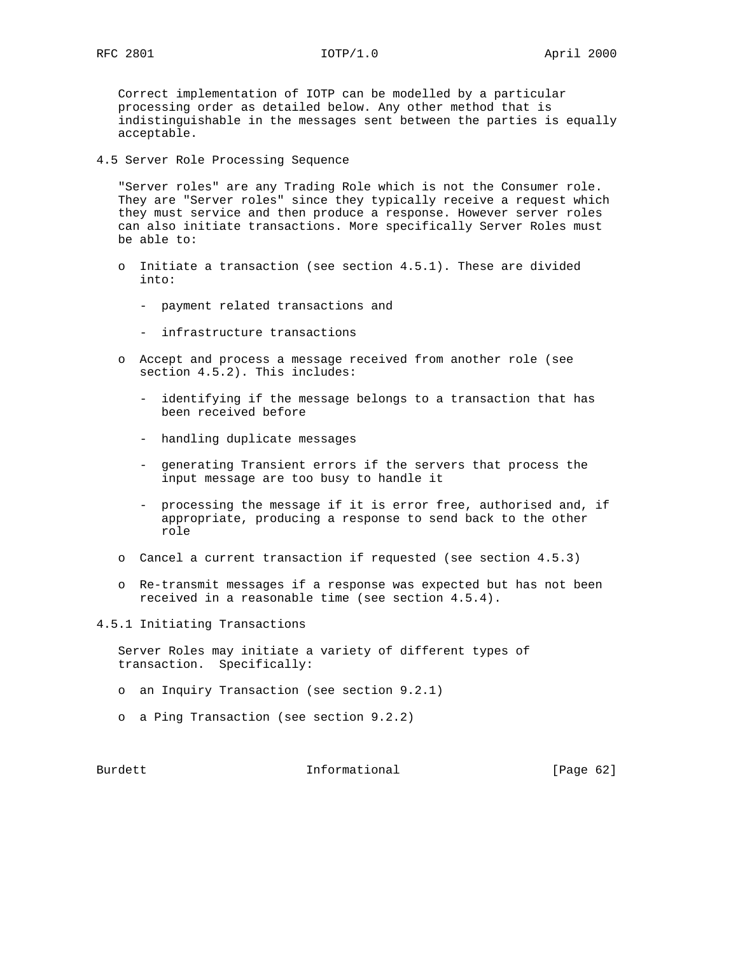Correct implementation of IOTP can be modelled by a particular processing order as detailed below. Any other method that is indistinguishable in the messages sent between the parties is equally acceptable.

4.5 Server Role Processing Sequence

 "Server roles" are any Trading Role which is not the Consumer role. They are "Server roles" since they typically receive a request which they must service and then produce a response. However server roles can also initiate transactions. More specifically Server Roles must be able to:

- o Initiate a transaction (see section 4.5.1). These are divided into:
	- payment related transactions and
	- infrastructure transactions
- o Accept and process a message received from another role (see section 4.5.2). This includes:
	- identifying if the message belongs to a transaction that has been received before
	- handling duplicate messages
	- generating Transient errors if the servers that process the input message are too busy to handle it
	- processing the message if it is error free, authorised and, if appropriate, producing a response to send back to the other role
- o Cancel a current transaction if requested (see section 4.5.3)
- o Re-transmit messages if a response was expected but has not been received in a reasonable time (see section 4.5.4).

4.5.1 Initiating Transactions

 Server Roles may initiate a variety of different types of transaction. Specifically:

- o an Inquiry Transaction (see section 9.2.1)
- o a Ping Transaction (see section 9.2.2)

Burdett **Informational** [Page 62]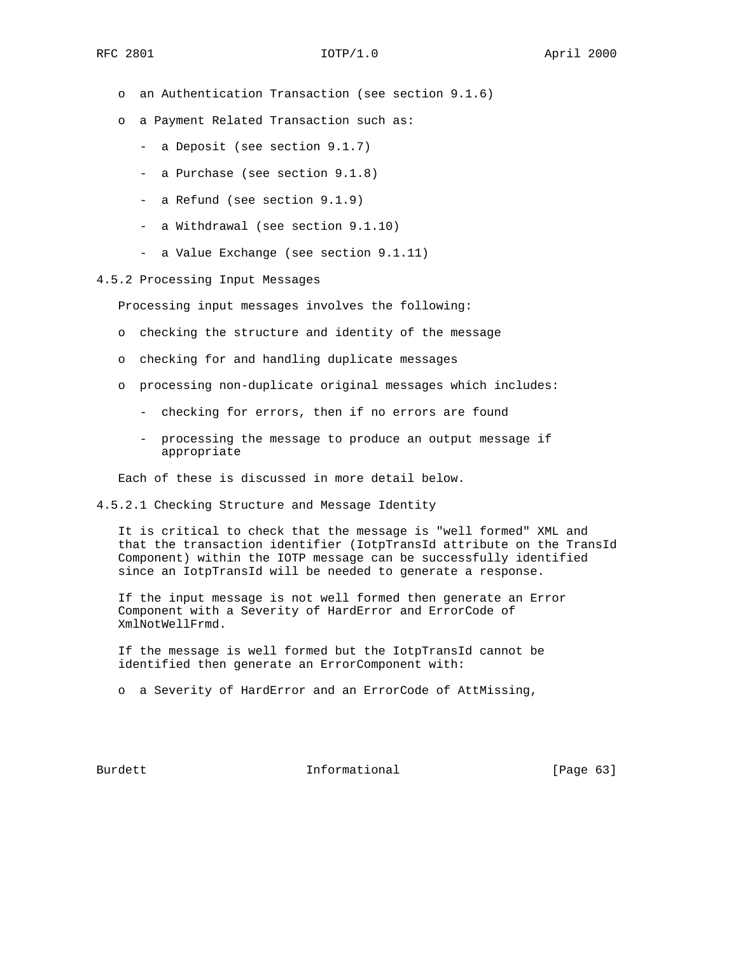- o an Authentication Transaction (see section 9.1.6)
- o a Payment Related Transaction such as:
	- a Deposit (see section 9.1.7)
	- a Purchase (see section 9.1.8)
	- a Refund (see section 9.1.9)
	- a Withdrawal (see section 9.1.10)
	- a Value Exchange (see section 9.1.11)

4.5.2 Processing Input Messages

Processing input messages involves the following:

- o checking the structure and identity of the message
- o checking for and handling duplicate messages
- o processing non-duplicate original messages which includes:
	- checking for errors, then if no errors are found
	- processing the message to produce an output message if appropriate

Each of these is discussed in more detail below.

4.5.2.1 Checking Structure and Message Identity

 It is critical to check that the message is "well formed" XML and that the transaction identifier (IotpTransId attribute on the TransId Component) within the IOTP message can be successfully identified since an IotpTransId will be needed to generate a response.

 If the input message is not well formed then generate an Error Component with a Severity of HardError and ErrorCode of XmlNotWellFrmd.

 If the message is well formed but the IotpTransId cannot be identified then generate an ErrorComponent with:

o a Severity of HardError and an ErrorCode of AttMissing,

Burdett **Informational** [Page 63]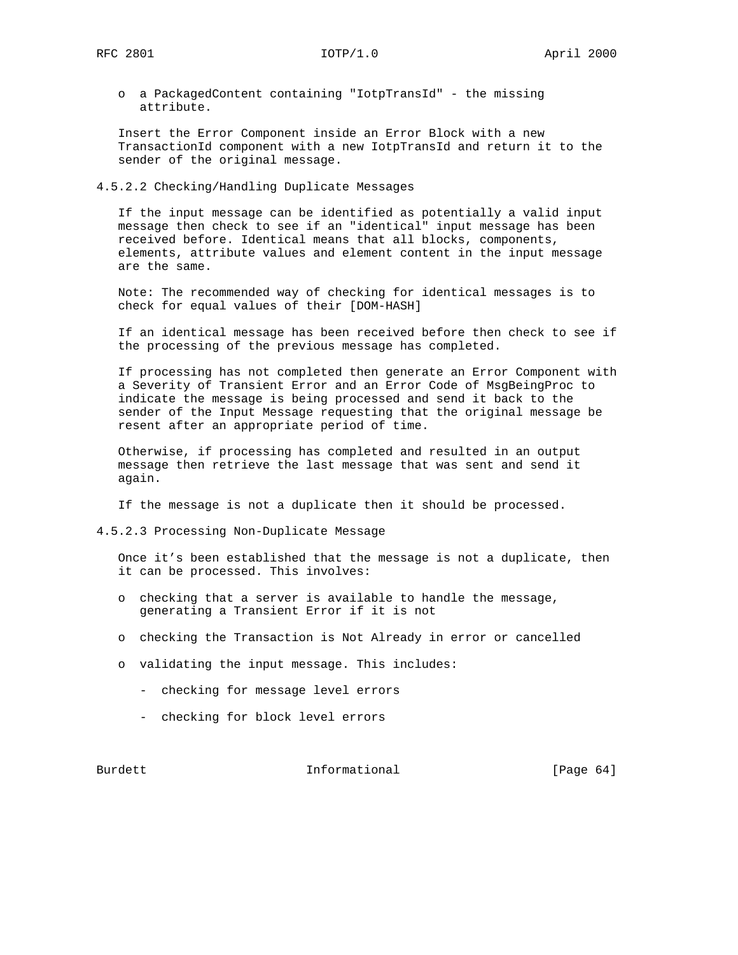o a PackagedContent containing "IotpTransId" - the missing attribute.

 Insert the Error Component inside an Error Block with a new TransactionId component with a new IotpTransId and return it to the sender of the original message.

4.5.2.2 Checking/Handling Duplicate Messages

 If the input message can be identified as potentially a valid input message then check to see if an "identical" input message has been received before. Identical means that all blocks, components, elements, attribute values and element content in the input message are the same.

 Note: The recommended way of checking for identical messages is to check for equal values of their [DOM-HASH]

 If an identical message has been received before then check to see if the processing of the previous message has completed.

 If processing has not completed then generate an Error Component with a Severity of Transient Error and an Error Code of MsgBeingProc to indicate the message is being processed and send it back to the sender of the Input Message requesting that the original message be resent after an appropriate period of time.

 Otherwise, if processing has completed and resulted in an output message then retrieve the last message that was sent and send it again.

If the message is not a duplicate then it should be processed.

4.5.2.3 Processing Non-Duplicate Message

 Once it's been established that the message is not a duplicate, then it can be processed. This involves:

- o checking that a server is available to handle the message, generating a Transient Error if it is not
- o checking the Transaction is Not Already in error or cancelled
- o validating the input message. This includes:
	- checking for message level errors
	- checking for block level errors

Burdett **Informational** [Page 64]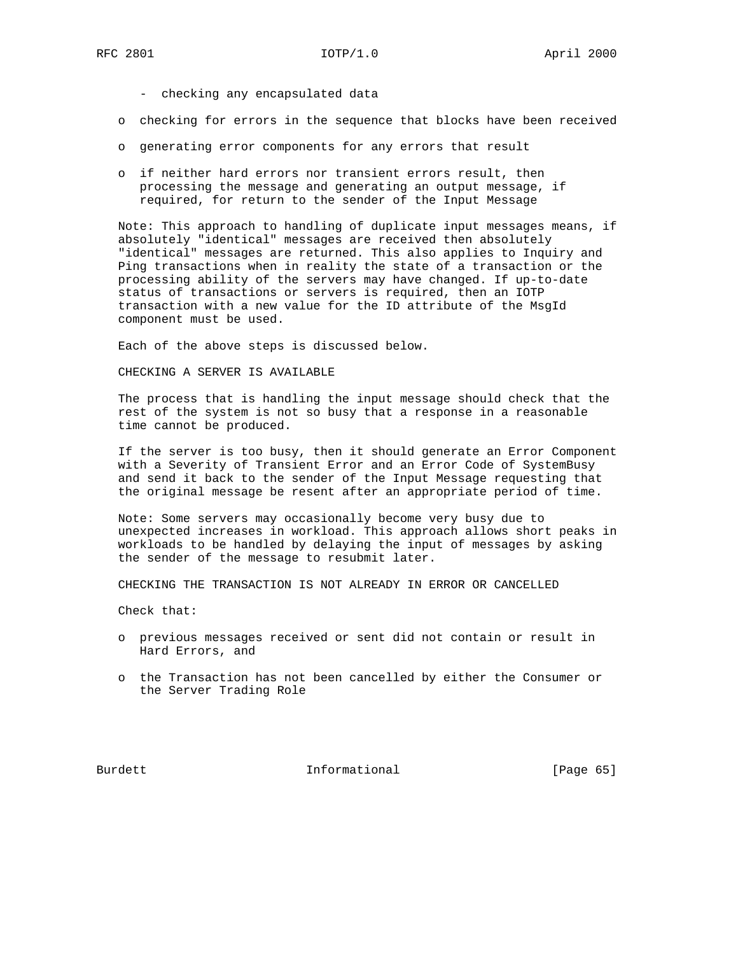- checking any encapsulated data
- o checking for errors in the sequence that blocks have been received
- o generating error components for any errors that result
- o if neither hard errors nor transient errors result, then processing the message and generating an output message, if required, for return to the sender of the Input Message

 Note: This approach to handling of duplicate input messages means, if absolutely "identical" messages are received then absolutely "identical" messages are returned. This also applies to Inquiry and Ping transactions when in reality the state of a transaction or the processing ability of the servers may have changed. If up-to-date status of transactions or servers is required, then an IOTP transaction with a new value for the ID attribute of the MsgId component must be used.

Each of the above steps is discussed below.

CHECKING A SERVER IS AVAILABLE

 The process that is handling the input message should check that the rest of the system is not so busy that a response in a reasonable time cannot be produced.

 If the server is too busy, then it should generate an Error Component with a Severity of Transient Error and an Error Code of SystemBusy and send it back to the sender of the Input Message requesting that the original message be resent after an appropriate period of time.

 Note: Some servers may occasionally become very busy due to unexpected increases in workload. This approach allows short peaks in workloads to be handled by delaying the input of messages by asking the sender of the message to resubmit later.

CHECKING THE TRANSACTION IS NOT ALREADY IN ERROR OR CANCELLED

Check that:

- o previous messages received or sent did not contain or result in Hard Errors, and
- o the Transaction has not been cancelled by either the Consumer or the Server Trading Role

Burdett **Informational Informational** [Page 65]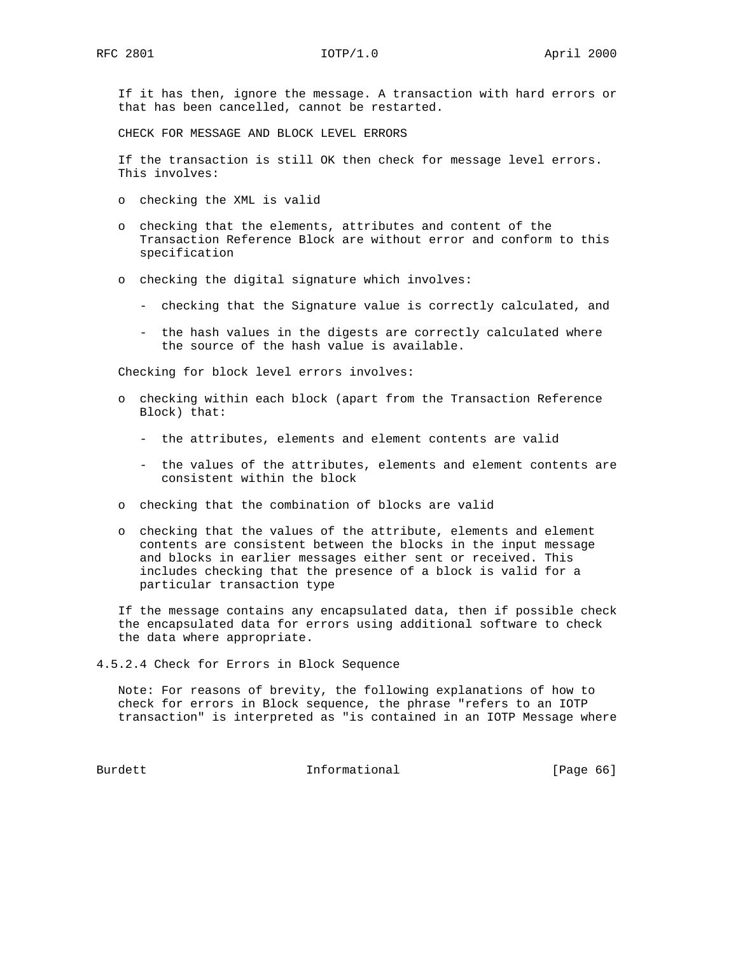If it has then, ignore the message. A transaction with hard errors or that has been cancelled, cannot be restarted.

CHECK FOR MESSAGE AND BLOCK LEVEL ERRORS

 If the transaction is still OK then check for message level errors. This involves:

- o checking the XML is valid
- o checking that the elements, attributes and content of the Transaction Reference Block are without error and conform to this specification
- o checking the digital signature which involves:
	- checking that the Signature value is correctly calculated, and
	- the hash values in the digests are correctly calculated where the source of the hash value is available.

Checking for block level errors involves:

- o checking within each block (apart from the Transaction Reference Block) that:
	- the attributes, elements and element contents are valid
	- the values of the attributes, elements and element contents are consistent within the block
- o checking that the combination of blocks are valid
- o checking that the values of the attribute, elements and element contents are consistent between the blocks in the input message and blocks in earlier messages either sent or received. This includes checking that the presence of a block is valid for a particular transaction type

 If the message contains any encapsulated data, then if possible check the encapsulated data for errors using additional software to check the data where appropriate.

4.5.2.4 Check for Errors in Block Sequence

 Note: For reasons of brevity, the following explanations of how to check for errors in Block sequence, the phrase "refers to an IOTP transaction" is interpreted as "is contained in an IOTP Message where

Burdett **Informational** [Page 66]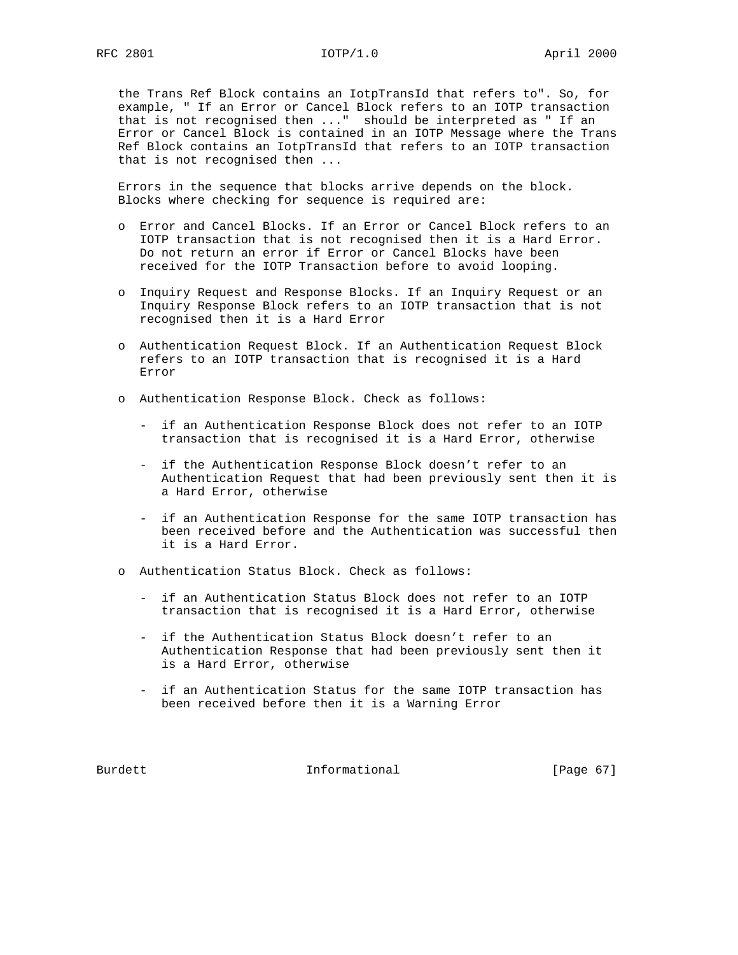the Trans Ref Block contains an IotpTransId that refers to". So, for example, " If an Error or Cancel Block refers to an IOTP transaction that is not recognised then ..." should be interpreted as " If an Error or Cancel Block is contained in an IOTP Message where the Trans Ref Block contains an IotpTransId that refers to an IOTP transaction that is not recognised then ...

 Errors in the sequence that blocks arrive depends on the block. Blocks where checking for sequence is required are:

- o Error and Cancel Blocks. If an Error or Cancel Block refers to an IOTP transaction that is not recognised then it is a Hard Error. Do not return an error if Error or Cancel Blocks have been received for the IOTP Transaction before to avoid looping.
- o Inquiry Request and Response Blocks. If an Inquiry Request or an Inquiry Response Block refers to an IOTP transaction that is not recognised then it is a Hard Error
- o Authentication Request Block. If an Authentication Request Block refers to an IOTP transaction that is recognised it is a Hard Error
- o Authentication Response Block. Check as follows:
	- if an Authentication Response Block does not refer to an IOTP transaction that is recognised it is a Hard Error, otherwise
	- if the Authentication Response Block doesn't refer to an Authentication Request that had been previously sent then it is a Hard Error, otherwise
	- if an Authentication Response for the same IOTP transaction has been received before and the Authentication was successful then it is a Hard Error.
- o Authentication Status Block. Check as follows:
	- if an Authentication Status Block does not refer to an IOTP transaction that is recognised it is a Hard Error, otherwise
	- if the Authentication Status Block doesn't refer to an Authentication Response that had been previously sent then it is a Hard Error, otherwise
	- if an Authentication Status for the same IOTP transaction has been received before then it is a Warning Error

Burdett **Informational** [Page 67]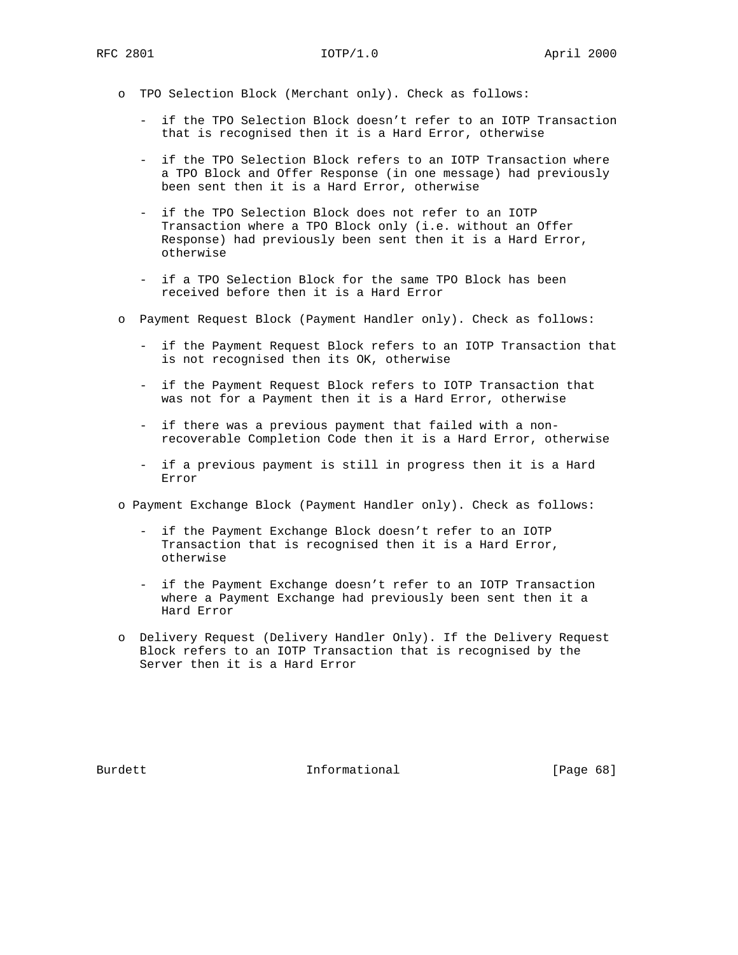- o TPO Selection Block (Merchant only). Check as follows:
	- if the TPO Selection Block doesn't refer to an IOTP Transaction that is recognised then it is a Hard Error, otherwise
	- if the TPO Selection Block refers to an IOTP Transaction where a TPO Block and Offer Response (in one message) had previously been sent then it is a Hard Error, otherwise
	- if the TPO Selection Block does not refer to an IOTP Transaction where a TPO Block only (i.e. without an Offer Response) had previously been sent then it is a Hard Error, otherwise
	- if a TPO Selection Block for the same TPO Block has been received before then it is a Hard Error
- o Payment Request Block (Payment Handler only). Check as follows:
	- if the Payment Request Block refers to an IOTP Transaction that is not recognised then its OK, otherwise
	- if the Payment Request Block refers to IOTP Transaction that was not for a Payment then it is a Hard Error, otherwise
	- if there was a previous payment that failed with a non recoverable Completion Code then it is a Hard Error, otherwise
	- if a previous payment is still in progress then it is a Hard Error
- o Payment Exchange Block (Payment Handler only). Check as follows:
	- if the Payment Exchange Block doesn't refer to an IOTP Transaction that is recognised then it is a Hard Error, otherwise
	- if the Payment Exchange doesn't refer to an IOTP Transaction where a Payment Exchange had previously been sent then it a Hard Error
- o Delivery Request (Delivery Handler Only). If the Delivery Request Block refers to an IOTP Transaction that is recognised by the Server then it is a Hard Error

Burdett **Informational** [Page 68]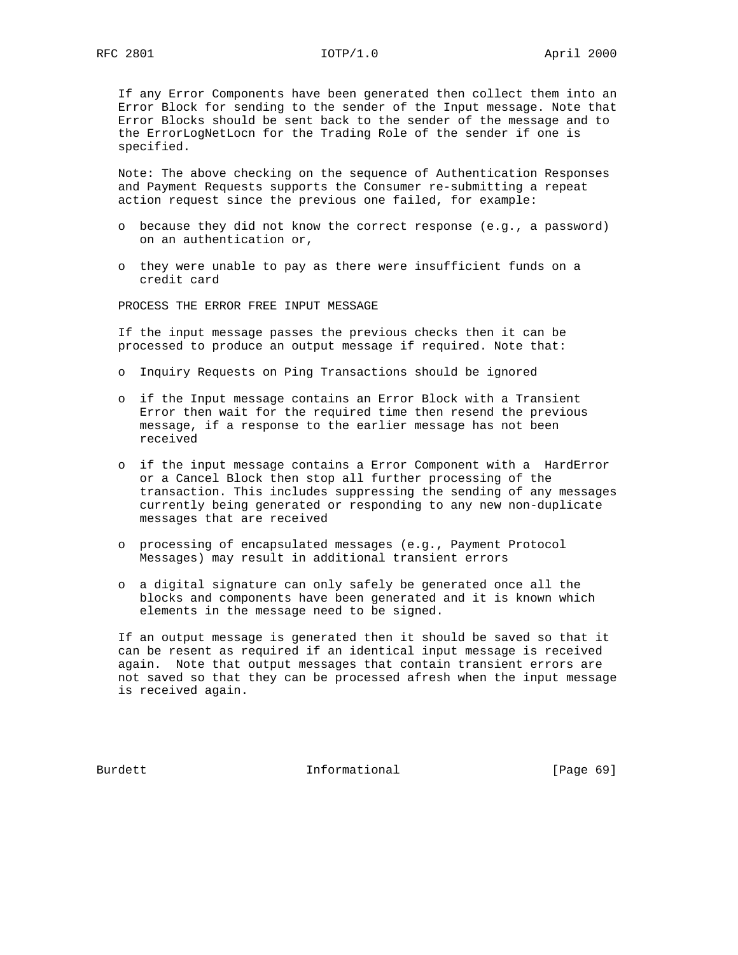If any Error Components have been generated then collect them into an Error Block for sending to the sender of the Input message. Note that Error Blocks should be sent back to the sender of the message and to the ErrorLogNetLocn for the Trading Role of the sender if one is specified.

 Note: The above checking on the sequence of Authentication Responses and Payment Requests supports the Consumer re-submitting a repeat action request since the previous one failed, for example:

- o because they did not know the correct response (e.g., a password) on an authentication or,
- o they were unable to pay as there were insufficient funds on a credit card

PROCESS THE ERROR FREE INPUT MESSAGE

 If the input message passes the previous checks then it can be processed to produce an output message if required. Note that:

- o Inquiry Requests on Ping Transactions should be ignored
- o if the Input message contains an Error Block with a Transient Error then wait for the required time then resend the previous message, if a response to the earlier message has not been received
- o if the input message contains a Error Component with a HardError or a Cancel Block then stop all further processing of the transaction. This includes suppressing the sending of any messages currently being generated or responding to any new non-duplicate messages that are received
- o processing of encapsulated messages (e.g., Payment Protocol Messages) may result in additional transient errors
- o a digital signature can only safely be generated once all the blocks and components have been generated and it is known which elements in the message need to be signed.

 If an output message is generated then it should be saved so that it can be resent as required if an identical input message is received again. Note that output messages that contain transient errors are not saved so that they can be processed afresh when the input message is received again.

Burdett **Informational** [Page 69]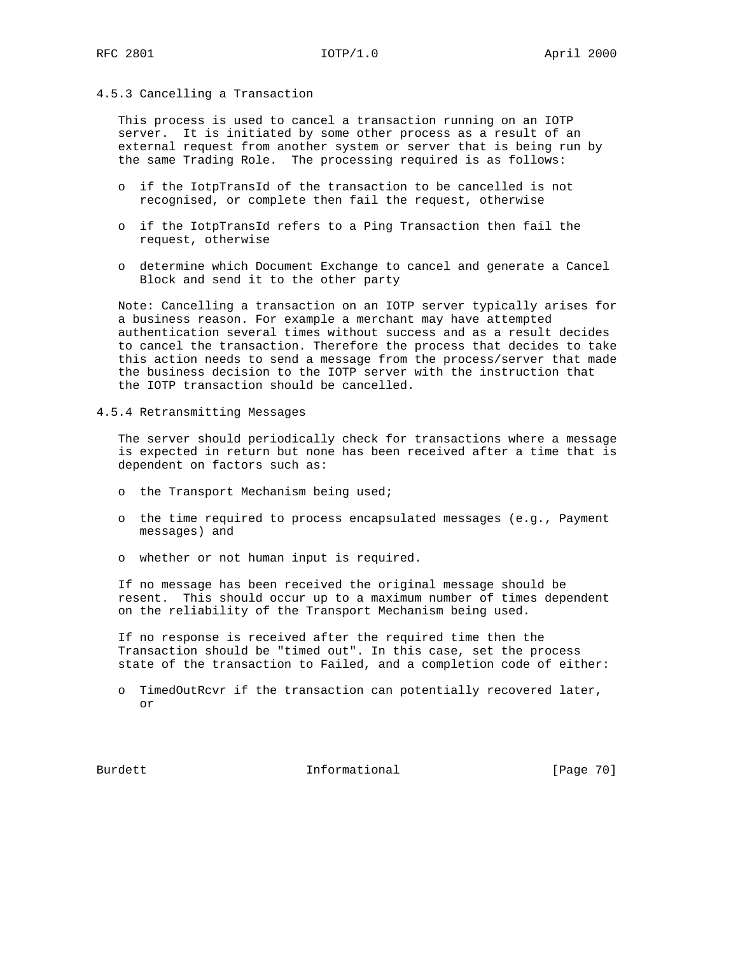### 4.5.3 Cancelling a Transaction

 This process is used to cancel a transaction running on an IOTP server. It is initiated by some other process as a result of an external request from another system or server that is being run by the same Trading Role. The processing required is as follows:

- o if the IotpTransId of the transaction to be cancelled is not recognised, or complete then fail the request, otherwise
- o if the IotpTransId refers to a Ping Transaction then fail the request, otherwise
- o determine which Document Exchange to cancel and generate a Cancel Block and send it to the other party

 Note: Cancelling a transaction on an IOTP server typically arises for a business reason. For example a merchant may have attempted authentication several times without success and as a result decides to cancel the transaction. Therefore the process that decides to take this action needs to send a message from the process/server that made the business decision to the IOTP server with the instruction that the IOTP transaction should be cancelled.

4.5.4 Retransmitting Messages

 The server should periodically check for transactions where a message is expected in return but none has been received after a time that is dependent on factors such as:

- o the Transport Mechanism being used;
- o the time required to process encapsulated messages (e.g., Payment messages) and
- o whether or not human input is required.

 If no message has been received the original message should be resent. This should occur up to a maximum number of times dependent on the reliability of the Transport Mechanism being used.

 If no response is received after the required time then the Transaction should be "timed out". In this case, set the process state of the transaction to Failed, and a completion code of either:

 o TimedOutRcvr if the transaction can potentially recovered later, or

Burdett **Informational** [Page 70]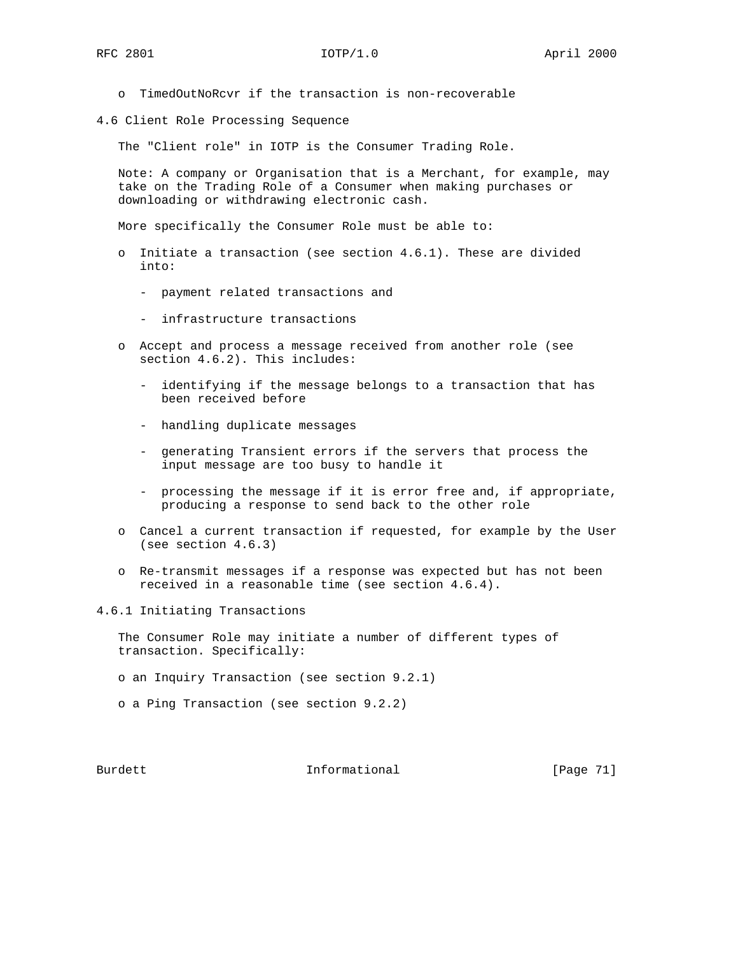- o TimedOutNoRcvr if the transaction is non-recoverable
- 4.6 Client Role Processing Sequence

The "Client role" in IOTP is the Consumer Trading Role.

 Note: A company or Organisation that is a Merchant, for example, may take on the Trading Role of a Consumer when making purchases or downloading or withdrawing electronic cash.

More specifically the Consumer Role must be able to:

- o Initiate a transaction (see section 4.6.1). These are divided into:
	- payment related transactions and
	- infrastructure transactions
- o Accept and process a message received from another role (see section 4.6.2). This includes:
	- identifying if the message belongs to a transaction that has been received before
	- handling duplicate messages
	- generating Transient errors if the servers that process the input message are too busy to handle it
	- processing the message if it is error free and, if appropriate, producing a response to send back to the other role
- o Cancel a current transaction if requested, for example by the User (see section 4.6.3)
- o Re-transmit messages if a response was expected but has not been received in a reasonable time (see section 4.6.4).

4.6.1 Initiating Transactions

 The Consumer Role may initiate a number of different types of transaction. Specifically:

- o an Inquiry Transaction (see section 9.2.1)
- o a Ping Transaction (see section 9.2.2)

Burdett 1nformational [Page 71]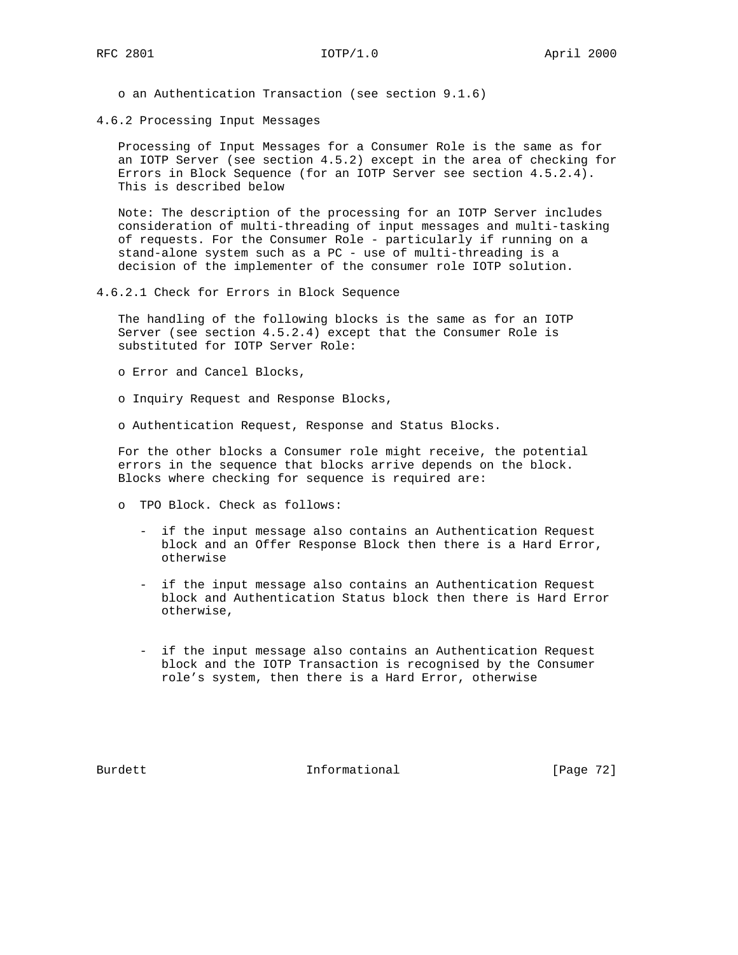o an Authentication Transaction (see section 9.1.6)

4.6.2 Processing Input Messages

 Processing of Input Messages for a Consumer Role is the same as for an IOTP Server (see section 4.5.2) except in the area of checking for Errors in Block Sequence (for an IOTP Server see section 4.5.2.4). This is described below

 Note: The description of the processing for an IOTP Server includes consideration of multi-threading of input messages and multi-tasking of requests. For the Consumer Role - particularly if running on a stand-alone system such as a PC - use of multi-threading is a decision of the implementer of the consumer role IOTP solution.

4.6.2.1 Check for Errors in Block Sequence

 The handling of the following blocks is the same as for an IOTP Server (see section 4.5.2.4) except that the Consumer Role is substituted for IOTP Server Role:

- o Error and Cancel Blocks,
- o Inquiry Request and Response Blocks,
- o Authentication Request, Response and Status Blocks.

 For the other blocks a Consumer role might receive, the potential errors in the sequence that blocks arrive depends on the block. Blocks where checking for sequence is required are:

- o TPO Block. Check as follows:
	- if the input message also contains an Authentication Request block and an Offer Response Block then there is a Hard Error, otherwise
	- if the input message also contains an Authentication Request block and Authentication Status block then there is Hard Error otherwise,
	- if the input message also contains an Authentication Request block and the IOTP Transaction is recognised by the Consumer role's system, then there is a Hard Error, otherwise

Burdett **Informational** [Page 72]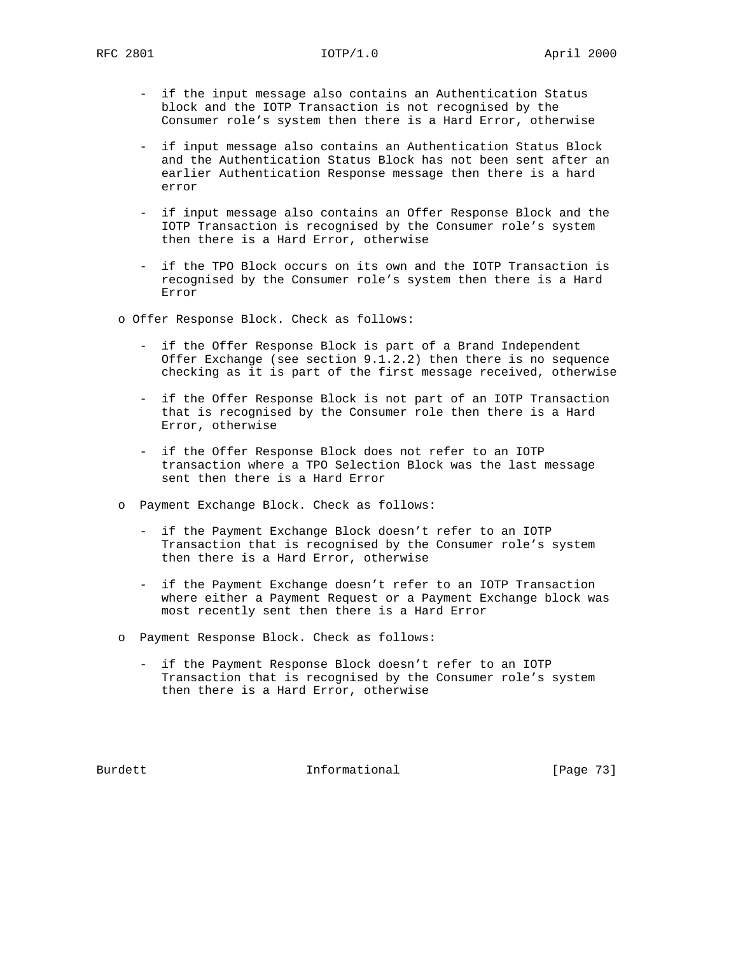- if the input message also contains an Authentication Status block and the IOTP Transaction is not recognised by the Consumer role's system then there is a Hard Error, otherwise
- if input message also contains an Authentication Status Block and the Authentication Status Block has not been sent after an earlier Authentication Response message then there is a hard error
- if input message also contains an Offer Response Block and the IOTP Transaction is recognised by the Consumer role's system then there is a Hard Error, otherwise
- if the TPO Block occurs on its own and the IOTP Transaction is recognised by the Consumer role's system then there is a Hard Error
- o Offer Response Block. Check as follows:
	- if the Offer Response Block is part of a Brand Independent Offer Exchange (see section 9.1.2.2) then there is no sequence checking as it is part of the first message received, otherwise
	- if the Offer Response Block is not part of an IOTP Transaction that is recognised by the Consumer role then there is a Hard Error, otherwise
	- if the Offer Response Block does not refer to an IOTP transaction where a TPO Selection Block was the last message sent then there is a Hard Error
- o Payment Exchange Block. Check as follows:
	- if the Payment Exchange Block doesn't refer to an IOTP Transaction that is recognised by the Consumer role's system then there is a Hard Error, otherwise
	- if the Payment Exchange doesn't refer to an IOTP Transaction where either a Payment Request or a Payment Exchange block was most recently sent then there is a Hard Error
- o Payment Response Block. Check as follows:
	- if the Payment Response Block doesn't refer to an IOTP Transaction that is recognised by the Consumer role's system then there is a Hard Error, otherwise

Burdett **Informational Informational** [Page 73]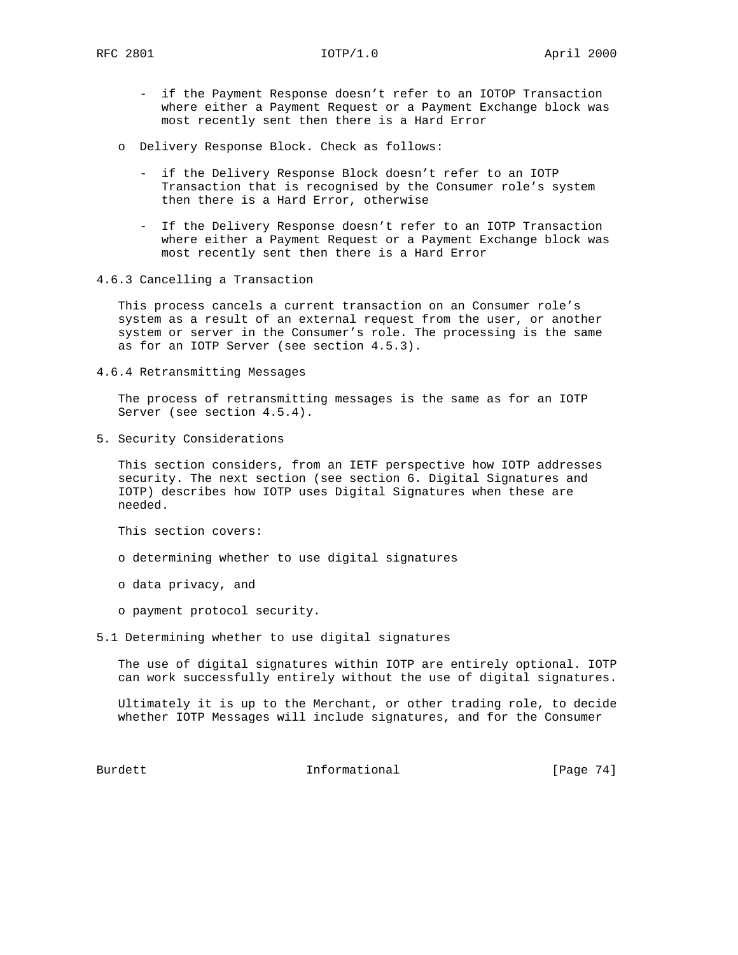- if the Payment Response doesn't refer to an IOTOP Transaction where either a Payment Request or a Payment Exchange block was most recently sent then there is a Hard Error
- o Delivery Response Block. Check as follows:
	- if the Delivery Response Block doesn't refer to an IOTP Transaction that is recognised by the Consumer role's system then there is a Hard Error, otherwise
	- If the Delivery Response doesn't refer to an IOTP Transaction where either a Payment Request or a Payment Exchange block was most recently sent then there is a Hard Error
- 4.6.3 Cancelling a Transaction

 This process cancels a current transaction on an Consumer role's system as a result of an external request from the user, or another system or server in the Consumer's role. The processing is the same as for an IOTP Server (see section 4.5.3).

4.6.4 Retransmitting Messages

 The process of retransmitting messages is the same as for an IOTP Server (see section 4.5.4).

5. Security Considerations

 This section considers, from an IETF perspective how IOTP addresses security. The next section (see section 6. Digital Signatures and IOTP) describes how IOTP uses Digital Signatures when these are needed.

This section covers:

- o determining whether to use digital signatures
- o data privacy, and
- o payment protocol security.
- 5.1 Determining whether to use digital signatures

 The use of digital signatures within IOTP are entirely optional. IOTP can work successfully entirely without the use of digital signatures.

 Ultimately it is up to the Merchant, or other trading role, to decide whether IOTP Messages will include signatures, and for the Consumer

Burdett **Informational** [Page 74]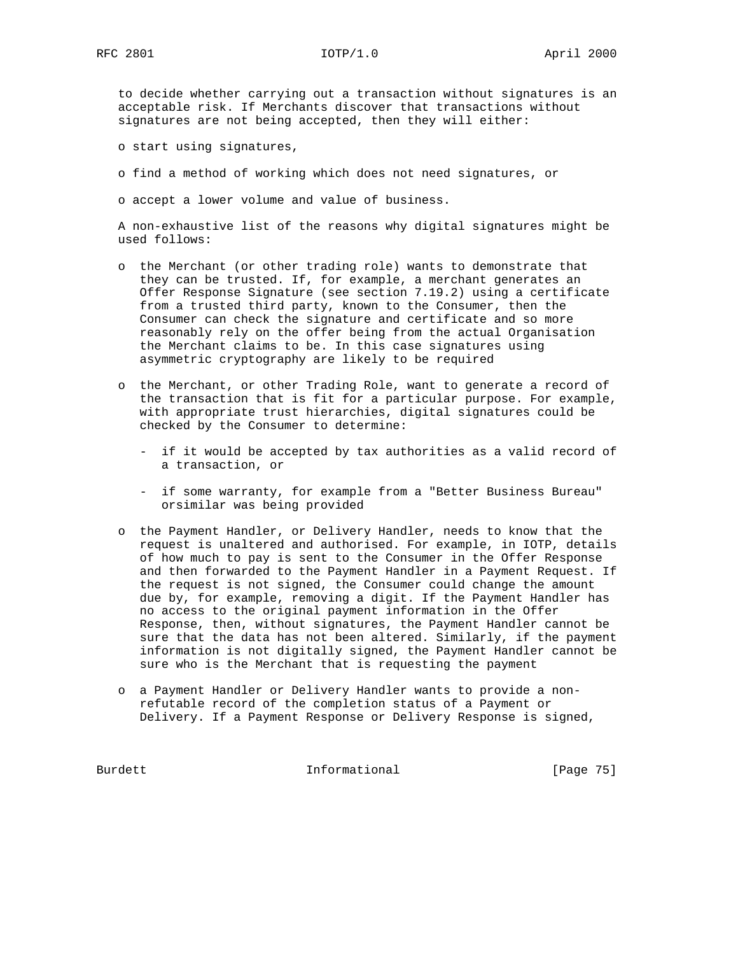to decide whether carrying out a transaction without signatures is an acceptable risk. If Merchants discover that transactions without signatures are not being accepted, then they will either:

- o start using signatures,
- o find a method of working which does not need signatures, or
- o accept a lower volume and value of business.

 A non-exhaustive list of the reasons why digital signatures might be used follows:

- o the Merchant (or other trading role) wants to demonstrate that they can be trusted. If, for example, a merchant generates an Offer Response Signature (see section 7.19.2) using a certificate from a trusted third party, known to the Consumer, then the Consumer can check the signature and certificate and so more reasonably rely on the offer being from the actual Organisation the Merchant claims to be. In this case signatures using asymmetric cryptography are likely to be required
- o the Merchant, or other Trading Role, want to generate a record of the transaction that is fit for a particular purpose. For example, with appropriate trust hierarchies, digital signatures could be checked by the Consumer to determine:
	- if it would be accepted by tax authorities as a valid record of a transaction, or
	- if some warranty, for example from a "Better Business Bureau" orsimilar was being provided
- o the Payment Handler, or Delivery Handler, needs to know that the request is unaltered and authorised. For example, in IOTP, details of how much to pay is sent to the Consumer in the Offer Response and then forwarded to the Payment Handler in a Payment Request. If the request is not signed, the Consumer could change the amount due by, for example, removing a digit. If the Payment Handler has no access to the original payment information in the Offer Response, then, without signatures, the Payment Handler cannot be sure that the data has not been altered. Similarly, if the payment information is not digitally signed, the Payment Handler cannot be sure who is the Merchant that is requesting the payment
- o a Payment Handler or Delivery Handler wants to provide a non refutable record of the completion status of a Payment or Delivery. If a Payment Response or Delivery Response is signed,

Burdett **Informational** [Page 75]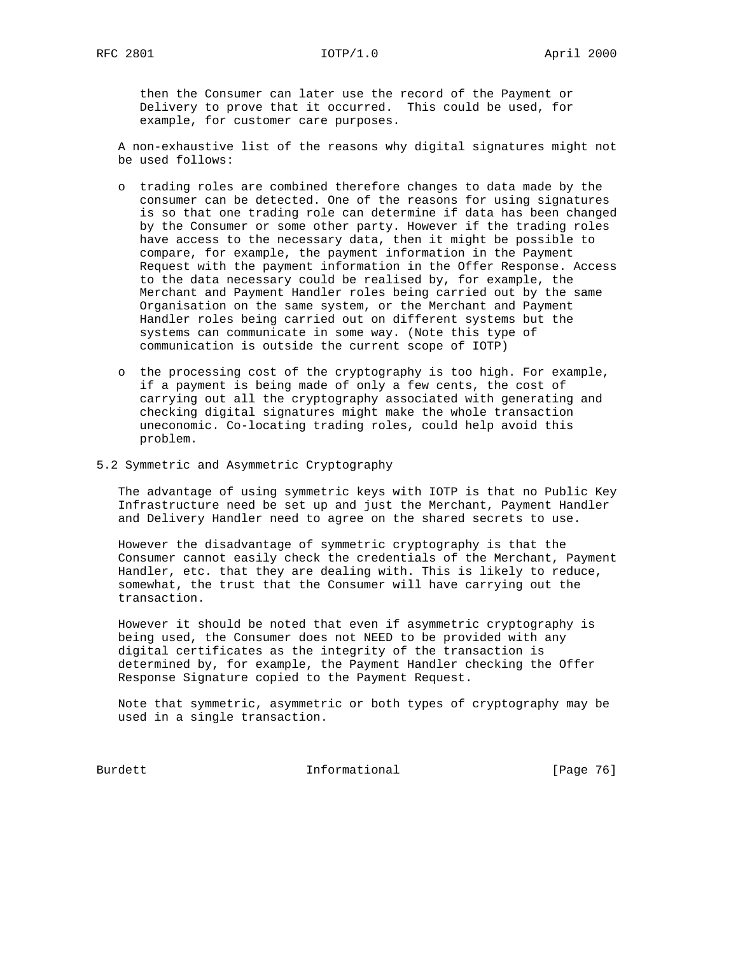then the Consumer can later use the record of the Payment or Delivery to prove that it occurred. This could be used, for example, for customer care purposes.

 A non-exhaustive list of the reasons why digital signatures might not be used follows:

- o trading roles are combined therefore changes to data made by the consumer can be detected. One of the reasons for using signatures is so that one trading role can determine if data has been changed by the Consumer or some other party. However if the trading roles have access to the necessary data, then it might be possible to compare, for example, the payment information in the Payment Request with the payment information in the Offer Response. Access to the data necessary could be realised by, for example, the Merchant and Payment Handler roles being carried out by the same Organisation on the same system, or the Merchant and Payment Handler roles being carried out on different systems but the systems can communicate in some way. (Note this type of communication is outside the current scope of IOTP)
- o the processing cost of the cryptography is too high. For example, if a payment is being made of only a few cents, the cost of carrying out all the cryptography associated with generating and checking digital signatures might make the whole transaction uneconomic. Co-locating trading roles, could help avoid this problem.
- 5.2 Symmetric and Asymmetric Cryptography

 The advantage of using symmetric keys with IOTP is that no Public Key Infrastructure need be set up and just the Merchant, Payment Handler and Delivery Handler need to agree on the shared secrets to use.

 However the disadvantage of symmetric cryptography is that the Consumer cannot easily check the credentials of the Merchant, Payment Handler, etc. that they are dealing with. This is likely to reduce, somewhat, the trust that the Consumer will have carrying out the transaction.

 However it should be noted that even if asymmetric cryptography is being used, the Consumer does not NEED to be provided with any digital certificates as the integrity of the transaction is determined by, for example, the Payment Handler checking the Offer Response Signature copied to the Payment Request.

 Note that symmetric, asymmetric or both types of cryptography may be used in a single transaction.

Burdett Informational [Page 76]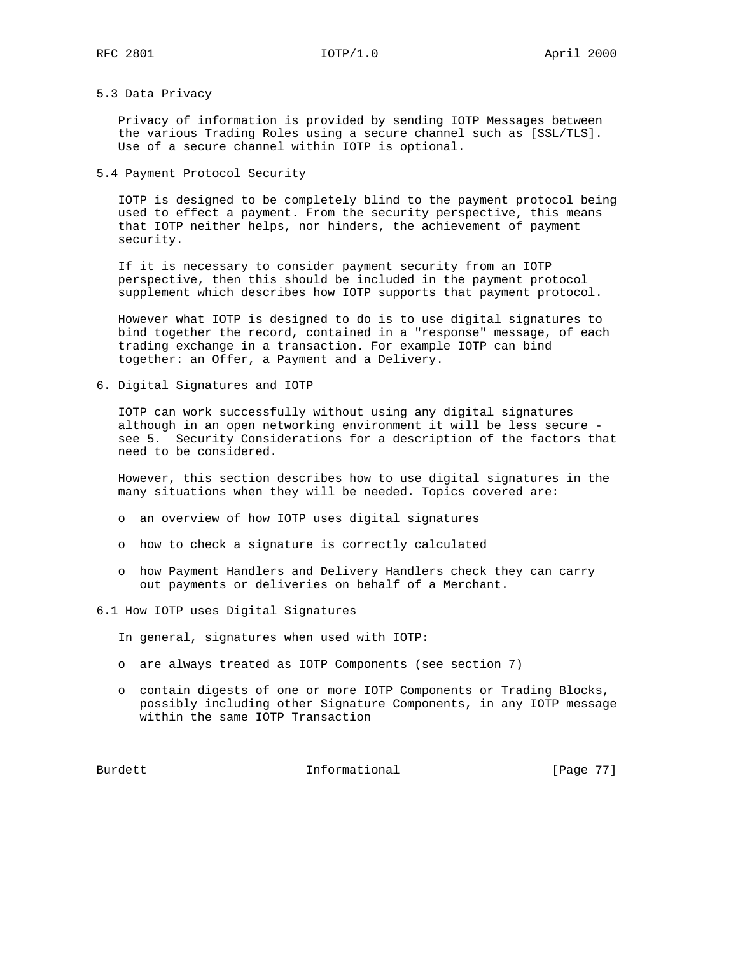## 5.3 Data Privacy

 Privacy of information is provided by sending IOTP Messages between the various Trading Roles using a secure channel such as [SSL/TLS]. Use of a secure channel within IOTP is optional.

5.4 Payment Protocol Security

 IOTP is designed to be completely blind to the payment protocol being used to effect a payment. From the security perspective, this means that IOTP neither helps, nor hinders, the achievement of payment security.

 If it is necessary to consider payment security from an IOTP perspective, then this should be included in the payment protocol supplement which describes how IOTP supports that payment protocol.

 However what IOTP is designed to do is to use digital signatures to bind together the record, contained in a "response" message, of each trading exchange in a transaction. For example IOTP can bind together: an Offer, a Payment and a Delivery.

6. Digital Signatures and IOTP

 IOTP can work successfully without using any digital signatures although in an open networking environment it will be less secure see 5. Security Considerations for a description of the factors that need to be considered.

 However, this section describes how to use digital signatures in the many situations when they will be needed. Topics covered are:

- o an overview of how IOTP uses digital signatures
- o how to check a signature is correctly calculated
- o how Payment Handlers and Delivery Handlers check they can carry out payments or deliveries on behalf of a Merchant.

6.1 How IOTP uses Digital Signatures

In general, signatures when used with IOTP:

- o are always treated as IOTP Components (see section 7)
- o contain digests of one or more IOTP Components or Trading Blocks, possibly including other Signature Components, in any IOTP message within the same IOTP Transaction

Burdett Informational [Page 77]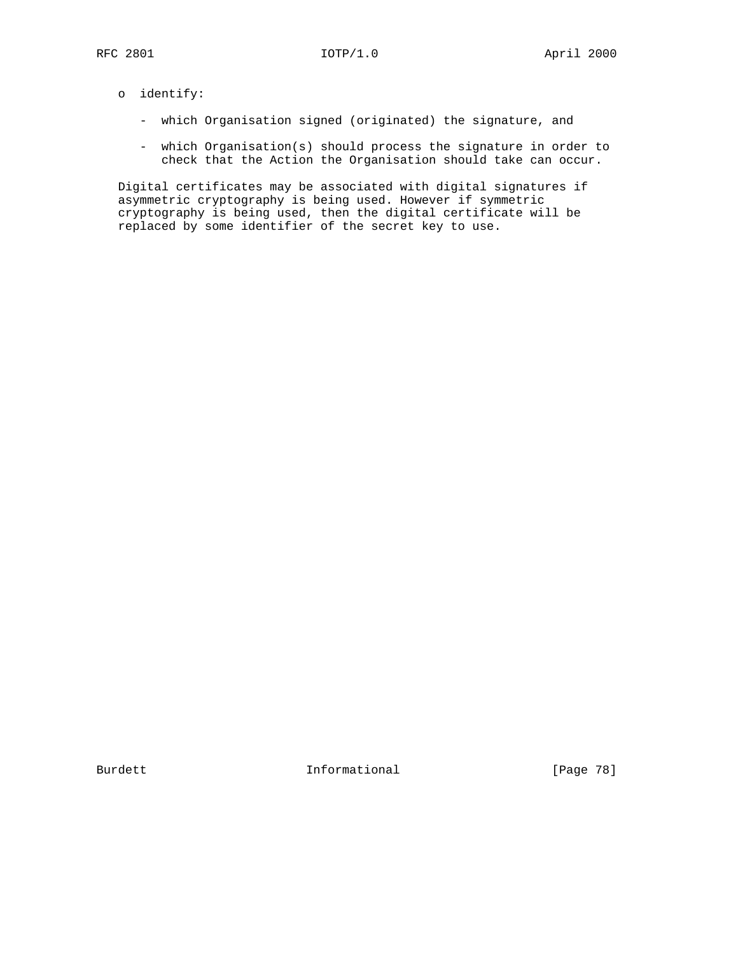- o identify:
	- which Organisation signed (originated) the signature, and
	- which Organisation(s) should process the signature in order to check that the Action the Organisation should take can occur.

 Digital certificates may be associated with digital signatures if asymmetric cryptography is being used. However if symmetric cryptography is being used, then the digital certificate will be replaced by some identifier of the secret key to use.

Burdett Informational [Page 78]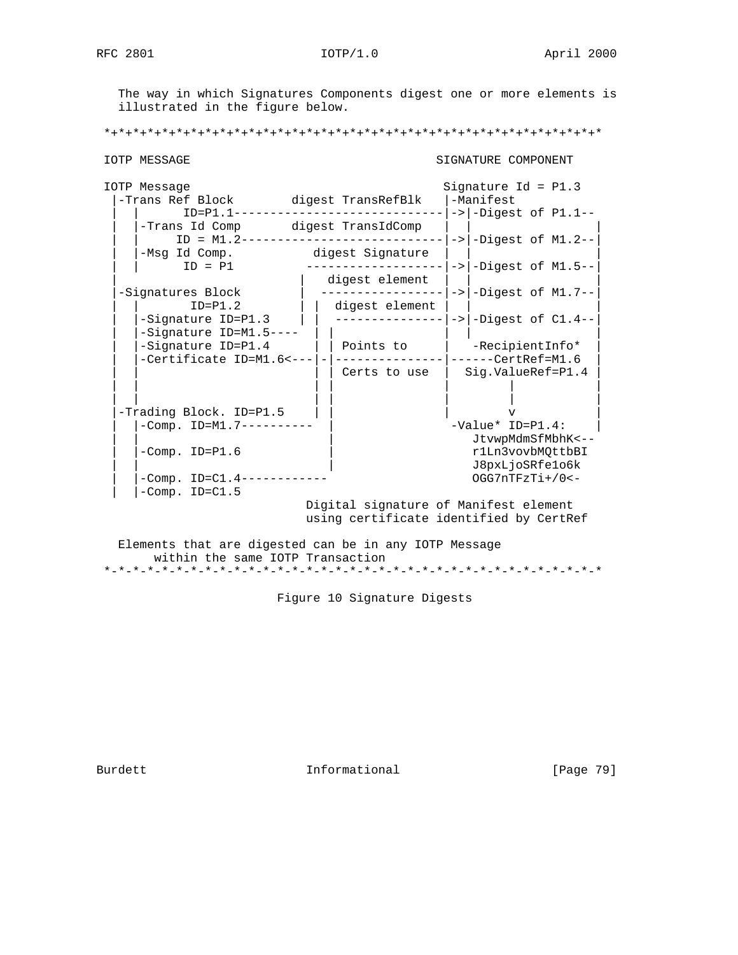The way in which Signatures Components digest one or more elements is illustrated in the figure below.

 \*+\*+\*+\*+\*+\*+\*+\*+\*+\*+\*+\*+\*+\*+\*+\*+\*+\*+\*+\*+\*+\*+\*+\*+\*+\*+\*+\*+\*+\*+\*+\*+\*+\*+\* IOTP MESSAGE SIGNATURE COMPONENT IOTP Message Signature Id = P1.3 |-Trans Ref Block digest TransRefBlk |-Manifest | | ID=P1.1-----------------------------|->|-Digest of P1.1-- -Trans Id Comp digest TransIdComp | | ID = M1.2----------------------------|->|-Digest of M1.2--| | |-Msg Id Comp. digest Signature | | | | | ID = P1 -------------------|->|-Digest of M1.5--| | | digest element | | | |-Signatures Block | -----------------|->|-Digest of M1.7--| | | ID=P1.2 | | digest element | | | | |-Signature ID=P1.3 | | ---------------|->|-Digest of C1.4--| | |-Signature ID=M1.5---- | | | | | | |-Signature ID=P1.4 | | Points to | -RecipientInfo\* | -Certificate ID=M1.6<---|-|--------------|-----CertRef=M1.6 | | Certs to use | Sig.ValueRef=P1.4 | | | | | | | | | | | | | | |-Trading Block. ID=P1.5 | | | v | |-Comp. ID=M1.7----------| | -Value\* ID=P1.4: | | | JtvwpMdmSfMbhK<-- -Comp. ID=P1.6 | r1Ln3vovbMQttbBI | | | J8pxLjoSRfe1o6k | |-Comp. ID=C1.4------------ OGG7nTFzTi+/0<-  $|$ -Comp. ID=C $1.5$  Digital signature of Manifest element using certificate identified by CertRef

 Elements that are digested can be in any IOTP Message within the same IOTP Transaction \*-\*-\*-\*-\*-\*-\*-\*-\*-\*-\*-\*-\*-\*-\*-\*-\*-\*-\*-\*-\*-\*-\*-\*-\*-\*-\*-\*-\*-\*-\*-\*-\*-\*-\*

Figure 10 Signature Digests

Burdett **Informational** [Page 79]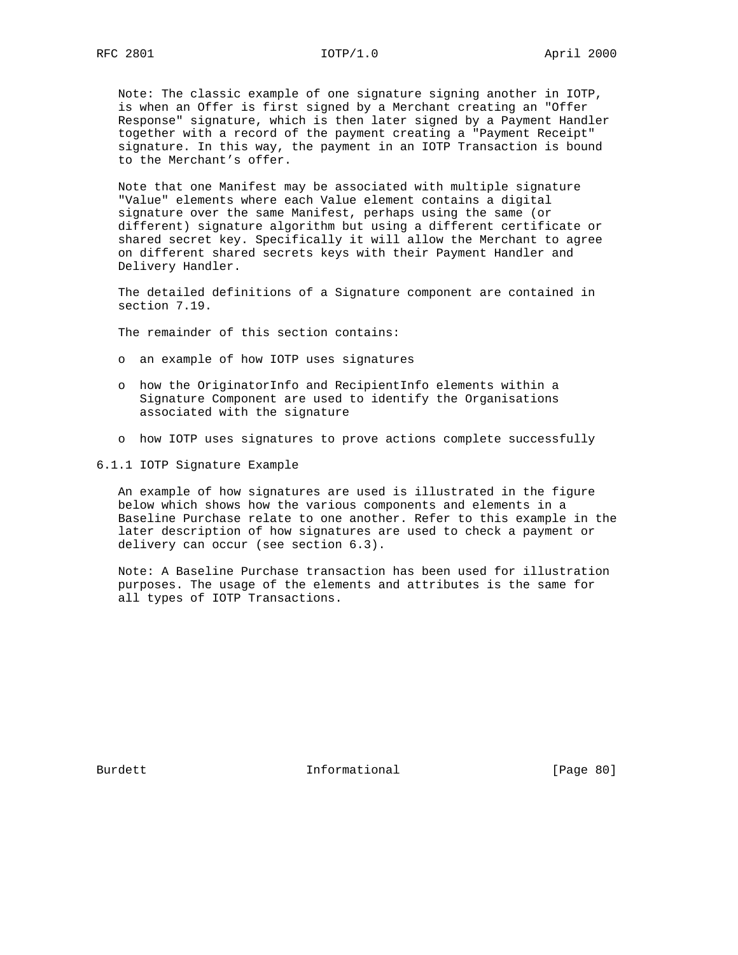Note: The classic example of one signature signing another in IOTP, is when an Offer is first signed by a Merchant creating an "Offer Response" signature, which is then later signed by a Payment Handler together with a record of the payment creating a "Payment Receipt" signature. In this way, the payment in an IOTP Transaction is bound to the Merchant's offer.

 Note that one Manifest may be associated with multiple signature "Value" elements where each Value element contains a digital signature over the same Manifest, perhaps using the same (or different) signature algorithm but using a different certificate or shared secret key. Specifically it will allow the Merchant to agree on different shared secrets keys with their Payment Handler and Delivery Handler.

 The detailed definitions of a Signature component are contained in section 7.19.

The remainder of this section contains:

- o an example of how IOTP uses signatures
- o how the OriginatorInfo and RecipientInfo elements within a Signature Component are used to identify the Organisations associated with the signature
- o how IOTP uses signatures to prove actions complete successfully

6.1.1 IOTP Signature Example

 An example of how signatures are used is illustrated in the figure below which shows how the various components and elements in a Baseline Purchase relate to one another. Refer to this example in the later description of how signatures are used to check a payment or delivery can occur (see section 6.3).

 Note: A Baseline Purchase transaction has been used for illustration purposes. The usage of the elements and attributes is the same for all types of IOTP Transactions.

Burdett **Informational** [Page 80]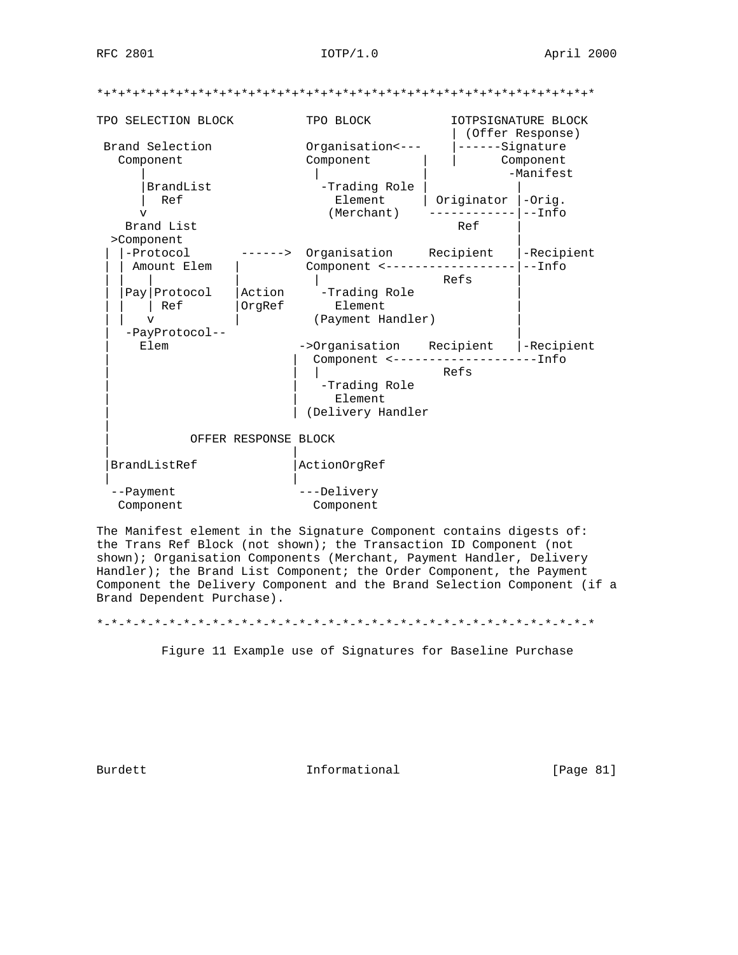\*+\*+\*+\*+\*+\*+\*+\*+\*+\*+\*+\*+\*+\*+\*+\*+\*+\*+\*+\*+\*+\*+\*+\*+\*+\*+\*+\*+\*+\*+\*+\*+\*+\*+\*

| TPO SELECTION BLOCK                                                             |                             | TPO BLOCK                                                                                                                      |                   | <b>IOTPSIGNATURE BLOCK</b><br>(Offer Response) |
|---------------------------------------------------------------------------------|-----------------------------|--------------------------------------------------------------------------------------------------------------------------------|-------------------|------------------------------------------------|
| Brand Selection<br>Component                                                    |                             | Organisation <---<br>Component                                                                                                 | ------Signature   | Component<br>-Manifest                         |
| BrandList<br>Ref<br>$\overline{V}$<br>Brand List                                |                             | -Trading Role<br>Element<br>(Merchant)                                                                                         | Originator<br>Ref | $-Orig.$<br>$--Info$                           |
| >Component<br>-Protocol<br>Amount Elem<br>Pay Protocol<br>Ref<br>$\overline{V}$ | ------><br>Action<br>OrgRef | Organisation Recipient<br>Component <------------------<br>-Trading Role<br>Element<br>(Payment Handler)                       | Refs              | -Recipient<br>$--Info$                         |
| -PayProtocol--<br>Elem                                                          |                             | ->Organisation Recipient  -Recipient<br>Component <----------------------Tnfo<br>-Trading Role<br>Element<br>(Delivery Handler | Refs              |                                                |
| OFFER RESPONSE BLOCK                                                            |                             |                                                                                                                                |                   |                                                |
| BrandListRef                                                                    |                             | ActionOrgRef                                                                                                                   |                   |                                                |
| --Payment<br>Component                                                          |                             | ---Delivery<br>Component                                                                                                       |                   |                                                |

The Manifest element in the Signature Component contains digests of: the Trans Ref Block (not shown); the Transaction ID Component (not shown); Organisation Components (Merchant, Payment Handler, Delivery Handler); the Brand List Component; the Order Component, the Payment Component the Delivery Component and the Brand Selection Component (if a Brand Dependent Purchase).

\*-\*-\*-\*-\*-\*-\*-\*-\*-\*-\*-\*-\*-\*-\*-\*-\*-\*-\*-\*-\*-\*-\*-\*-\*-\*-\*-\*-\*-\*-\*-\*-\*-\*-\*

Figure 11 Example use of Signatures for Baseline Purchase

Burdett Informational [Page 81]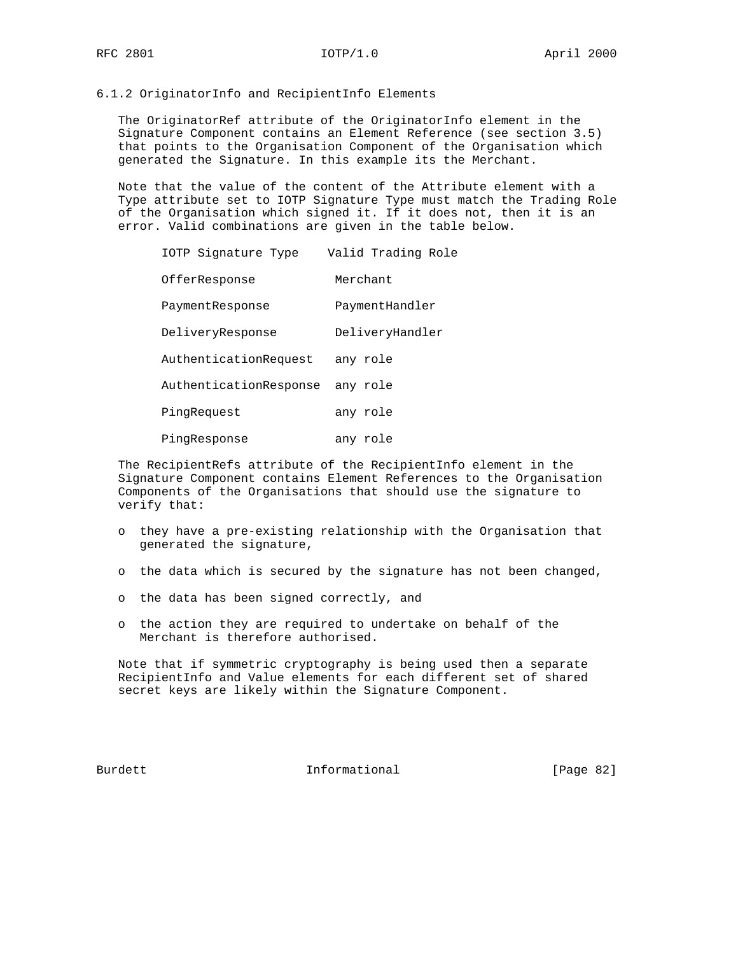### 6.1.2 OriginatorInfo and RecipientInfo Elements

 The OriginatorRef attribute of the OriginatorInfo element in the Signature Component contains an Element Reference (see section 3.5) that points to the Organisation Component of the Organisation which generated the Signature. In this example its the Merchant.

 Note that the value of the content of the Attribute element with a Type attribute set to IOTP Signature Type must match the Trading Role of the Organisation which signed it. If it does not, then it is an error. Valid combinations are given in the table below.

 IOTP Signature Type Valid Trading Role OfferResponse Merchant PaymentResponse PaymentHandler DeliveryResponse DeliveryHandler AuthenticationRequest any role AuthenticationResponse any role PingRequest any role PingResponse any role

 The RecipientRefs attribute of the RecipientInfo element in the Signature Component contains Element References to the Organisation Components of the Organisations that should use the signature to verify that:

- o they have a pre-existing relationship with the Organisation that generated the signature,
- o the data which is secured by the signature has not been changed,
- o the data has been signed correctly, and
- o the action they are required to undertake on behalf of the Merchant is therefore authorised.

 Note that if symmetric cryptography is being used then a separate RecipientInfo and Value elements for each different set of shared secret keys are likely within the Signature Component.

Burdett **Informational** [Page 82]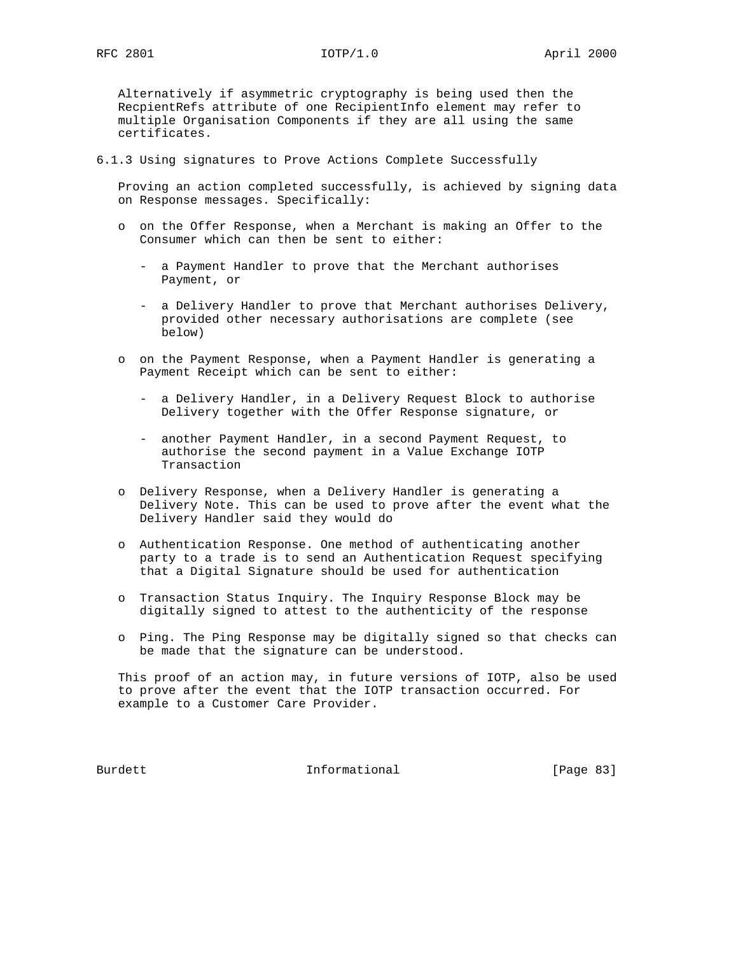Alternatively if asymmetric cryptography is being used then the RecpientRefs attribute of one RecipientInfo element may refer to multiple Organisation Components if they are all using the same certificates.

6.1.3 Using signatures to Prove Actions Complete Successfully

 Proving an action completed successfully, is achieved by signing data on Response messages. Specifically:

- o on the Offer Response, when a Merchant is making an Offer to the Consumer which can then be sent to either:
	- a Payment Handler to prove that the Merchant authorises Payment, or
	- a Delivery Handler to prove that Merchant authorises Delivery, provided other necessary authorisations are complete (see below)
- o on the Payment Response, when a Payment Handler is generating a Payment Receipt which can be sent to either:
	- a Delivery Handler, in a Delivery Request Block to authorise Delivery together with the Offer Response signature, or
	- another Payment Handler, in a second Payment Request, to authorise the second payment in a Value Exchange IOTP Transaction
- o Delivery Response, when a Delivery Handler is generating a Delivery Note. This can be used to prove after the event what the Delivery Handler said they would do
- o Authentication Response. One method of authenticating another party to a trade is to send an Authentication Request specifying that a Digital Signature should be used for authentication
- o Transaction Status Inquiry. The Inquiry Response Block may be digitally signed to attest to the authenticity of the response
- o Ping. The Ping Response may be digitally signed so that checks can be made that the signature can be understood.

 This proof of an action may, in future versions of IOTP, also be used to prove after the event that the IOTP transaction occurred. For example to a Customer Care Provider.

Burdett **Informational** [Page 83]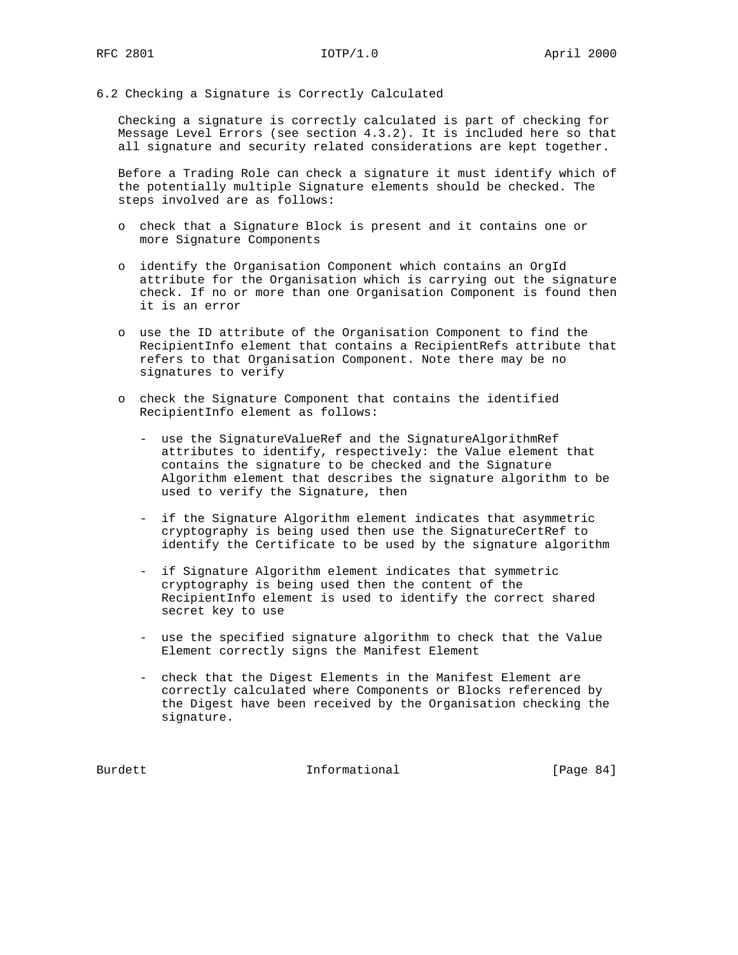6.2 Checking a Signature is Correctly Calculated

 Checking a signature is correctly calculated is part of checking for Message Level Errors (see section 4.3.2). It is included here so that all signature and security related considerations are kept together.

 Before a Trading Role can check a signature it must identify which of the potentially multiple Signature elements should be checked. The steps involved are as follows:

- o check that a Signature Block is present and it contains one or more Signature Components
- o identify the Organisation Component which contains an OrgId attribute for the Organisation which is carrying out the signature check. If no or more than one Organisation Component is found then it is an error
- o use the ID attribute of the Organisation Component to find the RecipientInfo element that contains a RecipientRefs attribute that refers to that Organisation Component. Note there may be no signatures to verify
- o check the Signature Component that contains the identified RecipientInfo element as follows:
	- use the SignatureValueRef and the SignatureAlgorithmRef attributes to identify, respectively: the Value element that contains the signature to be checked and the Signature Algorithm element that describes the signature algorithm to be used to verify the Signature, then
	- if the Signature Algorithm element indicates that asymmetric cryptography is being used then use the SignatureCertRef to identify the Certificate to be used by the signature algorithm
	- if Signature Algorithm element indicates that symmetric cryptography is being used then the content of the RecipientInfo element is used to identify the correct shared secret key to use
	- use the specified signature algorithm to check that the Value Element correctly signs the Manifest Element
	- check that the Digest Elements in the Manifest Element are correctly calculated where Components or Blocks referenced by the Digest have been received by the Organisation checking the signature.

Burdett Informational [Page 84]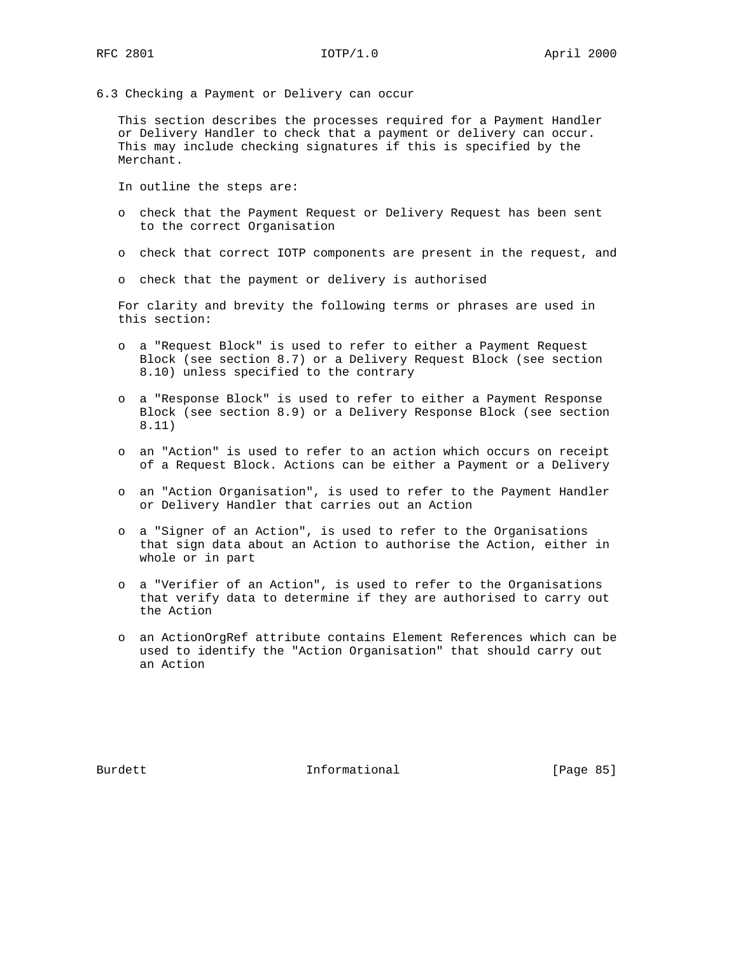6.3 Checking a Payment or Delivery can occur

 This section describes the processes required for a Payment Handler or Delivery Handler to check that a payment or delivery can occur. This may include checking signatures if this is specified by the Merchant.

In outline the steps are:

- o check that the Payment Request or Delivery Request has been sent to the correct Organisation
- o check that correct IOTP components are present in the request, and
- o check that the payment or delivery is authorised

 For clarity and brevity the following terms or phrases are used in this section:

- o a "Request Block" is used to refer to either a Payment Request Block (see section 8.7) or a Delivery Request Block (see section 8.10) unless specified to the contrary
- o a "Response Block" is used to refer to either a Payment Response Block (see section 8.9) or a Delivery Response Block (see section 8.11)
- o an "Action" is used to refer to an action which occurs on receipt of a Request Block. Actions can be either a Payment or a Delivery
- o an "Action Organisation", is used to refer to the Payment Handler or Delivery Handler that carries out an Action
- o a "Signer of an Action", is used to refer to the Organisations that sign data about an Action to authorise the Action, either in whole or in part
- o a "Verifier of an Action", is used to refer to the Organisations that verify data to determine if they are authorised to carry out the Action
- o an ActionOrgRef attribute contains Element References which can be used to identify the "Action Organisation" that should carry out an Action

Burdett **Informational** [Page 85]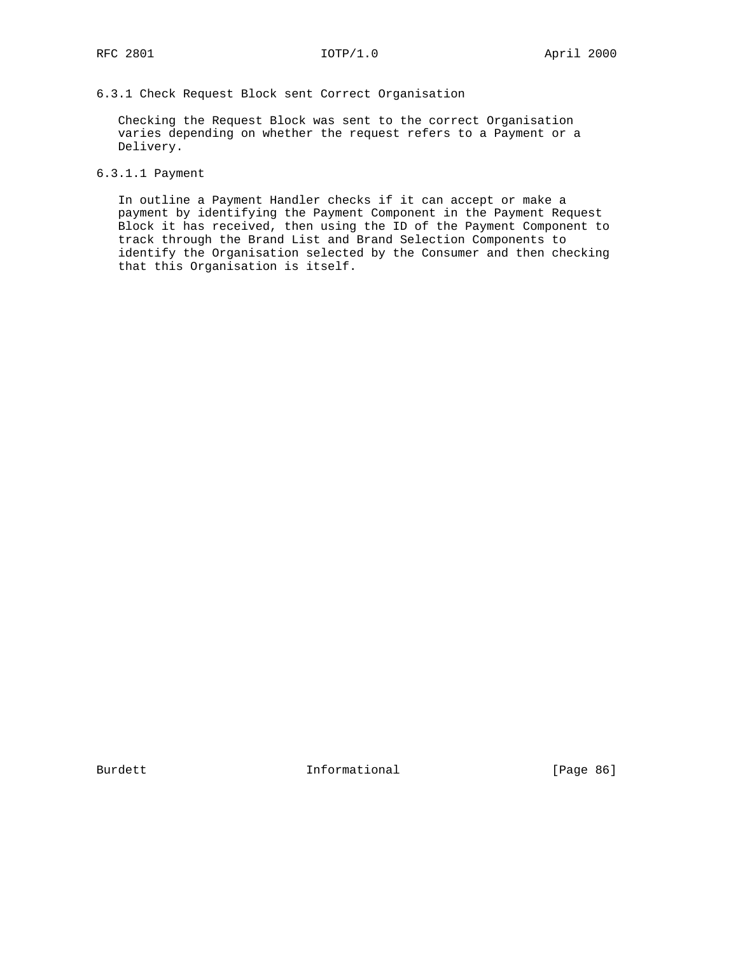## 6.3.1 Check Request Block sent Correct Organisation

 Checking the Request Block was sent to the correct Organisation varies depending on whether the request refers to a Payment or a Delivery.

6.3.1.1 Payment

 In outline a Payment Handler checks if it can accept or make a payment by identifying the Payment Component in the Payment Request Block it has received, then using the ID of the Payment Component to track through the Brand List and Brand Selection Components to identify the Organisation selected by the Consumer and then checking that this Organisation is itself.

Burdett **Informational** [Page 86]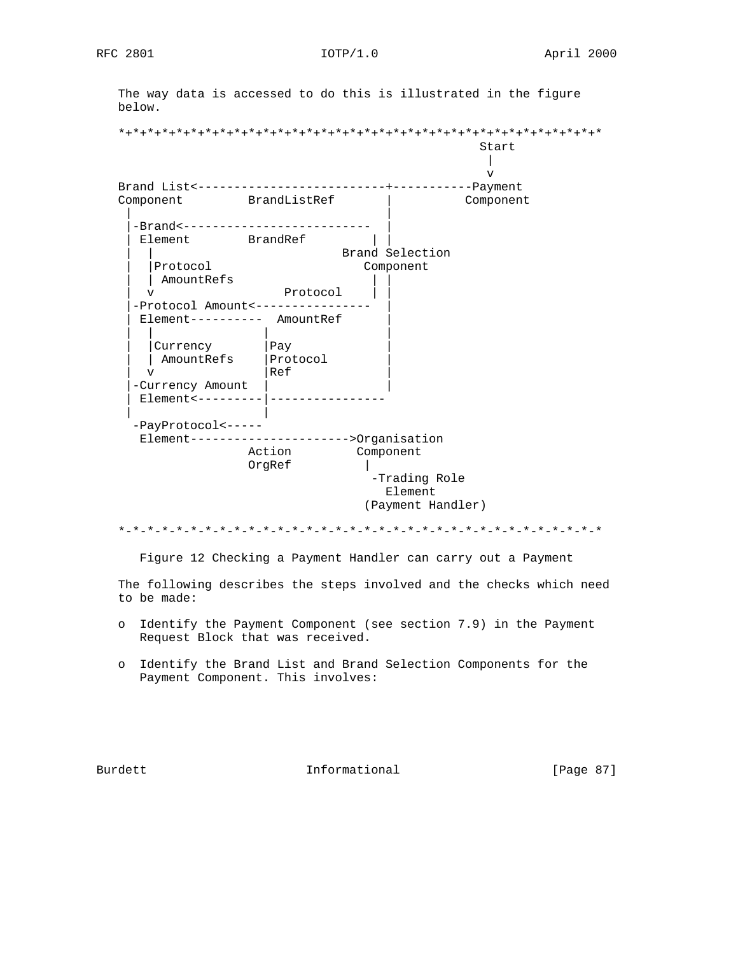below.

The way data is accessed to do this is illustrated in the figure

 \*+\*+\*+\*+\*+\*+\*+\*+\*+\*+\*+\*+\*+\*+\*+\*+\*+\*+\*+\*+\*+\*+\*+\*+\*+\*+\*+\*+\*+\*+\*+\*+\*+\* **Start** Start Start Start Start Start Start Start Start Start Start Start Start Start Start Start Start Start Start Start Start Start Start Start Start Start Start Start Start Start Start Start Start Start Start Start Star | v Brand List<--------------------------+-----------Payment Component BrandListRef | Component | | |-Brand<-------------------------- | | Element BrandRef | | | | Brand Selection | |Protocol Component | | AmountRefs | | | v Protocol | | |-Protocol Amount<---------------- | Element---------- AmountRef | | | | | |Currency | Pay | | | AmountRefs |Protocol | | v |Ref | |-Currency Amount | | | Element<---------|---------------- | | -PayProtocol<----- Element---------------------->Organisation Action Component OrgRef | .<br>-Trading Role Element (Payment Handler) \*-\*-\*-\*-\*-\*-\*-\*-\*-\*-\*-\*-\*-\*-\*-\*-\*-\*-\*-\*-\*-\*-\*-\*-\*-\*-\*-\*-\*-\*-\*-\*-\*-\* Figure 12 Checking a Payment Handler can carry out a Payment The following describes the steps involved and the checks which need to be made: o Identify the Payment Component (see section 7.9) in the Payment Request Block that was received. o Identify the Brand List and Brand Selection Components for the Payment Component. This involves:

Burdett **Informational** [Page 87]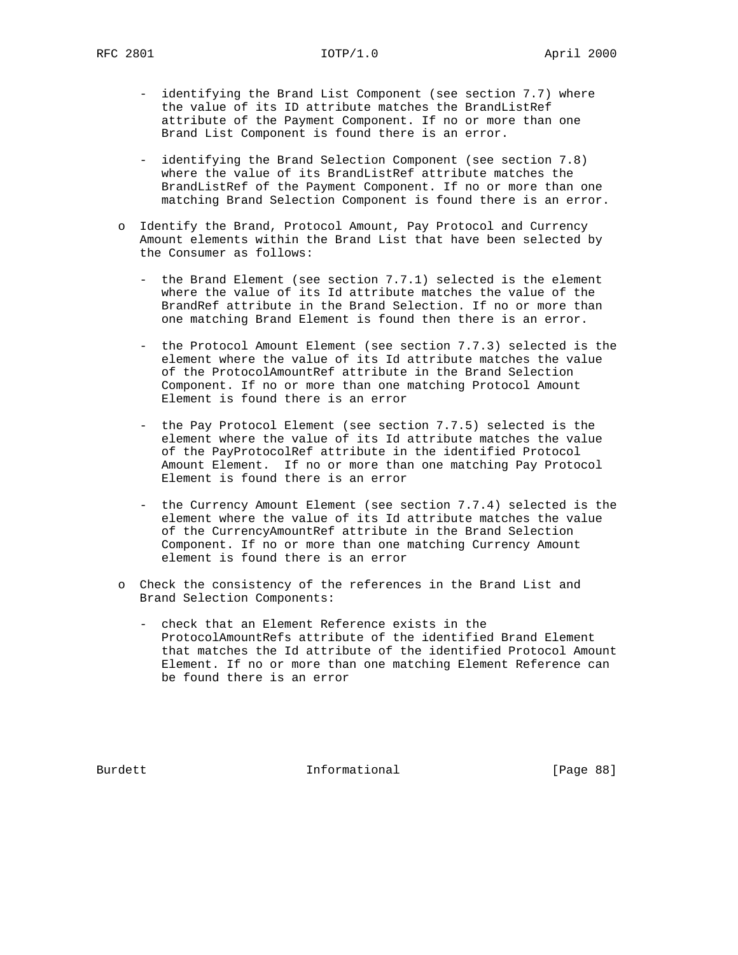- identifying the Brand List Component (see section 7.7) where the value of its ID attribute matches the BrandListRef attribute of the Payment Component. If no or more than one Brand List Component is found there is an error.
- identifying the Brand Selection Component (see section 7.8) where the value of its BrandListRef attribute matches the BrandListRef of the Payment Component. If no or more than one matching Brand Selection Component is found there is an error.
- o Identify the Brand, Protocol Amount, Pay Protocol and Currency Amount elements within the Brand List that have been selected by the Consumer as follows:
	- the Brand Element (see section 7.7.1) selected is the element where the value of its Id attribute matches the value of the BrandRef attribute in the Brand Selection. If no or more than one matching Brand Element is found then there is an error.
	- the Protocol Amount Element (see section 7.7.3) selected is the element where the value of its Id attribute matches the value of the ProtocolAmountRef attribute in the Brand Selection Component. If no or more than one matching Protocol Amount Element is found there is an error
	- the Pay Protocol Element (see section 7.7.5) selected is the element where the value of its Id attribute matches the value of the PayProtocolRef attribute in the identified Protocol Amount Element. If no or more than one matching Pay Protocol Element is found there is an error
	- the Currency Amount Element (see section 7.7.4) selected is the element where the value of its Id attribute matches the value of the CurrencyAmountRef attribute in the Brand Selection Component. If no or more than one matching Currency Amount element is found there is an error
- o Check the consistency of the references in the Brand List and Brand Selection Components:
	- check that an Element Reference exists in the ProtocolAmountRefs attribute of the identified Brand Element that matches the Id attribute of the identified Protocol Amount Element. If no or more than one matching Element Reference can be found there is an error

Burdett **Informational** [Page 88]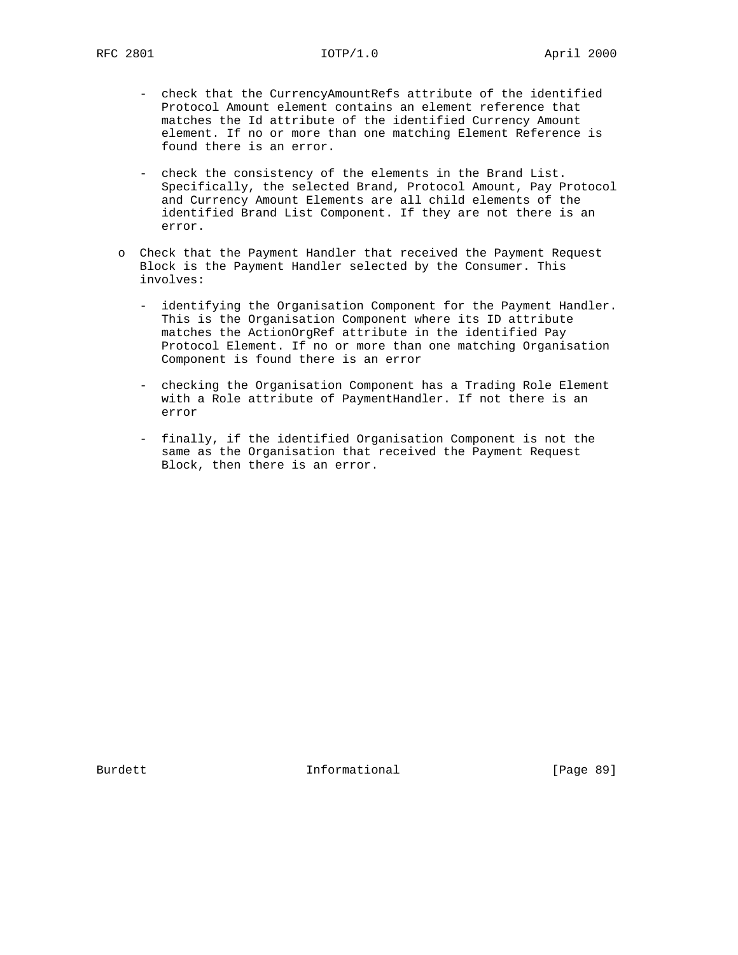- check that the CurrencyAmountRefs attribute of the identified Protocol Amount element contains an element reference that matches the Id attribute of the identified Currency Amount element. If no or more than one matching Element Reference is found there is an error.
- check the consistency of the elements in the Brand List. Specifically, the selected Brand, Protocol Amount, Pay Protocol and Currency Amount Elements are all child elements of the identified Brand List Component. If they are not there is an error.
- o Check that the Payment Handler that received the Payment Request Block is the Payment Handler selected by the Consumer. This involves:
	- identifying the Organisation Component for the Payment Handler. This is the Organisation Component where its ID attribute matches the ActionOrgRef attribute in the identified Pay Protocol Element. If no or more than one matching Organisation Component is found there is an error
	- checking the Organisation Component has a Trading Role Element with a Role attribute of PaymentHandler. If not there is an error
	- finally, if the identified Organisation Component is not the same as the Organisation that received the Payment Request Block, then there is an error.

Burdett **Informational** [Page 89]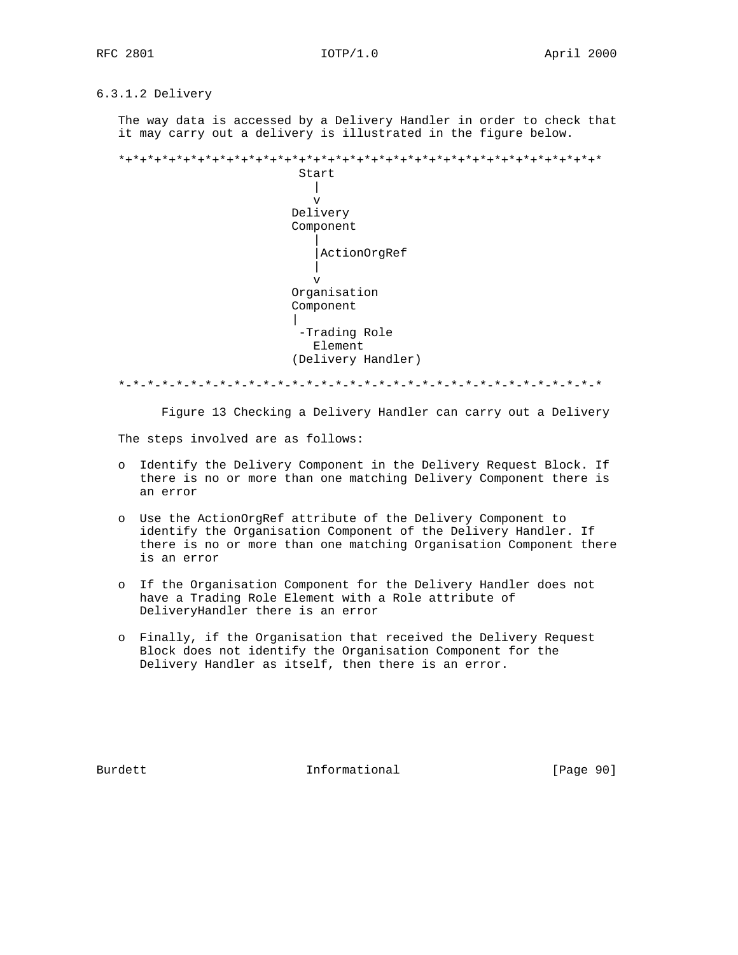```
6.3.1.2 Delivery
```
 The way data is accessed by a Delivery Handler in order to check that it may carry out a delivery is illustrated in the figure below.

 \*+\*+\*+\*+\*+\*+\*+\*+\*+\*+\*+\*+\*+\*+\*+\*+\*+\*+\*+\*+\*+\*+\*+\*+\*+\*+\*+\*+\*+\*+\*+\*+\*+\* Start | v Delivery Component | |ActionOrgRef | v Organisation Component | -Trading Role Element (Delivery Handler) \*-\*-\*-\*-\*-\*-\*-\*-\*-\*-\*-\*-\*-\*-\*-\*-\*-\*-\*-\*-\*-\*-\*-\*-\*-\*-\*-\*-\*-\*-\*-\*-\*-\*

Figure 13 Checking a Delivery Handler can carry out a Delivery

The steps involved are as follows:

- o Identify the Delivery Component in the Delivery Request Block. If there is no or more than one matching Delivery Component there is an error
- o Use the ActionOrgRef attribute of the Delivery Component to identify the Organisation Component of the Delivery Handler. If there is no or more than one matching Organisation Component there is an error
- o If the Organisation Component for the Delivery Handler does not have a Trading Role Element with a Role attribute of DeliveryHandler there is an error
- o Finally, if the Organisation that received the Delivery Request Block does not identify the Organisation Component for the Delivery Handler as itself, then there is an error.

Burdett **Informational** [Page 90]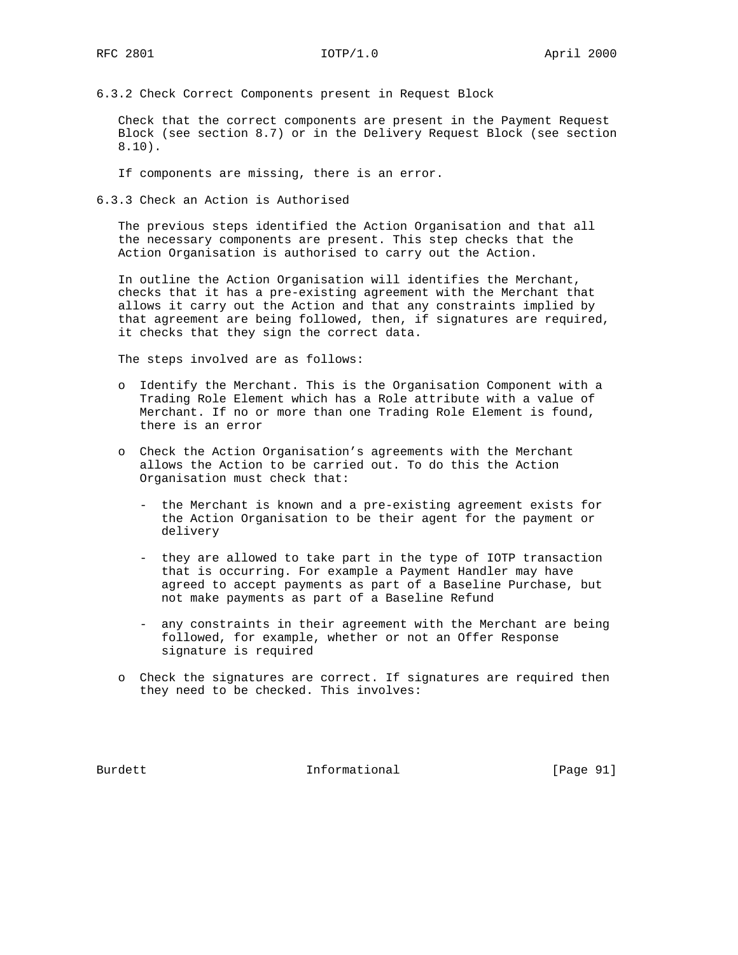6.3.2 Check Correct Components present in Request Block

 Check that the correct components are present in the Payment Request Block (see section 8.7) or in the Delivery Request Block (see section 8.10).

If components are missing, there is an error.

6.3.3 Check an Action is Authorised

 The previous steps identified the Action Organisation and that all the necessary components are present. This step checks that the Action Organisation is authorised to carry out the Action.

 In outline the Action Organisation will identifies the Merchant, checks that it has a pre-existing agreement with the Merchant that allows it carry out the Action and that any constraints implied by that agreement are being followed, then, if signatures are required, it checks that they sign the correct data.

The steps involved are as follows:

- o Identify the Merchant. This is the Organisation Component with a Trading Role Element which has a Role attribute with a value of Merchant. If no or more than one Trading Role Element is found, there is an error
- o Check the Action Organisation's agreements with the Merchant allows the Action to be carried out. To do this the Action Organisation must check that:
	- the Merchant is known and a pre-existing agreement exists for the Action Organisation to be their agent for the payment or delivery
	- they are allowed to take part in the type of IOTP transaction that is occurring. For example a Payment Handler may have agreed to accept payments as part of a Baseline Purchase, but not make payments as part of a Baseline Refund
	- any constraints in their agreement with the Merchant are being followed, for example, whether or not an Offer Response signature is required
- o Check the signatures are correct. If signatures are required then they need to be checked. This involves:

Burdett **Informational** [Page 91]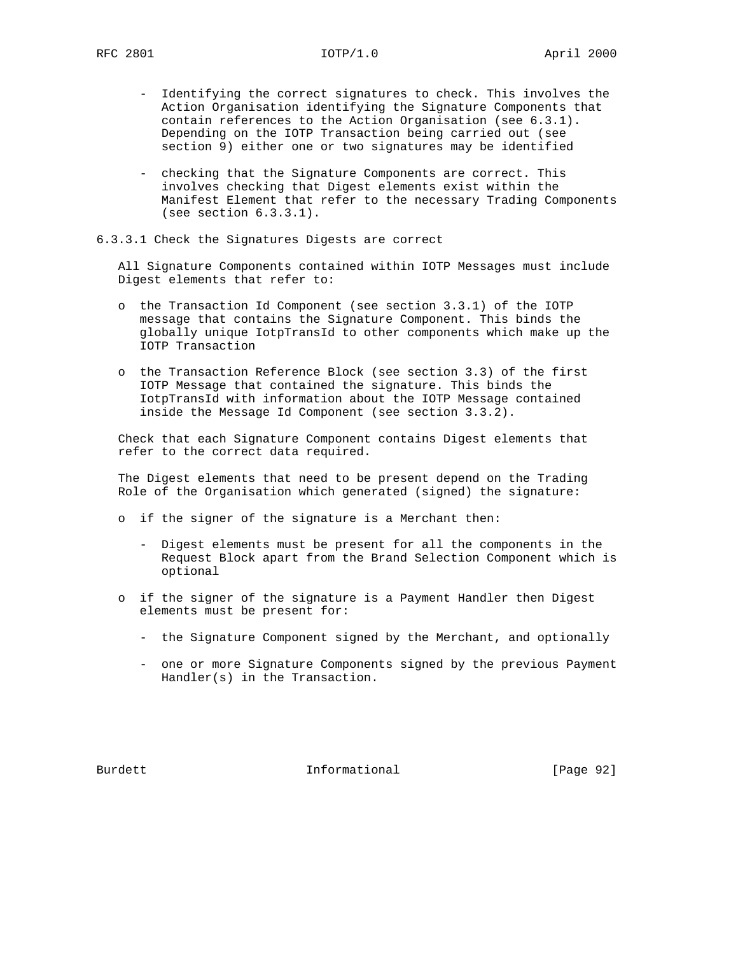- Identifying the correct signatures to check. This involves the Action Organisation identifying the Signature Components that contain references to the Action Organisation (see 6.3.1). Depending on the IOTP Transaction being carried out (see section 9) either one or two signatures may be identified
- checking that the Signature Components are correct. This involves checking that Digest elements exist within the Manifest Element that refer to the necessary Trading Components (see section 6.3.3.1).
- 6.3.3.1 Check the Signatures Digests are correct

 All Signature Components contained within IOTP Messages must include Digest elements that refer to:

- o the Transaction Id Component (see section 3.3.1) of the IOTP message that contains the Signature Component. This binds the globally unique IotpTransId to other components which make up the IOTP Transaction
- o the Transaction Reference Block (see section 3.3) of the first IOTP Message that contained the signature. This binds the IotpTransId with information about the IOTP Message contained inside the Message Id Component (see section 3.3.2).

 Check that each Signature Component contains Digest elements that refer to the correct data required.

 The Digest elements that need to be present depend on the Trading Role of the Organisation which generated (signed) the signature:

- o if the signer of the signature is a Merchant then:
	- Digest elements must be present for all the components in the Request Block apart from the Brand Selection Component which is optional
- o if the signer of the signature is a Payment Handler then Digest elements must be present for:
	- the Signature Component signed by the Merchant, and optionally
	- one or more Signature Components signed by the previous Payment Handler(s) in the Transaction.

Burdett **Informational Informational** [Page 92]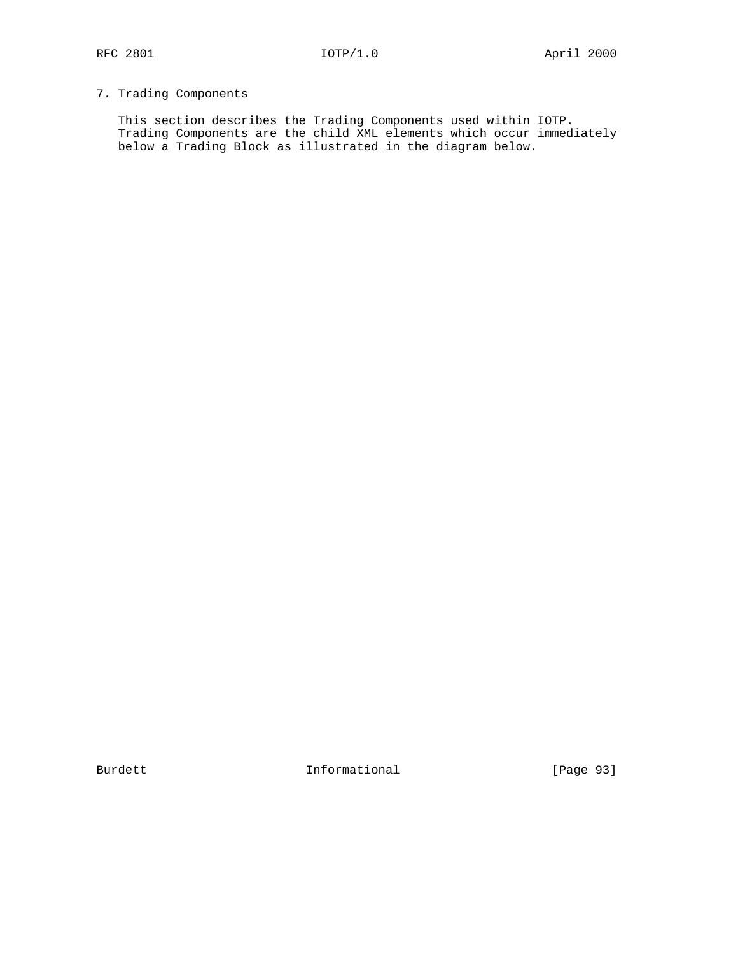# 7. Trading Components

 This section describes the Trading Components used within IOTP. Trading Components are the child XML elements which occur immediately below a Trading Block as illustrated in the diagram below.

Burdett Informational [Page 93]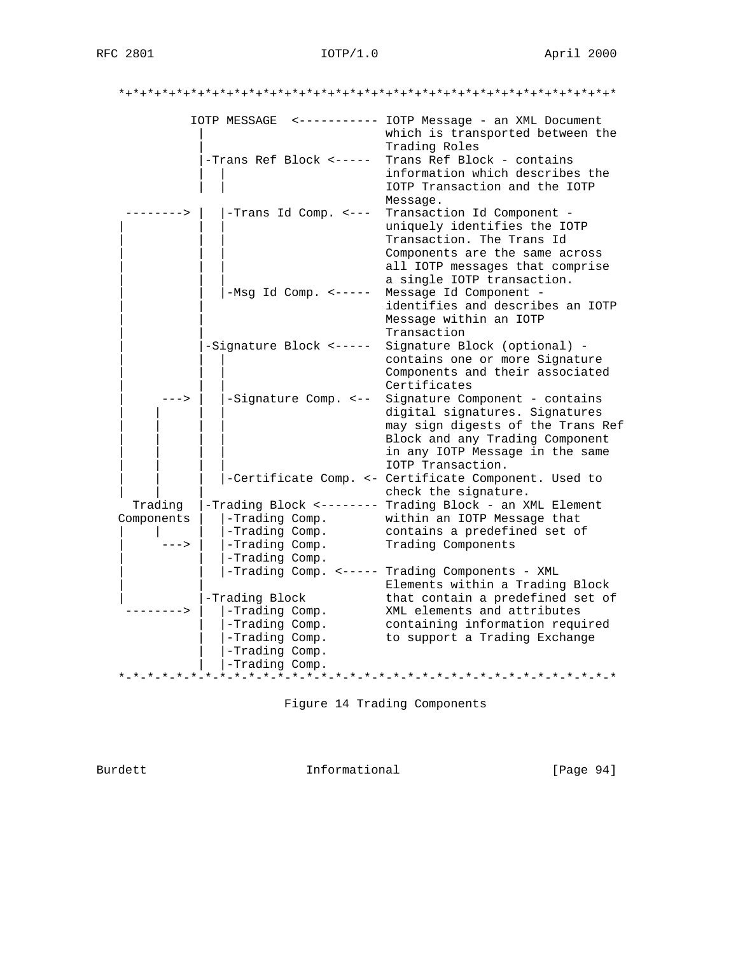\*+\*+\*+\*+\*+\*+\*+\*+\*+\*+\*+\*+\*+\*+\*+\*+\*+\*+\*+\*+\*+\*+\*+\*+\*+\*+\*+\*+\*+\*+\*+\*+\*+\*+\*

|            |                                    | IOTP MESSAGE <---------- IOTP Message - an XML Document<br>which is transported between the<br>Trading Roles                                                                                     |
|------------|------------------------------------|--------------------------------------------------------------------------------------------------------------------------------------------------------------------------------------------------|
|            |                                    | -Trans Ref Block <----- Trans Ref Block - contains<br>information which describes the<br>IOTP Transaction and the IOTP<br>Message.                                                               |
|            | $\vert$ -Trans Id Comp. <---       | Transaction Id Component -<br>uniquely identifies the IOTP<br>Transaction. The Trans Id<br>Components are the same across<br>all IOTP messages that comprise<br>a single IOTP transaction.       |
|            | $-Msg$ Id Comp. $\leftarrow$ ----- | Message Id Component -<br>identifies and describes an IOTP<br>Message within an IOTP<br>Transaction                                                                                              |
|            | -Signature Block <-----            | Signature Block (optional) -<br>contains one or more Signature<br>Components and their associated<br>Certificates                                                                                |
| $--->$     | -Signature Comp. <--               | Signature Component - contains<br>digital signatures. Signatures<br>may sign digests of the Trans Ref<br>Block and any Trading Component<br>in any IOTP Message in the same<br>IOTP Transaction. |
|            |                                    | -Certificate Comp. <- Certificate Component. Used to<br>check the signature.                                                                                                                     |
| Trading    |                                    | -Trading Block <------- Trading Block - an XML Element                                                                                                                                           |
| Components | -Trading Comp.                     | within an IOTP Message that                                                                                                                                                                      |
|            |                                    | -Trading Comp. contains a predefined set of                                                                                                                                                      |
| --->       | -Trading Comp.                     | Trading Components                                                                                                                                                                               |
|            | -Trading Comp.                     |                                                                                                                                                                                                  |
|            |                                    | -Trading Comp. <----- Trading Components - XML<br>Elements within a Trading Block                                                                                                                |
|            | -Trading Block                     | that contain a predefined set of                                                                                                                                                                 |
|            | -Trading Comp.                     | XML elements and attributes                                                                                                                                                                      |
|            |                                    | -Trading Comp. containing information required                                                                                                                                                   |
|            | -Trading Comp.                     | to support a Trading Exchange                                                                                                                                                                    |
|            | -Trading Comp.                     |                                                                                                                                                                                                  |
|            | -Trading Comp.                     |                                                                                                                                                                                                  |
|            |                                    |                                                                                                                                                                                                  |

Figure 14 Trading Components

Burdett **Informational** [Page 94]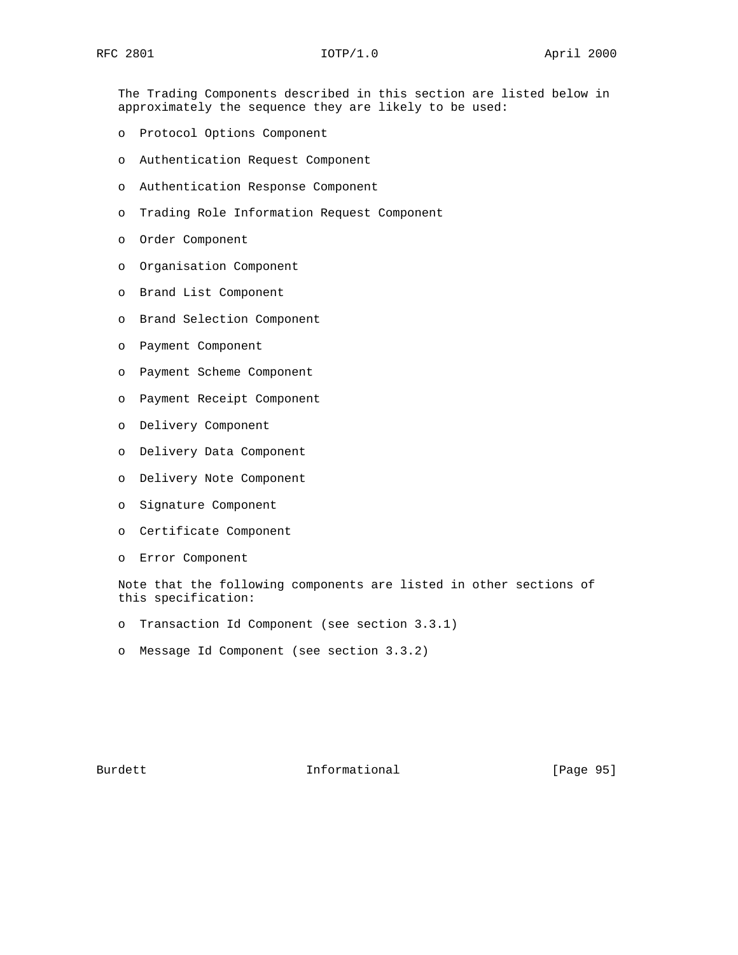The Trading Components described in this section are listed below in approximately the sequence they are likely to be used:

- o Protocol Options Component
- o Authentication Request Component
- o Authentication Response Component
- o Trading Role Information Request Component
- o Order Component
- o Organisation Component
- o Brand List Component
- o Brand Selection Component
- o Payment Component
- o Payment Scheme Component
- o Payment Receipt Component
- o Delivery Component
- o Delivery Data Component
- o Delivery Note Component
- o Signature Component
- o Certificate Component
- o Error Component

 Note that the following components are listed in other sections of this specification:

- o Transaction Id Component (see section 3.3.1)
- o Message Id Component (see section 3.3.2)

Burdett **Informational** [Page 95]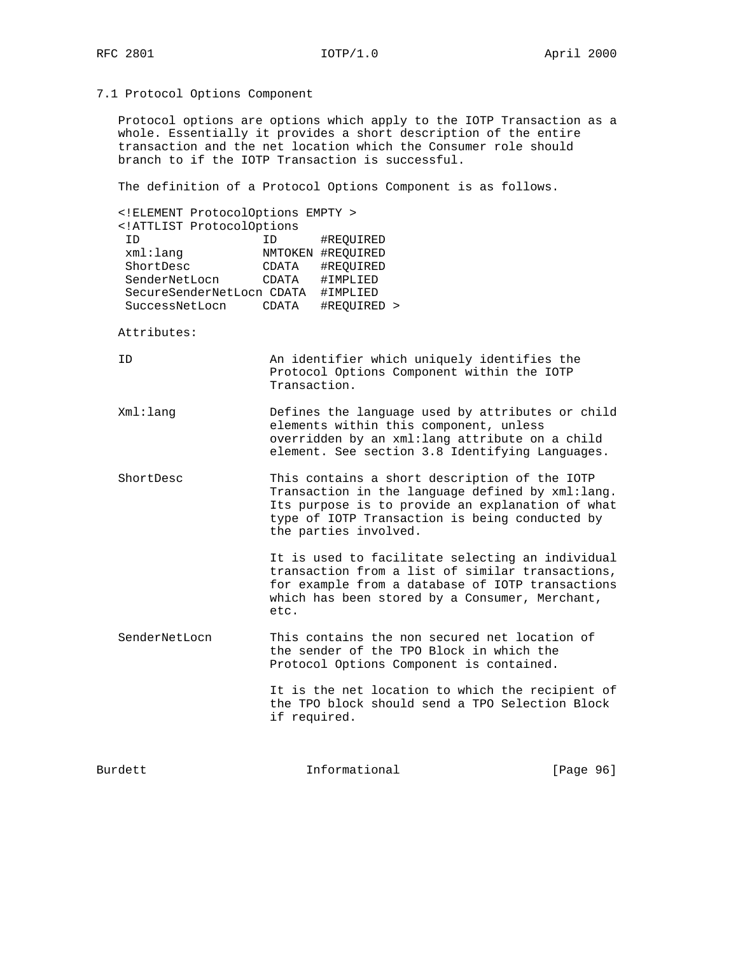7.1 Protocol Options Component

 Protocol options are options which apply to the IOTP Transaction as a whole. Essentially it provides a short description of the entire transaction and the net location which the Consumer role should branch to if the IOTP Transaction is successful.

The definition of a Protocol Options Component is as follows.

| ELEMENT ProtocolOptions EMPTY                             |         |           |  |
|-----------------------------------------------------------|---------|-----------|--|
| ATTLIST ProtocolOptions</td <td></td> <td></td> <td></td> |         |           |  |
| TD                                                        | ΤD      | #REOUIRED |  |
| xml:lang                                                  | NMTOKEN | #REOUIRED |  |
| ShortDesc                                                 | CDATA   | #REOUIRED |  |
| SenderNetLocn                                             | CDATA   | #IMPLIED  |  |
| SecureSenderNetLocn CDATA                                 |         | #IMPLIED  |  |
| SuccessNetLocn                                            | CDATA   | #REOUIRED |  |
|                                                           |         |           |  |

Attributes:

 ID An identifier which uniquely identifies the Protocol Options Component within the IOTP Transaction.

- Xml:lang Defines the language used by attributes or child elements within this component, unless overridden by an xml:lang attribute on a child element. See section 3.8 Identifying Languages.
- ShortDesc This contains a short description of the IOTP Transaction in the language defined by xml:lang. Its purpose is to provide an explanation of what type of IOTP Transaction is being conducted by the parties involved.

 It is used to facilitate selecting an individual transaction from a list of similar transactions, for example from a database of IOTP transactions which has been stored by a Consumer, Merchant, etc.

 SenderNetLocn This contains the non secured net location of the sender of the TPO Block in which the Protocol Options Component is contained.

> It is the net location to which the recipient of the TPO block should send a TPO Selection Block if required.

| Burdett | Informational | [Page 96] |  |
|---------|---------------|-----------|--|
|         |               |           |  |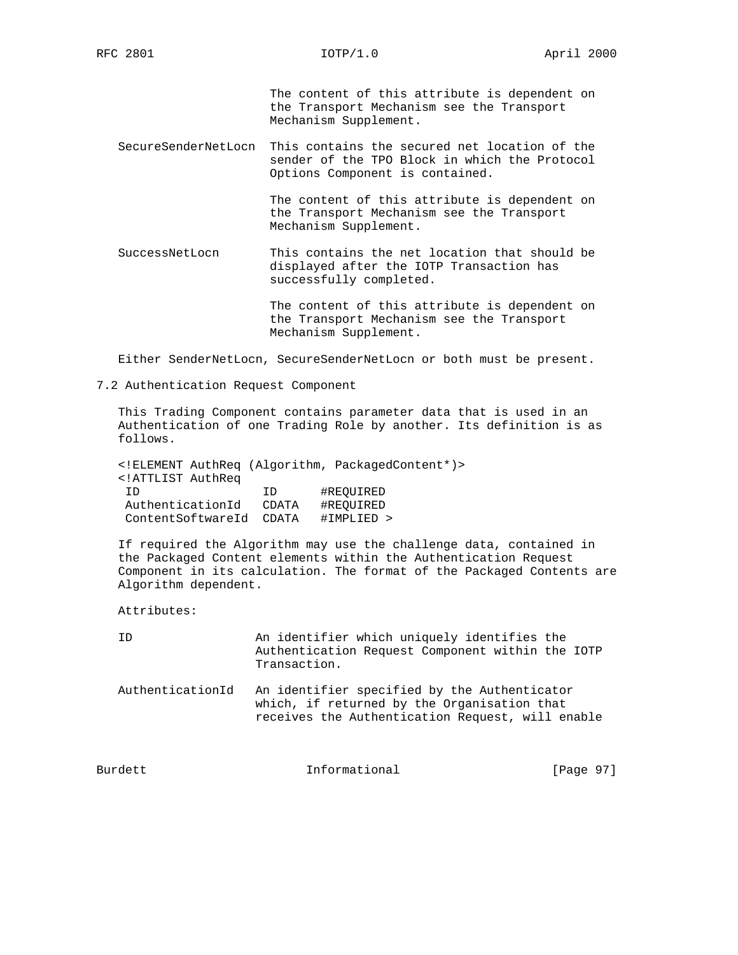The content of this attribute is dependent on the Transport Mechanism see the Transport Mechanism Supplement.

 SecureSenderNetLocn This contains the secured net location of the sender of the TPO Block in which the Protocol Options Component is contained.

> The content of this attribute is dependent on the Transport Mechanism see the Transport Mechanism Supplement.

 SuccessNetLocn This contains the net location that should be displayed after the IOTP Transaction has successfully completed.

> The content of this attribute is dependent on the Transport Mechanism see the Transport Mechanism Supplement.

Either SenderNetLocn, SecureSenderNetLocn or both must be present.

7.2 Authentication Request Component

 This Trading Component contains parameter data that is used in an Authentication of one Trading Role by another. Its definition is as follows.

|                                         |       | ELEMENT AuthReq (Algorithm, PackagedContent*) |
|-----------------------------------------|-------|-----------------------------------------------|
| ATTLIST AuthReq</td <td></td> <td></td> |       |                                               |
| ΤD                                      | TD.   | #REOUIRED                                     |
| AuthenticationId                        | CDATA | #REOUIRED                                     |
| ContentSoftwareId CDATA                 |       | #IMPLIED >                                    |

 If required the Algorithm may use the challenge data, contained in the Packaged Content elements within the Authentication Request Component in its calculation. The format of the Packaged Contents are Algorithm dependent.

Attributes:

 ID An identifier which uniquely identifies the Authentication Request Component within the IOTP Transaction.

 AuthenticationId An identifier specified by the Authenticator which, if returned by the Organisation that receives the Authentication Request, will enable

Burdett **Informational Informational** [Page 97]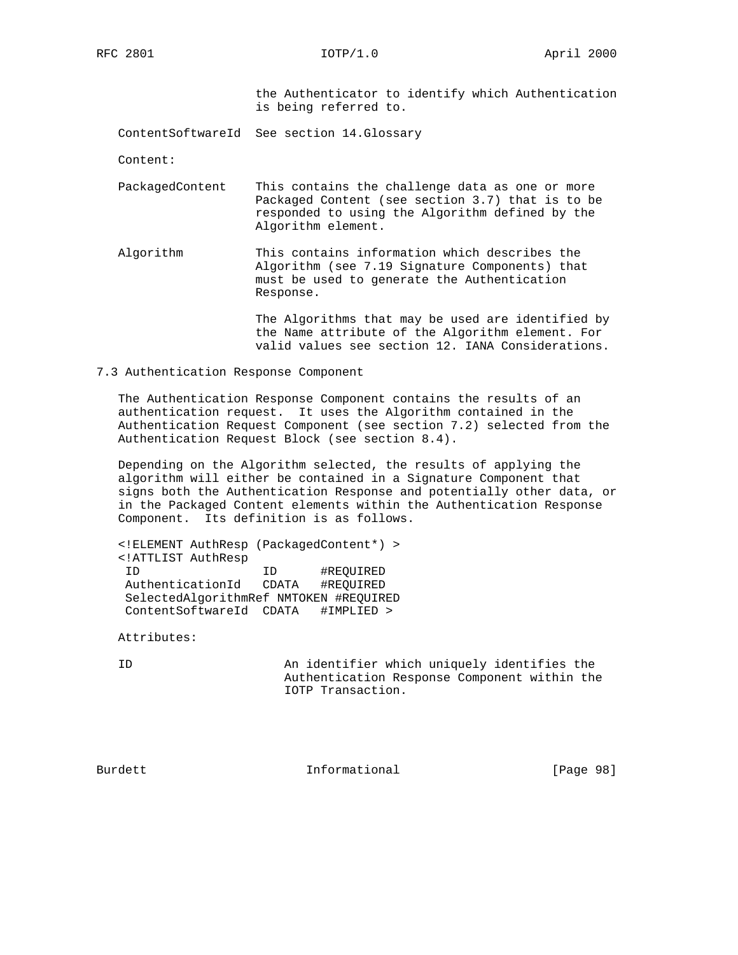the Authenticator to identify which Authentication is being referred to.

ContentSoftwareId See section 14.Glossary

Content:

- PackagedContent This contains the challenge data as one or more Packaged Content (see section 3.7) that is to be responded to using the Algorithm defined by the Algorithm element.
- Algorithm This contains information which describes the Algorithm (see 7.19 Signature Components) that must be used to generate the Authentication Response.

 The Algorithms that may be used are identified by the Name attribute of the Algorithm element. For valid values see section 12. IANA Considerations.

7.3 Authentication Response Component

 The Authentication Response Component contains the results of an authentication request. It uses the Algorithm contained in the Authentication Request Component (see section 7.2) selected from the Authentication Request Block (see section 8.4).

 Depending on the Algorithm selected, the results of applying the algorithm will either be contained in a Signature Component that signs both the Authentication Response and potentially other data, or in the Packaged Content elements within the Authentication Response Component. Its definition is as follows.

 <!ELEMENT AuthResp (PackagedContent\*) > <!ATTLIST AuthResp ID ID #REQUIRED AuthenticationId CDATA #REQUIRED SelectedAlgorithmRef NMTOKEN #REQUIRED ContentSoftwareId CDATA #IMPLIED >

Attributes:

 ID An identifier which uniquely identifies the Authentication Response Component within the IOTP Transaction.

Burdett **Informational** [Page 98]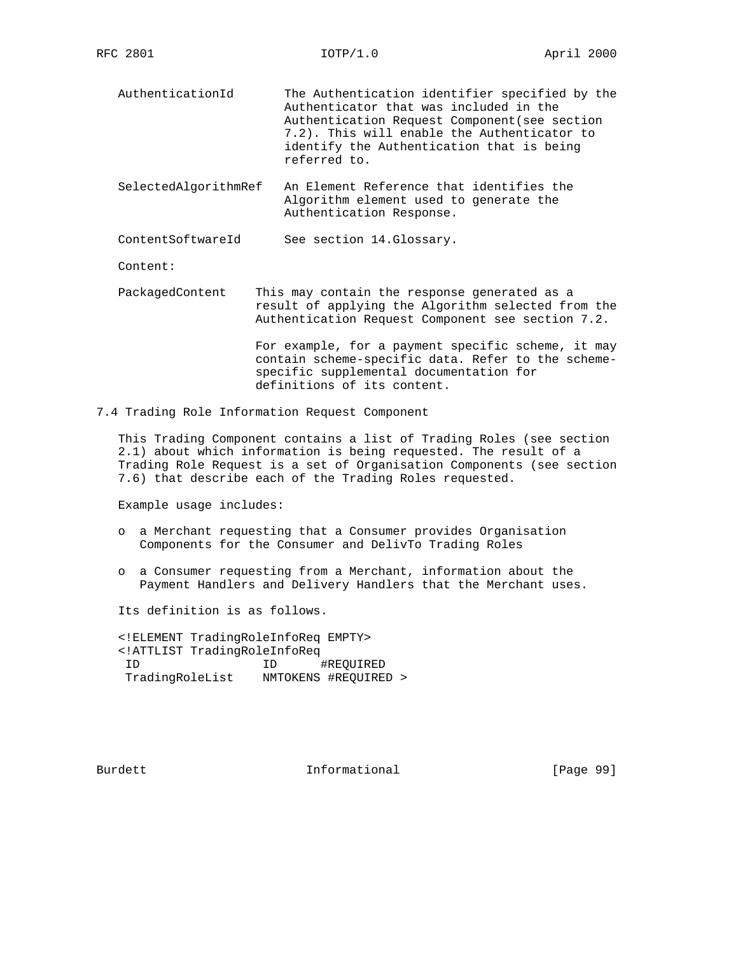AuthenticationId The Authentication identifier specified by the Authenticator that was included in the Authentication Request Component(see section 7.2). This will enable the Authenticator to identify the Authentication that is being referred to.

 SelectedAlgorithmRef An Element Reference that identifies the Algorithm element used to generate the Authentication Response.

ContentSoftwareId See section 14.Glossary.

Content:

 PackagedContent This may contain the response generated as a result of applying the Algorithm selected from the Authentication Request Component see section 7.2.

> For example, for a payment specific scheme, it may contain scheme-specific data. Refer to the scheme specific supplemental documentation for definitions of its content.

7.4 Trading Role Information Request Component

 This Trading Component contains a list of Trading Roles (see section 2.1) about which information is being requested. The result of a Trading Role Request is a set of Organisation Components (see section 7.6) that describe each of the Trading Roles requested.

Example usage includes:

- o a Merchant requesting that a Consumer provides Organisation Components for the Consumer and DelivTo Trading Roles
- o a Consumer requesting from a Merchant, information about the Payment Handlers and Delivery Handlers that the Merchant uses.

Its definition is as follows.

 <!ELEMENT TradingRoleInfoReq EMPTY> <!ATTLIST TradingRoleInfoReq ID ID #REQUIRED TradingRoleList NMTOKENS #REQUIRED >

Burdett **Informational** [Page 99]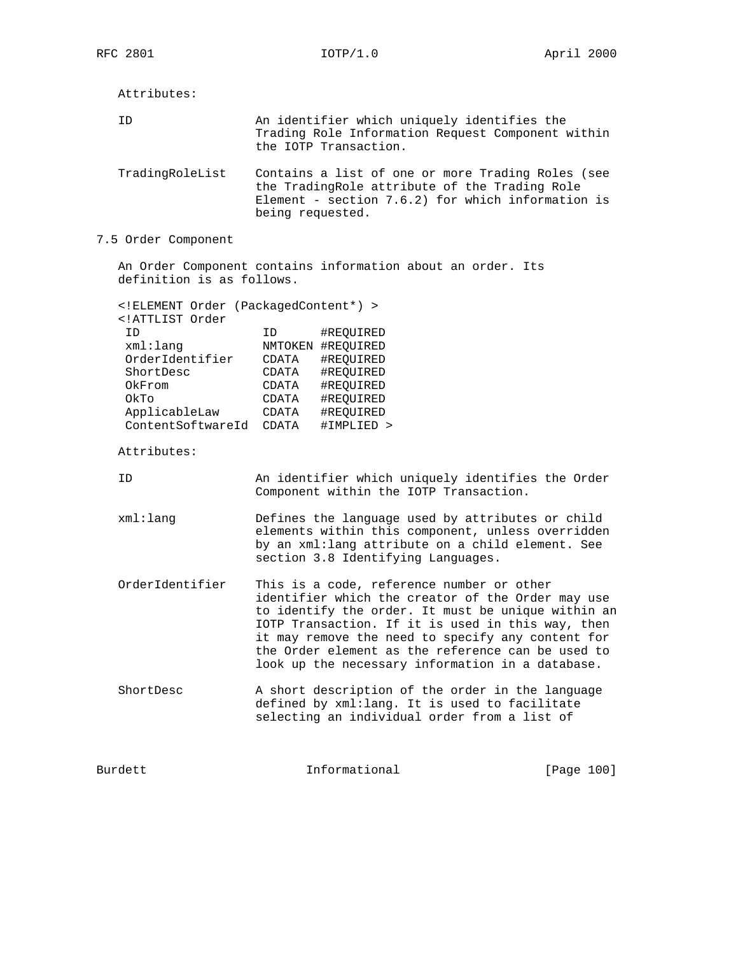Attributes: ID An identifier which uniquely identifies the Trading Role Information Request Component within the IOTP Transaction. TradingRoleList Contains a list of one or more Trading Roles (see the TradingRole attribute of the Trading Role Element - section 7.6.2) for which information is being requested. 7.5 Order Component An Order Component contains information about an order. Its definition is as follows. <!ELEMENT Order (PackagedContent\*) > <!ATTLIST Order ID ID #REQUIRED xml:lang NMTOKEN #REQUIRED OrderIdentifier CDATA #REQUIRED ShortDesc CDATA #REQUIRED OkFrom CDATA #REQUIRED OkTo CDATA #REQUIRED ApplicableLaw CDATA #REQUIRED ContentSoftwareId CDATA #IMPLIED > Attributes: ID An identifier which uniquely identifies the Order Component within the IOTP Transaction. xml:lang Defines the language used by attributes or child elements within this component, unless overridden by an xml:lang attribute on a child element. See section 3.8 Identifying Languages. OrderIdentifier This is a code, reference number or other identifier which the creator of the Order may use to identify the order. It must be unique within an IOTP Transaction. If it is used in this way, then it may remove the need to specify any content for the Order element as the reference can be used to look up the necessary information in a database. ShortDesc **A** short description of the order in the language defined by xml:lang. It is used to facilitate selecting an individual order from a list of Burdett **Informational** [Page 100]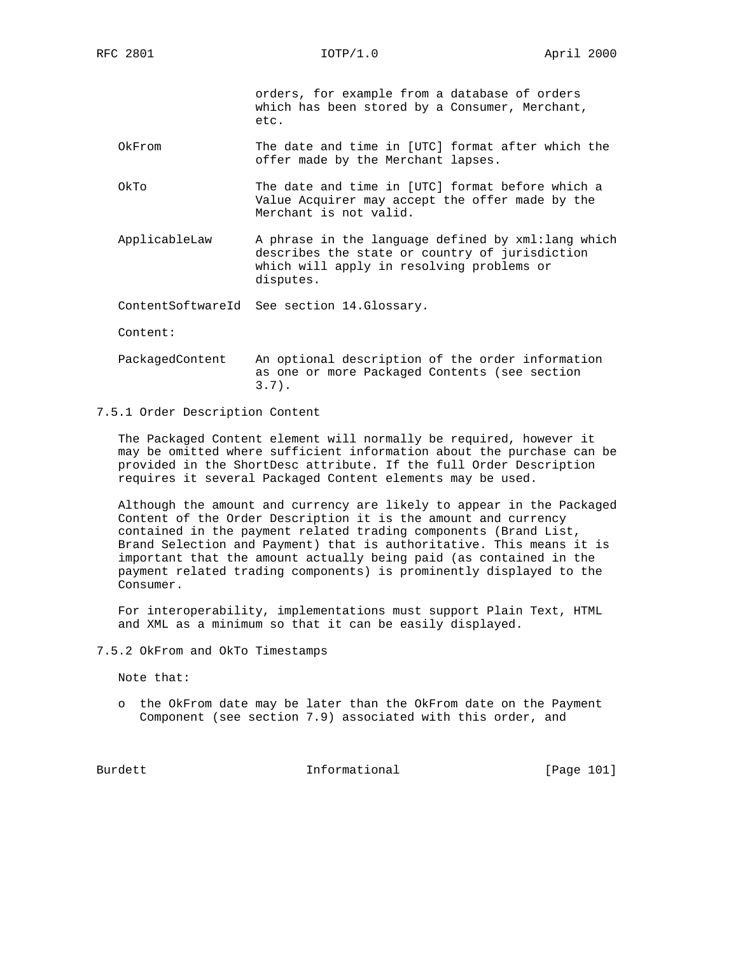orders, for example from a database of orders which has been stored by a Consumer, Merchant, etc.

 OkFrom The date and time in [UTC] format after which the offer made by the Merchant lapses.

OkTo The date and time in [UTC] format before which a Value Acquirer may accept the offer made by the Merchant is not valid.

 ApplicableLaw A phrase in the language defined by xml:lang which describes the state or country of jurisdiction which will apply in resolving problems or disputes.

ContentSoftwareId See section 14.Glossary.

Content:

- PackagedContent An optional description of the order information as one or more Packaged Contents (see section 3.7).
- 7.5.1 Order Description Content

 The Packaged Content element will normally be required, however it may be omitted where sufficient information about the purchase can be provided in the ShortDesc attribute. If the full Order Description requires it several Packaged Content elements may be used.

 Although the amount and currency are likely to appear in the Packaged Content of the Order Description it is the amount and currency contained in the payment related trading components (Brand List, Brand Selection and Payment) that is authoritative. This means it is important that the amount actually being paid (as contained in the payment related trading components) is prominently displayed to the Consumer.

 For interoperability, implementations must support Plain Text, HTML and XML as a minimum so that it can be easily displayed.

7.5.2 OkFrom and OkTo Timestamps

Note that:

 o the OkFrom date may be later than the OkFrom date on the Payment Component (see section 7.9) associated with this order, and

Burdett **Informational** [Page 101]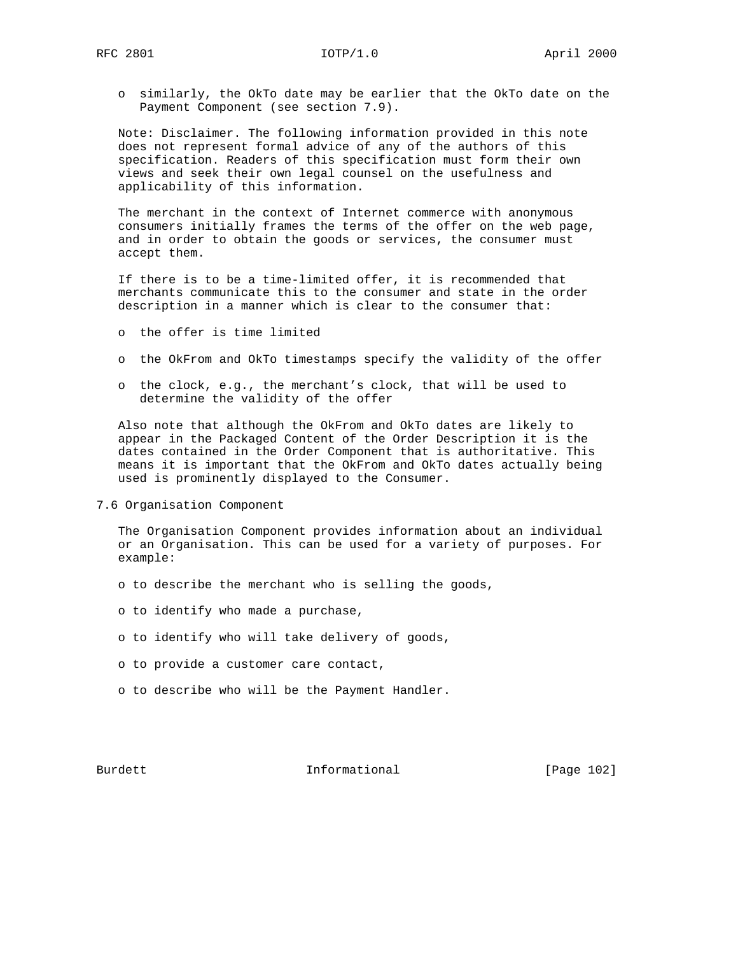o similarly, the OkTo date may be earlier that the OkTo date on the Payment Component (see section 7.9).

 Note: Disclaimer. The following information provided in this note does not represent formal advice of any of the authors of this specification. Readers of this specification must form their own views and seek their own legal counsel on the usefulness and applicability of this information.

 The merchant in the context of Internet commerce with anonymous consumers initially frames the terms of the offer on the web page, and in order to obtain the goods or services, the consumer must accept them.

 If there is to be a time-limited offer, it is recommended that merchants communicate this to the consumer and state in the order description in a manner which is clear to the consumer that:

- o the offer is time limited
- o the OkFrom and OkTo timestamps specify the validity of the offer
- o the clock, e.g., the merchant's clock, that will be used to determine the validity of the offer

 Also note that although the OkFrom and OkTo dates are likely to appear in the Packaged Content of the Order Description it is the dates contained in the Order Component that is authoritative. This means it is important that the OkFrom and OkTo dates actually being used is prominently displayed to the Consumer.

7.6 Organisation Component

 The Organisation Component provides information about an individual or an Organisation. This can be used for a variety of purposes. For example:

- o to describe the merchant who is selling the goods,
- o to identify who made a purchase,
- o to identify who will take delivery of goods,
- o to provide a customer care contact,
- o to describe who will be the Payment Handler.

Burdett **Informational** [Page 102]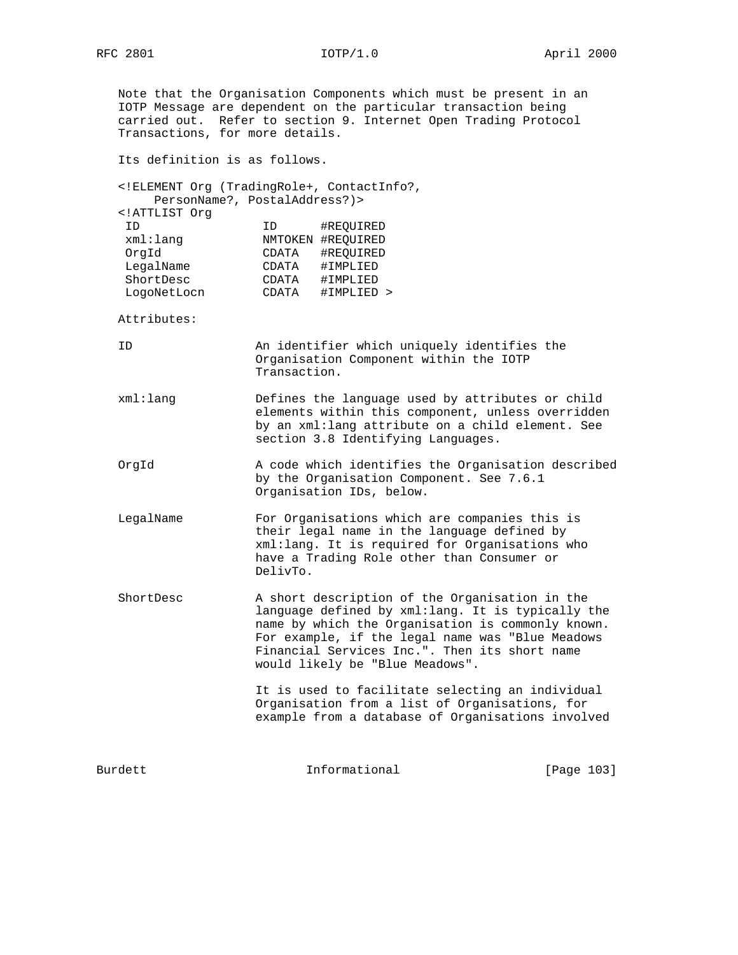Note that the Organisation Components which must be present in an IOTP Message are dependent on the particular transaction being carried out. Refer to section 9. Internet Open Trading Protocol Transactions, for more details. Its definition is as follows. <!ELEMENT Org (TradingRole+, ContactInfo?, PersonName?, PostalAddress?)> <!ATTLIST Org ID #REQUIRED<br>
xml:lang MMTOKEN #REQUIRED<br>
OrgId CDATA #REQUIRED xml:lang NMTOKEN #REQUIRED OrgId CDATA #REQUIRED<br>
LegalName CDATA #IMPLIED<br>
COATA #IMPLIED LegalName CDATA #IMPLIED ShortDesc CDATA #IMPLIED LogoNetLocn CDATA #IMPLIED > Attributes: ID An identifier which uniquely identifies the Organisation Component within the IOTP Transaction. xml:lang Defines the language used by attributes or child elements within this component, unless overridden by an xml:lang attribute on a child element. See section 3.8 Identifying Languages. OrgId A code which identifies the Organisation described by the Organisation Component. See 7.6.1 Organisation IDs, below. LegalName For Organisations which are companies this is their legal name in the language defined by xml:lang. It is required for Organisations who have a Trading Role other than Consumer or DelivTo. ShortDesc **A** short description of the Organisation in the language defined by xml:lang. It is typically the name by which the Organisation is commonly known. For example, if the legal name was "Blue Meadows Financial Services Inc.". Then its short name would likely be "Blue Meadows". It is used to facilitate selecting an individual Organisation from a list of Organisations, for example from a database of Organisations involved Burdett **Informational** [Page 103]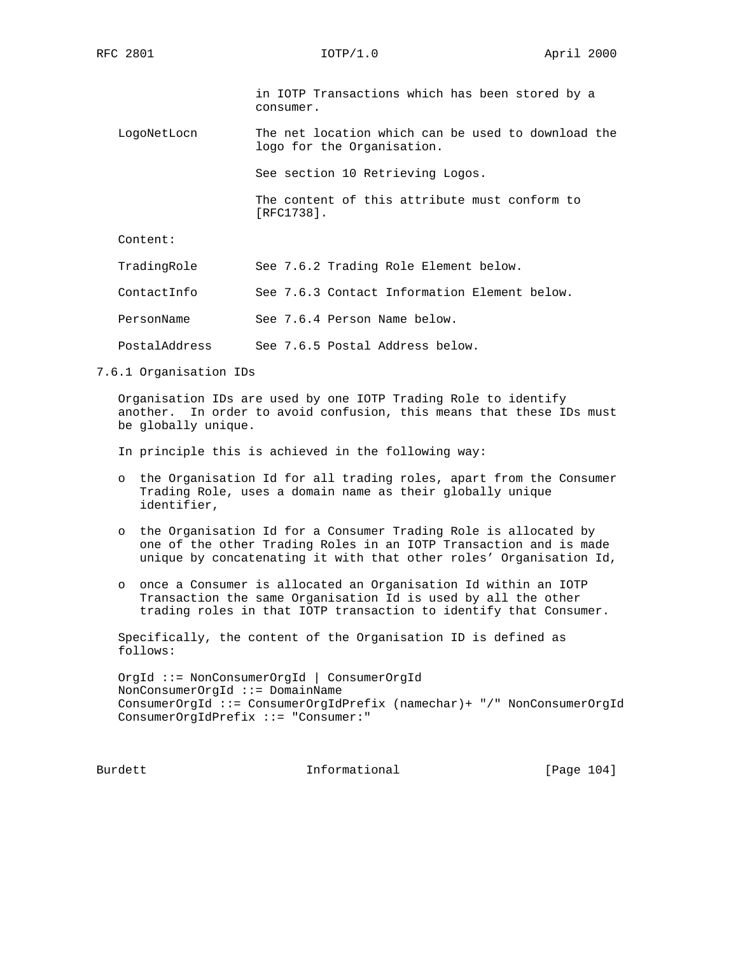in IOTP Transactions which has been stored by a consumer.

 LogoNetLocn The net location which can be used to download the logo for the Organisation.

See section 10 Retrieving Logos.

 The content of this attribute must conform to [RFC1738].

Content:

| TradingRole   | See 7.6.2 Trading Role Element below.        |
|---------------|----------------------------------------------|
| ContactInfo   | See 7.6.3 Contact Information Element below. |
| PersonName    | See 7.6.4 Person Name below.                 |
| PostalAddress | See 7.6.5 Postal Address below.              |

7.6.1 Organisation IDs

 Organisation IDs are used by one IOTP Trading Role to identify another. In order to avoid confusion, this means that these IDs must be globally unique.

In principle this is achieved in the following way:

- o the Organisation Id for all trading roles, apart from the Consumer Trading Role, uses a domain name as their globally unique identifier,
- o the Organisation Id for a Consumer Trading Role is allocated by one of the other Trading Roles in an IOTP Transaction and is made unique by concatenating it with that other roles' Organisation Id,
- o once a Consumer is allocated an Organisation Id within an IOTP Transaction the same Organisation Id is used by all the other trading roles in that IOTP transaction to identify that Consumer.

 Specifically, the content of the Organisation ID is defined as follows:

 OrgId ::= NonConsumerOrgId | ConsumerOrgId NonConsumerOrgId ::= DomainName ConsumerOrgId ::= ConsumerOrgIdPrefix (namechar)+ "/" NonConsumerOrgId ConsumerOrgIdPrefix ::= "Consumer:"

Burdett Informational [Page 104]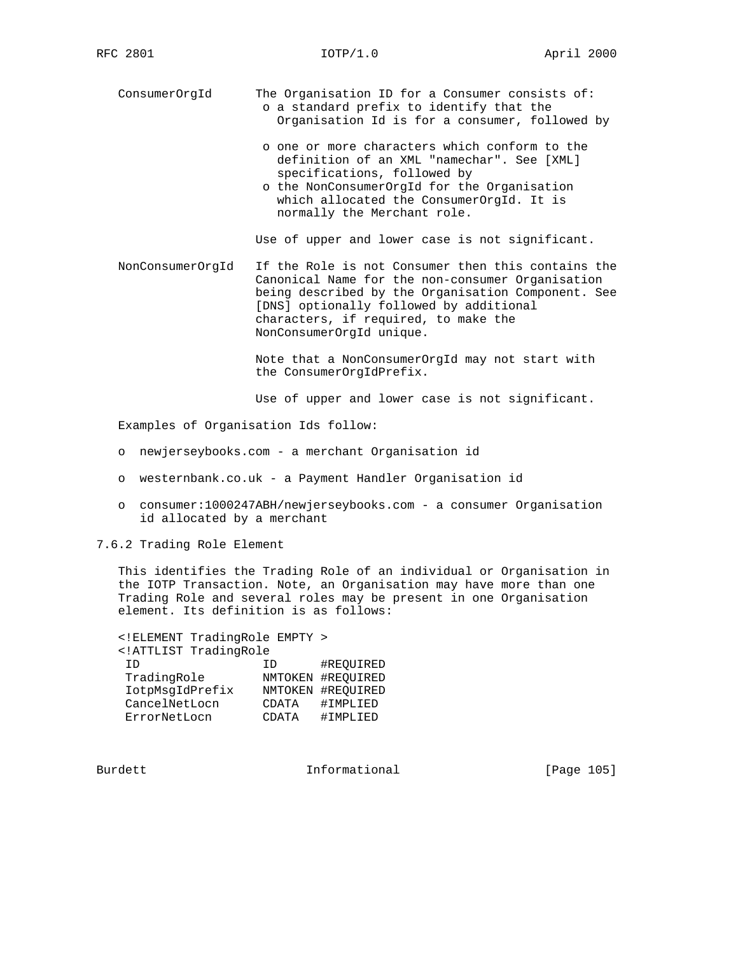- ConsumerOrgId The Organisation ID for a Consumer consists of: o a standard prefix to identify that the Organisation Id is for a consumer, followed by
	- o one or more characters which conform to the definition of an XML "namechar". See [XML] specifications, followed by
	- o the NonConsumerOrgId for the Organisation which allocated the ConsumerOrgId. It is normally the Merchant role.

Use of upper and lower case is not significant.

 NonConsumerOrgId If the Role is not Consumer then this contains the Canonical Name for the non-consumer Organisation being described by the Organisation Component. See [DNS] optionally followed by additional characters, if required, to make the NonConsumerOrgId unique.

> Note that a NonConsumerOrgId may not start with the ConsumerOrgIdPrefix.

> Use of upper and lower case is not significant.

Examples of Organisation Ids follow:

- o newjerseybooks.com a merchant Organisation id
- o westernbank.co.uk a Payment Handler Organisation id
- o consumer:1000247ABH/newjerseybooks.com a consumer Organisation id allocated by a merchant

7.6.2 Trading Role Element

 This identifies the Trading Role of an individual or Organisation in the IOTP Transaction. Note, an Organisation may have more than one Trading Role and several roles may be present in one Organisation element. Its definition is as follows:

| ELEMENT TradingRole EMPTY                   |         |                   |
|---------------------------------------------|---------|-------------------|
| ATTLIST TradingRole</td <td></td> <td></td> |         |                   |
| TD                                          | TD      | #REOUIRED         |
| TradingRole                                 |         | NMTOKEN #REOUIRED |
| IotpMsgIdPrefix                             | NMTOKEN | #REQUIRED         |
| CancelNetLocn                               | CDATA   | #IMPLIED          |
| ErrorNetLocn                                | CDATA   | #IMPLIED          |

Burdett **Informational** [Page 105]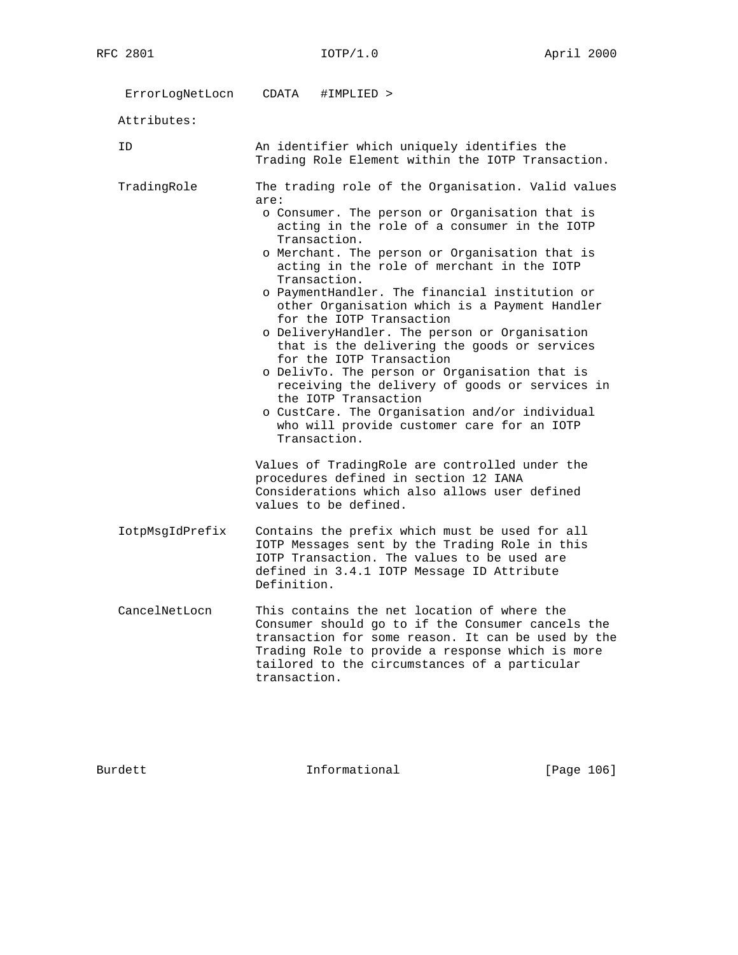| ErrorLogNetLocn | CDATA<br>#IMPLIED >                                                                                                                                                                                                                                                                                                                                                                                                                                                                                                                                                                                                                                                                                                                                                                                                                                                                                                                                                      |
|-----------------|--------------------------------------------------------------------------------------------------------------------------------------------------------------------------------------------------------------------------------------------------------------------------------------------------------------------------------------------------------------------------------------------------------------------------------------------------------------------------------------------------------------------------------------------------------------------------------------------------------------------------------------------------------------------------------------------------------------------------------------------------------------------------------------------------------------------------------------------------------------------------------------------------------------------------------------------------------------------------|
| Attributes:     |                                                                                                                                                                                                                                                                                                                                                                                                                                                                                                                                                                                                                                                                                                                                                                                                                                                                                                                                                                          |
| ΙD              | An identifier which uniquely identifies the<br>Trading Role Element within the IOTP Transaction.                                                                                                                                                                                                                                                                                                                                                                                                                                                                                                                                                                                                                                                                                                                                                                                                                                                                         |
| TradingRole     | The trading role of the Organisation. Valid values<br>are:<br>o Consumer. The person or Organisation that is<br>acting in the role of a consumer in the IOTP<br>Transaction.<br>o Merchant. The person or Organisation that is<br>acting in the role of merchant in the IOTP<br>Transaction.<br>o PaymentHandler. The financial institution or<br>other Organisation which is a Payment Handler<br>for the IOTP Transaction<br>o DeliveryHandler. The person or Organisation<br>that is the delivering the goods or services<br>for the IOTP Transaction<br>o DelivTo. The person or Organisation that is<br>receiving the delivery of goods or services in<br>the IOTP Transaction<br>o CustCare. The Organisation and/or individual<br>who will provide customer care for an IOTP<br>Transaction.<br>Values of TradingRole are controlled under the<br>procedures defined in section 12 IANA<br>Considerations which also allows user defined<br>values to be defined. |
| IotpMsqIdPrefix | Contains the prefix which must be used for all<br>IOTP Messages sent by the Trading Role in this<br>IOTP Transaction. The values to be used are<br>defined in 3.4.1 IOTP Message ID Attribute<br>Definition.                                                                                                                                                                                                                                                                                                                                                                                                                                                                                                                                                                                                                                                                                                                                                             |
| CancelNetLocn   | This contains the net location of where the<br>Consumer should go to if the Consumer cancels the<br>transaction for some reason. It can be used by the<br>Trading Role to provide a response which is more<br>tailored to the circumstances of a particular<br>transaction.                                                                                                                                                                                                                                                                                                                                                                                                                                                                                                                                                                                                                                                                                              |

Burdett **Informational** [Page 106]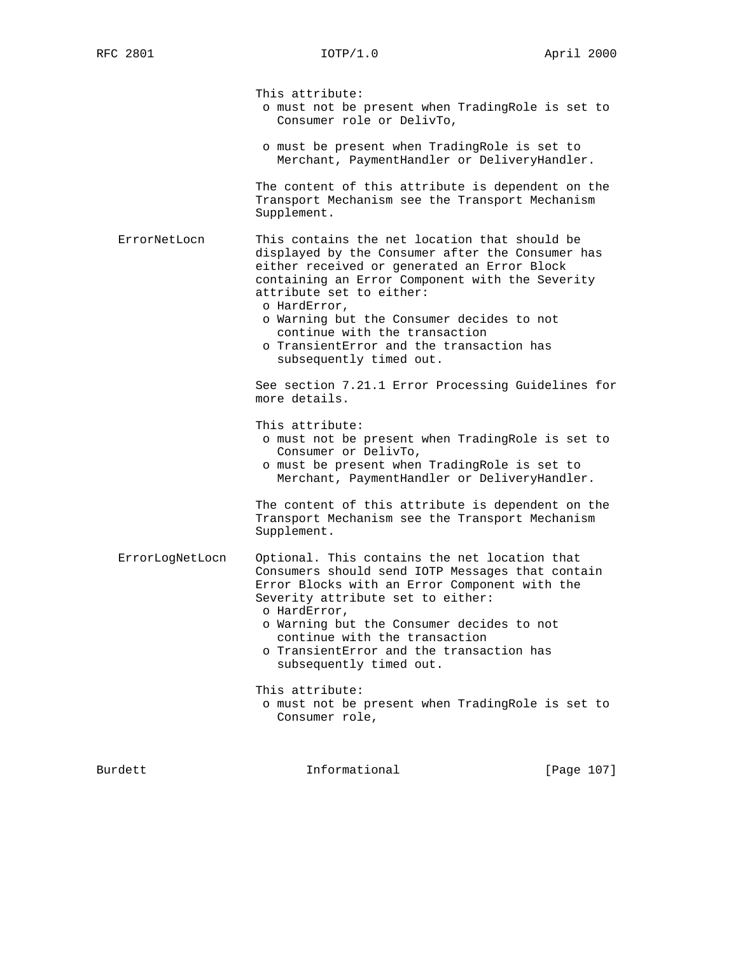This attribute: o must not be present when TradingRole is set to Consumer role or DelivTo, o must be present when TradingRole is set to Merchant, PaymentHandler or DeliveryHandler. The content of this attribute is dependent on the Transport Mechanism see the Transport Mechanism Supplement. ErrorNetLocn This contains the net location that should be displayed by the Consumer after the Consumer has either received or generated an Error Block containing an Error Component with the Severity attribute set to either: o HardError, o Warning but the Consumer decides to not continue with the transaction o TransientError and the transaction has subsequently timed out. See section 7.21.1 Error Processing Guidelines for more details. This attribute: o must not be present when TradingRole is set to Consumer or DelivTo, o must be present when TradingRole is set to Merchant, PaymentHandler or DeliveryHandler. The content of this attribute is dependent on the Transport Mechanism see the Transport Mechanism Supplement. ErrorLogNetLocn Optional. This contains the net location that Consumers should send IOTP Messages that contain Error Blocks with an Error Component with the Severity attribute set to either: o HardError, o Warning but the Consumer decides to not continue with the transaction o TransientError and the transaction has subsequently timed out. This attribute: o must not be present when TradingRole is set to Consumer role,

Burdett **Informational** [Page 107]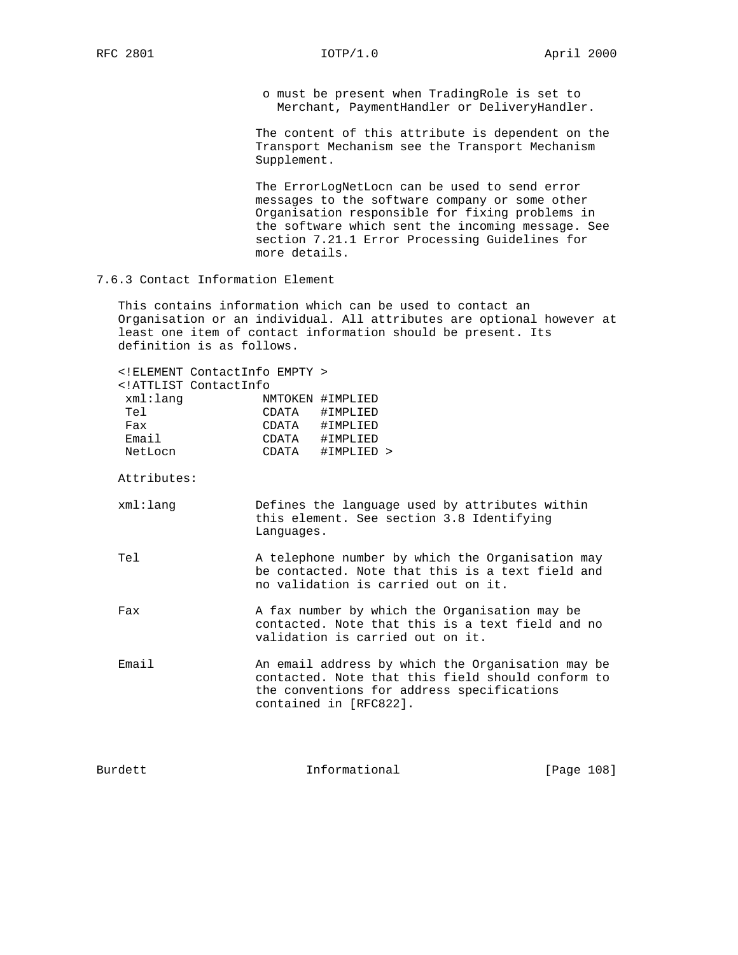o must be present when TradingRole is set to Merchant, PaymentHandler or DeliveryHandler.

 The content of this attribute is dependent on the Transport Mechanism see the Transport Mechanism Supplement.

 The ErrorLogNetLocn can be used to send error messages to the software company or some other Organisation responsible for fixing problems in the software which sent the incoming message. See section 7.21.1 Error Processing Guidelines for more details.

7.6.3 Contact Information Element

 This contains information which can be used to contact an Organisation or an individual. All attributes are optional however at least one item of contact information should be present. Its definition is as follows.

| ATTLIST ContactInfo<br xml:lanq<br>Tel<br>Fax<br>Email<br>NetLocn | ELEMENT ContactInfo EMPTY<br>NMTOKEN #IMPLIED<br>CDATA #IMPLIED<br>#IMPLIED<br>CDATA<br>CDATA<br>#IMPLIED<br>CDATA<br>#IMPLIED >                                               |
|-------------------------------------------------------------------|--------------------------------------------------------------------------------------------------------------------------------------------------------------------------------|
| Attributes:                                                       |                                                                                                                                                                                |
| xml:lang                                                          | Defines the language used by attributes within<br>this element. See section 3.8 Identifying<br>Languages.                                                                      |
| Tel                                                               | A telephone number by which the Organisation may<br>be contacted. Note that this is a text field and<br>no validation is carried out on it.                                    |
| Fax                                                               | A fax number by which the Organisation may be<br>contacted. Note that this is a text field and no<br>validation is carried out on it.                                          |
| Email                                                             | An email address by which the Organisation may be<br>contacted. Note that this field should conform to<br>the conventions for address specifications<br>contained in [RFC822]. |

| Burdett | Informational | [Page 108] |
|---------|---------------|------------|
|         |               |            |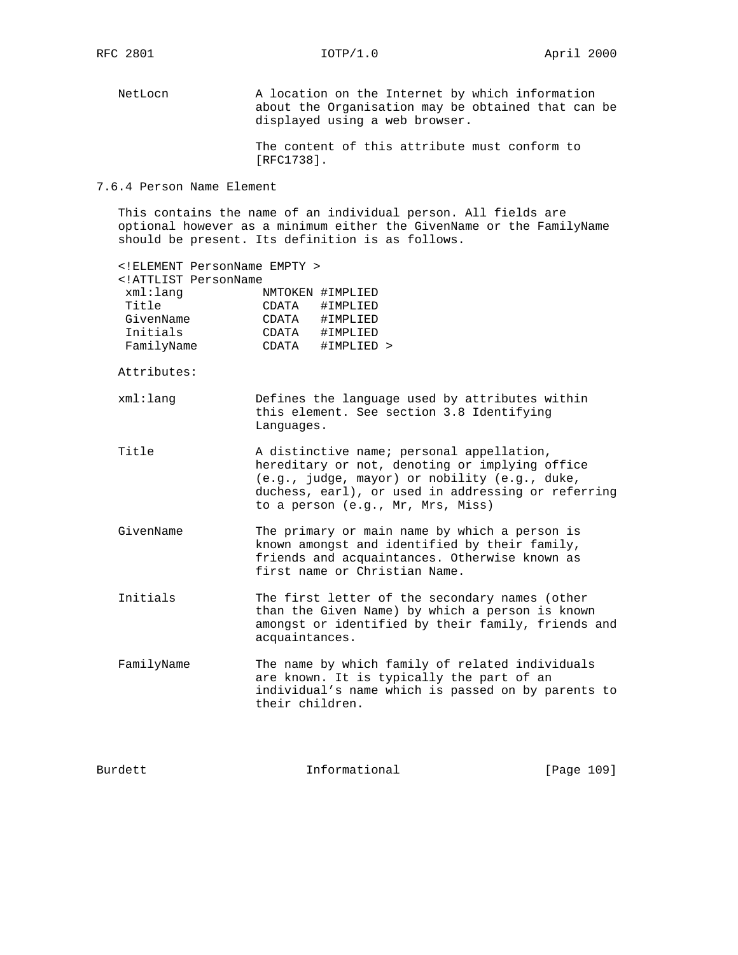NetLocn A location on the Internet by which information about the Organisation may be obtained that can be displayed using a web browser.

> The content of this attribute must conform to [RFC1738].

7.6.4 Person Name Element

 This contains the name of an individual person. All fields are optional however as a minimum either the GivenName or the FamilyName should be present. Its definition is as follows.

|            | ELEMENT PersonName EMPTY                             |       |                  |  |
|------------|------------------------------------------------------|-------|------------------|--|
|            | ATTLIST PersonName</td <td></td> <td></td> <td></td> |       |                  |  |
| xml:lang   |                                                      |       | NMTOKEN #IMPLIED |  |
| Title      |                                                      | CDATA | #IMPLIED         |  |
| GivenName  |                                                      | CDATA | #IMPLIED         |  |
| Initials   |                                                      | CDATA | #IMPLIED         |  |
| FamilyName |                                                      | CDATA | #IMPLIED >       |  |
|            |                                                      |       |                  |  |

Attributes:

- xml:lang Defines the language used by attributes within this element. See section 3.8 Identifying Languages.
- Title  $A$  distinctive name; personal appellation, hereditary or not, denoting or implying office (e.g., judge, mayor) or nobility (e.g., duke, duchess, earl), or used in addressing or referring to a person (e.g., Mr, Mrs, Miss)
- GivenName The primary or main name by which a person is known amongst and identified by their family, friends and acquaintances. Otherwise known as first name or Christian Name.
- Initials The first letter of the secondary names (other than the Given Name) by which a person is known amongst or identified by their family, friends and acquaintances.
- FamilyName The name by which family of related individuals are known. It is typically the part of an individual's name which is passed on by parents to their children.

| Burdett | Informational | [Page 109] |
|---------|---------------|------------|
|         |               |            |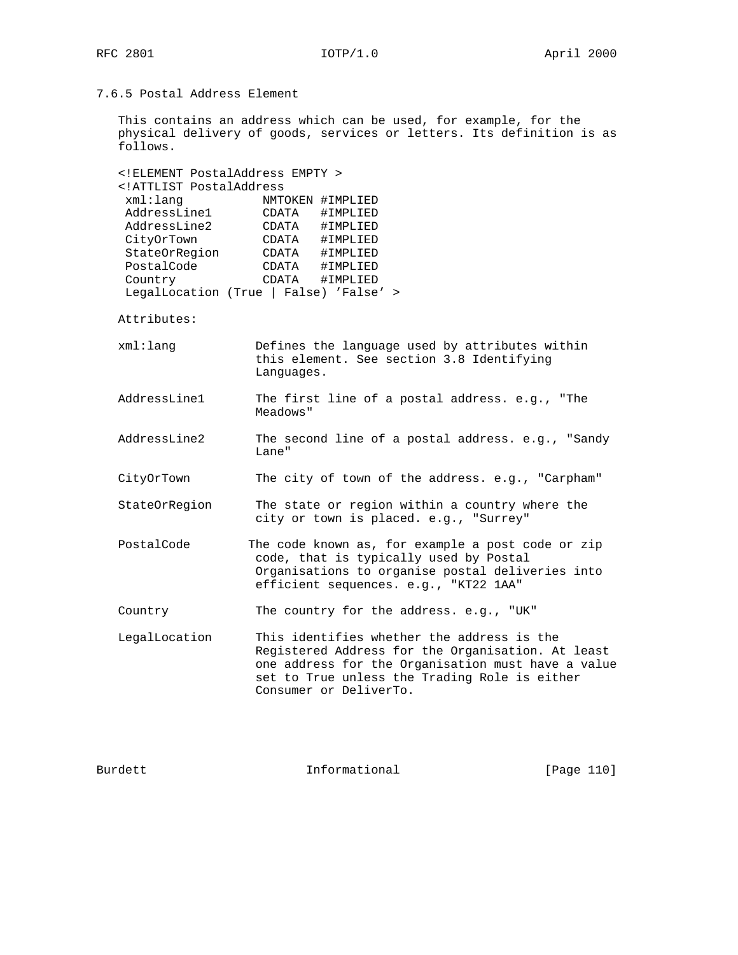7.6.5 Postal Address Element

 This contains an address which can be used, for example, for the physical delivery of goods, services or letters. Its definition is as follows.

 <!ELEMENT PostalAddress EMPTY > <!ATTLIST PostalAddress xml:lang NMTOKEN #IMPLIED AddressLine1 CDATA #IMPLIED AddressLine2 CDATA #IMPLIED CityOrTown CDATA #IMPLIED StateOrRegion CDATA #IMPLIED PostalCode CDATA #IMPLIED Country CDATA #IMPLIED LegalLocation (True | False) 'False' >

Attributes:

 xml:lang Defines the language used by attributes within this element. See section 3.8 Identifying Languages.

 AddressLine1 The first line of a postal address. e.g., "The Meadows"

- AddressLine2 The second line of a postal address. e.g., "Sandy Lane"
- CityOrTown The city of town of the address. e.g., "Carpham"
- StateOrRegion The state or region within a country where the city or town is placed. e.g., "Surrey"
- PostalCode The code known as, for example a post code or zip code, that is typically used by Postal Organisations to organise postal deliveries into efficient sequences. e.g., "KT22 1AA"

Country The country for the address. e.g., "UK"

 LegalLocation This identifies whether the address is the Registered Address for the Organisation. At least one address for the Organisation must have a value set to True unless the Trading Role is either Consumer or DeliverTo.

Burdett 10 Informational [Page 110]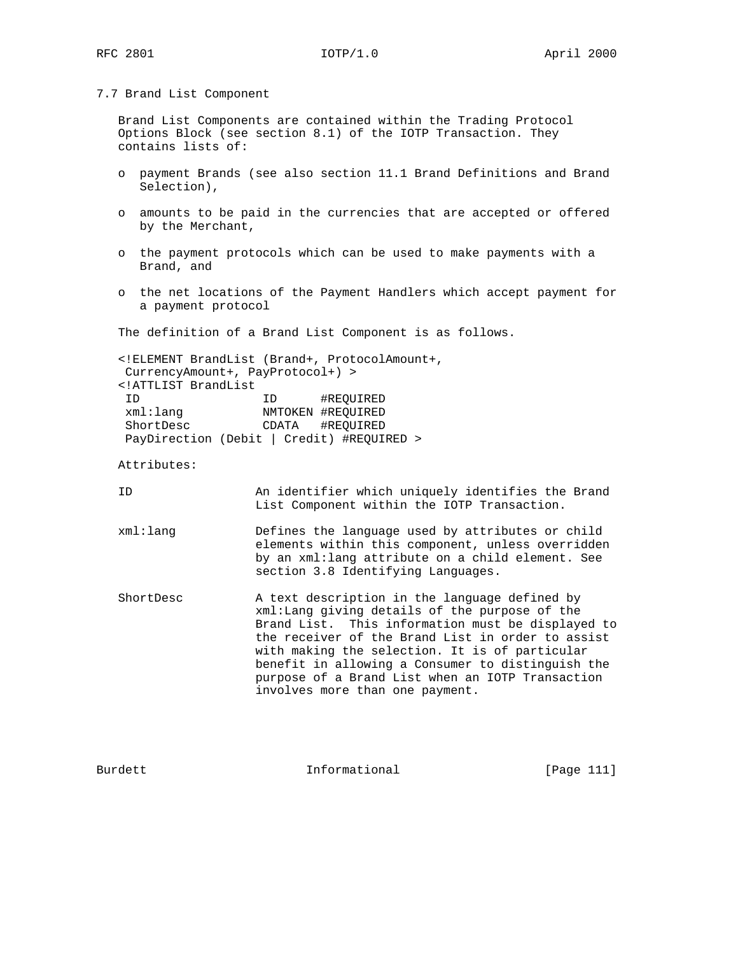7.7 Brand List Component

 Brand List Components are contained within the Trading Protocol Options Block (see section 8.1) of the IOTP Transaction. They contains lists of:

- o payment Brands (see also section 11.1 Brand Definitions and Brand Selection),
- o amounts to be paid in the currencies that are accepted or offered by the Merchant,
- o the payment protocols which can be used to make payments with a Brand, and
- o the net locations of the Payment Handlers which accept payment for a payment protocol

The definition of a Brand List Component is as follows.

 <!ELEMENT BrandList (Brand+, ProtocolAmount+, CurrencyAmount+, PayProtocol+) > <!ATTLIST BrandList ID ID #REQUIRED xml:lang NMTOKEN #REQUIRED ShortDesc CDATA #REQUIRED PayDirection (Debit | Credit) #REQUIRED >

Attributes:

 ID An identifier which uniquely identifies the Brand List Component within the IOTP Transaction.

- xml:lang Defines the language used by attributes or child elements within this component, unless overridden by an xml:lang attribute on a child element. See section 3.8 Identifying Languages.
- ShortDesc **A** text description in the language defined by xml:Lang giving details of the purpose of the Brand List. This information must be displayed to the receiver of the Brand List in order to assist with making the selection. It is of particular benefit in allowing a Consumer to distinguish the purpose of a Brand List when an IOTP Transaction involves more than one payment.

| Burdett | Informational | [Page 111] |  |
|---------|---------------|------------|--|
|         |               |            |  |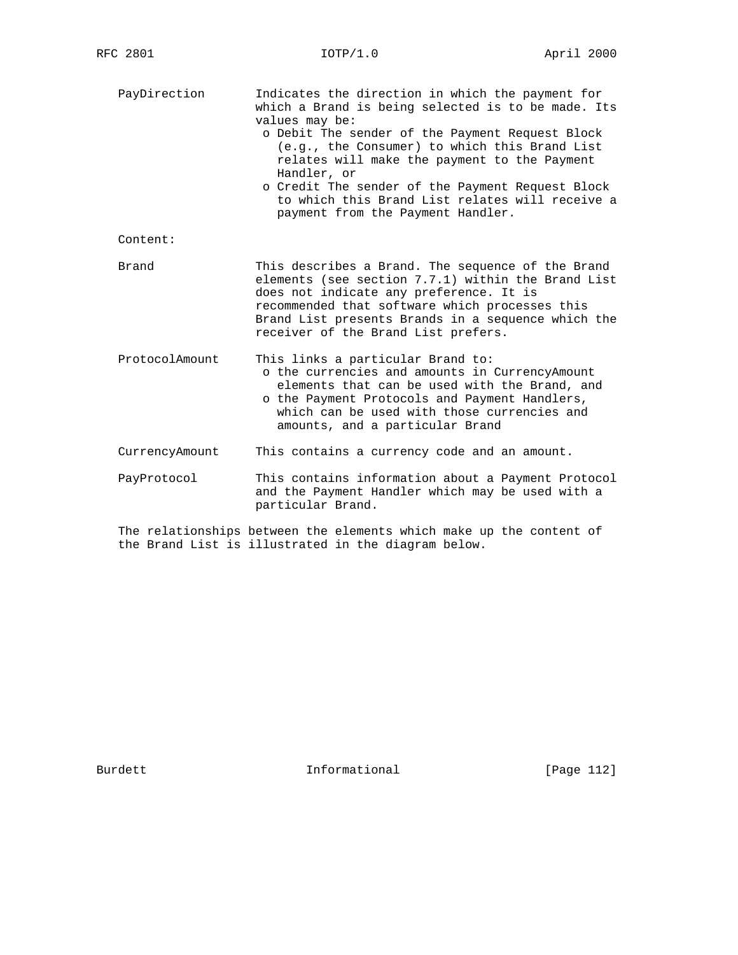| PayDirection   | Indicates the direction in which the payment for<br>which a Brand is being selected is to be made. Its<br>values may be:<br>o Debit The sender of the Payment Request Block<br>(e.g., the Consumer) to which this Brand List<br>relates will make the payment to the Payment<br>Handler, or<br>o Credit The sender of the Payment Request Block<br>to which this Brand List relates will receive a<br>payment from the Payment Handler. |
|----------------|-----------------------------------------------------------------------------------------------------------------------------------------------------------------------------------------------------------------------------------------------------------------------------------------------------------------------------------------------------------------------------------------------------------------------------------------|
| Content:       |                                                                                                                                                                                                                                                                                                                                                                                                                                         |
| Brand          | This describes a Brand. The sequence of the Brand<br>elements (see section 7.7.1) within the Brand List<br>does not indicate any preference. It is<br>recommended that software which processes this<br>Brand List presents Brands in a sequence which the<br>receiver of the Brand List prefers.                                                                                                                                       |
| ProtocolAmount | This links a particular Brand to:<br>o the currencies and amounts in CurrencyAmount<br>elements that can be used with the Brand, and<br>o the Payment Protocols and Payment Handlers,<br>which can be used with those currencies and<br>amounts, and a particular Brand                                                                                                                                                                 |
| CurrencyAmount | This contains a currency code and an amount.                                                                                                                                                                                                                                                                                                                                                                                            |
| PayProtocol    | This contains information about a Payment Protocol<br>and the Payment Handler which may be used with a<br>particular Brand.                                                                                                                                                                                                                                                                                                             |
|                |                                                                                                                                                                                                                                                                                                                                                                                                                                         |

 The relationships between the elements which make up the content of the Brand List is illustrated in the diagram below.

Burdett **Informational** [Page 112]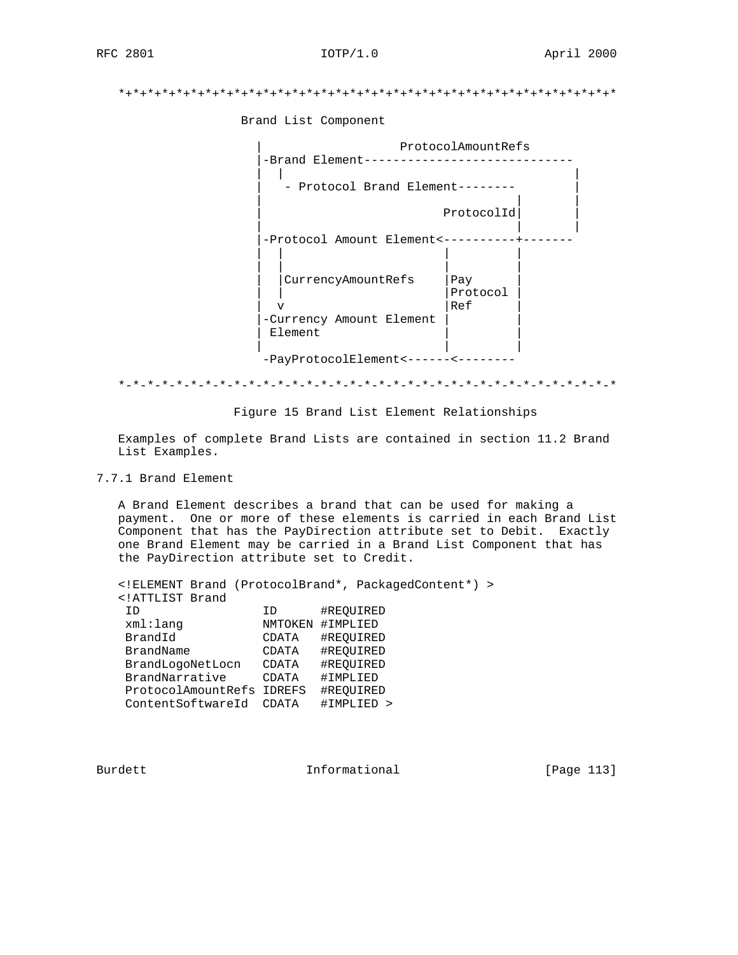\*+\*+\*+\*+\*+\*+\*+\*+\*+\*+\*+\*+\*+\*+\*+\*+\*+\*+\*+\*+\*+\*+\*+\*+\*+\*+\*+\*+\*+\*+\*+\*+\*+\*+\*

Brand List Component



\*-\*-\*-\*-\*-\*-\*-\*-\*-\*-\*-\*-\*-\*-\*-\*-\*-\*-\*-\*-\*-\*-\*-\*-\*-\*-\*-\*-\*-\*-\*-\*-\*-\*-\*

Figure 15 Brand List Element Relationships

 Examples of complete Brand Lists are contained in section 11.2 Brand List Examples.

# 7.7.1 Brand Element

 A Brand Element describes a brand that can be used for making a payment. One or more of these elements is carried in each Brand List Component that has the PayDirection attribute set to Debit. Exactly one Brand Element may be carried in a Brand List Component that has the PayDirection attribute set to Credit.

 <!ELEMENT Brand (ProtocolBrand\*, PackagedContent\*) > <!ATTLIST Brand ID ID #REQUIRED xml:lang NMTOKEN #IMPLIED BrandId CDATA #REQUIRED BrandName CDATA #REQUIRED BrandLogoNetLocn CDATA #REQUIRED BrandNarrative CDATA #IMPLIED ProtocolAmountRefs IDREFS #REQUIRED ContentSoftwareId CDATA #IMPLIED >

Burdett **Informational** [Page 113]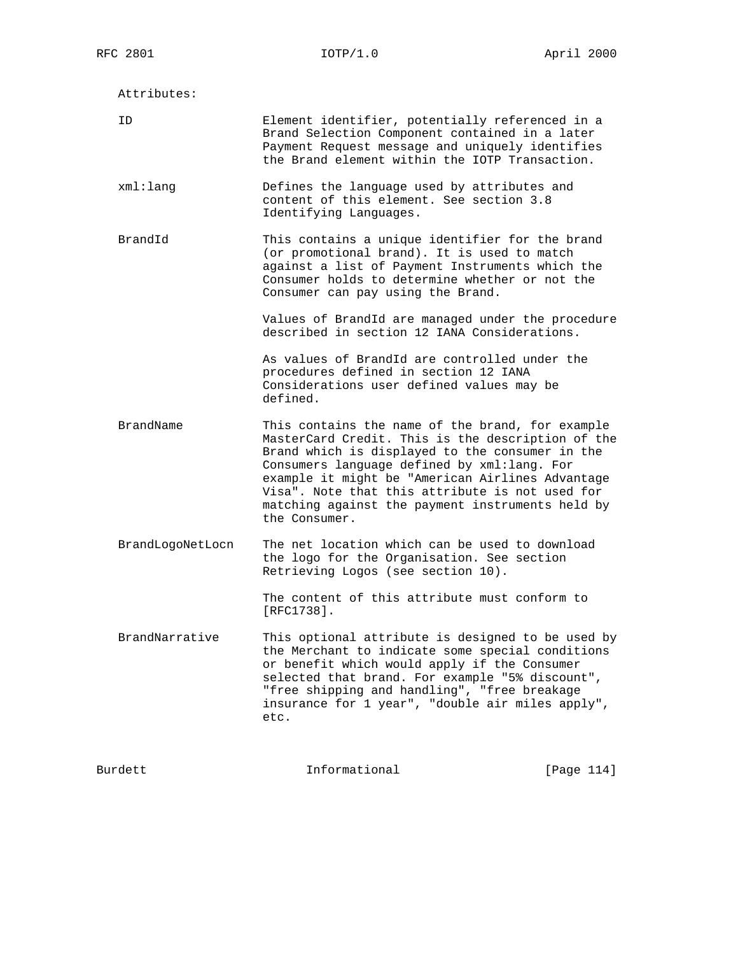| Attributes:      |                                                                                                                                                                                                                                                                                                                                                                                      |
|------------------|--------------------------------------------------------------------------------------------------------------------------------------------------------------------------------------------------------------------------------------------------------------------------------------------------------------------------------------------------------------------------------------|
| ID               | Element identifier, potentially referenced in a<br>Brand Selection Component contained in a later<br>Payment Request message and uniquely identifies<br>the Brand element within the IOTP Transaction.                                                                                                                                                                               |
| xml:lang         | Defines the language used by attributes and<br>content of this element. See section 3.8<br>Identifying Languages.                                                                                                                                                                                                                                                                    |
| BrandId          | This contains a unique identifier for the brand<br>(or promotional brand). It is used to match<br>against a list of Payment Instruments which the<br>Consumer holds to determine whether or not the<br>Consumer can pay using the Brand.                                                                                                                                             |
|                  | Values of BrandId are managed under the procedure<br>described in section 12 IANA Considerations.                                                                                                                                                                                                                                                                                    |
|                  | As values of BrandId are controlled under the<br>procedures defined in section 12 IANA<br>Considerations user defined values may be<br>defined.                                                                                                                                                                                                                                      |
| BrandName        | This contains the name of the brand, for example<br>MasterCard Credit. This is the description of the<br>Brand which is displayed to the consumer in the<br>Consumers language defined by xml: lang. For<br>example it might be "American Airlines Advantage<br>Visa". Note that this attribute is not used for<br>matching against the payment instruments held by<br>the Consumer. |
| BrandLogoNetLocn | The net location which can be used to download<br>the logo for the Organisation. See section<br>Retrieving Logos (see section 10).                                                                                                                                                                                                                                                   |
|                  | The content of this attribute must conform to<br>[RFC1738].                                                                                                                                                                                                                                                                                                                          |
| BrandNarrative   | This optional attribute is designed to be used by<br>the Merchant to indicate some special conditions<br>or benefit which would apply if the Consumer<br>selected that brand. For example "5% discount",<br>"free shipping and handling", "free breakage<br>insurance for 1 year", "double air miles apply",<br>etc.                                                                 |
|                  |                                                                                                                                                                                                                                                                                                                                                                                      |

Burdett **Informational** [Page 114]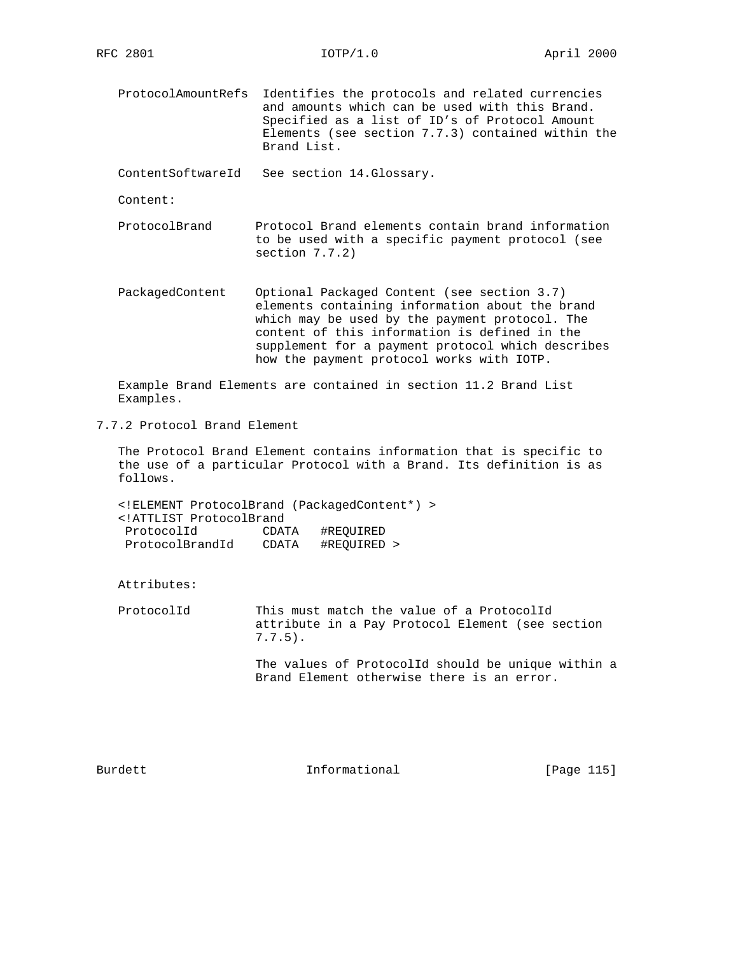ProtocolAmountRefs Identifies the protocols and related currencies and amounts which can be used with this Brand. Specified as a list of ID's of Protocol Amount Elements (see section 7.7.3) contained within the Brand List.

ContentSoftwareId See section 14.Glossary.

Content:

- ProtocolBrand Protocol Brand elements contain brand information to be used with a specific payment protocol (see section 7.7.2)
- PackagedContent Optional Packaged Content (see section 3.7) elements containing information about the brand which may be used by the payment protocol. The content of this information is defined in the supplement for a payment protocol which describes how the payment protocol works with IOTP.

 Example Brand Elements are contained in section 11.2 Brand List Examples.

7.7.2 Protocol Brand Element

 The Protocol Brand Element contains information that is specific to the use of a particular Protocol with a Brand. Its definition is as follows.

 <!ELEMENT ProtocolBrand (PackagedContent\*) > <!ATTLIST ProtocolBrand ProtocolId CDATA #REQUIRED ProtocolBrandId CDATA #REQUIRED >

Attributes:

 ProtocolId This must match the value of a ProtocolId attribute in a Pay Protocol Element (see section 7.7.5).

> The values of ProtocolId should be unique within a Brand Element otherwise there is an error.

Burdett **Informational** [Page 115]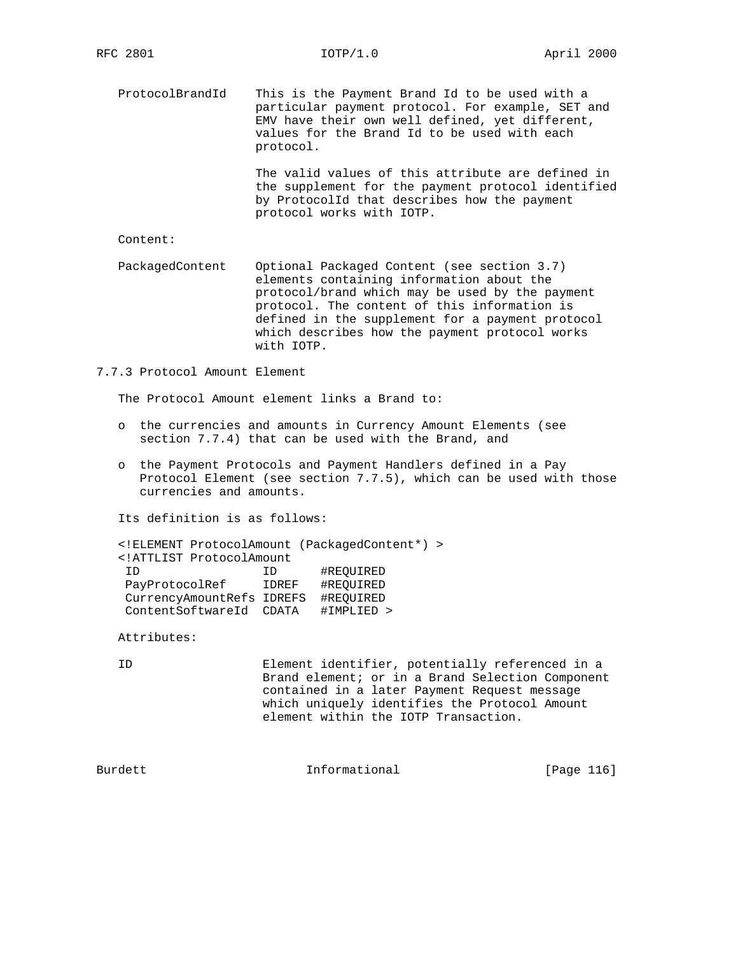ProtocolBrandId This is the Payment Brand Id to be used with a particular payment protocol. For example, SET and EMV have their own well defined, yet different, values for the Brand Id to be used with each protocol.

> The valid values of this attribute are defined in the supplement for the payment protocol identified by ProtocolId that describes how the payment protocol works with IOTP.

Content:

 PackagedContent Optional Packaged Content (see section 3.7) elements containing information about the protocol/brand which may be used by the payment protocol. The content of this information is defined in the supplement for a payment protocol which describes how the payment protocol works with IOTP.

### 7.7.3 Protocol Amount Element

The Protocol Amount element links a Brand to:

- o the currencies and amounts in Currency Amount Elements (see section 7.7.4) that can be used with the Brand, and
- o the Payment Protocols and Payment Handlers defined in a Pay Protocol Element (see section 7.7.5), which can be used with those currencies and amounts.

Its definition is as follows:

 <!ELEMENT ProtocolAmount (PackagedContent\*) > <!ATTLIST ProtocolAmount ID ID #REQUIRED PayProtocolRef IDREF #REQUIRED CurrencyAmountRefs IDREFS #REQUIRED ContentSoftwareId CDATA #IMPLIED >

Attributes:

 ID Element identifier, potentially referenced in a Brand element; or in a Brand Selection Component contained in a later Payment Request message which uniquely identifies the Protocol Amount element within the IOTP Transaction.

Burdett **Informational** [Page 116]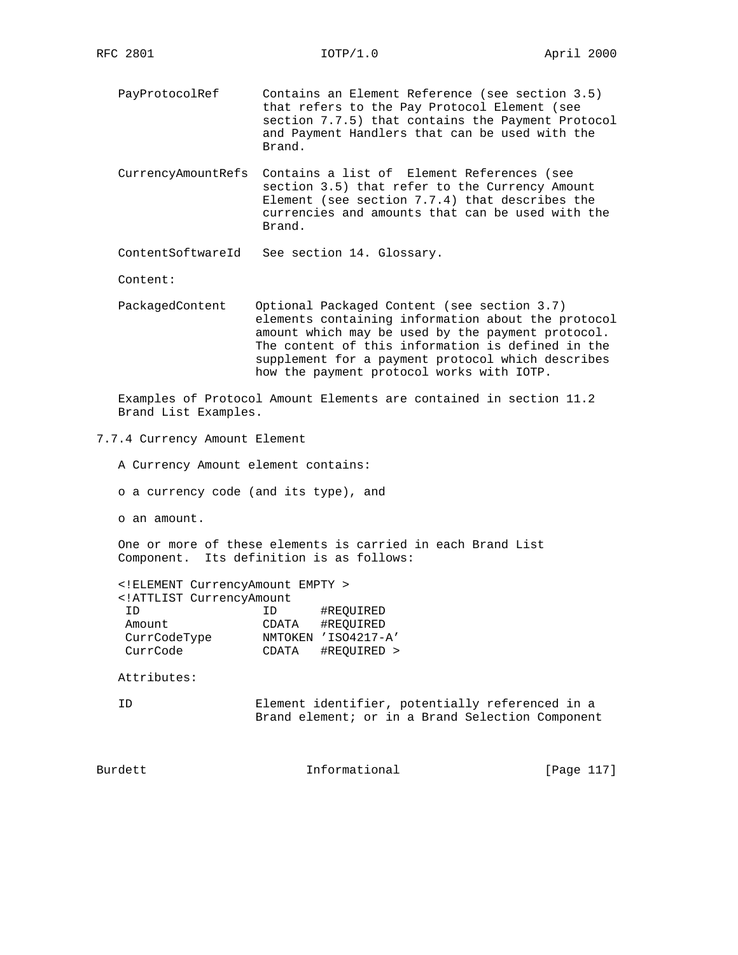PayProtocolRef Contains an Element Reference (see section 3.5) that refers to the Pay Protocol Element (see section 7.7.5) that contains the Payment Protocol and Payment Handlers that can be used with the Brand.

 CurrencyAmountRefs Contains a list of Element References (see section 3.5) that refer to the Currency Amount Element (see section 7.7.4) that describes the currencies and amounts that can be used with the Brand.

ContentSoftwareId See section 14. Glossary.

Content:

 PackagedContent Optional Packaged Content (see section 3.7) elements containing information about the protocol amount which may be used by the payment protocol. The content of this information is defined in the supplement for a payment protocol which describes how the payment protocol works with IOTP.

 Examples of Protocol Amount Elements are contained in section 11.2 Brand List Examples.

- 7.7.4 Currency Amount Element
	- A Currency Amount element contains:
	- o a currency code (and its type), and
	- o an amount.

 One or more of these elements is carried in each Brand List Component. Its definition is as follows:

 <!ELEMENT CurrencyAmount EMPTY > <!ATTLIST CurrencyAmount ID ID #REQUIRED Amount CDATA #REQUIRED

 CurrCodeType NMTOKEN 'ISO4217-A' CurrCode CDATA #REQUIRED >

Attributes:

 ID Element identifier, potentially referenced in a Brand element; or in a Brand Selection Component

Burdett **Informational** [Page 117]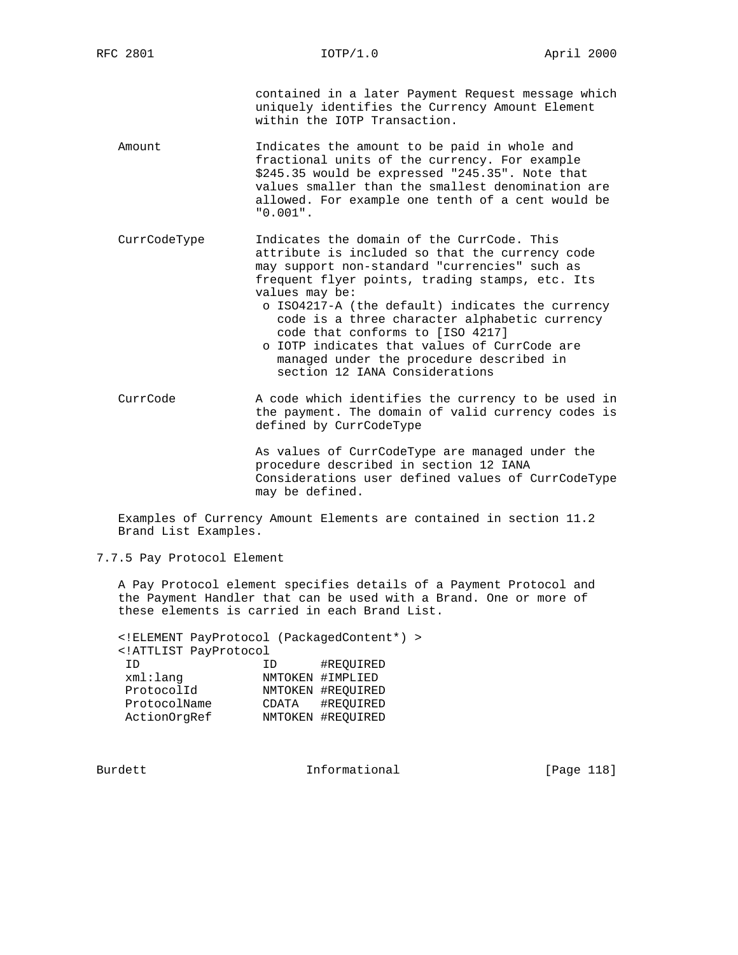contained in a later Payment Request message which uniquely identifies the Currency Amount Element within the IOTP Transaction.

 Amount Indicates the amount to be paid in whole and fractional units of the currency. For example \$245.35 would be expressed "245.35". Note that values smaller than the smallest denomination are allowed. For example one tenth of a cent would be "0.001".

 CurrCodeType Indicates the domain of the CurrCode. This attribute is included so that the currency code may support non-standard "currencies" such as frequent flyer points, trading stamps, etc. Its values may be:

- o ISO4217-A (the default) indicates the currency code is a three character alphabetic currency code that conforms to [ISO 4217]
- o IOTP indicates that values of CurrCode are managed under the procedure described in section 12 IANA Considerations
- CurrCode **A** code which identifies the currency to be used in the payment. The domain of valid currency codes is defined by CurrCodeType

 As values of CurrCodeType are managed under the procedure described in section 12 IANA Considerations user defined values of CurrCodeType may be defined.

 Examples of Currency Amount Elements are contained in section 11.2 Brand List Examples.

7.7.5 Pay Protocol Element

 A Pay Protocol element specifies details of a Payment Protocol and the Payment Handler that can be used with a Brand. One or more of these elements is carried in each Brand List.

 <!ELEMENT PayProtocol (PackagedContent\*) > <!ATTLIST PayProtocol ID ID #REQUIRED xml:lang NMTOKEN #IMPLIED ProtocolId NMTOKEN #REQUIRED ProtocolName CDATA #REQUIRED ActionOrgRef NMTOKEN #REQUIRED

Burdett **Informational Informational** [Page 118]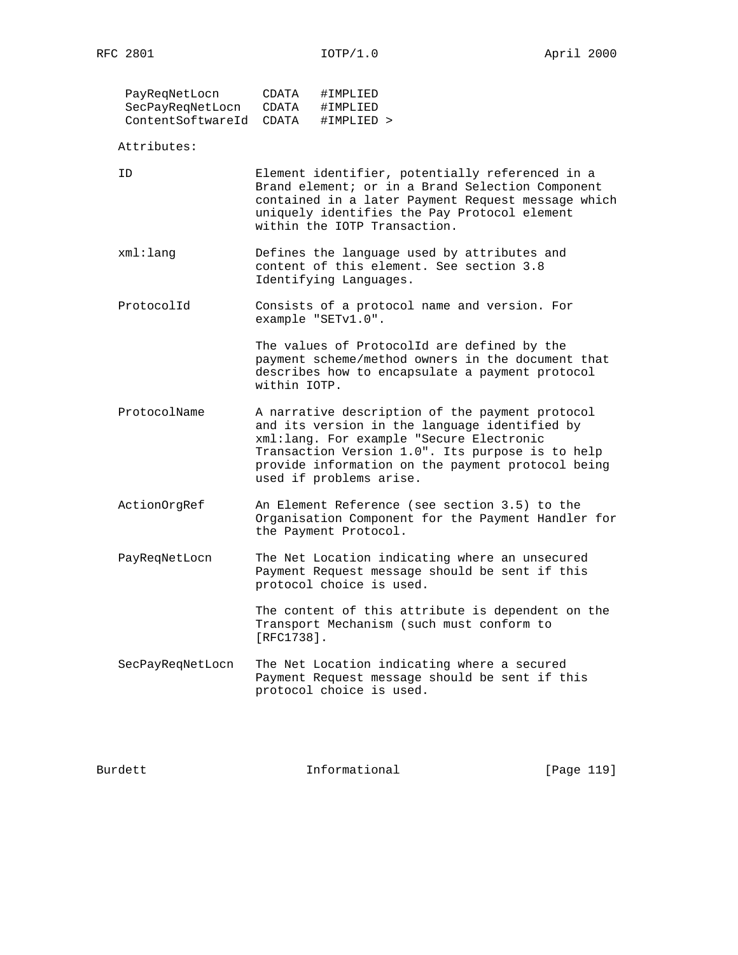| PayRegNetLocn     | CDATA | #IMPLIED   |
|-------------------|-------|------------|
| SecPayReqNetLocn  | CDATA | #IMPLIED   |
| ContentSoftwareId | CDATA | #IMPLIED > |

Attributes:

- ID Element identifier, potentially referenced in a Brand element; or in a Brand Selection Component contained in a later Payment Request message which uniquely identifies the Pay Protocol element within the IOTP Transaction.
- xml:lang Defines the language used by attributes and content of this element. See section 3.8 Identifying Languages.
- ProtocolId Consists of a protocol name and version. For example "SETv1.0".

 The values of ProtocolId are defined by the payment scheme/method owners in the document that describes how to encapsulate a payment protocol within IOTP.

- ProtocolName A narrative description of the payment protocol and its version in the language identified by xml:lang. For example "Secure Electronic Transaction Version 1.0". Its purpose is to help provide information on the payment protocol being used if problems arise.
- ActionOrgRef An Element Reference (see section 3.5) to the Organisation Component for the Payment Handler for the Payment Protocol.
- PayReqNetLocn The Net Location indicating where an unsecured Payment Request message should be sent if this protocol choice is used.

 The content of this attribute is dependent on the Transport Mechanism (such must conform to [RFC1738].

 SecPayReqNetLocn The Net Location indicating where a secured Payment Request message should be sent if this protocol choice is used.

Burdett **Informational** [Page 119]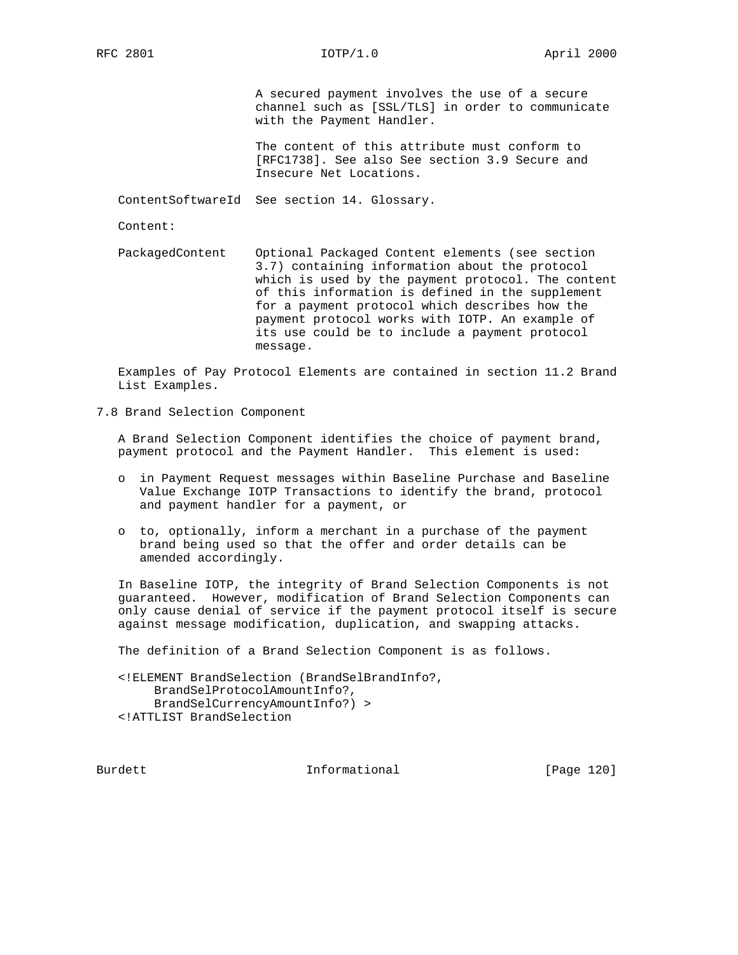A secured payment involves the use of a secure channel such as [SSL/TLS] in order to communicate with the Payment Handler.

 The content of this attribute must conform to [RFC1738]. See also See section 3.9 Secure and Insecure Net Locations.

ContentSoftwareId See section 14. Glossary.

Content:

 PackagedContent Optional Packaged Content elements (see section 3.7) containing information about the protocol which is used by the payment protocol. The content of this information is defined in the supplement for a payment protocol which describes how the payment protocol works with IOTP. An example of its use could be to include a payment protocol message.

 Examples of Pay Protocol Elements are contained in section 11.2 Brand List Examples.

7.8 Brand Selection Component

 A Brand Selection Component identifies the choice of payment brand, payment protocol and the Payment Handler. This element is used:

- o in Payment Request messages within Baseline Purchase and Baseline Value Exchange IOTP Transactions to identify the brand, protocol and payment handler for a payment, or
- o to, optionally, inform a merchant in a purchase of the payment brand being used so that the offer and order details can be amended accordingly.

 In Baseline IOTP, the integrity of Brand Selection Components is not guaranteed. However, modification of Brand Selection Components can only cause denial of service if the payment protocol itself is secure against message modification, duplication, and swapping attacks.

The definition of a Brand Selection Component is as follows.

 <!ELEMENT BrandSelection (BrandSelBrandInfo?, BrandSelProtocolAmountInfo?, BrandSelCurrencyAmountInfo?) > <!ATTLIST BrandSelection

Burdett **Informational** [Page 120]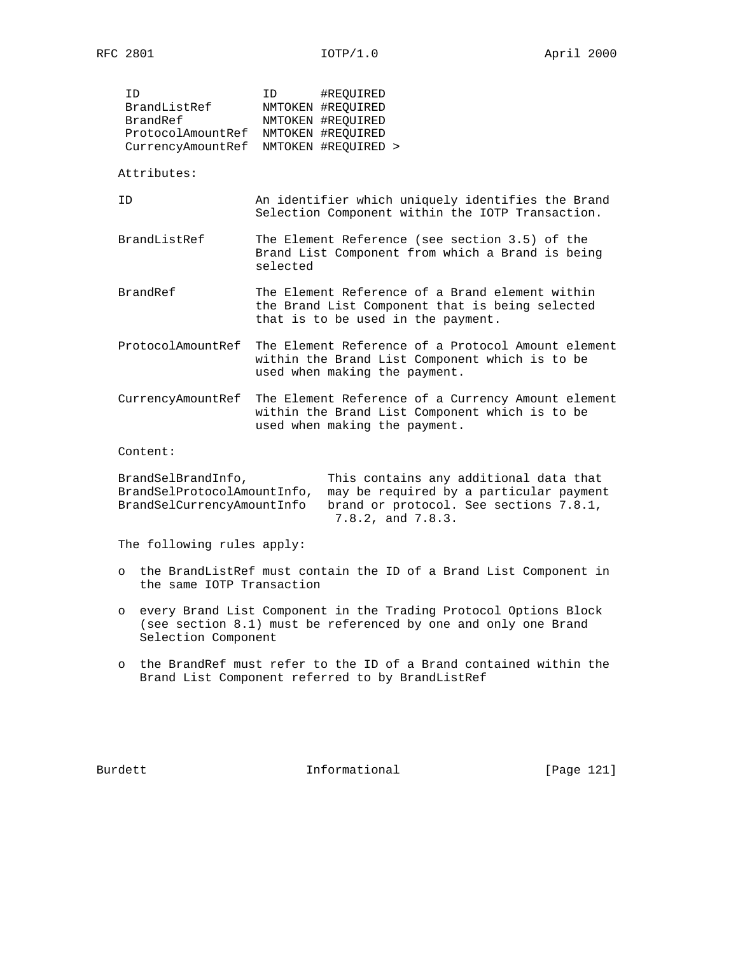| TD                | TD | #REOUIRED           |  |
|-------------------|----|---------------------|--|
| BrandListRef      |    | NMTOKEN #REOUIRED   |  |
| BrandRef          |    | NMTOKEN #REOUIRED   |  |
| ProtocolAmountRef |    | NMTOKEN #REOUIRED   |  |
| CurrencyAmountRef |    | NMTOKEN #REOUIRED > |  |
|                   |    |                     |  |

Attributes:

| ID |  |  | An identifier which uniquely identifies the Brand |  |  |  |
|----|--|--|---------------------------------------------------|--|--|--|
|    |  |  | Selection Component within the IOTP Transaction.  |  |  |  |

- BrandListRef The Element Reference (see section 3.5) of the Brand List Component from which a Brand is being selected
- BrandRef The Element Reference of a Brand element within the Brand List Component that is being selected that is to be used in the payment.
- ProtocolAmountRef The Element Reference of a Protocol Amount element within the Brand List Component which is to be used when making the payment.
- CurrencyAmountRef The Element Reference of a Currency Amount element within the Brand List Component which is to be used when making the payment.

Content:

```
 BrandSelBrandInfo, This contains any additional data that
BrandSelProtocolAmountInfo, may be required by a particular payment
BrandSelCurrencyAmountInfo brand or protocol. See sections 7.8.1,
                           7.8.2, and 7.8.3.
```
The following rules apply:

- o the BrandListRef must contain the ID of a Brand List Component in the same IOTP Transaction
- o every Brand List Component in the Trading Protocol Options Block (see section 8.1) must be referenced by one and only one Brand Selection Component
- o the BrandRef must refer to the ID of a Brand contained within the Brand List Component referred to by BrandListRef

Burdett 10 Informational [Page 121]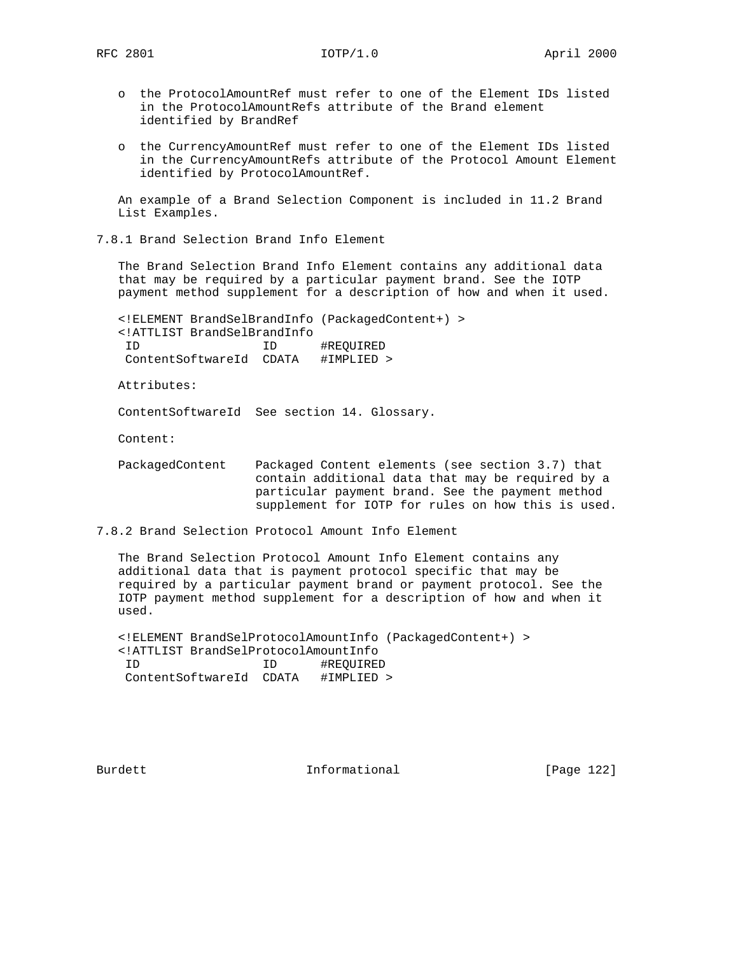- o the ProtocolAmountRef must refer to one of the Element IDs listed in the ProtocolAmountRefs attribute of the Brand element identified by BrandRef
- o the CurrencyAmountRef must refer to one of the Element IDs listed in the CurrencyAmountRefs attribute of the Protocol Amount Element identified by ProtocolAmountRef.

 An example of a Brand Selection Component is included in 11.2 Brand List Examples.

7.8.1 Brand Selection Brand Info Element

 The Brand Selection Brand Info Element contains any additional data that may be required by a particular payment brand. See the IOTP payment method supplement for a description of how and when it used.

 <!ELEMENT BrandSelBrandInfo (PackagedContent+) > <!ATTLIST BrandSelBrandInfo ID ID #REQUIRED ContentSoftwareId CDATA #IMPLIED >

Attributes:

ContentSoftwareId See section 14. Glossary.

Content:

- PackagedContent Packaged Content elements (see section 3.7) that contain additional data that may be required by a particular payment brand. See the payment method supplement for IOTP for rules on how this is used.
- 7.8.2 Brand Selection Protocol Amount Info Element

 The Brand Selection Protocol Amount Info Element contains any additional data that is payment protocol specific that may be required by a particular payment brand or payment protocol. See the IOTP payment method supplement for a description of how and when it used.

 <!ELEMENT BrandSelProtocolAmountInfo (PackagedContent+) > <!ATTLIST BrandSelProtocolAmountInfo ID ID #REQUIRED ContentSoftwareId CDATA #IMPLIED >

Burdett **Informational** [Page 122]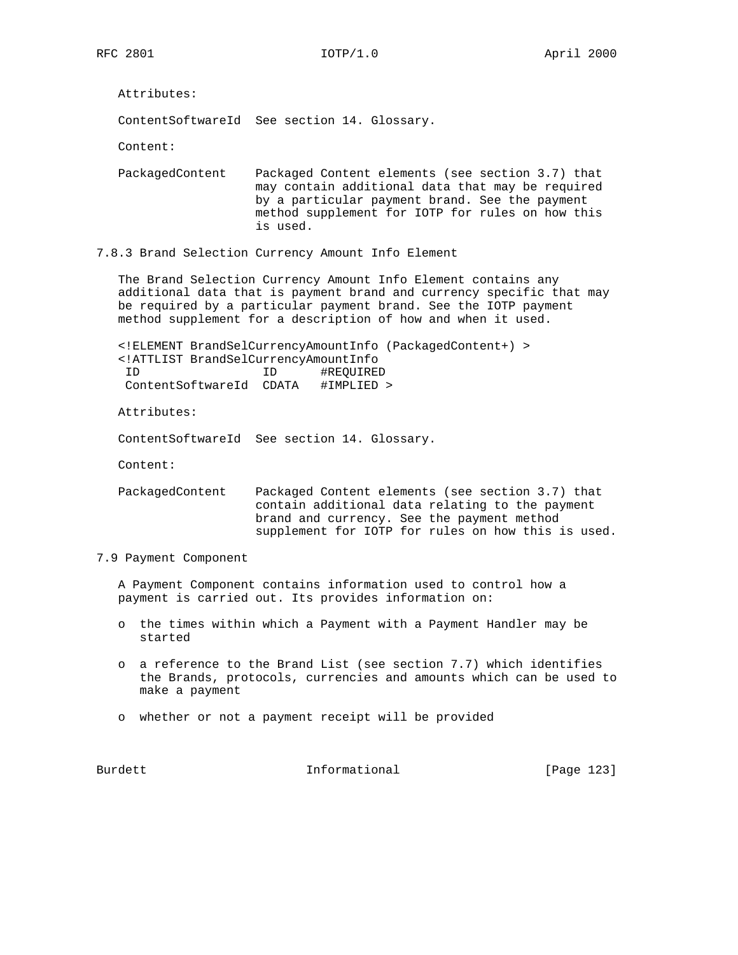Attributes:

ContentSoftwareId See section 14. Glossary.

Content:

 PackagedContent Packaged Content elements (see section 3.7) that may contain additional data that may be required by a particular payment brand. See the payment method supplement for IOTP for rules on how this is used.

7.8.3 Brand Selection Currency Amount Info Element

 The Brand Selection Currency Amount Info Element contains any additional data that is payment brand and currency specific that may be required by a particular payment brand. See the IOTP payment method supplement for a description of how and when it used.

 <!ELEMENT BrandSelCurrencyAmountInfo (PackagedContent+) > <!ATTLIST BrandSelCurrencyAmountInfo ID ID #REQUIRED ContentSoftwareId CDATA #IMPLIED >

Attributes:

ContentSoftwareId See section 14. Glossary.

Content:

 PackagedContent Packaged Content elements (see section 3.7) that contain additional data relating to the payment brand and currency. See the payment method supplement for IOTP for rules on how this is used.

7.9 Payment Component

 A Payment Component contains information used to control how a payment is carried out. Its provides information on:

- o the times within which a Payment with a Payment Handler may be started
- o a reference to the Brand List (see section 7.7) which identifies the Brands, protocols, currencies and amounts which can be used to make a payment
- o whether or not a payment receipt will be provided

Burdett **Informational** [Page 123]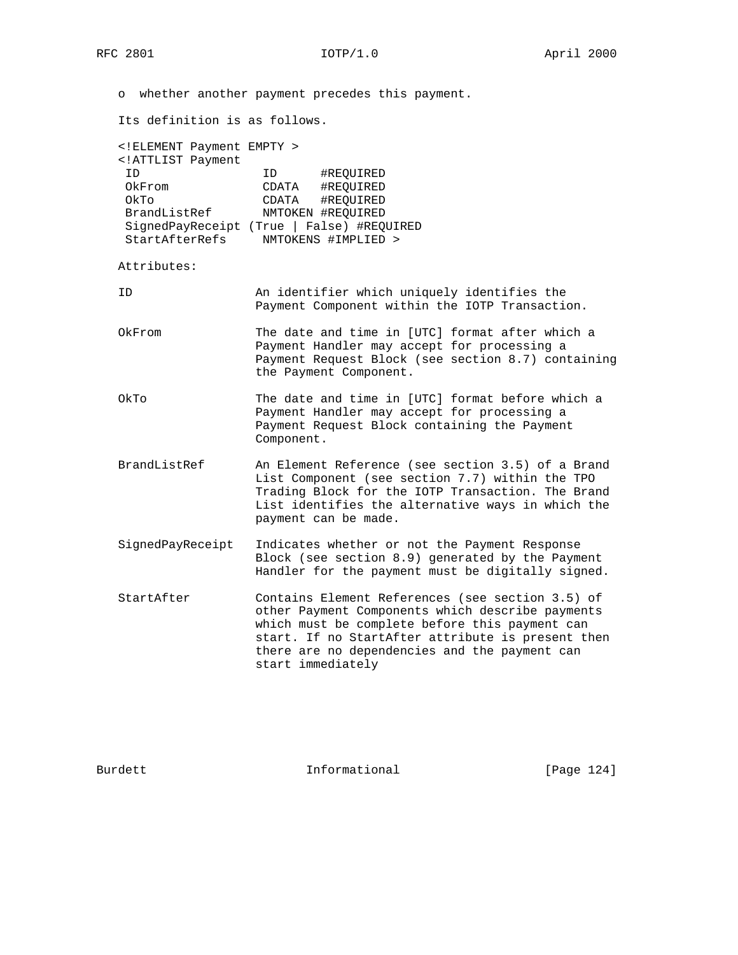o whether another payment precedes this payment.

Its definition is as follows.

| ELEMENT Payment EMPTY                     |  |
|-------------------------------------------|--|
| ATTLIST Payment</td <td></td>             |  |
| #REOUIRED<br>TD<br>TD                     |  |
| #REOUIRED<br>OkFrom<br>CDATA              |  |
| #REOUIRED<br>CDATA<br>OkTo                |  |
| NMTOKEN #REOUIRED<br>BrandListRef         |  |
| SignedPayReceipt (True   False) #REQUIRED |  |
| NMTOKENS #IMPLIED ><br>StartAfterRefs     |  |

Attributes:

- ID An identifier which uniquely identifies the Payment Component within the IOTP Transaction.
- OkFrom The date and time in [UTC] format after which a Payment Handler may accept for processing a Payment Request Block (see section 8.7) containing the Payment Component.
- OkTo The date and time in [UTC] format before which a Payment Handler may accept for processing a Payment Request Block containing the Payment Component.
- BrandListRef An Element Reference (see section 3.5) of a Brand List Component (see section 7.7) within the TPO Trading Block for the IOTP Transaction. The Brand List identifies the alternative ways in which the payment can be made.
- SignedPayReceipt Indicates whether or not the Payment Response Block (see section 8.9) generated by the Payment Handler for the payment must be digitally signed.
- StartAfter Contains Element References (see section 3.5) of other Payment Components which describe payments which must be complete before this payment can start. If no StartAfter attribute is present then there are no dependencies and the payment can start immediately

Burdett **Informational** [Page 124]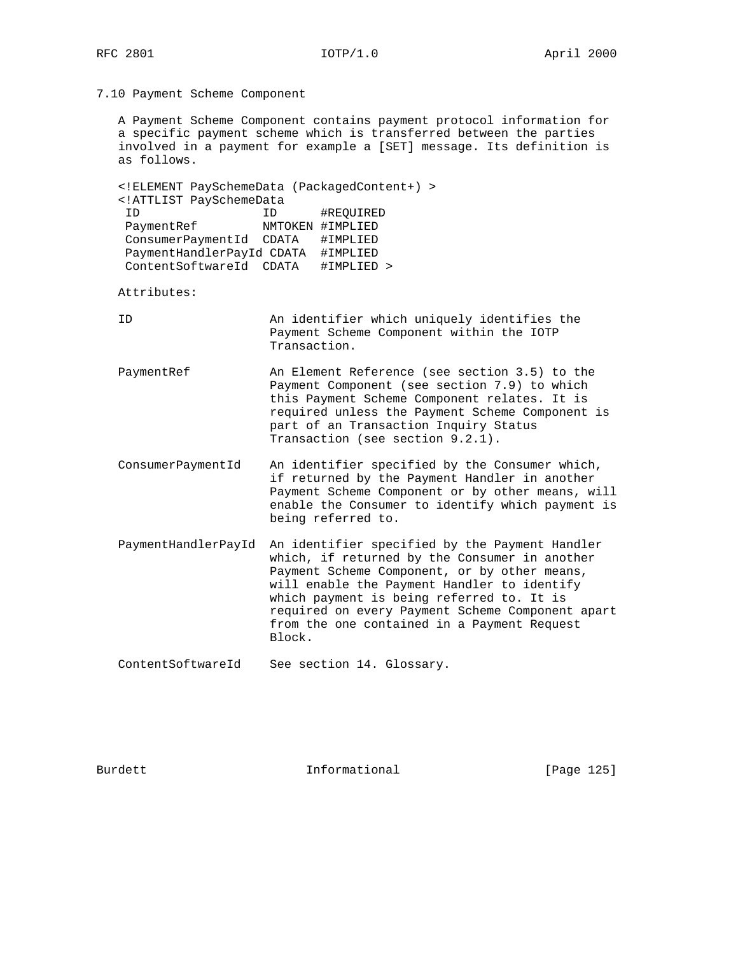7.10 Payment Scheme Component

 A Payment Scheme Component contains payment protocol information for a specific payment scheme which is transferred between the parties involved in a payment for example a [SET] message. Its definition is as follows.

 <!ELEMENT PaySchemeData (PackagedContent+) > <!ATTLIST PaySchemeData ID ID #REQUIRED NMTOKEN #IMPLIED ConsumerPaymentId CDATA #IMPLIED PaymentHandlerPayId CDATA #IMPLIED ContentSoftwareId CDATA #IMPLIED >

Attributes:

 ID An identifier which uniquely identifies the Payment Scheme Component within the IOTP Transaction.

- PaymentRef An Element Reference (see section 3.5) to the Payment Component (see section 7.9) to which this Payment Scheme Component relates. It is required unless the Payment Scheme Component is part of an Transaction Inquiry Status Transaction (see section 9.2.1).
- ConsumerPaymentId An identifier specified by the Consumer which, if returned by the Payment Handler in another Payment Scheme Component or by other means, will enable the Consumer to identify which payment is being referred to.
- PaymentHandlerPayId An identifier specified by the Payment Handler which, if returned by the Consumer in another Payment Scheme Component, or by other means, will enable the Payment Handler to identify which payment is being referred to. It is required on every Payment Scheme Component apart from the one contained in a Payment Request Block.

ContentSoftwareId See section 14. Glossary.

Burdett **Informational** [Page 125]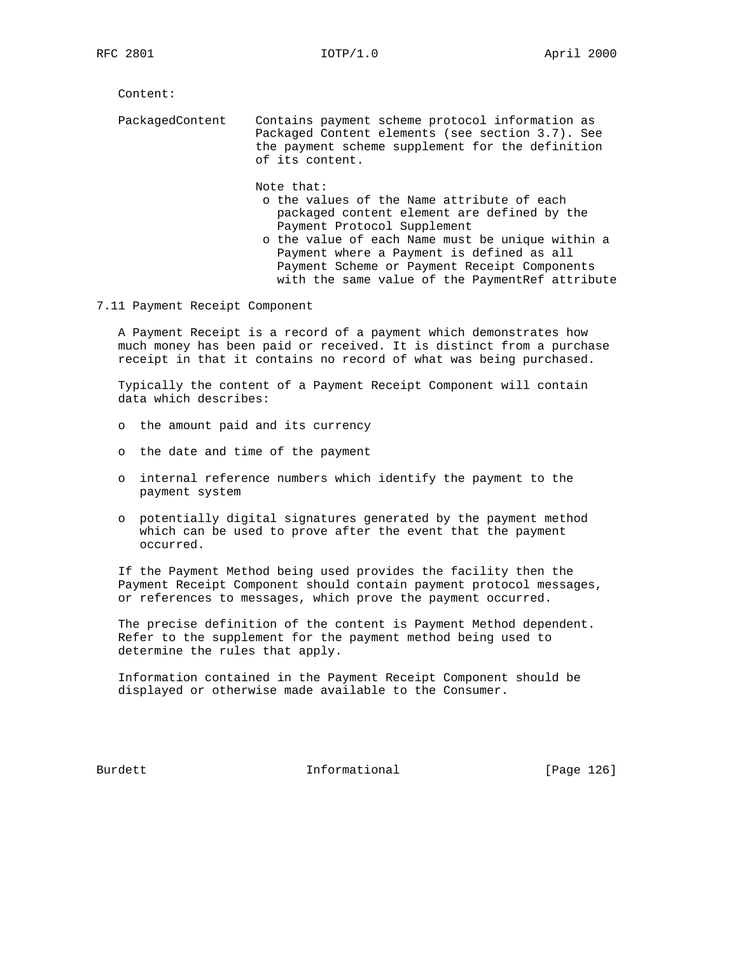Content:

 PackagedContent Contains payment scheme protocol information as Packaged Content elements (see section 3.7). See the payment scheme supplement for the definition of its content.

Note that:

- o the values of the Name attribute of each packaged content element are defined by the Payment Protocol Supplement
- o the value of each Name must be unique within a Payment where a Payment is defined as all Payment Scheme or Payment Receipt Components with the same value of the PaymentRef attribute
- 7.11 Payment Receipt Component

 A Payment Receipt is a record of a payment which demonstrates how much money has been paid or received. It is distinct from a purchase receipt in that it contains no record of what was being purchased.

 Typically the content of a Payment Receipt Component will contain data which describes:

- o the amount paid and its currency
- o the date and time of the payment
- o internal reference numbers which identify the payment to the payment system
- o potentially digital signatures generated by the payment method which can be used to prove after the event that the payment occurred.

 If the Payment Method being used provides the facility then the Payment Receipt Component should contain payment protocol messages, or references to messages, which prove the payment occurred.

 The precise definition of the content is Payment Method dependent. Refer to the supplement for the payment method being used to determine the rules that apply.

 Information contained in the Payment Receipt Component should be displayed or otherwise made available to the Consumer.

Burdett **Informational** [Page 126]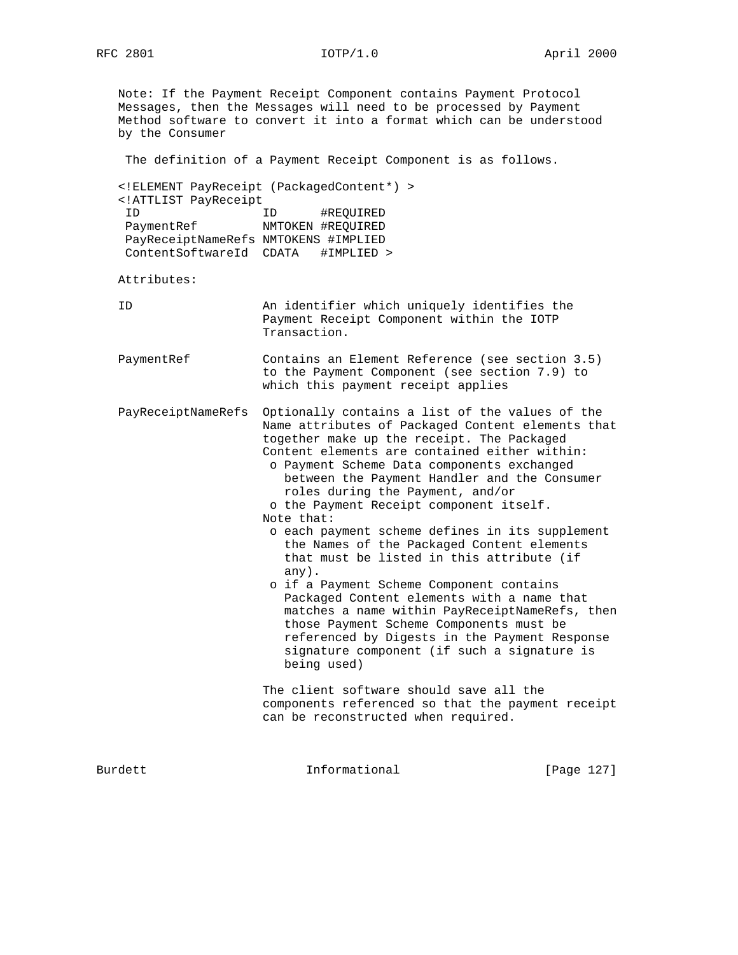Note: If the Payment Receipt Component contains Payment Protocol Messages, then the Messages will need to be processed by Payment Method software to convert it into a format which can be understood by the Consumer The definition of a Payment Receipt Component is as follows. <!ELEMENT PayReceipt (PackagedContent\*) > <!ATTLIST PayReceipt ID ID #REQUIRED PaymentRef NMTOKEN #REQUIRED PayReceiptNameRefs NMTOKENS #IMPLIED ContentSoftwareId CDATA #IMPLIED > Attributes: ID An identifier which uniquely identifies the Payment Receipt Component within the IOTP Transaction. PaymentRef Contains an Element Reference (see section 3.5) to the Payment Component (see section 7.9) to which this payment receipt applies PayReceiptNameRefs Optionally contains a list of the values of the Name attributes of Packaged Content elements that together make up the receipt. The Packaged Content elements are contained either within: o Payment Scheme Data components exchanged between the Payment Handler and the Consumer roles during the Payment, and/or o the Payment Receipt component itself. Note that: o each payment scheme defines in its supplement the Names of the Packaged Content elements that must be listed in this attribute (if any). o if a Payment Scheme Component contains Packaged Content elements with a name that matches a name within PayReceiptNameRefs, then those Payment Scheme Components must be referenced by Digests in the Payment Response signature component (if such a signature is being used) The client software should save all the components referenced so that the payment receipt can be reconstructed when required.

Burdett 10 Informational [Page 127]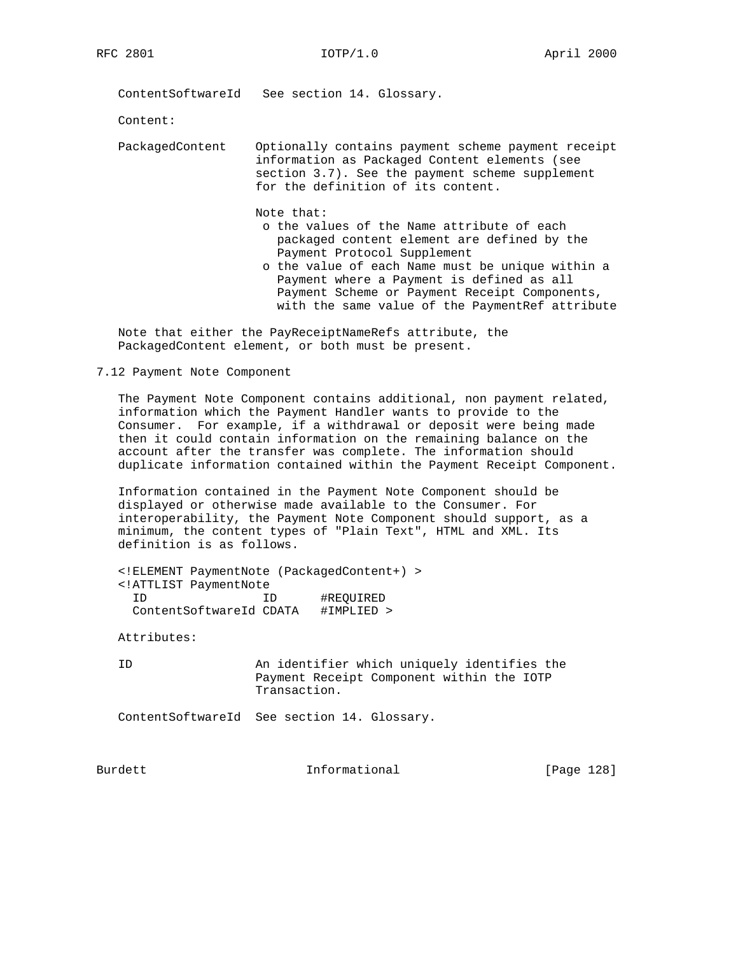ContentSoftwareId See section 14. Glossary.

Content:

 PackagedContent Optionally contains payment scheme payment receipt information as Packaged Content elements (see section 3.7). See the payment scheme supplement for the definition of its content.

Note that:

- o the values of the Name attribute of each packaged content element are defined by the Payment Protocol Supplement
- o the value of each Name must be unique within a Payment where a Payment is defined as all Payment Scheme or Payment Receipt Components, with the same value of the PaymentRef attribute

 Note that either the PayReceiptNameRefs attribute, the PackagedContent element, or both must be present.

## 7.12 Payment Note Component

 The Payment Note Component contains additional, non payment related, information which the Payment Handler wants to provide to the Consumer. For example, if a withdrawal or deposit were being made then it could contain information on the remaining balance on the account after the transfer was complete. The information should duplicate information contained within the Payment Receipt Component.

 Information contained in the Payment Note Component should be displayed or otherwise made available to the Consumer. For interoperability, the Payment Note Component should support, as a minimum, the content types of "Plain Text", HTML and XML. Its definition is as follows.

 <!ELEMENT PaymentNote (PackagedContent+) > <!ATTLIST PaymentNote ID ID #REQUIRED ContentSoftwareId CDATA #IMPLIED >

Attributes:

 ID An identifier which uniquely identifies the Payment Receipt Component within the IOTP Transaction.

ContentSoftwareId See section 14. Glossary.

Burdett **Informational** [Page 128]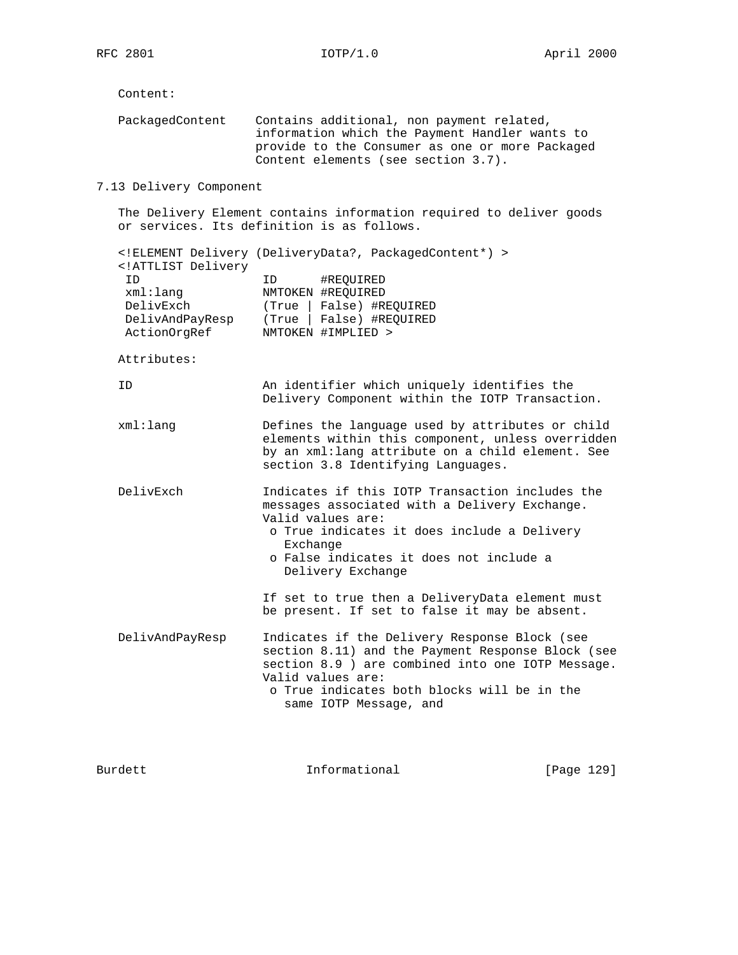Content: PackagedContent Contains additional, non payment related, information which the Payment Handler wants to provide to the Consumer as one or more Packaged Content elements (see section 3.7). 7.13 Delivery Component The Delivery Element contains information required to deliver goods or services. Its definition is as follows. <!ELEMENT Delivery (DeliveryData?, PackagedContent\*) > <!ATTLIST Delivery ID ID #REQUIRED xml:lang NMTOKEN #REQUIRED DelivExch (True | False) #REQUIRED DelivAndPayResp (True | False) #REQUIRED ActionOrgRef NMTOKEN #IMPLIED > Attributes: ID An identifier which uniquely identifies the Delivery Component within the IOTP Transaction. xml:lang Defines the language used by attributes or child elements within this component, unless overridden by an xml:lang attribute on a child element. See section 3.8 Identifying Languages. DelivExch Indicates if this IOTP Transaction includes the messages associated with a Delivery Exchange. Valid values are: o True indicates it does include a Delivery Exchange o False indicates it does not include a Delivery Exchange If set to true then a DeliveryData element must be present. If set to false it may be absent. DelivAndPayResp Indicates if the Delivery Response Block (see section 8.11) and the Payment Response Block (see section 8.9 ) are combined into one IOTP Message. Valid values are: o True indicates both blocks will be in the same IOTP Message, and

Burdett **Informational** [Page 129]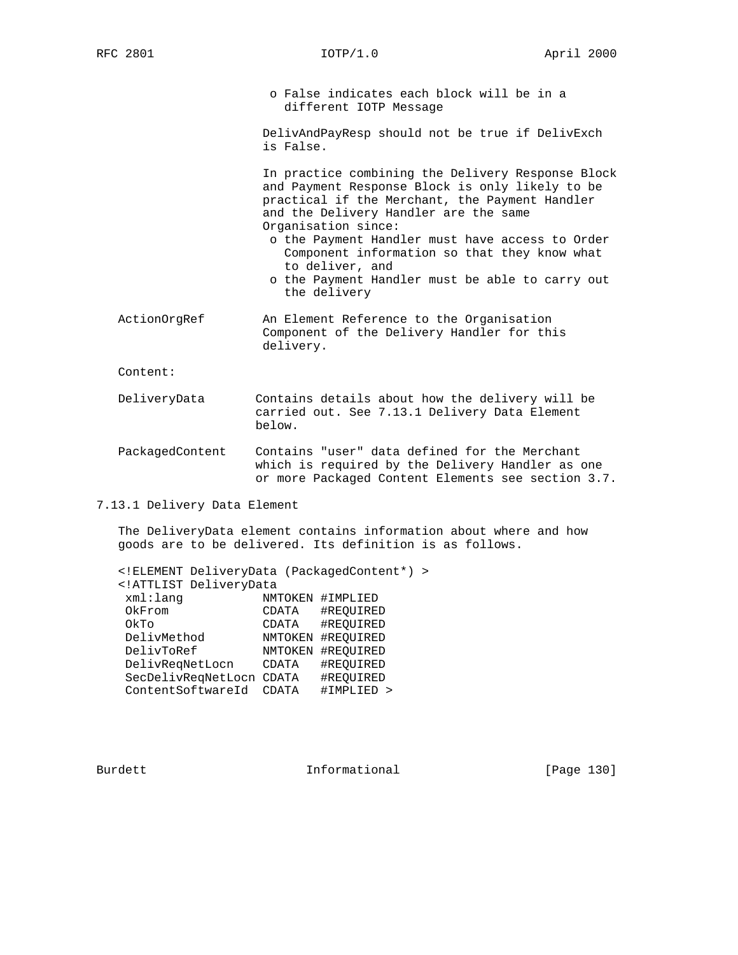o False indicates each block will be in a different IOTP Message

 DelivAndPayResp should not be true if DelivExch is False.

 In practice combining the Delivery Response Block and Payment Response Block is only likely to be practical if the Merchant, the Payment Handler and the Delivery Handler are the same Organisation since:

- o the Payment Handler must have access to Order Component information so that they know what to deliver, and
- o the Payment Handler must be able to carry out the delivery
- ActionOrgRef An Element Reference to the Organisation Component of the Delivery Handler for this delivery.

Content:

 DeliveryData Contains details about how the delivery will be carried out. See 7.13.1 Delivery Data Element below.

 PackagedContent Contains "user" data defined for the Merchant which is required by the Delivery Handler as one or more Packaged Content Elements see section 3.7.

7.13.1 Delivery Data Element

 The DeliveryData element contains information about where and how goods are to be delivered. Its definition is as follows.

 <!ELEMENT DeliveryData (PackagedContent\*) > <!ATTLIST DeliveryData xml:lang MMTOKEN #IMPLIED<br>OkFrom CDATA #REQUIREI<br>Anama #PEOUIREI CDATA #REQUIRED OkTo CDATA #REQUIRED DelivMethod NMTOKEN #REQUIRED DelivToRef NMTOKEN #REQUIRED DelivReqNetLocn CDATA #REQUIRED SecDelivReqNetLocn CDATA #REQUIRED ContentSoftwareId CDATA #IMPLIED >

Burdett **Informational** [Page 130]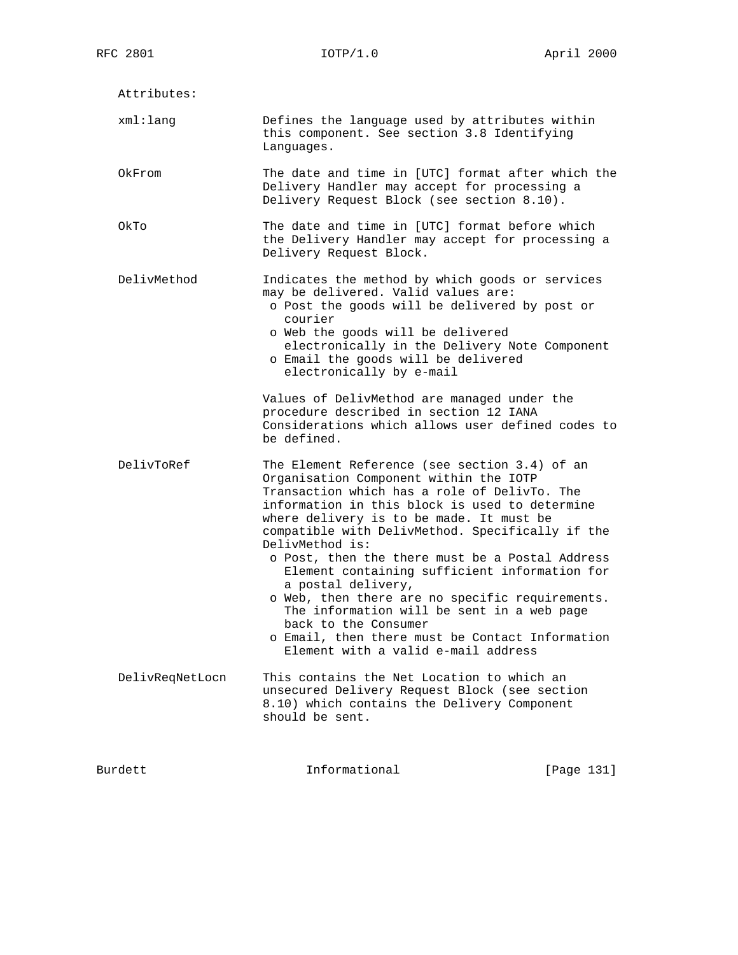| Attributes:     |                                                                                                                                                                                                                                                                                                                                                                                                                                                                                                                                                                                                                                                           |
|-----------------|-----------------------------------------------------------------------------------------------------------------------------------------------------------------------------------------------------------------------------------------------------------------------------------------------------------------------------------------------------------------------------------------------------------------------------------------------------------------------------------------------------------------------------------------------------------------------------------------------------------------------------------------------------------|
| xml:lang        | Defines the language used by attributes within<br>this component. See section 3.8 Identifying<br>Languages.                                                                                                                                                                                                                                                                                                                                                                                                                                                                                                                                               |
| OkFrom          | The date and time in [UTC] format after which the<br>Delivery Handler may accept for processing a<br>Delivery Request Block (see section 8.10).                                                                                                                                                                                                                                                                                                                                                                                                                                                                                                           |
| OkTo            | The date and time in [UTC] format before which<br>the Delivery Handler may accept for processing a<br>Delivery Request Block.                                                                                                                                                                                                                                                                                                                                                                                                                                                                                                                             |
| DelivMethod     | Indicates the method by which goods or services<br>may be delivered. Valid values are:<br>o Post the goods will be delivered by post or<br>courier<br>o Web the goods will be delivered<br>electronically in the Delivery Note Component<br>o Email the goods will be delivered<br>electronically by e-mail                                                                                                                                                                                                                                                                                                                                               |
|                 | Values of DelivMethod are managed under the<br>procedure described in section 12 IANA<br>Considerations which allows user defined codes to<br>be defined.                                                                                                                                                                                                                                                                                                                                                                                                                                                                                                 |
| DelivToRef      | The Element Reference (see section 3.4) of an<br>Organisation Component within the IOTP<br>Transaction which has a role of DelivTo. The<br>information in this block is used to determine<br>where delivery is to be made. It must be<br>compatible with DelivMethod. Specifically if the<br>DelivMethod is:<br>o Post, then the there must be a Postal Address<br>Element containing sufficient information for<br>a postal delivery,<br>o Web, then there are no specific requirements.<br>The information will be sent in a web page<br>back to the Consumer<br>o Email, then there must be Contact Information<br>Element with a valid e-mail address |
| DelivReqNetLocn | This contains the Net Location to which an<br>unsecured Delivery Request Block (see section<br>8.10) which contains the Delivery Component<br>should be sent.                                                                                                                                                                                                                                                                                                                                                                                                                                                                                             |

Burdett **Informational** [Page 131]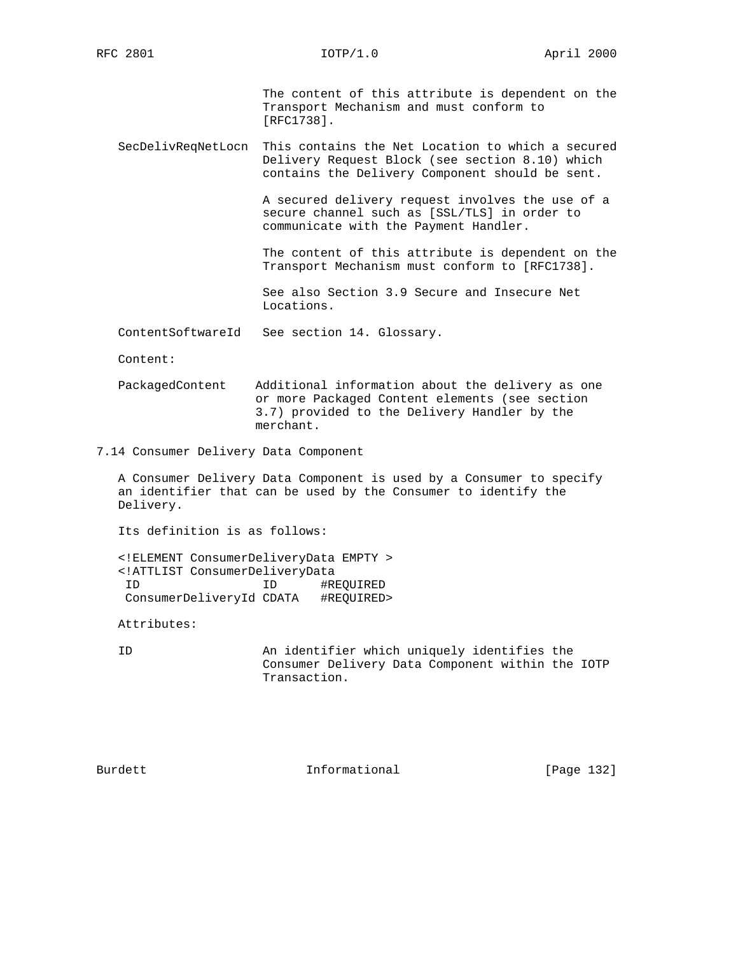The content of this attribute is dependent on the Transport Mechanism and must conform to [RFC1738].

 SecDelivReqNetLocn This contains the Net Location to which a secured Delivery Request Block (see section 8.10) which contains the Delivery Component should be sent.

> A secured delivery request involves the use of a secure channel such as [SSL/TLS] in order to communicate with the Payment Handler.

 The content of this attribute is dependent on the Transport Mechanism must conform to [RFC1738].

 See also Section 3.9 Secure and Insecure Net Locations.

ContentSoftwareId See section 14. Glossary.

Content:

 PackagedContent Additional information about the delivery as one or more Packaged Content elements (see section 3.7) provided to the Delivery Handler by the merchant.

7.14 Consumer Delivery Data Component

 A Consumer Delivery Data Component is used by a Consumer to specify an identifier that can be used by the Consumer to identify the Delivery.

Its definition is as follows:

 <!ELEMENT ConsumerDeliveryData EMPTY > <!ATTLIST ConsumerDeliveryData ID ID #REQUIRED ConsumerDeliveryId CDATA #REQUIRED>

Attributes:

 ID An identifier which uniquely identifies the Consumer Delivery Data Component within the IOTP Transaction.

Burdett **Informational** [Page 132]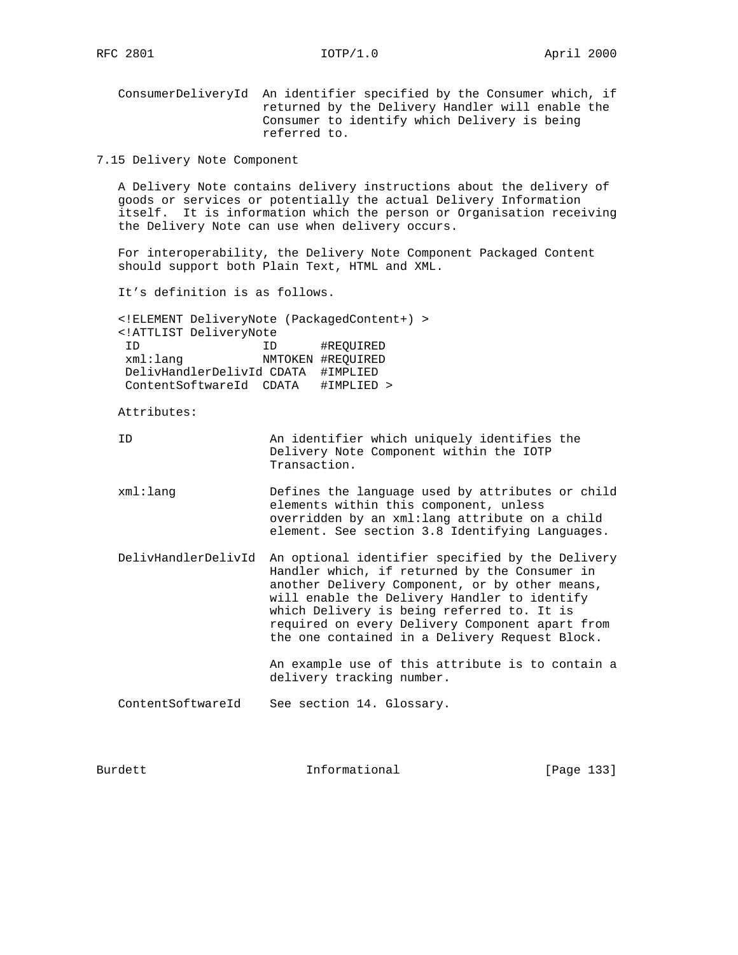ConsumerDeliveryId An identifier specified by the Consumer which, if returned by the Delivery Handler will enable the Consumer to identify which Delivery is being referred to.

7.15 Delivery Note Component

 A Delivery Note contains delivery instructions about the delivery of goods or services or potentially the actual Delivery Information itself. It is information which the person or Organisation receiving the Delivery Note can use when delivery occurs.

 For interoperability, the Delivery Note Component Packaged Content should support both Plain Text, HTML and XML.

It's definition is as follows.

 <!ELEMENT DeliveryNote (PackagedContent+) > <!ATTLIST DeliveryNote ID ID #REQUIRED xml:lang NMTOKEN #REQUIRED DelivHandlerDelivId CDATA #IMPLIED ContentSoftwareId CDATA #IMPLIED >

Attributes:

 ID An identifier which uniquely identifies the Delivery Note Component within the IOTP Transaction.

- xml:lang Defines the language used by attributes or child elements within this component, unless overridden by an xml:lang attribute on a child element. See section 3.8 Identifying Languages.
- DelivHandlerDelivId An optional identifier specified by the Delivery Handler which, if returned by the Consumer in another Delivery Component, or by other means, will enable the Delivery Handler to identify which Delivery is being referred to. It is required on every Delivery Component apart from the one contained in a Delivery Request Block.

 An example use of this attribute is to contain a delivery tracking number.

ContentSoftwareId See section 14. Glossary.

Burdett **Informational** [Page 133]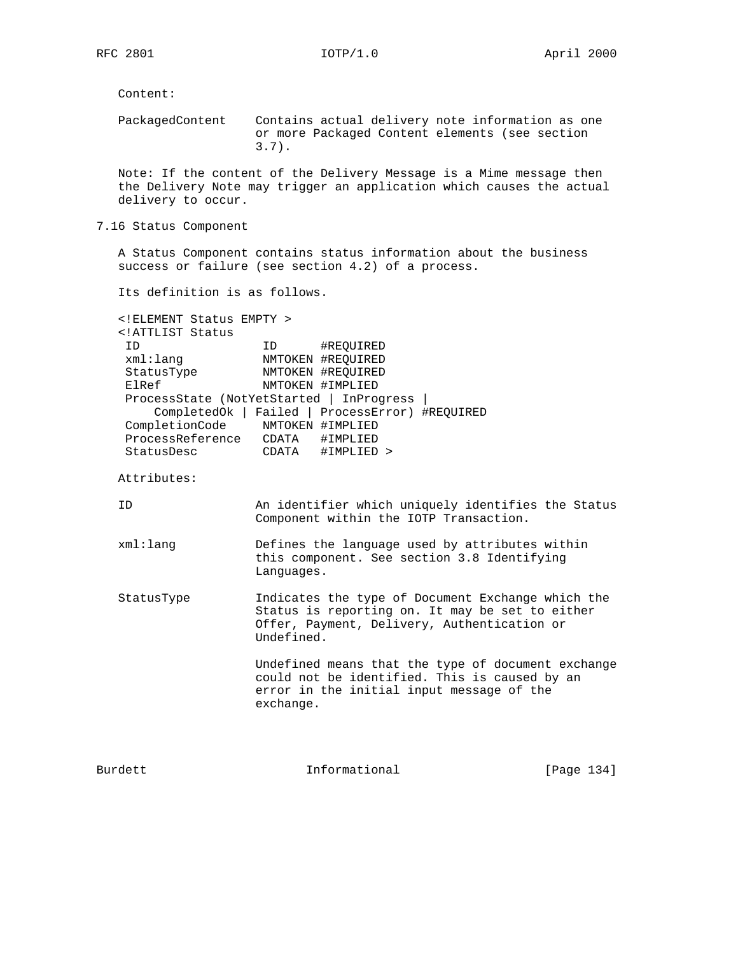Content:

 PackagedContent Contains actual delivery note information as one or more Packaged Content elements (see section 3.7).

 Note: If the content of the Delivery Message is a Mime message then the Delivery Note may trigger an application which causes the actual delivery to occur.

7.16 Status Component

 A Status Component contains status information about the business success or failure (see section 4.2) of a process.

Its definition is as follows.

| ELEMENT Status EMPTY                             |        |                         |  |
|--------------------------------------------------|--------|-------------------------|--|
| ATTLIST Status</td <td></td> <td></td> <td></td> |        |                         |  |
| TD                                               | TD     | #REOUIRED               |  |
| xml:lang                                         |        | NMTOKEN #REOUIRED       |  |
| StatusType                                       |        | NMTOKEN #REOUIRED       |  |
| ElRef                                            |        | NMTOKEN #IMPLIED        |  |
| ProcessState (NotYetStarted                      |        | InProgress              |  |
| CompletedOk                                      | Failed | ProcessError) #REOUIRED |  |
| CompletionCode                                   |        | NMTOKEN #IMPLIED        |  |
| ProcessReference                                 | CDATA  | #IMPLIED                |  |
| StatusDesc                                       | CDATA  | #IMPLIED                |  |

Attributes:

 ID An identifier which uniquely identifies the Status Component within the IOTP Transaction.

- xml:lang Defines the language used by attributes within this component. See section 3.8 Identifying Languages.
- StatusType Indicates the type of Document Exchange which the Status is reporting on. It may be set to either Offer, Payment, Delivery, Authentication or Undefined.

 Undefined means that the type of document exchange could not be identified. This is caused by an error in the initial input message of the exchange.

| Burdett | Informational | [Page 134] |
|---------|---------------|------------|
|         |               |            |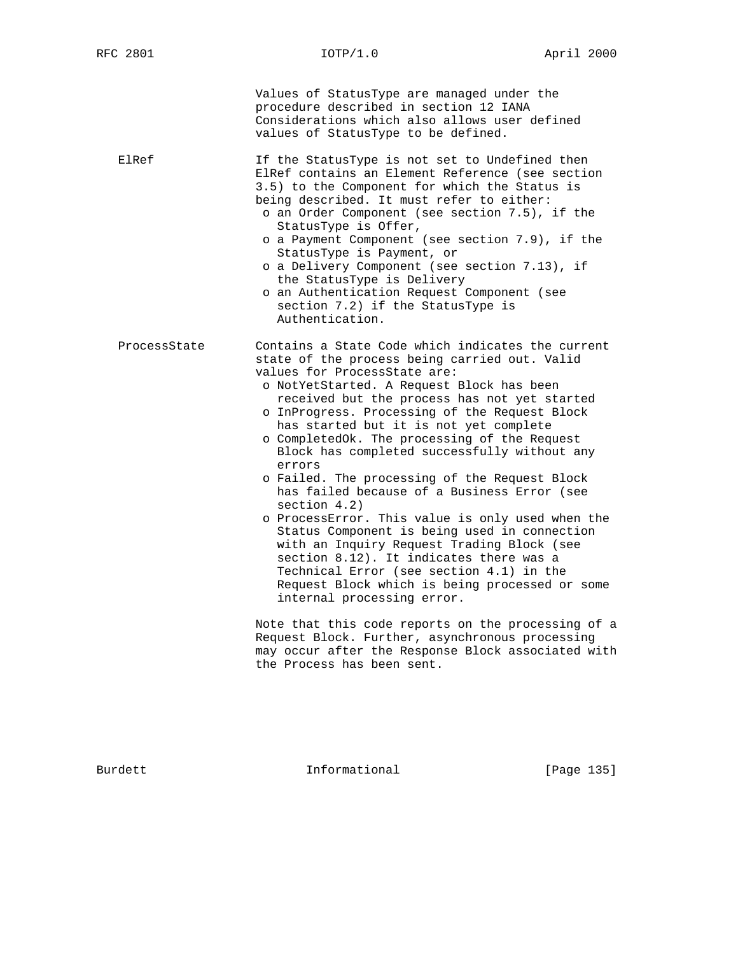|              | Values of StatusType are managed under the<br>procedure described in section 12 IANA<br>Considerations which also allows user defined<br>values of StatusType to be defined.                                                                                                                                                                                                                                                                                                                                                                                                                                                                                                                                                                                                                                                                                                     |
|--------------|----------------------------------------------------------------------------------------------------------------------------------------------------------------------------------------------------------------------------------------------------------------------------------------------------------------------------------------------------------------------------------------------------------------------------------------------------------------------------------------------------------------------------------------------------------------------------------------------------------------------------------------------------------------------------------------------------------------------------------------------------------------------------------------------------------------------------------------------------------------------------------|
| ElRef        | If the StatusType is not set to Undefined then<br>ElRef contains an Element Reference (see section<br>3.5) to the Component for which the Status is<br>being described. It must refer to either:<br>o an Order Component (see section 7.5), if the<br>StatusType is Offer,<br>o a Payment Component (see section 7.9), if the<br>StatusType is Payment, or<br>o a Delivery Component (see section 7.13), if<br>the StatusType is Delivery<br>o an Authentication Request Component (see<br>section 7.2) if the StatusType is<br>Authentication.                                                                                                                                                                                                                                                                                                                                  |
| ProcessState | Contains a State Code which indicates the current<br>state of the process being carried out. Valid<br>values for ProcessState are:<br>o NotYetStarted. A Request Block has been<br>received but the process has not yet started<br>o InProgress. Processing of the Request Block<br>has started but it is not yet complete<br>o CompletedOk. The processing of the Request<br>Block has completed successfully without any<br>errors<br>o Failed. The processing of the Request Block<br>has failed because of a Business Error (see<br>section $4.2$ )<br>o ProcessError. This value is only used when the<br>Status Component is being used in connection<br>with an Inquiry Request Trading Block (see<br>section 8.12). It indicates there was a<br>Technical Error (see section 4.1) in the<br>Request Block which is being processed or some<br>internal processing error. |
|              | Note that this code reports on the processing of a<br>Request Block. Further, asynchronous processing<br>may occur after the Response Block associated with<br>the Process has been sent.                                                                                                                                                                                                                                                                                                                                                                                                                                                                                                                                                                                                                                                                                        |

Burdett **Informational** [Page 135]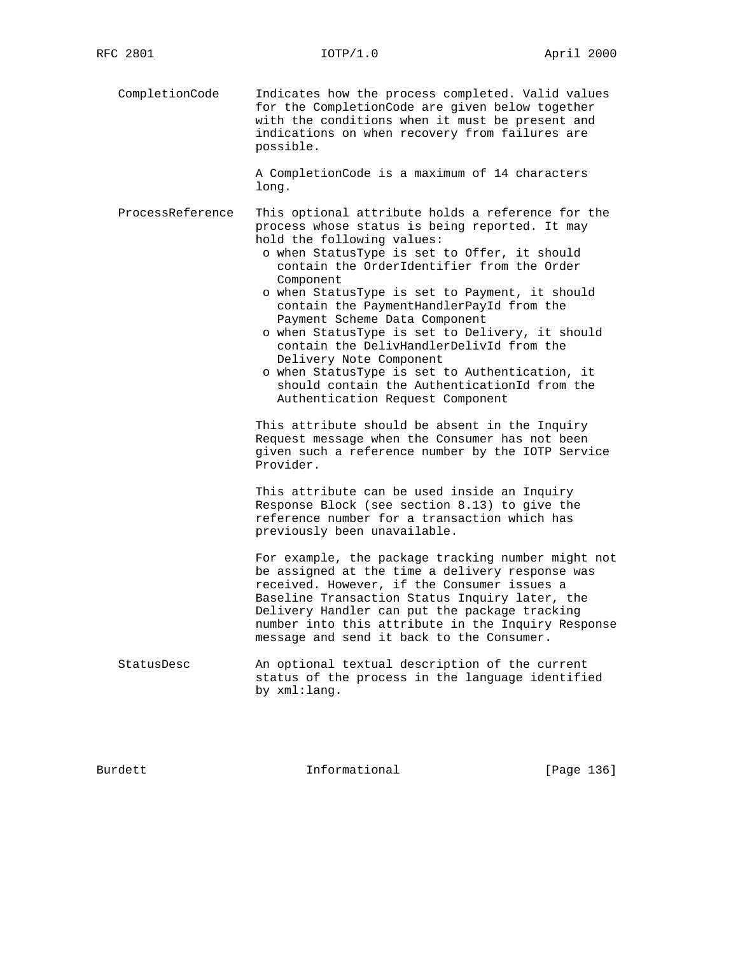| CompletionCode   | Indicates how the process completed. Valid values<br>for the CompletionCode are given below together<br>with the conditions when it must be present and<br>indications on when recovery from failures are<br>possible.                                                                                                                                                                                                                                                                                                                                                                                                                                                                                                                                                                                                                                                                                                                                                                                                                                                                                                                                                                                                                                                                                                                                           |
|------------------|------------------------------------------------------------------------------------------------------------------------------------------------------------------------------------------------------------------------------------------------------------------------------------------------------------------------------------------------------------------------------------------------------------------------------------------------------------------------------------------------------------------------------------------------------------------------------------------------------------------------------------------------------------------------------------------------------------------------------------------------------------------------------------------------------------------------------------------------------------------------------------------------------------------------------------------------------------------------------------------------------------------------------------------------------------------------------------------------------------------------------------------------------------------------------------------------------------------------------------------------------------------------------------------------------------------------------------------------------------------|
|                  | A CompletionCode is a maximum of 14 characters<br>long.                                                                                                                                                                                                                                                                                                                                                                                                                                                                                                                                                                                                                                                                                                                                                                                                                                                                                                                                                                                                                                                                                                                                                                                                                                                                                                          |
| ProcessReference | This optional attribute holds a reference for the<br>process whose status is being reported. It may<br>hold the following values:<br>o when StatusType is set to Offer, it should<br>contain the OrderIdentifier from the Order<br>Component<br>o when StatusType is set to Payment, it should<br>contain the PaymentHandlerPayId from the<br>Payment Scheme Data Component<br>o when StatusType is set to Delivery, it should<br>contain the DelivHandlerDelivId from the<br>Delivery Note Component<br>o when StatusType is set to Authentication, it<br>should contain the AuthenticationId from the<br>Authentication Request Component<br>This attribute should be absent in the Inquiry<br>Request message when the Consumer has not been<br>given such a reference number by the IOTP Service<br>Provider.<br>This attribute can be used inside an Inquiry<br>Response Block (see section 8.13) to give the<br>reference number for a transaction which has<br>previously been unavailable.<br>For example, the package tracking number might not<br>be assigned at the time a delivery response was<br>received. However, if the Consumer issues a<br>Baseline Transaction Status Inquiry later, the<br>Delivery Handler can put the package tracking<br>number into this attribute in the Inquiry Response<br>message and send it back to the Consumer. |
| StatusDesc       | An optional textual description of the current<br>status of the process in the language identified<br>by xml:lang.                                                                                                                                                                                                                                                                                                                                                                                                                                                                                                                                                                                                                                                                                                                                                                                                                                                                                                                                                                                                                                                                                                                                                                                                                                               |

Burdett **Informational Informational** [Page 136]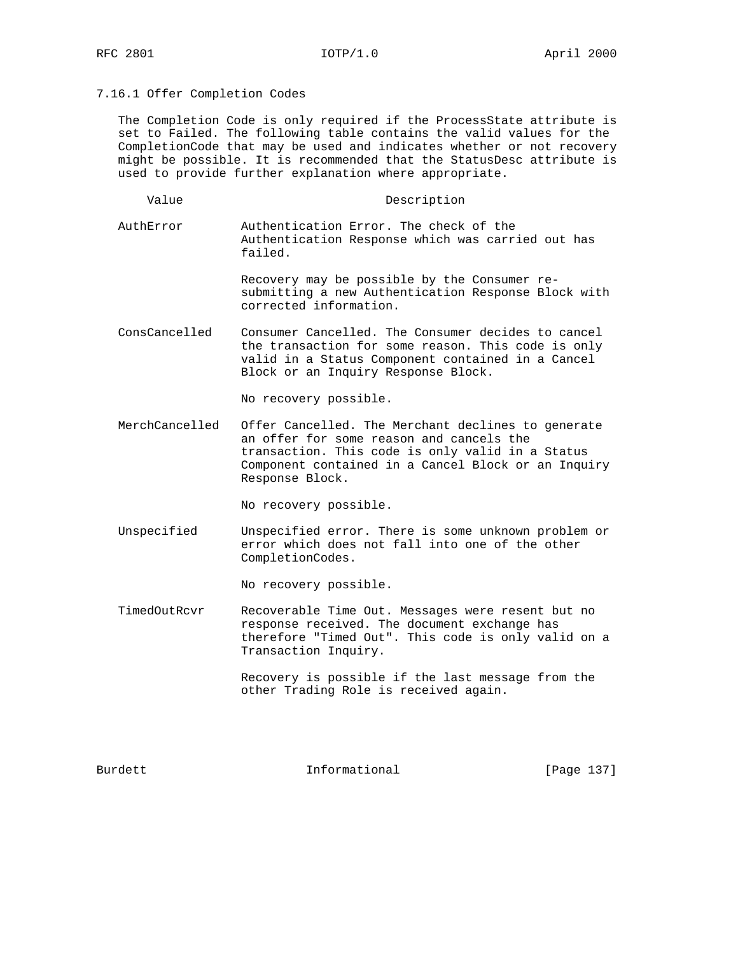7.16.1 Offer Completion Codes

 The Completion Code is only required if the ProcessState attribute is set to Failed. The following table contains the valid values for the CompletionCode that may be used and indicates whether or not recovery might be possible. It is recommended that the StatusDesc attribute is used to provide further explanation where appropriate.

| Value | Description |
|-------|-------------|
|       |             |

 AuthError Authentication Error. The check of the Authentication Response which was carried out has failed.

> Recovery may be possible by the Consumer re submitting a new Authentication Response Block with corrected information.

 ConsCancelled Consumer Cancelled. The Consumer decides to cancel the transaction for some reason. This code is only valid in a Status Component contained in a Cancel Block or an Inquiry Response Block.

No recovery possible.

 MerchCancelled Offer Cancelled. The Merchant declines to generate an offer for some reason and cancels the transaction. This code is only valid in a Status Component contained in a Cancel Block or an Inquiry Response Block.

No recovery possible.

 Unspecified Unspecified error. There is some unknown problem or error which does not fall into one of the other CompletionCodes.

No recovery possible.

 TimedOutRcvr Recoverable Time Out. Messages were resent but no response received. The document exchange has therefore "Timed Out". This code is only valid on a Transaction Inquiry.

> Recovery is possible if the last message from the other Trading Role is received again.

Burdett **Informational** [Page 137]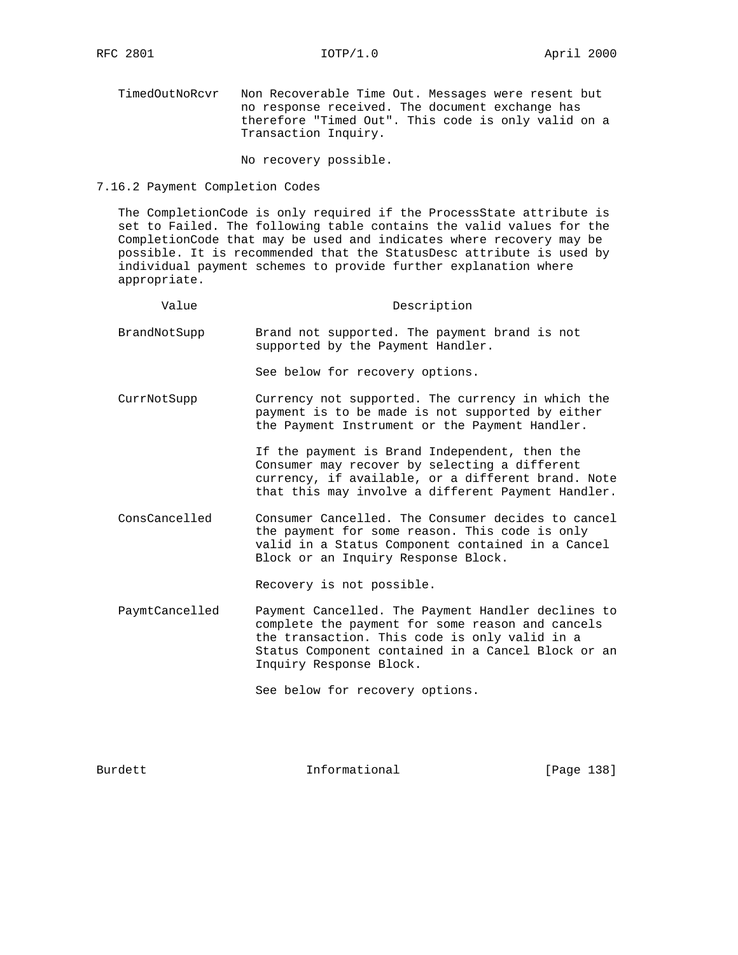TimedOutNoRcvr Non Recoverable Time Out. Messages were resent but no response received. The document exchange has therefore "Timed Out". This code is only valid on a Transaction Inquiry.

No recovery possible.

7.16.2 Payment Completion Codes

 The CompletionCode is only required if the ProcessState attribute is set to Failed. The following table contains the valid values for the CompletionCode that may be used and indicates where recovery may be possible. It is recommended that the StatusDesc attribute is used by individual payment schemes to provide further explanation where appropriate.

| Value          | Description                                                                                                                                                                                                   |
|----------------|---------------------------------------------------------------------------------------------------------------------------------------------------------------------------------------------------------------|
| BrandNotSupp   | Brand not supported. The payment brand is not<br>supported by the Payment Handler.                                                                                                                            |
|                | See below for recovery options.                                                                                                                                                                               |
| CurrNotSupp    | Currency not supported. The currency in which the<br>payment is to be made is not supported by either<br>the Payment Instrument or the Payment Handler.                                                       |
|                | If the payment is Brand Independent, then the<br>Consumer may recover by selecting a different<br>currency, if available, or a different brand. Note<br>that this may involve a different Payment Handler.    |
| ConsCancelled  | Consumer Cancelled. The Consumer decides to cancel<br>the payment for some reason. This code is only<br>valid in a Status Component contained in a Cancel<br>Block or an Inquiry Response Block.              |
|                | Recovery is not possible.                                                                                                                                                                                     |
| PaymtCancelled | Payment Cancelled. The Payment Handler declines to<br>complete the payment for some reason and cancels<br>the transaction. This code is only valid in a<br>Status Component contained in a Cancel Block or an |

See below for recovery options.

Burdett Informational [Page 138]

Inquiry Response Block.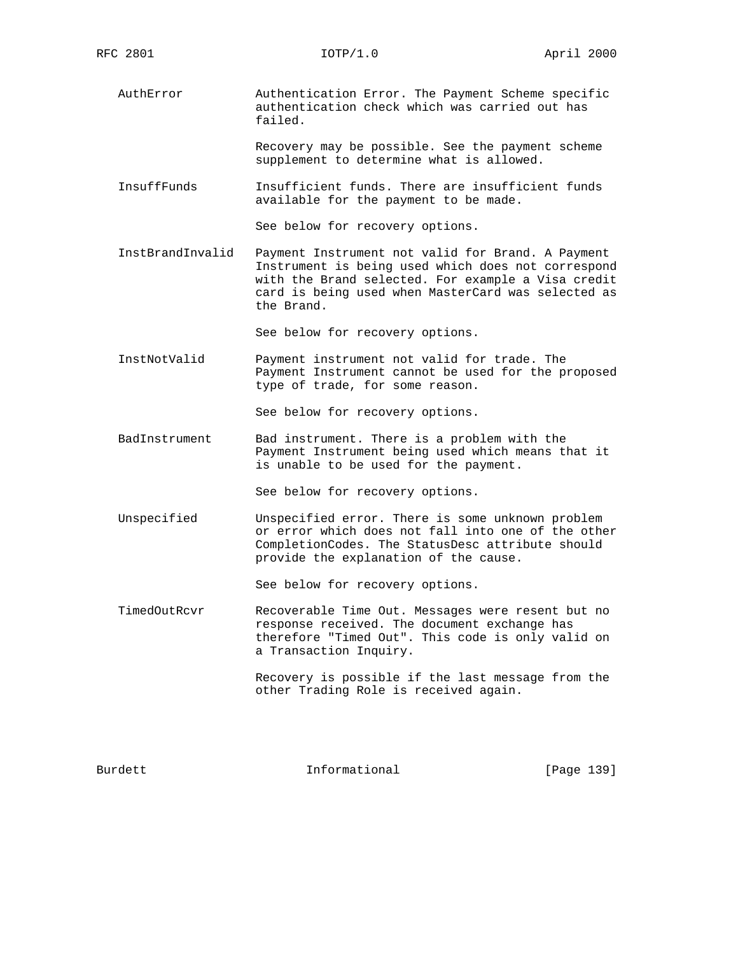AuthError Authentication Error. The Payment Scheme specific authentication check which was carried out has failed.

> Recovery may be possible. See the payment scheme supplement to determine what is allowed.

 InsuffFunds Insufficient funds. There are insufficient funds available for the payment to be made.

See below for recovery options.

 InstBrandInvalid Payment Instrument not valid for Brand. A Payment Instrument is being used which does not correspond with the Brand selected. For example a Visa credit card is being used when MasterCard was selected as the Brand.

See below for recovery options.

 InstNotValid Payment instrument not valid for trade. The Payment Instrument cannot be used for the proposed type of trade, for some reason.

See below for recovery options.

 BadInstrument Bad instrument. There is a problem with the Payment Instrument being used which means that it is unable to be used for the payment.

See below for recovery options.

 Unspecified Unspecified error. There is some unknown problem or error which does not fall into one of the other CompletionCodes. The StatusDesc attribute should provide the explanation of the cause.

See below for recovery options.

 TimedOutRcvr Recoverable Time Out. Messages were resent but no response received. The document exchange has therefore "Timed Out". This code is only valid on a Transaction Inquiry.

> Recovery is possible if the last message from the other Trading Role is received again.

Burdett **Informational** [Page 139]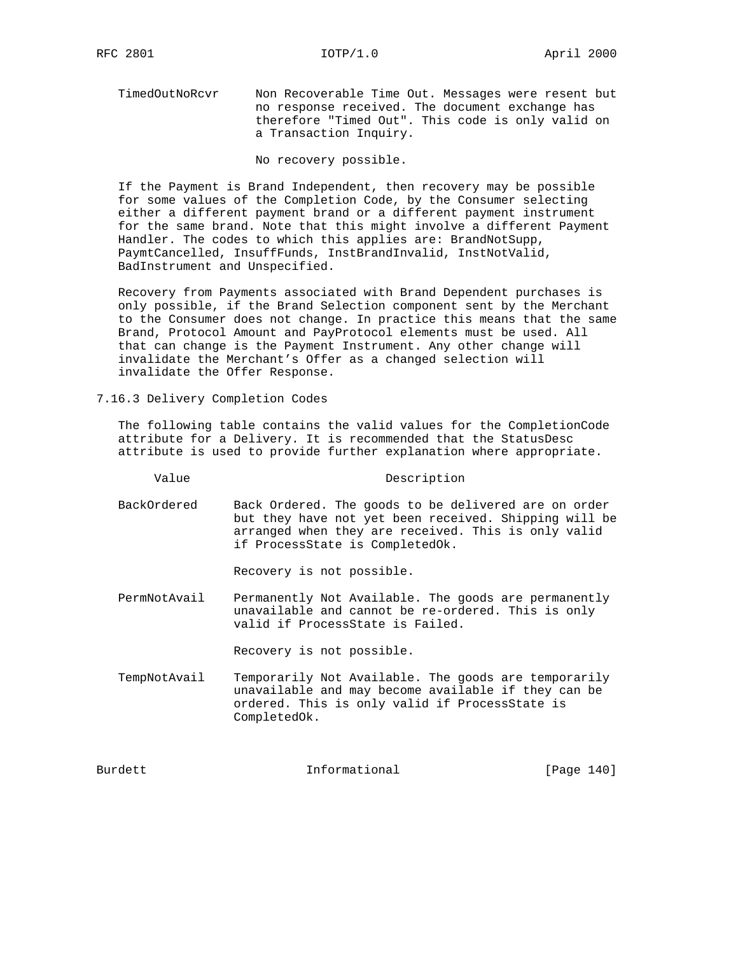TimedOutNoRcvr Non Recoverable Time Out. Messages were resent but no response received. The document exchange has therefore "Timed Out". This code is only valid on a Transaction Inquiry.

No recovery possible.

 If the Payment is Brand Independent, then recovery may be possible for some values of the Completion Code, by the Consumer selecting either a different payment brand or a different payment instrument for the same brand. Note that this might involve a different Payment Handler. The codes to which this applies are: BrandNotSupp, PaymtCancelled, InsuffFunds, InstBrandInvalid, InstNotValid, BadInstrument and Unspecified.

 Recovery from Payments associated with Brand Dependent purchases is only possible, if the Brand Selection component sent by the Merchant to the Consumer does not change. In practice this means that the same Brand, Protocol Amount and PayProtocol elements must be used. All that can change is the Payment Instrument. Any other change will invalidate the Merchant's Offer as a changed selection will invalidate the Offer Response.

7.16.3 Delivery Completion Codes

 The following table contains the valid values for the CompletionCode attribute for a Delivery. It is recommended that the StatusDesc attribute is used to provide further explanation where appropriate.

Value Description

 BackOrdered Back Ordered. The goods to be delivered are on order but they have not yet been received. Shipping will be arranged when they are received. This is only valid if ProcessState is CompletedOk.

Recovery is not possible.

 PermNotAvail Permanently Not Available. The goods are permanently unavailable and cannot be re-ordered. This is only valid if ProcessState is Failed.

Recovery is not possible.

 TempNotAvail Temporarily Not Available. The goods are temporarily unavailable and may become available if they can be ordered. This is only valid if ProcessState is CompletedOk.

Burdett **Informational** [Page 140]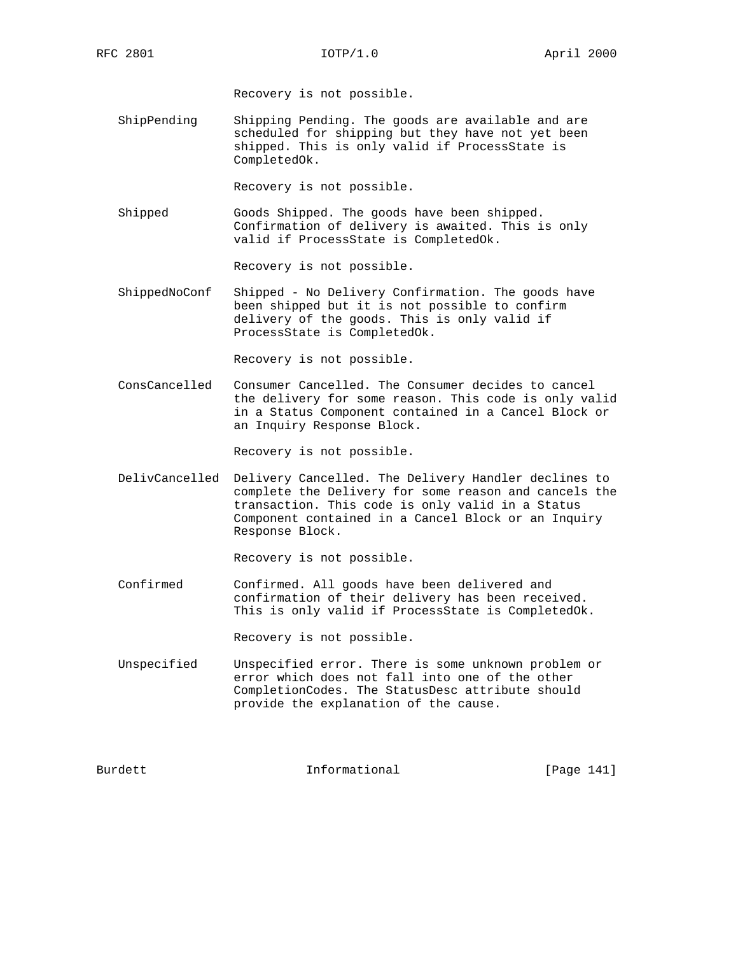Recovery is not possible.

 ShipPending Shipping Pending. The goods are available and are scheduled for shipping but they have not yet been shipped. This is only valid if ProcessState is CompletedOk.

Recovery is not possible.

 Shipped Goods Shipped. The goods have been shipped. Confirmation of delivery is awaited. This is only valid if ProcessState is CompletedOk.

Recovery is not possible.

 ShippedNoConf Shipped - No Delivery Confirmation. The goods have been shipped but it is not possible to confirm delivery of the goods. This is only valid if ProcessState is CompletedOk.

Recovery is not possible.

 ConsCancelled Consumer Cancelled. The Consumer decides to cancel the delivery for some reason. This code is only valid in a Status Component contained in a Cancel Block or an Inquiry Response Block.

Recovery is not possible.

 DelivCancelled Delivery Cancelled. The Delivery Handler declines to complete the Delivery for some reason and cancels the transaction. This code is only valid in a Status Component contained in a Cancel Block or an Inquiry Response Block.

Recovery is not possible.

 Confirmed Confirmed. All goods have been delivered and confirmation of their delivery has been received. This is only valid if ProcessState is CompletedOk.

Recovery is not possible.

 Unspecified Unspecified error. There is some unknown problem or error which does not fall into one of the other CompletionCodes. The StatusDesc attribute should provide the explanation of the cause.

Burdett **Informational** [Page 141]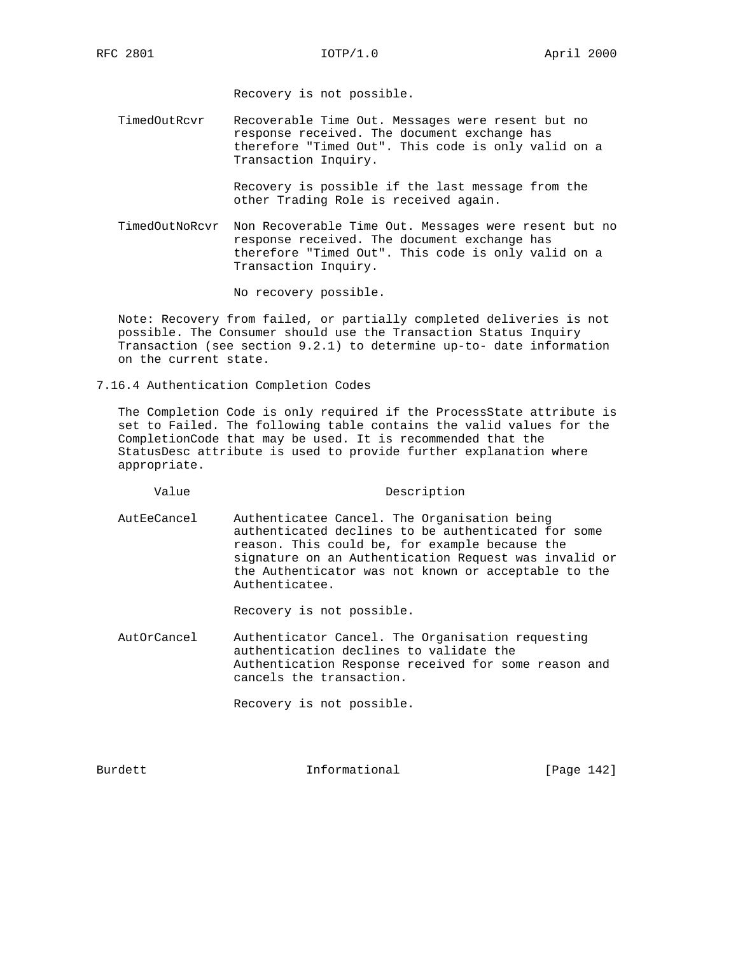Recovery is not possible.

 TimedOutRcvr Recoverable Time Out. Messages were resent but no response received. The document exchange has therefore "Timed Out". This code is only valid on a Transaction Inquiry.

> Recovery is possible if the last message from the other Trading Role is received again.

 TimedOutNoRcvr Non Recoverable Time Out. Messages were resent but no response received. The document exchange has therefore "Timed Out". This code is only valid on a Transaction Inquiry.

No recovery possible.

 Note: Recovery from failed, or partially completed deliveries is not possible. The Consumer should use the Transaction Status Inquiry Transaction (see section 9.2.1) to determine up-to- date information on the current state.

7.16.4 Authentication Completion Codes

 The Completion Code is only required if the ProcessState attribute is set to Failed. The following table contains the valid values for the CompletionCode that may be used. It is recommended that the StatusDesc attribute is used to provide further explanation where appropriate.

Value Description

 AutEeCancel Authenticatee Cancel. The Organisation being authenticated declines to be authenticated for some reason. This could be, for example because the signature on an Authentication Request was invalid or the Authenticator was not known or acceptable to the Authenticatee.

Recovery is not possible.

 AutOrCancel Authenticator Cancel. The Organisation requesting authentication declines to validate the Authentication Response received for some reason and cancels the transaction.

Recovery is not possible.

Burdett **Informational** [Page 142]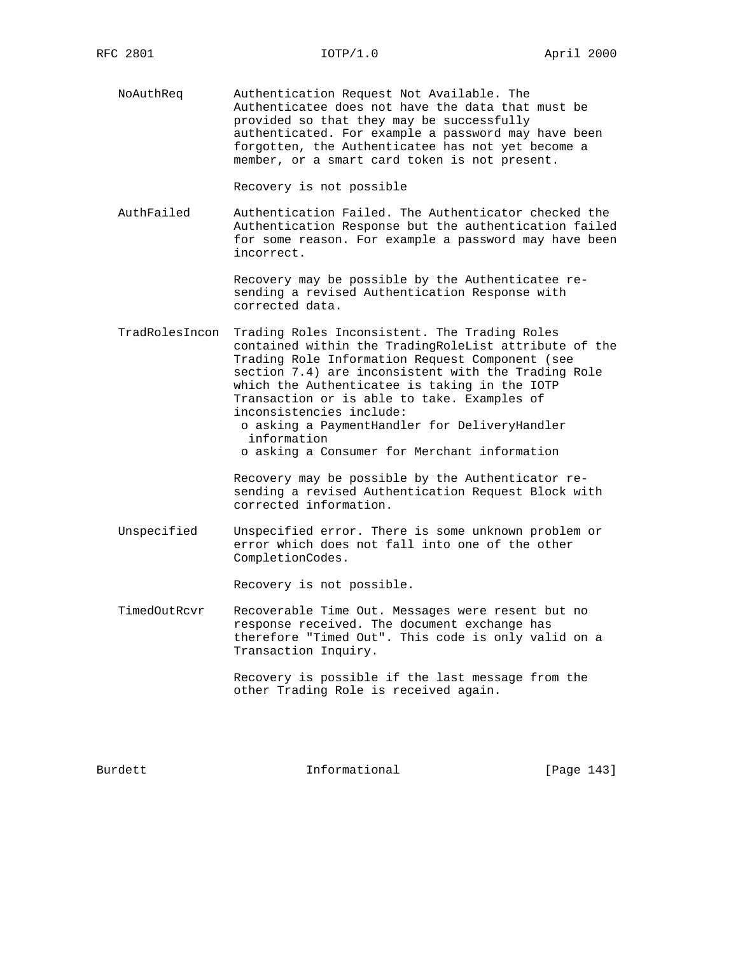NoAuthReq Authentication Request Not Available. The Authenticatee does not have the data that must be provided so that they may be successfully authenticated. For example a password may have been forgotten, the Authenticatee has not yet become a member, or a smart card token is not present.

Recovery is not possible

 AuthFailed Authentication Failed. The Authenticator checked the Authentication Response but the authentication failed for some reason. For example a password may have been incorrect.

> Recovery may be possible by the Authenticatee re sending a revised Authentication Response with corrected data.

- TradRolesIncon Trading Roles Inconsistent. The Trading Roles contained within the TradingRoleList attribute of the Trading Role Information Request Component (see section 7.4) are inconsistent with the Trading Role which the Authenticatee is taking in the IOTP Transaction or is able to take. Examples of inconsistencies include: o asking a PaymentHandler for DeliveryHandler information
	- o asking a Consumer for Merchant information

 Recovery may be possible by the Authenticator re sending a revised Authentication Request Block with corrected information.

 Unspecified Unspecified error. There is some unknown problem or error which does not fall into one of the other CompletionCodes.

Recovery is not possible.

 TimedOutRcvr Recoverable Time Out. Messages were resent but no response received. The document exchange has therefore "Timed Out". This code is only valid on a Transaction Inquiry.

> Recovery is possible if the last message from the other Trading Role is received again.

Burdett **Informational** [Page 143]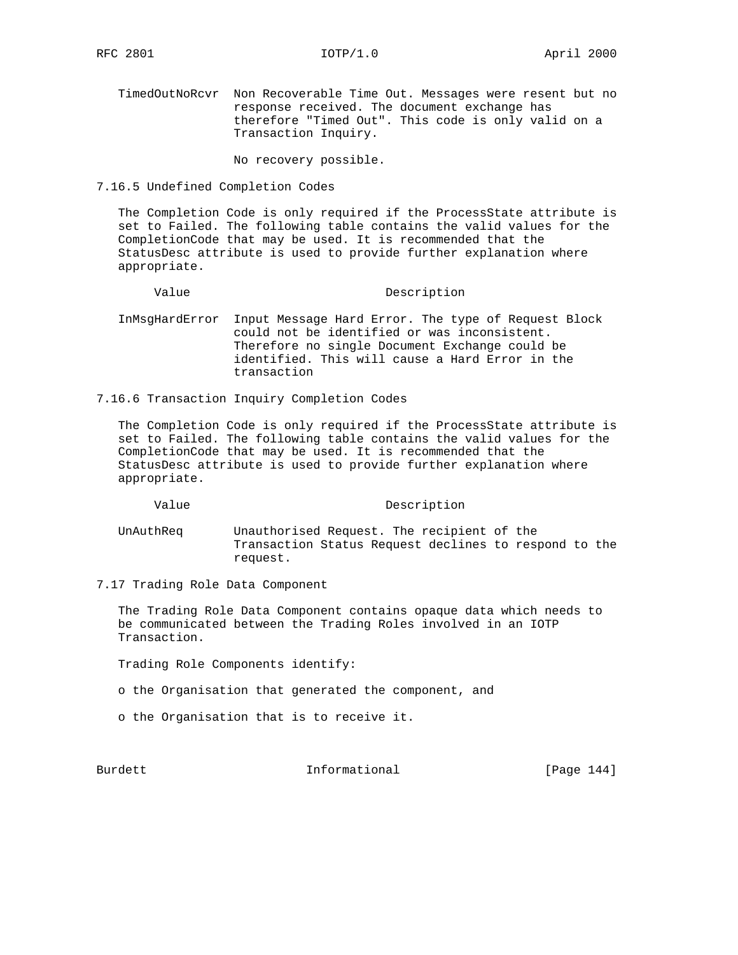TimedOutNoRcvr Non Recoverable Time Out. Messages were resent but no response received. The document exchange has therefore "Timed Out". This code is only valid on a Transaction Inquiry.

No recovery possible.

7.16.5 Undefined Completion Codes

 The Completion Code is only required if the ProcessState attribute is set to Failed. The following table contains the valid values for the CompletionCode that may be used. It is recommended that the StatusDesc attribute is used to provide further explanation where appropriate.

Value Description

 InMsgHardError Input Message Hard Error. The type of Request Block could not be identified or was inconsistent. Therefore no single Document Exchange could be identified. This will cause a Hard Error in the transaction

7.16.6 Transaction Inquiry Completion Codes

 The Completion Code is only required if the ProcessState attribute is set to Failed. The following table contains the valid values for the CompletionCode that may be used. It is recommended that the StatusDesc attribute is used to provide further explanation where appropriate.

Value Description

 UnAuthReq Unauthorised Request. The recipient of the Transaction Status Request declines to respond to the request.

7.17 Trading Role Data Component

 The Trading Role Data Component contains opaque data which needs to be communicated between the Trading Roles involved in an IOTP Transaction.

Trading Role Components identify:

- o the Organisation that generated the component, and
- o the Organisation that is to receive it.

Burdett **Informational** [Page 144]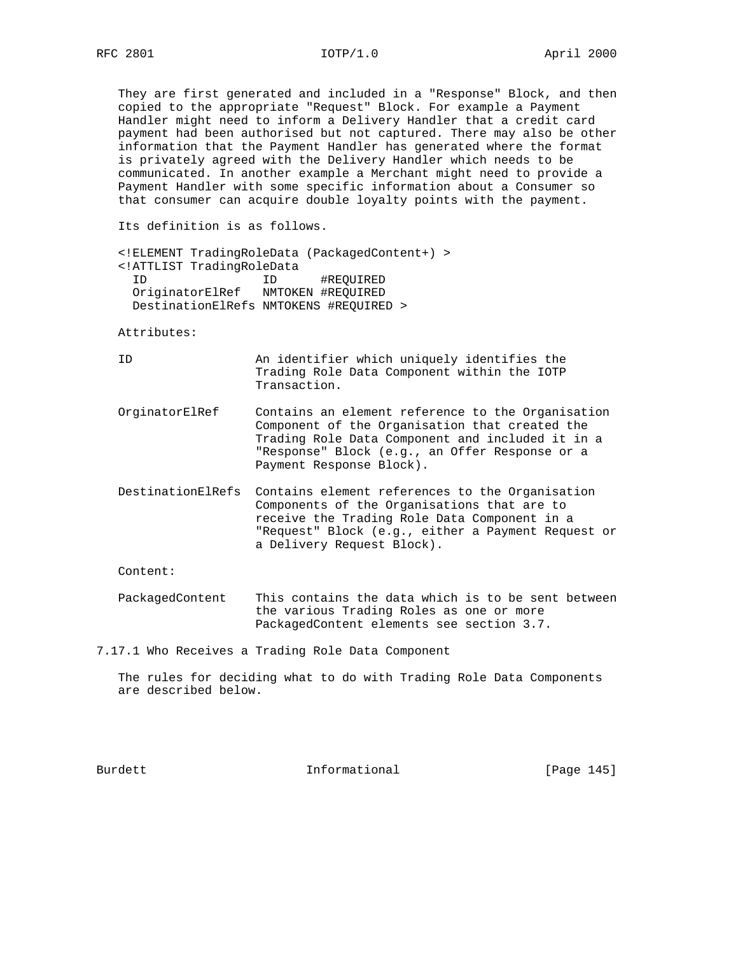They are first generated and included in a "Response" Block, and then copied to the appropriate "Request" Block. For example a Payment Handler might need to inform a Delivery Handler that a credit card payment had been authorised but not captured. There may also be other information that the Payment Handler has generated where the format is privately agreed with the Delivery Handler which needs to be communicated. In another example a Merchant might need to provide a Payment Handler with some specific information about a Consumer so that consumer can acquire double loyalty points with the payment.

Its definition is as follows.

 <!ELEMENT TradingRoleData (PackagedContent+) > <!ATTLIST TradingRoleData ID ID #REQUIRED OriginatorElRef NMTOKEN #REQUIRED DestinationElRefs NMTOKENS #REQUIRED >

Attributes:

- ID An identifier which uniquely identifies the Trading Role Data Component within the IOTP Transaction.
- OrginatorElRef Contains an element reference to the Organisation Component of the Organisation that created the Trading Role Data Component and included it in a "Response" Block (e.g., an Offer Response or a Payment Response Block).
- DestinationElRefs Contains element references to the Organisation Components of the Organisations that are to receive the Trading Role Data Component in a "Request" Block (e.g., either a Payment Request or a Delivery Request Block).

Content:

- PackagedContent This contains the data which is to be sent between the various Trading Roles as one or more PackagedContent elements see section 3.7.
- 7.17.1 Who Receives a Trading Role Data Component

 The rules for deciding what to do with Trading Role Data Components are described below.

Burdett **Informational** [Page 145]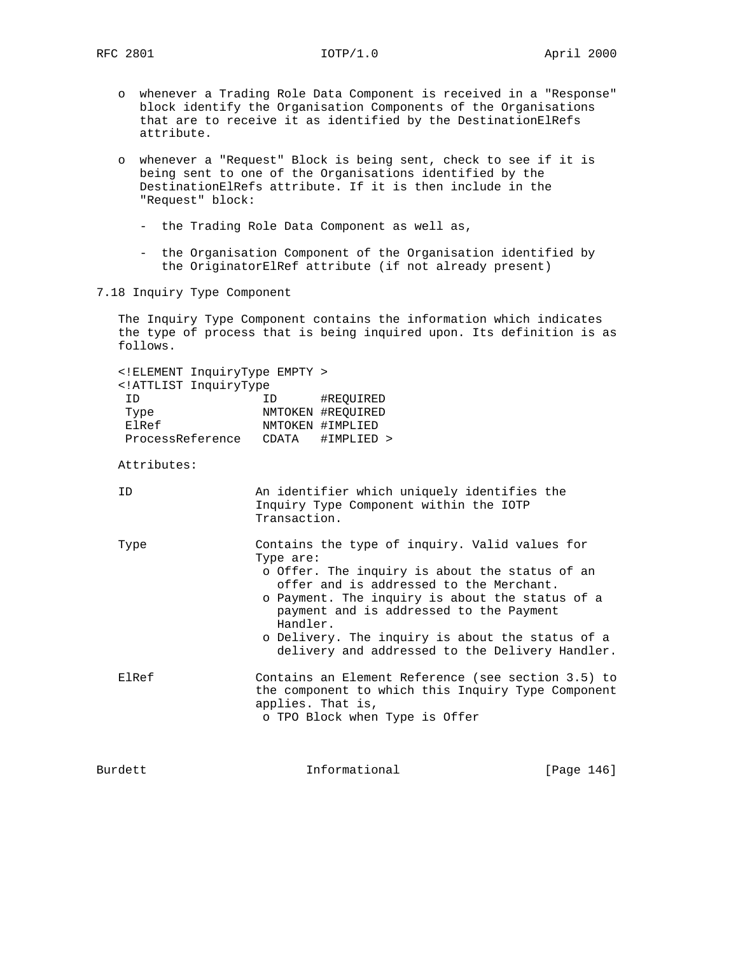- o whenever a Trading Role Data Component is received in a "Response" block identify the Organisation Components of the Organisations that are to receive it as identified by the DestinationElRefs attribute.
- o whenever a "Request" Block is being sent, check to see if it is being sent to one of the Organisations identified by the DestinationElRefs attribute. If it is then include in the "Request" block:
	- the Trading Role Data Component as well as,
	- the Organisation Component of the Organisation identified by the OriginatorElRef attribute (if not already present)
- 7.18 Inquiry Type Component

 The Inquiry Type Component contains the information which indicates the type of process that is being inquired upon. Its definition is as follows.

|                  | ELEMENT InquiryType EMPTY                   |       |                   |
|------------------|---------------------------------------------|-------|-------------------|
|                  | ATTLIST InquiryType</td <td></td> <td></td> |       |                   |
| TD               |                                             | TD    | #REOUIRED         |
| Type             |                                             |       | NMTOKEN #REOUIRED |
| ElRef            |                                             |       | NMTOKEN #IMPLIED  |
| ProcessReference |                                             | CDATA | #IMPLIED >        |
|                  |                                             |       |                   |

Attributes:

| ID    | An identifier which uniquely identifies the<br>Inquiry Type Component within the IOTP<br>Transaction.                                                                                                                                                                                                                                                                     |
|-------|---------------------------------------------------------------------------------------------------------------------------------------------------------------------------------------------------------------------------------------------------------------------------------------------------------------------------------------------------------------------------|
| Type  | Contains the type of inquiry. Valid values for<br>Type are:<br>o Offer. The inquiry is about the status of an<br>offer and is addressed to the Merchant.<br>o Payment. The inquiry is about the status of a<br>payment and is addressed to the Payment<br>Handler.<br>o Delivery. The inquiry is about the status of a<br>delivery and addressed to the Delivery Handler. |
| ElRef | Contains an Element Reference (see section 3.5) to<br>the component to which this Inquiry Type Component<br>applies. That is,<br>o TPO Block when Type is Offer                                                                                                                                                                                                           |

Burdett Informational [Page 146]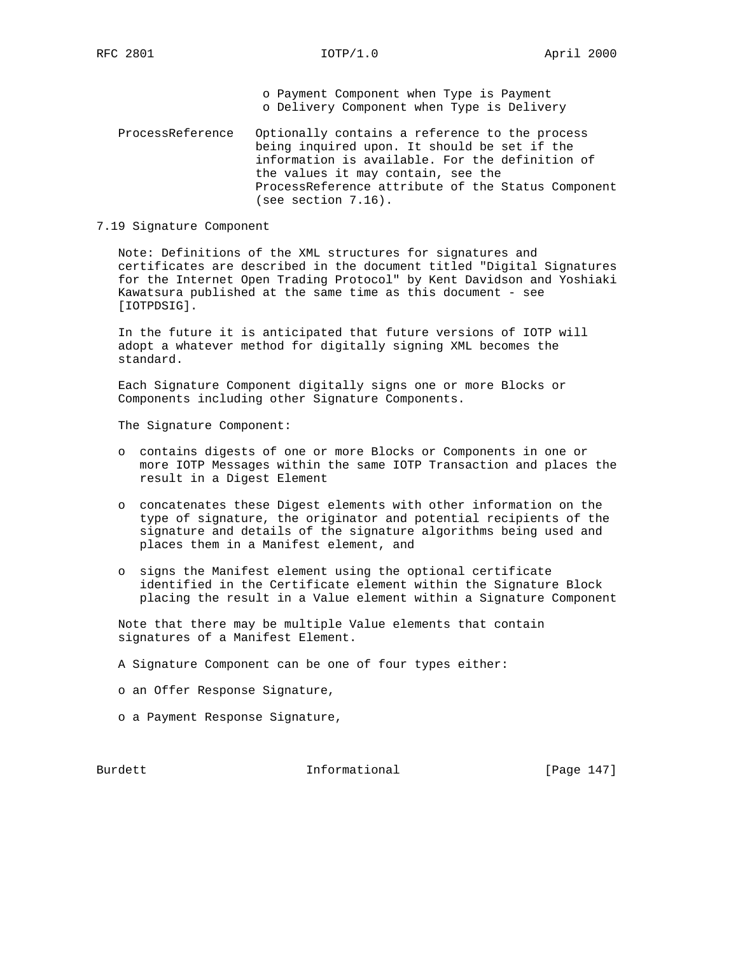- o Payment Component when Type is Payment o Delivery Component when Type is Delivery
- ProcessReference Optionally contains a reference to the process being inquired upon. It should be set if the information is available. For the definition of the values it may contain, see the ProcessReference attribute of the Status Component (see section 7.16).

## 7.19 Signature Component

 Note: Definitions of the XML structures for signatures and certificates are described in the document titled "Digital Signatures for the Internet Open Trading Protocol" by Kent Davidson and Yoshiaki Kawatsura published at the same time as this document - see [IOTPDSIG].

 In the future it is anticipated that future versions of IOTP will adopt a whatever method for digitally signing XML becomes the standard.

 Each Signature Component digitally signs one or more Blocks or Components including other Signature Components.

The Signature Component:

- o contains digests of one or more Blocks or Components in one or more IOTP Messages within the same IOTP Transaction and places the result in a Digest Element
- o concatenates these Digest elements with other information on the type of signature, the originator and potential recipients of the signature and details of the signature algorithms being used and places them in a Manifest element, and
- o signs the Manifest element using the optional certificate identified in the Certificate element within the Signature Block placing the result in a Value element within a Signature Component

 Note that there may be multiple Value elements that contain signatures of a Manifest Element.

- A Signature Component can be one of four types either:
- o an Offer Response Signature,
- o a Payment Response Signature,

Burdett **Informational** [Page 147]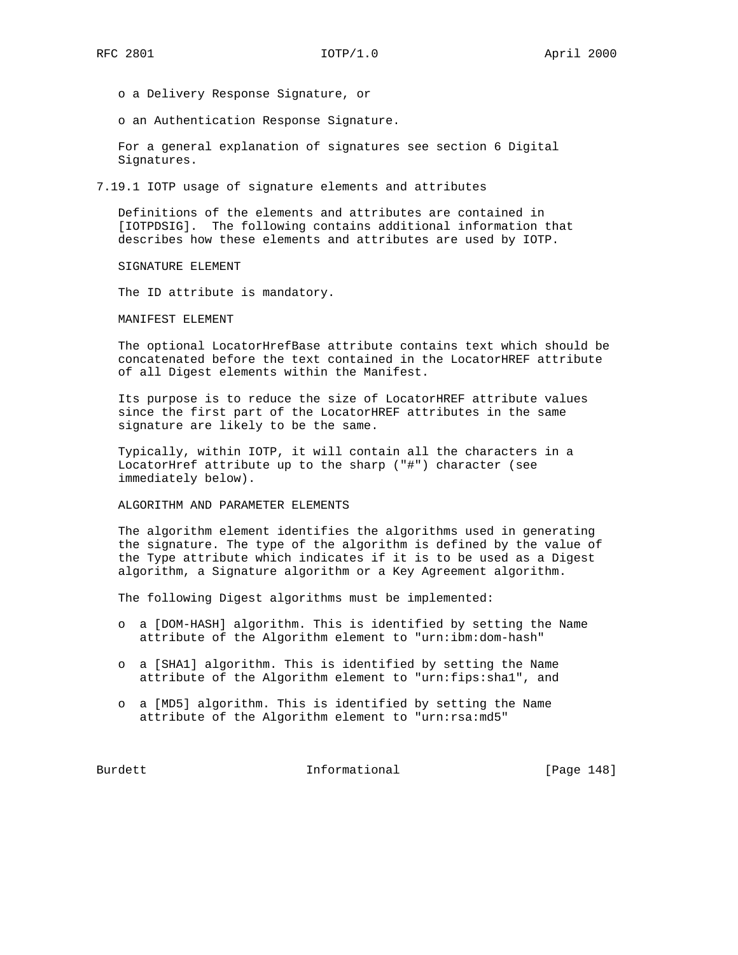- o a Delivery Response Signature, or
- o an Authentication Response Signature.

 For a general explanation of signatures see section 6 Digital Signatures.

7.19.1 IOTP usage of signature elements and attributes

 Definitions of the elements and attributes are contained in [IOTPDSIG]. The following contains additional information that describes how these elements and attributes are used by IOTP.

SIGNATURE ELEMENT

The ID attribute is mandatory.

MANIFEST ELEMENT

 The optional LocatorHrefBase attribute contains text which should be concatenated before the text contained in the LocatorHREF attribute of all Digest elements within the Manifest.

 Its purpose is to reduce the size of LocatorHREF attribute values since the first part of the LocatorHREF attributes in the same signature are likely to be the same.

 Typically, within IOTP, it will contain all the characters in a LocatorHref attribute up to the sharp ("#") character (see immediately below).

ALGORITHM AND PARAMETER ELEMENTS

 The algorithm element identifies the algorithms used in generating the signature. The type of the algorithm is defined by the value of the Type attribute which indicates if it is to be used as a Digest algorithm, a Signature algorithm or a Key Agreement algorithm.

The following Digest algorithms must be implemented:

- o a [DOM-HASH] algorithm. This is identified by setting the Name attribute of the Algorithm element to "urn:ibm:dom-hash"
- o a [SHA1] algorithm. This is identified by setting the Name attribute of the Algorithm element to "urn:fips:sha1", and
- o a [MD5] algorithm. This is identified by setting the Name attribute of the Algorithm element to "urn:rsa:md5"

Burdett **Informational Informational** [Page 148]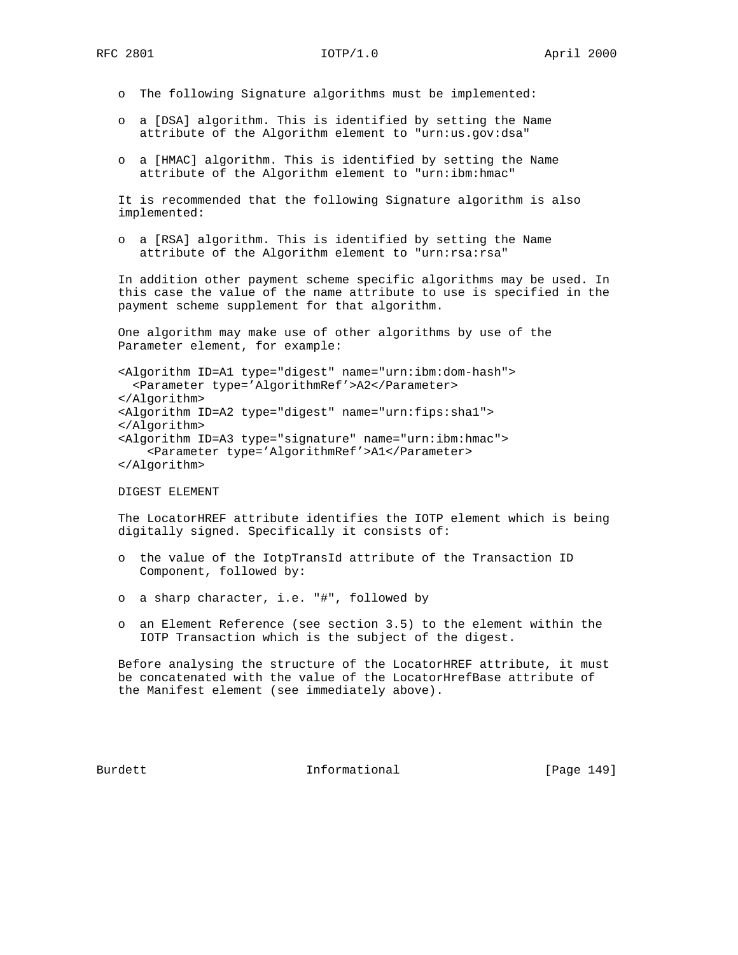- o The following Signature algorithms must be implemented:
- o a [DSA] algorithm. This is identified by setting the Name attribute of the Algorithm element to "urn:us.gov:dsa"
- o a [HMAC] algorithm. This is identified by setting the Name attribute of the Algorithm element to "urn:ibm:hmac"

 It is recommended that the following Signature algorithm is also implemented:

 o a [RSA] algorithm. This is identified by setting the Name attribute of the Algorithm element to "urn:rsa:rsa"

 In addition other payment scheme specific algorithms may be used. In this case the value of the name attribute to use is specified in the payment scheme supplement for that algorithm.

 One algorithm may make use of other algorithms by use of the Parameter element, for example:

 <Algorithm ID=A1 type="digest" name="urn:ibm:dom-hash"> <Parameter type='AlgorithmRef'>A2</Parameter> </Algorithm> <Algorithm ID=A2 type="digest" name="urn:fips:sha1"> </Algorithm> <Algorithm ID=A3 type="signature" name="urn:ibm:hmac"> <Parameter type='AlgorithmRef'>A1</Parameter> </Algorithm>

DIGEST ELEMENT

 The LocatorHREF attribute identifies the IOTP element which is being digitally signed. Specifically it consists of:

- o the value of the IotpTransId attribute of the Transaction ID Component, followed by:
- o a sharp character, i.e. "#", followed by
- o an Element Reference (see section 3.5) to the element within the IOTP Transaction which is the subject of the digest.

 Before analysing the structure of the LocatorHREF attribute, it must be concatenated with the value of the LocatorHrefBase attribute of the Manifest element (see immediately above).

Burdett **Informational** [Page 149]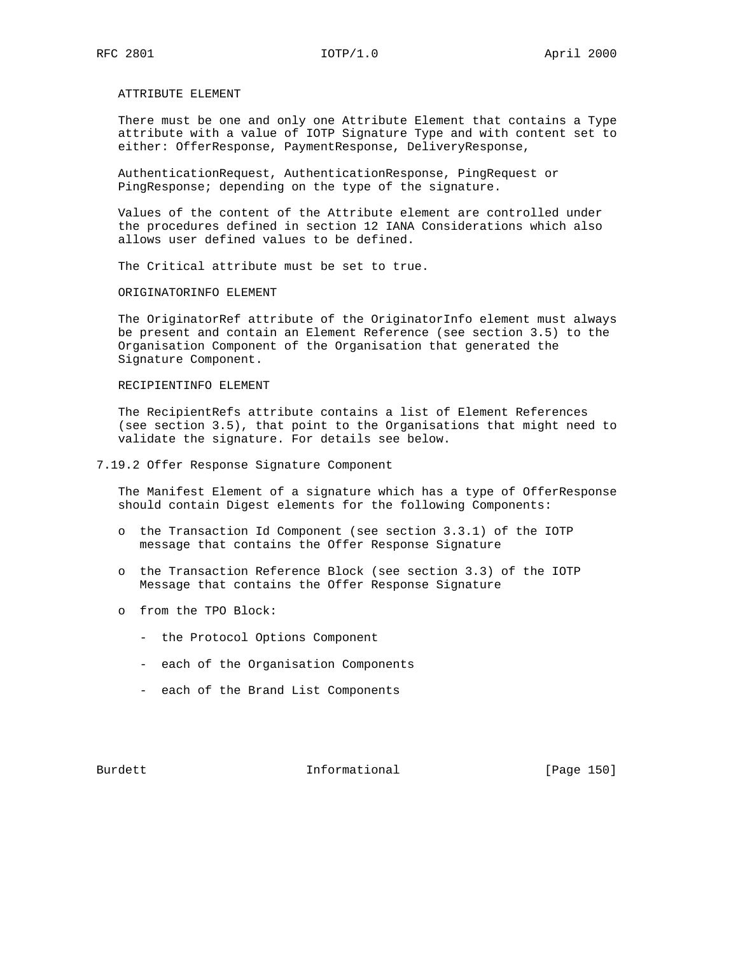ATTRIBUTE ELEMENT

 There must be one and only one Attribute Element that contains a Type attribute with a value of IOTP Signature Type and with content set to either: OfferResponse, PaymentResponse, DeliveryResponse,

 AuthenticationRequest, AuthenticationResponse, PingRequest or PingResponse; depending on the type of the signature.

 Values of the content of the Attribute element are controlled under the procedures defined in section 12 IANA Considerations which also allows user defined values to be defined.

The Critical attribute must be set to true.

ORIGINATORINFO ELEMENT

 The OriginatorRef attribute of the OriginatorInfo element must always be present and contain an Element Reference (see section 3.5) to the Organisation Component of the Organisation that generated the Signature Component.

RECIPIENTINFO ELEMENT

 The RecipientRefs attribute contains a list of Element References (see section 3.5), that point to the Organisations that might need to validate the signature. For details see below.

7.19.2 Offer Response Signature Component

 The Manifest Element of a signature which has a type of OfferResponse should contain Digest elements for the following Components:

- o the Transaction Id Component (see section 3.3.1) of the IOTP message that contains the Offer Response Signature
- o the Transaction Reference Block (see section 3.3) of the IOTP Message that contains the Offer Response Signature
- o from the TPO Block:
	- the Protocol Options Component
	- each of the Organisation Components
	- each of the Brand List Components

Burdett **Informational** [Page 150]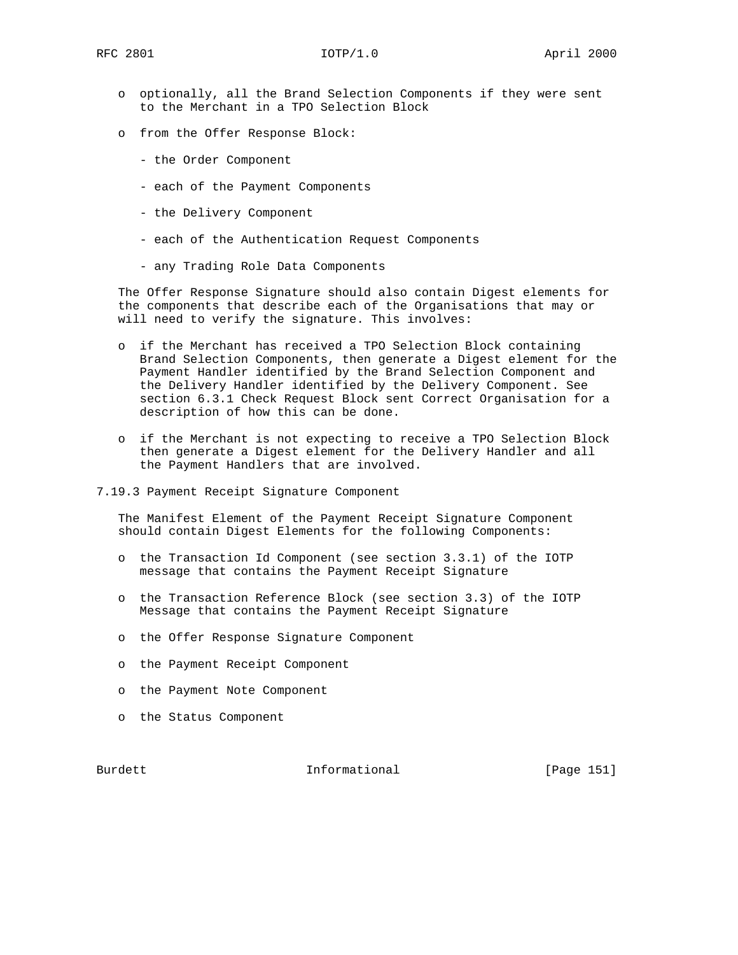- o optionally, all the Brand Selection Components if they were sent to the Merchant in a TPO Selection Block
- o from the Offer Response Block:
	- the Order Component
	- each of the Payment Components
	- the Delivery Component
	- each of the Authentication Request Components
	- any Trading Role Data Components

 The Offer Response Signature should also contain Digest elements for the components that describe each of the Organisations that may or will need to verify the signature. This involves:

- o if the Merchant has received a TPO Selection Block containing Brand Selection Components, then generate a Digest element for the Payment Handler identified by the Brand Selection Component and the Delivery Handler identified by the Delivery Component. See section 6.3.1 Check Request Block sent Correct Organisation for a description of how this can be done.
- o if the Merchant is not expecting to receive a TPO Selection Block then generate a Digest element for the Delivery Handler and all the Payment Handlers that are involved.
- 7.19.3 Payment Receipt Signature Component

 The Manifest Element of the Payment Receipt Signature Component should contain Digest Elements for the following Components:

- o the Transaction Id Component (see section 3.3.1) of the IOTP message that contains the Payment Receipt Signature
- o the Transaction Reference Block (see section 3.3) of the IOTP Message that contains the Payment Receipt Signature
- o the Offer Response Signature Component
- o the Payment Receipt Component
- o the Payment Note Component
- o the Status Component

Burdett **Informational** [Page 151]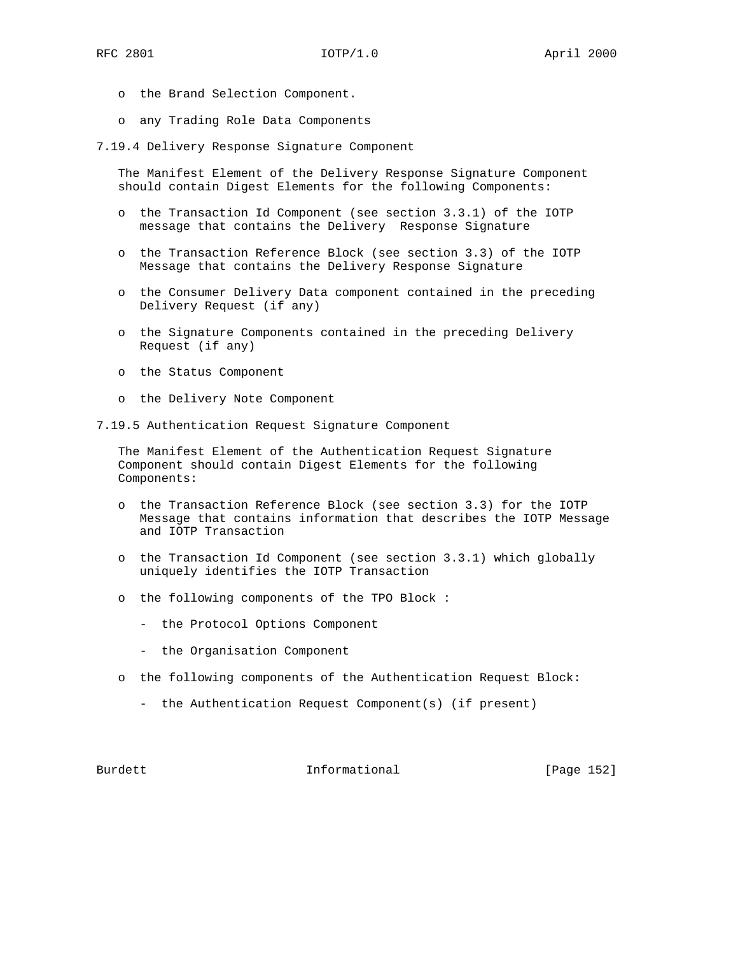- o the Brand Selection Component.
- o any Trading Role Data Components
- 7.19.4 Delivery Response Signature Component

 The Manifest Element of the Delivery Response Signature Component should contain Digest Elements for the following Components:

- o the Transaction Id Component (see section 3.3.1) of the IOTP message that contains the Delivery Response Signature
- o the Transaction Reference Block (see section 3.3) of the IOTP Message that contains the Delivery Response Signature
- o the Consumer Delivery Data component contained in the preceding Delivery Request (if any)
- o the Signature Components contained in the preceding Delivery Request (if any)
- o the Status Component
- o the Delivery Note Component
- 7.19.5 Authentication Request Signature Component

 The Manifest Element of the Authentication Request Signature Component should contain Digest Elements for the following Components:

- o the Transaction Reference Block (see section 3.3) for the IOTP Message that contains information that describes the IOTP Message and IOTP Transaction
- o the Transaction Id Component (see section 3.3.1) which globally uniquely identifies the IOTP Transaction
- o the following components of the TPO Block :
	- the Protocol Options Component
	- the Organisation Component
- o the following components of the Authentication Request Block:
	- the Authentication Request Component(s) (if present)

Burdett **Informational Informational** [Page 152]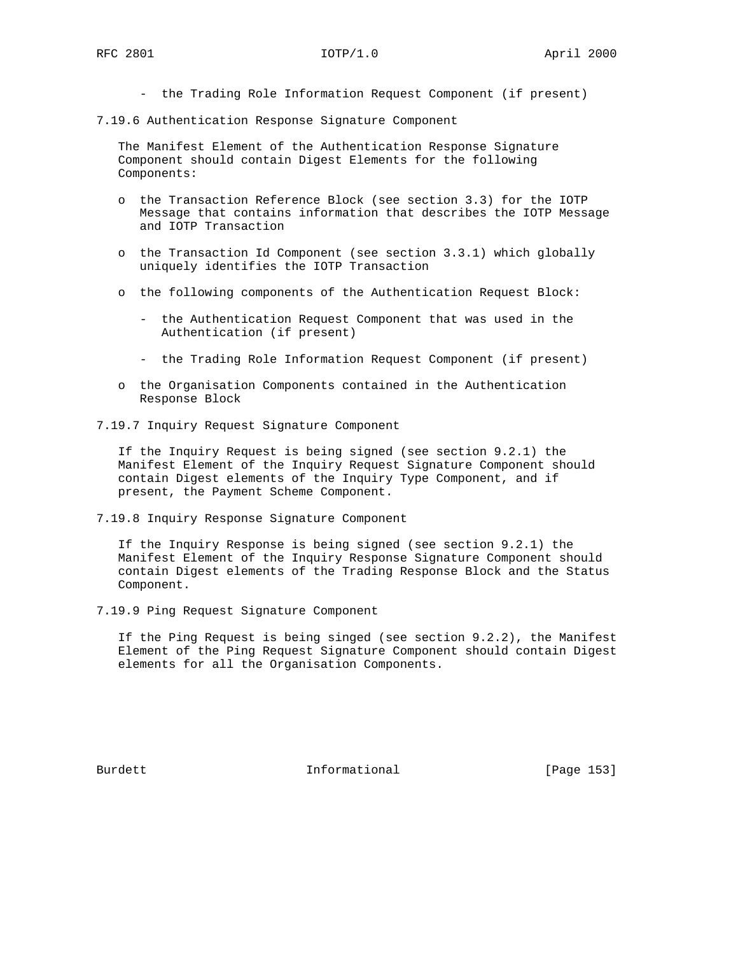- the Trading Role Information Request Component (if present)
- 7.19.6 Authentication Response Signature Component

 The Manifest Element of the Authentication Response Signature Component should contain Digest Elements for the following Components:

- o the Transaction Reference Block (see section 3.3) for the IOTP Message that contains information that describes the IOTP Message and IOTP Transaction
- o the Transaction Id Component (see section 3.3.1) which globally uniquely identifies the IOTP Transaction
- o the following components of the Authentication Request Block:
	- the Authentication Request Component that was used in the Authentication (if present)
	- the Trading Role Information Request Component (if present)
- o the Organisation Components contained in the Authentication Response Block
- 7.19.7 Inquiry Request Signature Component

 If the Inquiry Request is being signed (see section 9.2.1) the Manifest Element of the Inquiry Request Signature Component should contain Digest elements of the Inquiry Type Component, and if present, the Payment Scheme Component.

7.19.8 Inquiry Response Signature Component

 If the Inquiry Response is being signed (see section 9.2.1) the Manifest Element of the Inquiry Response Signature Component should contain Digest elements of the Trading Response Block and the Status Component.

7.19.9 Ping Request Signature Component

 If the Ping Request is being singed (see section 9.2.2), the Manifest Element of the Ping Request Signature Component should contain Digest elements for all the Organisation Components.

Burdett **Informational** [Page 153]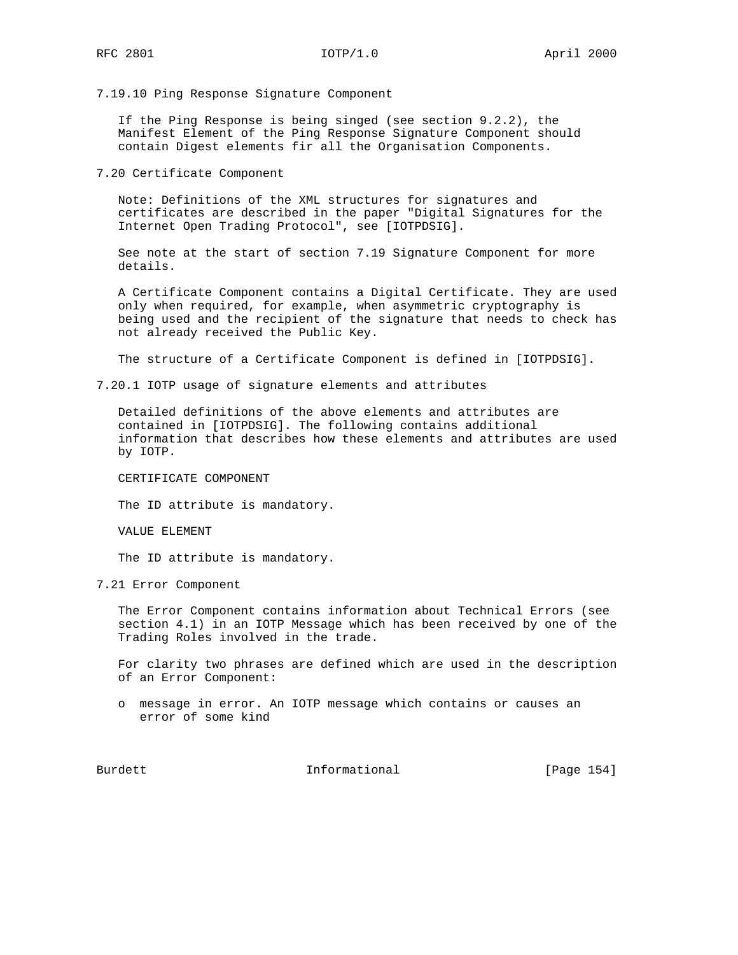7.19.10 Ping Response Signature Component

 If the Ping Response is being singed (see section 9.2.2), the Manifest Element of the Ping Response Signature Component should contain Digest elements fir all the Organisation Components.

7.20 Certificate Component

 Note: Definitions of the XML structures for signatures and certificates are described in the paper "Digital Signatures for the Internet Open Trading Protocol", see [IOTPDSIG].

 See note at the start of section 7.19 Signature Component for more details.

 A Certificate Component contains a Digital Certificate. They are used only when required, for example, when asymmetric cryptography is being used and the recipient of the signature that needs to check has not already received the Public Key.

The structure of a Certificate Component is defined in [IOTPDSIG].

7.20.1 IOTP usage of signature elements and attributes

 Detailed definitions of the above elements and attributes are contained in [IOTPDSIG]. The following contains additional information that describes how these elements and attributes are used by IOTP.

CERTIFICATE COMPONENT

The ID attribute is mandatory.

VALUE ELEMENT

The ID attribute is mandatory.

7.21 Error Component

 The Error Component contains information about Technical Errors (see section 4.1) in an IOTP Message which has been received by one of the Trading Roles involved in the trade.

 For clarity two phrases are defined which are used in the description of an Error Component:

 o message in error. An IOTP message which contains or causes an error of some kind

Burdett **Informational Informational** [Page 154]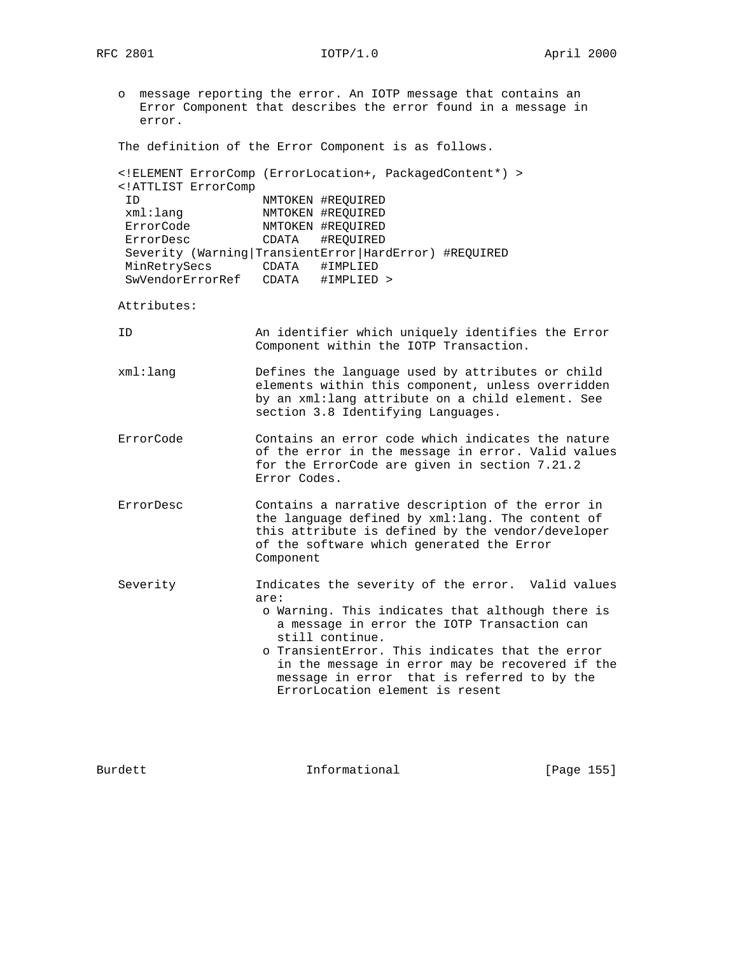o message reporting the error. An IOTP message that contains an Error Component that describes the error found in a message in error.

The definition of the Error Component is as follows.

 <!ELEMENT ErrorComp (ErrorLocation+, PackagedContent\*) > <!ATTLIST ErrorComp ID NMTOKEN #REQUIRED xml:lang NMTOKEN #REQUIRED ErrorCode NMTOKEN #REQUIRED ErrorDesc CDATA #REQUIRED Severity (Warning|TransientError|HardError) #REQUIRED MinRetrySecs CDATA #IMPLIED SwVendorErrorRef CDATA #IMPLIED >

Attributes:

- ID An identifier which uniquely identifies the Error Component within the IOTP Transaction.
- xml:lang Defines the language used by attributes or child elements within this component, unless overridden by an xml:lang attribute on a child element. See section 3.8 Identifying Languages.
- ErrorCode Contains an error code which indicates the nature of the error in the message in error. Valid values for the ErrorCode are given in section 7.21.2 Error Codes.
- ErrorDesc Contains a narrative description of the error in the language defined by xml:lang. The content of this attribute is defined by the vendor/developer of the software which generated the Error Component

Severity **Indicates the severity of the error.** Valid values are:

- o Warning. This indicates that although there is a message in error the IOTP Transaction can still continue.
- o TransientError. This indicates that the error in the message in error may be recovered if the message in error that is referred to by the ErrorLocation element is resent

Burdett **Informational** [Page 155]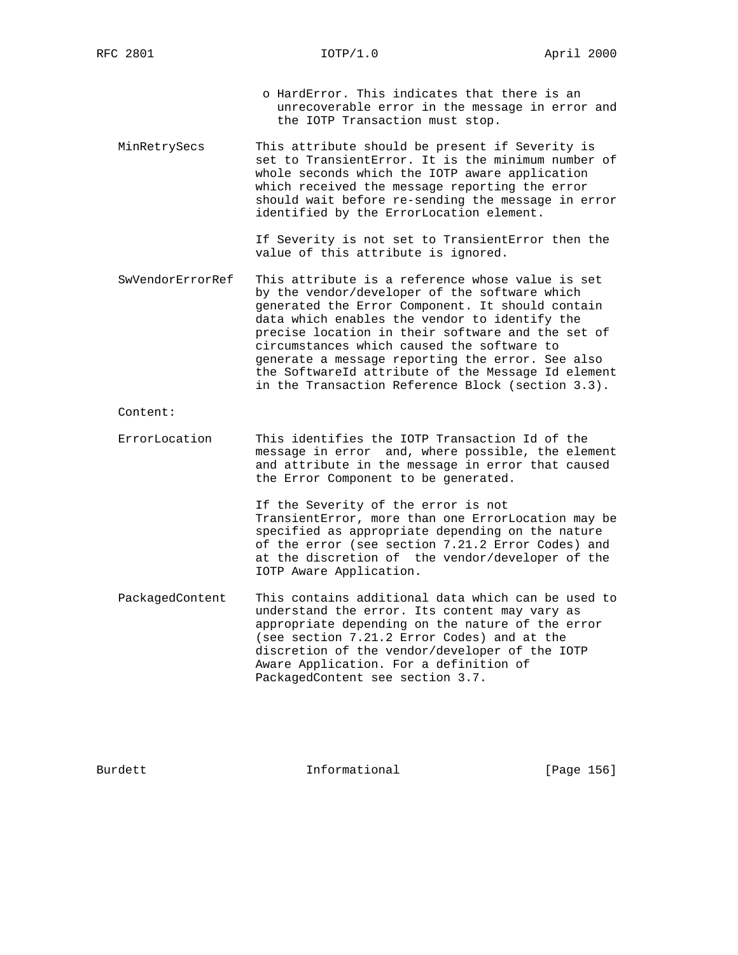- o HardError. This indicates that there is an unrecoverable error in the message in error and the IOTP Transaction must stop.
- MinRetrySecs This attribute should be present if Severity is set to TransientError. It is the minimum number of whole seconds which the IOTP aware application which received the message reporting the error should wait before re-sending the message in error identified by the ErrorLocation element.

 If Severity is not set to TransientError then the value of this attribute is ignored.

 SwVendorErrorRef This attribute is a reference whose value is set by the vendor/developer of the software which generated the Error Component. It should contain data which enables the vendor to identify the precise location in their software and the set of circumstances which caused the software to generate a message reporting the error. See also the SoftwareId attribute of the Message Id element in the Transaction Reference Block (section 3.3).

### Content:

 ErrorLocation This identifies the IOTP Transaction Id of the message in error and, where possible, the element and attribute in the message in error that caused the Error Component to be generated.

> If the Severity of the error is not TransientError, more than one ErrorLocation may be specified as appropriate depending on the nature of the error (see section 7.21.2 Error Codes) and at the discretion of the vendor/developer of the IOTP Aware Application.

 PackagedContent This contains additional data which can be used to understand the error. Its content may vary as appropriate depending on the nature of the error (see section 7.21.2 Error Codes) and at the discretion of the vendor/developer of the IOTP Aware Application. For a definition of PackagedContent see section 3.7.

Burdett 1561 Informational [Page 156]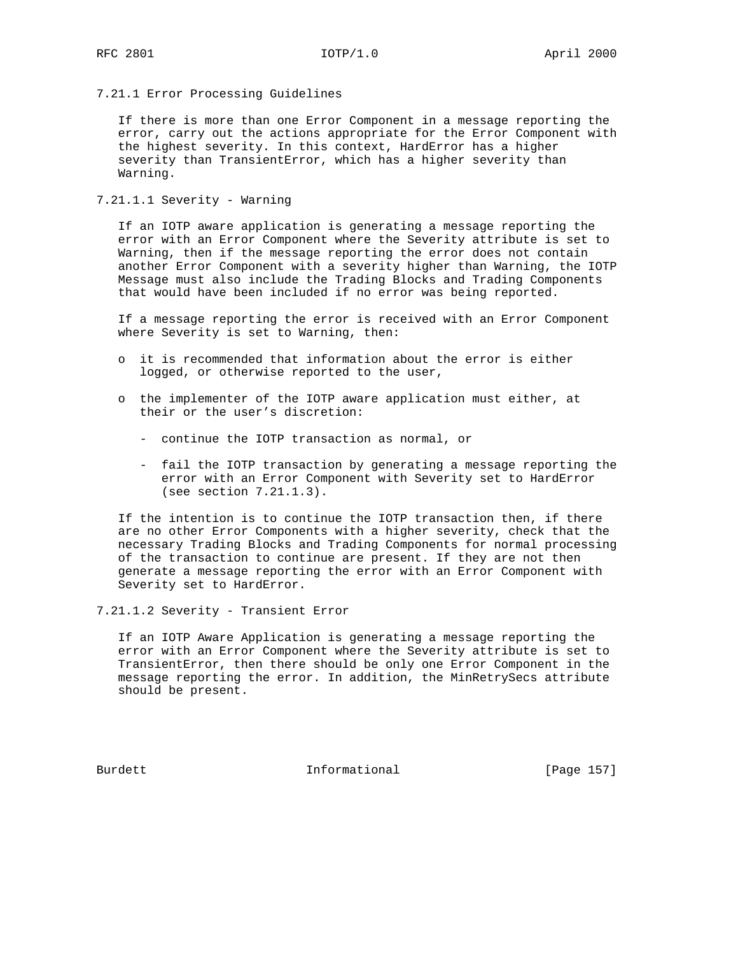7.21.1 Error Processing Guidelines

 If there is more than one Error Component in a message reporting the error, carry out the actions appropriate for the Error Component with the highest severity. In this context, HardError has a higher severity than TransientError, which has a higher severity than Warning.

7.21.1.1 Severity - Warning

 If an IOTP aware application is generating a message reporting the error with an Error Component where the Severity attribute is set to Warning, then if the message reporting the error does not contain another Error Component with a severity higher than Warning, the IOTP Message must also include the Trading Blocks and Trading Components that would have been included if no error was being reported.

 If a message reporting the error is received with an Error Component where Severity is set to Warning, then:

- o it is recommended that information about the error is either logged, or otherwise reported to the user,
- o the implementer of the IOTP aware application must either, at their or the user's discretion:
	- continue the IOTP transaction as normal, or
	- fail the IOTP transaction by generating a message reporting the error with an Error Component with Severity set to HardError (see section 7.21.1.3).

 If the intention is to continue the IOTP transaction then, if there are no other Error Components with a higher severity, check that the necessary Trading Blocks and Trading Components for normal processing of the transaction to continue are present. If they are not then generate a message reporting the error with an Error Component with Severity set to HardError.

7.21.1.2 Severity - Transient Error

 If an IOTP Aware Application is generating a message reporting the error with an Error Component where the Severity attribute is set to TransientError, then there should be only one Error Component in the message reporting the error. In addition, the MinRetrySecs attribute should be present.

Burdett **Informational Informational** [Page 157]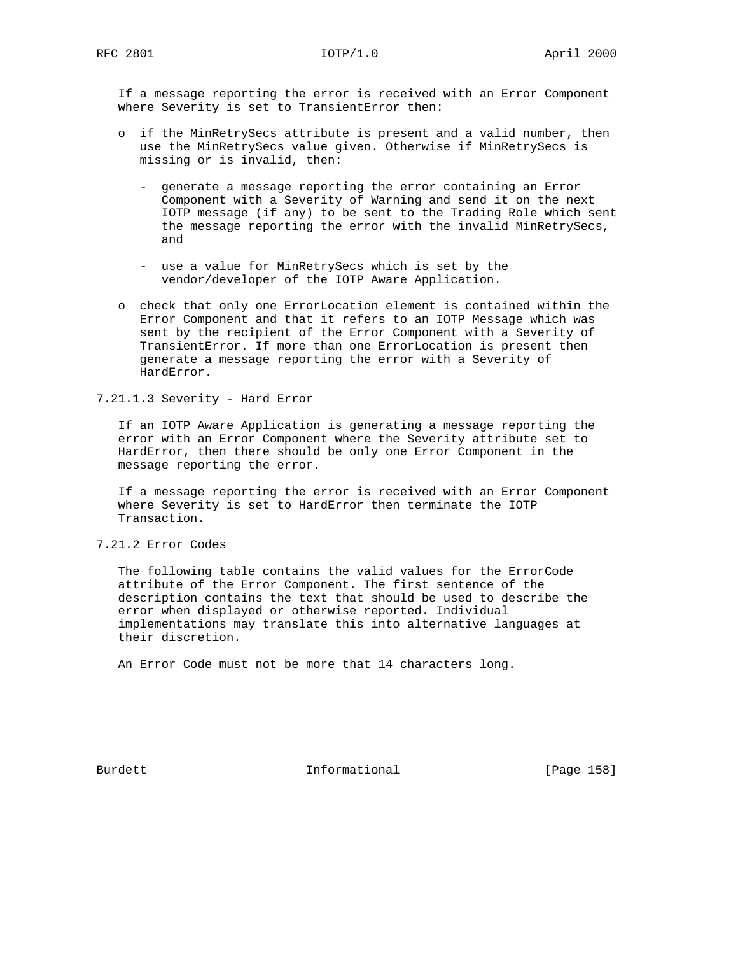If a message reporting the error is received with an Error Component where Severity is set to TransientError then:

- o if the MinRetrySecs attribute is present and a valid number, then use the MinRetrySecs value given. Otherwise if MinRetrySecs is missing or is invalid, then:
	- generate a message reporting the error containing an Error Component with a Severity of Warning and send it on the next IOTP message (if any) to be sent to the Trading Role which sent the message reporting the error with the invalid MinRetrySecs, and
	- use a value for MinRetrySecs which is set by the vendor/developer of the IOTP Aware Application.
- o check that only one ErrorLocation element is contained within the Error Component and that it refers to an IOTP Message which was sent by the recipient of the Error Component with a Severity of TransientError. If more than one ErrorLocation is present then generate a message reporting the error with a Severity of HardError.

7.21.1.3 Severity - Hard Error

 If an IOTP Aware Application is generating a message reporting the error with an Error Component where the Severity attribute set to HardError, then there should be only one Error Component in the message reporting the error.

 If a message reporting the error is received with an Error Component where Severity is set to HardError then terminate the IOTP Transaction.

7.21.2 Error Codes

 The following table contains the valid values for the ErrorCode attribute of the Error Component. The first sentence of the description contains the text that should be used to describe the error when displayed or otherwise reported. Individual implementations may translate this into alternative languages at their discretion.

An Error Code must not be more that 14 characters long.

Burdett **Informational** [Page 158]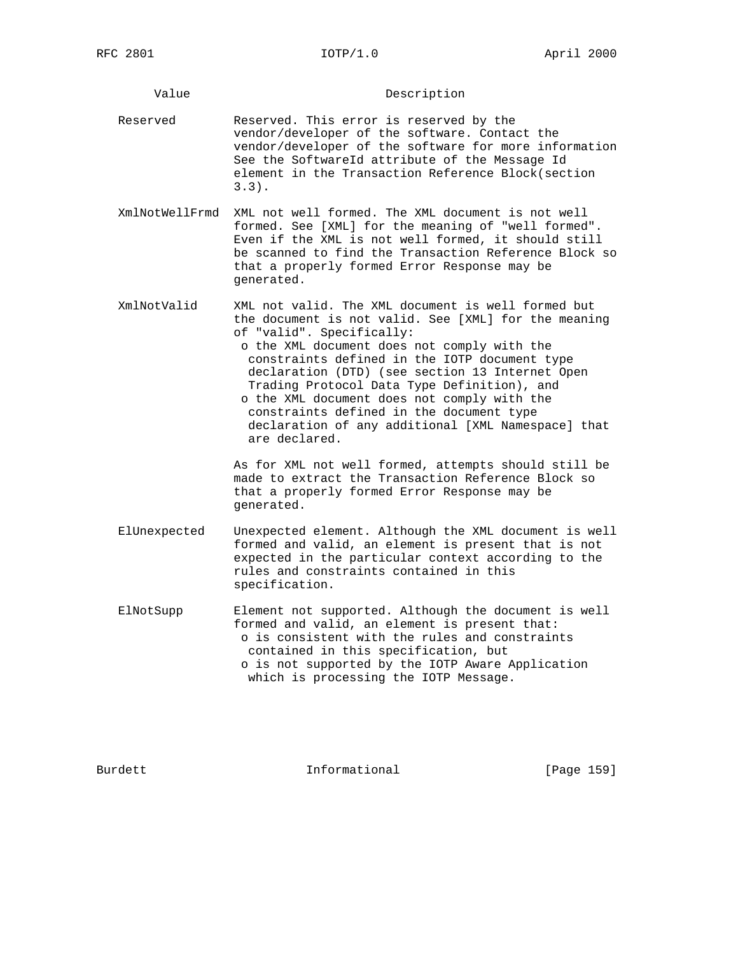| Value          | Description                                                                                                                                                                                                                                                                                                                                                                                                                                                                                                 |
|----------------|-------------------------------------------------------------------------------------------------------------------------------------------------------------------------------------------------------------------------------------------------------------------------------------------------------------------------------------------------------------------------------------------------------------------------------------------------------------------------------------------------------------|
| Reserved       | Reserved. This error is reserved by the<br>vendor/developer of the software. Contact the<br>vendor/developer of the software for more information<br>See the SoftwareId attribute of the Message Id<br>element in the Transaction Reference Block(section<br>$3.3$ .                                                                                                                                                                                                                                        |
| XmlNotWellFrmd | XML not well formed. The XML document is not well<br>formed. See [XML] for the meaning of "well formed".<br>Even if the XML is not well formed, it should still<br>be scanned to find the Transaction Reference Block so<br>that a properly formed Error Response may be<br>qenerated.                                                                                                                                                                                                                      |
| XmlNotValid    | XML not valid. The XML document is well formed but<br>the document is not valid. See [XML] for the meaning<br>of "valid". Specifically:<br>o the XML document does not comply with the<br>constraints defined in the IOTP document type<br>declaration (DTD) (see section 13 Internet Open<br>Trading Protocol Data Type Definition), and<br>o the XML document does not comply with the<br>constraints defined in the document type<br>declaration of any additional [XML Namespace] that<br>are declared. |
|                | As for XML not well formed, attempts should still be<br>made to extract the Transaction Reference Block so<br>that a properly formed Error Response may be<br>generated.                                                                                                                                                                                                                                                                                                                                    |
| ElUnexpected   | Unexpected element. Although the XML document is well<br>formed and valid, an element is present that is not<br>expected in the particular context according to the<br>rules and constraints contained in this<br>specification.                                                                                                                                                                                                                                                                            |

 ElNotSupp Element not supported. Although the document is well formed and valid, an element is present that: o is consistent with the rules and constraints contained in this specification, but o is not supported by the IOTP Aware Application which is processing the IOTP Message.

Burdett **Informational** [Page 159]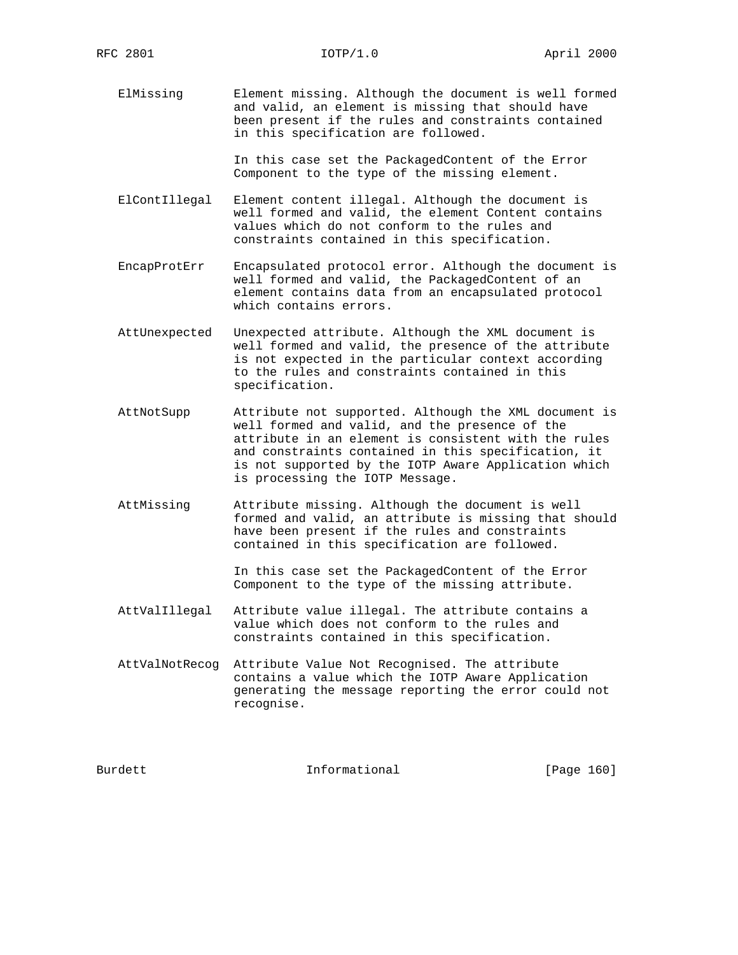ElMissing Element missing. Although the document is well formed and valid, an element is missing that should have been present if the rules and constraints contained in this specification are followed.

> In this case set the PackagedContent of the Error Component to the type of the missing element.

- ElContIllegal Element content illegal. Although the document is well formed and valid, the element Content contains values which do not conform to the rules and constraints contained in this specification.
- EncapProtErr Encapsulated protocol error. Although the document is well formed and valid, the PackagedContent of an element contains data from an encapsulated protocol which contains errors.
- AttUnexpected Unexpected attribute. Although the XML document is well formed and valid, the presence of the attribute is not expected in the particular context according to the rules and constraints contained in this specification.
- AttNotSupp Attribute not supported. Although the XML document is well formed and valid, and the presence of the attribute in an element is consistent with the rules and constraints contained in this specification, it is not supported by the IOTP Aware Application which is processing the IOTP Message.
- AttMissing Attribute missing. Although the document is well formed and valid, an attribute is missing that should have been present if the rules and constraints contained in this specification are followed.

 In this case set the PackagedContent of the Error Component to the type of the missing attribute.

- AttValIllegal Attribute value illegal. The attribute contains a value which does not conform to the rules and constraints contained in this specification.
- AttValNotRecog Attribute Value Not Recognised. The attribute contains a value which the IOTP Aware Application generating the message reporting the error could not recognise.

Burdett **Informational** [Page 160]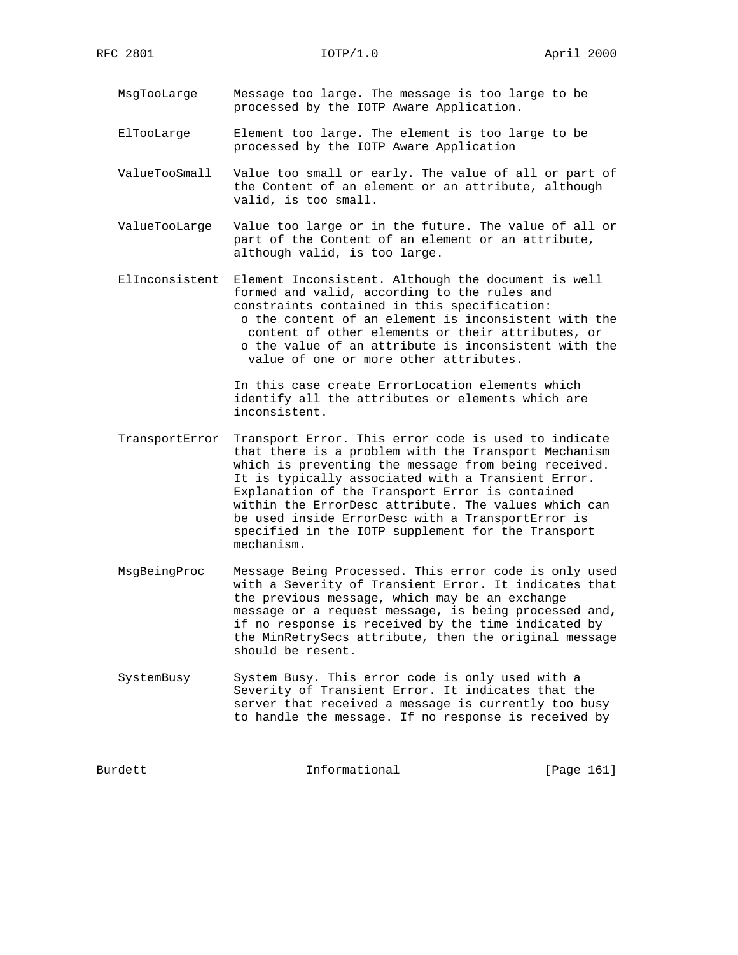- MsgTooLarge Message too large. The message is too large to be processed by the IOTP Aware Application.
- ElTooLarge Element too large. The element is too large to be processed by the IOTP Aware Application
- ValueTooSmall Value too small or early. The value of all or part of the Content of an element or an attribute, although valid, is too small.
- ValueTooLarge Value too large or in the future. The value of all or part of the Content of an element or an attribute, although valid, is too large.
- ElInconsistent Element Inconsistent. Although the document is well formed and valid, according to the rules and constraints contained in this specification: o the content of an element is inconsistent with the content of other elements or their attributes, or o the value of an attribute is inconsistent with the value of one or more other attributes.

 In this case create ErrorLocation elements which identify all the attributes or elements which are inconsistent.

- TransportError Transport Error. This error code is used to indicate that there is a problem with the Transport Mechanism which is preventing the message from being received. It is typically associated with a Transient Error. Explanation of the Transport Error is contained within the ErrorDesc attribute. The values which can be used inside ErrorDesc with a TransportError is specified in the IOTP supplement for the Transport mechanism.
- MsgBeingProc Message Being Processed. This error code is only used with a Severity of Transient Error. It indicates that the previous message, which may be an exchange message or a request message, is being processed and, if no response is received by the time indicated by the MinRetrySecs attribute, then the original message should be resent.
- SystemBusy System Busy. This error code is only used with a Severity of Transient Error. It indicates that the server that received a message is currently too busy to handle the message. If no response is received by

| Burdett | Informational | [Page 161] |  |
|---------|---------------|------------|--|
|         |               |            |  |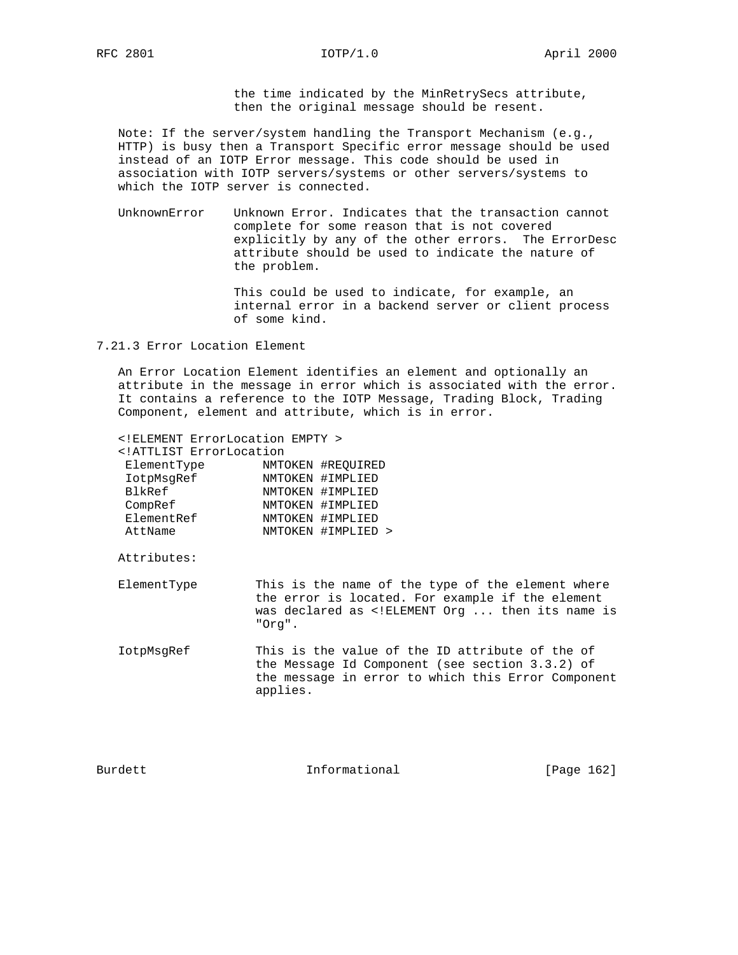the time indicated by the MinRetrySecs attribute, then the original message should be resent.

 Note: If the server/system handling the Transport Mechanism (e.g., HTTP) is busy then a Transport Specific error message should be used instead of an IOTP Error message. This code should be used in association with IOTP servers/systems or other servers/systems to which the IOTP server is connected.

 UnknownError Unknown Error. Indicates that the transaction cannot complete for some reason that is not covered explicitly by any of the other errors. The ErrorDesc attribute should be used to indicate the nature of the problem.

> This could be used to indicate, for example, an internal error in a backend server or client process of some kind.

7.21.3 Error Location Element

 An Error Location Element identifies an element and optionally an attribute in the message in error which is associated with the error. It contains a reference to the IOTP Message, Trading Block, Trading Component, element and attribute, which is in error.

 <!ELEMENT ErrorLocation EMPTY > <!ATTLIST ErrorLocation ElementType NMTOKEN #REQUIRED IotpMsgRef NMTOKEN #IMPLIED BlkRef NMTOKEN #IMPLIED CompRef NMTOKEN #IMPLIED ElementRef NMTOKEN #IMPLIED AttName NMTOKEN #IMPLIED >

Attributes:

- ElementType This is the name of the type of the element where the error is located. For example if the element was declared as <! ELEMENT Org ... then its name is "Org".
- IotpMsgRef This is the value of the ID attribute of the of the Message Id Component (see section 3.3.2) of the message in error to which this Error Component applies.

Burdett **Informational** [Page 162]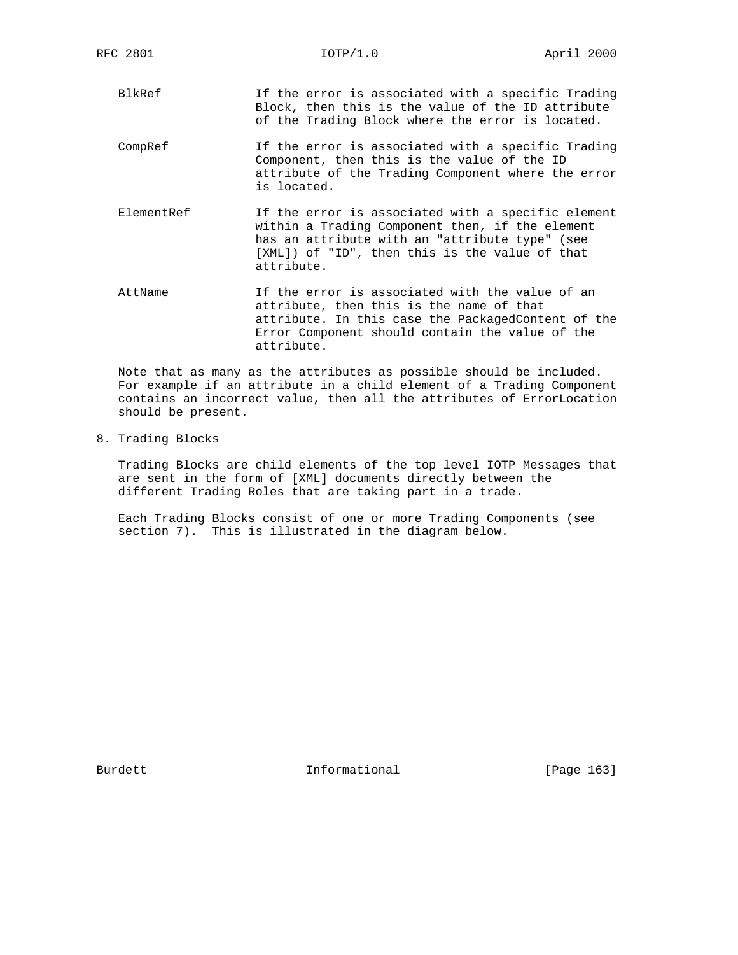- BlkRef **If the error is associated with a specific Trading**  Block, then this is the value of the ID attribute of the Trading Block where the error is located.
- CompRef The error is associated with a specific Trading Component, then this is the value of the ID attribute of the Trading Component where the error is located.
- ElementRef The error is associated with a specific element within a Trading Component then, if the element has an attribute with an "attribute type" (see [XML]) of "ID", then this is the value of that attribute.
- AttName If the error is associated with the value of an attribute, then this is the name of that attribute. In this case the PackagedContent of the Error Component should contain the value of the attribute.

 Note that as many as the attributes as possible should be included. For example if an attribute in a child element of a Trading Component contains an incorrect value, then all the attributes of ErrorLocation should be present.

## 8. Trading Blocks

 Trading Blocks are child elements of the top level IOTP Messages that are sent in the form of [XML] documents directly between the different Trading Roles that are taking part in a trade.

 Each Trading Blocks consist of one or more Trading Components (see section 7). This is illustrated in the diagram below.

Burdett **Informational** [Page 163]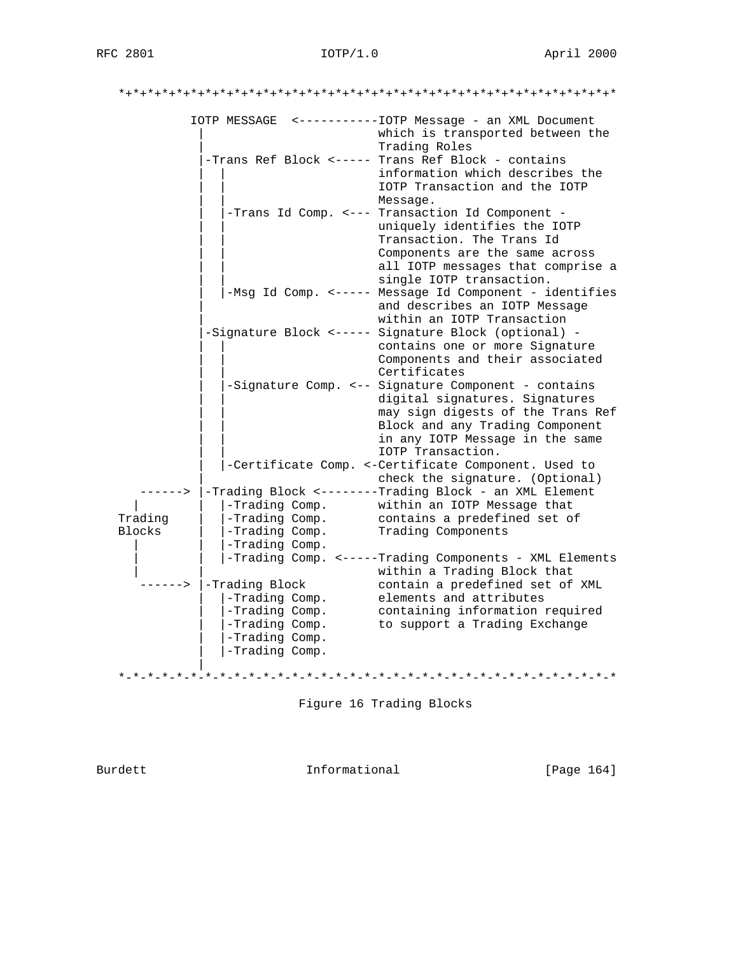# \*+\*+\*+\*+\*+\*+\*+\*+\*+\*+\*+\*+\*+\*+\*+\*+\*+\*+\*+\*+\*+\*+\*+\*+\*+\*+\*+\*+\*+\*+\*+\*+\*+\*+\*

|          |                | IOTP MESSAGE <----------IOTP Message - an XML Document<br>which is transported between the<br>Trading Roles                                                                                                           |
|----------|----------------|-----------------------------------------------------------------------------------------------------------------------------------------------------------------------------------------------------------------------|
|          |                | -Trans Ref Block <----- Trans Ref Block - contains<br>information which describes the<br>IOTP Transaction and the IOTP<br>Message.                                                                                    |
|          |                | -Trans Id Comp. <--- Transaction Id Component -<br>uniquely identifies the IOTP<br>Transaction. The Trans Id<br>Components are the same across<br>all IOTP messages that comprise a<br>single IOTP transaction.       |
|          |                | -Msg Id Comp. <----- Message Id Component - identifies<br>and describes an IOTP Message<br>within an IOTP Transaction                                                                                                 |
|          |                | -Signature Block <----- Signature Block (optional) -<br>contains one or more Signature<br>Components and their associated<br>Certificates                                                                             |
|          |                | -Signature Comp. <-- Signature Component - contains<br>digital signatures. Signatures<br>may sign digests of the Trans Ref<br>Block and any Trading Component<br>in any IOTP Message in the same<br>IOTP Transaction. |
|          |                | -Certificate Comp. <-Certificate Component. Used to<br>check the signature. (Optional)                                                                                                                                |
|          |                | ------>  -Trading Block <--------Trading Block - an XML Element                                                                                                                                                       |
|          | -Trading Comp. | within an IOTP Message that                                                                                                                                                                                           |
| Trading  | -Trading Comp. | contains a predefined set of                                                                                                                                                                                          |
| Blocks   | -Trading Comp. | Trading Components                                                                                                                                                                                                    |
|          | -Trading Comp. |                                                                                                                                                                                                                       |
|          |                | -Trading Comp. <-----Trading Components - XML Elements                                                                                                                                                                |
|          |                | within a Trading Block that                                                                                                                                                                                           |
| $----->$ | -Trading Block | contain a predefined set of XML                                                                                                                                                                                       |
|          | -Trading Comp. | elements and attributes                                                                                                                                                                                               |
|          | -Trading Comp. | containing information required                                                                                                                                                                                       |
|          | -Trading Comp. | to support a Trading Exchange                                                                                                                                                                                         |
|          | -Trading Comp. |                                                                                                                                                                                                                       |
|          | -Trading Comp. |                                                                                                                                                                                                                       |
|          |                |                                                                                                                                                                                                                       |

Figure 16 Trading Blocks

Burdett **Informational** [Page 164]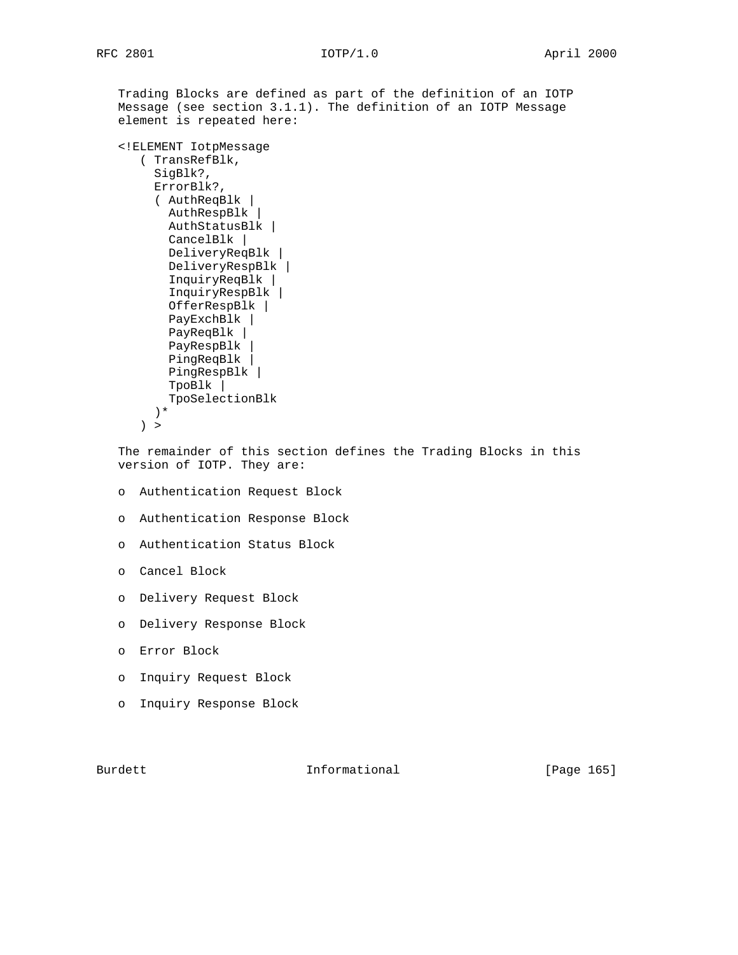Trading Blocks are defined as part of the definition of an IOTP Message (see section 3.1.1). The definition of an IOTP Message element is repeated here: <!ELEMENT IotpMessage

```
 ( TransRefBlk,
 SigBlk?,
 ErrorBlk?,
 ( AuthReqBlk |
   AuthRespBlk |
   AuthStatusBlk |
   CancelBlk |
   DeliveryReqBlk |
   DeliveryRespBlk |
   InquiryReqBlk |
   InquiryRespBlk |
   OfferRespBlk |
   PayExchBlk |
   PayReqBlk |
   PayRespBlk |
   PingReqBlk |
   PingRespBlk |
   TpoBlk |
   TpoSelectionBlk
 )*
```

```
 ) >
```
 The remainder of this section defines the Trading Blocks in this version of IOTP. They are:

- o Authentication Request Block
- o Authentication Response Block
- o Authentication Status Block
- o Cancel Block
- o Delivery Request Block
- o Delivery Response Block
- o Error Block
- o Inquiry Request Block
- o Inquiry Response Block

Burdett 10 Informational [Page 165]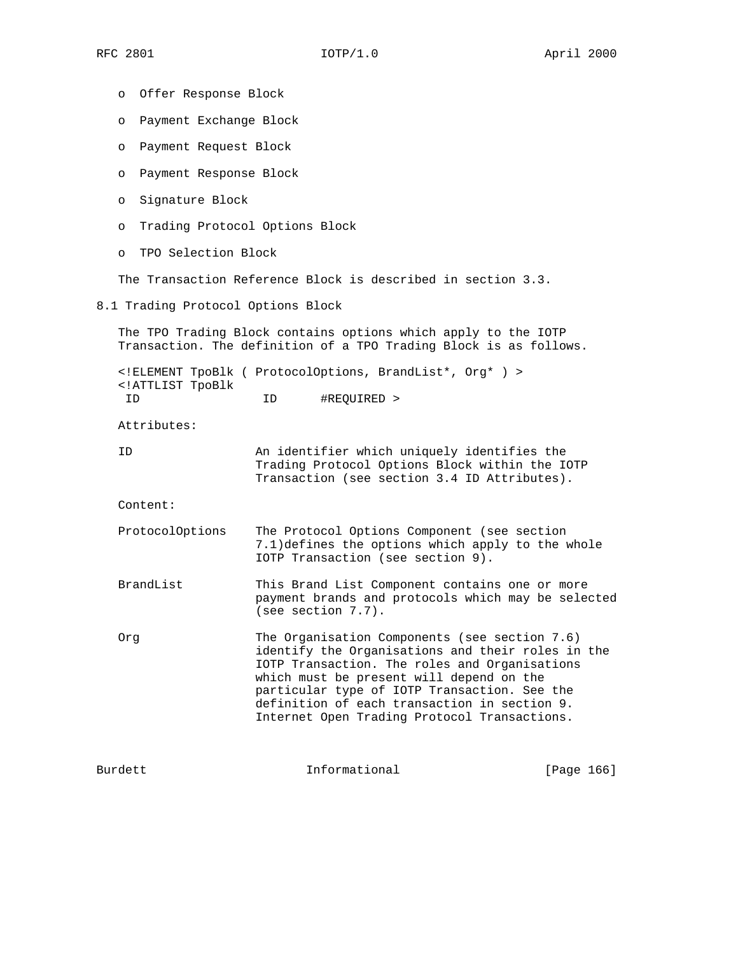- o Offer Response Block
- o Payment Exchange Block
- o Payment Request Block
- o Payment Response Block
- o Signature Block
- o Trading Protocol Options Block
- o TPO Selection Block

The Transaction Reference Block is described in section 3.3.

8.1 Trading Protocol Options Block

 The TPO Trading Block contains options which apply to the IOTP Transaction. The definition of a TPO Trading Block is as follows.

```
 <!ELEMENT TpoBlk ( ProtocolOptions, BrandList*, Org* ) >
<!ATTLIST TpoBlk
ID ID #REQUIRED >
```
Attributes:

 ID An identifier which uniquely identifies the Trading Protocol Options Block within the IOTP Transaction (see section 3.4 ID Attributes).

Content:

- ProtocolOptions The Protocol Options Component (see section 7.1)defines the options which apply to the whole IOTP Transaction (see section 9).
- BrandList This Brand List Component contains one or more payment brands and protocols which may be selected (see section 7.7).
- Org The Organisation Components (see section 7.6) identify the Organisations and their roles in the IOTP Transaction. The roles and Organisations which must be present will depend on the particular type of IOTP Transaction. See the definition of each transaction in section 9. Internet Open Trading Protocol Transactions.

| Burdett | Informational | [Page 166] |
|---------|---------------|------------|
|         |               |            |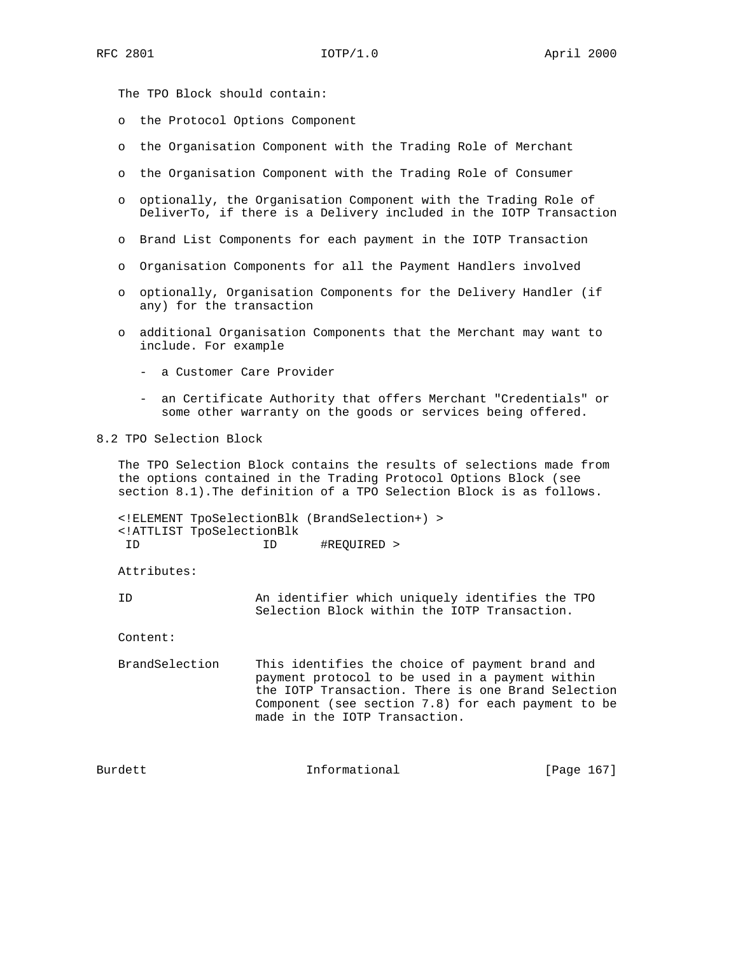The TPO Block should contain:

- o the Protocol Options Component
- o the Organisation Component with the Trading Role of Merchant
- o the Organisation Component with the Trading Role of Consumer
- o optionally, the Organisation Component with the Trading Role of DeliverTo, if there is a Delivery included in the IOTP Transaction
- o Brand List Components for each payment in the IOTP Transaction
- o Organisation Components for all the Payment Handlers involved
- o optionally, Organisation Components for the Delivery Handler (if any) for the transaction
- o additional Organisation Components that the Merchant may want to include. For example
	- a Customer Care Provider
	- an Certificate Authority that offers Merchant "Credentials" or some other warranty on the goods or services being offered.

8.2 TPO Selection Block

 The TPO Selection Block contains the results of selections made from the options contained in the Trading Protocol Options Block (see section 8.1).The definition of a TPO Selection Block is as follows.

 <!ELEMENT TpoSelectionBlk (BrandSelection+) > <!ATTLIST TpoSelectionBlk ID ID #REQUIRED >

Attributes:

 ID An identifier which uniquely identifies the TPO Selection Block within the IOTP Transaction.

Content:

 BrandSelection This identifies the choice of payment brand and payment protocol to be used in a payment within the IOTP Transaction. There is one Brand Selection Component (see section 7.8) for each payment to be made in the IOTP Transaction.

Burdett **Informational** [Page 167]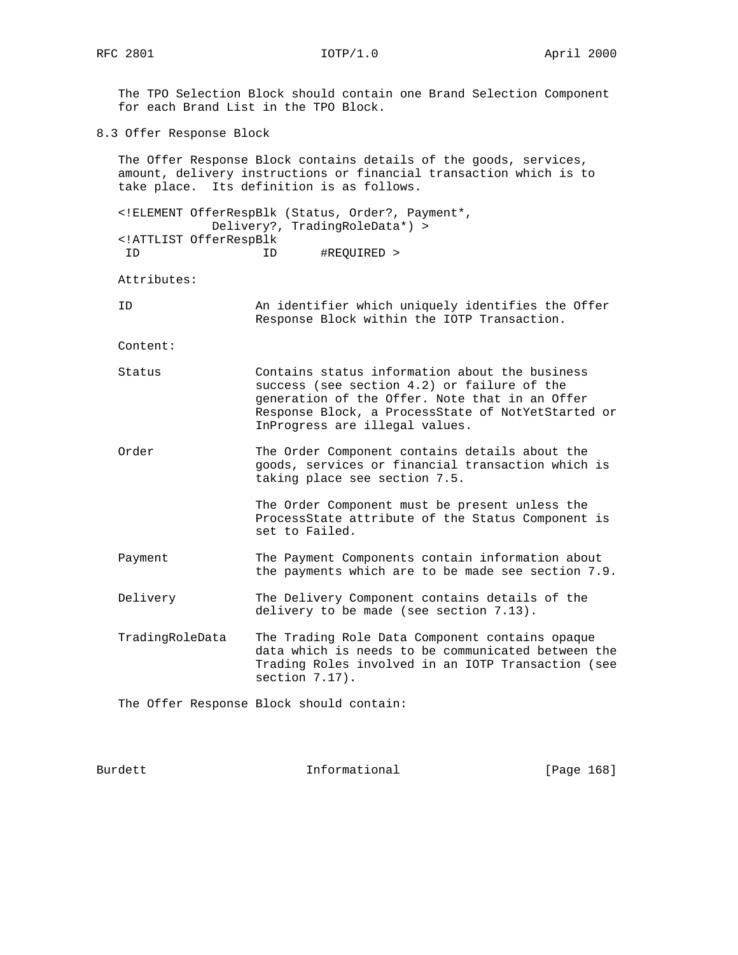The TPO Selection Block should contain one Brand Selection Component for each Brand List in the TPO Block.

8.3 Offer Response Block

 The Offer Response Block contains details of the goods, services, amount, delivery instructions or financial transaction which is to take place. Its definition is as follows.

```
 <!ELEMENT OfferRespBlk (Status, Order?, Payment*,
           Delivery?, TradingRoleData*) >
<!ATTLIST OfferRespBlk
ID ID #REQUIRED >
```
Attributes:

 ID An identifier which uniquely identifies the Offer Response Block within the IOTP Transaction.

Content:

- Status Contains status information about the business success (see section 4.2) or failure of the generation of the Offer. Note that in an Offer Response Block, a ProcessState of NotYetStarted or InProgress are illegal values.
- Order The Order Component contains details about the goods, services or financial transaction which is taking place see section 7.5.

 The Order Component must be present unless the ProcessState attribute of the Status Component is set to Failed.

- Payment The Payment Components contain information about the payments which are to be made see section 7.9.
- Delivery The Delivery Component contains details of the delivery to be made (see section 7.13).
- TradingRoleData The Trading Role Data Component contains opaque data which is needs to be communicated between the Trading Roles involved in an IOTP Transaction (see section 7.17).

The Offer Response Block should contain:

Burdett **Informational** [Page 168]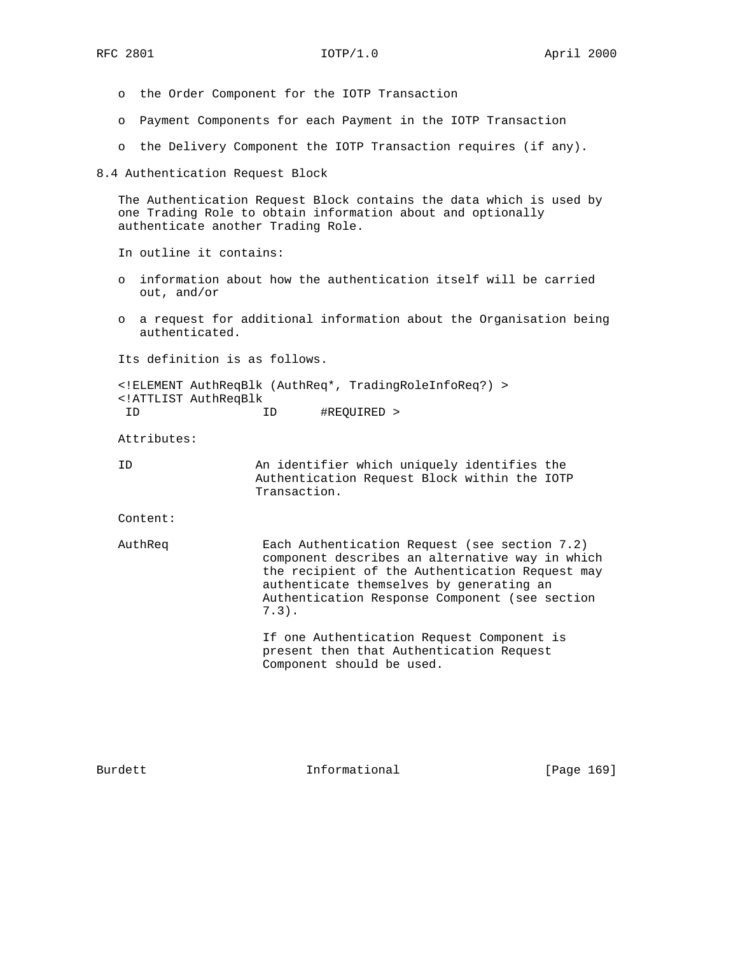- o the Order Component for the IOTP Transaction
- o Payment Components for each Payment in the IOTP Transaction
- o the Delivery Component the IOTP Transaction requires (if any).

8.4 Authentication Request Block

 The Authentication Request Block contains the data which is used by one Trading Role to obtain information about and optionally authenticate another Trading Role.

In outline it contains:

- o information about how the authentication itself will be carried out, and/or
- o a request for additional information about the Organisation being authenticated.

Its definition is as follows.

|     | ELEMENT AuthReqBlk (AuthReq*, TradingRoleInfoReq?)             |     |             |  |  |
|-----|----------------------------------------------------------------|-----|-------------|--|--|
|     | ATTLIST AuthRegBlk</td <td></td> <td></td> <td></td> <td></td> |     |             |  |  |
| TD. |                                                                | -TD | #REOUIRED > |  |  |

Attributes:

 ID An identifier which uniquely identifies the Authentication Request Block within the IOTP Transaction.

Content:

 AuthReq Each Authentication Request (see section 7.2) component describes an alternative way in which the recipient of the Authentication Request may authenticate themselves by generating an Authentication Response Component (see section 7.3).

> If one Authentication Request Component is present then that Authentication Request Component should be used.

Burdett 10 Informational [Page 169]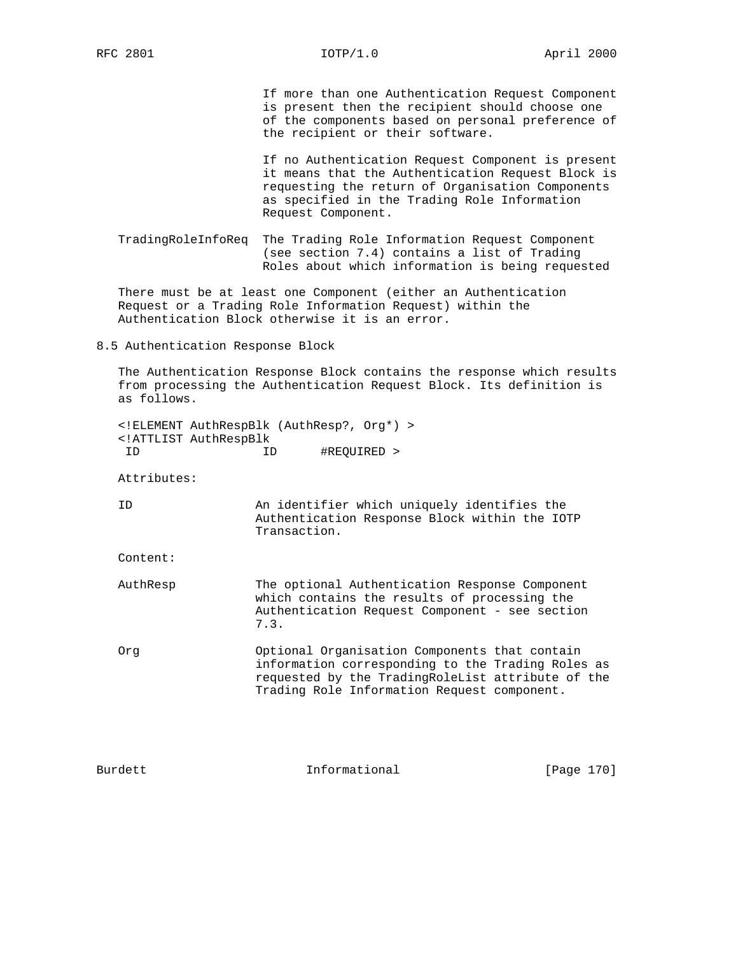If more than one Authentication Request Component is present then the recipient should choose one of the components based on personal preference of the recipient or their software.

 If no Authentication Request Component is present it means that the Authentication Request Block is requesting the return of Organisation Components as specified in the Trading Role Information Request Component.

 TradingRoleInfoReq The Trading Role Information Request Component (see section 7.4) contains a list of Trading Roles about which information is being requested

 There must be at least one Component (either an Authentication Request or a Trading Role Information Request) within the Authentication Block otherwise it is an error.

8.5 Authentication Response Block

 The Authentication Response Block contains the response which results from processing the Authentication Request Block. Its definition is as follows.

|     | ELEMENT AuthRespBlk (AuthResp?, Org*)       |             |  |
|-----|---------------------------------------------|-------------|--|
|     | ATTLIST AuthRespBlk</td <td></td> <td></td> |             |  |
| TD. | TD                                          | #REOUIRED > |  |

Attributes:

 ID An identifier which uniquely identifies the Authentication Response Block within the IOTP Transaction.

Content:

- AuthResp The optional Authentication Response Component which contains the results of processing the Authentication Request Component - see section 7.3.
- Org Optional Organisation Components that contain information corresponding to the Trading Roles as requested by the TradingRoleList attribute of the Trading Role Information Request component.

Burdett **Informational** [Page 170]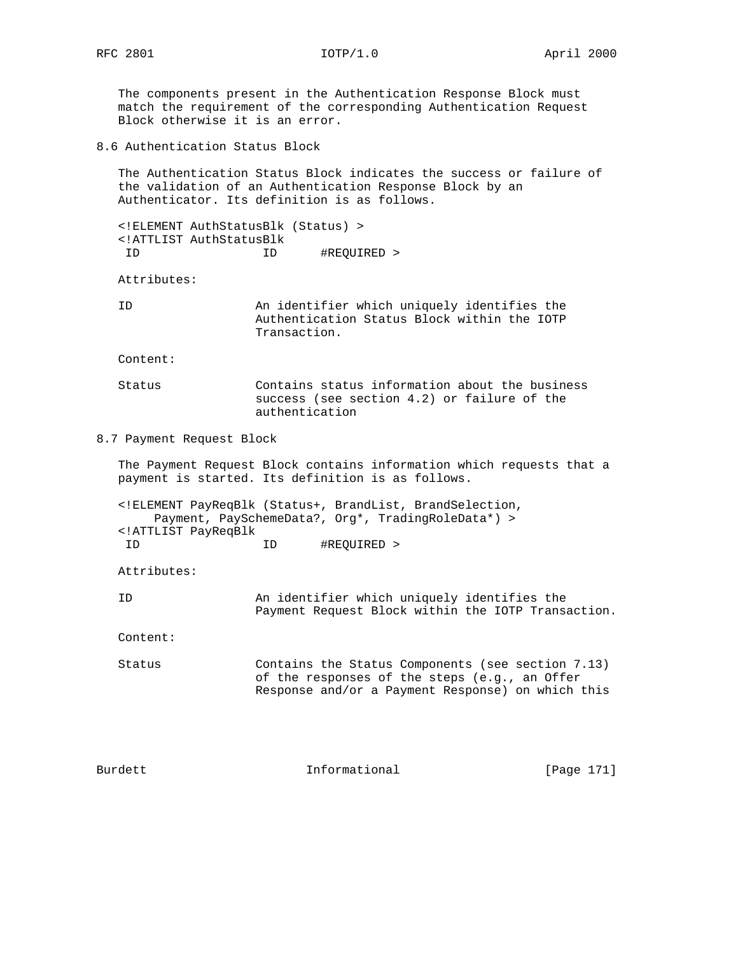The components present in the Authentication Response Block must match the requirement of the corresponding Authentication Request Block otherwise it is an error.

8.6 Authentication Status Block

 The Authentication Status Block indicates the success or failure of the validation of an Authentication Response Block by an Authenticator. Its definition is as follows.

```
 <!ELEMENT AuthStatusBlk (Status) >
<!ATTLIST AuthStatusBlk
ID ID #REQUIRED >
```
Attributes:

 ID An identifier which uniquely identifies the Authentication Status Block within the IOTP Transaction.

Content:

 Status Contains status information about the business success (see section 4.2) or failure of the authentication

8.7 Payment Request Block

 The Payment Request Block contains information which requests that a payment is started. Its definition is as follows.

|     |                                                     |     | ELEMENT PayReqBlk (Status+, BrandList, BrandSelection,</th <th></th> |  |
|-----|-----------------------------------------------------|-----|----------------------------------------------------------------------|--|
|     |                                                     |     | Payment, PaySchemeData?, Org*, TradingRoleData*) >                   |  |
|     | ATTLIST PayRegBlk</td <td></td> <td></td> <td></td> |     |                                                                      |  |
| TD. |                                                     | TD. | #REOUIRED >                                                          |  |

Attributes:

|  | An identifier which uniquely identifies the |  |  |                                                    |
|--|---------------------------------------------|--|--|----------------------------------------------------|
|  |                                             |  |  | Payment Request Block within the IOTP Transaction. |

Content:

 Status Contains the Status Components (see section 7.13) of the responses of the steps (e.g., an Offer Response and/or a Payment Response) on which this

Burdett **Informational** [Page 171]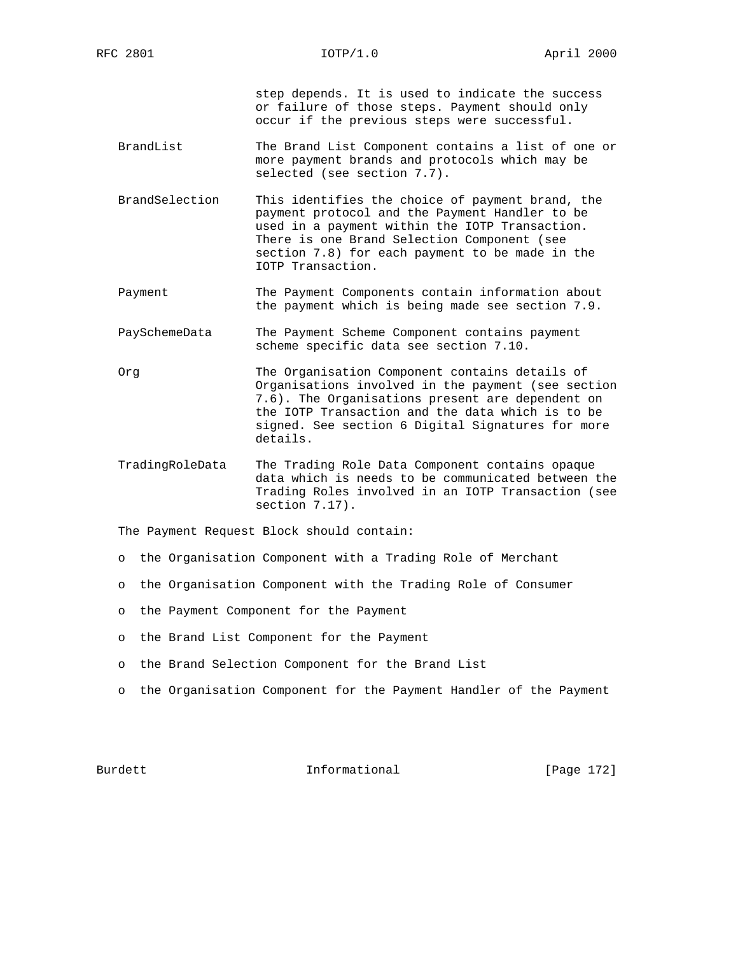step depends. It is used to indicate the success or failure of those steps. Payment should only occur if the previous steps were successful.

- BrandList The Brand List Component contains a list of one or more payment brands and protocols which may be selected (see section 7.7).
- BrandSelection This identifies the choice of payment brand, the payment protocol and the Payment Handler to be used in a payment within the IOTP Transaction. There is one Brand Selection Component (see section 7.8) for each payment to be made in the IOTP Transaction.
- Payment The Payment Components contain information about the payment which is being made see section 7.9.
- PaySchemeData The Payment Scheme Component contains payment scheme specific data see section 7.10.
- Org The Organisation Component contains details of Organisations involved in the payment (see section 7.6). The Organisations present are dependent on the IOTP Transaction and the data which is to be signed. See section 6 Digital Signatures for more details.
- TradingRoleData The Trading Role Data Component contains opaque data which is needs to be communicated between the Trading Roles involved in an IOTP Transaction (see section 7.17).

The Payment Request Block should contain:

- o the Organisation Component with a Trading Role of Merchant
- o the Organisation Component with the Trading Role of Consumer
- o the Payment Component for the Payment
- o the Brand List Component for the Payment
- o the Brand Selection Component for the Brand List
- o the Organisation Component for the Payment Handler of the Payment

Burdett **Informational** [Page 172]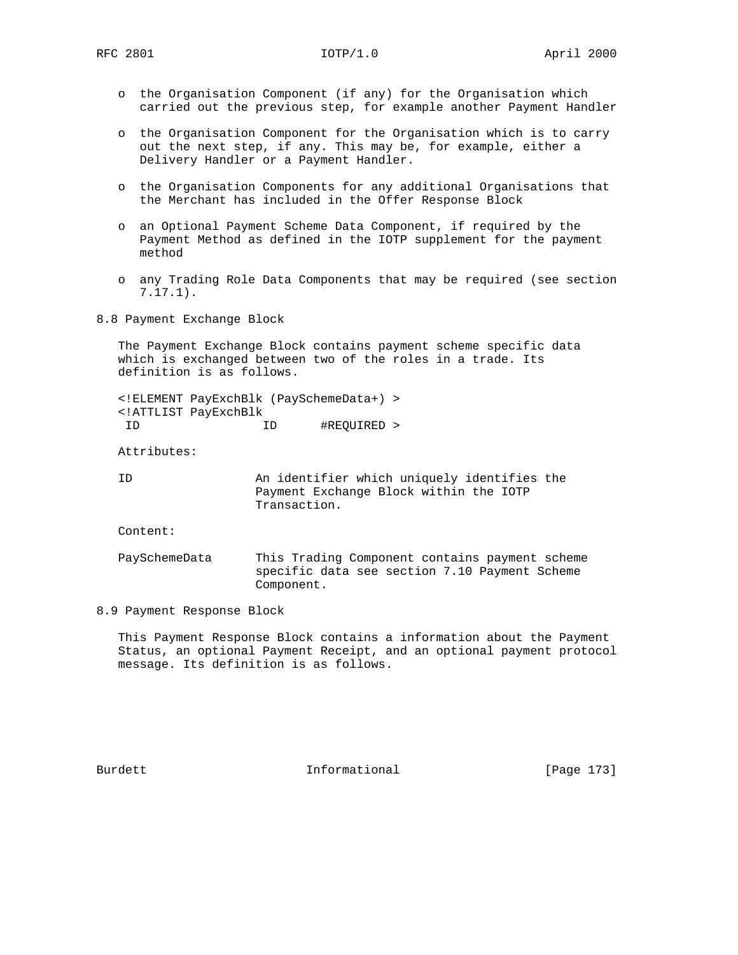- o the Organisation Component (if any) for the Organisation which carried out the previous step, for example another Payment Handler
- o the Organisation Component for the Organisation which is to carry out the next step, if any. This may be, for example, either a Delivery Handler or a Payment Handler.
- o the Organisation Components for any additional Organisations that the Merchant has included in the Offer Response Block
- o an Optional Payment Scheme Data Component, if required by the Payment Method as defined in the IOTP supplement for the payment method
- o any Trading Role Data Components that may be required (see section 7.17.1).
- 8.8 Payment Exchange Block

 The Payment Exchange Block contains payment scheme specific data which is exchanged between two of the roles in a trade. Its definition is as follows.

 <!ELEMENT PayExchBlk (PaySchemeData+) > <!ATTLIST PayExchBlk ID ID #REQUIRED >

Attributes:

 ID An identifier which uniquely identifies the Payment Exchange Block within the IOTP Transaction.

Content:

 PaySchemeData This Trading Component contains payment scheme specific data see section 7.10 Payment Scheme Component.

8.9 Payment Response Block

 This Payment Response Block contains a information about the Payment Status, an optional Payment Receipt, and an optional payment protocol message. Its definition is as follows.

Burdett **Informational** [Page 173]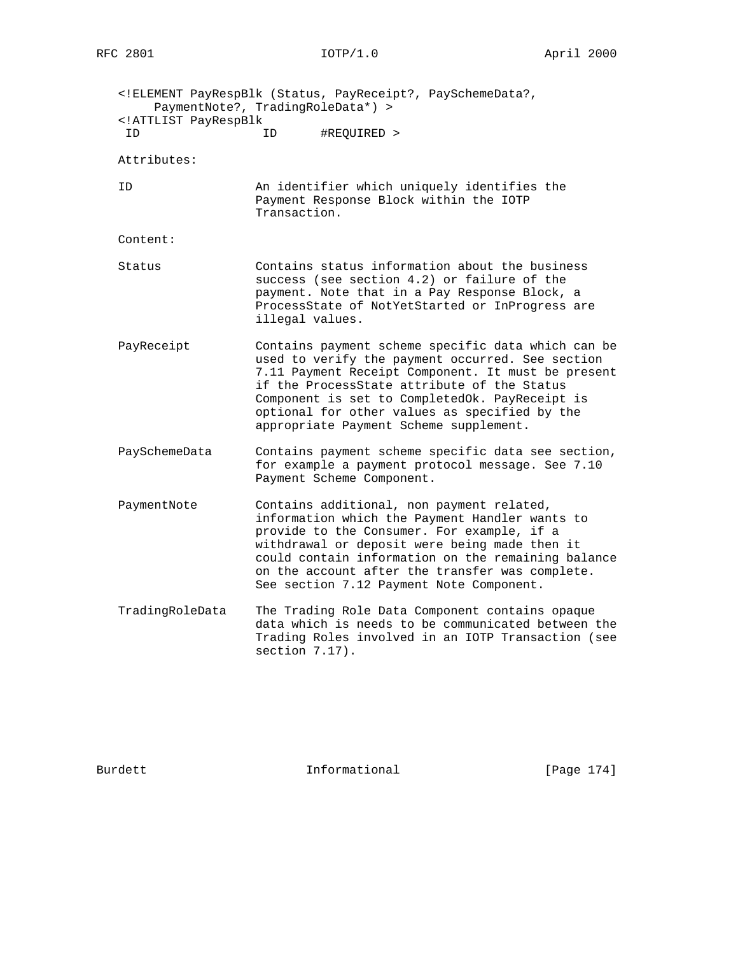<!ELEMENT PayRespBlk (Status, PayReceipt?, PaySchemeData?, PaymentNote?, TradingRoleData\*) > <!ATTLIST PayRespBlk ID ID #REQUIRED > Attributes: ID An identifier which uniquely identifies the Payment Response Block within the IOTP Transaction. Content: Status Contains status information about the business success (see section 4.2) or failure of the payment. Note that in a Pay Response Block, a ProcessState of NotYetStarted or InProgress are illegal values. PayReceipt Contains payment scheme specific data which can be used to verify the payment occurred. See section 7.11 Payment Receipt Component. It must be present if the ProcessState attribute of the Status Component is set to CompletedOk. PayReceipt is optional for other values as specified by the appropriate Payment Scheme supplement. PaySchemeData Contains payment scheme specific data see section, for example a payment protocol message. See 7.10 Payment Scheme Component. PaymentNote Contains additional, non payment related, information which the Payment Handler wants to provide to the Consumer. For example, if a withdrawal or deposit were being made then it could contain information on the remaining balance on the account after the transfer was complete. See section 7.12 Payment Note Component. TradingRoleData The Trading Role Data Component contains opaque data which is needs to be communicated between the Trading Roles involved in an IOTP Transaction (see section 7.17).

Burdett **Informational** [Page 174]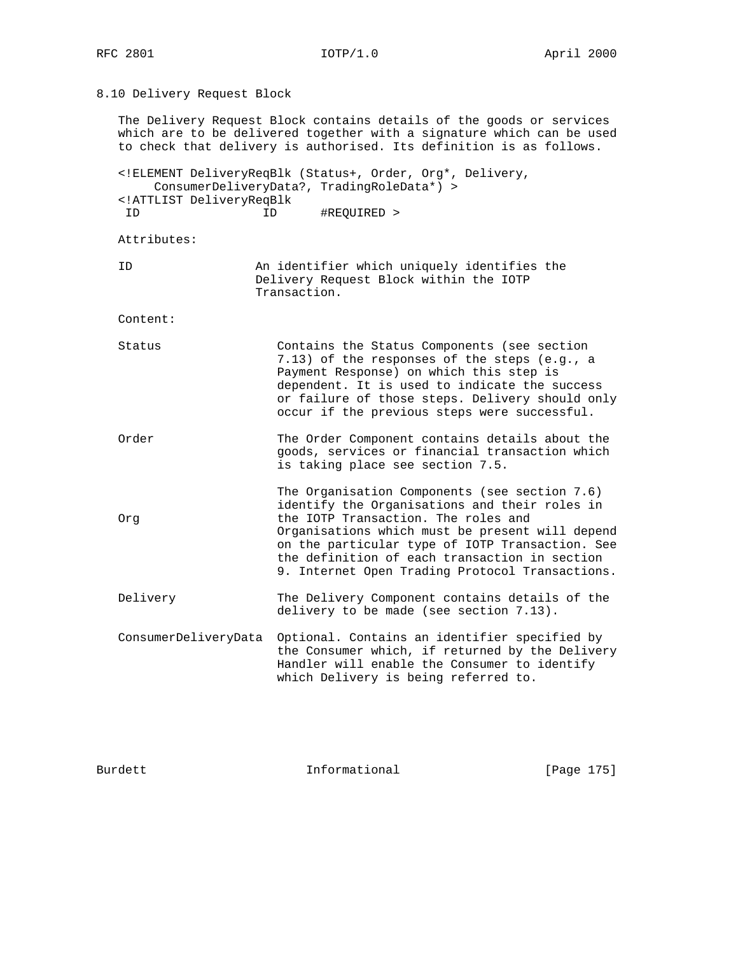## 8.10 Delivery Request Block

 The Delivery Request Block contains details of the goods or services which are to be delivered together with a signature which can be used to check that delivery is authorised. Its definition is as follows.

```
 <!ELEMENT DeliveryReqBlk (Status+, Order, Org*, Delivery,
    ConsumerDeliveryData?, TradingRoleData*) >
<!ATTLIST DeliveryReqBlk
ID ID #REQUIRED >
```
Attributes:

 ID An identifier which uniquely identifies the Delivery Request Block within the IOTP Transaction.

Content:

- Status Contains the Status Components (see section 7.13) of the responses of the steps (e.g., a Payment Response) on which this step is dependent. It is used to indicate the success or failure of those steps. Delivery should only occur if the previous steps were successful.
- Order The Order Component contains details about the goods, services or financial transaction which is taking place see section 7.5.
- The Organisation Components (see section 7.6) identify the Organisations and their roles in Org the IOTP Transaction. The roles and Organisations which must be present will depend on the particular type of IOTP Transaction. See the definition of each transaction in section 9. Internet Open Trading Protocol Transactions.
- Delivery The Delivery Component contains details of the delivery to be made (see section 7.13).
- ConsumerDeliveryData Optional. Contains an identifier specified by the Consumer which, if returned by the Delivery Handler will enable the Consumer to identify which Delivery is being referred to.

Burdett **Informational** [Page 175]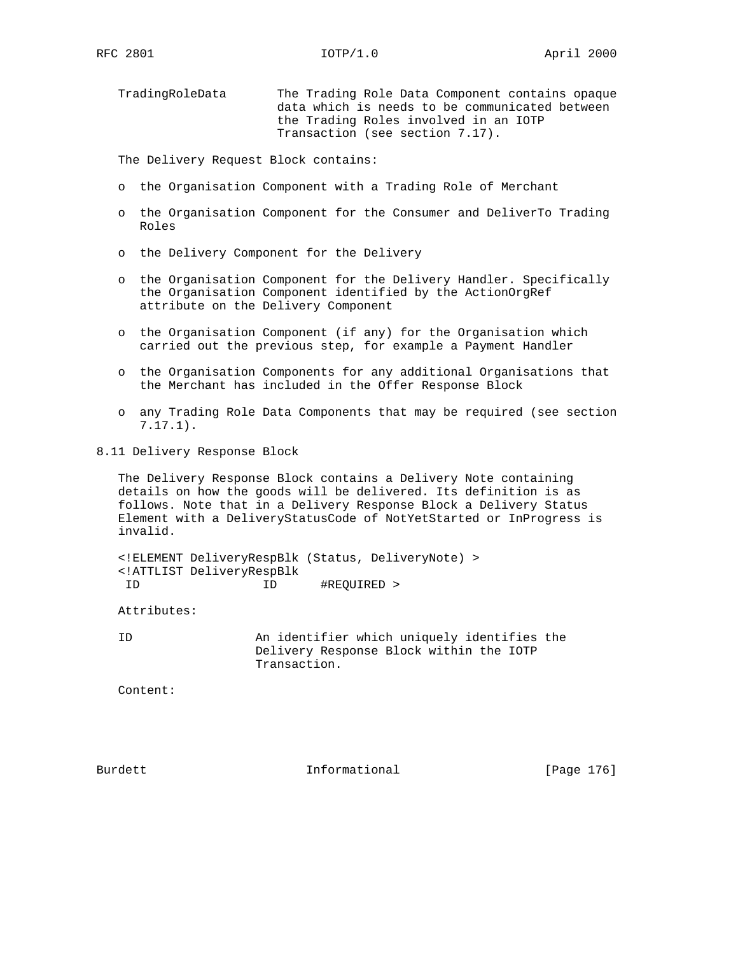TradingRoleData The Trading Role Data Component contains opaque data which is needs to be communicated between the Trading Roles involved in an IOTP Transaction (see section 7.17).

The Delivery Request Block contains:

- o the Organisation Component with a Trading Role of Merchant
- o the Organisation Component for the Consumer and DeliverTo Trading Roles
- o the Delivery Component for the Delivery
- o the Organisation Component for the Delivery Handler. Specifically the Organisation Component identified by the ActionOrgRef attribute on the Delivery Component
- o the Organisation Component (if any) for the Organisation which carried out the previous step, for example a Payment Handler
- o the Organisation Components for any additional Organisations that the Merchant has included in the Offer Response Block
- o any Trading Role Data Components that may be required (see section 7.17.1).
- 8.11 Delivery Response Block

 The Delivery Response Block contains a Delivery Note containing details on how the goods will be delivered. Its definition is as follows. Note that in a Delivery Response Block a Delivery Status Element with a DeliveryStatusCode of NotYetStarted or InProgress is invalid.

```
 <!ELEMENT DeliveryRespBlk (Status, DeliveryNote) >
<!ATTLIST DeliveryRespBlk
ID ID #REQUIRED >
```
Attributes:

 ID An identifier which uniquely identifies the Delivery Response Block within the IOTP Transaction.

Content:

Burdett **Informational** [Page 176]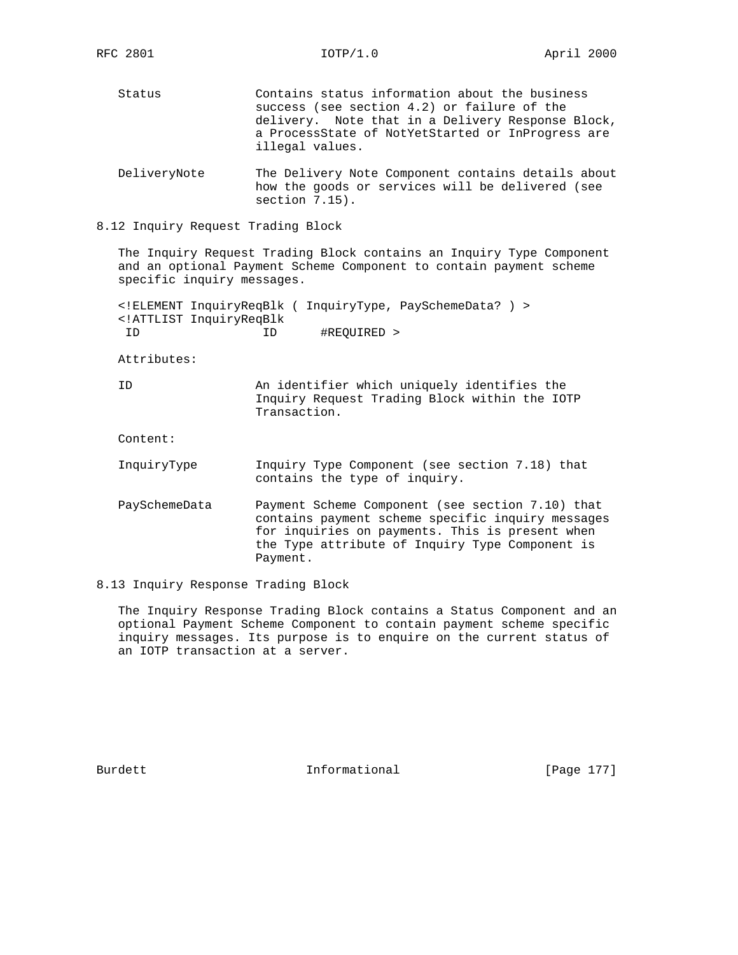- Status Contains status information about the business success (see section 4.2) or failure of the delivery. Note that in a Delivery Response Block, a ProcessState of NotYetStarted or InProgress are illegal values.
- DeliveryNote The Delivery Note Component contains details about how the goods or services will be delivered (see section 7.15).
- 8.12 Inquiry Request Trading Block

 The Inquiry Request Trading Block contains an Inquiry Type Component and an optional Payment Scheme Component to contain payment scheme specific inquiry messages.

|     |                                                         |             | ELEMENT InquiryReqBlk ( InquiryType, PaySchemeData? ) |  |
|-----|---------------------------------------------------------|-------------|-------------------------------------------------------|--|
|     | ATTLIST InquiryReqBlk</td <td></td> <td></td> <td></td> |             |                                                       |  |
| TD. | TD.                                                     | #REOUIRED > |                                                       |  |

Attributes:

 ID An identifier which uniquely identifies the Inquiry Request Trading Block within the IOTP Transaction.

Content:

- InquiryType Inquiry Type Component (see section 7.18) that contains the type of inquiry.
- PaySchemeData Payment Scheme Component (see section 7.10) that contains payment scheme specific inquiry messages for inquiries on payments. This is present when the Type attribute of Inquiry Type Component is Payment.
- 8.13 Inquiry Response Trading Block

 The Inquiry Response Trading Block contains a Status Component and an optional Payment Scheme Component to contain payment scheme specific inquiry messages. Its purpose is to enquire on the current status of an IOTP transaction at a server.

Burdett **Informational** [Page 177]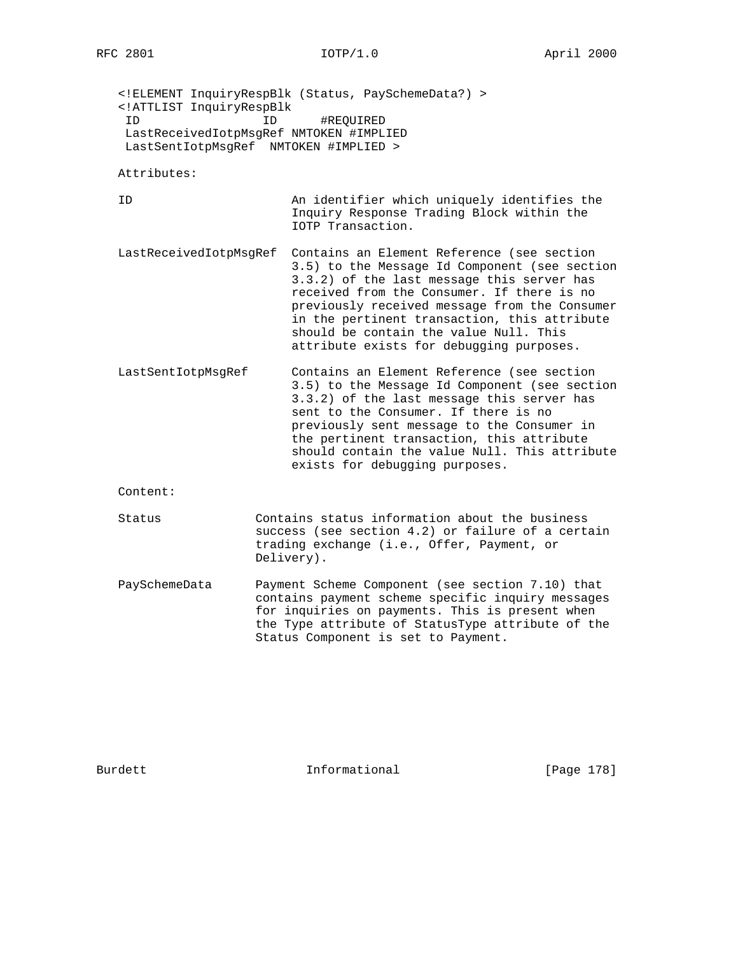<!ELEMENT InquiryRespBlk (Status, PaySchemeData?) > <!ATTLIST InquiryRespBlk ID ID #REQUIRED LastReceivedIotpMsgRef NMTOKEN #IMPLIED LastSentIotpMsgRef NMTOKEN #IMPLIED > Attributes: ID An identifier which uniquely identifies the Inquiry Response Trading Block within the IOTP Transaction. LastReceivedIotpMsgRef Contains an Element Reference (see section 3.5) to the Message Id Component (see section 3.3.2) of the last message this server has received from the Consumer. If there is no previously received message from the Consumer in the pertinent transaction, this attribute should be contain the value Null. This attribute exists for debugging purposes. LastSentIotpMsgRef Contains an Element Reference (see section 3.5) to the Message Id Component (see section 3.3.2) of the last message this server has sent to the Consumer. If there is no previously sent message to the Consumer in the pertinent transaction, this attribute should contain the value Null. This attribute exists for debugging purposes. Content: Status Contains status information about the business success (see section 4.2) or failure of a certain trading exchange (i.e., Offer, Payment, or Delivery). PaySchemeData Payment Scheme Component (see section 7.10) that contains payment scheme specific inquiry messages for inquiries on payments. This is present when

Burdett **Informational** [Page 178]

the Type attribute of StatusType attribute of the

Status Component is set to Payment.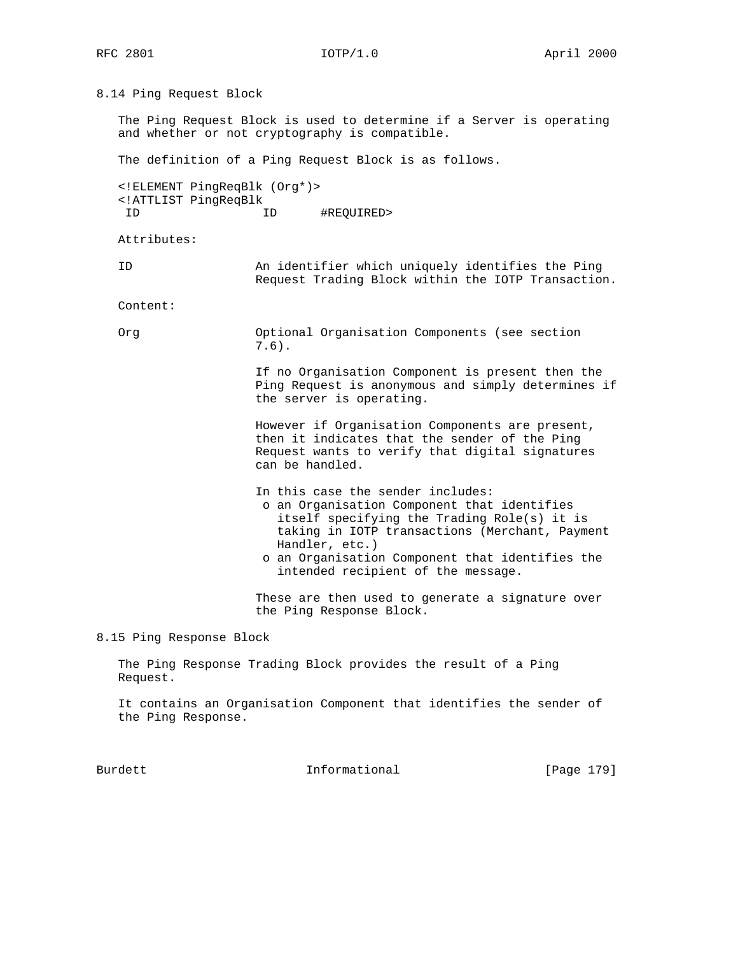8.14 Ping Request Block The Ping Request Block is used to determine if a Server is operating and whether or not cryptography is compatible. The definition of a Ping Request Block is as follows. <!ELEMENT PingReqBlk (Org\*)> <!ATTLIST PingReqBlk ID ID #REQUIRED> Attributes: ID An identifier which uniquely identifies the Ping Request Trading Block within the IOTP Transaction. Content: Org Optional Organisation Components (see section 7.6). If no Organisation Component is present then the Ping Request is anonymous and simply determines if the server is operating. However if Organisation Components are present, then it indicates that the sender of the Ping Request wants to verify that digital signatures can be handled. In this case the sender includes: o an Organisation Component that identifies itself specifying the Trading Role(s) it is taking in IOTP transactions (Merchant, Payment Handler, etc.) o an Organisation Component that identifies the intended recipient of the message. These are then used to generate a signature over the Ping Response Block. 8.15 Ping Response Block The Ping Response Trading Block provides the result of a Ping Request.

 It contains an Organisation Component that identifies the sender of the Ping Response.

Burdett **Informational Informational** [Page 179]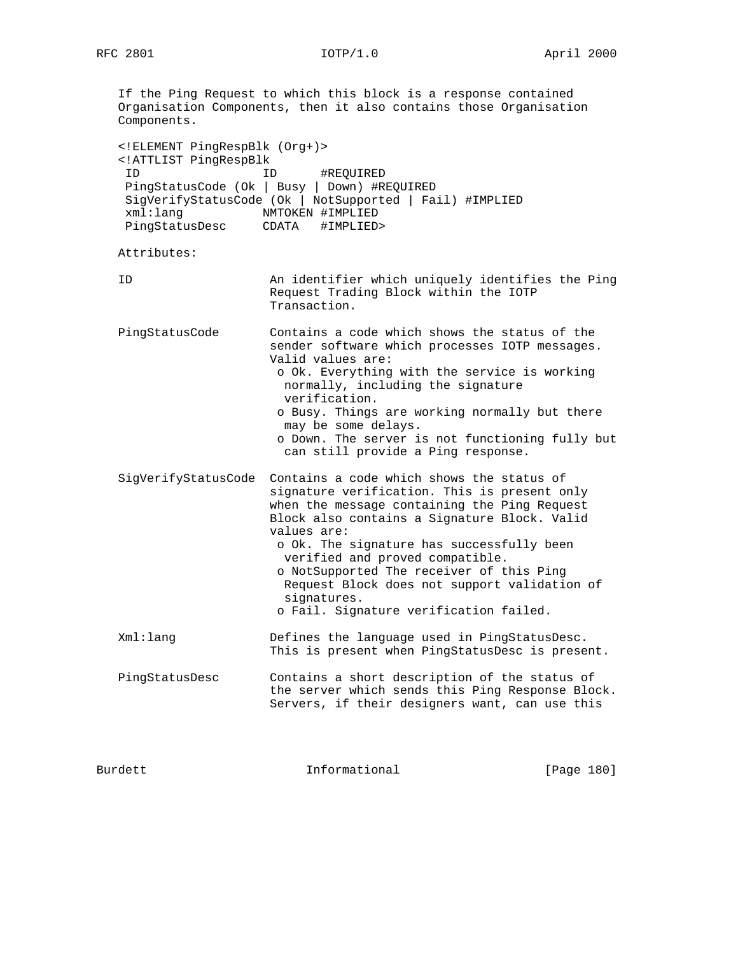If the Ping Request to which this block is a response contained Organisation Components, then it also contains those Organisation Components. <!ELEMENT PingRespBlk (Org+)> <!ATTLIST PingRespBlk ID ID #REQUIRED PingStatusCode (Ok | Busy | Down) #REQUIRED SigVerifyStatusCode (Ok | NotSupported | Fail) #IMPLIED xml:lang NMTOKEN #IMPLIED PingStatusDesc CDATA #IMPLIED> Attributes: ID An identifier which uniquely identifies the Ping Request Trading Block within the IOTP Transaction. PingStatusCode Contains a code which shows the status of the sender software which processes IOTP messages. Valid values are: o Ok. Everything with the service is working normally, including the signature verification. o Busy. Things are working normally but there may be some delays. o Down. The server is not functioning fully but can still provide a Ping response. SigVerifyStatusCode Contains a code which shows the status of signature verification. This is present only when the message containing the Ping Request Block also contains a Signature Block. Valid values are: o Ok. The signature has successfully been verified and proved compatible. o NotSupported The receiver of this Ping Request Block does not support validation of signatures. o Fail. Signature verification failed. Xml:lang Defines the language used in PingStatusDesc. This is present when PingStatusDesc is present. PingStatusDesc Contains a short description of the status of the server which sends this Ping Response Block. Servers, if their designers want, can use this

Burdett **Informational** [Page 180]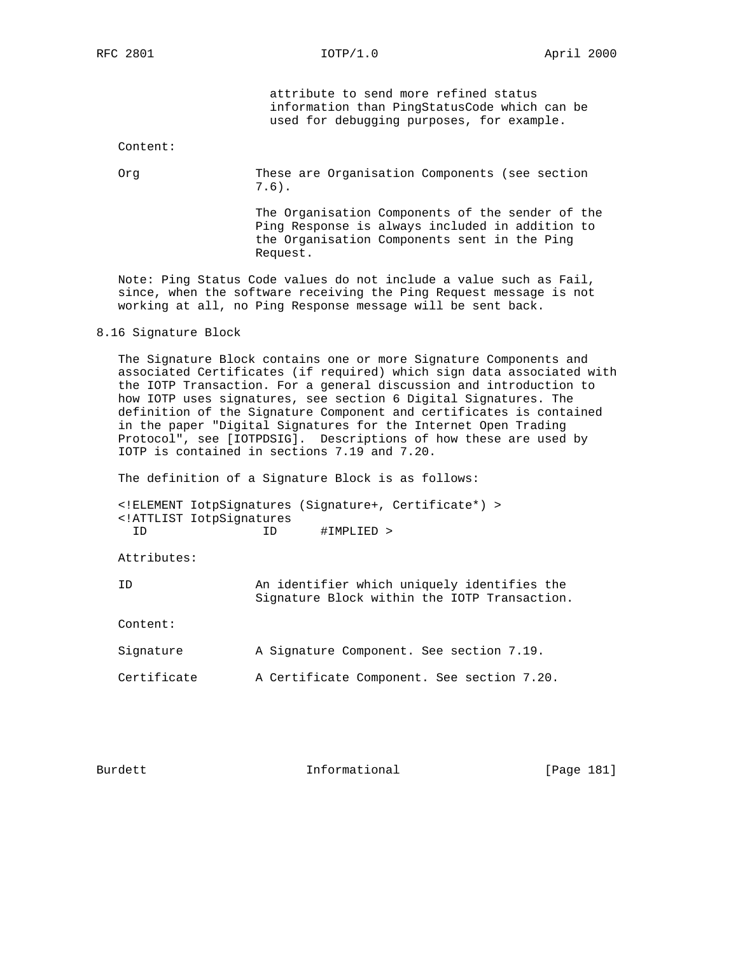attribute to send more refined status information than PingStatusCode which can be used for debugging purposes, for example.

Content:

 Org These are Organisation Components (see section 7.6).

> The Organisation Components of the sender of the Ping Response is always included in addition to the Organisation Components sent in the Ping Request.

 Note: Ping Status Code values do not include a value such as Fail, since, when the software receiving the Ping Request message is not working at all, no Ping Response message will be sent back.

8.16 Signature Block

 The Signature Block contains one or more Signature Components and associated Certificates (if required) which sign data associated with the IOTP Transaction. For a general discussion and introduction to how IOTP uses signatures, see section 6 Digital Signatures. The definition of the Signature Component and certificates is contained in the paper "Digital Signatures for the Internet Open Trading Protocol", see [IOTPDSIG]. Descriptions of how these are used by IOTP is contained in sections 7.19 and 7.20.

The definition of a Signature Block is as follows:

|     | ELEMENT IotpSignatures (Signature+, Certificate*) |            |  |
|-----|---------------------------------------------------|------------|--|
|     | ATTLIST IotpSignatures</td <td></td> <td></td>    |            |  |
| TD. | TD.                                               | #IMPLIED > |  |

Attributes:

|  |  | An identifier which uniquely identifies the  |  |
|--|--|----------------------------------------------|--|
|  |  | Signature Block within the IOTP Transaction. |  |

Content:

| Signature |  | A Signature Component. See section 7.19. |  |  |
|-----------|--|------------------------------------------|--|--|
|           |  |                                          |  |  |

Certificate A Certificate Component. See section 7.20.

Informational [Page 181]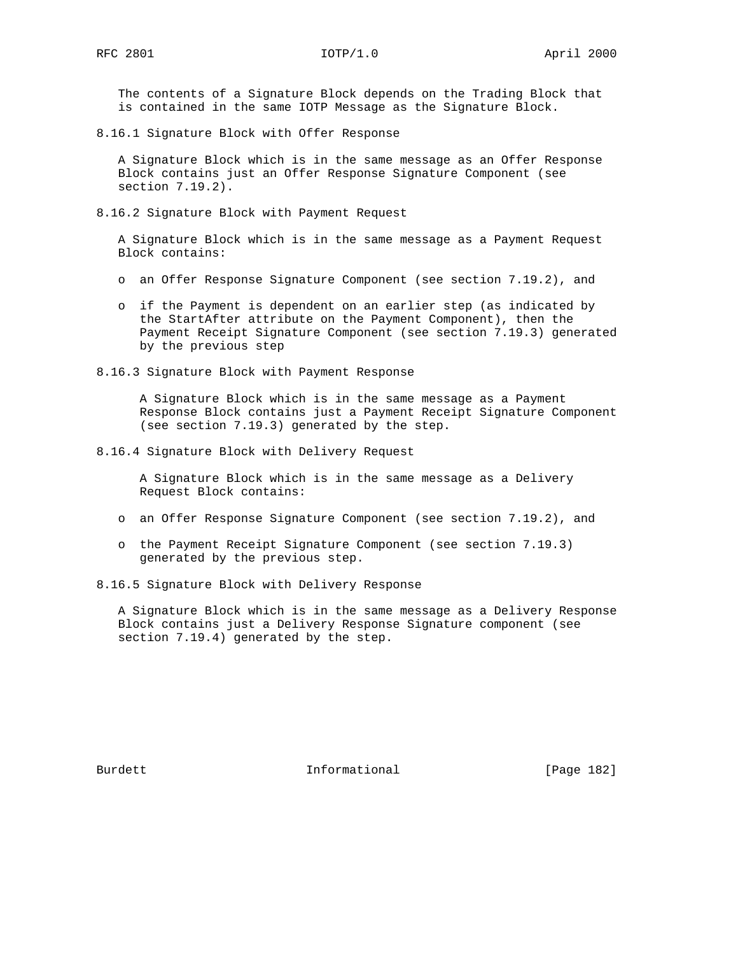The contents of a Signature Block depends on the Trading Block that is contained in the same IOTP Message as the Signature Block.

8.16.1 Signature Block with Offer Response

 A Signature Block which is in the same message as an Offer Response Block contains just an Offer Response Signature Component (see section 7.19.2).

8.16.2 Signature Block with Payment Request

 A Signature Block which is in the same message as a Payment Request Block contains:

- o an Offer Response Signature Component (see section 7.19.2), and
- o if the Payment is dependent on an earlier step (as indicated by the StartAfter attribute on the Payment Component), then the Payment Receipt Signature Component (see section 7.19.3) generated by the previous step
- 8.16.3 Signature Block with Payment Response

 A Signature Block which is in the same message as a Payment Response Block contains just a Payment Receipt Signature Component (see section 7.19.3) generated by the step.

8.16.4 Signature Block with Delivery Request

 A Signature Block which is in the same message as a Delivery Request Block contains:

- o an Offer Response Signature Component (see section 7.19.2), and
- o the Payment Receipt Signature Component (see section 7.19.3) generated by the previous step.
- 8.16.5 Signature Block with Delivery Response

 A Signature Block which is in the same message as a Delivery Response Block contains just a Delivery Response Signature component (see section 7.19.4) generated by the step.

Burdett **Informational** [Page 182]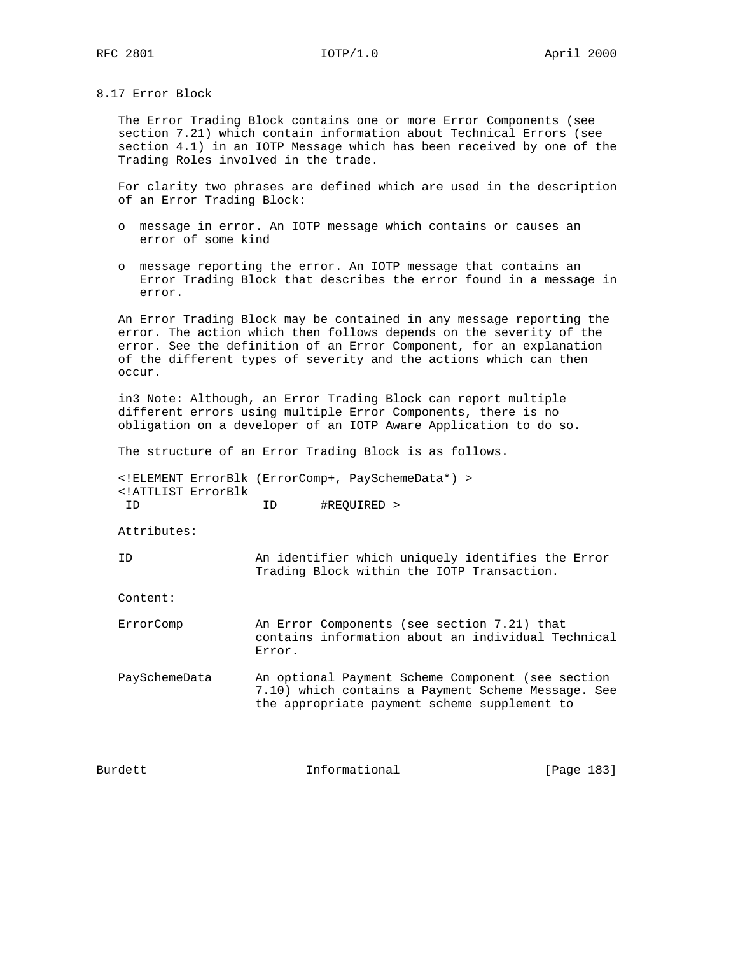8.17 Error Block

 The Error Trading Block contains one or more Error Components (see section 7.21) which contain information about Technical Errors (see section 4.1) in an IOTP Message which has been received by one of the Trading Roles involved in the trade.

 For clarity two phrases are defined which are used in the description of an Error Trading Block:

- o message in error. An IOTP message which contains or causes an error of some kind
- o message reporting the error. An IOTP message that contains an Error Trading Block that describes the error found in a message in error.

 An Error Trading Block may be contained in any message reporting the error. The action which then follows depends on the severity of the error. See the definition of an Error Component, for an explanation of the different types of severity and the actions which can then occur.

 in3 Note: Although, an Error Trading Block can report multiple different errors using multiple Error Components, there is no obligation on a developer of an IOTP Aware Application to do so.

The structure of an Error Trading Block is as follows.

 <!ELEMENT ErrorBlk (ErrorComp+, PaySchemeData\*) > <!ATTLIST ErrorBlk ID ID #REQUIRED >

Attributes:

 ID An identifier which uniquely identifies the Error Trading Block within the IOTP Transaction.

Content:

 ErrorComp An Error Components (see section 7.21) that contains information about an individual Technical Error.

 PaySchemeData An optional Payment Scheme Component (see section 7.10) which contains a Payment Scheme Message. See the appropriate payment scheme supplement to

Burdett **Informational** [Page 183]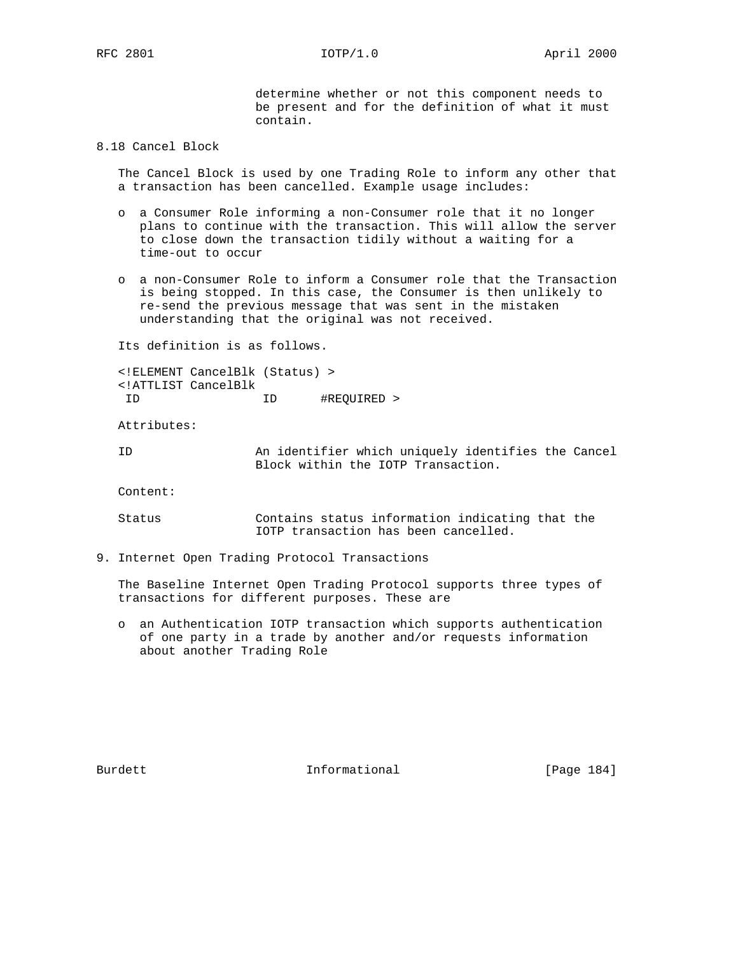determine whether or not this component needs to be present and for the definition of what it must contain.

8.18 Cancel Block

 The Cancel Block is used by one Trading Role to inform any other that a transaction has been cancelled. Example usage includes:

- o a Consumer Role informing a non-Consumer role that it no longer plans to continue with the transaction. This will allow the server to close down the transaction tidily without a waiting for a time-out to occur
- o a non-Consumer Role to inform a Consumer role that the Transaction is being stopped. In this case, the Consumer is then unlikely to re-send the previous message that was sent in the mistaken understanding that the original was not received.

Its definition is as follows.

 <!ELEMENT CancelBlk (Status) > <!ATTLIST CancelBlk ID ID #REQUIRED >

Attributes:

 ID An identifier which uniquely identifies the Cancel Block within the IOTP Transaction.

Content:

- Status Contains status information indicating that the IOTP transaction has been cancelled.
- 9. Internet Open Trading Protocol Transactions

 The Baseline Internet Open Trading Protocol supports three types of transactions for different purposes. These are

 o an Authentication IOTP transaction which supports authentication of one party in a trade by another and/or requests information about another Trading Role

Burdett **Informational** [Page 184]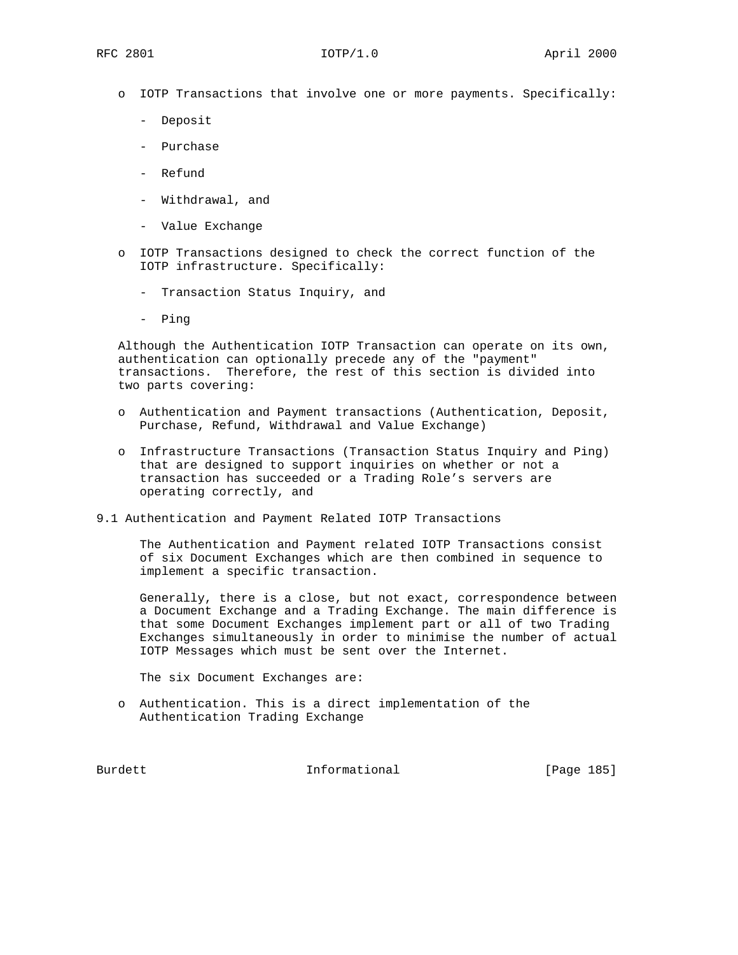- o IOTP Transactions that involve one or more payments. Specifically:
	- Deposit
	- Purchase
	- Refund
	- Withdrawal, and
	- Value Exchange
- o IOTP Transactions designed to check the correct function of the IOTP infrastructure. Specifically:
	- Transaction Status Inquiry, and
	- Ping

 Although the Authentication IOTP Transaction can operate on its own, authentication can optionally precede any of the "payment" transactions. Therefore, the rest of this section is divided into two parts covering:

- o Authentication and Payment transactions (Authentication, Deposit, Purchase, Refund, Withdrawal and Value Exchange)
- o Infrastructure Transactions (Transaction Status Inquiry and Ping) that are designed to support inquiries on whether or not a transaction has succeeded or a Trading Role's servers are operating correctly, and
- 9.1 Authentication and Payment Related IOTP Transactions

 The Authentication and Payment related IOTP Transactions consist of six Document Exchanges which are then combined in sequence to implement a specific transaction.

 Generally, there is a close, but not exact, correspondence between a Document Exchange and a Trading Exchange. The main difference is that some Document Exchanges implement part or all of two Trading Exchanges simultaneously in order to minimise the number of actual IOTP Messages which must be sent over the Internet.

The six Document Exchanges are:

 o Authentication. This is a direct implementation of the Authentication Trading Exchange

Burdett **Informational** [Page 185]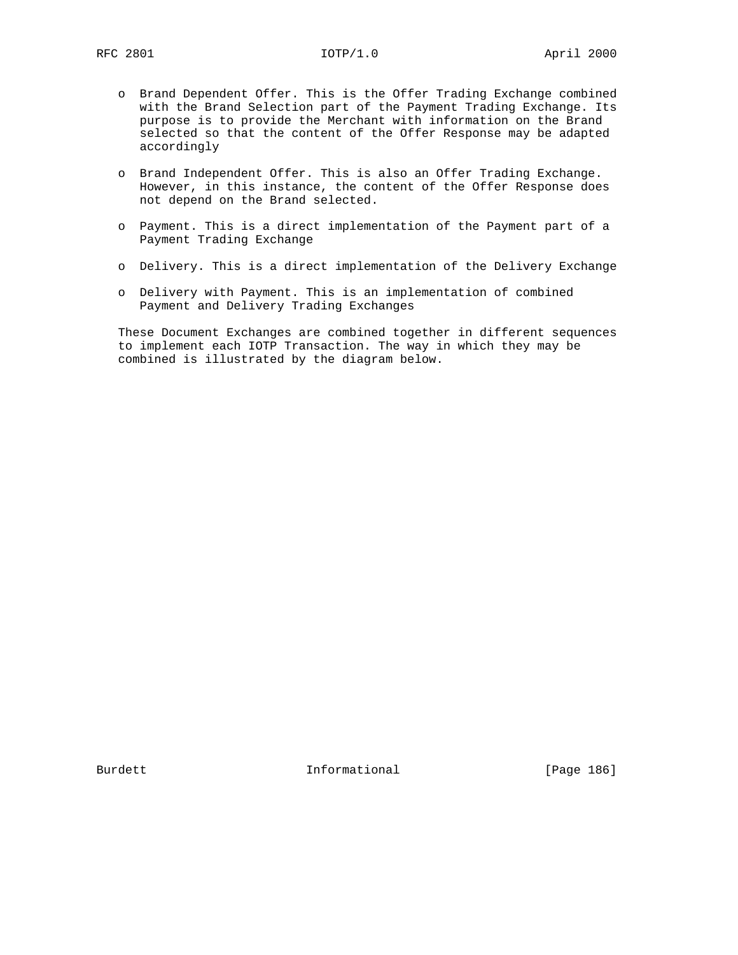- o Brand Dependent Offer. This is the Offer Trading Exchange combined with the Brand Selection part of the Payment Trading Exchange. Its purpose is to provide the Merchant with information on the Brand selected so that the content of the Offer Response may be adapted accordingly
- o Brand Independent Offer. This is also an Offer Trading Exchange. However, in this instance, the content of the Offer Response does not depend on the Brand selected.
- o Payment. This is a direct implementation of the Payment part of a Payment Trading Exchange
- o Delivery. This is a direct implementation of the Delivery Exchange
- o Delivery with Payment. This is an implementation of combined Payment and Delivery Trading Exchanges

 These Document Exchanges are combined together in different sequences to implement each IOTP Transaction. The way in which they may be combined is illustrated by the diagram below.

Burdett 10 Informational [Page 186]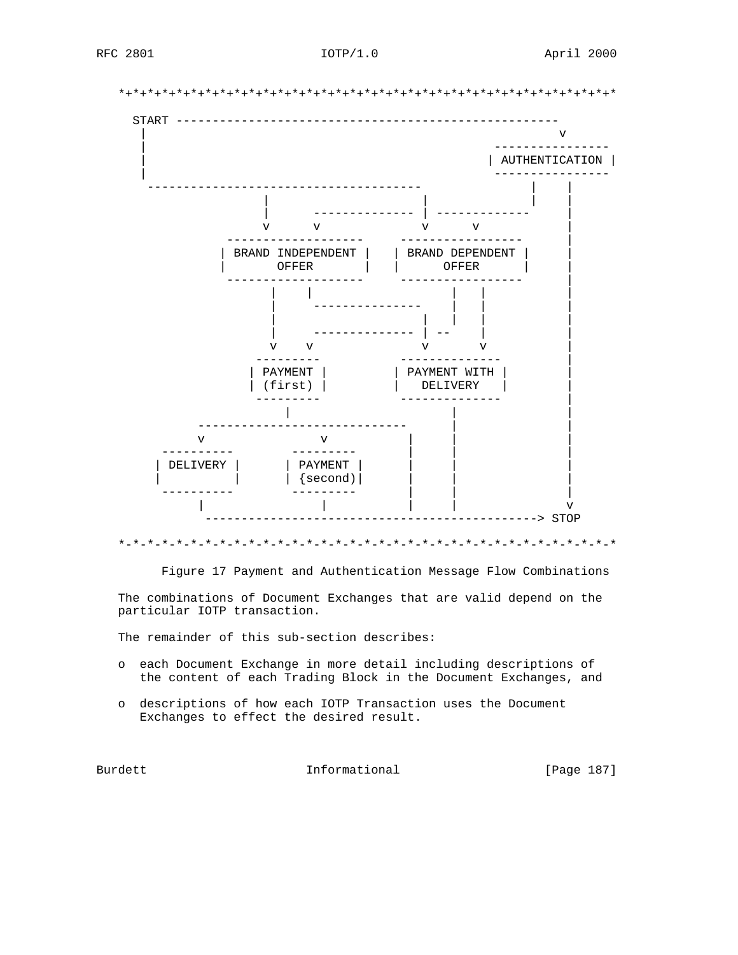





```
 *-*-*-*-*-*-*-*-*-*-*-*-*-*-*-*-*-*-*-*-*-*-*-*-*-*-*-*-*-*-*-*-*-*-*
```
Figure 17 Payment and Authentication Message Flow Combinations

 The combinations of Document Exchanges that are valid depend on the particular IOTP transaction.

The remainder of this sub-section describes:

- o each Document Exchange in more detail including descriptions of the content of each Trading Block in the Document Exchanges, and
- o descriptions of how each IOTP Transaction uses the Document Exchanges to effect the desired result.

Burdett **Informational** [Page 187]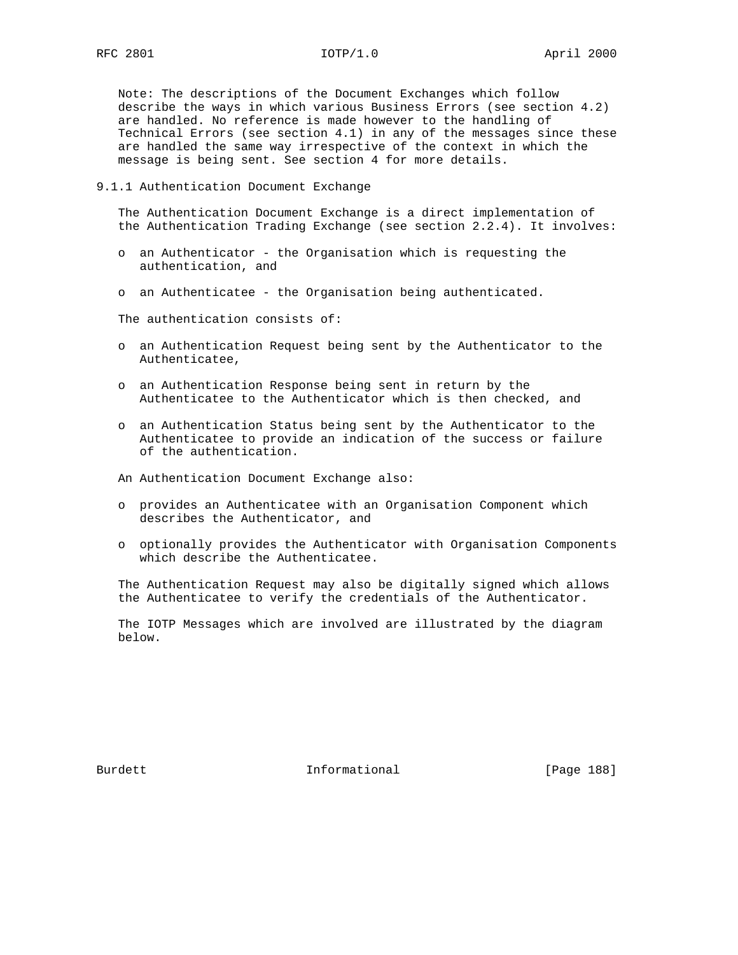Note: The descriptions of the Document Exchanges which follow describe the ways in which various Business Errors (see section 4.2) are handled. No reference is made however to the handling of Technical Errors (see section 4.1) in any of the messages since these are handled the same way irrespective of the context in which the message is being sent. See section 4 for more details.

9.1.1 Authentication Document Exchange

 The Authentication Document Exchange is a direct implementation of the Authentication Trading Exchange (see section 2.2.4). It involves:

- o an Authenticator the Organisation which is requesting the authentication, and
- o an Authenticatee the Organisation being authenticated.

The authentication consists of:

- o an Authentication Request being sent by the Authenticator to the Authenticatee,
- o an Authentication Response being sent in return by the Authenticatee to the Authenticator which is then checked, and
- o an Authentication Status being sent by the Authenticator to the Authenticatee to provide an indication of the success or failure of the authentication.

An Authentication Document Exchange also:

- o provides an Authenticatee with an Organisation Component which describes the Authenticator, and
- o optionally provides the Authenticator with Organisation Components which describe the Authenticatee.

 The Authentication Request may also be digitally signed which allows the Authenticatee to verify the credentials of the Authenticator.

 The IOTP Messages which are involved are illustrated by the diagram below.

Burdett **Informational** [Page 188]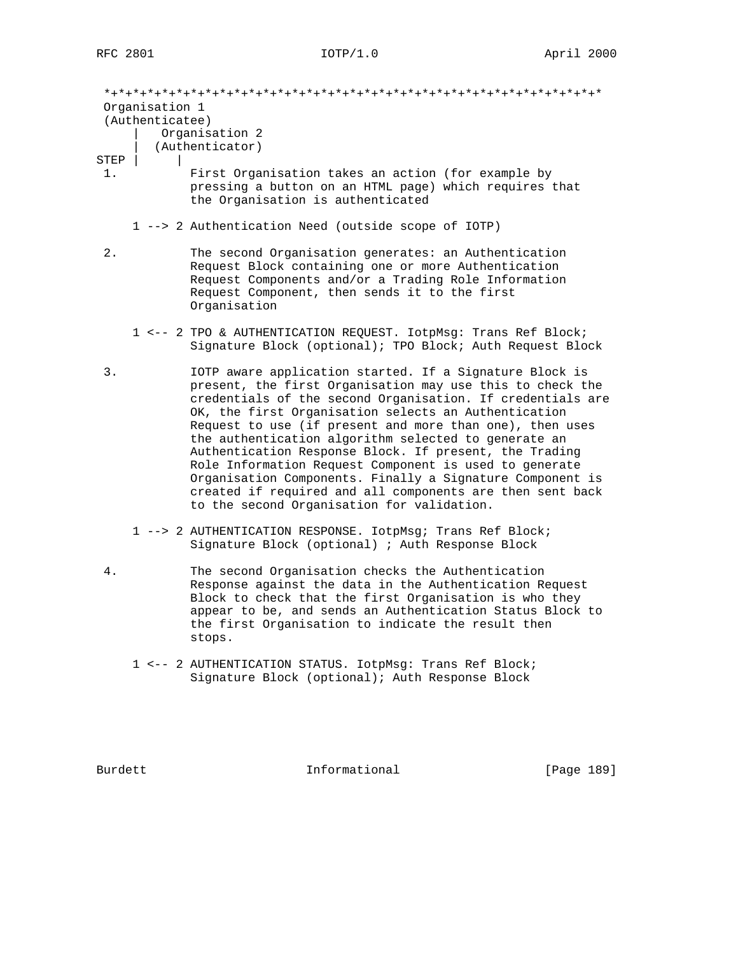\*+\*+\*+\*+\*+\*+\*+\*+\*+\*+\*+\*+\*+\*+\*+\*+\*+\*+\*+\*+\*+\*+\*+\*+\*+\*+\*+\*+\*+\*+\*+\*+\*+\*+\* Organisation 1 (Authenticatee) Organisation 2 | (Authenticator)  $STEP$  | | 1. First Organisation takes an action (for example by pressing a button on an HTML page) which requires that the Organisation is authenticated 1 --> 2 Authentication Need (outside scope of IOTP) 2. The second Organisation generates: an Authentication Request Block containing one or more Authentication Request Components and/or a Trading Role Information Request Component, then sends it to the first Organisation 1 <-- 2 TPO & AUTHENTICATION REQUEST. IotpMsg: Trans Ref Block; 3. IOTP aware application started. If a Signature Block is

- Signature Block (optional); TPO Block; Auth Request Block
- present, the first Organisation may use this to check the credentials of the second Organisation. If credentials are OK, the first Organisation selects an Authentication Request to use (if present and more than one), then uses the authentication algorithm selected to generate an Authentication Response Block. If present, the Trading Role Information Request Component is used to generate Organisation Components. Finally a Signature Component is created if required and all components are then sent back to the second Organisation for validation.
	- 1 --> 2 AUTHENTICATION RESPONSE. IotpMsg; Trans Ref Block; Signature Block (optional) ; Auth Response Block
- 4. The second Organisation checks the Authentication Response against the data in the Authentication Request Block to check that the first Organisation is who they appear to be, and sends an Authentication Status Block to the first Organisation to indicate the result then stops.
	- 1 <-- 2 AUTHENTICATION STATUS. IotpMsg: Trans Ref Block; Signature Block (optional); Auth Response Block

Burdett **Informational** [Page 189]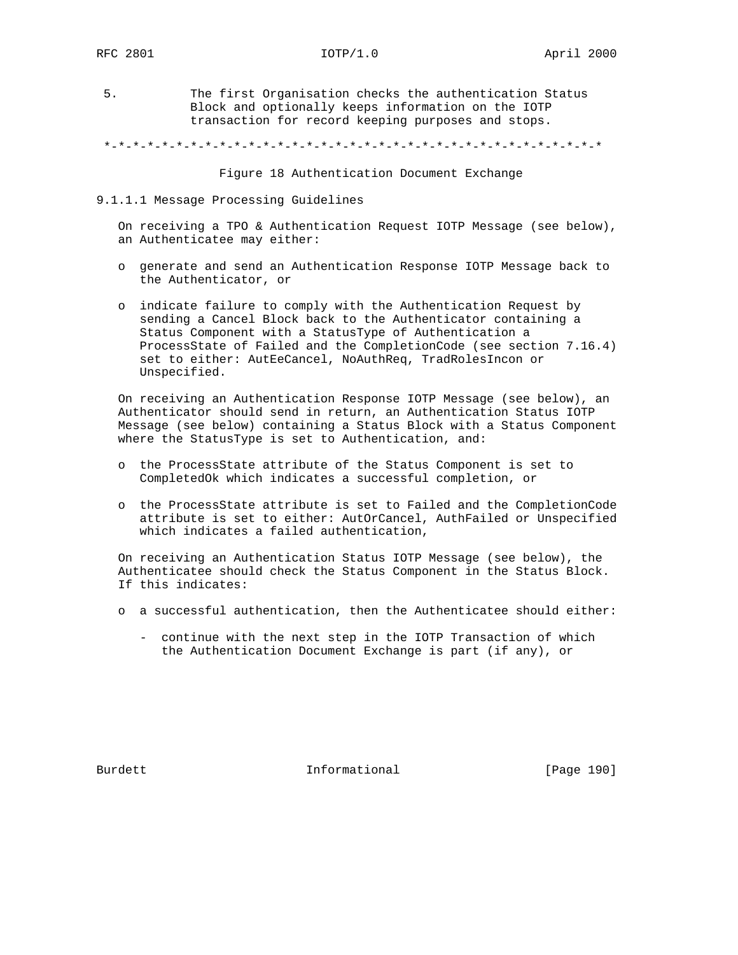5. The first Organisation checks the authentication Status Block and optionally keeps information on the IOTP transaction for record keeping purposes and stops.

\*-\*-\*-\*-\*-\*-\*-\*-\*-\*-\*-\*-\*-\*-\*-\*-\*-\*-\*-\*-\*-\*-\*-\*-\*-\*-\*-\*-\*-\*-\*-\*-\*-\*-\*

Figure 18 Authentication Document Exchange

9.1.1.1 Message Processing Guidelines

 On receiving a TPO & Authentication Request IOTP Message (see below), an Authenticatee may either:

- o generate and send an Authentication Response IOTP Message back to the Authenticator, or
- o indicate failure to comply with the Authentication Request by sending a Cancel Block back to the Authenticator containing a Status Component with a StatusType of Authentication a ProcessState of Failed and the CompletionCode (see section 7.16.4) set to either: AutEeCancel, NoAuthReq, TradRolesIncon or Unspecified.

 On receiving an Authentication Response IOTP Message (see below), an Authenticator should send in return, an Authentication Status IOTP Message (see below) containing a Status Block with a Status Component where the StatusType is set to Authentication, and:

- o the ProcessState attribute of the Status Component is set to CompletedOk which indicates a successful completion, or
- o the ProcessState attribute is set to Failed and the CompletionCode attribute is set to either: AutOrCancel, AuthFailed or Unspecified which indicates a failed authentication,

 On receiving an Authentication Status IOTP Message (see below), the Authenticatee should check the Status Component in the Status Block. If this indicates:

- o a successful authentication, then the Authenticatee should either:
	- continue with the next step in the IOTP Transaction of which the Authentication Document Exchange is part (if any), or

Burdett **Informational** [Page 190]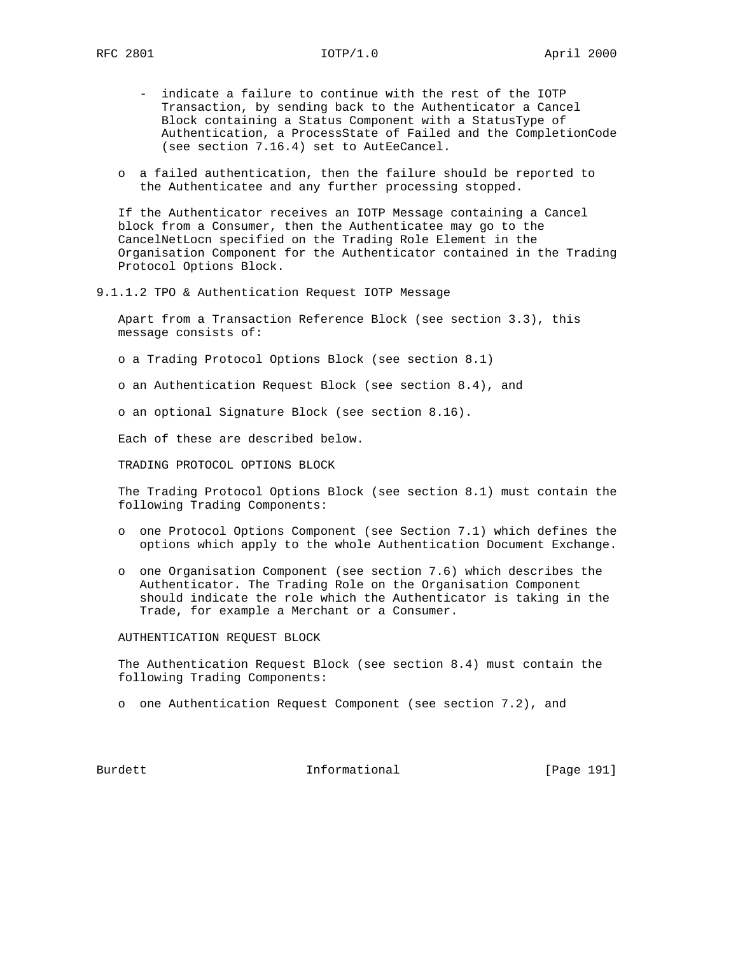- indicate a failure to continue with the rest of the IOTP Transaction, by sending back to the Authenticator a Cancel Block containing a Status Component with a StatusType of Authentication, a ProcessState of Failed and the CompletionCode (see section 7.16.4) set to AutEeCancel.
- o a failed authentication, then the failure should be reported to the Authenticatee and any further processing stopped.

 If the Authenticator receives an IOTP Message containing a Cancel block from a Consumer, then the Authenticatee may go to the CancelNetLocn specified on the Trading Role Element in the Organisation Component for the Authenticator contained in the Trading Protocol Options Block.

9.1.1.2 TPO & Authentication Request IOTP Message

 Apart from a Transaction Reference Block (see section 3.3), this message consists of:

- o a Trading Protocol Options Block (see section 8.1)
- o an Authentication Request Block (see section 8.4), and
- o an optional Signature Block (see section 8.16).

Each of these are described below.

TRADING PROTOCOL OPTIONS BLOCK

 The Trading Protocol Options Block (see section 8.1) must contain the following Trading Components:

- o one Protocol Options Component (see Section 7.1) which defines the options which apply to the whole Authentication Document Exchange.
- o one Organisation Component (see section 7.6) which describes the Authenticator. The Trading Role on the Organisation Component should indicate the role which the Authenticator is taking in the Trade, for example a Merchant or a Consumer.

AUTHENTICATION REQUEST BLOCK

 The Authentication Request Block (see section 8.4) must contain the following Trading Components:

o one Authentication Request Component (see section 7.2), and

Burdett **Informational** [Page 191]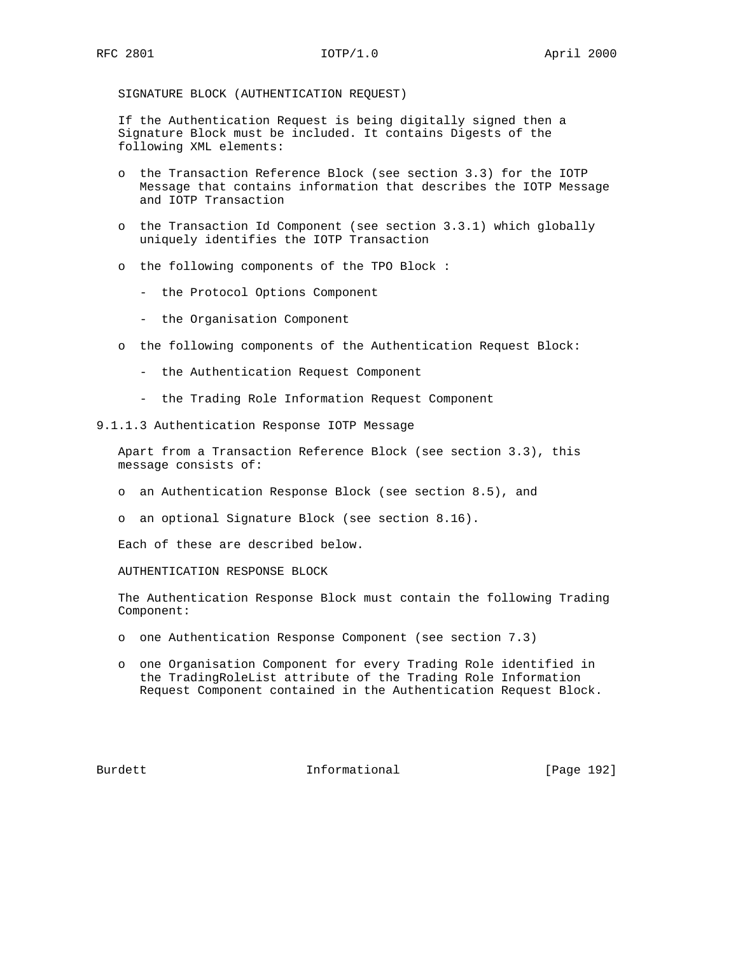SIGNATURE BLOCK (AUTHENTICATION REQUEST)

 If the Authentication Request is being digitally signed then a Signature Block must be included. It contains Digests of the following XML elements:

- o the Transaction Reference Block (see section 3.3) for the IOTP Message that contains information that describes the IOTP Message and IOTP Transaction
- o the Transaction Id Component (see section 3.3.1) which globally uniquely identifies the IOTP Transaction
- o the following components of the TPO Block :
	- the Protocol Options Component
	- the Organisation Component
- o the following components of the Authentication Request Block:
	- the Authentication Request Component
	- the Trading Role Information Request Component

9.1.1.3 Authentication Response IOTP Message

 Apart from a Transaction Reference Block (see section 3.3), this message consists of:

- o an Authentication Response Block (see section 8.5), and
- o an optional Signature Block (see section 8.16).

Each of these are described below.

AUTHENTICATION RESPONSE BLOCK

 The Authentication Response Block must contain the following Trading Component:

- o one Authentication Response Component (see section 7.3)
- o one Organisation Component for every Trading Role identified in the TradingRoleList attribute of the Trading Role Information Request Component contained in the Authentication Request Block.

Burdett **Informational** [Page 192]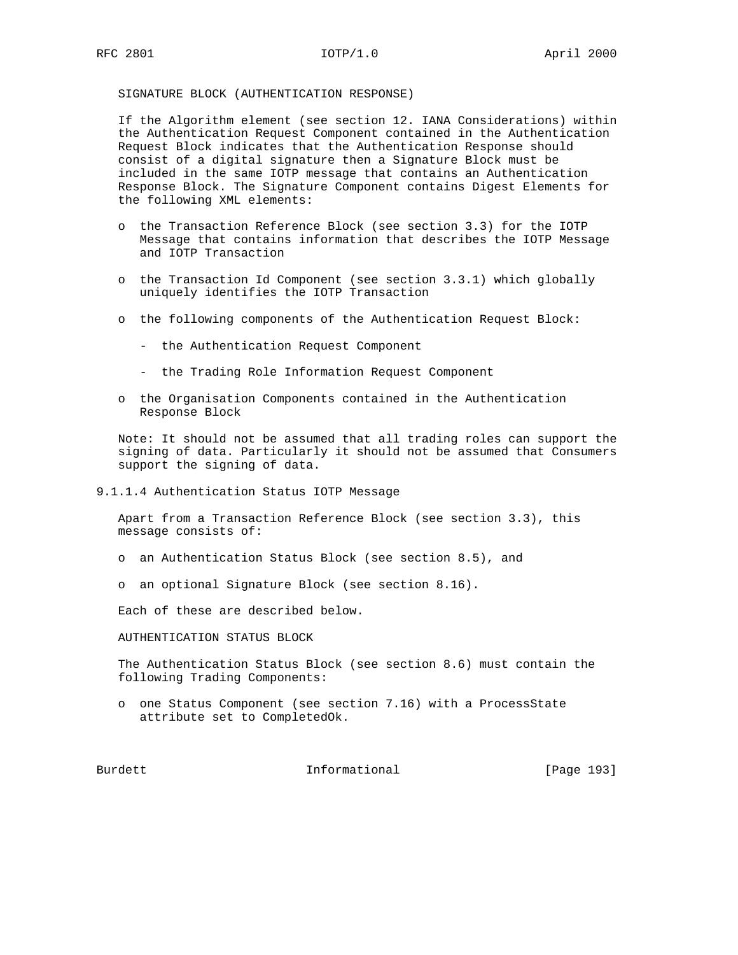SIGNATURE BLOCK (AUTHENTICATION RESPONSE)

 If the Algorithm element (see section 12. IANA Considerations) within the Authentication Request Component contained in the Authentication Request Block indicates that the Authentication Response should consist of a digital signature then a Signature Block must be included in the same IOTP message that contains an Authentication Response Block. The Signature Component contains Digest Elements for the following XML elements:

- o the Transaction Reference Block (see section 3.3) for the IOTP Message that contains information that describes the IOTP Message and IOTP Transaction
- o the Transaction Id Component (see section 3.3.1) which globally uniquely identifies the IOTP Transaction
- o the following components of the Authentication Request Block:
	- the Authentication Request Component
	- the Trading Role Information Request Component
- o the Organisation Components contained in the Authentication Response Block

 Note: It should not be assumed that all trading roles can support the signing of data. Particularly it should not be assumed that Consumers support the signing of data.

9.1.1.4 Authentication Status IOTP Message

 Apart from a Transaction Reference Block (see section 3.3), this message consists of:

- o an Authentication Status Block (see section 8.5), and
- o an optional Signature Block (see section 8.16).

Each of these are described below.

AUTHENTICATION STATUS BLOCK

 The Authentication Status Block (see section 8.6) must contain the following Trading Components:

 o one Status Component (see section 7.16) with a ProcessState attribute set to CompletedOk.

Burdett **Informational** [Page 193]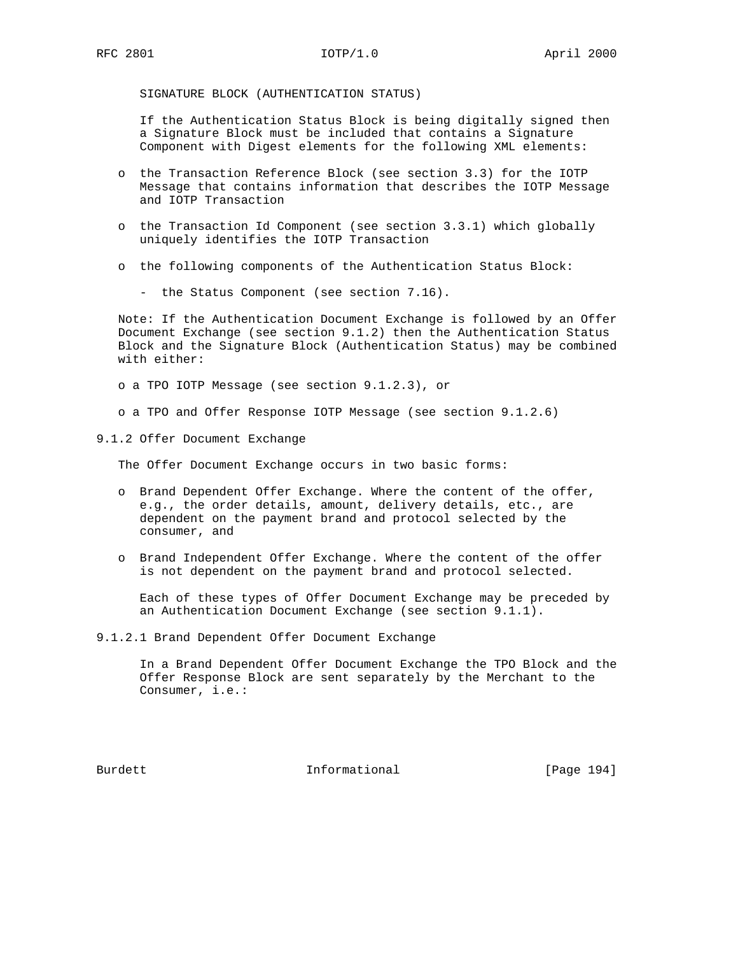SIGNATURE BLOCK (AUTHENTICATION STATUS)

 If the Authentication Status Block is being digitally signed then a Signature Block must be included that contains a Signature Component with Digest elements for the following XML elements:

- o the Transaction Reference Block (see section 3.3) for the IOTP Message that contains information that describes the IOTP Message and IOTP Transaction
- o the Transaction Id Component (see section 3.3.1) which globally uniquely identifies the IOTP Transaction
- o the following components of the Authentication Status Block:
	- the Status Component (see section 7.16).

 Note: If the Authentication Document Exchange is followed by an Offer Document Exchange (see section 9.1.2) then the Authentication Status Block and the Signature Block (Authentication Status) may be combined with either:

o a TPO IOTP Message (see section 9.1.2.3), or

o a TPO and Offer Response IOTP Message (see section 9.1.2.6)

9.1.2 Offer Document Exchange

The Offer Document Exchange occurs in two basic forms:

- o Brand Dependent Offer Exchange. Where the content of the offer, e.g., the order details, amount, delivery details, etc., are dependent on the payment brand and protocol selected by the consumer, and
- o Brand Independent Offer Exchange. Where the content of the offer is not dependent on the payment brand and protocol selected.

 Each of these types of Offer Document Exchange may be preceded by an Authentication Document Exchange (see section 9.1.1).

9.1.2.1 Brand Dependent Offer Document Exchange

 In a Brand Dependent Offer Document Exchange the TPO Block and the Offer Response Block are sent separately by the Merchant to the Consumer, i.e.:

Burdett **Informational** [Page 194]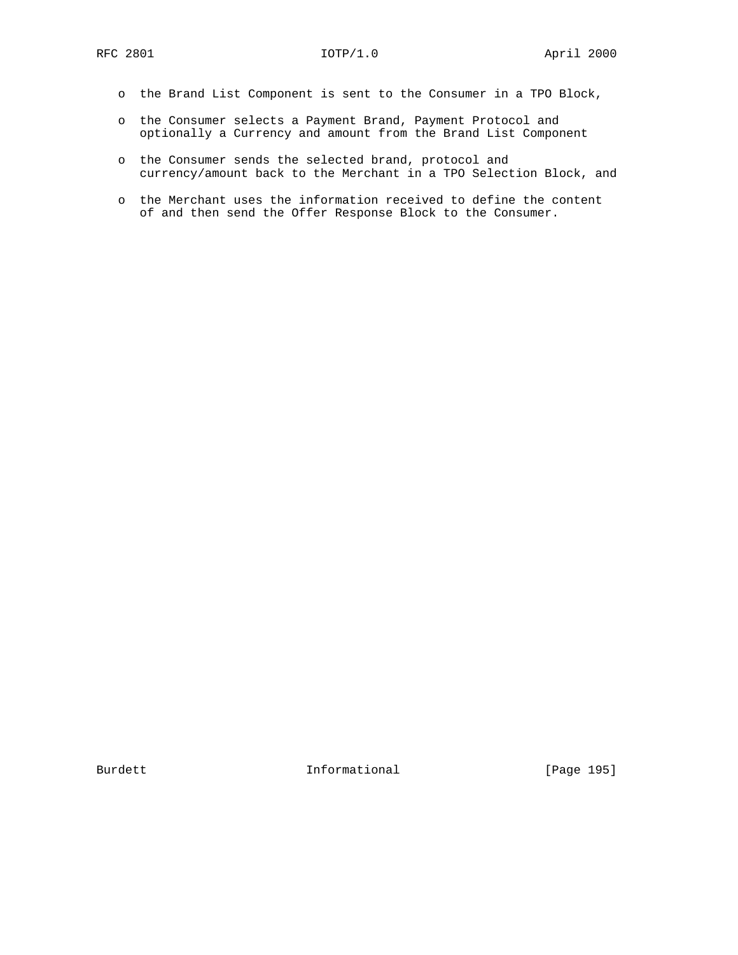- o the Brand List Component is sent to the Consumer in a TPO Block,
- o the Consumer selects a Payment Brand, Payment Protocol and optionally a Currency and amount from the Brand List Component
- o the Consumer sends the selected brand, protocol and currency/amount back to the Merchant in a TPO Selection Block, and
- o the Merchant uses the information received to define the content of and then send the Offer Response Block to the Consumer.

Burdett Informational [Page 195]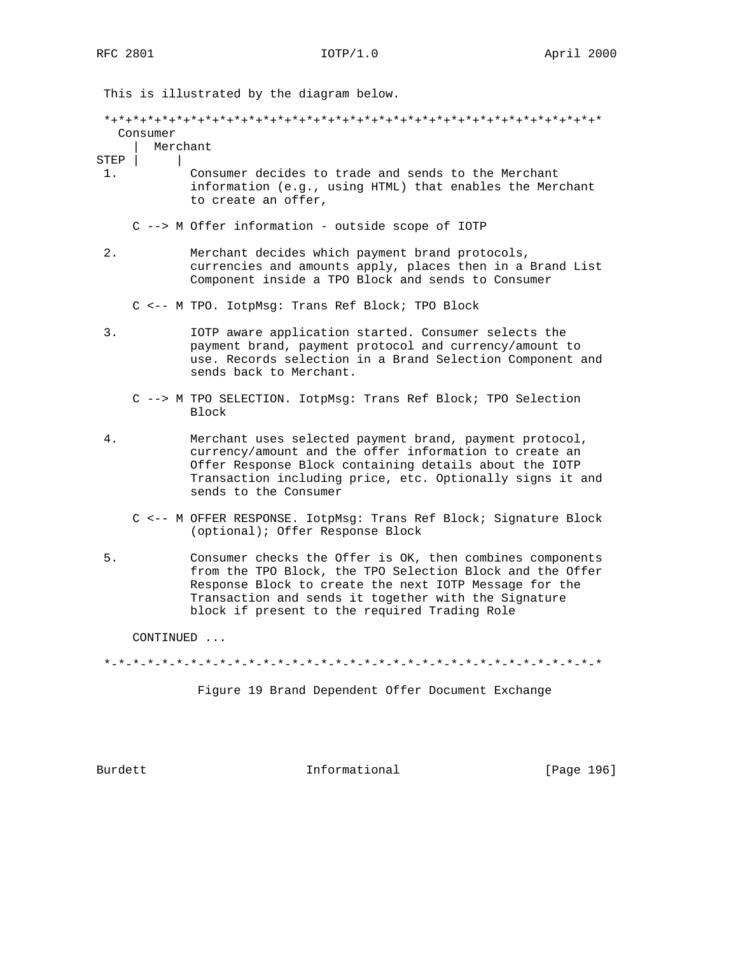This is illustrated by the diagram below.

|       | Consumer |                                                                                                                                        |
|-------|----------|----------------------------------------------------------------------------------------------------------------------------------------|
|       |          | Merchant                                                                                                                               |
| STEP  |          |                                                                                                                                        |
| $1$ . |          | Consumer decides to trade and sends to the Merchant<br>information (e.g., using HTML) that enables the Merchant<br>to create an offer, |
|       |          | C --> M Offer information - outside scope of IOTP                                                                                      |

- 2. Merchant decides which payment brand protocols, currencies and amounts apply, places then in a Brand List Component inside a TPO Block and sends to Consumer
	- C <-- M TPO. IotpMsg: Trans Ref Block; TPO Block
- 3. IOTP aware application started. Consumer selects the payment brand, payment protocol and currency/amount to use. Records selection in a Brand Selection Component and sends back to Merchant.
	- C --> M TPO SELECTION. IotpMsg: Trans Ref Block; TPO Selection Block
- 4. Merchant uses selected payment brand, payment protocol, currency/amount and the offer information to create an Offer Response Block containing details about the IOTP Transaction including price, etc. Optionally signs it and sends to the Consumer
	- C <-- M OFFER RESPONSE. IotpMsg: Trans Ref Block; Signature Block (optional); Offer Response Block
- 5. Consumer checks the Offer is OK, then combines components from the TPO Block, the TPO Selection Block and the Offer Response Block to create the next IOTP Message for the Transaction and sends it together with the Signature block if present to the required Trading Role

# CONTINUED ...

\*-\*-\*-\*-\*-\*-\*-\*-\*-\*-\*-\*-\*-\*-\*-\*-\*-\*-\*-\*-\*-\*-\*-\*-\*-\*-\*-\*-\*-\*-\*-\*-\*-\*-\*

Figure 19 Brand Dependent Offer Document Exchange

Burdett 10 Informational [Page 196]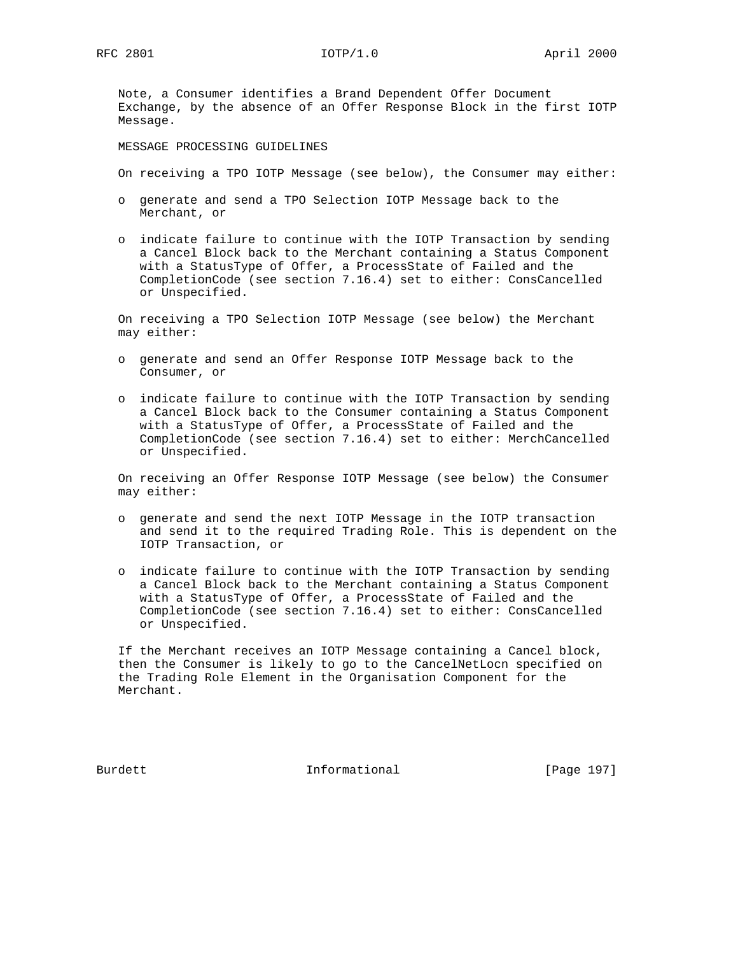Note, a Consumer identifies a Brand Dependent Offer Document Exchange, by the absence of an Offer Response Block in the first IOTP Message.

MESSAGE PROCESSING GUIDELINES

On receiving a TPO IOTP Message (see below), the Consumer may either:

- o generate and send a TPO Selection IOTP Message back to the Merchant, or
- o indicate failure to continue with the IOTP Transaction by sending a Cancel Block back to the Merchant containing a Status Component with a StatusType of Offer, a ProcessState of Failed and the CompletionCode (see section 7.16.4) set to either: ConsCancelled or Unspecified.

 On receiving a TPO Selection IOTP Message (see below) the Merchant may either:

- o generate and send an Offer Response IOTP Message back to the Consumer, or
- o indicate failure to continue with the IOTP Transaction by sending a Cancel Block back to the Consumer containing a Status Component with a StatusType of Offer, a ProcessState of Failed and the CompletionCode (see section 7.16.4) set to either: MerchCancelled or Unspecified.

 On receiving an Offer Response IOTP Message (see below) the Consumer may either:

- o generate and send the next IOTP Message in the IOTP transaction and send it to the required Trading Role. This is dependent on the IOTP Transaction, or
- o indicate failure to continue with the IOTP Transaction by sending a Cancel Block back to the Merchant containing a Status Component with a StatusType of Offer, a ProcessState of Failed and the CompletionCode (see section 7.16.4) set to either: ConsCancelled or Unspecified.

 If the Merchant receives an IOTP Message containing a Cancel block, then the Consumer is likely to go to the CancelNetLocn specified on the Trading Role Element in the Organisation Component for the Merchant.

Burdett **Informational** [Page 197]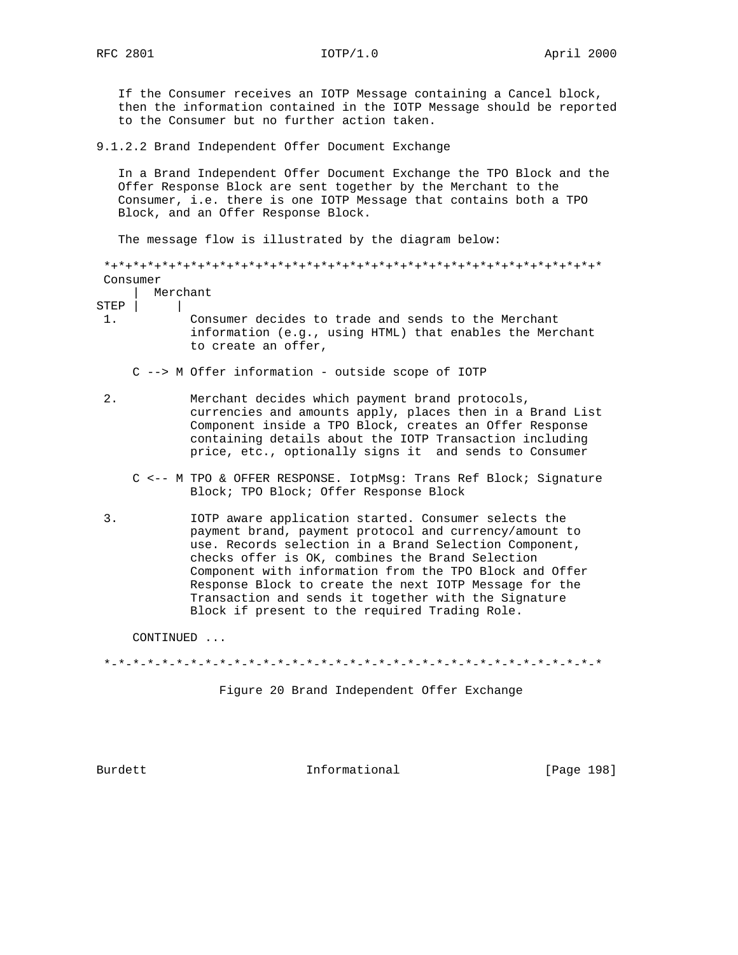If the Consumer receives an IOTP Message containing a Cancel block, then the information contained in the IOTP Message should be reported to the Consumer but no further action taken.

9.1.2.2 Brand Independent Offer Document Exchange

 In a Brand Independent Offer Document Exchange the TPO Block and the Offer Response Block are sent together by the Merchant to the Consumer, i.e. there is one IOTP Message that contains both a TPO Block, and an Offer Response Block.

The message flow is illustrated by the diagram below:

 \*+\*+\*+\*+\*+\*+\*+\*+\*+\*+\*+\*+\*+\*+\*+\*+\*+\*+\*+\*+\*+\*+\*+\*+\*+\*+\*+\*+\*+\*+\*+\*+\*+\*+\* Consumer | Merchant STEP | | 1. Consumer decides to trade and sends to the Merchant information (e.g., using HTML) that enables the Merchant to create an offer,

- C --> M Offer information outside scope of IOTP
- 2. Merchant decides which payment brand protocols,
- currencies and amounts apply, places then in a Brand List Component inside a TPO Block, creates an Offer Response containing details about the IOTP Transaction including price, etc., optionally signs it and sends to Consumer
	- C <-- M TPO & OFFER RESPONSE. IotpMsg: Trans Ref Block; Signature Block; TPO Block; Offer Response Block
- 3. IOTP aware application started. Consumer selects the payment brand, payment protocol and currency/amount to use. Records selection in a Brand Selection Component, checks offer is OK, combines the Brand Selection Component with information from the TPO Block and Offer Response Block to create the next IOTP Message for the Transaction and sends it together with the Signature Block if present to the required Trading Role.

CONTINUED ...

\*-\*-\*-\*-\*-\*-\*-\*-\*-\*-\*-\*-\*-\*-\*-\*-\*-\*-\*-\*-\*-\*-\*-\*-\*-\*-\*-\*-\*-\*-\*-\*-\*-\*-\*

Figure 20 Brand Independent Offer Exchange

Burdett **Informational** [Page 198]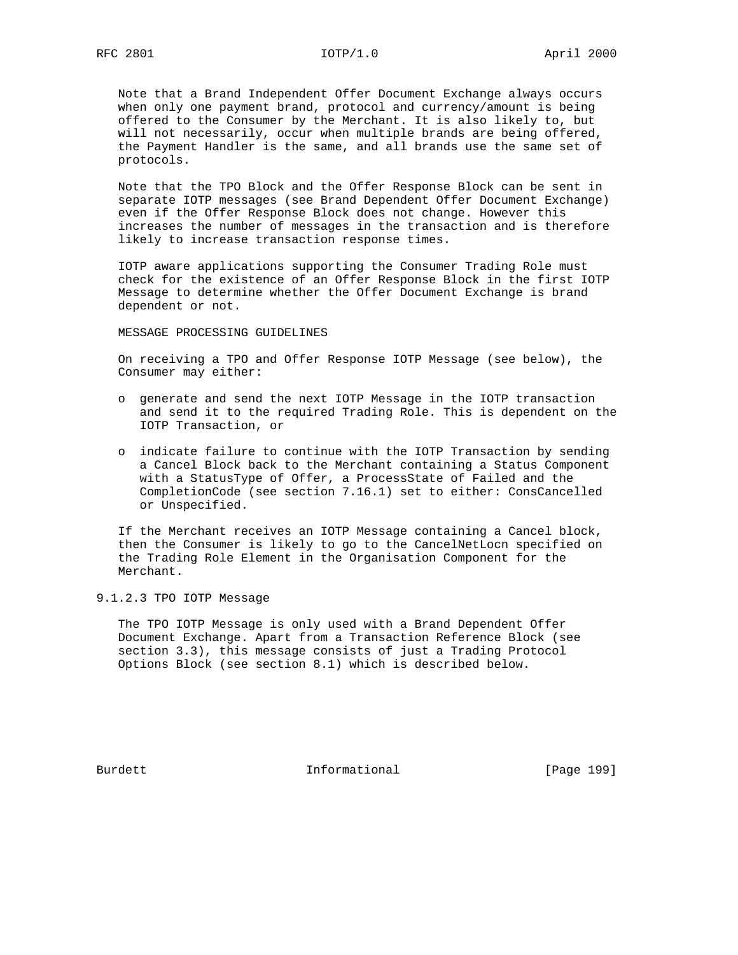Note that a Brand Independent Offer Document Exchange always occurs when only one payment brand, protocol and currency/amount is being offered to the Consumer by the Merchant. It is also likely to, but will not necessarily, occur when multiple brands are being offered, the Payment Handler is the same, and all brands use the same set of protocols.

 Note that the TPO Block and the Offer Response Block can be sent in separate IOTP messages (see Brand Dependent Offer Document Exchange) even if the Offer Response Block does not change. However this increases the number of messages in the transaction and is therefore likely to increase transaction response times.

 IOTP aware applications supporting the Consumer Trading Role must check for the existence of an Offer Response Block in the first IOTP Message to determine whether the Offer Document Exchange is brand dependent or not.

## MESSAGE PROCESSING GUIDELINES

 On receiving a TPO and Offer Response IOTP Message (see below), the Consumer may either:

- o generate and send the next IOTP Message in the IOTP transaction and send it to the required Trading Role. This is dependent on the IOTP Transaction, or
- o indicate failure to continue with the IOTP Transaction by sending a Cancel Block back to the Merchant containing a Status Component with a StatusType of Offer, a ProcessState of Failed and the CompletionCode (see section 7.16.1) set to either: ConsCancelled or Unspecified.

 If the Merchant receives an IOTP Message containing a Cancel block, then the Consumer is likely to go to the CancelNetLocn specified on the Trading Role Element in the Organisation Component for the Merchant.

9.1.2.3 TPO IOTP Message

 The TPO IOTP Message is only used with a Brand Dependent Offer Document Exchange. Apart from a Transaction Reference Block (see section 3.3), this message consists of just a Trading Protocol Options Block (see section 8.1) which is described below.

Burdett **Informational** [Page 199]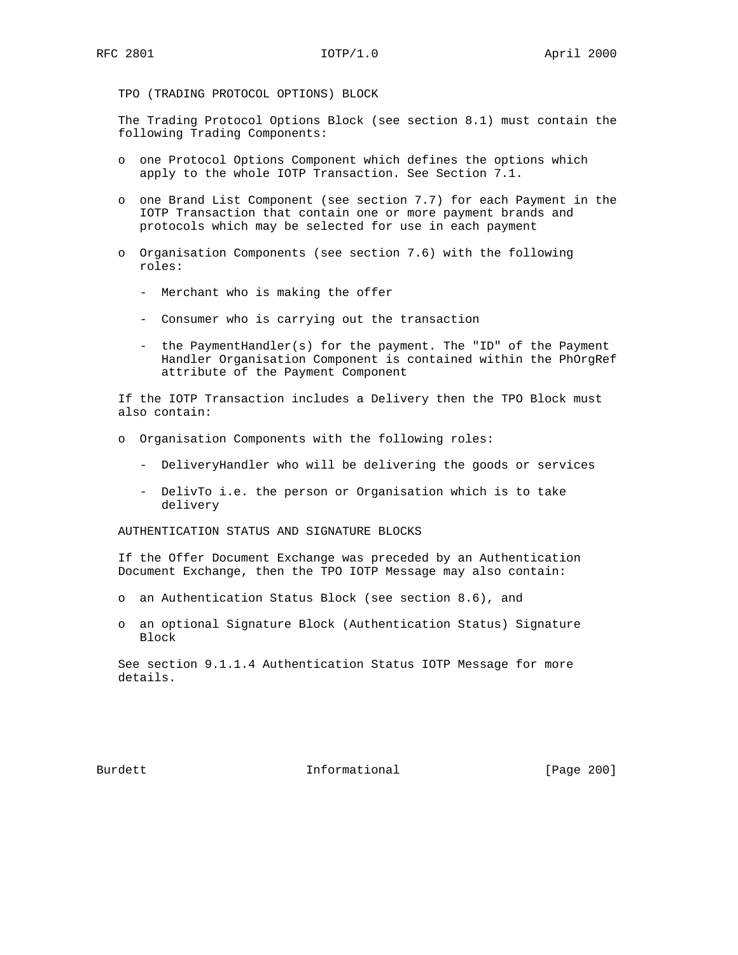TPO (TRADING PROTOCOL OPTIONS) BLOCK

 The Trading Protocol Options Block (see section 8.1) must contain the following Trading Components:

- o one Protocol Options Component which defines the options which apply to the whole IOTP Transaction. See Section 7.1.
- o one Brand List Component (see section 7.7) for each Payment in the IOTP Transaction that contain one or more payment brands and protocols which may be selected for use in each payment
- o Organisation Components (see section 7.6) with the following roles:
	- Merchant who is making the offer
	- Consumer who is carrying out the transaction
	- the PaymentHandler(s) for the payment. The "ID" of the Payment Handler Organisation Component is contained within the PhOrgRef attribute of the Payment Component

 If the IOTP Transaction includes a Delivery then the TPO Block must also contain:

- o Organisation Components with the following roles:
	- DeliveryHandler who will be delivering the goods or services
	- DelivTo i.e. the person or Organisation which is to take delivery

AUTHENTICATION STATUS AND SIGNATURE BLOCKS

 If the Offer Document Exchange was preceded by an Authentication Document Exchange, then the TPO IOTP Message may also contain:

- o an Authentication Status Block (see section 8.6), and
- o an optional Signature Block (Authentication Status) Signature Block

 See section 9.1.1.4 Authentication Status IOTP Message for more details.

Burdett **Informational** [Page 200]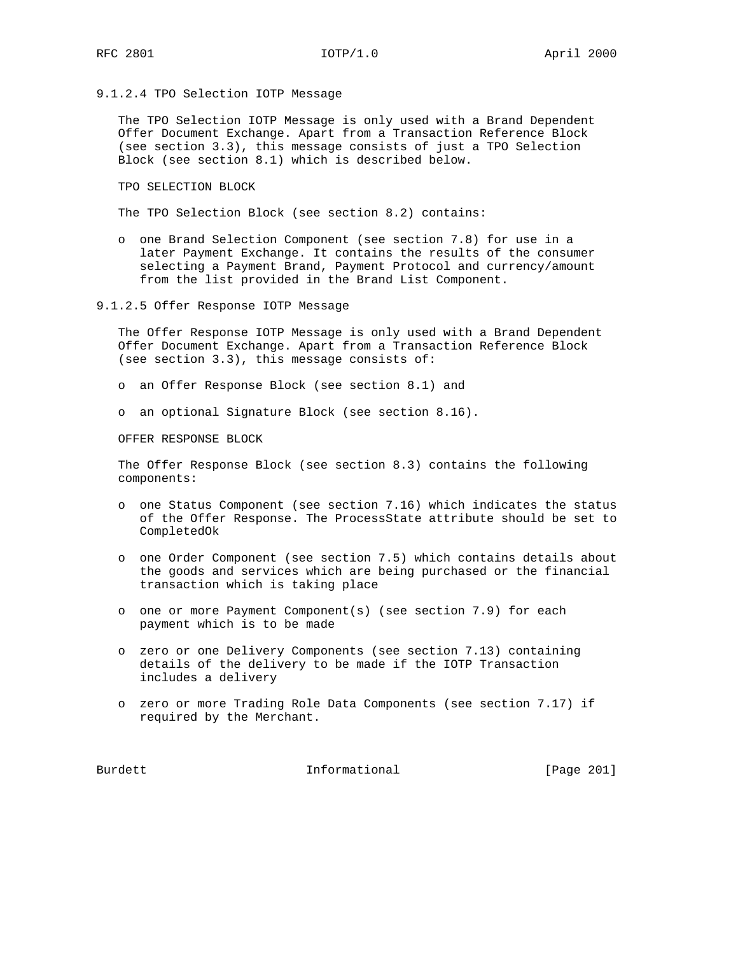9.1.2.4 TPO Selection IOTP Message

 The TPO Selection IOTP Message is only used with a Brand Dependent Offer Document Exchange. Apart from a Transaction Reference Block (see section 3.3), this message consists of just a TPO Selection Block (see section 8.1) which is described below.

TPO SELECTION BLOCK

The TPO Selection Block (see section 8.2) contains:

- o one Brand Selection Component (see section 7.8) for use in a later Payment Exchange. It contains the results of the consumer selecting a Payment Brand, Payment Protocol and currency/amount from the list provided in the Brand List Component.
- 9.1.2.5 Offer Response IOTP Message

 The Offer Response IOTP Message is only used with a Brand Dependent Offer Document Exchange. Apart from a Transaction Reference Block (see section 3.3), this message consists of:

- o an Offer Response Block (see section 8.1) and
- o an optional Signature Block (see section 8.16).

OFFER RESPONSE BLOCK

 The Offer Response Block (see section 8.3) contains the following components:

- o one Status Component (see section 7.16) which indicates the status of the Offer Response. The ProcessState attribute should be set to CompletedOk
- o one Order Component (see section 7.5) which contains details about the goods and services which are being purchased or the financial transaction which is taking place
- o one or more Payment Component(s) (see section 7.9) for each payment which is to be made
- o zero or one Delivery Components (see section 7.13) containing details of the delivery to be made if the IOTP Transaction includes a delivery
- o zero or more Trading Role Data Components (see section 7.17) if required by the Merchant.

Burdett **Informational Informational** [Page 201]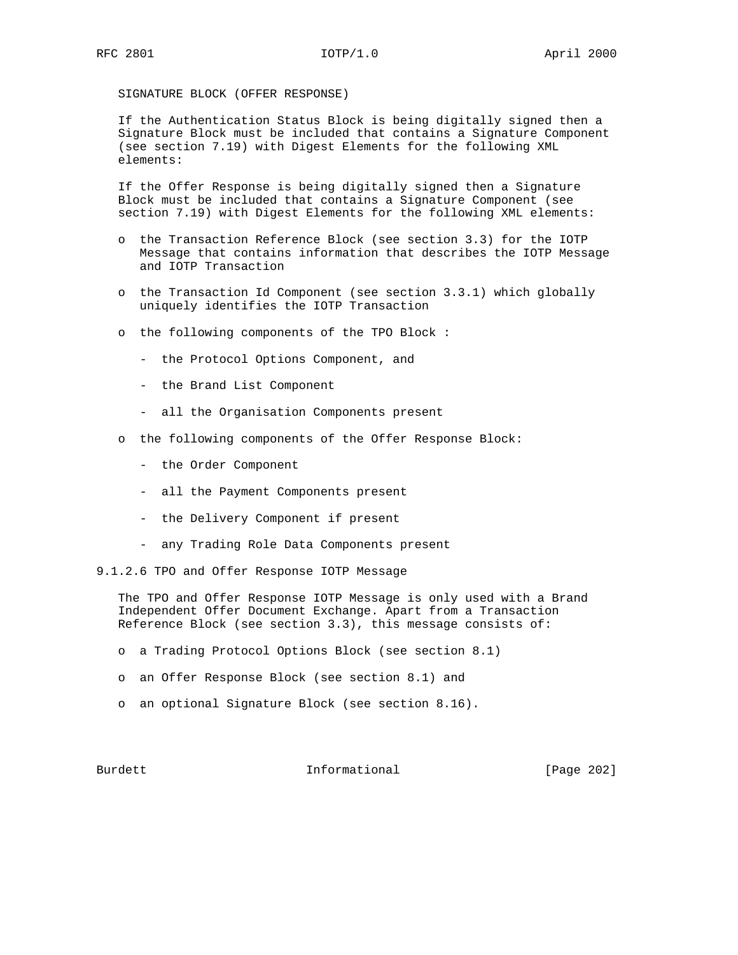SIGNATURE BLOCK (OFFER RESPONSE)

 If the Authentication Status Block is being digitally signed then a Signature Block must be included that contains a Signature Component (see section 7.19) with Digest Elements for the following XML elements:

 If the Offer Response is being digitally signed then a Signature Block must be included that contains a Signature Component (see section 7.19) with Digest Elements for the following XML elements:

- o the Transaction Reference Block (see section 3.3) for the IOTP Message that contains information that describes the IOTP Message and IOTP Transaction
- o the Transaction Id Component (see section 3.3.1) which globally uniquely identifies the IOTP Transaction
- o the following components of the TPO Block :
	- the Protocol Options Component, and
	- the Brand List Component
	- all the Organisation Components present
- o the following components of the Offer Response Block:
	- the Order Component
	- all the Payment Components present
	- the Delivery Component if present
	- any Trading Role Data Components present

9.1.2.6 TPO and Offer Response IOTP Message

 The TPO and Offer Response IOTP Message is only used with a Brand Independent Offer Document Exchange. Apart from a Transaction Reference Block (see section 3.3), this message consists of:

- o a Trading Protocol Options Block (see section 8.1)
- o an Offer Response Block (see section 8.1) and
- o an optional Signature Block (see section 8.16).

Burdett **Informational Informational** [Page 202]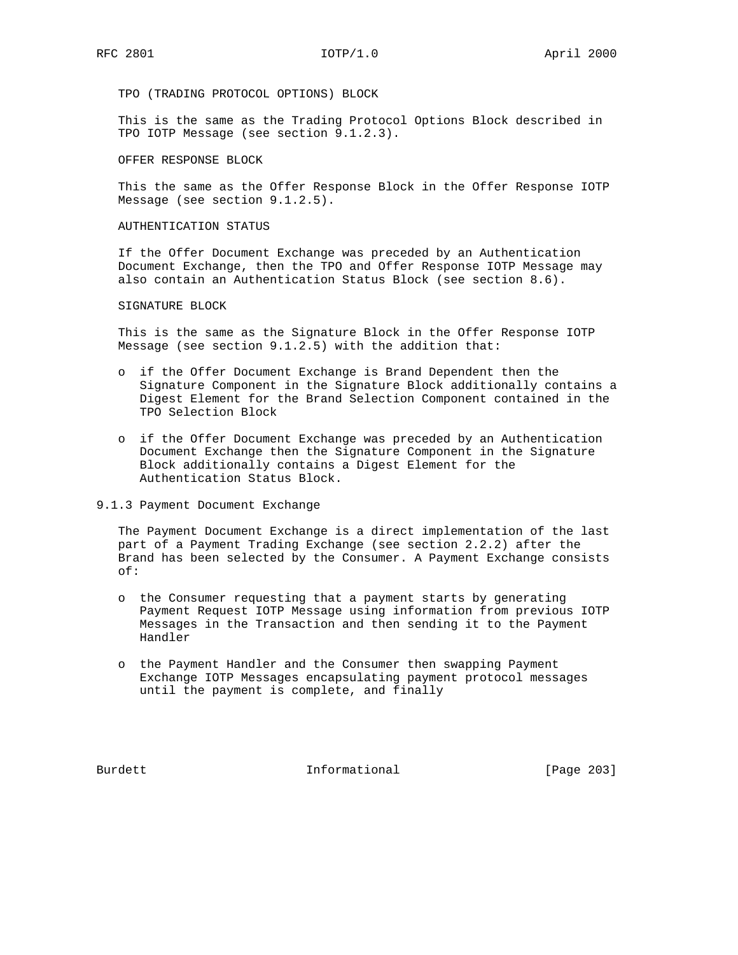TPO (TRADING PROTOCOL OPTIONS) BLOCK

 This is the same as the Trading Protocol Options Block described in TPO IOTP Message (see section 9.1.2.3).

OFFER RESPONSE BLOCK

 This the same as the Offer Response Block in the Offer Response IOTP Message (see section 9.1.2.5).

### AUTHENTICATION STATUS

 If the Offer Document Exchange was preceded by an Authentication Document Exchange, then the TPO and Offer Response IOTP Message may also contain an Authentication Status Block (see section 8.6).

### SIGNATURE BLOCK

 This is the same as the Signature Block in the Offer Response IOTP Message (see section 9.1.2.5) with the addition that:

- o if the Offer Document Exchange is Brand Dependent then the Signature Component in the Signature Block additionally contains a Digest Element for the Brand Selection Component contained in the TPO Selection Block
- o if the Offer Document Exchange was preceded by an Authentication Document Exchange then the Signature Component in the Signature Block additionally contains a Digest Element for the Authentication Status Block.
- 9.1.3 Payment Document Exchange

 The Payment Document Exchange is a direct implementation of the last part of a Payment Trading Exchange (see section 2.2.2) after the Brand has been selected by the Consumer. A Payment Exchange consists of:

- o the Consumer requesting that a payment starts by generating Payment Request IOTP Message using information from previous IOTP Messages in the Transaction and then sending it to the Payment Handler
- o the Payment Handler and the Consumer then swapping Payment Exchange IOTP Messages encapsulating payment protocol messages until the payment is complete, and finally

Burdett **Informational** [Page 203]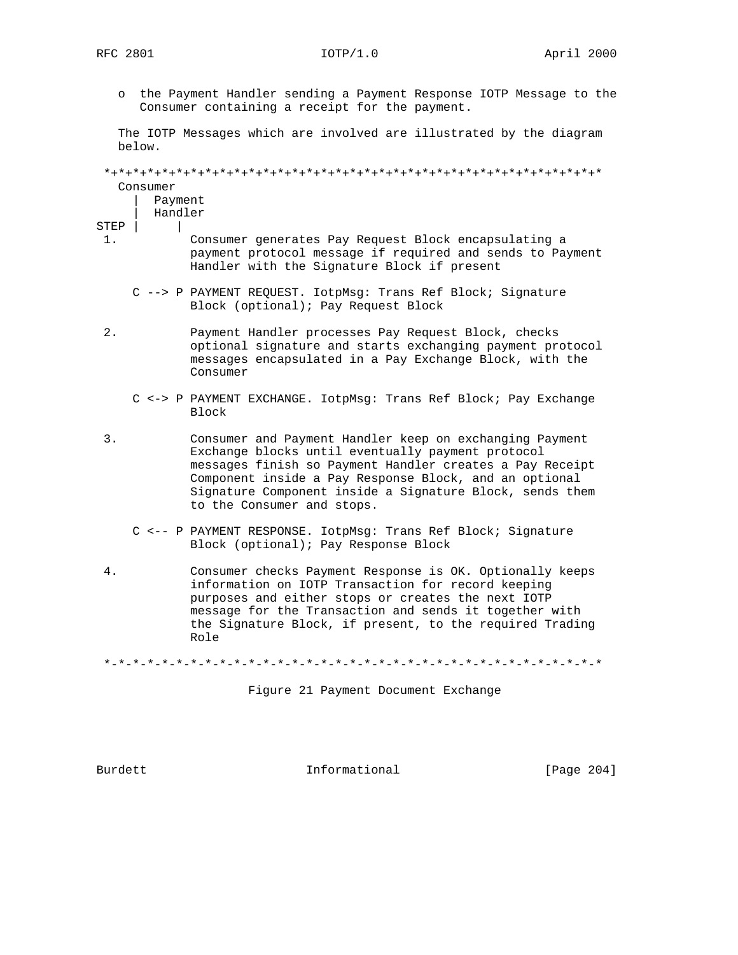o the Payment Handler sending a Payment Response IOTP Message to the Consumer containing a receipt for the payment.

 The IOTP Messages which are involved are illustrated by the diagram below.

 \*+\*+\*+\*+\*+\*+\*+\*+\*+\*+\*+\*+\*+\*+\*+\*+\*+\*+\*+\*+\*+\*+\*+\*+\*+\*+\*+\*+\*+\*+\*+\*+\*+\*+\* Consumer

|      | Payment |
|------|---------|
|      | Handler |
| STEP |         |

- - 1. Consumer generates Pay Request Block encapsulating a payment protocol message if required and sends to Payment Handler with the Signature Block if present
		- C --> P PAYMENT REQUEST. IotpMsg: Trans Ref Block; Signature Block (optional); Pay Request Block
	- 2. Payment Handler processes Pay Request Block, checks optional signature and starts exchanging payment protocol messages encapsulated in a Pay Exchange Block, with the Consumer
		- C <-> P PAYMENT EXCHANGE. IotpMsg: Trans Ref Block; Pay Exchange Block
	- 3. Consumer and Payment Handler keep on exchanging Payment Exchange blocks until eventually payment protocol messages finish so Payment Handler creates a Pay Receipt Component inside a Pay Response Block, and an optional Signature Component inside a Signature Block, sends them to the Consumer and stops.
		- C <-- P PAYMENT RESPONSE. IotpMsg: Trans Ref Block; Signature Block (optional); Pay Response Block
	- 4. Consumer checks Payment Response is OK. Optionally keeps information on IOTP Transaction for record keeping purposes and either stops or creates the next IOTP message for the Transaction and sends it together with the Signature Block, if present, to the required Trading Role

\*-\*-\*-\*-\*-\*-\*-\*-\*-\*-\*-\*-\*-\*-\*-\*-\*-\*-\*-\*-\*-\*-\*-\*-\*-\*-\*-\*-\*-\*-\*-\*-\*-\*-\*

Figure 21 Payment Document Exchange

Burdett **Informational** [Page 204]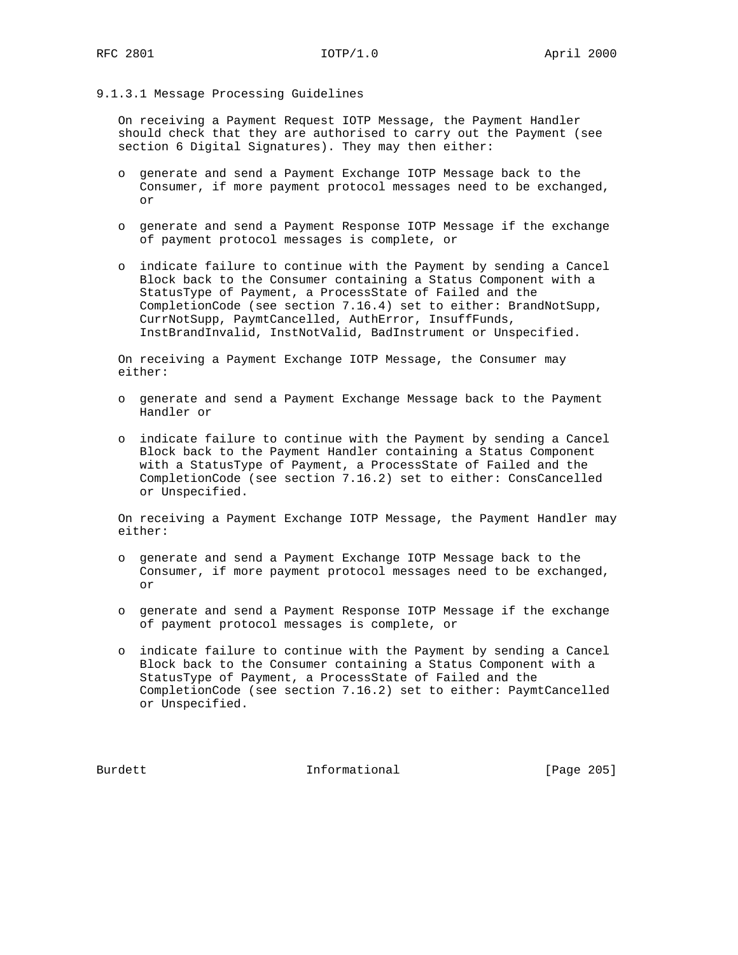## 9.1.3.1 Message Processing Guidelines

 On receiving a Payment Request IOTP Message, the Payment Handler should check that they are authorised to carry out the Payment (see section 6 Digital Signatures). They may then either:

- o generate and send a Payment Exchange IOTP Message back to the Consumer, if more payment protocol messages need to be exchanged, or
- o generate and send a Payment Response IOTP Message if the exchange of payment protocol messages is complete, or
- o indicate failure to continue with the Payment by sending a Cancel Block back to the Consumer containing a Status Component with a StatusType of Payment, a ProcessState of Failed and the CompletionCode (see section 7.16.4) set to either: BrandNotSupp, CurrNotSupp, PaymtCancelled, AuthError, InsuffFunds, InstBrandInvalid, InstNotValid, BadInstrument or Unspecified.

 On receiving a Payment Exchange IOTP Message, the Consumer may either:

- o generate and send a Payment Exchange Message back to the Payment Handler or
- o indicate failure to continue with the Payment by sending a Cancel Block back to the Payment Handler containing a Status Component with a StatusType of Payment, a ProcessState of Failed and the CompletionCode (see section 7.16.2) set to either: ConsCancelled or Unspecified.

 On receiving a Payment Exchange IOTP Message, the Payment Handler may either:

- o generate and send a Payment Exchange IOTP Message back to the Consumer, if more payment protocol messages need to be exchanged, or
- o generate and send a Payment Response IOTP Message if the exchange of payment protocol messages is complete, or
- o indicate failure to continue with the Payment by sending a Cancel Block back to the Consumer containing a Status Component with a StatusType of Payment, a ProcessState of Failed and the CompletionCode (see section 7.16.2) set to either: PaymtCancelled or Unspecified.

Burdett **Informational Informational** [Page 205]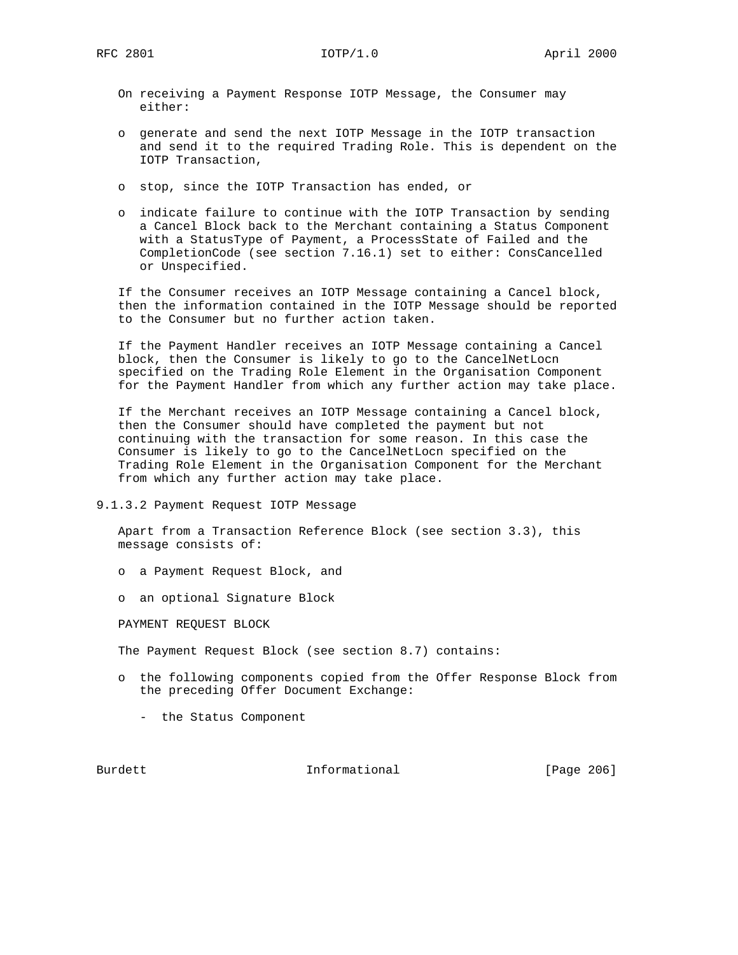- On receiving a Payment Response IOTP Message, the Consumer may either:
- o generate and send the next IOTP Message in the IOTP transaction and send it to the required Trading Role. This is dependent on the IOTP Transaction,
- o stop, since the IOTP Transaction has ended, or
- o indicate failure to continue with the IOTP Transaction by sending a Cancel Block back to the Merchant containing a Status Component with a StatusType of Payment, a ProcessState of Failed and the CompletionCode (see section 7.16.1) set to either: ConsCancelled or Unspecified.

 If the Consumer receives an IOTP Message containing a Cancel block, then the information contained in the IOTP Message should be reported to the Consumer but no further action taken.

 If the Payment Handler receives an IOTP Message containing a Cancel block, then the Consumer is likely to go to the CancelNetLocn specified on the Trading Role Element in the Organisation Component for the Payment Handler from which any further action may take place.

 If the Merchant receives an IOTP Message containing a Cancel block, then the Consumer should have completed the payment but not continuing with the transaction for some reason. In this case the Consumer is likely to go to the CancelNetLocn specified on the Trading Role Element in the Organisation Component for the Merchant from which any further action may take place.

9.1.3.2 Payment Request IOTP Message

 Apart from a Transaction Reference Block (see section 3.3), this message consists of:

- o a Payment Request Block, and
- o an optional Signature Block

PAYMENT REQUEST BLOCK

The Payment Request Block (see section 8.7) contains:

- o the following components copied from the Offer Response Block from the preceding Offer Document Exchange:
	- the Status Component

Burdett 10 Informational [Page 206]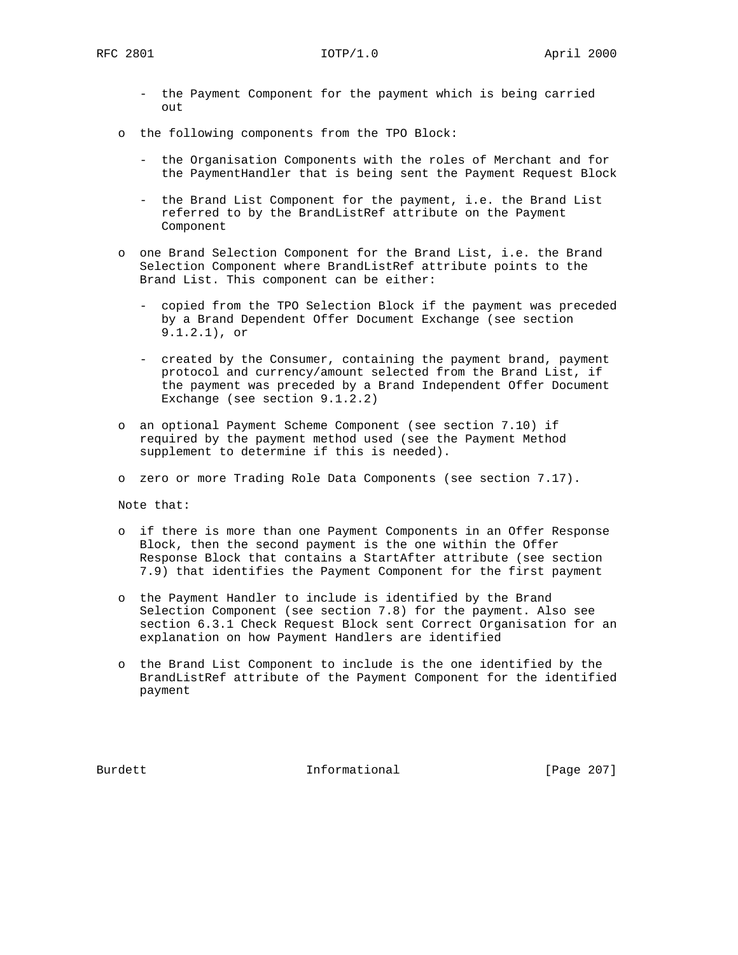- the Payment Component for the payment which is being carried out
- o the following components from the TPO Block:
	- the Organisation Components with the roles of Merchant and for the PaymentHandler that is being sent the Payment Request Block
	- the Brand List Component for the payment, i.e. the Brand List referred to by the BrandListRef attribute on the Payment Component
- o one Brand Selection Component for the Brand List, i.e. the Brand Selection Component where BrandListRef attribute points to the Brand List. This component can be either:
	- copied from the TPO Selection Block if the payment was preceded by a Brand Dependent Offer Document Exchange (see section 9.1.2.1), or
	- created by the Consumer, containing the payment brand, payment protocol and currency/amount selected from the Brand List, if the payment was preceded by a Brand Independent Offer Document Exchange (see section 9.1.2.2)
- o an optional Payment Scheme Component (see section 7.10) if required by the payment method used (see the Payment Method supplement to determine if this is needed).
- o zero or more Trading Role Data Components (see section 7.17).

Note that:

- o if there is more than one Payment Components in an Offer Response Block, then the second payment is the one within the Offer Response Block that contains a StartAfter attribute (see section 7.9) that identifies the Payment Component for the first payment
- o the Payment Handler to include is identified by the Brand Selection Component (see section 7.8) for the payment. Also see section 6.3.1 Check Request Block sent Correct Organisation for an explanation on how Payment Handlers are identified
- o the Brand List Component to include is the one identified by the BrandListRef attribute of the Payment Component for the identified payment

Burdett **Informational** [Page 207]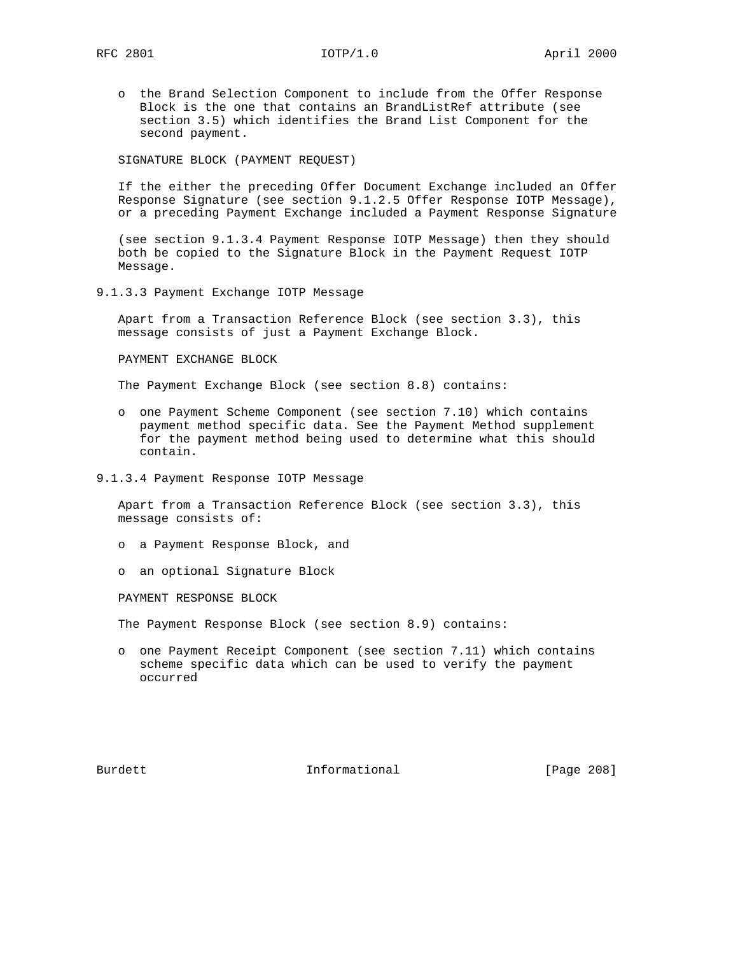o the Brand Selection Component to include from the Offer Response Block is the one that contains an BrandListRef attribute (see section 3.5) which identifies the Brand List Component for the second payment.

SIGNATURE BLOCK (PAYMENT REQUEST)

 If the either the preceding Offer Document Exchange included an Offer Response Signature (see section 9.1.2.5 Offer Response IOTP Message), or a preceding Payment Exchange included a Payment Response Signature

 (see section 9.1.3.4 Payment Response IOTP Message) then they should both be copied to the Signature Block in the Payment Request IOTP Message.

9.1.3.3 Payment Exchange IOTP Message

 Apart from a Transaction Reference Block (see section 3.3), this message consists of just a Payment Exchange Block.

PAYMENT EXCHANGE BLOCK

The Payment Exchange Block (see section 8.8) contains:

- o one Payment Scheme Component (see section 7.10) which contains payment method specific data. See the Payment Method supplement for the payment method being used to determine what this should contain.
- 9.1.3.4 Payment Response IOTP Message

 Apart from a Transaction Reference Block (see section 3.3), this message consists of:

- o a Payment Response Block, and
- o an optional Signature Block

PAYMENT RESPONSE BLOCK

The Payment Response Block (see section 8.9) contains:

 o one Payment Receipt Component (see section 7.11) which contains scheme specific data which can be used to verify the payment occurred

Burdett **Informational** [Page 208]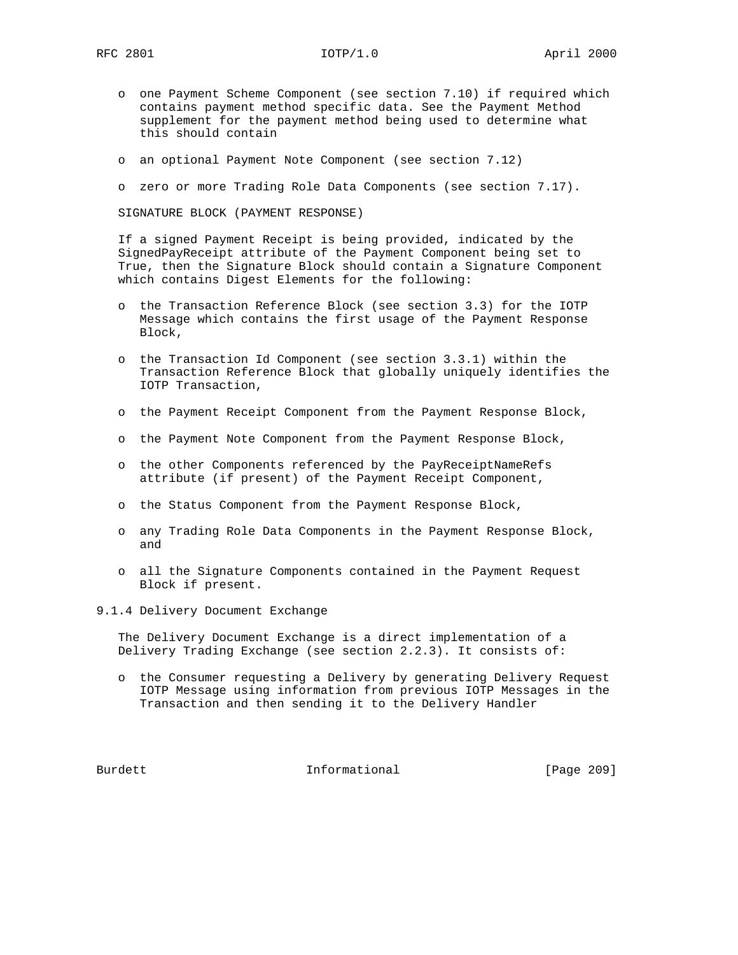- o one Payment Scheme Component (see section 7.10) if required which contains payment method specific data. See the Payment Method supplement for the payment method being used to determine what this should contain
- o an optional Payment Note Component (see section 7.12)
- o zero or more Trading Role Data Components (see section 7.17).

SIGNATURE BLOCK (PAYMENT RESPONSE)

 If a signed Payment Receipt is being provided, indicated by the SignedPayReceipt attribute of the Payment Component being set to True, then the Signature Block should contain a Signature Component which contains Digest Elements for the following:

- o the Transaction Reference Block (see section 3.3) for the IOTP Message which contains the first usage of the Payment Response Block,
- o the Transaction Id Component (see section 3.3.1) within the Transaction Reference Block that globally uniquely identifies the IOTP Transaction,
- o the Payment Receipt Component from the Payment Response Block,
- o the Payment Note Component from the Payment Response Block,
- o the other Components referenced by the PayReceiptNameRefs attribute (if present) of the Payment Receipt Component,
- o the Status Component from the Payment Response Block,
- o any Trading Role Data Components in the Payment Response Block, and
- o all the Signature Components contained in the Payment Request Block if present.

9.1.4 Delivery Document Exchange

 The Delivery Document Exchange is a direct implementation of a Delivery Trading Exchange (see section 2.2.3). It consists of:

 o the Consumer requesting a Delivery by generating Delivery Request IOTP Message using information from previous IOTP Messages in the Transaction and then sending it to the Delivery Handler

Burdett **Informational Informational** [Page 209]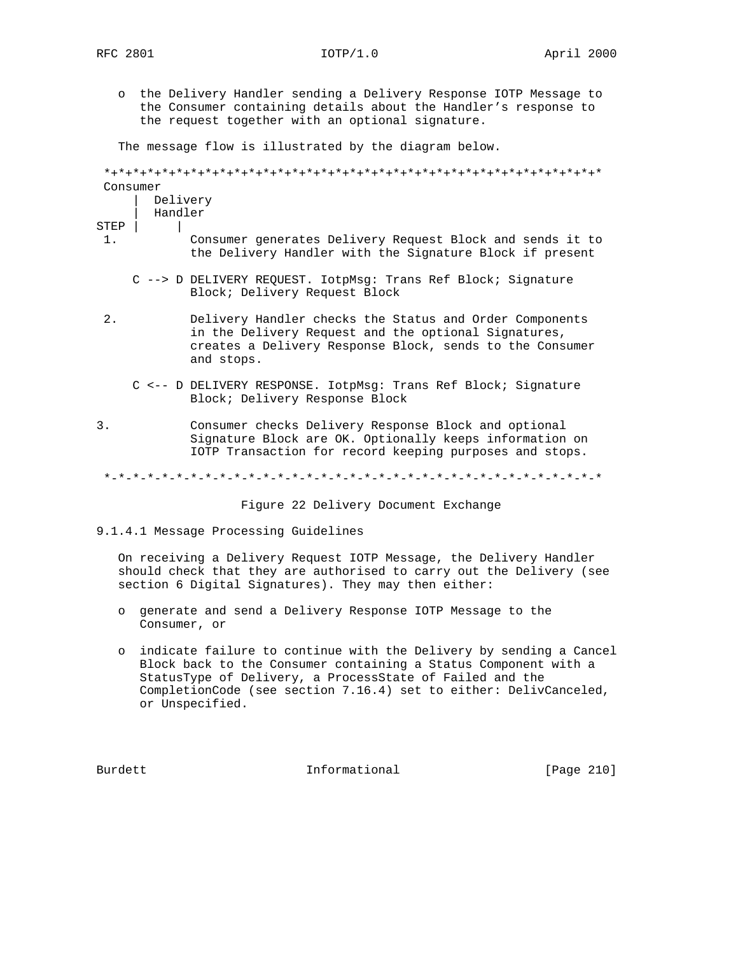o the Delivery Handler sending a Delivery Response IOTP Message to the Consumer containing details about the Handler's response to the request together with an optional signature.

The message flow is illustrated by the diagram below.

 \*+\*+\*+\*+\*+\*+\*+\*+\*+\*+\*+\*+\*+\*+\*+\*+\*+\*+\*+\*+\*+\*+\*+\*+\*+\*+\*+\*+\*+\*+\*+\*+\*+\*+\* Consumer Delivery | Handler STEP | | 1. Consumer generates Delivery Request Block and sends it to the Delivery Handler with the Signature Block if present

- C --> D DELIVERY REQUEST. IotpMsg: Trans Ref Block; Signature Block; Delivery Request Block
- 2. Delivery Handler checks the Status and Order Components in the Delivery Request and the optional Signatures, creates a Delivery Response Block, sends to the Consumer and stops.
	- C <-- D DELIVERY RESPONSE. IotpMsg: Trans Ref Block; Signature Block; Delivery Response Block
- 3. Consumer checks Delivery Response Block and optional Signature Block are OK. Optionally keeps information on IOTP Transaction for record keeping purposes and stops.

\*-\*-\*-\*-\*-\*-\*-\*-\*-\*-\*-\*-\*-\*-\*-\*-\*-\*-\*-\*-\*-\*-\*-\*-\*-\*-\*-\*-\*-\*-\*-\*-\*-\*-\*

Figure 22 Delivery Document Exchange

9.1.4.1 Message Processing Guidelines

 On receiving a Delivery Request IOTP Message, the Delivery Handler should check that they are authorised to carry out the Delivery (see section 6 Digital Signatures). They may then either:

- o generate and send a Delivery Response IOTP Message to the Consumer, or
- o indicate failure to continue with the Delivery by sending a Cancel Block back to the Consumer containing a Status Component with a StatusType of Delivery, a ProcessState of Failed and the CompletionCode (see section 7.16.4) set to either: DelivCanceled, or Unspecified.

Burdett 10 Informational [Page 210]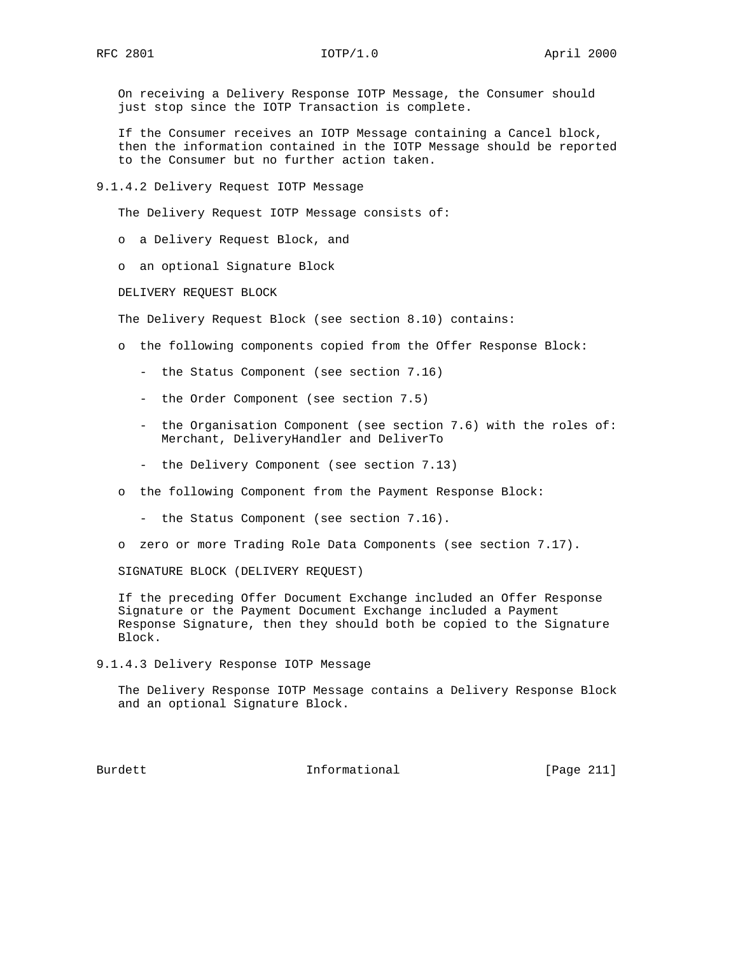On receiving a Delivery Response IOTP Message, the Consumer should just stop since the IOTP Transaction is complete.

 If the Consumer receives an IOTP Message containing a Cancel block, then the information contained in the IOTP Message should be reported to the Consumer but no further action taken.

9.1.4.2 Delivery Request IOTP Message

The Delivery Request IOTP Message consists of:

- o a Delivery Request Block, and
- o an optional Signature Block

DELIVERY REQUEST BLOCK

The Delivery Request Block (see section 8.10) contains:

- o the following components copied from the Offer Response Block:
	- the Status Component (see section 7.16)
	- the Order Component (see section 7.5)
	- the Organisation Component (see section 7.6) with the roles of: Merchant, DeliveryHandler and DeliverTo
	- the Delivery Component (see section 7.13)
- o the following Component from the Payment Response Block:
	- the Status Component (see section 7.16).
- o zero or more Trading Role Data Components (see section 7.17).

SIGNATURE BLOCK (DELIVERY REQUEST)

 If the preceding Offer Document Exchange included an Offer Response Signature or the Payment Document Exchange included a Payment Response Signature, then they should both be copied to the Signature Block.

9.1.4.3 Delivery Response IOTP Message

 The Delivery Response IOTP Message contains a Delivery Response Block and an optional Signature Block.

Burdett **Informational Informational** [Page 211]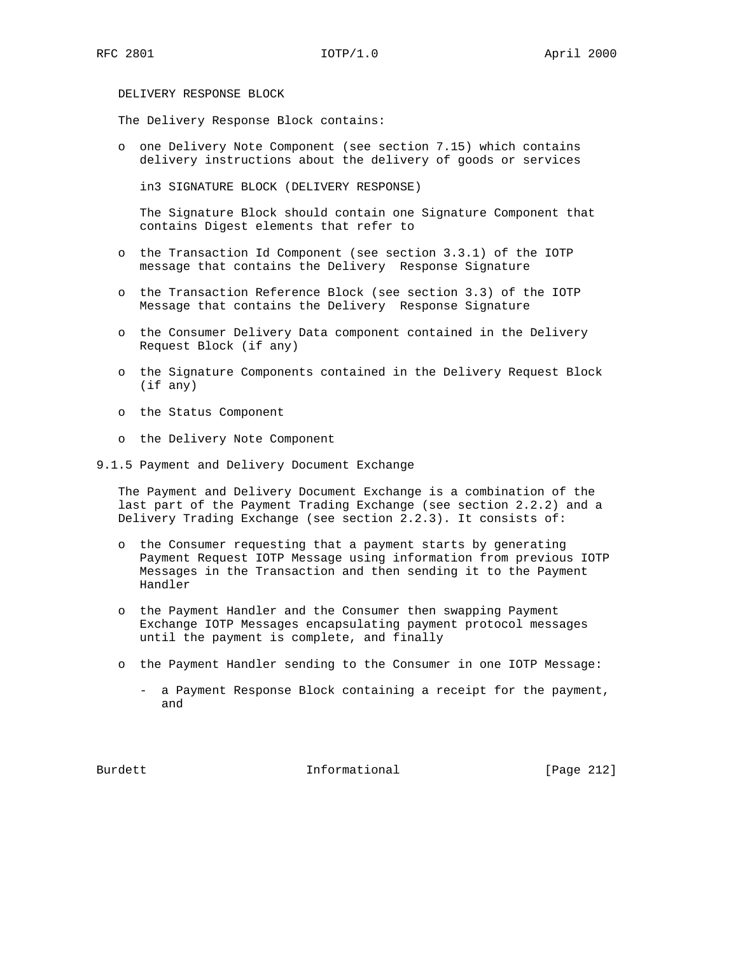DELIVERY RESPONSE BLOCK

The Delivery Response Block contains:

 o one Delivery Note Component (see section 7.15) which contains delivery instructions about the delivery of goods or services

in3 SIGNATURE BLOCK (DELIVERY RESPONSE)

 The Signature Block should contain one Signature Component that contains Digest elements that refer to

- o the Transaction Id Component (see section 3.3.1) of the IOTP message that contains the Delivery Response Signature
- o the Transaction Reference Block (see section 3.3) of the IOTP Message that contains the Delivery Response Signature
- o the Consumer Delivery Data component contained in the Delivery Request Block (if any)
- o the Signature Components contained in the Delivery Request Block (if any)
- o the Status Component
- o the Delivery Note Component
- 9.1.5 Payment and Delivery Document Exchange

 The Payment and Delivery Document Exchange is a combination of the last part of the Payment Trading Exchange (see section 2.2.2) and a Delivery Trading Exchange (see section 2.2.3). It consists of:

- o the Consumer requesting that a payment starts by generating Payment Request IOTP Message using information from previous IOTP Messages in the Transaction and then sending it to the Payment Handler
- o the Payment Handler and the Consumer then swapping Payment Exchange IOTP Messages encapsulating payment protocol messages until the payment is complete, and finally
- o the Payment Handler sending to the Consumer in one IOTP Message:
	- a Payment Response Block containing a receipt for the payment, and

Burdett **Informational Informational** [Page 212]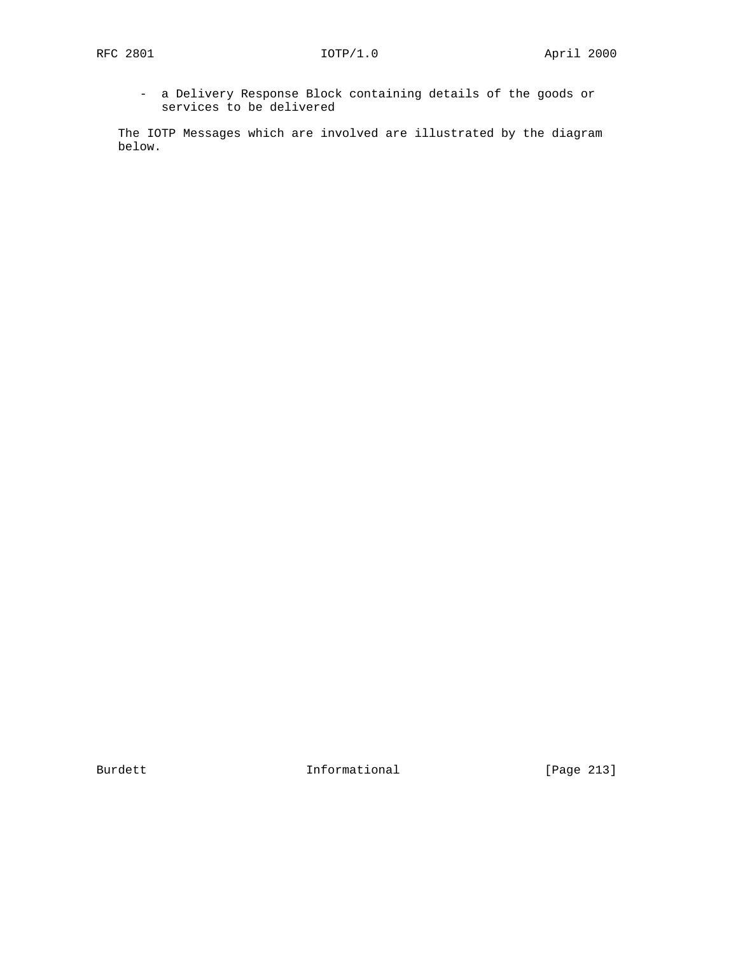- a Delivery Response Block containing details of the goods or services to be delivered

 The IOTP Messages which are involved are illustrated by the diagram below.

Burdett **Informational** [Page 213]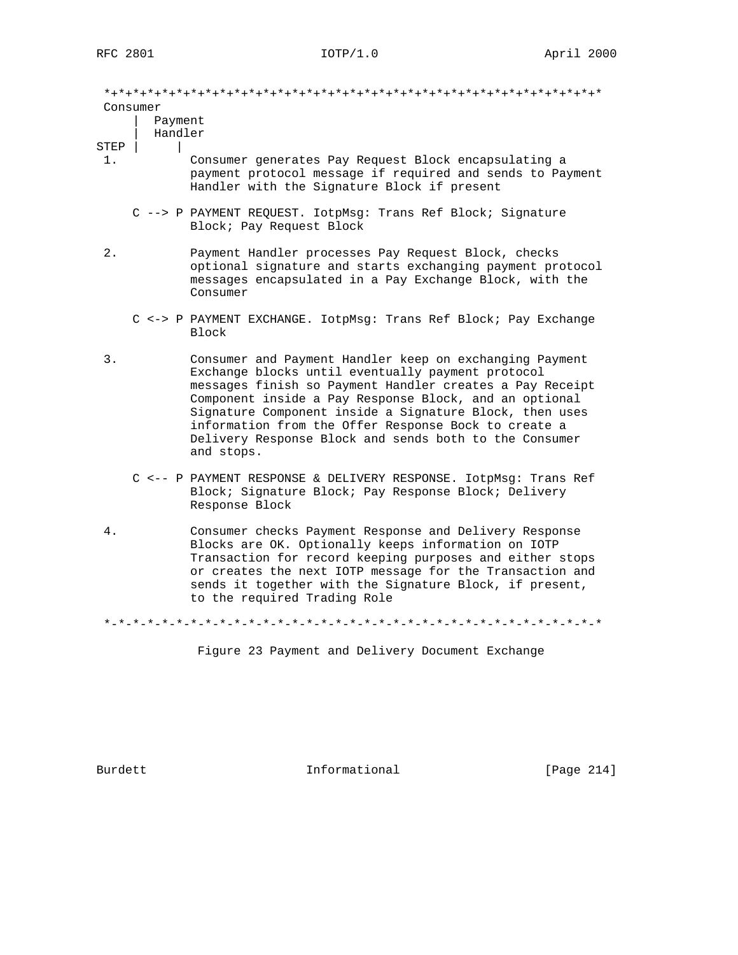\*+\*+\*+\*+\*+\*+\*+\*+\*+\*+\*+\*+\*+\*+\*+\*+\*+\*+\*+\*+\*+\*+\*+\*+\*+\*+\*+\*+\*+\*+\*+\*+\*+\*+\*

| Consumer |         |  |  |  |
|----------|---------|--|--|--|
|          | Payment |  |  |  |
|          | Handler |  |  |  |

- STEP | | 1. Consumer generates Pay Request Block encapsulating a payment protocol message if required and sends to Payment Handler with the Signature Block if present
	- C --> P PAYMENT REQUEST. IotpMsg: Trans Ref Block; Signature Block; Pay Request Block
- 2. Payment Handler processes Pay Request Block, checks optional signature and starts exchanging payment protocol messages encapsulated in a Pay Exchange Block, with the Consumer
	- C <-> P PAYMENT EXCHANGE. IotpMsg: Trans Ref Block; Pay Exchange Block
- 3. Consumer and Payment Handler keep on exchanging Payment Exchange blocks until eventually payment protocol messages finish so Payment Handler creates a Pay Receipt Component inside a Pay Response Block, and an optional Signature Component inside a Signature Block, then uses information from the Offer Response Bock to create a Delivery Response Block and sends both to the Consumer and stops.
	- C <-- P PAYMENT RESPONSE & DELIVERY RESPONSE. IotpMsg: Trans Ref Block; Signature Block; Pay Response Block; Delivery Response Block
- 4. Consumer checks Payment Response and Delivery Response Blocks are OK. Optionally keeps information on IOTP Transaction for record keeping purposes and either stops or creates the next IOTP message for the Transaction and sends it together with the Signature Block, if present, to the required Trading Role

\*-\*-\*-\*-\*-\*-\*-\*-\*-\*-\*-\*-\*-\*-\*-\*-\*-\*-\*-\*-\*-\*-\*-\*-\*-\*-\*-\*-\*-\*-\*-\*-\*-\*-\*

Figure 23 Payment and Delivery Document Exchange

Burdett **Informational** [Page 214]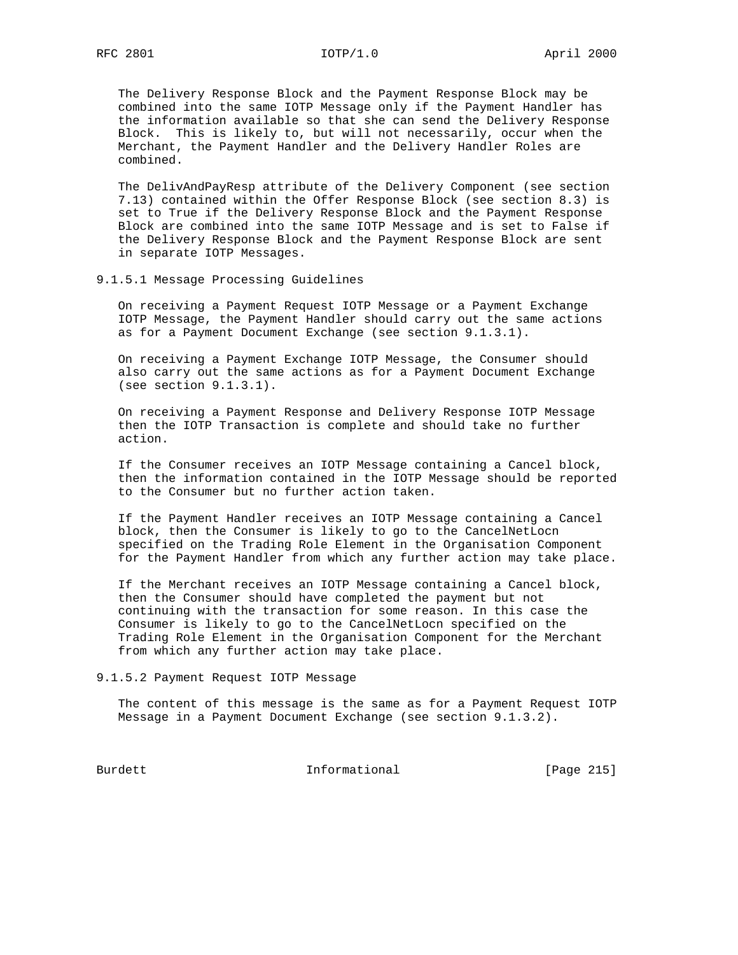The Delivery Response Block and the Payment Response Block may be combined into the same IOTP Message only if the Payment Handler has the information available so that she can send the Delivery Response Block. This is likely to, but will not necessarily, occur when the Merchant, the Payment Handler and the Delivery Handler Roles are combined.

 The DelivAndPayResp attribute of the Delivery Component (see section 7.13) contained within the Offer Response Block (see section 8.3) is set to True if the Delivery Response Block and the Payment Response Block are combined into the same IOTP Message and is set to False if the Delivery Response Block and the Payment Response Block are sent in separate IOTP Messages.

9.1.5.1 Message Processing Guidelines

 On receiving a Payment Request IOTP Message or a Payment Exchange IOTP Message, the Payment Handler should carry out the same actions as for a Payment Document Exchange (see section 9.1.3.1).

 On receiving a Payment Exchange IOTP Message, the Consumer should also carry out the same actions as for a Payment Document Exchange (see section 9.1.3.1).

 On receiving a Payment Response and Delivery Response IOTP Message then the IOTP Transaction is complete and should take no further action.

 If the Consumer receives an IOTP Message containing a Cancel block, then the information contained in the IOTP Message should be reported to the Consumer but no further action taken.

 If the Payment Handler receives an IOTP Message containing a Cancel block, then the Consumer is likely to go to the CancelNetLocn specified on the Trading Role Element in the Organisation Component for the Payment Handler from which any further action may take place.

 If the Merchant receives an IOTP Message containing a Cancel block, then the Consumer should have completed the payment but not continuing with the transaction for some reason. In this case the Consumer is likely to go to the CancelNetLocn specified on the Trading Role Element in the Organisation Component for the Merchant from which any further action may take place.

9.1.5.2 Payment Request IOTP Message

 The content of this message is the same as for a Payment Request IOTP Message in a Payment Document Exchange (see section 9.1.3.2).

Burdett **Informational Informational** [Page 215]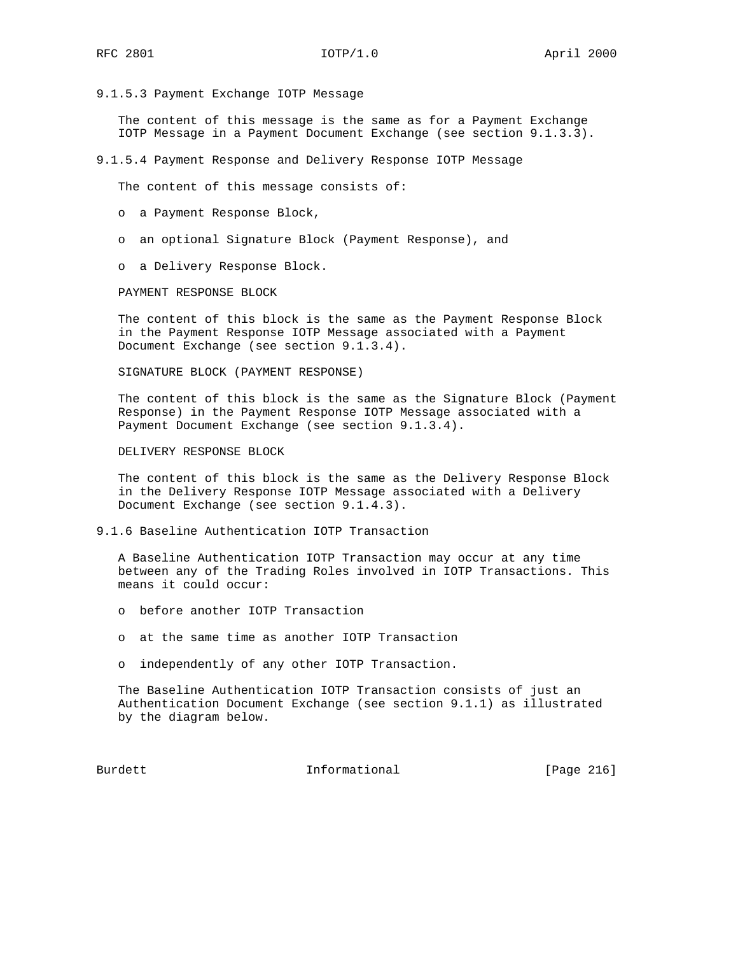9.1.5.3 Payment Exchange IOTP Message

 The content of this message is the same as for a Payment Exchange IOTP Message in a Payment Document Exchange (see section 9.1.3.3).

9.1.5.4 Payment Response and Delivery Response IOTP Message

The content of this message consists of:

- o a Payment Response Block,
- o an optional Signature Block (Payment Response), and
- o a Delivery Response Block.

PAYMENT RESPONSE BLOCK

 The content of this block is the same as the Payment Response Block in the Payment Response IOTP Message associated with a Payment Document Exchange (see section 9.1.3.4).

SIGNATURE BLOCK (PAYMENT RESPONSE)

 The content of this block is the same as the Signature Block (Payment Response) in the Payment Response IOTP Message associated with a Payment Document Exchange (see section 9.1.3.4).

DELIVERY RESPONSE BLOCK

 The content of this block is the same as the Delivery Response Block in the Delivery Response IOTP Message associated with a Delivery Document Exchange (see section 9.1.4.3).

9.1.6 Baseline Authentication IOTP Transaction

 A Baseline Authentication IOTP Transaction may occur at any time between any of the Trading Roles involved in IOTP Transactions. This means it could occur:

- o before another IOTP Transaction
- o at the same time as another IOTP Transaction
- o independently of any other IOTP Transaction.

 The Baseline Authentication IOTP Transaction consists of just an Authentication Document Exchange (see section 9.1.1) as illustrated by the diagram below.

Burdett **Informational** [Page 216]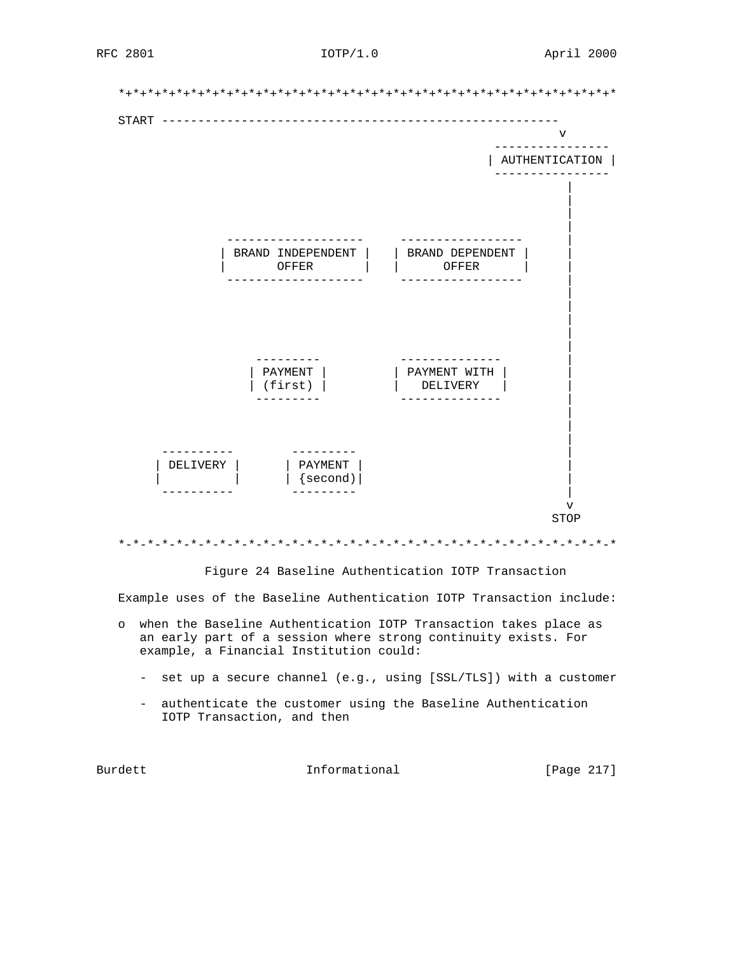

\*-\*-\*-\*-\*-\*-\*-\*-\*-\*-\*-\*-\*-\*-\*-\*-\*-\*-\*-\*-\*-\*-\*-\*-\*-\*-\*-\*-\*-\*-\*-\*-\*-\*-\*

Figure 24 Baseline Authentication IOTP Transaction

Example uses of the Baseline Authentication IOTP Transaction include:

- o when the Baseline Authentication IOTP Transaction takes place as an early part of a session where strong continuity exists. For example, a Financial Institution could:
	- set up a secure channel (e.g., using [SSL/TLS]) with a customer
	- authenticate the customer using the Baseline Authentication IOTP Transaction, and then

Burdett **Informational Informational** [Page 217]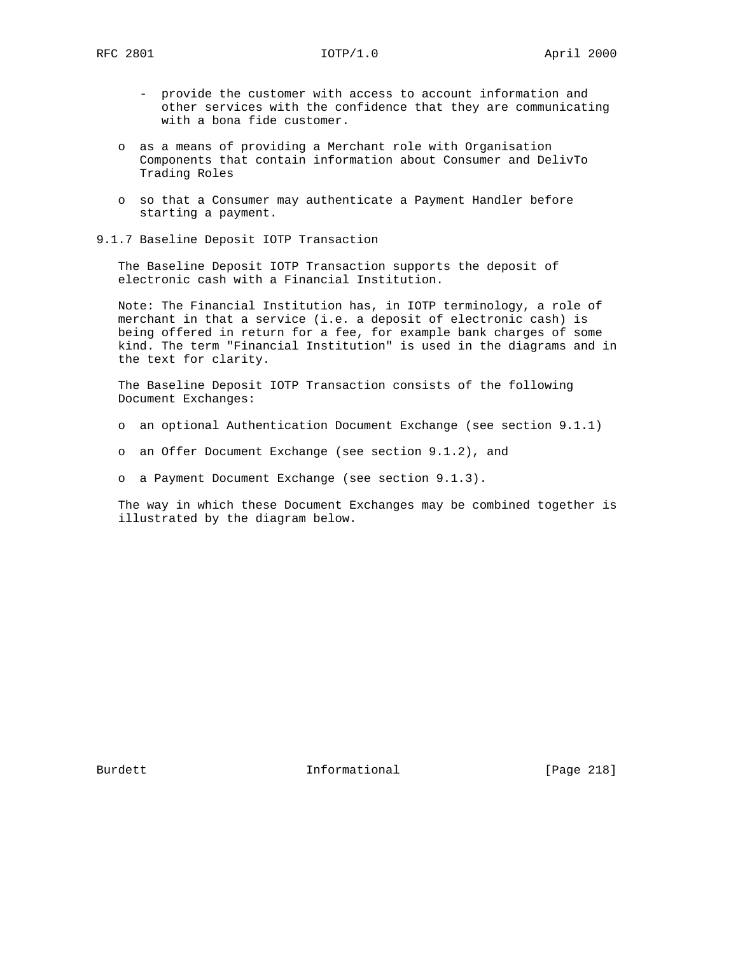- provide the customer with access to account information and other services with the confidence that they are communicating with a bona fide customer.
- o as a means of providing a Merchant role with Organisation Components that contain information about Consumer and DelivTo Trading Roles
- o so that a Consumer may authenticate a Payment Handler before starting a payment.
- 9.1.7 Baseline Deposit IOTP Transaction

 The Baseline Deposit IOTP Transaction supports the deposit of electronic cash with a Financial Institution.

 Note: The Financial Institution has, in IOTP terminology, a role of merchant in that a service (i.e. a deposit of electronic cash) is being offered in return for a fee, for example bank charges of some kind. The term "Financial Institution" is used in the diagrams and in the text for clarity.

 The Baseline Deposit IOTP Transaction consists of the following Document Exchanges:

- o an optional Authentication Document Exchange (see section 9.1.1)
- o an Offer Document Exchange (see section 9.1.2), and
- o a Payment Document Exchange (see section 9.1.3).

 The way in which these Document Exchanges may be combined together is illustrated by the diagram below.

Burdett 1nformational [Page 218]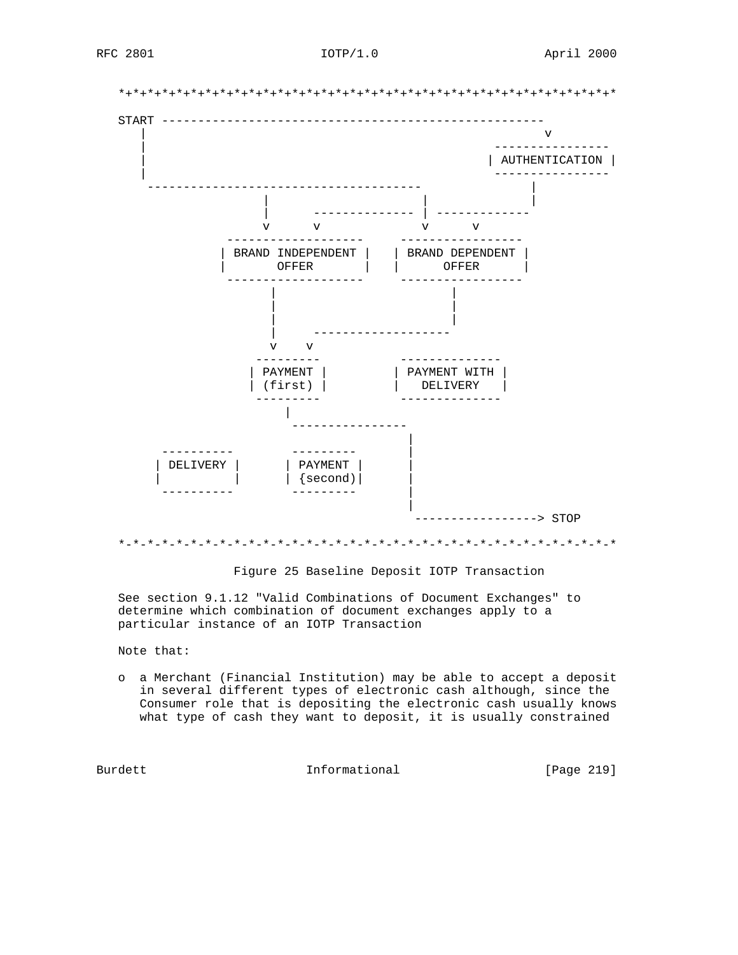

\*-\*-\*-\*-\*-\*-\*-\*-\*-\*-\*-\*-\*-\*-\*-\*-\*-\*-\*-\*-\*-\*-\*-\*-\*-\*-\*-\*-\*-\*-\*-\*-\*-\*-\*

## Figure 25 Baseline Deposit IOTP Transaction

 See section 9.1.12 "Valid Combinations of Document Exchanges" to determine which combination of document exchanges apply to a particular instance of an IOTP Transaction

Note that:

 o a Merchant (Financial Institution) may be able to accept a deposit in several different types of electronic cash although, since the Consumer role that is depositing the electronic cash usually knows what type of cash they want to deposit, it is usually constrained

Burdett **Informational Informational** [Page 219]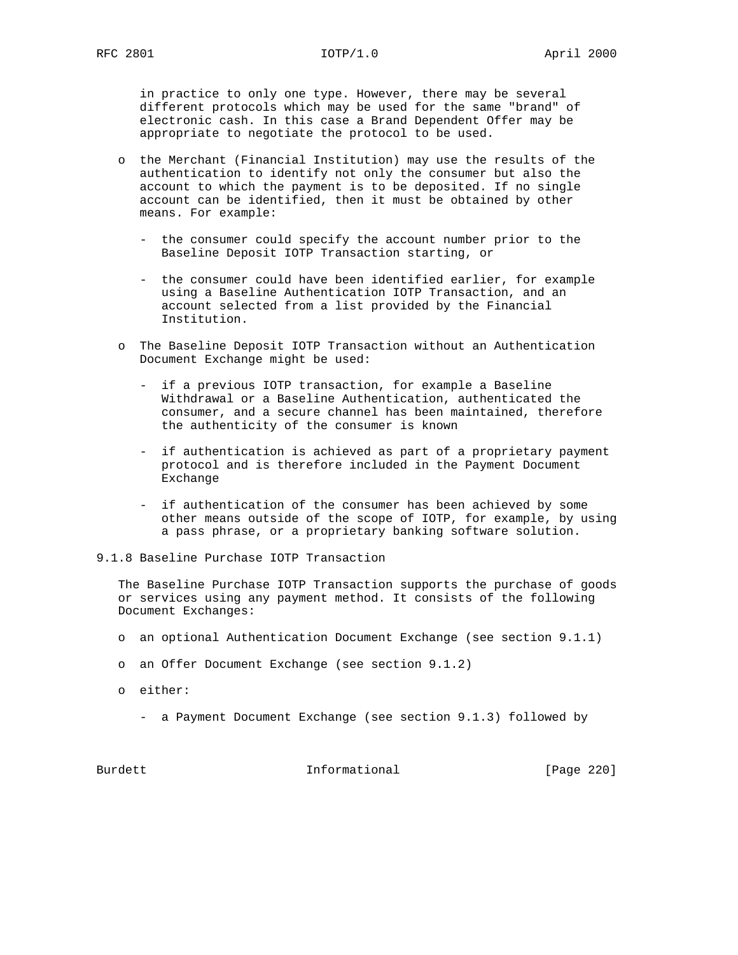in practice to only one type. However, there may be several different protocols which may be used for the same "brand" of electronic cash. In this case a Brand Dependent Offer may be appropriate to negotiate the protocol to be used.

- o the Merchant (Financial Institution) may use the results of the authentication to identify not only the consumer but also the account to which the payment is to be deposited. If no single account can be identified, then it must be obtained by other means. For example:
	- the consumer could specify the account number prior to the Baseline Deposit IOTP Transaction starting, or
	- the consumer could have been identified earlier, for example using a Baseline Authentication IOTP Transaction, and an account selected from a list provided by the Financial Institution.
- o The Baseline Deposit IOTP Transaction without an Authentication Document Exchange might be used:
	- if a previous IOTP transaction, for example a Baseline Withdrawal or a Baseline Authentication, authenticated the consumer, and a secure channel has been maintained, therefore the authenticity of the consumer is known
	- if authentication is achieved as part of a proprietary payment protocol and is therefore included in the Payment Document Exchange
	- if authentication of the consumer has been achieved by some other means outside of the scope of IOTP, for example, by using a pass phrase, or a proprietary banking software solution.
- 9.1.8 Baseline Purchase IOTP Transaction

 The Baseline Purchase IOTP Transaction supports the purchase of goods or services using any payment method. It consists of the following Document Exchanges:

- o an optional Authentication Document Exchange (see section 9.1.1)
- o an Offer Document Exchange (see section 9.1.2)
- o either:
	- a Payment Document Exchange (see section 9.1.3) followed by

Burdett **Informational Informational** [Page 220]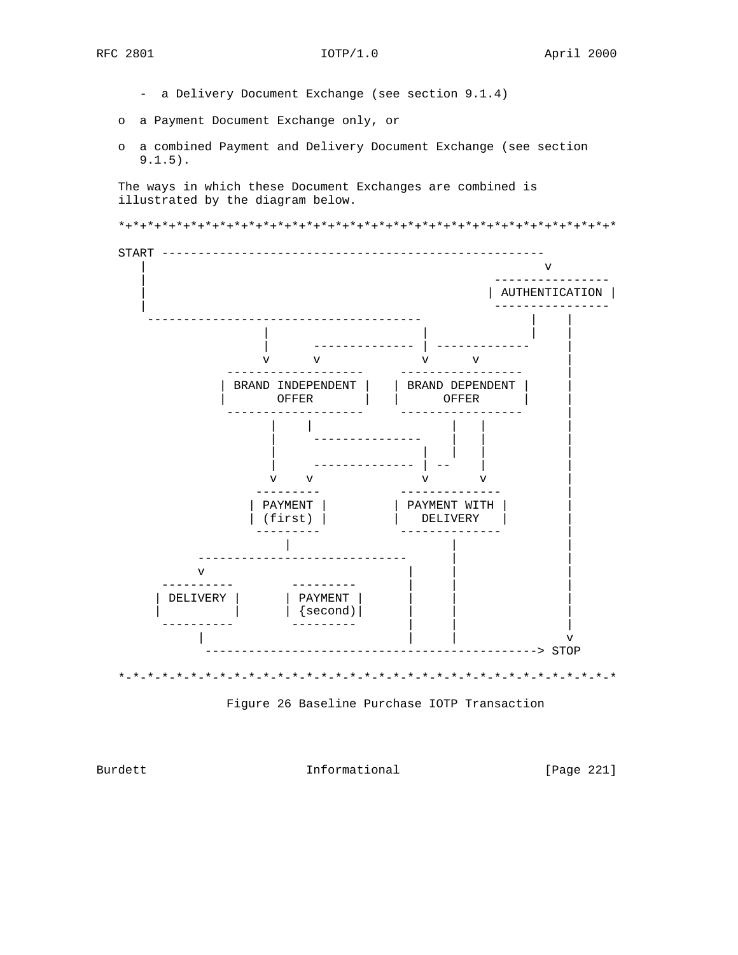- a Delivery Document Exchange (see section 9.1.4)
- o a Payment Document Exchange only, or
- o a combined Payment and Delivery Document Exchange (see section 9.1.5).

 The ways in which these Document Exchanges are combined is illustrated by the diagram below.



Figure 26 Baseline Purchase IOTP Transaction

Burdett **Informational Informational** [Page 221]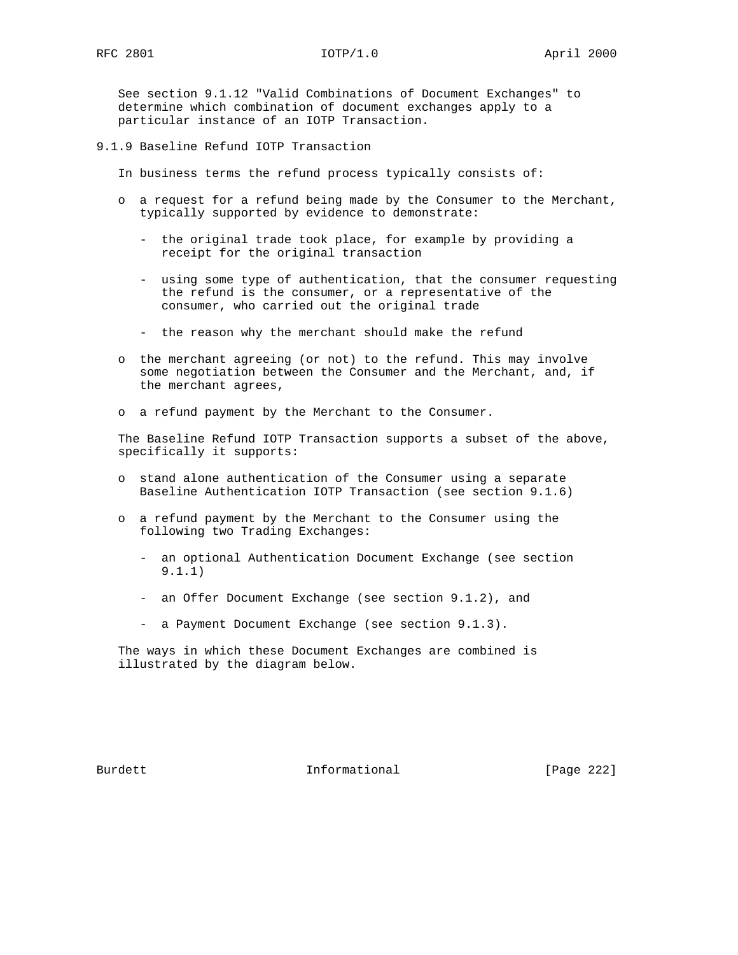See section 9.1.12 "Valid Combinations of Document Exchanges" to determine which combination of document exchanges apply to a particular instance of an IOTP Transaction.

- 9.1.9 Baseline Refund IOTP Transaction
	- In business terms the refund process typically consists of:
	- o a request for a refund being made by the Consumer to the Merchant, typically supported by evidence to demonstrate:
		- the original trade took place, for example by providing a receipt for the original transaction
		- using some type of authentication, that the consumer requesting the refund is the consumer, or a representative of the consumer, who carried out the original trade
		- the reason why the merchant should make the refund
	- o the merchant agreeing (or not) to the refund. This may involve some negotiation between the Consumer and the Merchant, and, if the merchant agrees,
	- o a refund payment by the Merchant to the Consumer.

 The Baseline Refund IOTP Transaction supports a subset of the above, specifically it supports:

- o stand alone authentication of the Consumer using a separate Baseline Authentication IOTP Transaction (see section 9.1.6)
- o a refund payment by the Merchant to the Consumer using the following two Trading Exchanges:
	- an optional Authentication Document Exchange (see section 9.1.1)
	- an Offer Document Exchange (see section 9.1.2), and
	- a Payment Document Exchange (see section 9.1.3).

 The ways in which these Document Exchanges are combined is illustrated by the diagram below.

Burdett **Informational Informational** [Page 222]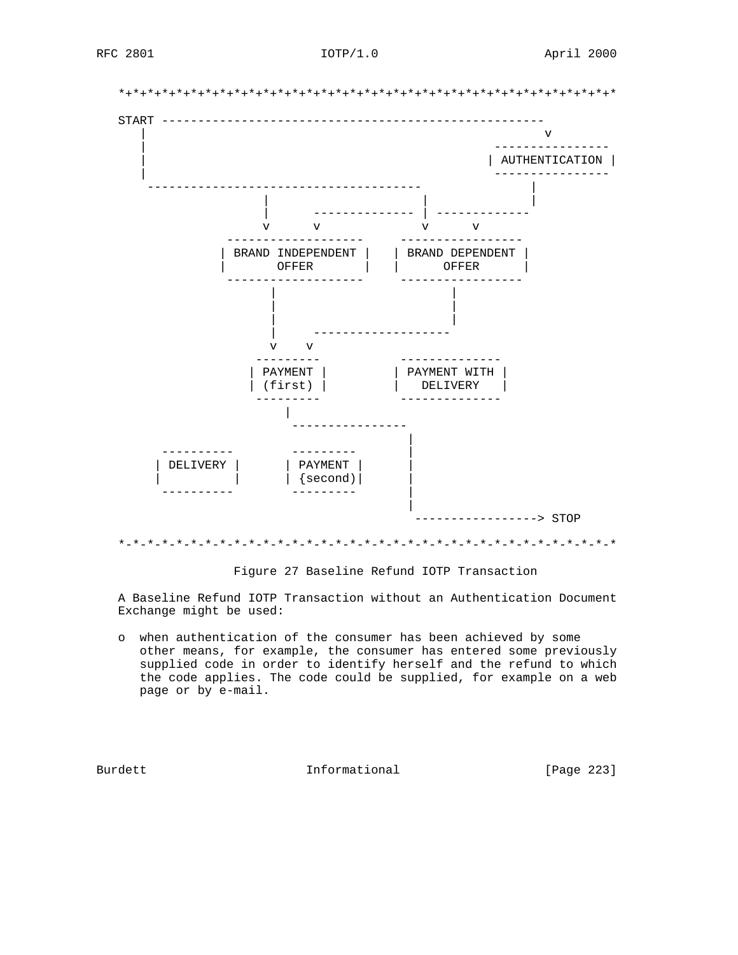

\*-\*-\*-\*-\*-\*-\*-\*-\*-\*-\*-\*-\*-\*-\*-\*-\*-\*-\*-\*-\*-\*-\*-\*-\*-\*-\*-\*-\*-\*-\*-\*-\*-\*-\*

Figure 27 Baseline Refund IOTP Transaction

 A Baseline Refund IOTP Transaction without an Authentication Document Exchange might be used:

 o when authentication of the consumer has been achieved by some other means, for example, the consumer has entered some previously supplied code in order to identify herself and the refund to which the code applies. The code could be supplied, for example on a web page or by e-mail.

Burdett **Informational Informational** [Page 223]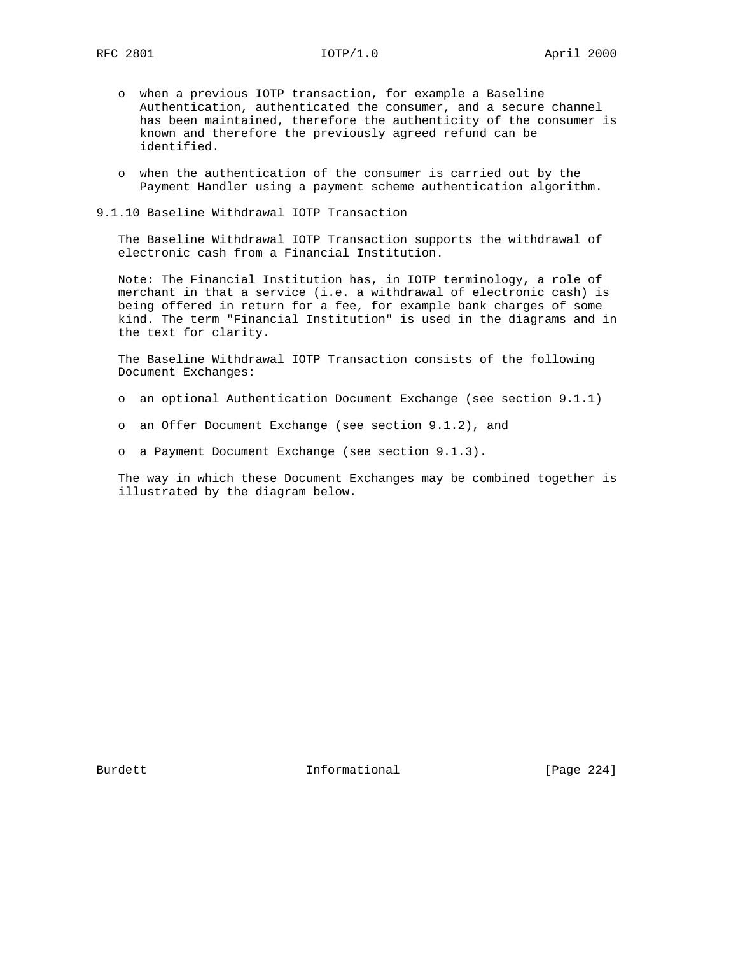- o when a previous IOTP transaction, for example a Baseline Authentication, authenticated the consumer, and a secure channel has been maintained, therefore the authenticity of the consumer is known and therefore the previously agreed refund can be identified.
- o when the authentication of the consumer is carried out by the Payment Handler using a payment scheme authentication algorithm.
- 9.1.10 Baseline Withdrawal IOTP Transaction

 The Baseline Withdrawal IOTP Transaction supports the withdrawal of electronic cash from a Financial Institution.

 Note: The Financial Institution has, in IOTP terminology, a role of merchant in that a service (i.e. a withdrawal of electronic cash) is being offered in return for a fee, for example bank charges of some kind. The term "Financial Institution" is used in the diagrams and in the text for clarity.

 The Baseline Withdrawal IOTP Transaction consists of the following Document Exchanges:

- o an optional Authentication Document Exchange (see section 9.1.1)
- o an Offer Document Exchange (see section 9.1.2), and
- o a Payment Document Exchange (see section 9.1.3).

 The way in which these Document Exchanges may be combined together is illustrated by the diagram below.

Burdett **Informational Informational** [Page 224]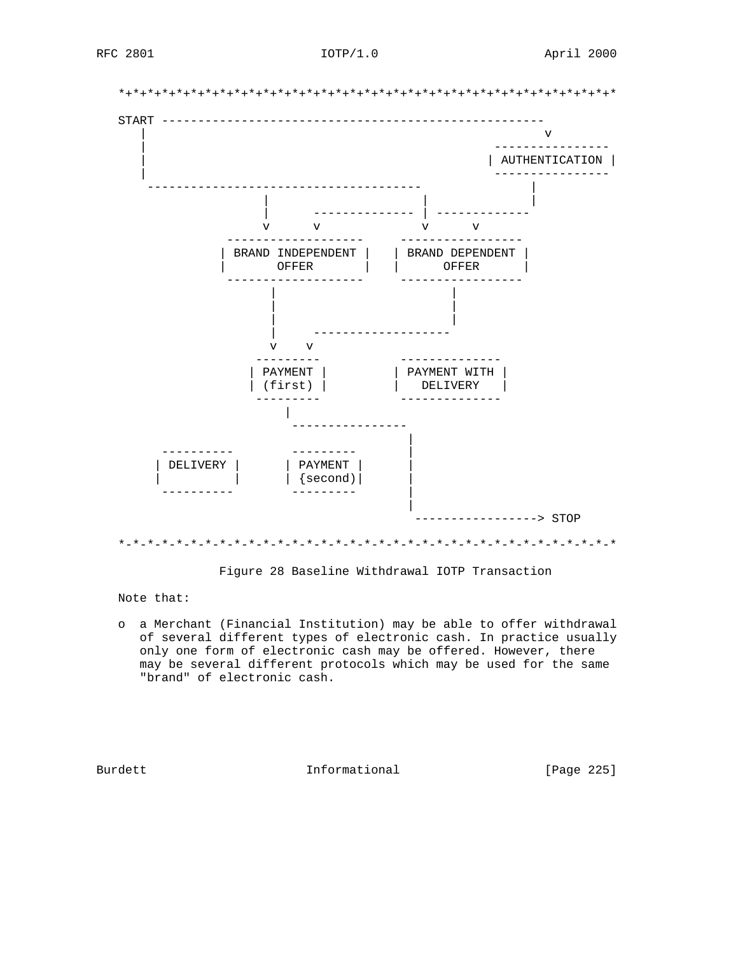

Figure 28 Baseline Withdrawal IOTP Transaction

Note that:

 o a Merchant (Financial Institution) may be able to offer withdrawal of several different types of electronic cash. In practice usually only one form of electronic cash may be offered. However, there may be several different protocols which may be used for the same "brand" of electronic cash.

Burdett Informational [Page 225]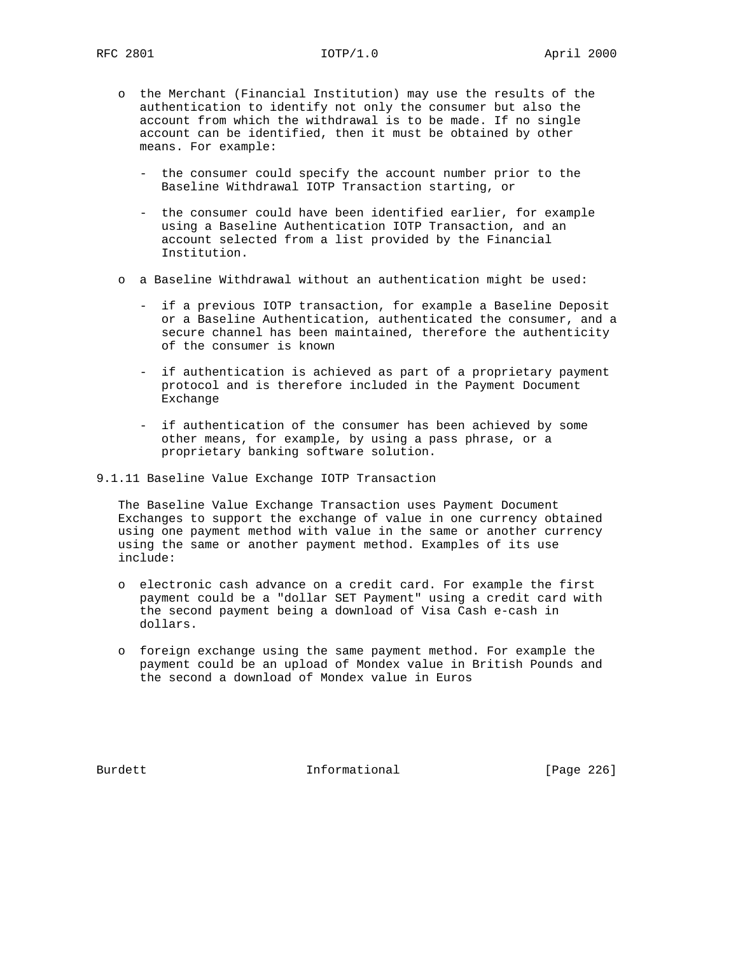- o the Merchant (Financial Institution) may use the results of the authentication to identify not only the consumer but also the account from which the withdrawal is to be made. If no single account can be identified, then it must be obtained by other means. For example:
	- the consumer could specify the account number prior to the Baseline Withdrawal IOTP Transaction starting, or
	- the consumer could have been identified earlier, for example using a Baseline Authentication IOTP Transaction, and an account selected from a list provided by the Financial Institution.
- o a Baseline Withdrawal without an authentication might be used:
	- if a previous IOTP transaction, for example a Baseline Deposit or a Baseline Authentication, authenticated the consumer, and a secure channel has been maintained, therefore the authenticity of the consumer is known
	- if authentication is achieved as part of a proprietary payment protocol and is therefore included in the Payment Document Exchange
	- if authentication of the consumer has been achieved by some other means, for example, by using a pass phrase, or a proprietary banking software solution.
- 9.1.11 Baseline Value Exchange IOTP Transaction

 The Baseline Value Exchange Transaction uses Payment Document Exchanges to support the exchange of value in one currency obtained using one payment method with value in the same or another currency using the same or another payment method. Examples of its use include:

- o electronic cash advance on a credit card. For example the first payment could be a "dollar SET Payment" using a credit card with the second payment being a download of Visa Cash e-cash in dollars.
- o foreign exchange using the same payment method. For example the payment could be an upload of Mondex value in British Pounds and the second a download of Mondex value in Euros

Burdett **Informational Informational** [Page 226]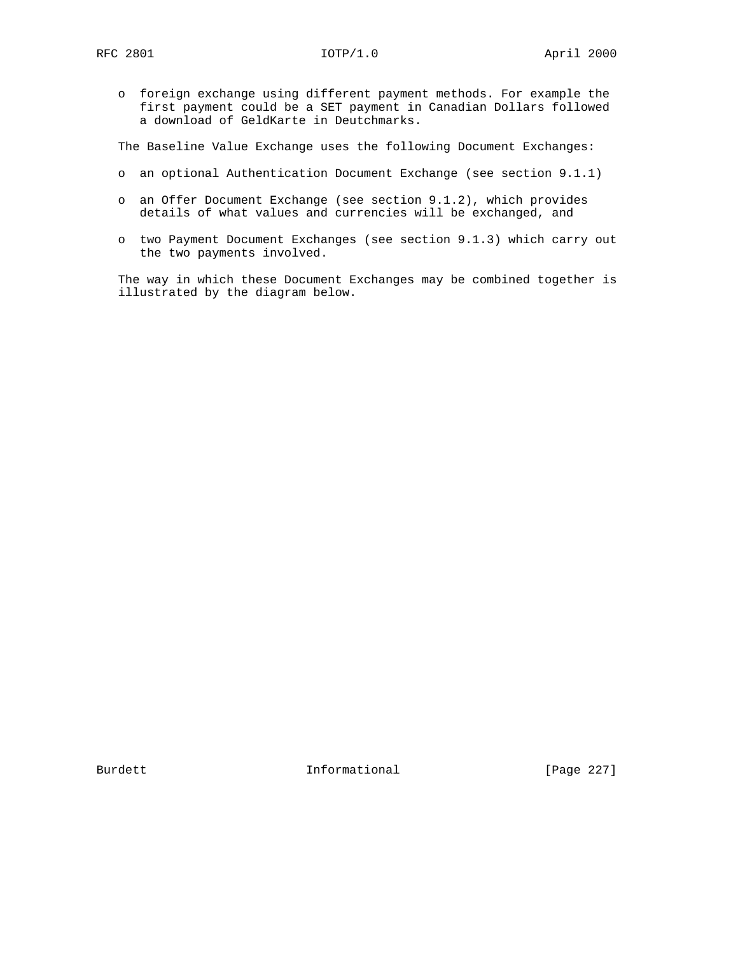o foreign exchange using different payment methods. For example the first payment could be a SET payment in Canadian Dollars followed a download of GeldKarte in Deutchmarks.

The Baseline Value Exchange uses the following Document Exchanges:

- o an optional Authentication Document Exchange (see section 9.1.1)
- o an Offer Document Exchange (see section 9.1.2), which provides details of what values and currencies will be exchanged, and
- o two Payment Document Exchanges (see section 9.1.3) which carry out the two payments involved.

 The way in which these Document Exchanges may be combined together is illustrated by the diagram below.

Burdett **Informational** [Page 227]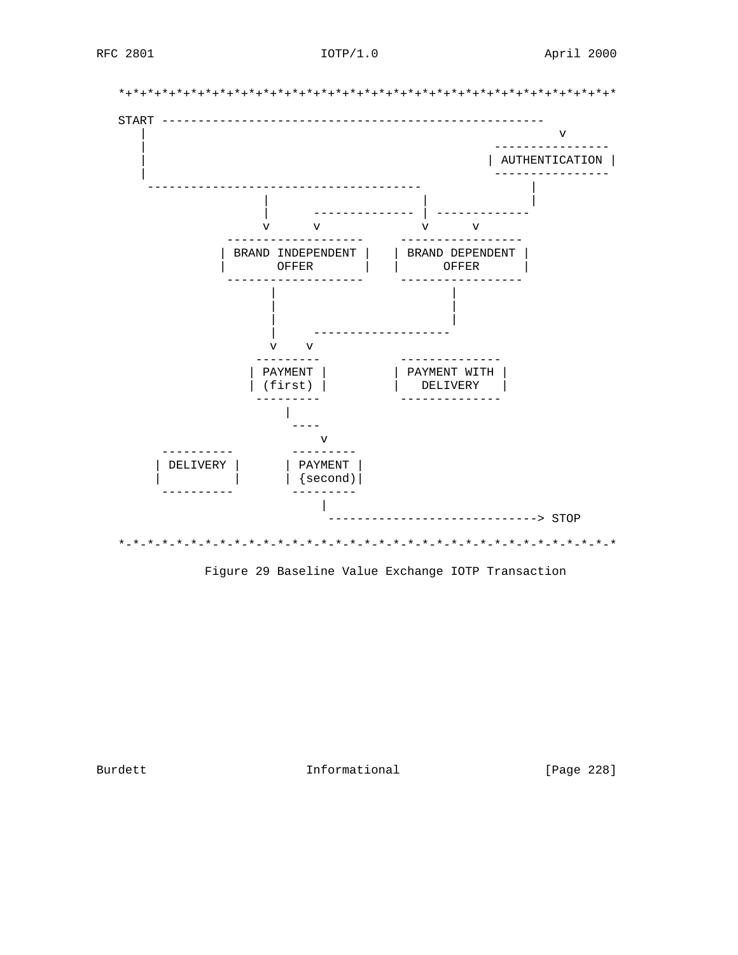

Figure 29 Baseline Value Exchange IOTP Transaction

Burdett

Informational

[Page 228]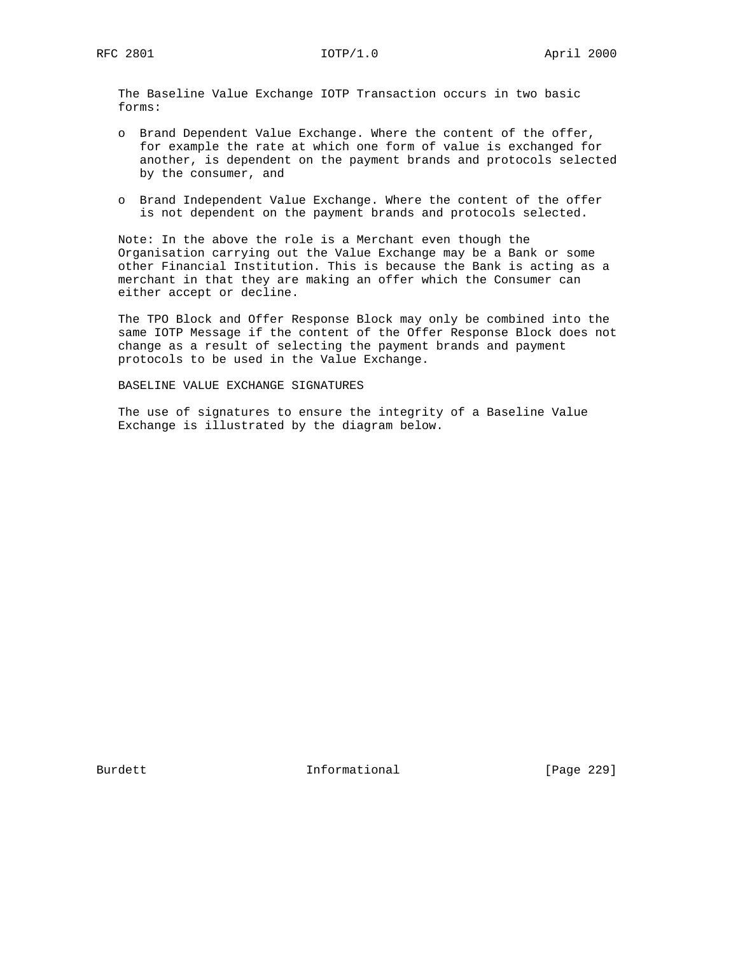The Baseline Value Exchange IOTP Transaction occurs in two basic forms:

- o Brand Dependent Value Exchange. Where the content of the offer, for example the rate at which one form of value is exchanged for another, is dependent on the payment brands and protocols selected by the consumer, and
- o Brand Independent Value Exchange. Where the content of the offer is not dependent on the payment brands and protocols selected.

 Note: In the above the role is a Merchant even though the Organisation carrying out the Value Exchange may be a Bank or some other Financial Institution. This is because the Bank is acting as a merchant in that they are making an offer which the Consumer can either accept or decline.

 The TPO Block and Offer Response Block may only be combined into the same IOTP Message if the content of the Offer Response Block does not change as a result of selecting the payment brands and payment protocols to be used in the Value Exchange.

BASELINE VALUE EXCHANGE SIGNATURES

 The use of signatures to ensure the integrity of a Baseline Value Exchange is illustrated by the diagram below.

Burdett **Informational Informational** [Page 229]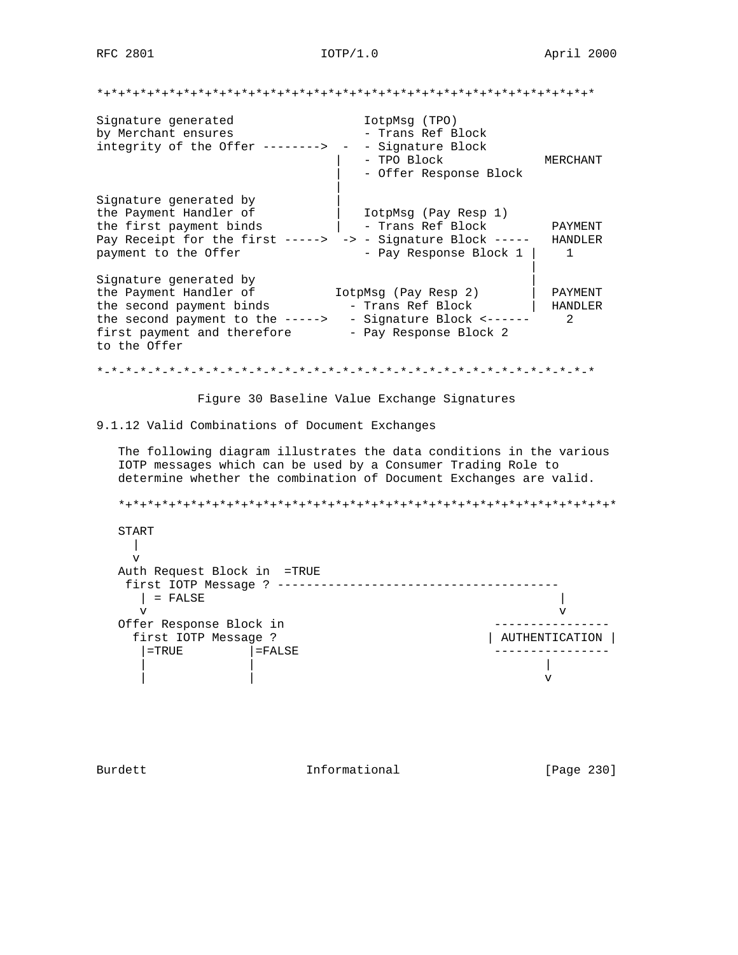\*+\*+\*+\*+\*+\*+\*+\*+\*+\*+\*+\*+\*+\*+\*+\*+\*+\*+\*+\*+\*+\*+\*+\*+\*+\*+\*+\*+\*+\*+\*+\*+\*+\*+\*

| Signature generated<br>by Merchant ensures<br>integrity of the Offer -------->                                                                                             | IotpMsq (TPO)<br>- Trans Ref Block<br>- - Signature Block<br>- TPO Block<br>- Offer Response Block | MERCHANT                            |
|----------------------------------------------------------------------------------------------------------------------------------------------------------------------------|----------------------------------------------------------------------------------------------------|-------------------------------------|
| Signature generated by<br>the Payment Handler of<br>the first payment binds<br>Pay Receipt for the first -----> -> - Signature Block ----- HANDLER<br>payment to the Offer | $IotpMsq$ (Pay Resp 1)<br>- Trans Ref Block<br>- Pay Response Block 1                              | PAYMENT<br>$\mathbf{1}$             |
| Signature generated by<br>the Payment Handler of<br>the second payment binds<br>the second payment to the $---&>$<br>first payment and therefore<br>to the Offer           | IotpMsq (Pay Resp 2)<br>– Trans Ref Block<br>- Signature Block <------<br>- Pay Response Block 2   | PAYMENT<br>HANDLER<br>$\mathcal{L}$ |

\*-\*-\*-\*-\*-\*-\*-\*-\*-\*-\*-\*-\*-\*-\*-\*-\*-\*-\*-\*-\*-\*-\*-\*-\*-\*-\*-\*-\*-\*-\*-\*-\*-\*-\*

Figure 30 Baseline Value Exchange Signatures

9.1.12 Valid Combinations of Document Exchanges

 The following diagram illustrates the data conditions in the various IOTP messages which can be used by a Consumer Trading Role to determine whether the combination of Document Exchanges are valid.

\*+\*+\*+\*+\*+\*+\*+\*+\*+\*+\*+\*+\*+\*+\*+\*+\*+\*+\*+\*+\*+\*+\*+\*+\*+\*+\*+\*+\*+\*+\*+\*+\*+\*+\*

| START                       |           |                |
|-----------------------------|-----------|----------------|
|                             |           |                |
| $\mathbf v$                 |           |                |
| Auth Request Block in =TRUE |           |                |
| first IOTP Message ?        |           |                |
| $=$ FALSE                   |           |                |
| $\overline{V}$              |           |                |
| Offer Response Block in     |           |                |
| first IOTP Message ?        |           | AUTHENTICATION |
| $=$ TRUE                    | $=$ FALSE |                |
|                             |           |                |
|                             |           |                |

Burdett Informational [Page 230]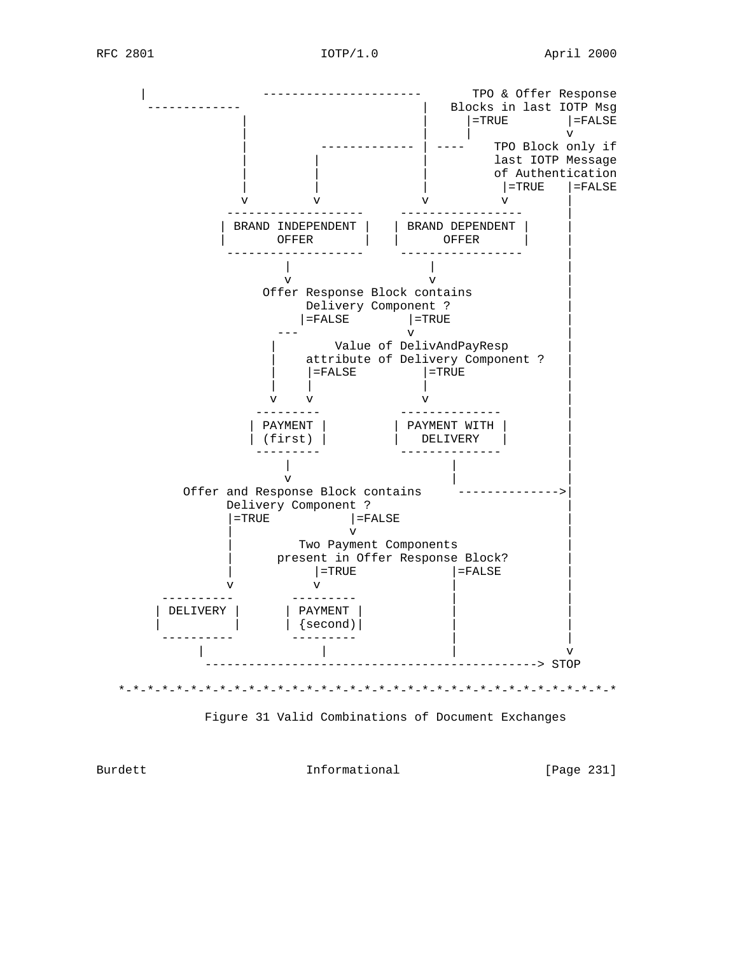

Figure 31 Valid Combinations of Document Exchanges

Burdett **Informational** [Page 231]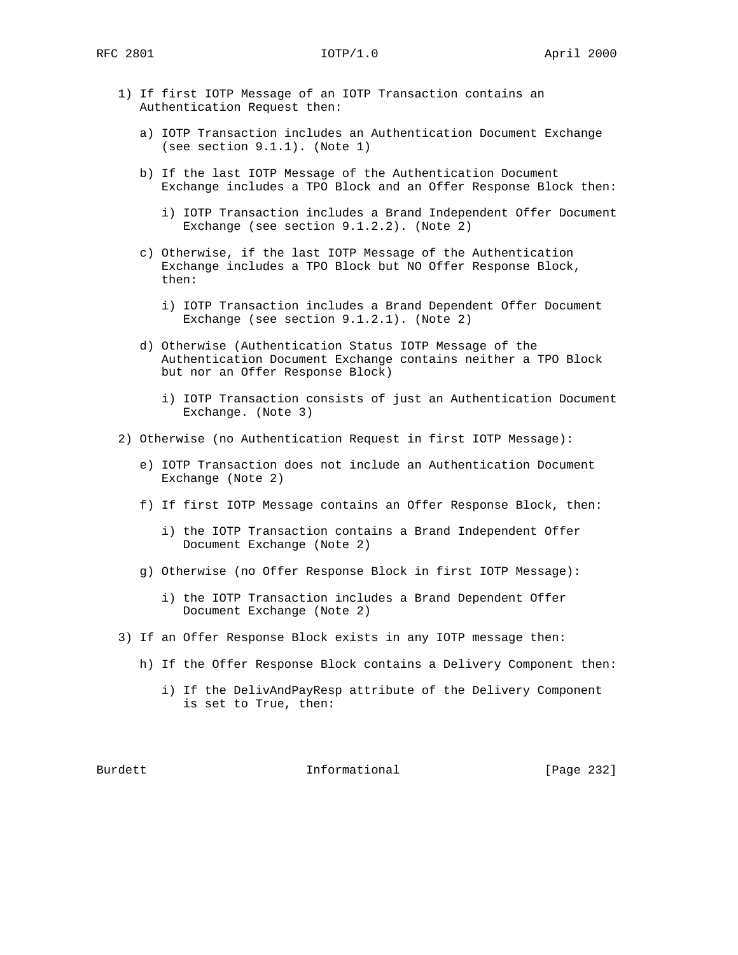- 1) If first IOTP Message of an IOTP Transaction contains an Authentication Request then:
	- a) IOTP Transaction includes an Authentication Document Exchange (see section 9.1.1). (Note 1)
	- b) If the last IOTP Message of the Authentication Document Exchange includes a TPO Block and an Offer Response Block then:
		- i) IOTP Transaction includes a Brand Independent Offer Document Exchange (see section 9.1.2.2). (Note 2)
	- c) Otherwise, if the last IOTP Message of the Authentication Exchange includes a TPO Block but NO Offer Response Block, then:
		- i) IOTP Transaction includes a Brand Dependent Offer Document Exchange (see section 9.1.2.1). (Note 2)
	- d) Otherwise (Authentication Status IOTP Message of the Authentication Document Exchange contains neither a TPO Block but nor an Offer Response Block)
		- i) IOTP Transaction consists of just an Authentication Document Exchange. (Note 3)
- 2) Otherwise (no Authentication Request in first IOTP Message):
	- e) IOTP Transaction does not include an Authentication Document Exchange (Note 2)
	- f) If first IOTP Message contains an Offer Response Block, then:
		- i) the IOTP Transaction contains a Brand Independent Offer Document Exchange (Note 2)
	- g) Otherwise (no Offer Response Block in first IOTP Message):
		- i) the IOTP Transaction includes a Brand Dependent Offer Document Exchange (Note 2)
- 3) If an Offer Response Block exists in any IOTP message then:
	- h) If the Offer Response Block contains a Delivery Component then:
		- i) If the DelivAndPayResp attribute of the Delivery Component is set to True, then:

Burdett **Informational** [Page 232]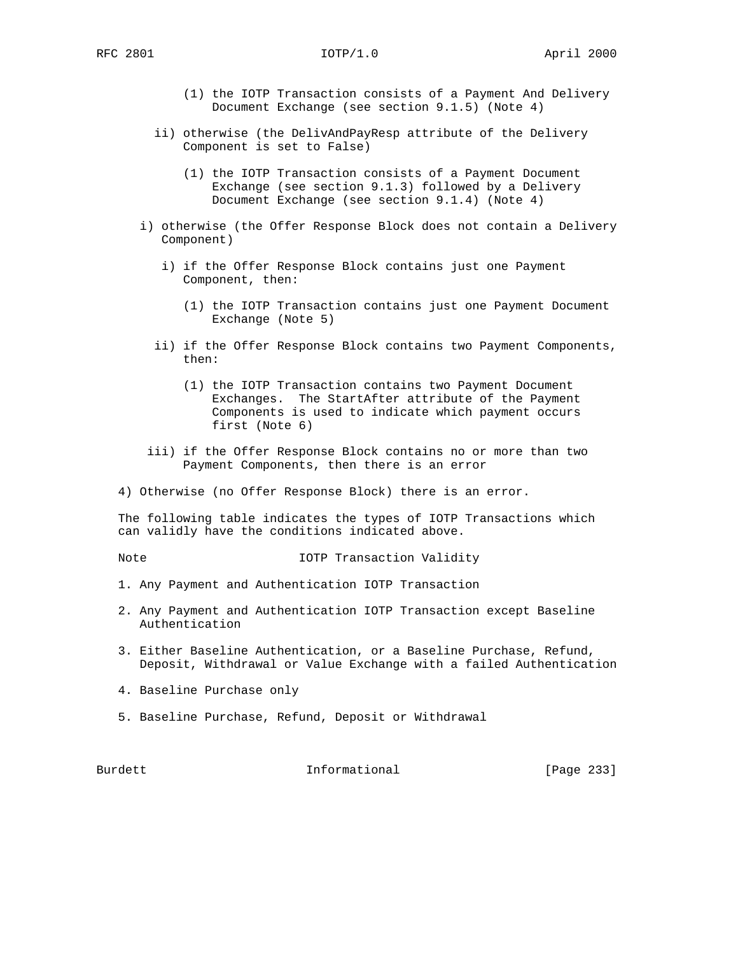- (1) the IOTP Transaction consists of a Payment And Delivery Document Exchange (see section 9.1.5) (Note 4)
- ii) otherwise (the DelivAndPayResp attribute of the Delivery Component is set to False)
	- (1) the IOTP Transaction consists of a Payment Document Exchange (see section 9.1.3) followed by a Delivery Document Exchange (see section 9.1.4) (Note 4)
- i) otherwise (the Offer Response Block does not contain a Delivery Component)
	- i) if the Offer Response Block contains just one Payment Component, then:
		- (1) the IOTP Transaction contains just one Payment Document Exchange (Note 5)
	- ii) if the Offer Response Block contains two Payment Components, then:
		- (1) the IOTP Transaction contains two Payment Document Exchanges. The StartAfter attribute of the Payment Components is used to indicate which payment occurs first (Note 6)
- iii) if the Offer Response Block contains no or more than two Payment Components, then there is an error
- 4) Otherwise (no Offer Response Block) there is an error.

 The following table indicates the types of IOTP Transactions which can validly have the conditions indicated above.

Note **IOTP** Transaction Validity

- 1. Any Payment and Authentication IOTP Transaction
- 2. Any Payment and Authentication IOTP Transaction except Baseline Authentication
- 3. Either Baseline Authentication, or a Baseline Purchase, Refund, Deposit, Withdrawal or Value Exchange with a failed Authentication
- 4. Baseline Purchase only
- 5. Baseline Purchase, Refund, Deposit or Withdrawal

Burdett **Informational Informational** [Page 233]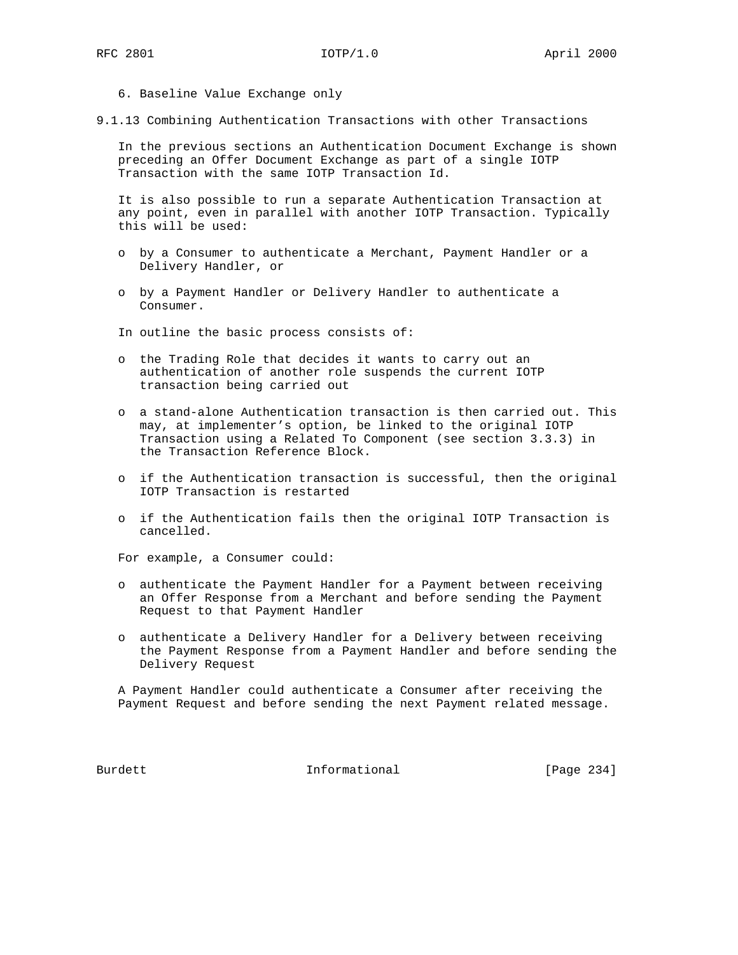- 6. Baseline Value Exchange only
- 9.1.13 Combining Authentication Transactions with other Transactions

 In the previous sections an Authentication Document Exchange is shown preceding an Offer Document Exchange as part of a single IOTP Transaction with the same IOTP Transaction Id.

 It is also possible to run a separate Authentication Transaction at any point, even in parallel with another IOTP Transaction. Typically this will be used:

- o by a Consumer to authenticate a Merchant, Payment Handler or a Delivery Handler, or
- o by a Payment Handler or Delivery Handler to authenticate a Consumer.

In outline the basic process consists of:

- o the Trading Role that decides it wants to carry out an authentication of another role suspends the current IOTP transaction being carried out
- o a stand-alone Authentication transaction is then carried out. This may, at implementer's option, be linked to the original IOTP Transaction using a Related To Component (see section 3.3.3) in the Transaction Reference Block.
- o if the Authentication transaction is successful, then the original IOTP Transaction is restarted
- o if the Authentication fails then the original IOTP Transaction is cancelled.

For example, a Consumer could:

- o authenticate the Payment Handler for a Payment between receiving an Offer Response from a Merchant and before sending the Payment Request to that Payment Handler
- o authenticate a Delivery Handler for a Delivery between receiving the Payment Response from a Payment Handler and before sending the Delivery Request

 A Payment Handler could authenticate a Consumer after receiving the Payment Request and before sending the next Payment related message.

Burdett Informational [Page 234]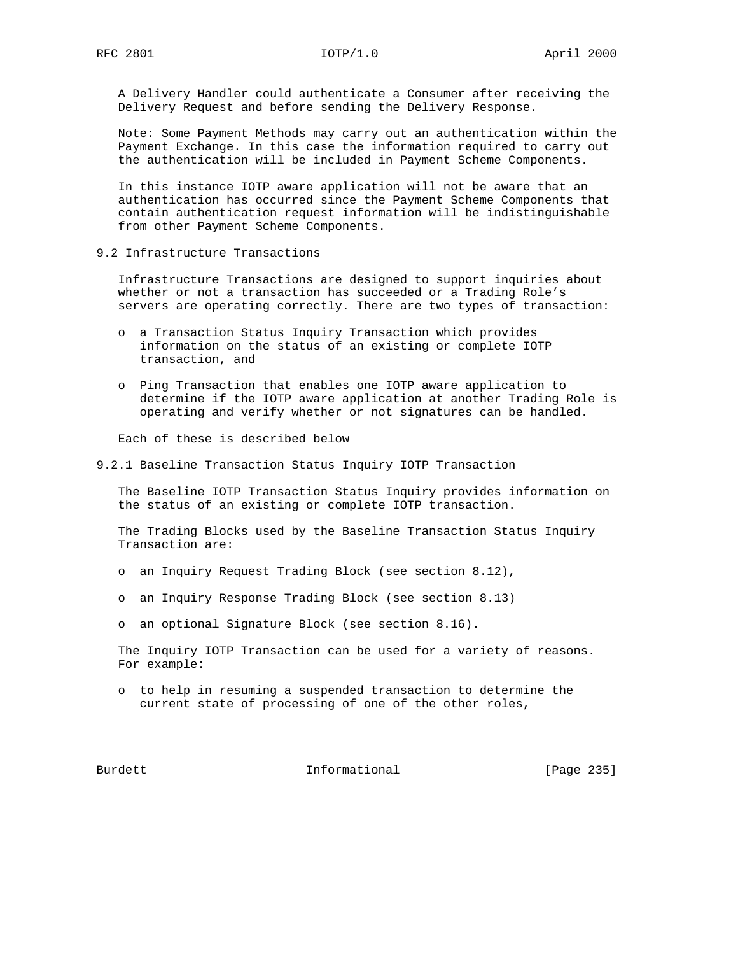A Delivery Handler could authenticate a Consumer after receiving the Delivery Request and before sending the Delivery Response.

 Note: Some Payment Methods may carry out an authentication within the Payment Exchange. In this case the information required to carry out the authentication will be included in Payment Scheme Components.

 In this instance IOTP aware application will not be aware that an authentication has occurred since the Payment Scheme Components that contain authentication request information will be indistinguishable from other Payment Scheme Components.

9.2 Infrastructure Transactions

 Infrastructure Transactions are designed to support inquiries about whether or not a transaction has succeeded or a Trading Role's servers are operating correctly. There are two types of transaction:

- o a Transaction Status Inquiry Transaction which provides information on the status of an existing or complete IOTP transaction, and
- o Ping Transaction that enables one IOTP aware application to determine if the IOTP aware application at another Trading Role is operating and verify whether or not signatures can be handled.

Each of these is described below

9.2.1 Baseline Transaction Status Inquiry IOTP Transaction

 The Baseline IOTP Transaction Status Inquiry provides information on the status of an existing or complete IOTP transaction.

 The Trading Blocks used by the Baseline Transaction Status Inquiry Transaction are:

- o an Inquiry Request Trading Block (see section 8.12),
- o an Inquiry Response Trading Block (see section 8.13)
- o an optional Signature Block (see section 8.16).

 The Inquiry IOTP Transaction can be used for a variety of reasons. For example:

 o to help in resuming a suspended transaction to determine the current state of processing of one of the other roles,

Burdett **Informational Informational** [Page 235]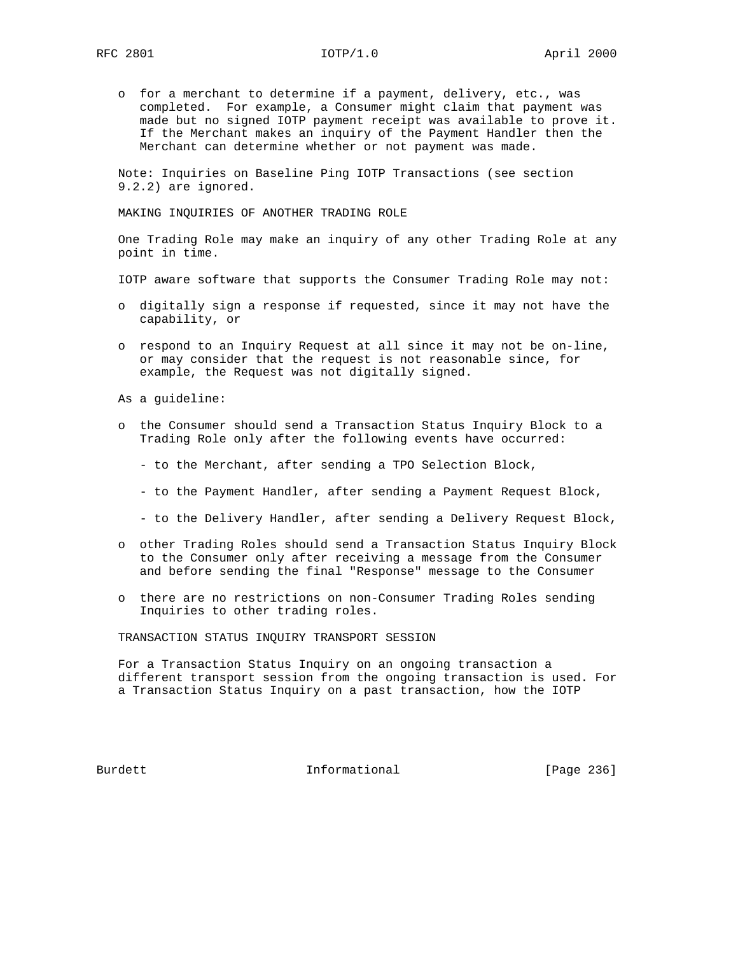o for a merchant to determine if a payment, delivery, etc., was completed. For example, a Consumer might claim that payment was made but no signed IOTP payment receipt was available to prove it. If the Merchant makes an inquiry of the Payment Handler then the Merchant can determine whether or not payment was made.

 Note: Inquiries on Baseline Ping IOTP Transactions (see section 9.2.2) are ignored.

MAKING INQUIRIES OF ANOTHER TRADING ROLE

 One Trading Role may make an inquiry of any other Trading Role at any point in time.

IOTP aware software that supports the Consumer Trading Role may not:

- o digitally sign a response if requested, since it may not have the capability, or
- o respond to an Inquiry Request at all since it may not be on-line, or may consider that the request is not reasonable since, for example, the Request was not digitally signed.

As a guideline:

- o the Consumer should send a Transaction Status Inquiry Block to a Trading Role only after the following events have occurred:
	- to the Merchant, after sending a TPO Selection Block,
	- to the Payment Handler, after sending a Payment Request Block,
	- to the Delivery Handler, after sending a Delivery Request Block,
- o other Trading Roles should send a Transaction Status Inquiry Block to the Consumer only after receiving a message from the Consumer and before sending the final "Response" message to the Consumer
- o there are no restrictions on non-Consumer Trading Roles sending Inquiries to other trading roles.

TRANSACTION STATUS INQUIRY TRANSPORT SESSION

 For a Transaction Status Inquiry on an ongoing transaction a different transport session from the ongoing transaction is used. For a Transaction Status Inquiry on a past transaction, how the IOTP

Burdett **Informational** [Page 236]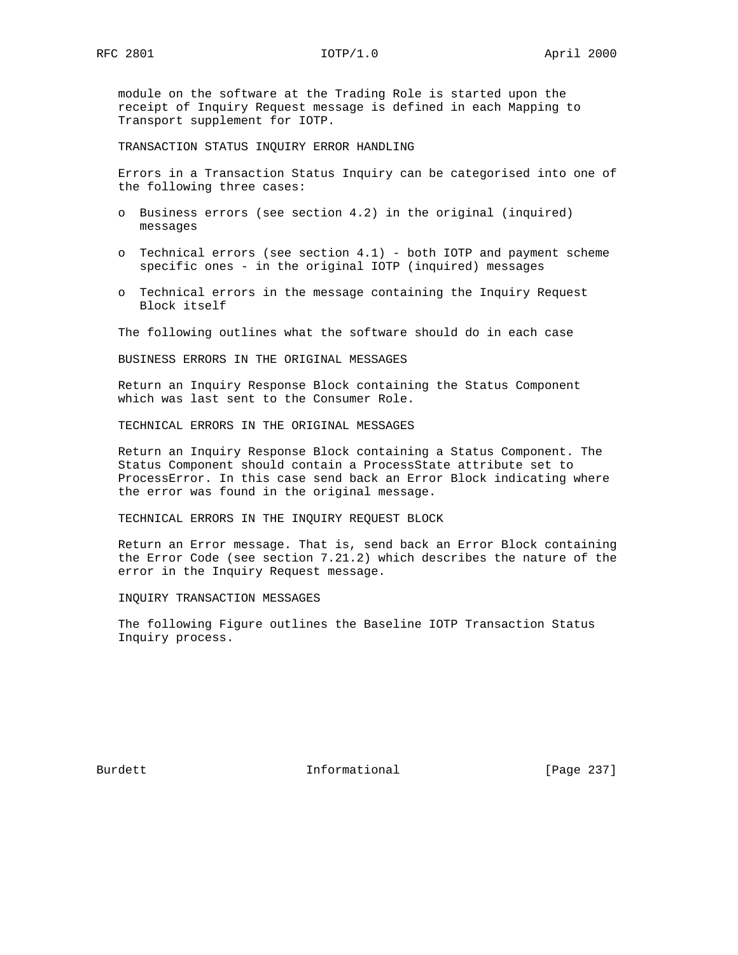module on the software at the Trading Role is started upon the receipt of Inquiry Request message is defined in each Mapping to Transport supplement for IOTP.

TRANSACTION STATUS INQUIRY ERROR HANDLING

 Errors in a Transaction Status Inquiry can be categorised into one of the following three cases:

- o Business errors (see section 4.2) in the original (inquired) messages
- o Technical errors (see section 4.1) both IOTP and payment scheme specific ones - in the original IOTP (inquired) messages
- o Technical errors in the message containing the Inquiry Request Block itself

The following outlines what the software should do in each case

BUSINESS ERRORS IN THE ORIGINAL MESSAGES

 Return an Inquiry Response Block containing the Status Component which was last sent to the Consumer Role.

TECHNICAL ERRORS IN THE ORIGINAL MESSAGES

 Return an Inquiry Response Block containing a Status Component. The Status Component should contain a ProcessState attribute set to ProcessError. In this case send back an Error Block indicating where the error was found in the original message.

TECHNICAL ERRORS IN THE INQUIRY REQUEST BLOCK

 Return an Error message. That is, send back an Error Block containing the Error Code (see section 7.21.2) which describes the nature of the error in the Inquiry Request message.

INQUIRY TRANSACTION MESSAGES

 The following Figure outlines the Baseline IOTP Transaction Status Inquiry process.

Burdett **Informational** [Page 237]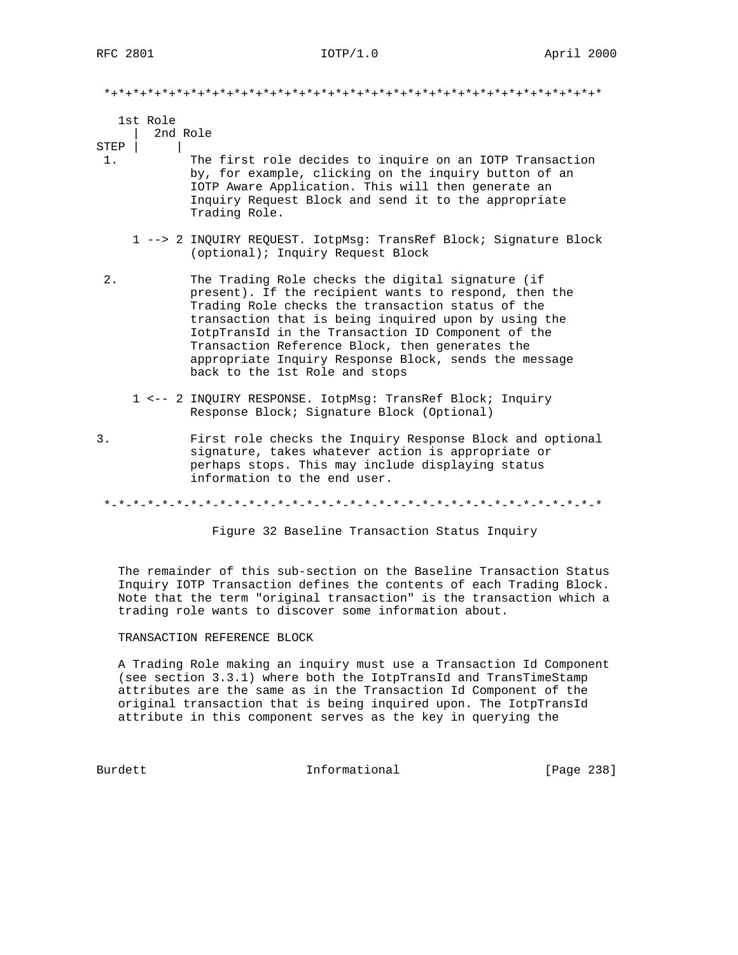\*+\*+\*+\*+\*+\*+\*+\*+\*+\*+\*+\*+\*+\*+\*+\*+\*+\*+\*+\*+\*+\*+\*+\*+\*+\*+\*+\*+\*+\*+\*+\*+\*+\*+\*

 1st Role | 2nd Role STEP | | 1. The first role decides to inquire on an IOTP Transaction by, for example, clicking on the inquiry button of an IOTP Aware Application. This will then generate an Inquiry Request Block and send it to the appropriate Trading Role. 1 --> 2 INQUIRY REQUEST. IotpMsg: TransRef Block; Signature Block (optional); Inquiry Request Block 2. The Trading Role checks the digital signature (if

 present). If the recipient wants to respond, then the Trading Role checks the transaction status of the transaction that is being inquired upon by using the IotpTransId in the Transaction ID Component of the Transaction Reference Block, then generates the appropriate Inquiry Response Block, sends the message back to the 1st Role and stops

- 1 <-- 2 INQUIRY RESPONSE. IotpMsg: TransRef Block; Inquiry Response Block; Signature Block (Optional)
- 3. First role checks the Inquiry Response Block and optional signature, takes whatever action is appropriate or perhaps stops. This may include displaying status information to the end user.

\*-\*-\*-\*-\*-\*-\*-\*-\*-\*-\*-\*-\*-\*-\*-\*-\*-\*-\*-\*-\*-\*-\*-\*-\*-\*-\*-\*-\*-\*-\*-\*-\*-\*-\*

Figure 32 Baseline Transaction Status Inquiry

 The remainder of this sub-section on the Baseline Transaction Status Inquiry IOTP Transaction defines the contents of each Trading Block. Note that the term "original transaction" is the transaction which a trading role wants to discover some information about.

TRANSACTION REFERENCE BLOCK

 A Trading Role making an inquiry must use a Transaction Id Component (see section 3.3.1) where both the IotpTransId and TransTimeStamp attributes are the same as in the Transaction Id Component of the original transaction that is being inquired upon. The IotpTransId attribute in this component serves as the key in querying the

Burdett **Informational** Informational [Page 238]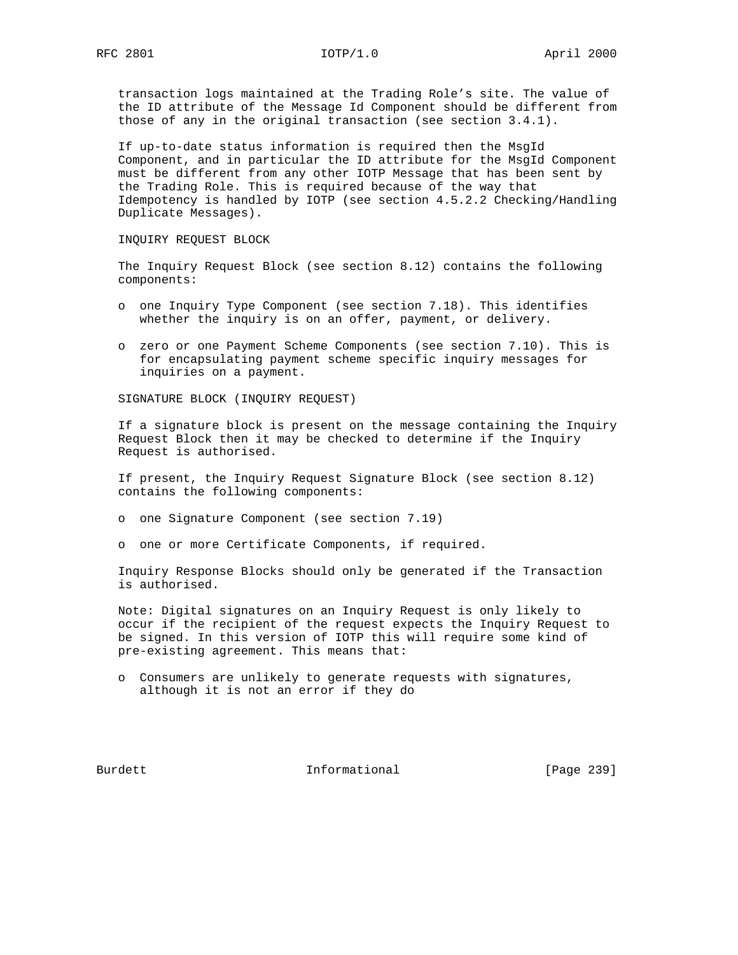transaction logs maintained at the Trading Role's site. The value of the ID attribute of the Message Id Component should be different from those of any in the original transaction (see section 3.4.1).

 If up-to-date status information is required then the MsgId Component, and in particular the ID attribute for the MsgId Component must be different from any other IOTP Message that has been sent by the Trading Role. This is required because of the way that Idempotency is handled by IOTP (see section 4.5.2.2 Checking/Handling Duplicate Messages).

## INQUIRY REQUEST BLOCK

 The Inquiry Request Block (see section 8.12) contains the following components:

- o one Inquiry Type Component (see section 7.18). This identifies whether the inquiry is on an offer, payment, or delivery.
- o zero or one Payment Scheme Components (see section 7.10). This is for encapsulating payment scheme specific inquiry messages for inquiries on a payment.

SIGNATURE BLOCK (INQUIRY REQUEST)

 If a signature block is present on the message containing the Inquiry Request Block then it may be checked to determine if the Inquiry Request is authorised.

 If present, the Inquiry Request Signature Block (see section 8.12) contains the following components:

o one Signature Component (see section 7.19)

o one or more Certificate Components, if required.

 Inquiry Response Blocks should only be generated if the Transaction is authorised.

 Note: Digital signatures on an Inquiry Request is only likely to occur if the recipient of the request expects the Inquiry Request to be signed. In this version of IOTP this will require some kind of pre-existing agreement. This means that:

 o Consumers are unlikely to generate requests with signatures, although it is not an error if they do

Burdett **Informational Informational** [Page 239]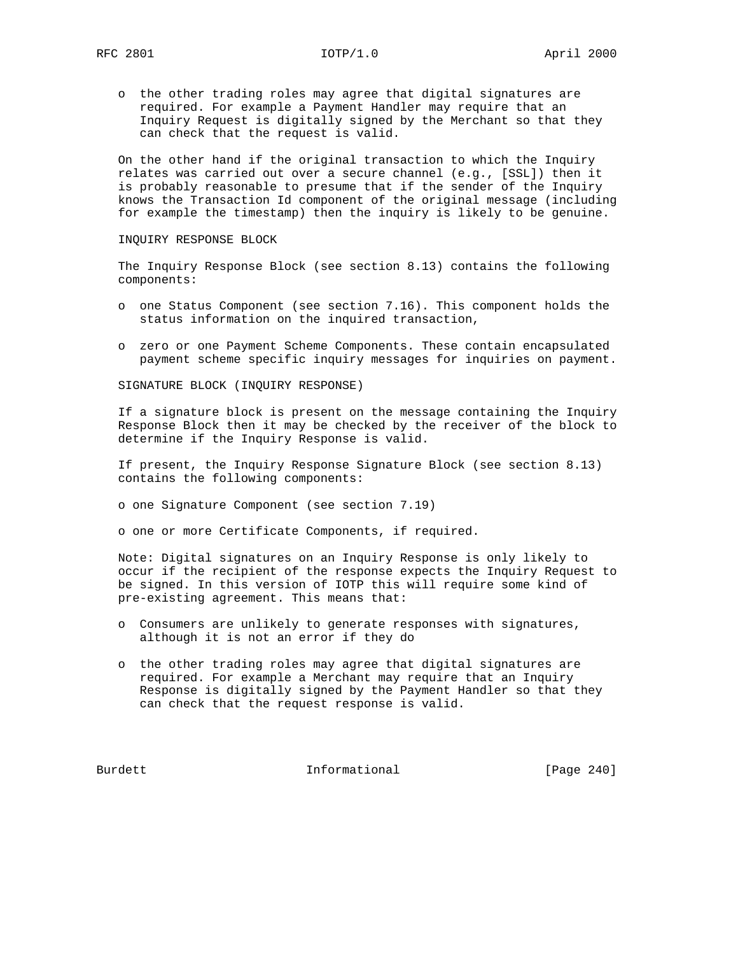o the other trading roles may agree that digital signatures are required. For example a Payment Handler may require that an Inquiry Request is digitally signed by the Merchant so that they can check that the request is valid.

 On the other hand if the original transaction to which the Inquiry relates was carried out over a secure channel (e.g., [SSL]) then it is probably reasonable to presume that if the sender of the Inquiry knows the Transaction Id component of the original message (including for example the timestamp) then the inquiry is likely to be genuine.

## INQUIRY RESPONSE BLOCK

 The Inquiry Response Block (see section 8.13) contains the following components:

- o one Status Component (see section 7.16). This component holds the status information on the inquired transaction,
- o zero or one Payment Scheme Components. These contain encapsulated payment scheme specific inquiry messages for inquiries on payment.

SIGNATURE BLOCK (INQUIRY RESPONSE)

 If a signature block is present on the message containing the Inquiry Response Block then it may be checked by the receiver of the block to determine if the Inquiry Response is valid.

 If present, the Inquiry Response Signature Block (see section 8.13) contains the following components:

o one Signature Component (see section 7.19)

o one or more Certificate Components, if required.

 Note: Digital signatures on an Inquiry Response is only likely to occur if the recipient of the response expects the Inquiry Request to be signed. In this version of IOTP this will require some kind of pre-existing agreement. This means that:

- o Consumers are unlikely to generate responses with signatures, although it is not an error if they do
- o the other trading roles may agree that digital signatures are required. For example a Merchant may require that an Inquiry Response is digitally signed by the Payment Handler so that they can check that the request response is valid.

Burdett Informational [Page 240]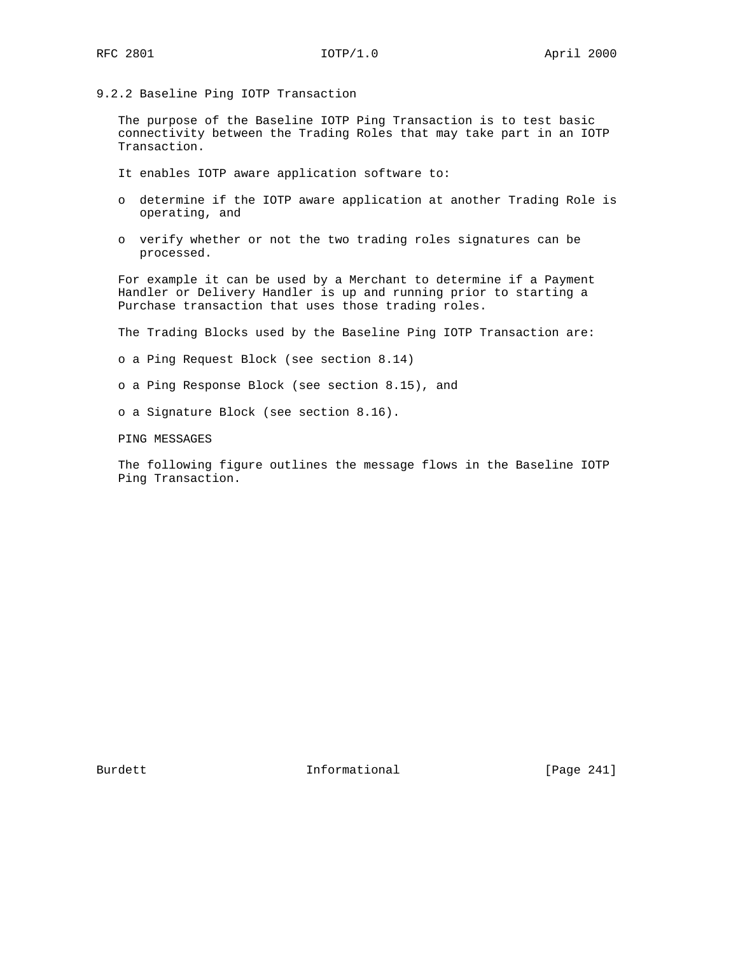9.2.2 Baseline Ping IOTP Transaction

 The purpose of the Baseline IOTP Ping Transaction is to test basic connectivity between the Trading Roles that may take part in an IOTP Transaction.

It enables IOTP aware application software to:

- o determine if the IOTP aware application at another Trading Role is operating, and
- o verify whether or not the two trading roles signatures can be processed.

 For example it can be used by a Merchant to determine if a Payment Handler or Delivery Handler is up and running prior to starting a Purchase transaction that uses those trading roles.

The Trading Blocks used by the Baseline Ping IOTP Transaction are:

- o a Ping Request Block (see section 8.14)
- o a Ping Response Block (see section 8.15), and
- o a Signature Block (see section 8.16).

PING MESSAGES

 The following figure outlines the message flows in the Baseline IOTP Ping Transaction.

Burdett Informational [Page 241]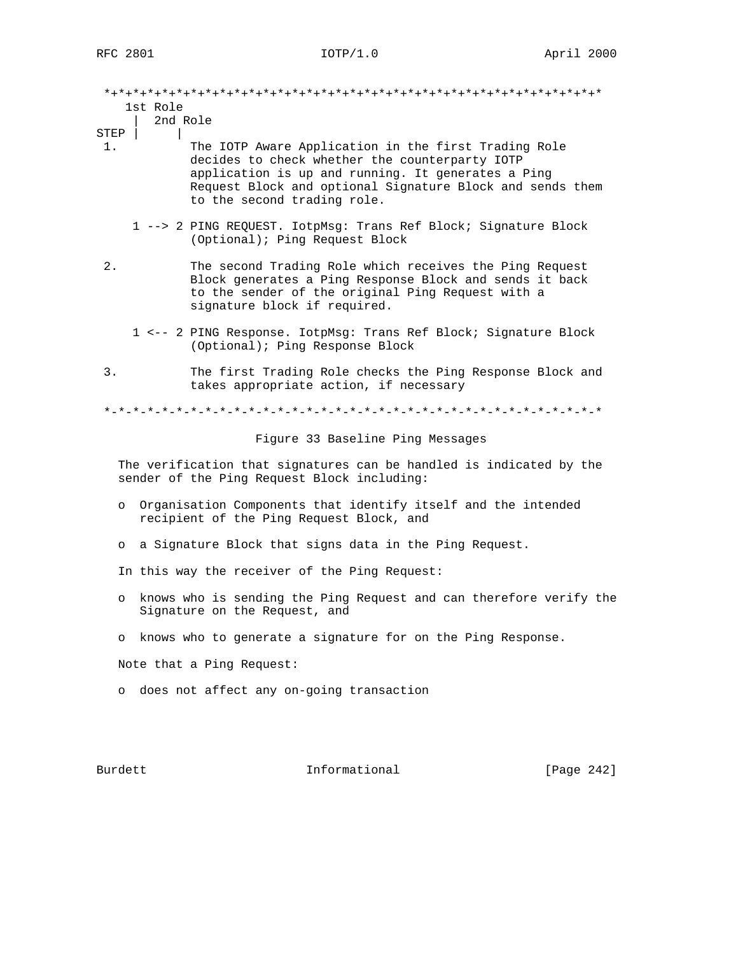|            | 1st Role<br>2nd Role                                                                                                                                                                                                                                     |
|------------|----------------------------------------------------------------------------------------------------------------------------------------------------------------------------------------------------------------------------------------------------------|
| STEP<br>1. | The IOTP Aware Application in the first Trading Role<br>decides to check whether the counterparty IOTP<br>application is up and running. It generates a Ping<br>Request Block and optional Signature Block and sends them<br>to the second trading role. |
|            | 1 --> 2 PING REQUEST. IotpMsg: Trans Ref Block; Signature Block<br>(Optional); Ping Request Block                                                                                                                                                        |
| 2.         | The second Trading Role which receives the Ping Request<br>Block generates a Ping Response Block and sends it back<br>to the sender of the original Ping Request with a<br>signature block if required.                                                  |
|            | 1 <-- 2 PING Response. IotpMsg: Trans Ref Block; Signature Block<br>(Optional); Ping Response Block                                                                                                                                                      |
| 3.         | The first Trading Role checks the Ping Response Block and<br>takes appropriate action, if necessary                                                                                                                                                      |
|            |                                                                                                                                                                                                                                                          |
|            | Figure 33 Baseline Ping Messages                                                                                                                                                                                                                         |
|            | The verification that signatures can be handled is indicated by the<br>sender of the Ping Request Block including:                                                                                                                                       |
| $\circ$    | Organisation Components that identify itself and the intended<br>recipient of the Ping Request Block, and                                                                                                                                                |
| $\circ$    | a Signature Block that signs data in the Ping Request.                                                                                                                                                                                                   |
|            | In this way the receiver of the Ping Request:                                                                                                                                                                                                            |
| $\circ$    | knows who is sending the Ping Request and can therefore verify the<br>Signature on the Request, and                                                                                                                                                      |
| $\circ$    | knows who to generate a signature for on the Ping Response.                                                                                                                                                                                              |
|            | Note that a Ping Request:                                                                                                                                                                                                                                |
| O          | does not affect any on-going transaction                                                                                                                                                                                                                 |
|            |                                                                                                                                                                                                                                                          |
|            |                                                                                                                                                                                                                                                          |

Burdett **Informational Informational** [Page 242]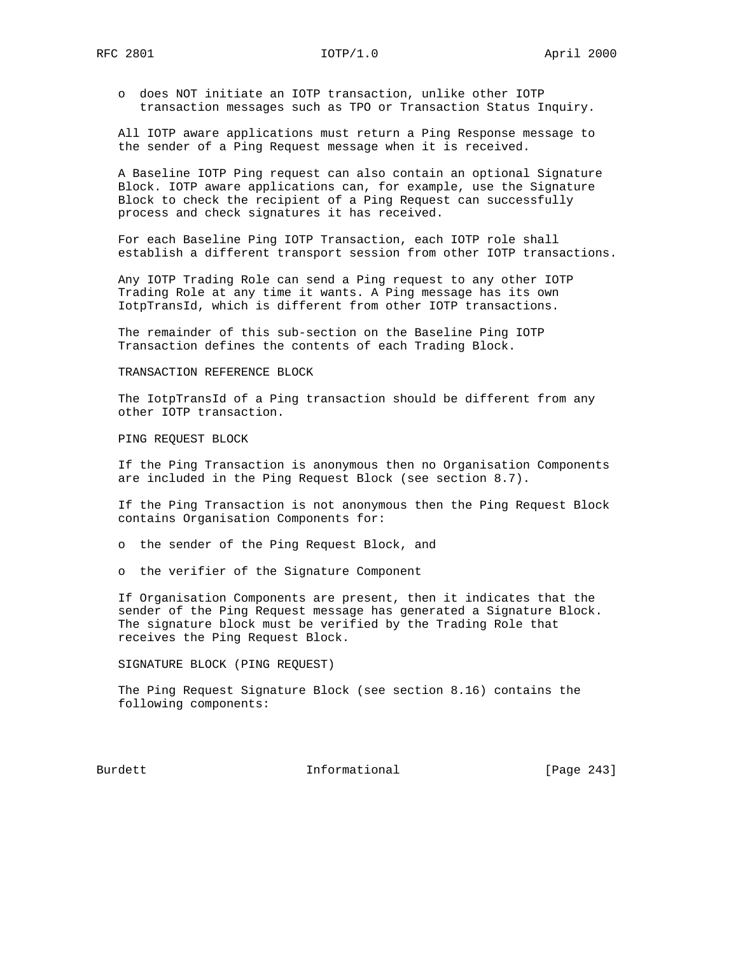o does NOT initiate an IOTP transaction, unlike other IOTP transaction messages such as TPO or Transaction Status Inquiry.

 All IOTP aware applications must return a Ping Response message to the sender of a Ping Request message when it is received.

 A Baseline IOTP Ping request can also contain an optional Signature Block. IOTP aware applications can, for example, use the Signature Block to check the recipient of a Ping Request can successfully process and check signatures it has received.

 For each Baseline Ping IOTP Transaction, each IOTP role shall establish a different transport session from other IOTP transactions.

 Any IOTP Trading Role can send a Ping request to any other IOTP Trading Role at any time it wants. A Ping message has its own IotpTransId, which is different from other IOTP transactions.

 The remainder of this sub-section on the Baseline Ping IOTP Transaction defines the contents of each Trading Block.

TRANSACTION REFERENCE BLOCK

 The IotpTransId of a Ping transaction should be different from any other IOTP transaction.

PING REQUEST BLOCK

 If the Ping Transaction is anonymous then no Organisation Components are included in the Ping Request Block (see section 8.7).

 If the Ping Transaction is not anonymous then the Ping Request Block contains Organisation Components for:

o the sender of the Ping Request Block, and

o the verifier of the Signature Component

 If Organisation Components are present, then it indicates that the sender of the Ping Request message has generated a Signature Block. The signature block must be verified by the Trading Role that receives the Ping Request Block.

SIGNATURE BLOCK (PING REQUEST)

 The Ping Request Signature Block (see section 8.16) contains the following components:

Burdett **Informational** [Page 243]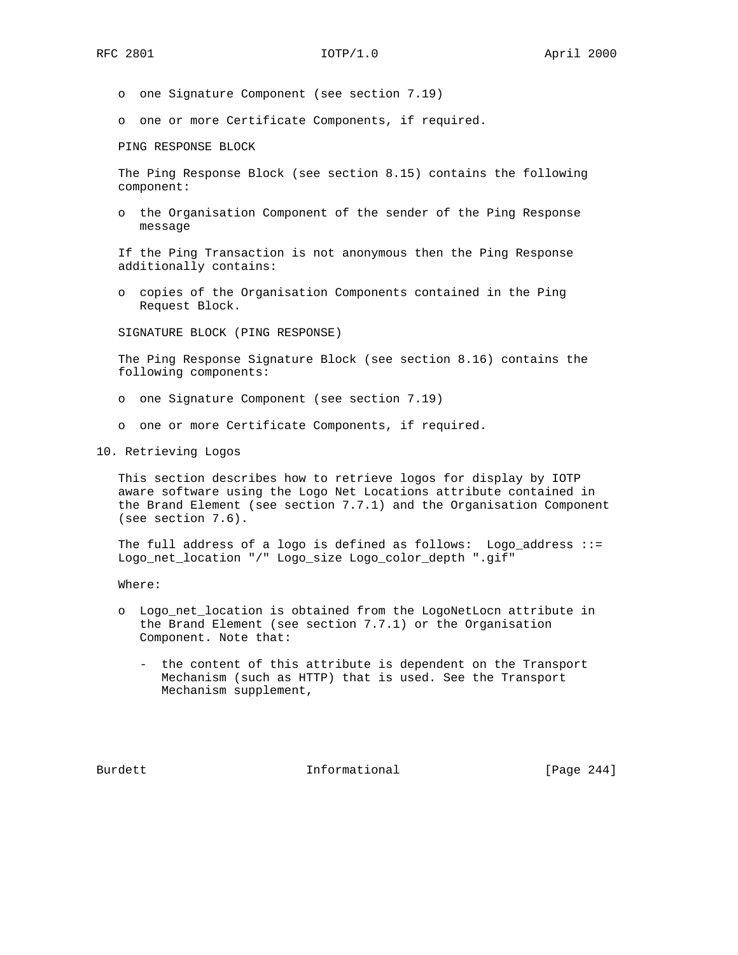o one Signature Component (see section 7.19)

o one or more Certificate Components, if required.

PING RESPONSE BLOCK

 The Ping Response Block (see section 8.15) contains the following component:

 o the Organisation Component of the sender of the Ping Response message

 If the Ping Transaction is not anonymous then the Ping Response additionally contains:

 o copies of the Organisation Components contained in the Ping Request Block.

SIGNATURE BLOCK (PING RESPONSE)

 The Ping Response Signature Block (see section 8.16) contains the following components:

- o one Signature Component (see section 7.19)
- o one or more Certificate Components, if required.
- 10. Retrieving Logos

 This section describes how to retrieve logos for display by IOTP aware software using the Logo Net Locations attribute contained in the Brand Element (see section 7.7.1) and the Organisation Component (see section 7.6).

 The full address of a logo is defined as follows: Logo\_address ::= Logo\_net\_location "/" Logo\_size Logo\_color\_depth ".gif"

Where:

- o Logo\_net\_location is obtained from the LogoNetLocn attribute in the Brand Element (see section 7.7.1) or the Organisation Component. Note that:
	- the content of this attribute is dependent on the Transport Mechanism (such as HTTP) that is used. See the Transport Mechanism supplement,

Burdett **Informational** [Page 244]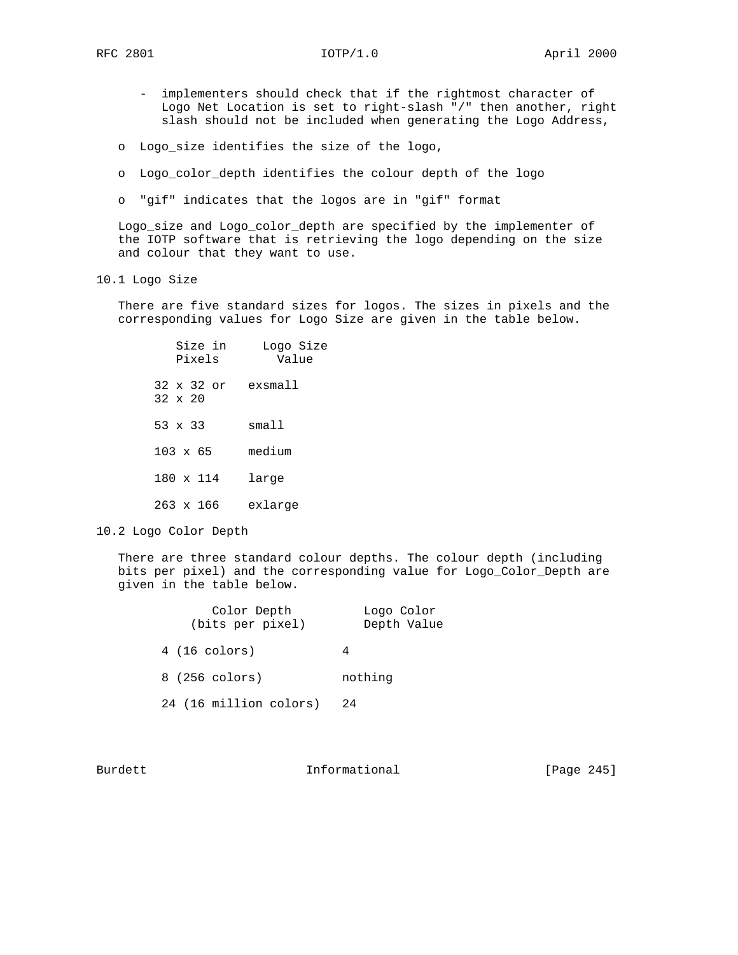- implementers should check that if the rightmost character of Logo Net Location is set to right-slash "/" then another, right slash should not be included when generating the Logo Address,
- o Logo\_size identifies the size of the logo,
- o Logo\_color\_depth identifies the colour depth of the logo
- o "gif" indicates that the logos are in "gif" format

 Logo\_size and Logo\_color\_depth are specified by the implementer of the IOTP software that is retrieving the logo depending on the size and colour that they want to use.

10.1 Logo Size

 There are five standard sizes for logos. The sizes in pixels and the corresponding values for Logo Size are given in the table below.

 Size in Logo Size Pixels Value 32 x 32 or exsmall 32 x 20 53 x 33 small 103 x 65 medium 180 x 114 large 263 x 166 exlarge

10.2 Logo Color Depth

 There are three standard colour depths. The colour depth (including bits per pixel) and the corresponding value for Logo\_Color\_Depth are given in the table below.

| Color Depth<br>(bits per pixel) | Logo Color<br>Depth Value |
|---------------------------------|---------------------------|
| $4(16\text{ colors})$           |                           |
| 8 (256 colors)                  | nothing                   |
| 24 (16 million colors)          | 24                        |

Burdett **Informational** [Page 245]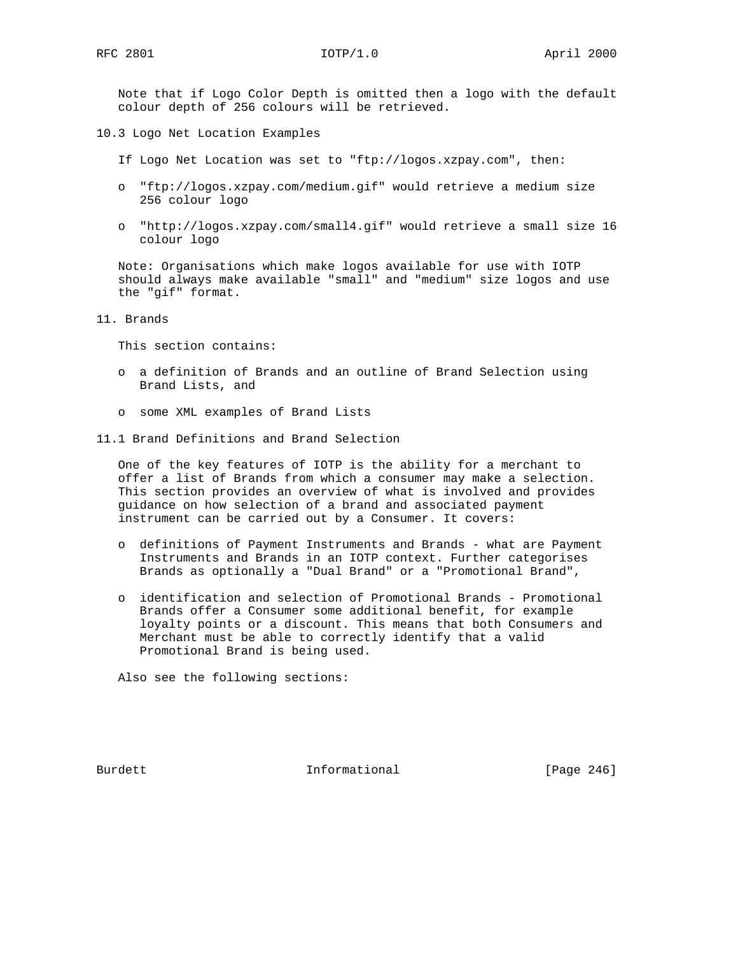Note that if Logo Color Depth is omitted then a logo with the default colour depth of 256 colours will be retrieved.

- 10.3 Logo Net Location Examples
	- If Logo Net Location was set to "ftp://logos.xzpay.com", then:
	- o "ftp://logos.xzpay.com/medium.gif" would retrieve a medium size 256 colour logo
	- o "http://logos.xzpay.com/small4.gif" would retrieve a small size 16 colour logo

 Note: Organisations which make logos available for use with IOTP should always make available "small" and "medium" size logos and use the "gif" format.

11. Brands

This section contains:

- o a definition of Brands and an outline of Brand Selection using Brand Lists, and
- o some XML examples of Brand Lists
- 11.1 Brand Definitions and Brand Selection

 One of the key features of IOTP is the ability for a merchant to offer a list of Brands from which a consumer may make a selection. This section provides an overview of what is involved and provides guidance on how selection of a brand and associated payment instrument can be carried out by a Consumer. It covers:

- o definitions of Payment Instruments and Brands what are Payment Instruments and Brands in an IOTP context. Further categorises Brands as optionally a "Dual Brand" or a "Promotional Brand",
- o identification and selection of Promotional Brands Promotional Brands offer a Consumer some additional benefit, for example loyalty points or a discount. This means that both Consumers and Merchant must be able to correctly identify that a valid Promotional Brand is being used.

Also see the following sections:

Burdett **Informational** [Page 246]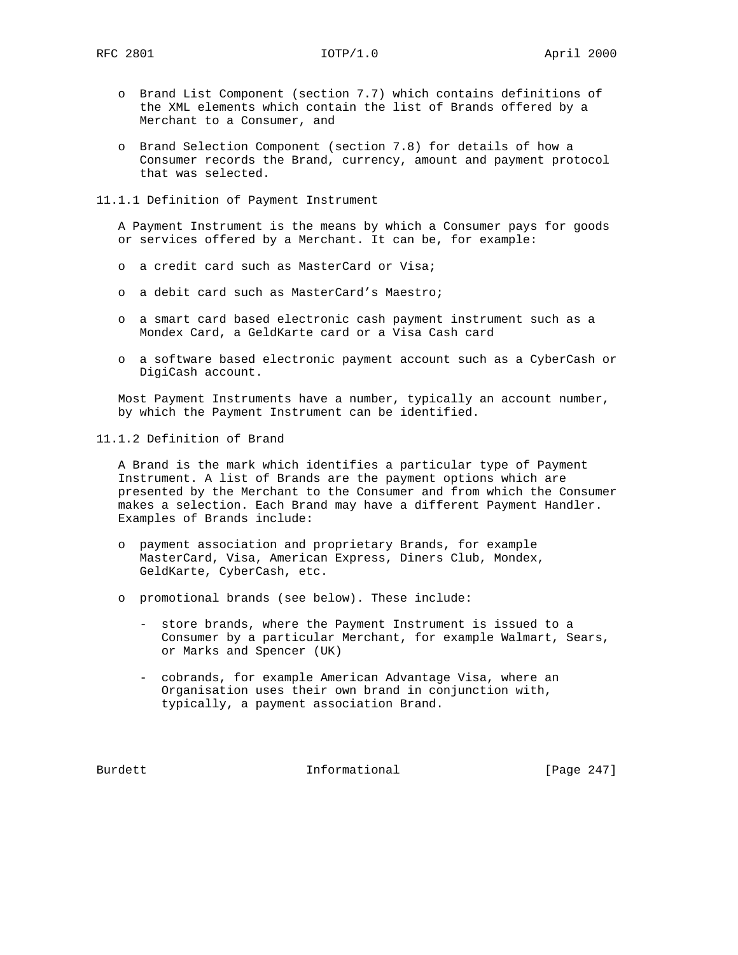- o Brand List Component (section 7.7) which contains definitions of the XML elements which contain the list of Brands offered by a Merchant to a Consumer, and
- o Brand Selection Component (section 7.8) for details of how a Consumer records the Brand, currency, amount and payment protocol that was selected.
- 11.1.1 Definition of Payment Instrument

 A Payment Instrument is the means by which a Consumer pays for goods or services offered by a Merchant. It can be, for example:

- o a credit card such as MasterCard or Visa;
- o a debit card such as MasterCard's Maestro;
- o a smart card based electronic cash payment instrument such as a Mondex Card, a GeldKarte card or a Visa Cash card
- o a software based electronic payment account such as a CyberCash or DigiCash account.

 Most Payment Instruments have a number, typically an account number, by which the Payment Instrument can be identified.

11.1.2 Definition of Brand

 A Brand is the mark which identifies a particular type of Payment Instrument. A list of Brands are the payment options which are presented by the Merchant to the Consumer and from which the Consumer makes a selection. Each Brand may have a different Payment Handler. Examples of Brands include:

- o payment association and proprietary Brands, for example MasterCard, Visa, American Express, Diners Club, Mondex, GeldKarte, CyberCash, etc.
- o promotional brands (see below). These include:
	- store brands, where the Payment Instrument is issued to a Consumer by a particular Merchant, for example Walmart, Sears, or Marks and Spencer (UK)
	- cobrands, for example American Advantage Visa, where an Organisation uses their own brand in conjunction with, typically, a payment association Brand.

Burdett Informational [Page 247]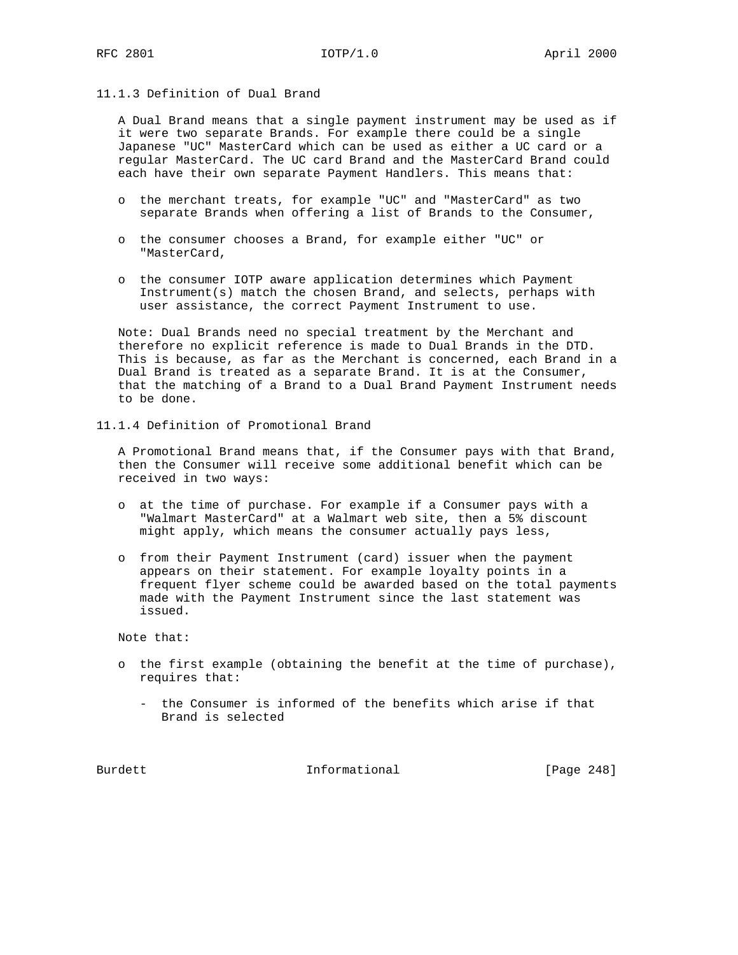## 11.1.3 Definition of Dual Brand

 A Dual Brand means that a single payment instrument may be used as if it were two separate Brands. For example there could be a single Japanese "UC" MasterCard which can be used as either a UC card or a regular MasterCard. The UC card Brand and the MasterCard Brand could each have their own separate Payment Handlers. This means that:

- o the merchant treats, for example "UC" and "MasterCard" as two separate Brands when offering a list of Brands to the Consumer,
- o the consumer chooses a Brand, for example either "UC" or "MasterCard,
- o the consumer IOTP aware application determines which Payment Instrument(s) match the chosen Brand, and selects, perhaps with user assistance, the correct Payment Instrument to use.

 Note: Dual Brands need no special treatment by the Merchant and therefore no explicit reference is made to Dual Brands in the DTD. This is because, as far as the Merchant is concerned, each Brand in a Dual Brand is treated as a separate Brand. It is at the Consumer, that the matching of a Brand to a Dual Brand Payment Instrument needs to be done.

11.1.4 Definition of Promotional Brand

 A Promotional Brand means that, if the Consumer pays with that Brand, then the Consumer will receive some additional benefit which can be received in two ways:

- o at the time of purchase. For example if a Consumer pays with a "Walmart MasterCard" at a Walmart web site, then a 5% discount might apply, which means the consumer actually pays less,
- o from their Payment Instrument (card) issuer when the payment appears on their statement. For example loyalty points in a frequent flyer scheme could be awarded based on the total payments made with the Payment Instrument since the last statement was issued.

Note that:

- o the first example (obtaining the benefit at the time of purchase), requires that:
	- the Consumer is informed of the benefits which arise if that Brand is selected

Burdett **Informational Informational** [Page 248]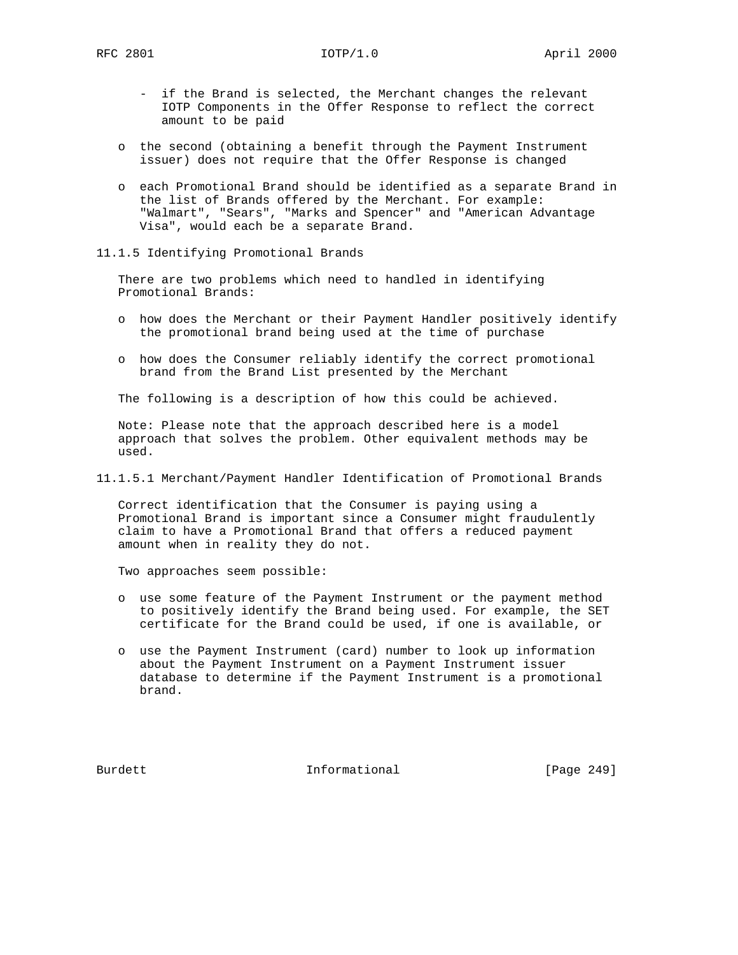- if the Brand is selected, the Merchant changes the relevant IOTP Components in the Offer Response to reflect the correct amount to be paid
- o the second (obtaining a benefit through the Payment Instrument issuer) does not require that the Offer Response is changed
- o each Promotional Brand should be identified as a separate Brand in the list of Brands offered by the Merchant. For example: "Walmart", "Sears", "Marks and Spencer" and "American Advantage Visa", would each be a separate Brand.
- 11.1.5 Identifying Promotional Brands

 There are two problems which need to handled in identifying Promotional Brands:

- o how does the Merchant or their Payment Handler positively identify the promotional brand being used at the time of purchase
- o how does the Consumer reliably identify the correct promotional brand from the Brand List presented by the Merchant

The following is a description of how this could be achieved.

 Note: Please note that the approach described here is a model approach that solves the problem. Other equivalent methods may be used.

11.1.5.1 Merchant/Payment Handler Identification of Promotional Brands

 Correct identification that the Consumer is paying using a Promotional Brand is important since a Consumer might fraudulently claim to have a Promotional Brand that offers a reduced payment amount when in reality they do not.

Two approaches seem possible:

- o use some feature of the Payment Instrument or the payment method to positively identify the Brand being used. For example, the SET certificate for the Brand could be used, if one is available, or
- o use the Payment Instrument (card) number to look up information about the Payment Instrument on a Payment Instrument issuer database to determine if the Payment Instrument is a promotional brand.

Burdett **Informational Informational** [Page 249]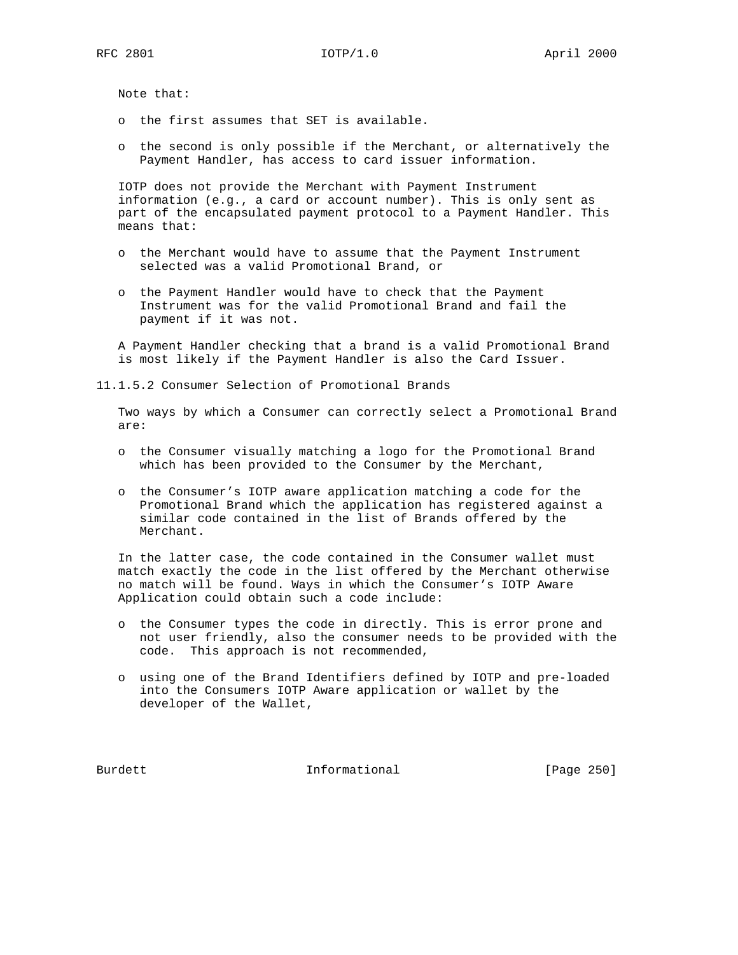Note that:

- o the first assumes that SET is available.
- o the second is only possible if the Merchant, or alternatively the Payment Handler, has access to card issuer information.

 IOTP does not provide the Merchant with Payment Instrument information (e.g., a card or account number). This is only sent as part of the encapsulated payment protocol to a Payment Handler. This means that:

- o the Merchant would have to assume that the Payment Instrument selected was a valid Promotional Brand, or
- o the Payment Handler would have to check that the Payment Instrument was for the valid Promotional Brand and fail the payment if it was not.

 A Payment Handler checking that a brand is a valid Promotional Brand is most likely if the Payment Handler is also the Card Issuer.

11.1.5.2 Consumer Selection of Promotional Brands

 Two ways by which a Consumer can correctly select a Promotional Brand are:

- o the Consumer visually matching a logo for the Promotional Brand which has been provided to the Consumer by the Merchant,
- o the Consumer's IOTP aware application matching a code for the Promotional Brand which the application has registered against a similar code contained in the list of Brands offered by the Merchant.

 In the latter case, the code contained in the Consumer wallet must match exactly the code in the list offered by the Merchant otherwise no match will be found. Ways in which the Consumer's IOTP Aware Application could obtain such a code include:

- o the Consumer types the code in directly. This is error prone and not user friendly, also the consumer needs to be provided with the code. This approach is not recommended,
- o using one of the Brand Identifiers defined by IOTP and pre-loaded into the Consumers IOTP Aware application or wallet by the developer of the Wallet,

Burdett **Informational Informational** [Page 250]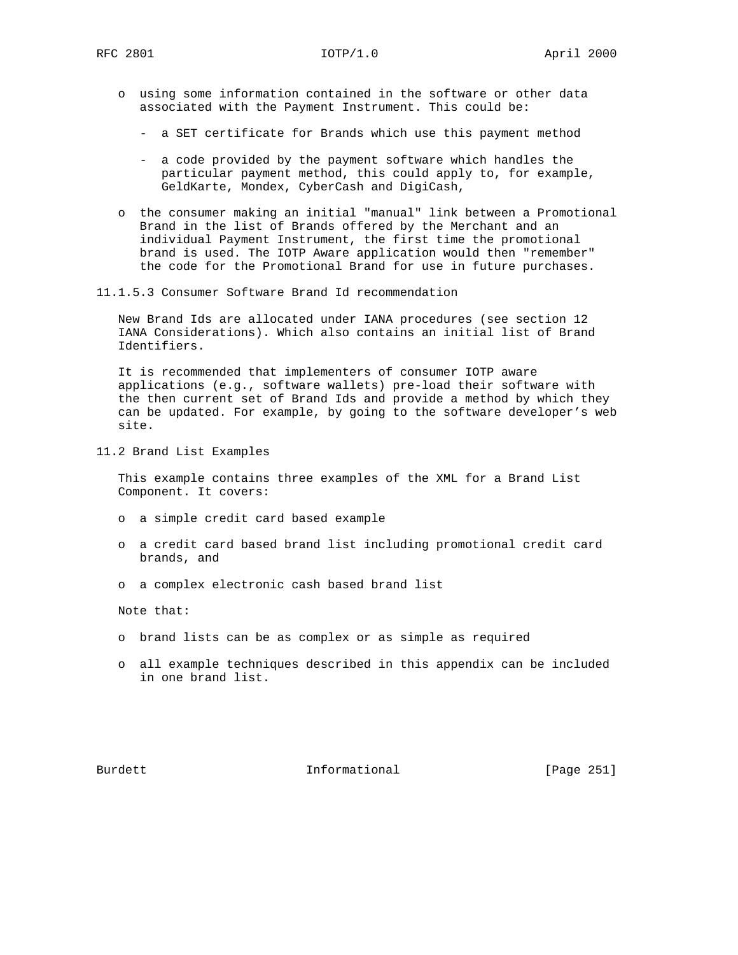- o using some information contained in the software or other data associated with the Payment Instrument. This could be:
	- a SET certificate for Brands which use this payment method
	- a code provided by the payment software which handles the particular payment method, this could apply to, for example, GeldKarte, Mondex, CyberCash and DigiCash,
- o the consumer making an initial "manual" link between a Promotional Brand in the list of Brands offered by the Merchant and an individual Payment Instrument, the first time the promotional brand is used. The IOTP Aware application would then "remember" the code for the Promotional Brand for use in future purchases.
- 11.1.5.3 Consumer Software Brand Id recommendation

 New Brand Ids are allocated under IANA procedures (see section 12 IANA Considerations). Which also contains an initial list of Brand Identifiers.

 It is recommended that implementers of consumer IOTP aware applications (e.g., software wallets) pre-load their software with the then current set of Brand Ids and provide a method by which they can be updated. For example, by going to the software developer's web site.

11.2 Brand List Examples

 This example contains three examples of the XML for a Brand List Component. It covers:

- o a simple credit card based example
- o a credit card based brand list including promotional credit card brands, and
- o a complex electronic cash based brand list

Note that:

- o brand lists can be as complex or as simple as required
- o all example techniques described in this appendix can be included in one brand list.

Burdett **Informational** [Page 251]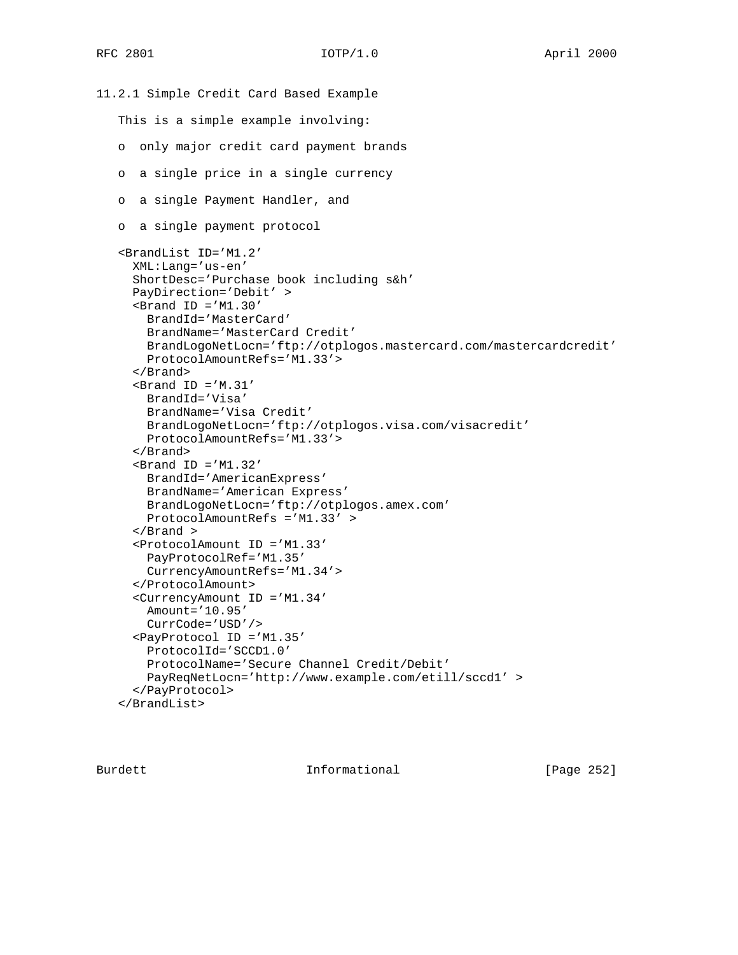```
11.2.1 Simple Credit Card Based Example
 This is a simple example involving:
 o only major credit card payment brands
o a single price in a single currency
o a single Payment Handler, and
o a single payment protocol
 <BrandList ID='M1.2'
   XML:Lang='us-en'
   ShortDesc='Purchase book including s&h'
   PayDirection='Debit' >
  \epsilonBrand ID ='M1.30'
     BrandId='MasterCard'
     BrandName='MasterCard Credit'
     BrandLogoNetLocn='ftp://otplogos.mastercard.com/mastercardcredit'
     ProtocolAmountRefs='M1.33'>
   </Brand>
  \epsilonBrand ID ='M.31'
     BrandId='Visa'
     BrandName='Visa Credit'
     BrandLogoNetLocn='ftp://otplogos.visa.com/visacredit'
     ProtocolAmountRefs='M1.33'>
   </Brand>
  \epsilonBrand ID ='M1.32'
     BrandId='AmericanExpress'
     BrandName='American Express'
     BrandLogoNetLocn='ftp://otplogos.amex.com'
     ProtocolAmountRefs ='M1.33' >
   </Brand >
   <ProtocolAmount ID ='M1.33'
     PayProtocolRef='M1.35'
     CurrencyAmountRefs='M1.34'>
   </ProtocolAmount>
   <CurrencyAmount ID ='M1.34'
     Amount='10.95'
     CurrCode='USD'/>
   <PayProtocol ID ='M1.35'
     ProtocolId='SCCD1.0'
     ProtocolName='Secure Channel Credit/Debit'
     PayReqNetLocn='http://www.example.com/etill/sccd1' >
   </PayProtocol>
 </BrandList>
```
Burdett 1nformational [Page 252]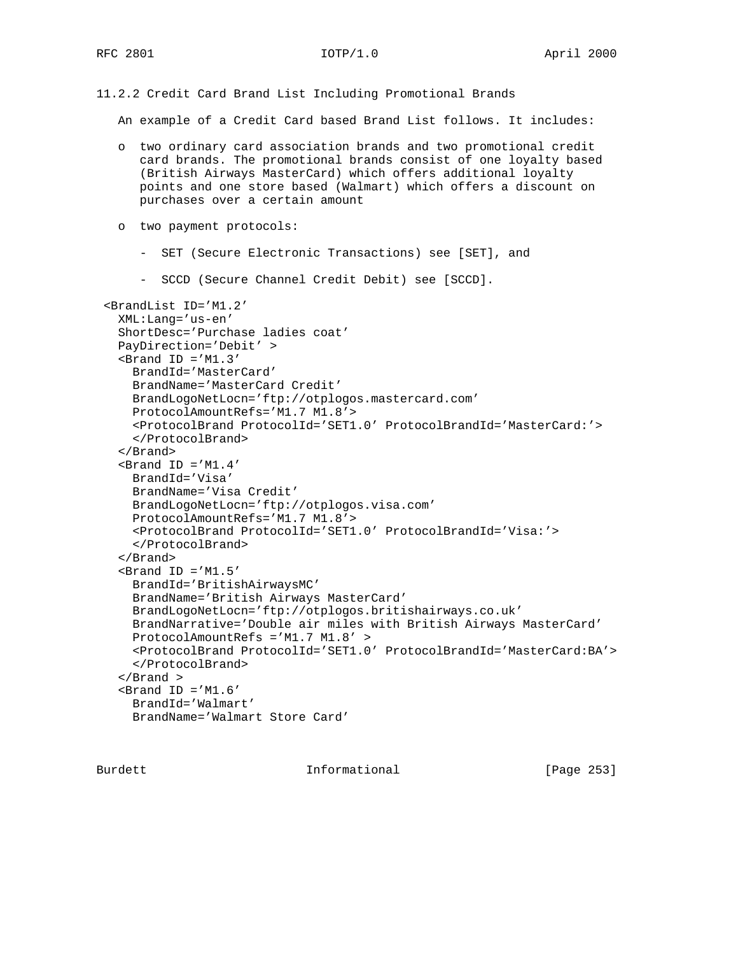11.2.2 Credit Card Brand List Including Promotional Brands An example of a Credit Card based Brand List follows. It includes: o two ordinary card association brands and two promotional credit card brands. The promotional brands consist of one loyalty based (British Airways MasterCard) which offers additional loyalty points and one store based (Walmart) which offers a discount on purchases over a certain amount o two payment protocols: - SET (Secure Electronic Transactions) see [SET], and - SCCD (Secure Channel Credit Debit) see [SCCD]. <BrandList ID='M1.2' XML:Lang='us-en' ShortDesc='Purchase ladies coat' PayDirection='Debit' >  $\epsilon$ Brand ID ='M1.3' BrandId='MasterCard' BrandName='MasterCard Credit' BrandLogoNetLocn='ftp://otplogos.mastercard.com' ProtocolAmountRefs='M1.7 M1.8'> <ProtocolBrand ProtocolId='SET1.0' ProtocolBrandId='MasterCard:'> </ProtocolBrand> </Brand>  $\epsilon$ Brand ID ='M1.4' BrandId='Visa' BrandName='Visa Credit' BrandLogoNetLocn='ftp://otplogos.visa.com' ProtocolAmountRefs='M1.7 M1.8'> <ProtocolBrand ProtocolId='SET1.0' ProtocolBrandId='Visa:'> </ProtocolBrand> </Brand>  $\epsilon$ Brand ID ='M1.5' BrandId='BritishAirwaysMC' BrandName='British Airways MasterCard' BrandLogoNetLocn='ftp://otplogos.britishairways.co.uk' BrandNarrative='Double air miles with British Airways MasterCard' ProtocolAmountRefs ='M1.7 M1.8' > <ProtocolBrand ProtocolId='SET1.0' ProtocolBrandId='MasterCard:BA'> </ProtocolBrand> </Brand >  $\epsilon$ Brand ID ='M1.6' BrandId='Walmart' BrandName='Walmart Store Card'

Burdett **Informational** [Page 253]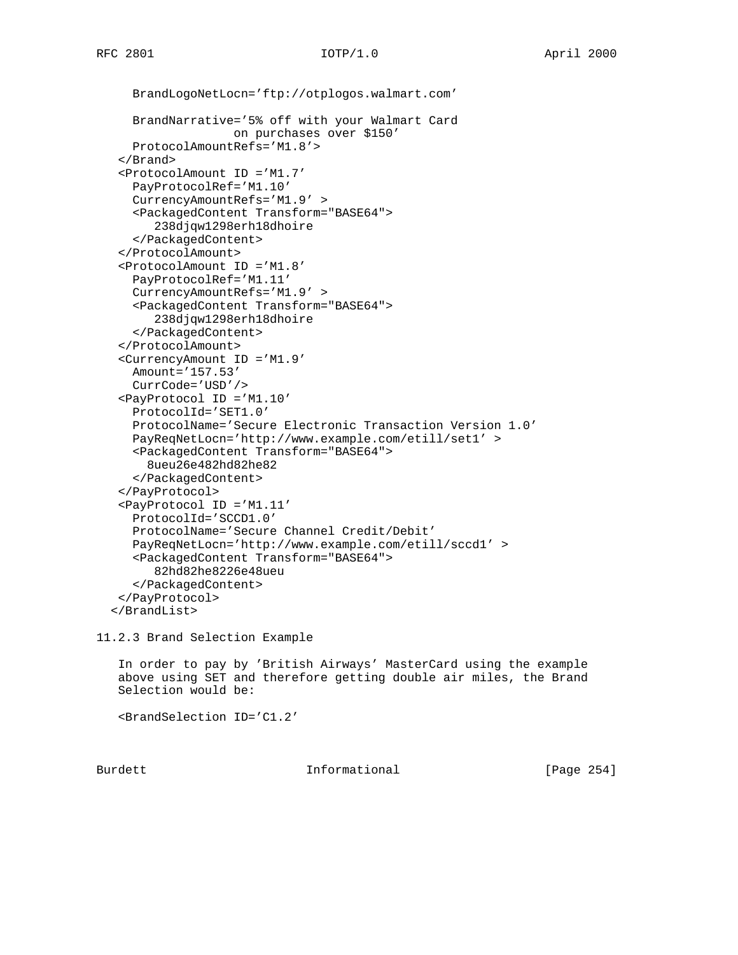BrandLogoNetLocn='ftp://otplogos.walmart.com' BrandNarrative='5% off with your Walmart Card on purchases over \$150' ProtocolAmountRefs='M1.8'> </Brand> <ProtocolAmount ID ='M1.7' PayProtocolRef='M1.10' CurrencyAmountRefs='M1.9' > <PackagedContent Transform="BASE64"> 238djqw1298erh18dhoire </PackagedContent> </ProtocolAmount> <ProtocolAmount ID ='M1.8' PayProtocolRef='M1.11' CurrencyAmountRefs='M1.9' > <PackagedContent Transform="BASE64"> 238djqw1298erh18dhoire </PackagedContent> </ProtocolAmount> <CurrencyAmount ID ='M1.9' Amount='157.53' CurrCode='USD'/> <PayProtocol ID ='M1.10' ProtocolId='SET1.0' ProtocolName='Secure Electronic Transaction Version 1.0' PayReqNetLocn='http://www.example.com/etill/set1' > <PackagedContent Transform="BASE64"> 8ueu26e482hd82he82 </PackagedContent> </PayProtocol> <PayProtocol ID ='M1.11' ProtocolId='SCCD1.0' ProtocolName='Secure Channel Credit/Debit' PayReqNetLocn='http://www.example.com/etill/sccd1' > <PackagedContent Transform="BASE64"> 82hd82he8226e48ueu </PackagedContent> </PayProtocol> </BrandList>

11.2.3 Brand Selection Example

 In order to pay by 'British Airways' MasterCard using the example above using SET and therefore getting double air miles, the Brand Selection would be:

<BrandSelection ID='C1.2'

Burdett 1nformational [Page 254]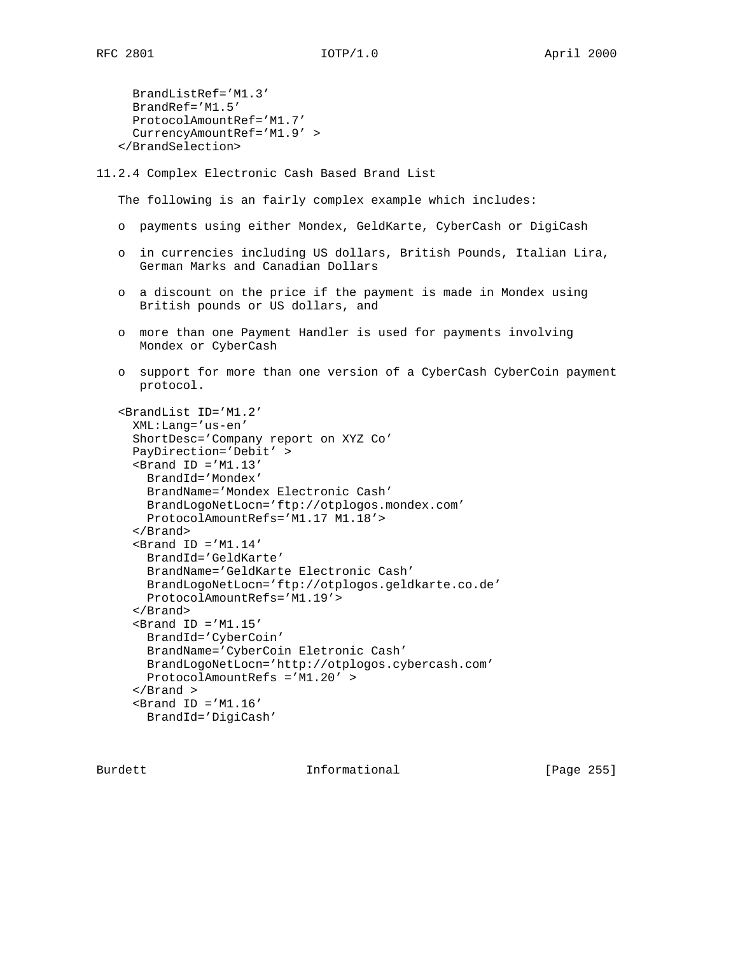```
 BrandListRef='M1.3'
      BrandRef='M1.5'
      ProtocolAmountRef='M1.7'
      CurrencyAmountRef='M1.9' >
    </BrandSelection>
11.2.4 Complex Electronic Cash Based Brand List
```
The following is an fairly complex example which includes:

- o payments using either Mondex, GeldKarte, CyberCash or DigiCash
- o in currencies including US dollars, British Pounds, Italian Lira, German Marks and Canadian Dollars
- o a discount on the price if the payment is made in Mondex using British pounds or US dollars, and
- o more than one Payment Handler is used for payments involving Mondex or CyberCash
- o support for more than one version of a CyberCash CyberCoin payment protocol.

```
 <BrandList ID='M1.2'
   XML:Lang='us-en'
   ShortDesc='Company report on XYZ Co'
   PayDirection='Debit' >
  \epsilonBrand ID ='M1.13'
     BrandId='Mondex'
     BrandName='Mondex Electronic Cash'
     BrandLogoNetLocn='ftp://otplogos.mondex.com'
     ProtocolAmountRefs='M1.17 M1.18'>
   </Brand>
  \epsilonBrand ID ='M1.14'
     BrandId='GeldKarte'
     BrandName='GeldKarte Electronic Cash'
     BrandLogoNetLocn='ftp://otplogos.geldkarte.co.de'
     ProtocolAmountRefs='M1.19'>
   </Brand>
  \epsilonBrand ID ='M1.15'
     BrandId='CyberCoin'
     BrandName='CyberCoin Eletronic Cash'
     BrandLogoNetLocn='http://otplogos.cybercash.com'
     ProtocolAmountRefs ='M1.20' >
   </Brand >
  \epsilonBrand ID ='M1.16'
     BrandId='DigiCash'
```
Burdett **Informational** [Page 255]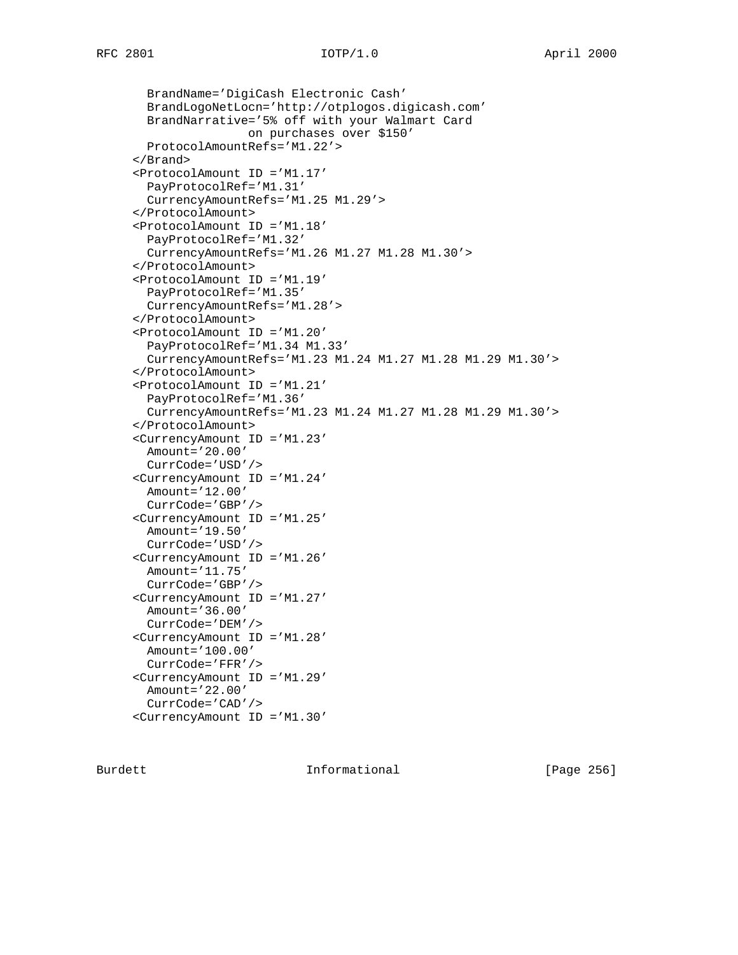BrandName='DigiCash Electronic Cash' BrandLogoNetLocn='http://otplogos.digicash.com' BrandNarrative='5% off with your Walmart Card on purchases over \$150' ProtocolAmountRefs='M1.22'> </Brand> <ProtocolAmount ID ='M1.17' PayProtocolRef='M1.31' CurrencyAmountRefs='M1.25 M1.29'> </ProtocolAmount> <ProtocolAmount ID ='M1.18' PayProtocolRef='M1.32' CurrencyAmountRefs='M1.26 M1.27 M1.28 M1.30'> </ProtocolAmount> <ProtocolAmount ID ='M1.19' PayProtocolRef='M1.35' CurrencyAmountRefs='M1.28'> </ProtocolAmount> <ProtocolAmount ID ='M1.20' PayProtocolRef='M1.34 M1.33' CurrencyAmountRefs='M1.23 M1.24 M1.27 M1.28 M1.29 M1.30'> </ProtocolAmount> <ProtocolAmount ID ='M1.21' PayProtocolRef='M1.36' CurrencyAmountRefs='M1.23 M1.24 M1.27 M1.28 M1.29 M1.30'> </ProtocolAmount> <CurrencyAmount ID ='M1.23' Amount='20.00' CurrCode='USD'/> <CurrencyAmount ID ='M1.24' Amount='12.00' CurrCode='GBP'/> <CurrencyAmount ID ='M1.25' Amount='19.50' CurrCode='USD'/> <CurrencyAmount ID ='M1.26' Amount='11.75' CurrCode='GBP'/> <CurrencyAmount ID ='M1.27' Amount='36.00' CurrCode='DEM'/> <CurrencyAmount ID ='M1.28' Amount='100.00' CurrCode='FFR'/> <CurrencyAmount ID ='M1.29' Amount='22.00' CurrCode='CAD'/> <CurrencyAmount ID ='M1.30'

Burdett 1nformational [Page 256]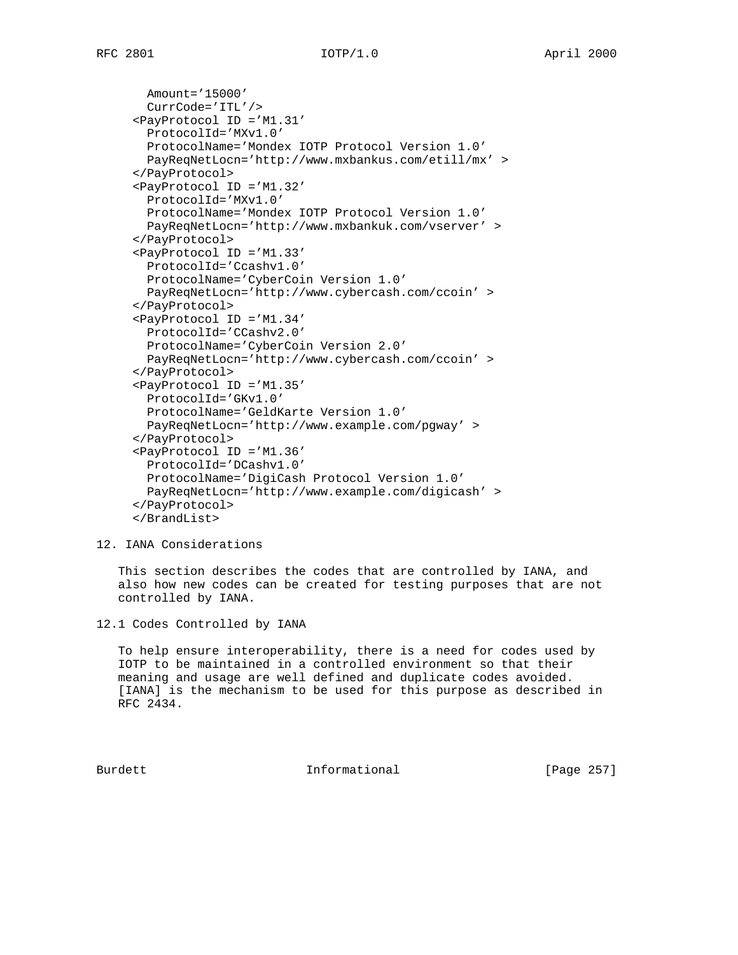```
 Amount='15000'
  CurrCode='ITL'/>
 <PayProtocol ID ='M1.31'
  ProtocolId='MXv1.0'
  ProtocolName='Mondex IOTP Protocol Version 1.0'
  PayReqNetLocn='http://www.mxbankus.com/etill/mx' >
 </PayProtocol>
 <PayProtocol ID ='M1.32'
  ProtocolId='MXv1.0'
  ProtocolName='Mondex IOTP Protocol Version 1.0'
  PayReqNetLocn='http://www.mxbankuk.com/vserver' >
 </PayProtocol>
 <PayProtocol ID ='M1.33'
  ProtocolId='Ccashv1.0'
  ProtocolName='CyberCoin Version 1.0'
  PayReqNetLocn='http://www.cybercash.com/ccoin' >
 </PayProtocol>
 <PayProtocol ID ='M1.34'
  ProtocolId='CCashv2.0'
  ProtocolName='CyberCoin Version 2.0'
  PayReqNetLocn='http://www.cybercash.com/ccoin' >
 </PayProtocol>
 <PayProtocol ID ='M1.35'
  ProtocolId='GKv1.0'
  ProtocolName='GeldKarte Version 1.0'
  PayReqNetLocn='http://www.example.com/pgway' >
 </PayProtocol>
 <PayProtocol ID ='M1.36'
  ProtocolId='DCashv1.0'
  ProtocolName='DigiCash Protocol Version 1.0'
  PayReqNetLocn='http://www.example.com/digicash' >
 </PayProtocol>
 </BrandList>
```
## 12. IANA Considerations

 This section describes the codes that are controlled by IANA, and also how new codes can be created for testing purposes that are not controlled by IANA.

```
12.1 Codes Controlled by IANA
```
 To help ensure interoperability, there is a need for codes used by IOTP to be maintained in a controlled environment so that their meaning and usage are well defined and duplicate codes avoided. [IANA] is the mechanism to be used for this purpose as described in RFC 2434.

Burdett **Informational** [Page 257]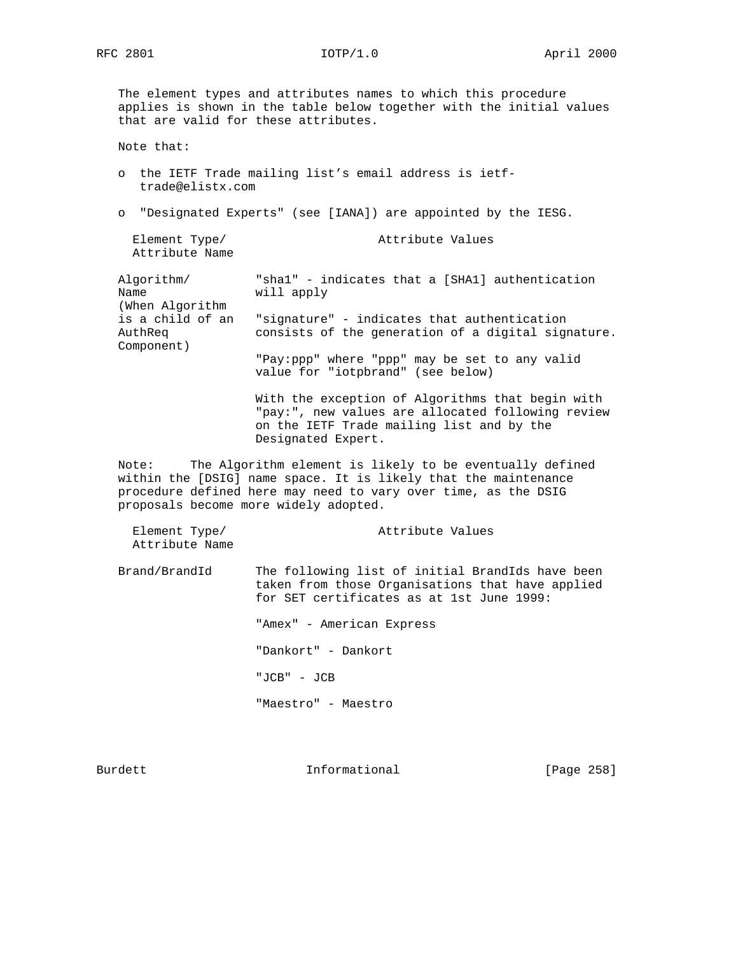The element types and attributes names to which this procedure applies is shown in the table below together with the initial values that are valid for these attributes.

Note that:

- o the IETF Trade mailing list's email address is ietf trade@elistx.com
- o "Designated Experts" (see [IANA]) are appointed by the IESG.

 Element Type/ Attribute Values Attribute Name

 Algorithm/ "sha1" - indicates that a [SHA1] authentication Name will apply (When Algorithm is a child of an "signature" - indicates that authentication AuthReq consists of the generation of a digital signature. Component) "Pay:ppp" where "ppp" may be set to any valid value for "iotpbrand" (see below)

> With the exception of Algorithms that begin with "pay:", new values are allocated following review on the IETF Trade mailing list and by the Designated Expert.

 Note: The Algorithm element is likely to be eventually defined within the [DSIG] name space. It is likely that the maintenance procedure defined here may need to vary over time, as the DSIG proposals become more widely adopted.

Element Type/ attribute Values Attribute Name Brand/BrandId The following list of initial BrandIds have been taken from those Organisations that have applied for SET certificates as at 1st June 1999: "Amex" - American Express "Dankort" - Dankort "JCB" - JCB

"Maestro" - Maestro

Burdett **Informational** [Page 258]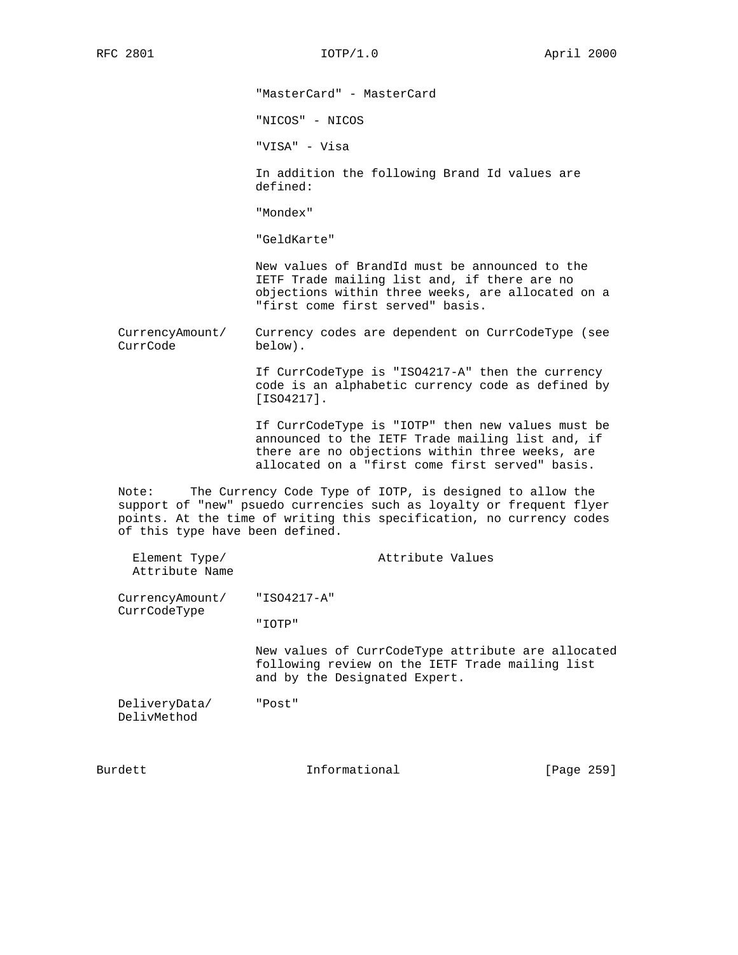"MasterCard" - MasterCard

"NICOS" - NICOS

"VISA" - Visa

 In addition the following Brand Id values are defined:

"Mondex"

"GeldKarte"

 New values of BrandId must be announced to the IETF Trade mailing list and, if there are no objections within three weeks, are allocated on a "first come first served" basis.

 CurrencyAmount/ Currency codes are dependent on CurrCodeType (see CurrCode below).

> If CurrCodeType is "ISO4217-A" then the currency code is an alphabetic currency code as defined by [ISO4217].

> If CurrCodeType is "IOTP" then new values must be announced to the IETF Trade mailing list and, if there are no objections within three weeks, are allocated on a "first come first served" basis.

 Note: The Currency Code Type of IOTP, is designed to allow the support of "new" psuedo currencies such as loyalty or frequent flyer points. At the time of writing this specification, no currency codes of this type have been defined.

 Element Type/ Attribute Values Attribute Name CurrencyAmount/ "ISO4217-A" CurrCodeType "IOTP" New values of CurrCodeType attribute are allocated following review on the IETF Trade mailing list and by the Designated Expert. DeliveryData/ "Post" DelivMethod

Burdett **Informational** [Page 259]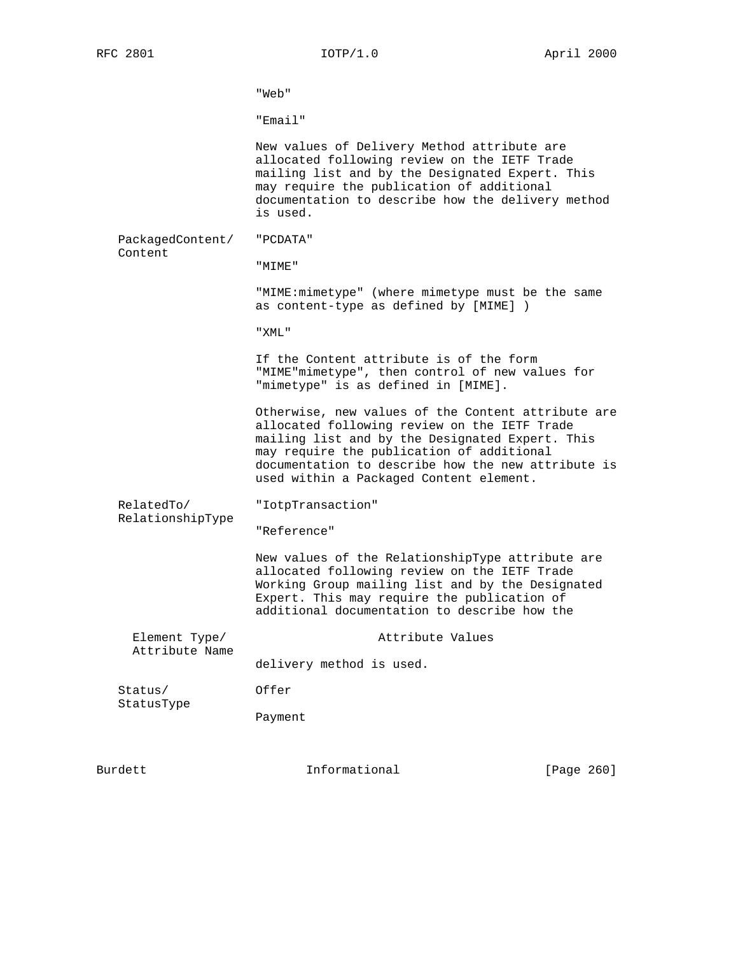|  |                                                               | "Web"                                                                                                                                                                                                                                                                                               |
|--|---------------------------------------------------------------|-----------------------------------------------------------------------------------------------------------------------------------------------------------------------------------------------------------------------------------------------------------------------------------------------------|
|  | PackagedContent/<br>Content<br>RelatedTo/<br>RelationshipType | "Email"                                                                                                                                                                                                                                                                                             |
|  |                                                               | New values of Delivery Method attribute are<br>allocated following review on the IETF Trade<br>mailing list and by the Designated Expert. This<br>may require the publication of additional<br>documentation to describe how the delivery method<br>is used.                                        |
|  |                                                               | " PCDATA"                                                                                                                                                                                                                                                                                           |
|  |                                                               | "MIME"                                                                                                                                                                                                                                                                                              |
|  |                                                               | "MIME:mimetype" (where mimetype must be the same<br>as content-type as defined by [MIME] )                                                                                                                                                                                                          |
|  |                                                               | " XML "                                                                                                                                                                                                                                                                                             |
|  |                                                               | If the Content attribute is of the form<br>"MIME"mimetype", then control of new values for<br>"mimetype" is as defined in [MIME].                                                                                                                                                                   |
|  |                                                               | Otherwise, new values of the Content attribute are<br>allocated following review on the IETF Trade<br>mailing list and by the Designated Expert. This<br>may require the publication of additional<br>documentation to describe how the new attribute is<br>used within a Packaged Content element. |
|  |                                                               | "IotpTransaction"                                                                                                                                                                                                                                                                                   |
|  |                                                               | "Reference"                                                                                                                                                                                                                                                                                         |
|  |                                                               | New values of the RelationshipType attribute are<br>allocated following review on the IETF Trade<br>Working Group mailing list and by the Designated<br>Expert. This may require the publication of<br>additional documentation to describe how the                                                 |
|  | Element Type/<br>Attribute Name                               | Attribute Values                                                                                                                                                                                                                                                                                    |
|  |                                                               | delivery method is used.                                                                                                                                                                                                                                                                            |
|  | Status/<br>StatusType                                         | Offer                                                                                                                                                                                                                                                                                               |
|  |                                                               | Payment                                                                                                                                                                                                                                                                                             |
|  |                                                               |                                                                                                                                                                                                                                                                                                     |

Burdett **Informational Informational** [Page 260]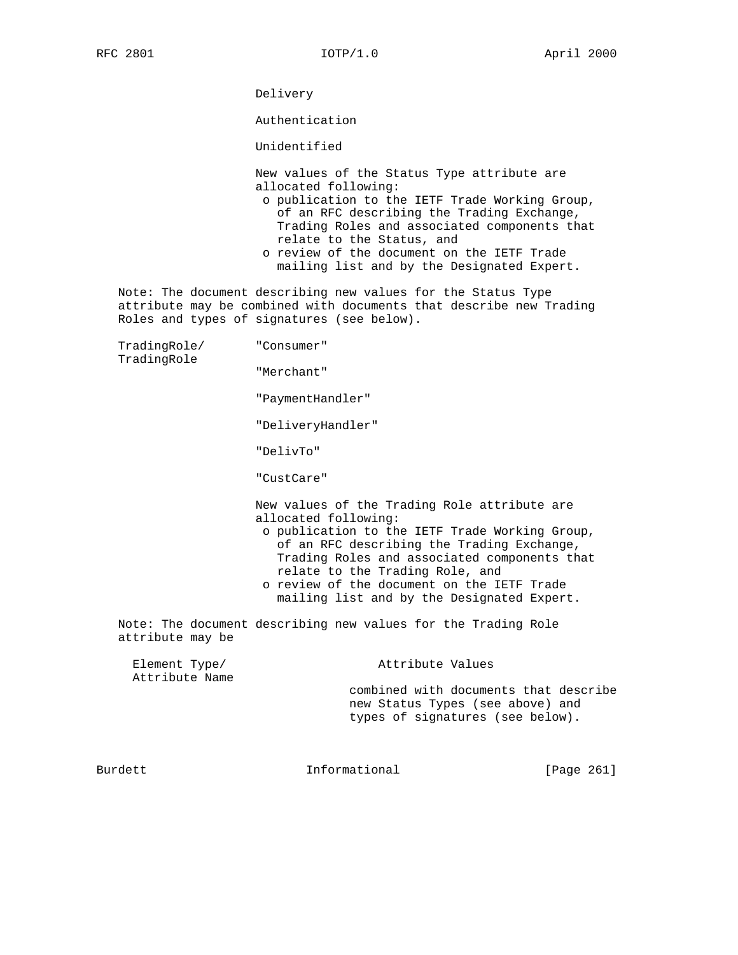Delivery

Authentication

Unidentified

 New values of the Status Type attribute are allocated following: o publication to the IETF Trade Working Group, of an RFC describing the Trading Exchange, Trading Roles and associated components that relate to the Status, and o review of the document on the IETF Trade

mailing list and by the Designated Expert.

 Note: The document describing new values for the Status Type attribute may be combined with documents that describe new Trading Roles and types of signatures (see below).

TradingRole/ "Consumer"

TradingRole

"Merchant"

"PaymentHandler"

"DeliveryHandler"

"DelivTo"

"CustCare"

 New values of the Trading Role attribute are allocated following:

- o publication to the IETF Trade Working Group, of an RFC describing the Trading Exchange, Trading Roles and associated components that relate to the Trading Role, and o review of the document on the IETF Trade
	- mailing list and by the Designated Expert.

 Note: The document describing new values for the Trading Role attribute may be

 Element Type/ Attribute Values Attribute Name combined with documents that describe new Status Types (see above) and types of signatures (see below).

Burdett **Informational** [Page 261]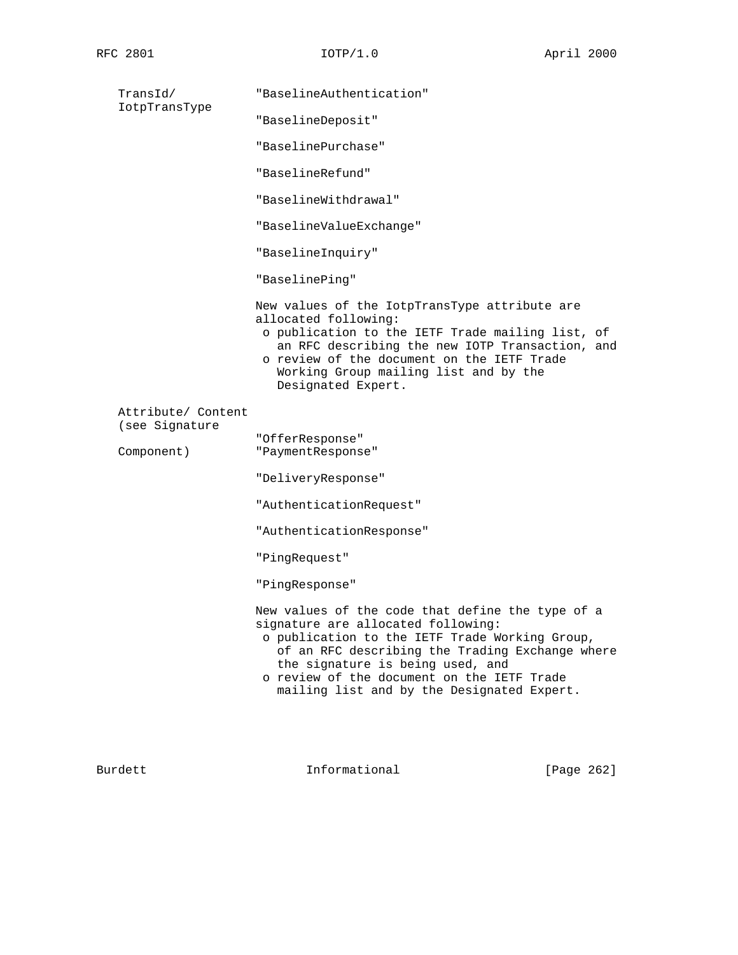|  | TransId/<br>IotpTransType            | "BaselineAuthentication"                                                                                                                                                                                                                                                                                                    |  |
|--|--------------------------------------|-----------------------------------------------------------------------------------------------------------------------------------------------------------------------------------------------------------------------------------------------------------------------------------------------------------------------------|--|
|  |                                      | "BaselineDeposit"                                                                                                                                                                                                                                                                                                           |  |
|  |                                      | "BaselinePurchase"                                                                                                                                                                                                                                                                                                          |  |
|  |                                      | "BaselineRefund"                                                                                                                                                                                                                                                                                                            |  |
|  |                                      | "BaselineWithdrawal"                                                                                                                                                                                                                                                                                                        |  |
|  |                                      | "BaselineValueExchange"                                                                                                                                                                                                                                                                                                     |  |
|  |                                      | "BaselineInquiry"                                                                                                                                                                                                                                                                                                           |  |
|  |                                      | "BaselinePing"                                                                                                                                                                                                                                                                                                              |  |
|  |                                      | New values of the IotpTransType attribute are<br>allocated following:<br>o publication to the IETF Trade mailing list, of<br>an RFC describing the new IOTP Transaction, and<br>o review of the document on the IETF Trade<br>Working Group mailing list and by the<br>Designated Expert.                                   |  |
|  | Attribute/ Content<br>(see Signature |                                                                                                                                                                                                                                                                                                                             |  |
|  | Component)                           | "OfferResponse"<br>"PaymentResponse"                                                                                                                                                                                                                                                                                        |  |
|  |                                      | "DeliveryResponse"                                                                                                                                                                                                                                                                                                          |  |
|  |                                      | "AuthenticationRequest"                                                                                                                                                                                                                                                                                                     |  |
|  |                                      | "AuthenticationResponse"                                                                                                                                                                                                                                                                                                    |  |
|  |                                      | "PingRequest"                                                                                                                                                                                                                                                                                                               |  |
|  |                                      | "PingResponse"                                                                                                                                                                                                                                                                                                              |  |
|  |                                      | New values of the code that define the type of a<br>signature are allocated following:<br>o publication to the IETF Trade Working Group,<br>of an RFC describing the Trading Exchange where<br>the signature is being used, and<br>o review of the document on the IETF Trade<br>mailing list and by the Designated Expert. |  |

Burdett **Informational Informational** [Page 262]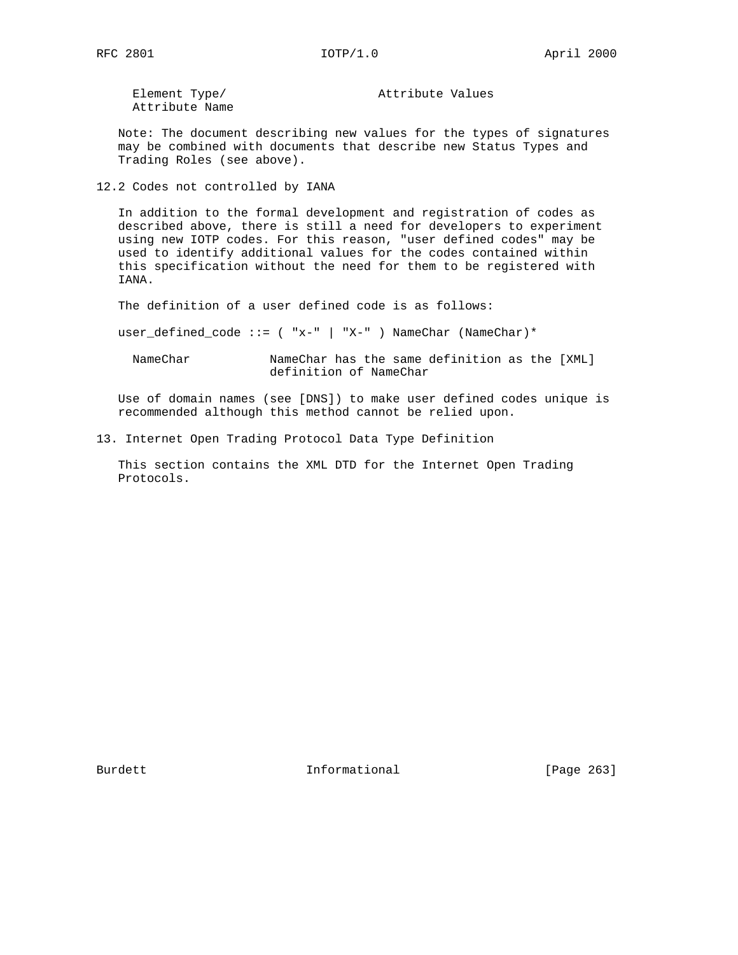Attribute Name

Element Type/ Attribute Values

 Note: The document describing new values for the types of signatures may be combined with documents that describe new Status Types and Trading Roles (see above).

12.2 Codes not controlled by IANA

 In addition to the formal development and registration of codes as described above, there is still a need for developers to experiment using new IOTP codes. For this reason, "user defined codes" may be used to identify additional values for the codes contained within this specification without the need for them to be registered with IANA.

The definition of a user defined code is as follows:

user\_defined\_code ::= ( "x-" | "X-" ) NameChar (NameChar)\*

 NameChar NameChar has the same definition as the [XML] definition of NameChar

 Use of domain names (see [DNS]) to make user defined codes unique is recommended although this method cannot be relied upon.

13. Internet Open Trading Protocol Data Type Definition

 This section contains the XML DTD for the Internet Open Trading Protocols.

Burdett **Informational** [Page 263]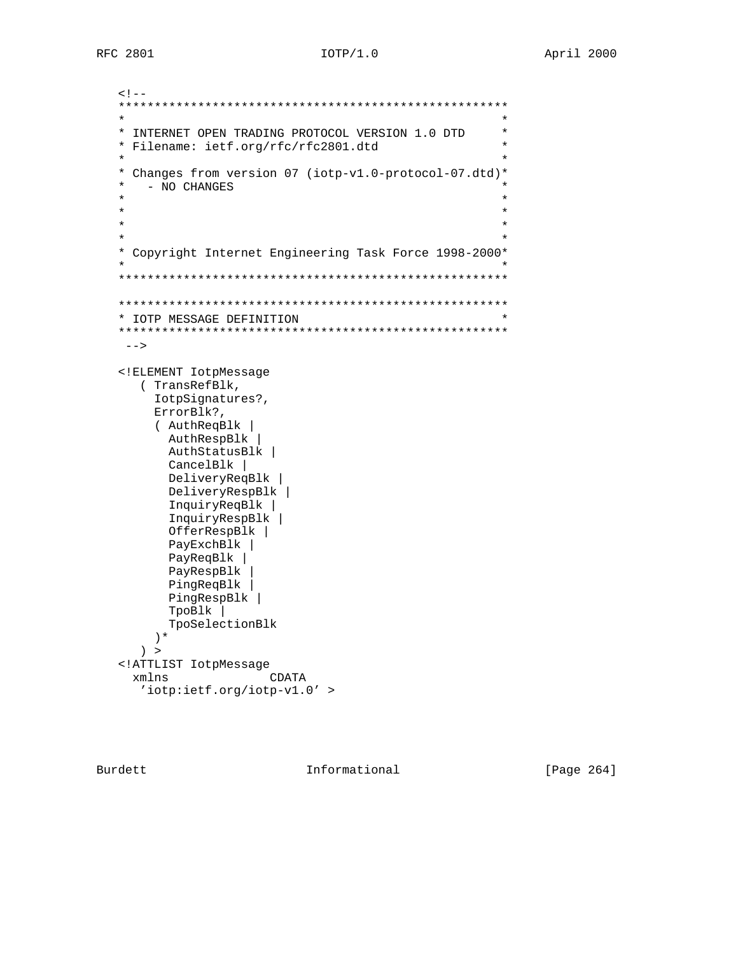$$  \*\*\*\*\*\*\*\*\*\*\*\*\*\*\*\*\*\*\*\*\*\*\*\*\*\*\*\*\*\*\*\*\*\*\*\*\*\*\*\*\*\*\*\*\*\*\*\*\*\*\*\*\*\*  $\star$  \* \* INTERNET OPEN TRADING PROTOCOL VERSION 1.0 DTD \* \* Filename: ietf.org/rfc/rfc2801.dtd \*  $\star$  \* \* Changes from version 07 (iotp-v1.0-protocol-07.dtd)\* \* - NO CHANGES \*  $\star$  \*  $\star$  \*  $\star$  \*  $\star$  \* \* Copyright Internet Engineering Task Force 1998-2000\*  $\star$  \* \*\*\*\*\*\*\*\*\*\*\*\*\*\*\*\*\*\*\*\*\*\*\*\*\*\*\*\*\*\*\*\*\*\*\*\*\*\*\*\*\*\*\*\*\*\*\*\*\*\*\*\*\*\* \*\*\*\*\*\*\*\*\*\*\*\*\*\*\*\*\*\*\*\*\*\*\*\*\*\*\*\*\*\*\*\*\*\*\*\*\*\*\*\*\*\*\*\*\*\*\*\*\*\*\*\*\*\* \* IOTP MESSAGE DEFINITION \* \*\*\*\*\*\*\*\*\*\*\*\*\*\*\*\*\*\*\*\*\*\*\*\*\*\*\*\*\*\*\*\*\*\*\*\*\*\*\*\*\*\*\*\*\*\*\*\*\*\*\*\*\*\* --> <!ELEMENT IotpMessage ( TransRefBlk, IotpSignatures?, ErrorBlk?, ( AuthReqBlk | AuthRespBlk | AuthStatusBlk | CancelBlk | DeliveryReqBlk | DeliveryRespBlk | InquiryReqBlk | InquiryRespBlk | OfferRespBlk | PayExchBlk | PayReqBlk | PayRespBlk | PingReqBlk | PingRespBlk | TpoBlk | TpoSelectionBlk )\* ) > <!ATTLIST IotpMessage xmlns CDATA 'iotp:ietf.org/iotp-v1.0' >

Burdett 1nformational [Page 264]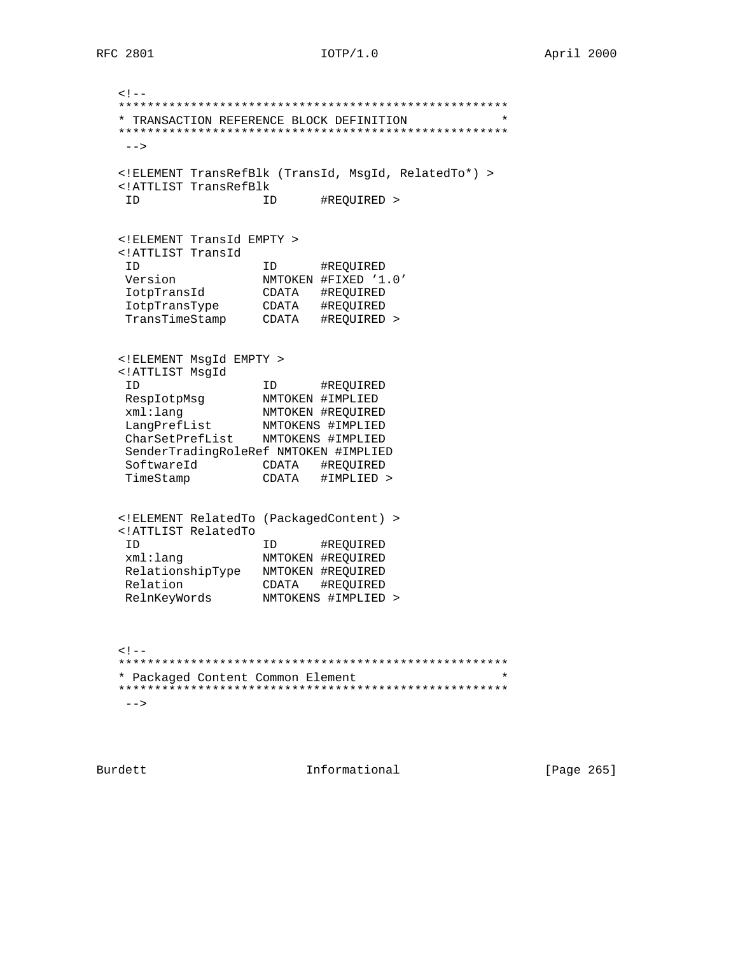$$  \*\*\*\*\*\*\*\*\*\*\*\*\*\*\*\*\*\*\*\*\*\*\*\*\*\*\*\*\*\*\*\*\*\*\*\*\*\*\*\*\*\*\*\*\*\*\*\*\*\*\*\*\*\* \* TRANSACTION REFERENCE BLOCK DEFINITION \* \*\*\*\*\*\*\*\*\*\*\*\*\*\*\*\*\*\*\*\*\*\*\*\*\*\*\*\*\*\*\*\*\*\*\*\*\*\*\*\*\*\*\*\*\*\*\*\*\*\*\*\*\*\*  $--&>$  <!ELEMENT TransRefBlk (TransId, MsgId, RelatedTo\*) > <!ATTLIST TransRefBlk ID ID #REQUIRED > <!ELEMENT TransId EMPTY > <!ATTLIST TransId ID ID #REQUIRED Version MMTOKEN #FIXED '1.0' IotpTransId CDATA #REQUIRED IotpTransType CDATA #REQUIRED TransTimeStamp CDATA #REQUIRED > <!ELEMENT MsgId EMPTY > <!ATTLIST MsgId ID ID #REQUIRED RespIotpMsg NMTOKEN #IMPLIED xml:lang NMTOKEN #REQUIRED LangPrefList NMTOKENS #IMPLIED CharSetPrefList NMTOKENS #IMPLIED SenderTradingRoleRef NMTOKEN #IMPLIED SoftwareId CDATA #REQUIRED TimeStamp CDATA #IMPLIED > <!ELEMENT RelatedTo (PackagedContent) > <!ATTLIST RelatedTo ID ID #REQUIRED xml:lang NMTOKEN #REQUIRED RelationshipType NMTOKEN #REQUIRED Relation CDATA #REQUIRED RelnKeyWords NMTOKENS #IMPLIED >  $< ! - -$  \*\*\*\*\*\*\*\*\*\*\*\*\*\*\*\*\*\*\*\*\*\*\*\*\*\*\*\*\*\*\*\*\*\*\*\*\*\*\*\*\*\*\*\*\*\*\*\*\*\*\*\*\*\* \* Packaged Content Common Element \* \*\*\*\*\*\*\*\*\*\*\*\*\*\*\*\*\*\*\*\*\*\*\*\*\*\*\*\*\*\*\*\*\*\*\*\*\*\*\*\*\*\*\*\*\*\*\*\*\*\*\*\*\*\*

 $--->$ 

Burdett **Informational** [Page 265]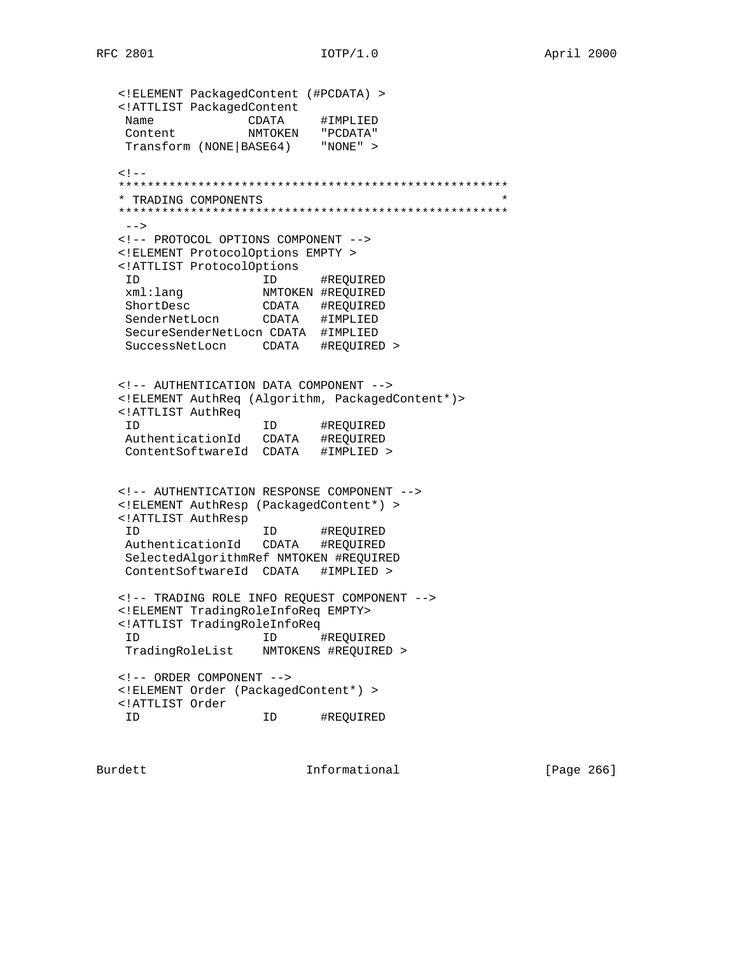<!ELEMENT PackagedContent (#PCDATA) > <!ATTLIST PackagedContent Name CDATA #IMPLIED Content NMTOKEN "PCDATA" Transform (NONE|BASE64) "NONE" >  $$  \*\*\*\*\*\*\*\*\*\*\*\*\*\*\*\*\*\*\*\*\*\*\*\*\*\*\*\*\*\*\*\*\*\*\*\*\*\*\*\*\*\*\*\*\*\*\*\*\*\*\*\*\*\* \* TRADING COMPONENTS \* \*\*\*\*\*\*\*\*\*\*\*\*\*\*\*\*\*\*\*\*\*\*\*\*\*\*\*\*\*\*\*\*\*\*\*\*\*\*\*\*\*\*\*\*\*\*\*\*\*\*\*\*\*\*  $--&>$  <!-- PROTOCOL OPTIONS COMPONENT --> <!ELEMENT ProtocolOptions EMPTY > <!ATTLIST ProtocolOptions ID #REQUIRED<br>xml:lang MMTOKEN #REQUIRED xml:lang NMTOKEN #REQUIRED ShortDesc CDATA #REQUIRED SenderNetLocn CDATA #IMPLIED SecureSenderNetLocn CDATA #IMPLIED SuccessNetLocn CDATA #REQUIRED > <!-- AUTHENTICATION DATA COMPONENT --> <!ELEMENT AuthReq (Algorithm, PackagedContent\*)> <!ATTLIST AuthReq ID ID #REQUIRED AuthenticationId CDATA #REQUIRED ContentSoftwareId CDATA #IMPLIED > <!-- AUTHENTICATION RESPONSE COMPONENT --> <!ELEMENT AuthResp (PackagedContent\*) > <!ATTLIST AuthResp ID ID #REQUIRED AuthenticationId CDATA #REQUIRED SelectedAlgorithmRef NMTOKEN #REQUIRED ContentSoftwareId CDATA #IMPLIED > <!-- TRADING ROLE INFO REQUEST COMPONENT --> <!ELEMENT TradingRoleInfoReq EMPTY> <!ATTLIST TradingRoleInfoReq ID ID #REQUIRED TradingRoleList NMTOKENS #REQUIRED > <!-- ORDER COMPONENT --> <!ELEMENT Order (PackagedContent\*) > <!ATTLIST Order ID ID #REQUIRED

Burdett **Informational Informational** [Page 266]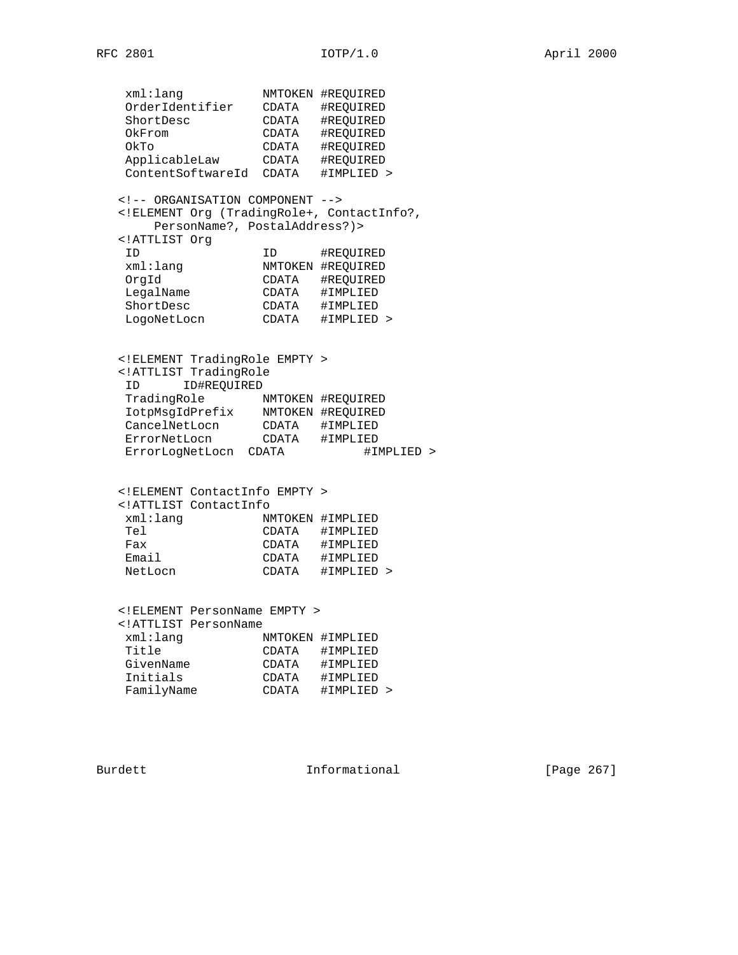xml:lang NMTOKEN #REQUIRED OrderIdentifier CDATA #REQUIRED ShortDesc CDATA #REQUIRED OkFrom CDATA #REQUIRED OkTo CDATA #REQUIRED ApplicableLaw CDATA #REQUIRED ContentSoftwareId CDATA #IMPLIED > <!-- ORGANISATION COMPONENT --> <!ELEMENT Org (TradingRole+, ContactInfo?, PersonName?, PostalAddress?)> <!ATTLIST Org ID ID #REQUIRED xml:lang NMTOKEN #REQUIRED OrgId CDATA #REQUIRED LegalName CDATA #IMPLIED ShortDesc CDATA #IMPLIED LogoNetLocn CDATA #IMPLIED > <!ELEMENT TradingRole EMPTY > <!ATTLIST TradingRole ID ID#REQUIRED TradingRole NMTOKEN #REQUIRED IotpMsgIdPrefix NMTOKEN #REQUIRED CancelNetLocn CDATA #IMPLIED ErrorNetLocn CDATA #IMPLIED ErrorLogNetLocn CDATA #IMPLIED > <!ELEMENT ContactInfo EMPTY > <!ATTLIST ContactInfo xml:lang NMTOKEN #IMPLIED Tel CDATA #IMPLIED Fax CDATA #IMPLIED Email CDATA #IMPLIED NetLocn CDATA #IMPLIED > <!ELEMENT PersonName EMPTY > <!ATTLIST PersonName xml:lang NMTOKEN #IMPLIED Title CDATA #IMPLIED GivenName CDATA #IMPLIED Initials CDATA #IMPLIED FamilyName CDATA #IMPLIED >

Burdett **Informational** [Page 267]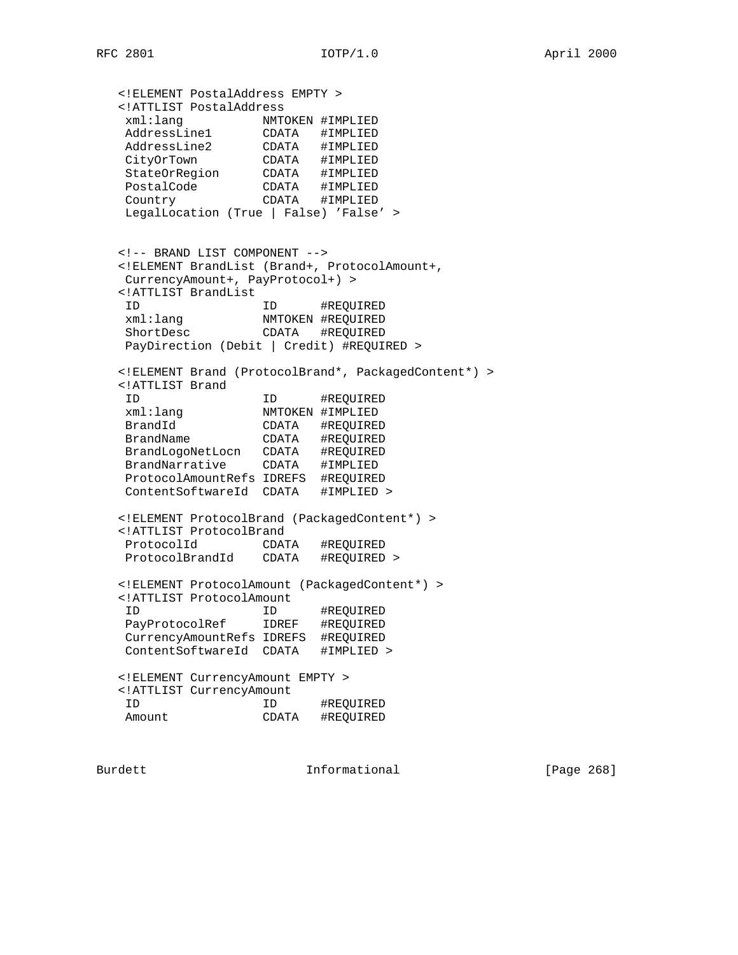<!ELEMENT PostalAddress EMPTY > <!ATTLIST PostalAddress xml:lang NMTOKEN #IMPLIED AddressLine1 CDATA #IMPLIED AddressLine2 CDATA #IMPLIED CityOrTown CDATA #IMPLIED StateOrRegion CDATA #IMPLIED PostalCode CDATA #IMPLIED Country CDATA #IMPLIED LegalLocation (True | False) 'False' > <!-- BRAND LIST COMPONENT --> <!ELEMENT BrandList (Brand+, ProtocolAmount+, CurrencyAmount+, PayProtocol+) > <!ATTLIST BrandList ID ID #REQUIRED xml:lang NMTOKEN #REQUIRED ShortDesc CDATA #REQUIRED PayDirection (Debit | Credit) #REQUIRED > <!ELEMENT Brand (ProtocolBrand\*, PackagedContent\*) > <!ATTLIST Brand ID ID #REQUIRED xml:lang NMTOKEN #IMPLIED BrandId CDATA #REQUIRED BrandName CDATA #REQUIRED BrandLogoNetLocn CDATA #REQUIRED BrandNarrative CDATA #IMPLIED ProtocolAmountRefs IDREFS #REQUIRED ContentSoftwareId CDATA #IMPLIED > <!ELEMENT ProtocolBrand (PackagedContent\*) > <!ATTLIST ProtocolBrand ProtocolId CDATA #REQUIRED ProtocolBrandId CDATA #REQUIRED > <!ELEMENT ProtocolAmount (PackagedContent\*) > <!ATTLIST ProtocolAmount ID ID #REQUIRED PayProtocolRef IDREF #REQUIRED CurrencyAmountRefs IDREFS #REQUIRED ContentSoftwareId CDATA #IMPLIED > <!ELEMENT CurrencyAmount EMPTY > <!ATTLIST CurrencyAmount ID ID #REQUIRED Amount CDATA #REQUIRED

Burdett **Informational Informational** [Page 268]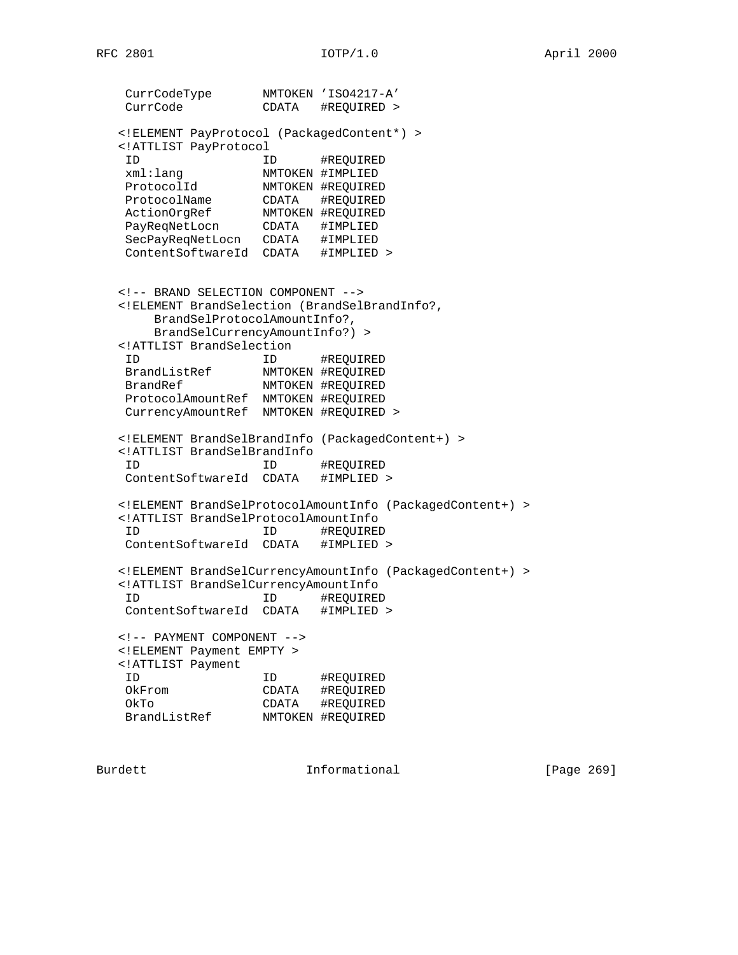CurrCodeType NMTOKEN 'ISO4217-A' CurrCode CDATA #REQUIRED > <!ELEMENT PayProtocol (PackagedContent\*) > <!ATTLIST PayProtocol ID ID #REQUIRED xml:lang NMTOKEN #IMPLIED ProtocolId NMTOKEN #REQUIRED ProtocolName CDATA #REQUIRED ActionOrgRef NMTOKEN #REQUIRED PayReqNetLocn CDATA #IMPLIED SecPayReqNetLocn CDATA #IMPLIED ContentSoftwareId CDATA #IMPLIED > <!-- BRAND SELECTION COMPONENT --> <!ELEMENT BrandSelection (BrandSelBrandInfo?, BrandSelProtocolAmountInfo?, BrandSelCurrencyAmountInfo?) > <!ATTLIST BrandSelection ID ID #REQUIRED BrandListRef NMTOKEN #REQUIRED BrandRef NMTOKEN #REQUIRED ProtocolAmountRef NMTOKEN #REQUIRED CurrencyAmountRef NMTOKEN #REQUIRED > <!ELEMENT BrandSelBrandInfo (PackagedContent+) > <!ATTLIST BrandSelBrandInfo ID ID #REQUIRED ContentSoftwareId CDATA #IMPLIED > <!ELEMENT BrandSelProtocolAmountInfo (PackagedContent+) > <!ATTLIST BrandSelProtocolAmountInfo ID ID #REQUIRED ContentSoftwareId CDATA #IMPLIED > <!ELEMENT BrandSelCurrencyAmountInfo (PackagedContent+) > <!ATTLIST BrandSelCurrencyAmountInfo ID ID #REQUIRED ContentSoftwareId CDATA #IMPLIED > <!-- PAYMENT COMPONENT --> <!ELEMENT Payment EMPTY > <!ATTLIST Payment ID ID #REQUIRED OkFrom CDATA #REQUIRED OkTo CDATA #REQUIRED EXITO CONTRETTING CONTRETTING THREQUIRED

Burdett **Informational Informational** [Page 269]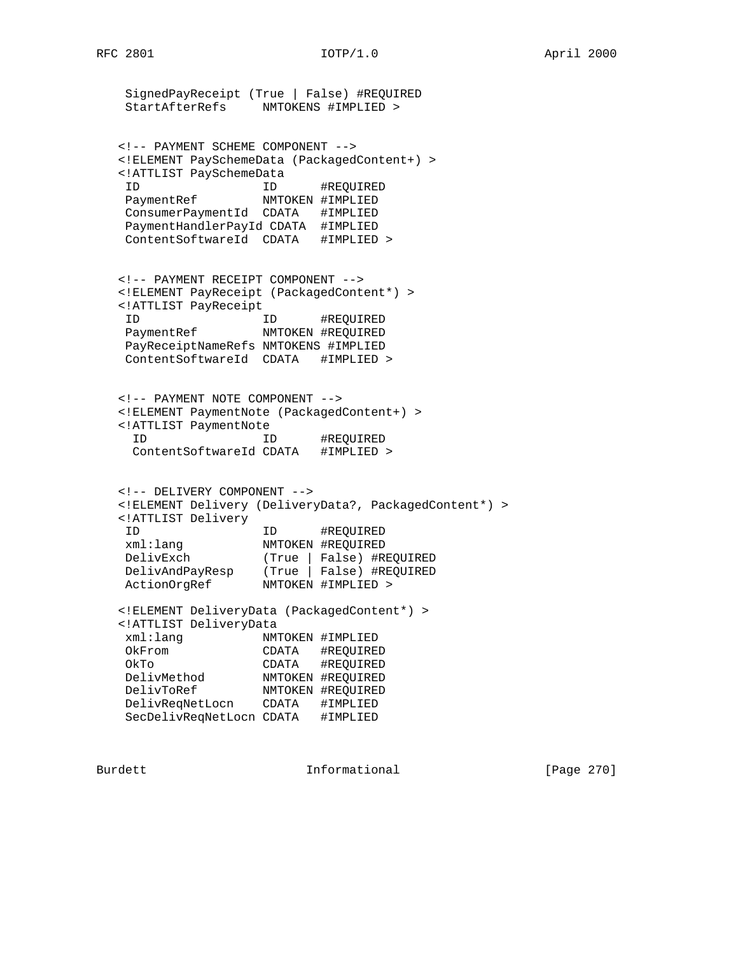SignedPayReceipt (True | False) #REQUIRED StartAfterRefs NMTOKENS #IMPLIED > <!-- PAYMENT SCHEME COMPONENT --> <!ELEMENT PaySchemeData (PackagedContent+) > <!ATTLIST PaySchemeData ID ID #REQUIRED PaymentRef NMTOKEN #IMPLIED ConsumerPaymentId CDATA #IMPLIED PaymentHandlerPayId CDATA #IMPLIED ContentSoftwareId CDATA #IMPLIED > <!-- PAYMENT RECEIPT COMPONENT --> <!ELEMENT PayReceipt (PackagedContent\*) > <!ATTLIST PayReceipt ID ID #REQUIRED PaymentRef NMTOKEN #REQUIRED PayReceiptNameRefs NMTOKENS #IMPLIED ContentSoftwareId CDATA #IMPLIED > <!-- PAYMENT NOTE COMPONENT --> <!ELEMENT PaymentNote (PackagedContent+) > <!ATTLIST PaymentNote ID ID #REQUIRED ContentSoftwareId CDATA #IMPLIED > <!-- DELIVERY COMPONENT --> <!ELEMENT Delivery (DeliveryData?, PackagedContent\*) > <!ATTLIST Delivery ID ID #REQUIRED xml:lang NMTOKEN #REQUIRED DelivExch (True | False) #REQUIRED DelivAndPayResp (True | False) #REQUIRED ActionOrgRef NMTOKEN #IMPLIED > <!ELEMENT DeliveryData (PackagedContent\*) > <!ATTLIST DeliveryData xml:lang NMTOKEN #IMPLIED OkFrom CDATA #REQUIRED OkTo CDATA #REQUIRED DelivMethod NMTOKEN #REQUIRED DelivToRef NMTOKEN #REQUIRED DelivReqNetLocn CDATA #IMPLIED SecDelivReqNetLocn CDATA #IMPLIED

Burdett **Informational Informational** [Page 270]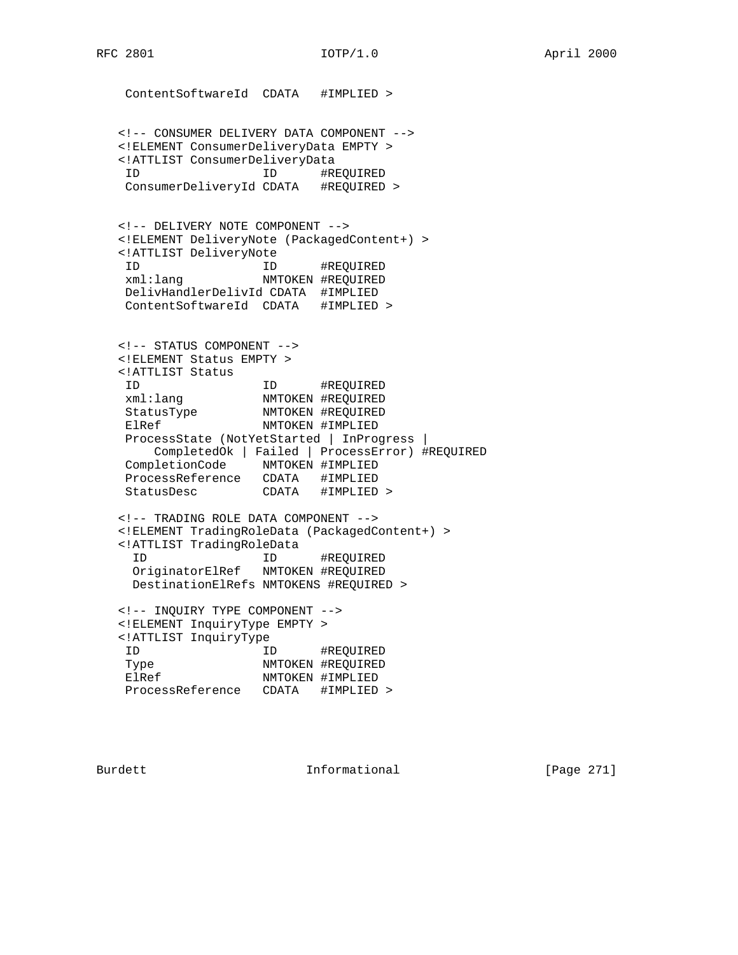ContentSoftwareId CDATA #IMPLIED > <!-- CONSUMER DELIVERY DATA COMPONENT --> <!ELEMENT ConsumerDeliveryData EMPTY > <!ATTLIST ConsumerDeliveryData ID ID #REQUIRED ConsumerDeliveryId CDATA #REQUIRED > <!-- DELIVERY NOTE COMPONENT --> <!ELEMENT DeliveryNote (PackagedContent+) > <!ATTLIST DeliveryNote ID ID #REQUIRED xml:lang NMTOKEN #REQUIRED DelivHandlerDelivId CDATA #IMPLIED ContentSoftwareId CDATA #IMPLIED > <!-- STATUS COMPONENT --> <!ELEMENT Status EMPTY > <!ATTLIST Status ID ID #REQUIRED xml:lang NMTOKEN #REQUIRED StatusType NMTOKEN #REQUIRED ElRef NMTOKEN #IMPLIED ProcessState (NotYetStarted | InProgress | CompletedOk | Failed | ProcessError) #REQUIRED CompletionCode NMTOKEN #IMPLIED ProcessReference CDATA #IMPLIED StatusDesc CDATA #IMPLIED > <!-- TRADING ROLE DATA COMPONENT --> <!ELEMENT TradingRoleData (PackagedContent+) > <!ATTLIST TradingRoleData ID ID #REQUIRED OriginatorElRef NMTOKEN #REQUIRED DestinationElRefs NMTOKENS #REQUIRED > <!-- INQUIRY TYPE COMPONENT --> <!ELEMENT InquiryType EMPTY > <!ATTLIST InquiryType ID ID #REQUIRED Type NMTOKEN #REQUIRED ElRef NMTOKEN #IMPLIED ProcessReference CDATA #IMPLIED >

Burdett **Informational** [Page 271]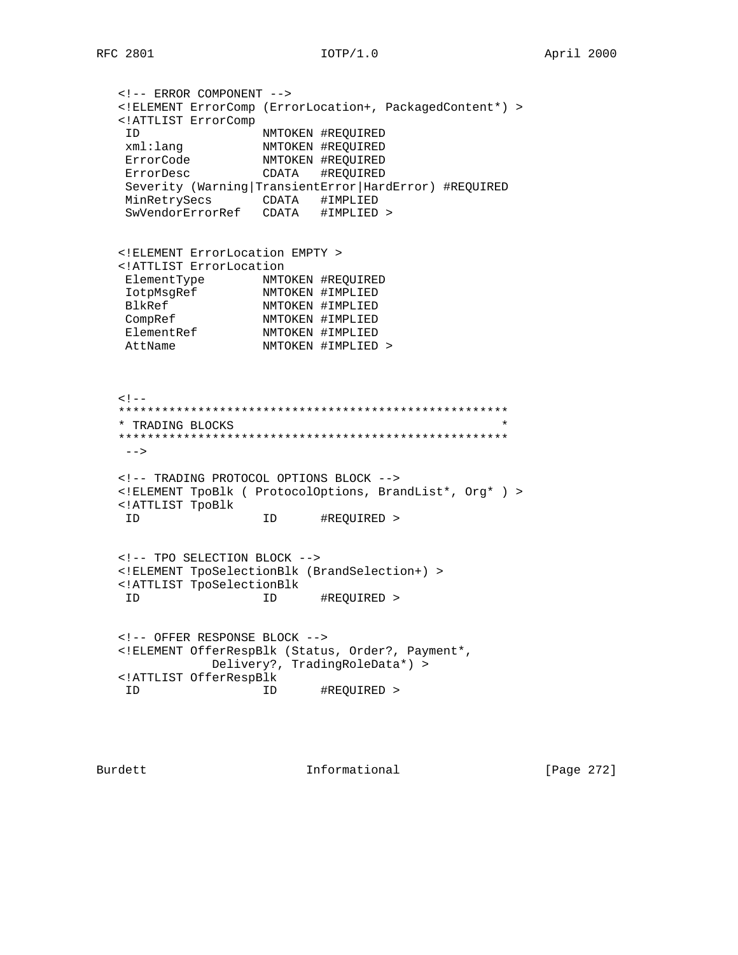<!-- ERROR COMPONENT --> <!ELEMENT ErrorComp (ErrorLocation+, PackagedContent\*) > <!ATTLIST ErrorComp ID NMTOKEN #REQUIRED xml:lang NMTOKEN #REQUIRED ErrorCode NMTOKEN #REQUIRED ErrorDesc CDATA #REQUIRED Severity (Warning|TransientError|HardError) #REQUIRED MinRetrySecs CDATA #IMPLIED SwVendorErrorRef CDATA #IMPLIED > <!ELEMENT ErrorLocation EMPTY > <!ATTLIST ErrorLocation ElementType NMTOKEN #REQUIRED IotpMsgRef NMTOKEN #IMPLIED BlkRef NMTOKEN #IMPLIED CompRef NMTOKEN #IMPLIED ElementRef NMTOKEN #IMPLIED AttName NMTOKEN #IMPLIED >  $< ! - - 1$  \*\*\*\*\*\*\*\*\*\*\*\*\*\*\*\*\*\*\*\*\*\*\*\*\*\*\*\*\*\*\*\*\*\*\*\*\*\*\*\*\*\*\*\*\*\*\*\*\*\*\*\*\*\* \* TRADING BLOCKS \* \*\*\*\*\*\*\*\*\*\*\*\*\*\*\*\*\*\*\*\*\*\*\*\*\*\*\*\*\*\*\*\*\*\*\*\*\*\*\*\*\*\*\*\*\*\*\*\*\*\*\*\*\*\*  $--&>$  <!-- TRADING PROTOCOL OPTIONS BLOCK --> <!ELEMENT TpoBlk ( ProtocolOptions, BrandList\*, Org\* ) > <!ATTLIST TpoBlk ID ID #REQUIRED > <!-- TPO SELECTION BLOCK --> <!ELEMENT TpoSelectionBlk (BrandSelection+) > <!ATTLIST TpoSelectionBlk ID ID #REQUIRED > <!-- OFFER RESPONSE BLOCK --> <!ELEMENT OfferRespBlk (Status, Order?, Payment\*, Delivery?, TradingRoleData\*) > <!ATTLIST OfferRespBlk ID ID #REQUIRED >

Burdett Informational [Page 272]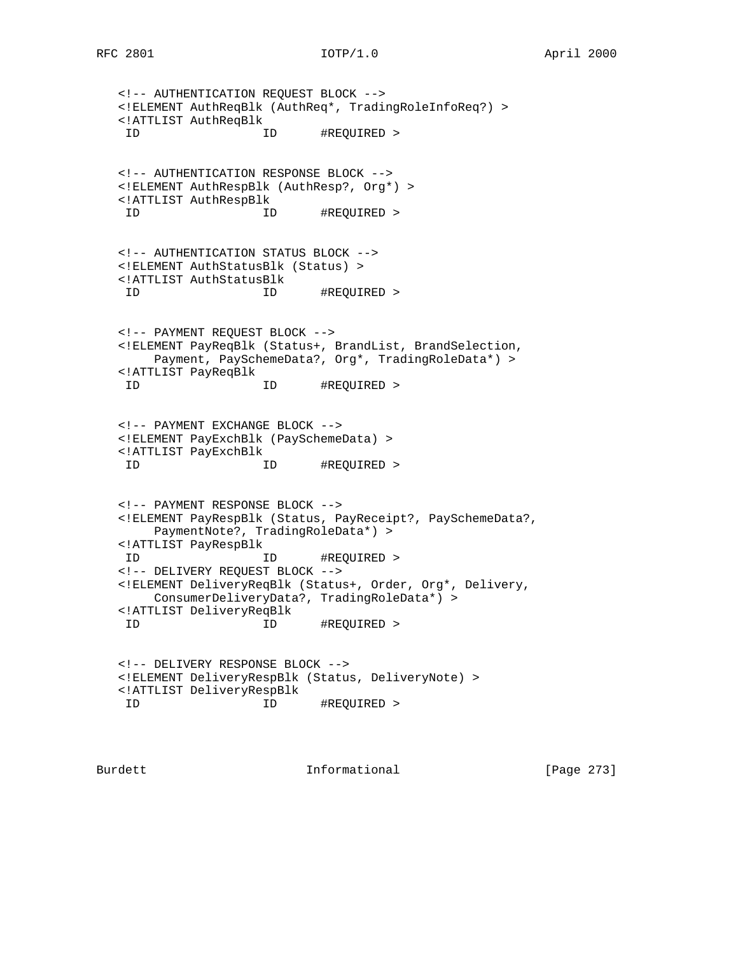<!-- AUTHENTICATION REQUEST BLOCK --> <!ELEMENT AuthReqBlk (AuthReq\*, TradingRoleInfoReq?) > <!ATTLIST AuthReqBlk ID ID #REQUIRED > <!-- AUTHENTICATION RESPONSE BLOCK --> <!ELEMENT AuthRespBlk (AuthResp?, Org\*) > <!ATTLIST AuthRespBlk ID ID #REQUIRED > <!-- AUTHENTICATION STATUS BLOCK --> <!ELEMENT AuthStatusBlk (Status) > <!ATTLIST AuthStatusBlk ID ID #REQUIRED > <!-- PAYMENT REQUEST BLOCK --> <!ELEMENT PayReqBlk (Status+, BrandList, BrandSelection, Payment, PaySchemeData?, Org\*, TradingRoleData\*) > <!ATTLIST PayReqBlk ID ID #REQUIRED > <!-- PAYMENT EXCHANGE BLOCK --> <!ELEMENT PayExchBlk (PaySchemeData) > <!ATTLIST PayExchBlk ID ID #REQUIRED > <!-- PAYMENT RESPONSE BLOCK --> <!ELEMENT PayRespBlk (Status, PayReceipt?, PaySchemeData?, PaymentNote?, TradingRoleData\*) > <!ATTLIST PayRespBlk ID ID #REQUIRED > <!-- DELIVERY REQUEST BLOCK --> <!ELEMENT DeliveryReqBlk (Status+, Order, Org\*, Delivery, ConsumerDeliveryData?, TradingRoleData\*) > <!ATTLIST DeliveryReqBlk ID ID #REQUIRED > <!-- DELIVERY RESPONSE BLOCK --> <!ELEMENT DeliveryRespBlk (Status, DeliveryNote) > <!ATTLIST DeliveryRespBlk ID ID #REQUIRED >

Burdett Informational [Page 273]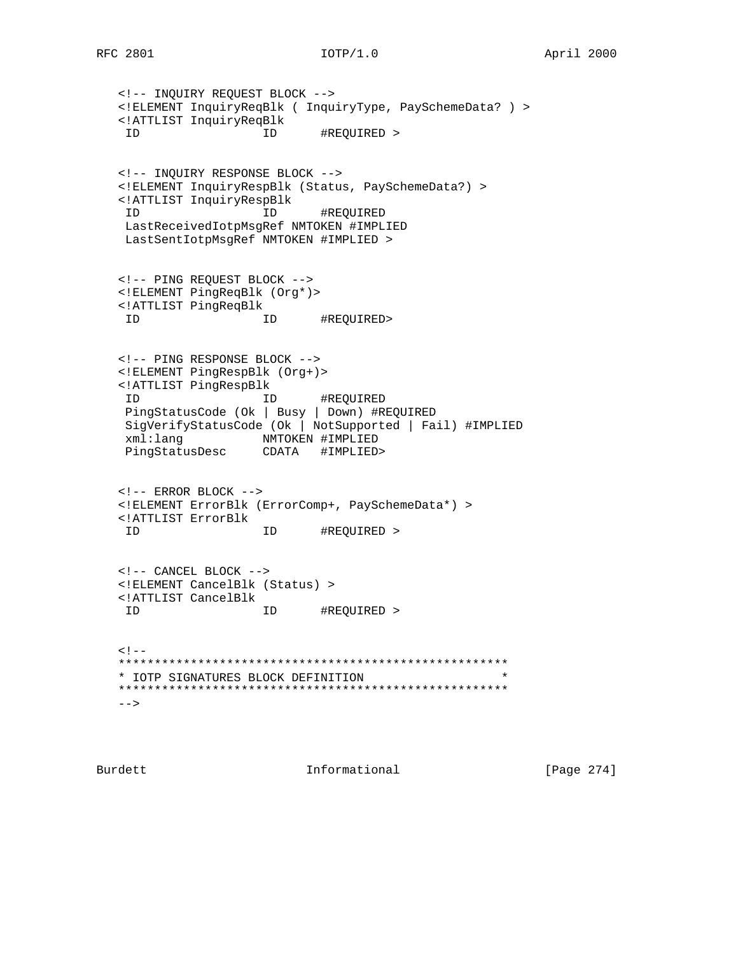<!-- INQUIRY REQUEST BLOCK --> <!ELEMENT InquiryReqBlk ( InquiryType, PaySchemeData? ) > <!ATTLIST InquiryReqBlk ID #REQUIRED > <!-- INQUIRY RESPONSE BLOCK --> <!ELEMENT InquiryRespBlk (Status, PaySchemeData?) > <!ATTLIST InquiryRespBlk ID ID #REQUIRED LastReceivedIotpMsgRef NMTOKEN #IMPLIED LastSentIotpMsgRef NMTOKEN #IMPLIED > <!-- PING REQUEST BLOCK --> <!ELEMENT PingReqBlk (Org\*)> <!ATTLIST PingReqBlk ID ID #REQUIRED> <!-- PING RESPONSE BLOCK --> <!ELEMENT PingRespBlk (Org+)> <!ATTLIST PingRespBlk ID ID #REQUIRED PingStatusCode (Ok | Busy | Down) #REQUIRED SigVerifyStatusCode (Ok | NotSupported | Fail) #IMPLIED xml:lang NMTOKEN #IMPLIED PingStatusDesc CDATA #IMPLIED> <!-- ERROR BLOCK --> <!ELEMENT ErrorBlk (ErrorComp+, PaySchemeData\*) > <!ATTLIST ErrorBlk ID ID #REQUIRED > <!-- CANCEL BLOCK --> <!ELEMENT CancelBlk (Status) > <!ATTLIST CancelBlk ID ID #REQUIRED >  $<$ !  $-$  \*\*\*\*\*\*\*\*\*\*\*\*\*\*\*\*\*\*\*\*\*\*\*\*\*\*\*\*\*\*\*\*\*\*\*\*\*\*\*\*\*\*\*\*\*\*\*\*\*\*\*\*\*\* \* IOTP SIGNATURES BLOCK DEFINITION \* \*\*\*\*\*\*\*\*\*\*\*\*\*\*\*\*\*\*\*\*\*\*\*\*\*\*\*\*\*\*\*\*\*\*\*\*\*\*\*\*\*\*\*\*\*\*\*\*\*\*\*\*\*\* -->

Burdett **Informational** [Page 274]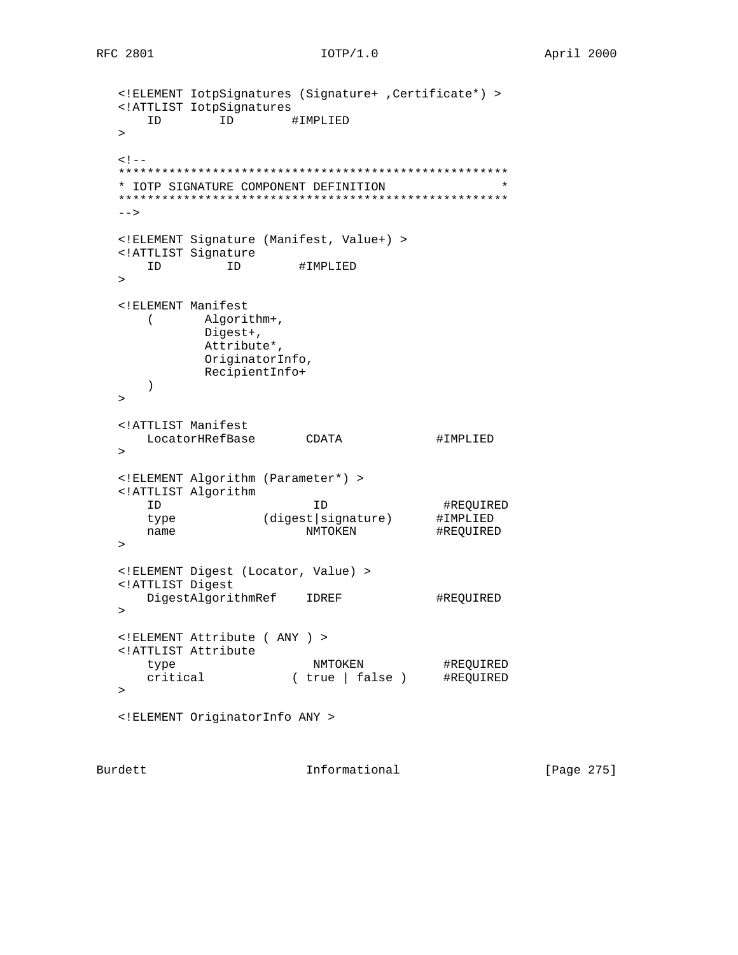```
 <!ELEMENT IotpSignatures (Signature+ ,Certificate*) >
   <!ATTLIST IotpSignatures
      ID ID #IMPLIED
  \geq< ! - - 1 ******************************************************
   * IOTP SIGNATURE COMPONENT DEFINITION *
   ******************************************************
  --&> <!ELEMENT Signature (Manifest, Value+) >
   <!ATTLIST Signature
     ID ID #IMPLIED
  \geq <!ELEMENT Manifest
    ( Algorithm+,
            Digest+,
            Attribute*,
            OriginatorInfo,
            RecipientInfo+
    \left( \begin{array}{c} \end{array} \right)\geq <!ATTLIST Manifest
      LocatorHRefBase CDATA #IMPLIED
   >
   <!ELEMENT Algorithm (Parameter*) >
   <!ATTLIST Algorithm
 ID ID #REQUIRED
 type (digest|signature) #IMPLIED
name NMTOKEN #REQUIRED
  \geq <!ELEMENT Digest (Locator, Value) >
   <!ATTLIST Digest
     DigestAlgorithmRef IDREF #REQUIRED
   >
   <!ELEMENT Attribute ( ANY ) >
   <!ATTLIST Attribute
type NMTOKEN +REQUIRED
 critical ( true | false ) #REQUIRED
  \geq <!ELEMENT OriginatorInfo ANY >
```
Burdett **Informational** [Page 275]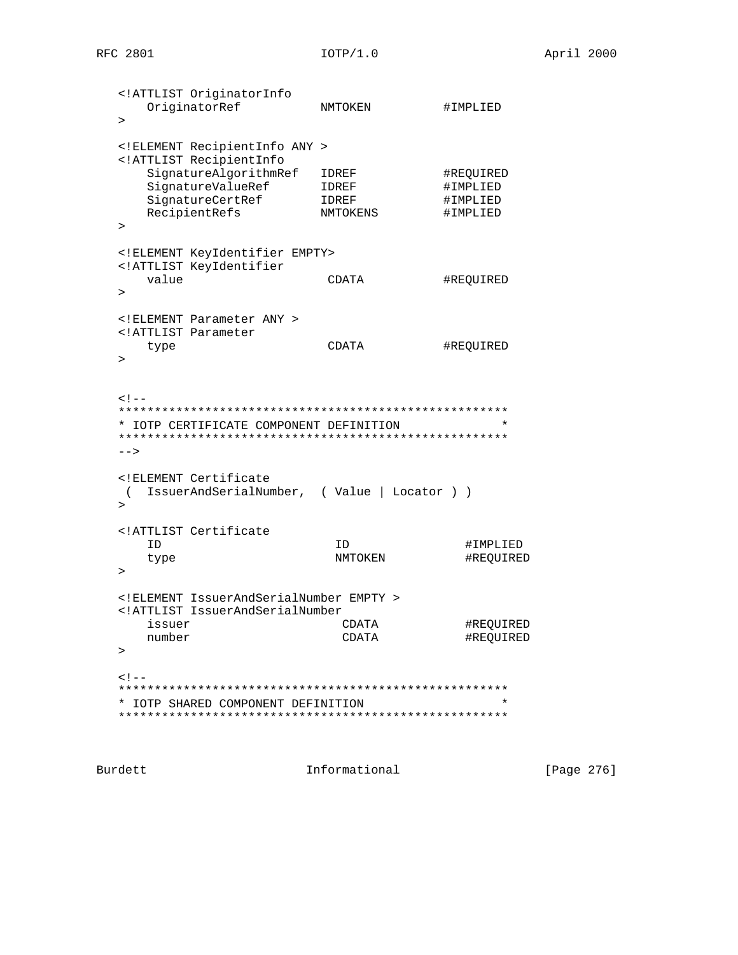<!ATTLIST OriginatorInfo OriginatorRef NMTOKEN #IMPLIED  $\mathbf{r}$  <!ELEMENT RecipientInfo ANY > <!ATTLIST RecipientInfo SignatureAlgorithmRef IDREF #REQUIRED SignatureValueRef IDREF #IMPLIED SignatureCertRef IDREF #IMPLIED RecipientRefs NMTOKENS #IMPLIED > <!ELEMENT KeyIdentifier EMPTY> <!ATTLIST KeyIdentifier value CDATA #REQUIRED  $\geq$  <!ELEMENT Parameter ANY > <!ATTLIST Parameter type CDATA #REQUIRED  $\rightarrow$  $1 -$  \*\*\*\*\*\*\*\*\*\*\*\*\*\*\*\*\*\*\*\*\*\*\*\*\*\*\*\*\*\*\*\*\*\*\*\*\*\*\*\*\*\*\*\*\*\*\*\*\*\*\*\*\*\* \* IOTP CERTIFICATE COMPONENT DEFINITION \* \*\*\*\*\*\*\*\*\*\*\*\*\*\*\*\*\*\*\*\*\*\*\*\*\*\*\*\*\*\*\*\*\*\*\*\*\*\*\*\*\*\*\*\*\*\*\*\*\*\*\*\*\*\*  $--&>$  <!ELEMENT Certificate ( IssuerAndSerialNumber, ( Value | Locator ) )  $>$  <!ATTLIST Certificate ID ID #IMPLIED type NMTOKEN #REQUIRED  $\geq$  <!ELEMENT IssuerAndSerialNumber EMPTY > <!ATTLIST IssuerAndSerialNumber issuer CDATA #REQUIRED number CDATA #REQUIRED  $\geq$  $\lt$ ! -- \*\*\*\*\*\*\*\*\*\*\*\*\*\*\*\*\*\*\*\*\*\*\*\*\*\*\*\*\*\*\*\*\*\*\*\*\*\*\*\*\*\*\*\*\*\*\*\*\*\*\*\*\*\* \* IOTP SHARED COMPONENT DEFINITION \* \*\*\*\*\*\*\*\*\*\*\*\*\*\*\*\*\*\*\*\*\*\*\*\*\*\*\*\*\*\*\*\*\*\*\*\*\*\*\*\*\*\*\*\*\*\*\*\*\*\*\*\*\*\*

Burdett **Informational** [Page 276]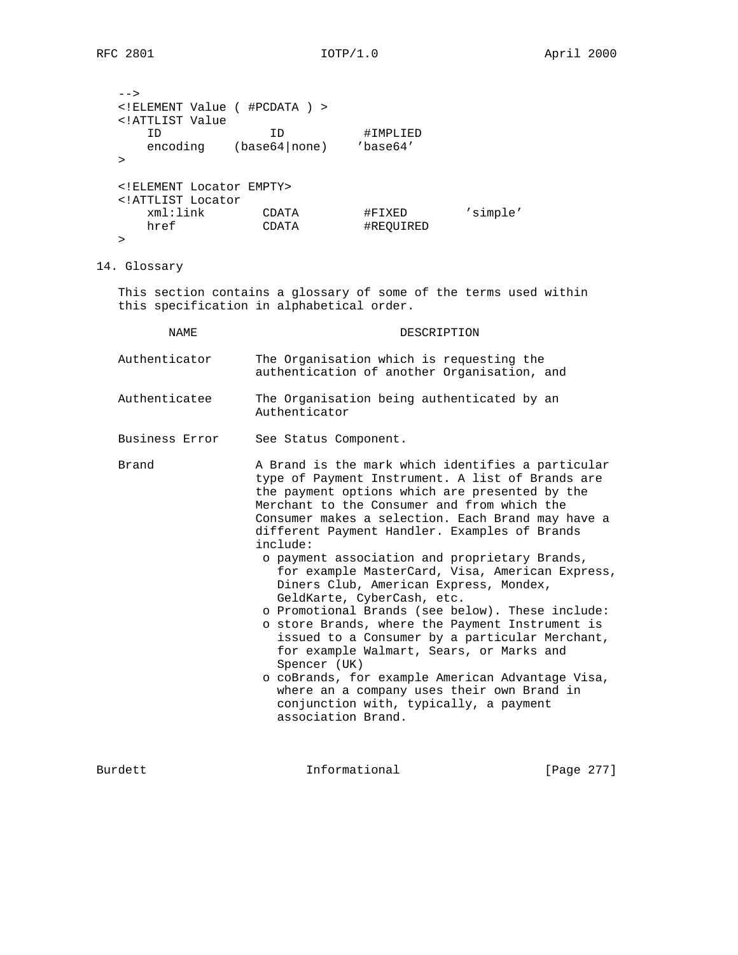| -->                                               |               |                |          |
|---------------------------------------------------|---------------|----------------|----------|
| ELEMENT Value ( #PCDATA )                         |               |                |          |
| ATTLIST Value</td <td></td> <td></td> <td></td>   |               |                |          |
| TD                                                | ΙD            | #IMPLIED       |          |
| encoding                                          | (base64 none) | $'$ base $64'$ |          |
| >                                                 |               |                |          |
|                                                   |               |                |          |
| ELEMENT Locator EMPTY                             |               |                |          |
| ATTLIST Locator</td <td></td> <td></td> <td></td> |               |                |          |
| xml:link                                          | CDATA         | #FIXED         | 'simple' |
| href                                              | CDATA         | #REOUIRED      |          |
|                                                   |               |                |          |

# 14. Glossary

 This section contains a glossary of some of the terms used within this specification in alphabetical order.

| <b>NAME</b>    | DESCRIPTION                                                                                                                                                                                                                                                                                                                                                                                                                                                                                                                                                                                                                                                                                                                                                                                                                                                                                 |
|----------------|---------------------------------------------------------------------------------------------------------------------------------------------------------------------------------------------------------------------------------------------------------------------------------------------------------------------------------------------------------------------------------------------------------------------------------------------------------------------------------------------------------------------------------------------------------------------------------------------------------------------------------------------------------------------------------------------------------------------------------------------------------------------------------------------------------------------------------------------------------------------------------------------|
| Authenticator  | The Organisation which is requesting the<br>authentication of another Organisation, and                                                                                                                                                                                                                                                                                                                                                                                                                                                                                                                                                                                                                                                                                                                                                                                                     |
| Authenticatee  | The Organisation being authenticated by an<br>Authenticator                                                                                                                                                                                                                                                                                                                                                                                                                                                                                                                                                                                                                                                                                                                                                                                                                                 |
| Business Error | See Status Component.                                                                                                                                                                                                                                                                                                                                                                                                                                                                                                                                                                                                                                                                                                                                                                                                                                                                       |
| Brand          | A Brand is the mark which identifies a particular<br>type of Payment Instrument. A list of Brands are<br>the payment options which are presented by the<br>Merchant to the Consumer and from which the<br>Consumer makes a selection. Each Brand may have a<br>different Payment Handler. Examples of Brands<br>include:<br>o payment association and proprietary Brands,<br>for example MasterCard, Visa, American Express,<br>Diners Club, American Express, Mondex,<br>GeldKarte, CyberCash, etc.<br>o Promotional Brands (see below). These include:<br>o store Brands, where the Payment Instrument is<br>issued to a Consumer by a particular Merchant,<br>for example Walmart, Sears, or Marks and<br>Spencer (UK)<br>o coBrands, for example American Advantage Visa,<br>where an a company uses their own Brand in<br>conjunction with, typically, a payment<br>association Brand. |

Burdett **Informational** [Page 277]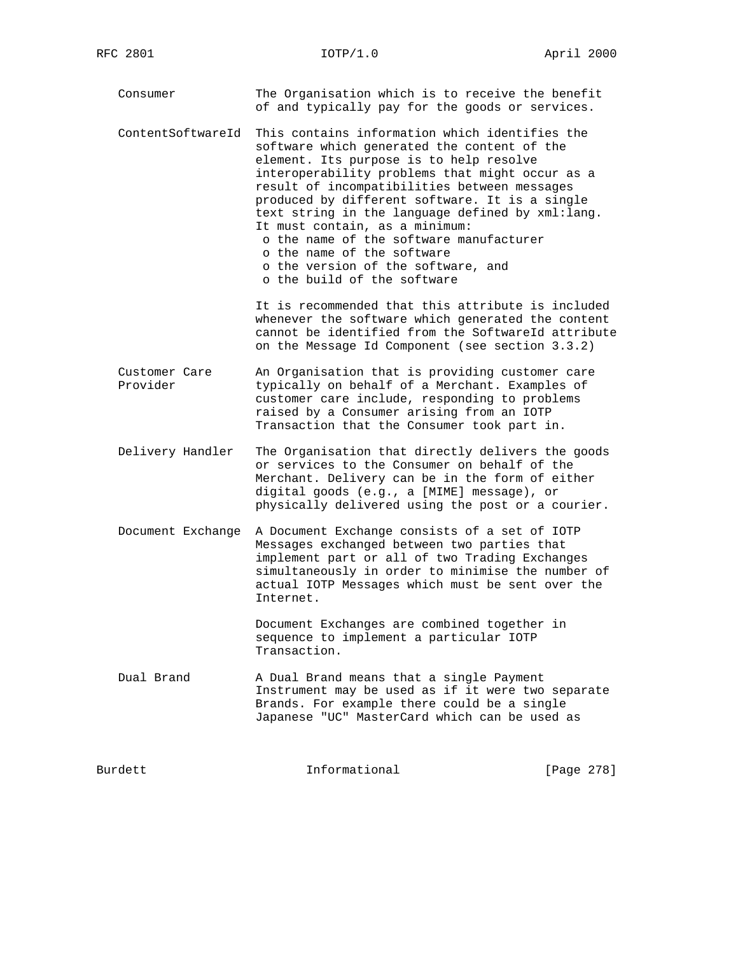Consumer The Organisation which is to receive the benefit of and typically pay for the goods or services.

 ContentSoftwareId This contains information which identifies the software which generated the content of the element. Its purpose is to help resolve interoperability problems that might occur as a result of incompatibilities between messages produced by different software. It is a single text string in the language defined by xml:lang. It must contain, as a minimum: o the name of the software manufacturer o the name of the software o the version of the software, and o the build of the software

> It is recommended that this attribute is included whenever the software which generated the content cannot be identified from the SoftwareId attribute on the Message Id Component (see section 3.3.2)

- Customer Care An Organisation that is providing customer care Provider typically on behalf of a Merchant. Examples of customer care include, responding to problems raised by a Consumer arising from an IOTP Transaction that the Consumer took part in.
- Delivery Handler The Organisation that directly delivers the goods or services to the Consumer on behalf of the Merchant. Delivery can be in the form of either digital goods (e.g., a [MIME] message), or physically delivered using the post or a courier.
- Document Exchange A Document Exchange consists of a set of IOTP Messages exchanged between two parties that implement part or all of two Trading Exchanges simultaneously in order to minimise the number of actual IOTP Messages which must be sent over the Internet.

 Document Exchanges are combined together in sequence to implement a particular IOTP Transaction.

 Dual Brand A Dual Brand means that a single Payment Instrument may be used as if it were two separate Brands. For example there could be a single Japanese "UC" MasterCard which can be used as

| Burdett | Informational | [Page 278] |  |
|---------|---------------|------------|--|
|         |               |            |  |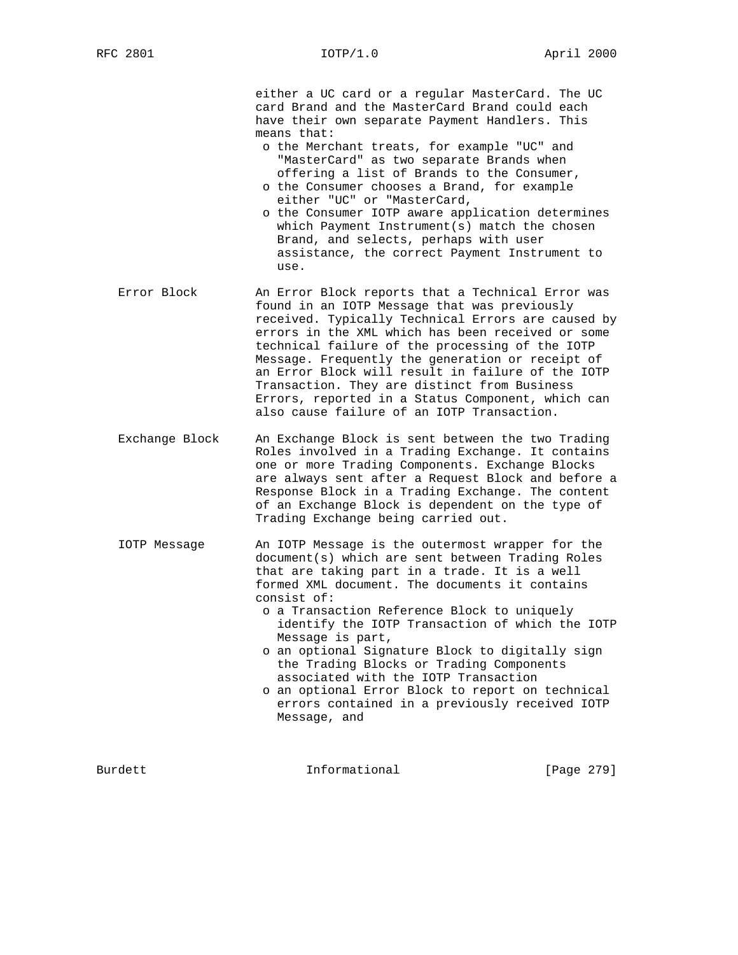either a UC card or a regular MasterCard. The UC card Brand and the MasterCard Brand could each have their own separate Payment Handlers. This means that:

- o the Merchant treats, for example "UC" and "MasterCard" as two separate Brands when offering a list of Brands to the Consumer,
- o the Consumer chooses a Brand, for example either "UC" or "MasterCard,
- o the Consumer IOTP aware application determines which Payment Instrument(s) match the chosen Brand, and selects, perhaps with user assistance, the correct Payment Instrument to use.
- Error Block An Error Block reports that a Technical Error was found in an IOTP Message that was previously received. Typically Technical Errors are caused by errors in the XML which has been received or some technical failure of the processing of the IOTP Message. Frequently the generation or receipt of an Error Block will result in failure of the IOTP Transaction. They are distinct from Business Errors, reported in a Status Component, which can also cause failure of an IOTP Transaction.
- Exchange Block An Exchange Block is sent between the two Trading Roles involved in a Trading Exchange. It contains one or more Trading Components. Exchange Blocks are always sent after a Request Block and before a Response Block in a Trading Exchange. The content of an Exchange Block is dependent on the type of Trading Exchange being carried out.
- IOTP Message An IOTP Message is the outermost wrapper for the document(s) which are sent between Trading Roles that are taking part in a trade. It is a well formed XML document. The documents it contains consist of:
	- o a Transaction Reference Block to uniquely identify the IOTP Transaction of which the IOTP Message is part,
	- o an optional Signature Block to digitally sign the Trading Blocks or Trading Components associated with the IOTP Transaction
	- o an optional Error Block to report on technical errors contained in a previously received IOTP Message, and

Burdett **Informational Informational** [Page 279]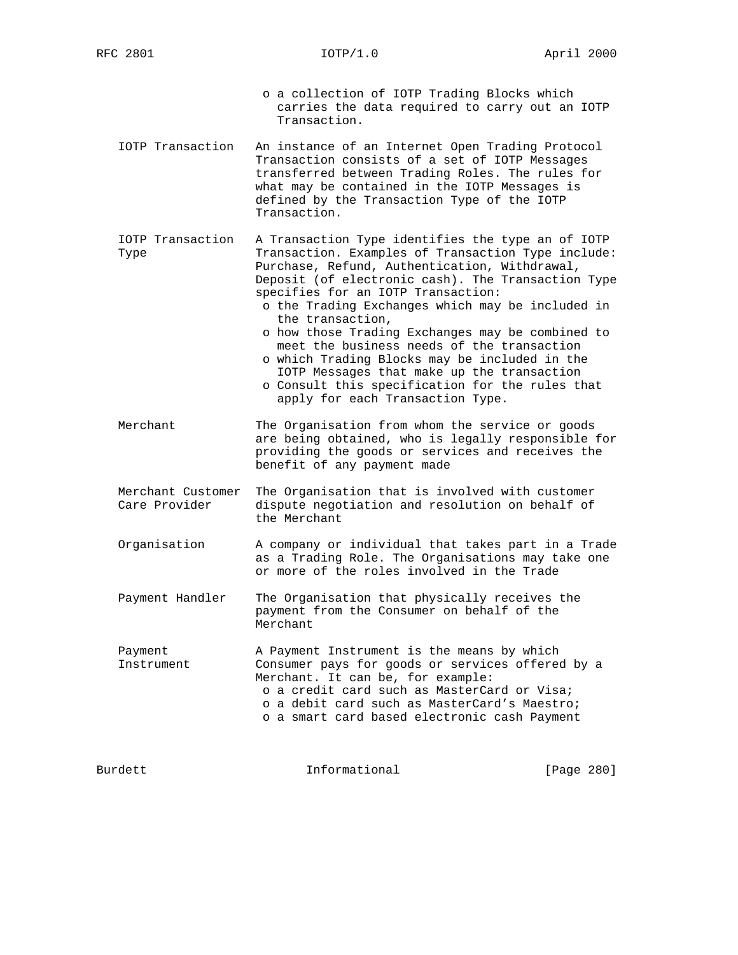- o a collection of IOTP Trading Blocks which carries the data required to carry out an IOTP Transaction.
- IOTP Transaction An instance of an Internet Open Trading Protocol Transaction consists of a set of IOTP Messages transferred between Trading Roles. The rules for what may be contained in the IOTP Messages is defined by the Transaction Type of the IOTP Transaction.
- IOTP Transaction A Transaction Type identifies the type an of IOTP Type Transaction. Examples of Transaction Type include: Purchase, Refund, Authentication, Withdrawal, Deposit (of electronic cash). The Transaction Type specifies for an IOTP Transaction:
	- o the Trading Exchanges which may be included in the transaction,
	- o how those Trading Exchanges may be combined to meet the business needs of the transaction
	- o which Trading Blocks may be included in the IOTP Messages that make up the transaction
	- o Consult this specification for the rules that apply for each Transaction Type.
- Merchant The Organisation from whom the service or goods are being obtained, who is legally responsible for providing the goods or services and receives the benefit of any payment made
- Merchant Customer The Organisation that is involved with customer Care Provider dispute negotiation and resolution on behalf of the Merchant
- Organisation A company or individual that takes part in a Trade as a Trading Role. The Organisations may take one or more of the roles involved in the Trade
- Payment Handler The Organisation that physically receives the payment from the Consumer on behalf of the Merchant

 Payment A Payment Instrument is the means by which Instrument Consumer pays for goods or services offered by a Merchant. It can be, for example: o a credit card such as MasterCard or Visa; o a debit card such as MasterCard's Maestro; o a smart card based electronic cash Payment

Burdett 10 Informational [Page 280]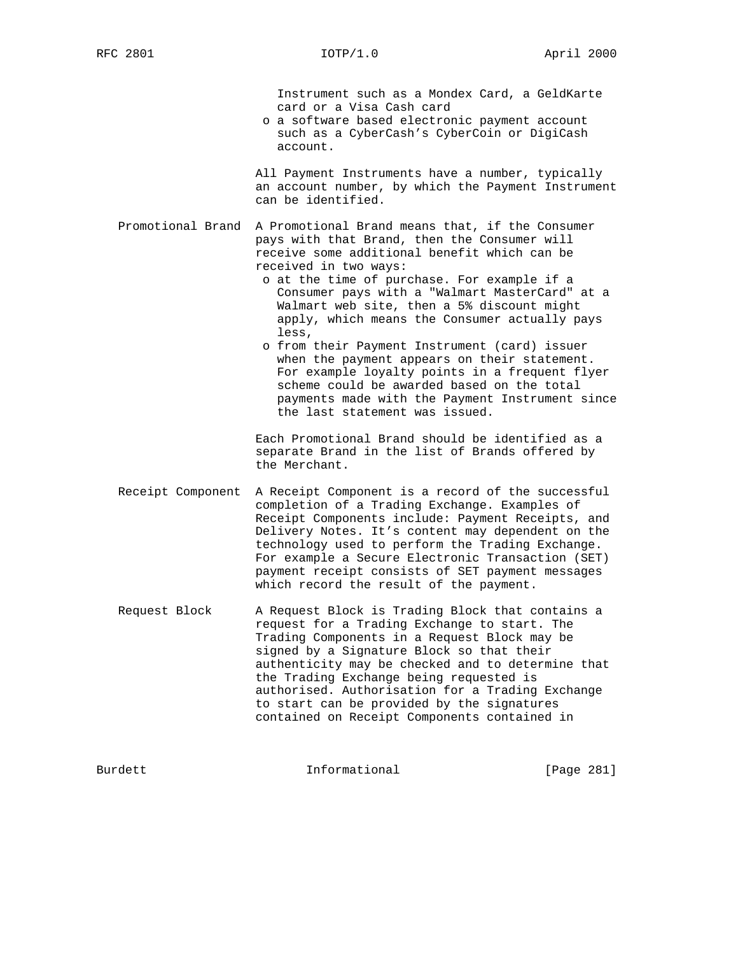Instrument such as a Mondex Card, a GeldKarte card or a Visa Cash card

 o a software based electronic payment account such as a CyberCash's CyberCoin or DigiCash account.

 All Payment Instruments have a number, typically an account number, by which the Payment Instrument can be identified.

- Promotional Brand A Promotional Brand means that, if the Consumer pays with that Brand, then the Consumer will receive some additional benefit which can be received in two ways:
	- o at the time of purchase. For example if a Consumer pays with a "Walmart MasterCard" at a Walmart web site, then a 5% discount might apply, which means the Consumer actually pays less,
	- o from their Payment Instrument (card) issuer when the payment appears on their statement. For example loyalty points in a frequent flyer scheme could be awarded based on the total payments made with the Payment Instrument since the last statement was issued.

 Each Promotional Brand should be identified as a separate Brand in the list of Brands offered by the Merchant.

- Receipt Component A Receipt Component is a record of the successful completion of a Trading Exchange. Examples of Receipt Components include: Payment Receipts, and Delivery Notes. It's content may dependent on the technology used to perform the Trading Exchange. For example a Secure Electronic Transaction (SET) payment receipt consists of SET payment messages which record the result of the payment.
- Request Block A Request Block is Trading Block that contains a request for a Trading Exchange to start. The Trading Components in a Request Block may be signed by a Signature Block so that their authenticity may be checked and to determine that the Trading Exchange being requested is authorised. Authorisation for a Trading Exchange to start can be provided by the signatures contained on Receipt Components contained in

Burdett **Informational** [Page 281]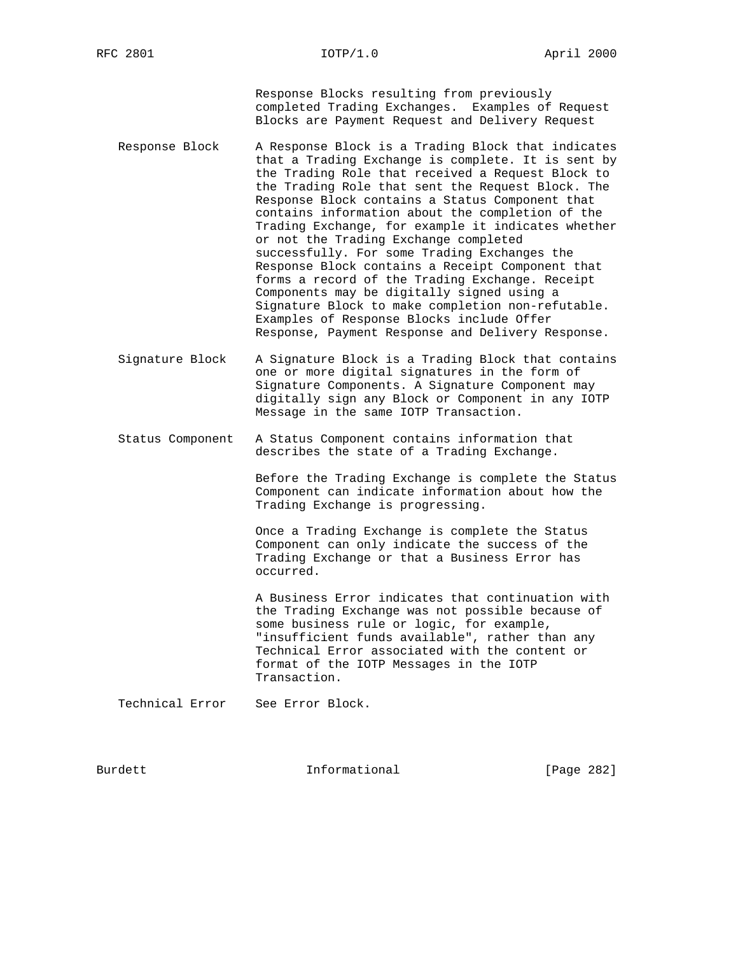Response Blocks resulting from previously completed Trading Exchanges. Examples of Request Blocks are Payment Request and Delivery Request

- Response Block A Response Block is a Trading Block that indicates that a Trading Exchange is complete. It is sent by the Trading Role that received a Request Block to the Trading Role that sent the Request Block. The Response Block contains a Status Component that contains information about the completion of the Trading Exchange, for example it indicates whether or not the Trading Exchange completed successfully. For some Trading Exchanges the Response Block contains a Receipt Component that forms a record of the Trading Exchange. Receipt Components may be digitally signed using a Signature Block to make completion non-refutable. Examples of Response Blocks include Offer Response, Payment Response and Delivery Response.
- Signature Block A Signature Block is a Trading Block that contains one or more digital signatures in the form of Signature Components. A Signature Component may digitally sign any Block or Component in any IOTP Message in the same IOTP Transaction.
- Status Component A Status Component contains information that describes the state of a Trading Exchange.

 Before the Trading Exchange is complete the Status Component can indicate information about how the Trading Exchange is progressing.

 Once a Trading Exchange is complete the Status Component can only indicate the success of the Trading Exchange or that a Business Error has occurred.

 A Business Error indicates that continuation with the Trading Exchange was not possible because of some business rule or logic, for example, "insufficient funds available", rather than any Technical Error associated with the content or format of the IOTP Messages in the IOTP Transaction.

Technical Error See Error Block.

Burdett **Informational** [Page 282]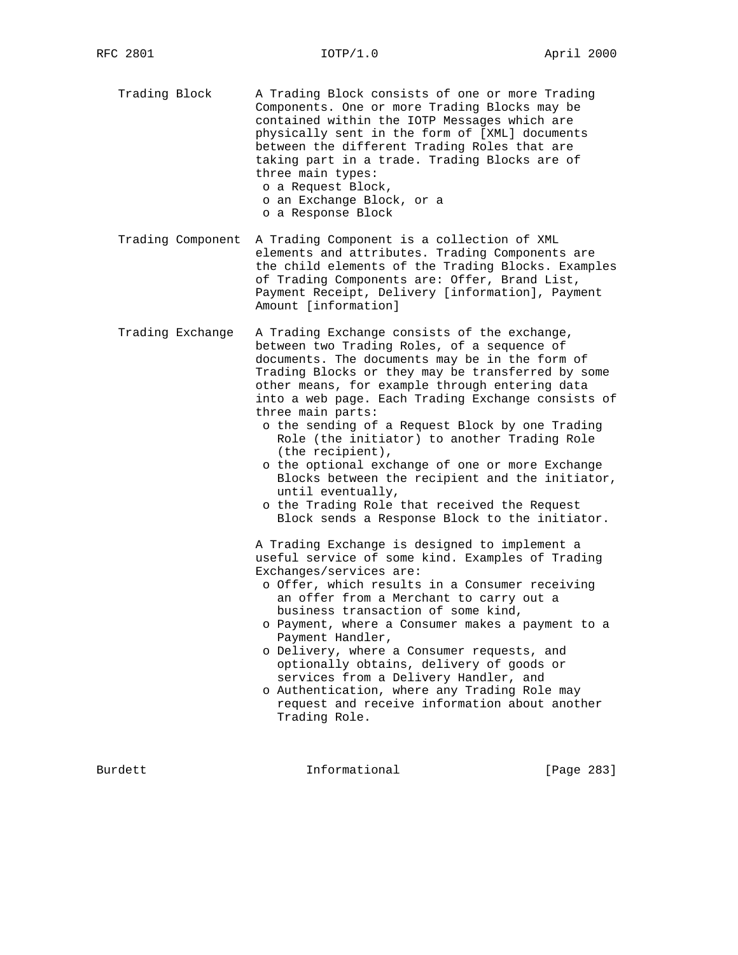Trading Block A Trading Block consists of one or more Trading Components. One or more Trading Blocks may be contained within the IOTP Messages which are physically sent in the form of [XML] documents between the different Trading Roles that are taking part in a trade. Trading Blocks are of three main types: o a Request Block, o an Exchange Block, or a o a Response Block

 Trading Component A Trading Component is a collection of XML elements and attributes. Trading Components are the child elements of the Trading Blocks. Examples of Trading Components are: Offer, Brand List, Payment Receipt, Delivery [information], Payment Amount [information]

- Trading Exchange A Trading Exchange consists of the exchange, between two Trading Roles, of a sequence of documents. The documents may be in the form of Trading Blocks or they may be transferred by some other means, for example through entering data into a web page. Each Trading Exchange consists of three main parts:
	- o the sending of a Request Block by one Trading Role (the initiator) to another Trading Role (the recipient),
	- o the optional exchange of one or more Exchange Blocks between the recipient and the initiator, until eventually,
	- o the Trading Role that received the Request Block sends a Response Block to the initiator.

 A Trading Exchange is designed to implement a useful service of some kind. Examples of Trading Exchanges/services are:

- o Offer, which results in a Consumer receiving an offer from a Merchant to carry out a business transaction of some kind,
- o Payment, where a Consumer makes a payment to a Payment Handler,
- o Delivery, where a Consumer requests, and optionally obtains, delivery of goods or services from a Delivery Handler, and
- o Authentication, where any Trading Role may request and receive information about another Trading Role.

Burdett **Informational Informational** [Page 283]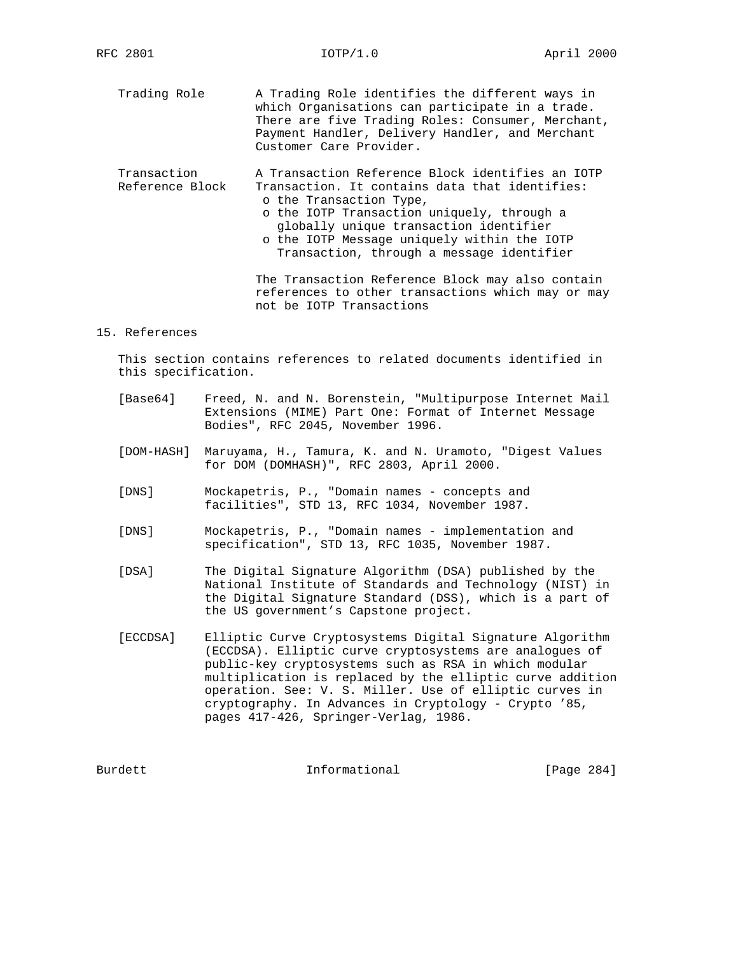- Trading Role A Trading Role identifies the different ways in which Organisations can participate in a trade. There are five Trading Roles: Consumer, Merchant, Payment Handler, Delivery Handler, and Merchant Customer Care Provider.
- Transaction A Transaction Reference Block identifies an IOTP Reference Block Transaction. It contains data that identifies: o the Transaction Type, o the IOTP Transaction uniquely, through a globally unique transaction identifier o the IOTP Message uniquely within the IOTP Transaction, through a message identifier

 The Transaction Reference Block may also contain references to other transactions which may or may not be IOTP Transactions

## 15. References

 This section contains references to related documents identified in this specification.

- [Base64] Freed, N. and N. Borenstein, "Multipurpose Internet Mail Extensions (MIME) Part One: Format of Internet Message Bodies", RFC 2045, November 1996.
- [DOM-HASH] Maruyama, H., Tamura, K. and N. Uramoto, "Digest Values for DOM (DOMHASH)", RFC 2803, April 2000.
- [DNS] Mockapetris, P., "Domain names concepts and facilities", STD 13, RFC 1034, November 1987.
- [DNS] Mockapetris, P., "Domain names implementation and specification", STD 13, RFC 1035, November 1987.
- [DSA] The Digital Signature Algorithm (DSA) published by the National Institute of Standards and Technology (NIST) in the Digital Signature Standard (DSS), which is a part of the US government's Capstone project.
- [ECCDSA] Elliptic Curve Cryptosystems Digital Signature Algorithm (ECCDSA). Elliptic curve cryptosystems are analogues of public-key cryptosystems such as RSA in which modular multiplication is replaced by the elliptic curve addition operation. See: V. S. Miller. Use of elliptic curves in cryptography. In Advances in Cryptology - Crypto '85, pages 417-426, Springer-Verlag, 1986.

Burdett **Informational Informational** [Page 284]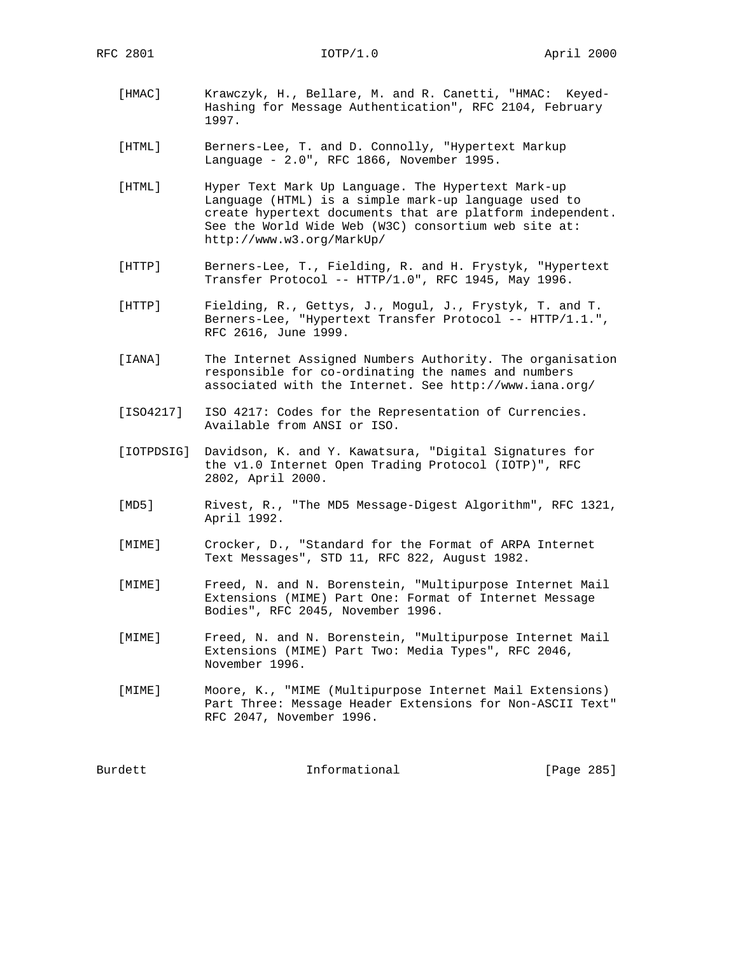- [HMAC] Krawczyk, H., Bellare, M. and R. Canetti, "HMAC: Keyed- Hashing for Message Authentication", RFC 2104, February 1997.
- [HTML] Berners-Lee, T. and D. Connolly, "Hypertext Markup Language - 2.0", RFC 1866, November 1995.
- [HTML] Hyper Text Mark Up Language. The Hypertext Mark-up Language (HTML) is a simple mark-up language used to create hypertext documents that are platform independent. See the World Wide Web (W3C) consortium web site at: http://www.w3.org/MarkUp/
- [HTTP] Berners-Lee, T., Fielding, R. and H. Frystyk, "Hypertext Transfer Protocol -- HTTP/1.0", RFC 1945, May 1996.
- [HTTP] Fielding, R., Gettys, J., Mogul, J., Frystyk, T. and T. Berners-Lee, "Hypertext Transfer Protocol -- HTTP/1.1.", RFC 2616, June 1999.
- [IANA] The Internet Assigned Numbers Authority. The organisation responsible for co-ordinating the names and numbers associated with the Internet. See http://www.iana.org/
- [ISO4217] ISO 4217: Codes for the Representation of Currencies. Available from ANSI or ISO.
- [IOTPDSIG] Davidson, K. and Y. Kawatsura, "Digital Signatures for the v1.0 Internet Open Trading Protocol (IOTP)", RFC 2802, April 2000.
- [MD5] Rivest, R., "The MD5 Message-Digest Algorithm", RFC 1321, April 1992.
- [MIME] Crocker, D., "Standard for the Format of ARPA Internet Text Messages", STD 11, RFC 822, August 1982.
- [MIME] Freed, N. and N. Borenstein, "Multipurpose Internet Mail Extensions (MIME) Part One: Format of Internet Message Bodies", RFC 2045, November 1996.
- [MIME] Freed, N. and N. Borenstein, "Multipurpose Internet Mail Extensions (MIME) Part Two: Media Types", RFC 2046, November 1996.
- [MIME] Moore, K., "MIME (Multipurpose Internet Mail Extensions) Part Three: Message Header Extensions for Non-ASCII Text" RFC 2047, November 1996.

Burdett **Informational Informational** [Page 285]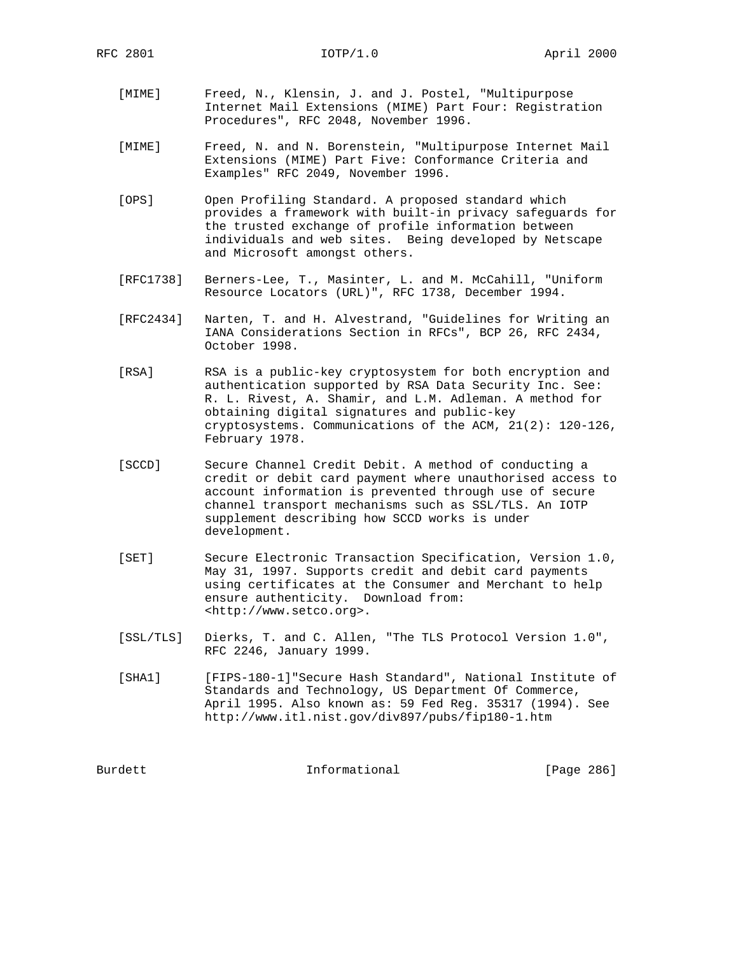- [MIME] Freed, N., Klensin, J. and J. Postel, "Multipurpose Internet Mail Extensions (MIME) Part Four: Registration Procedures", RFC 2048, November 1996.
- [MIME] Freed, N. and N. Borenstein, "Multipurpose Internet Mail Extensions (MIME) Part Five: Conformance Criteria and Examples" RFC 2049, November 1996.
- [OPS] Open Profiling Standard. A proposed standard which provides a framework with built-in privacy safeguards for the trusted exchange of profile information between individuals and web sites. Being developed by Netscape and Microsoft amongst others.
- [RFC1738] Berners-Lee, T., Masinter, L. and M. McCahill, "Uniform Resource Locators (URL)", RFC 1738, December 1994.
- [RFC2434] Narten, T. and H. Alvestrand, "Guidelines for Writing an IANA Considerations Section in RFCs", BCP 26, RFC 2434, October 1998.
- [RSA] RSA is a public-key cryptosystem for both encryption and authentication supported by RSA Data Security Inc. See: R. L. Rivest, A. Shamir, and L.M. Adleman. A method for obtaining digital signatures and public-key cryptosystems. Communications of the ACM, 21(2): 120-126, February 1978.
- [SCCD] Secure Channel Credit Debit. A method of conducting a credit or debit card payment where unauthorised access to account information is prevented through use of secure channel transport mechanisms such as SSL/TLS. An IOTP supplement describing how SCCD works is under development.
- [SET] Secure Electronic Transaction Specification, Version 1.0, May 31, 1997. Supports credit and debit card payments using certificates at the Consumer and Merchant to help ensure authenticity. Download from: <http://www.setco.org>.
- [SSL/TLS] Dierks, T. and C. Allen, "The TLS Protocol Version 1.0", RFC 2246, January 1999.
- [SHA1] [FIPS-180-1]"Secure Hash Standard", National Institute of Standards and Technology, US Department Of Commerce, April 1995. Also known as: 59 Fed Reg. 35317 (1994). See http://www.itl.nist.gov/div897/pubs/fip180-1.htm

Burdett 10 Informational [Page 286]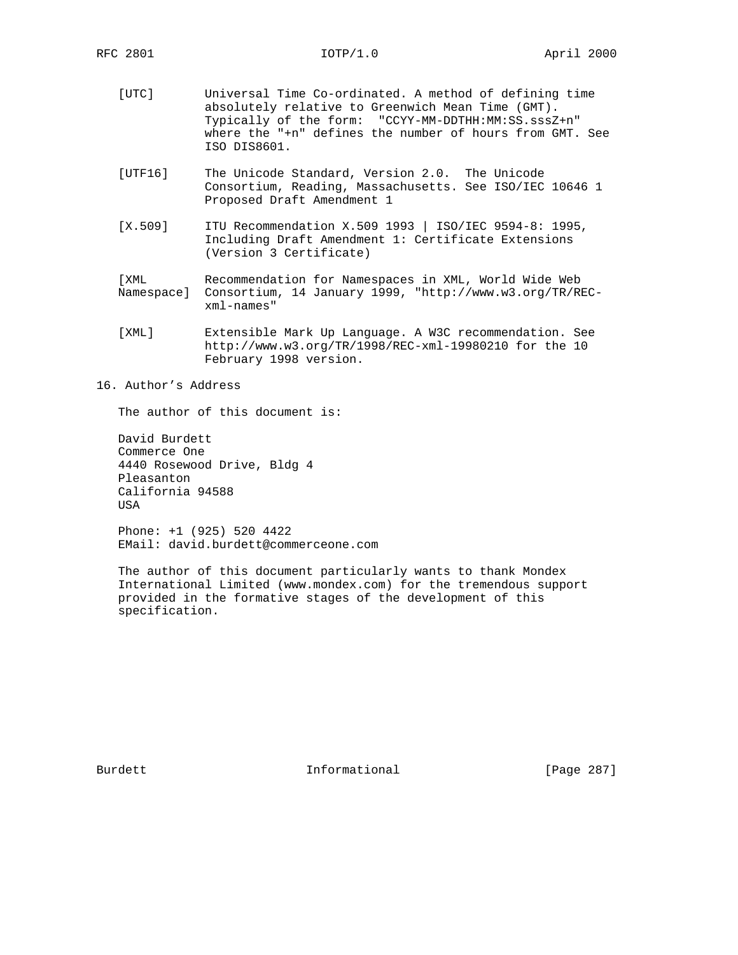- [UTC] Universal Time Co-ordinated. A method of defining time absolutely relative to Greenwich Mean Time (GMT). Typically of the form: "CCYY-MM-DDTHH:MM:SS.sssZ+n" where the "+n" defines the number of hours from GMT. See ISO DIS8601.
- [UTF16] The Unicode Standard, Version 2.0. The Unicode Consortium, Reading, Massachusetts. See ISO/IEC 10646 1 Proposed Draft Amendment 1
- [X.509] ITU Recommendation X.509 1993 | ISO/IEC 9594-8: 1995, Including Draft Amendment 1: Certificate Extensions (Version 3 Certificate)

 [XML Recommendation for Namespaces in XML, World Wide Web Namespace] Consortium, 14 January 1999, "http://www.w3.org/TR/REC xml-names"

- [XML] Extensible Mark Up Language. A W3C recommendation. See http://www.w3.org/TR/1998/REC-xml-19980210 for the 10 February 1998 version.
- 16. Author's Address

The author of this document is:

 David Burdett Commerce One 4440 Rosewood Drive, Bldg 4 Pleasanton California 94588 USA

 Phone: +1 (925) 520 4422 EMail: david.burdett@commerceone.com

 The author of this document particularly wants to thank Mondex International Limited (www.mondex.com) for the tremendous support provided in the formative stages of the development of this specification.

Burdett **Informational** [Page 287]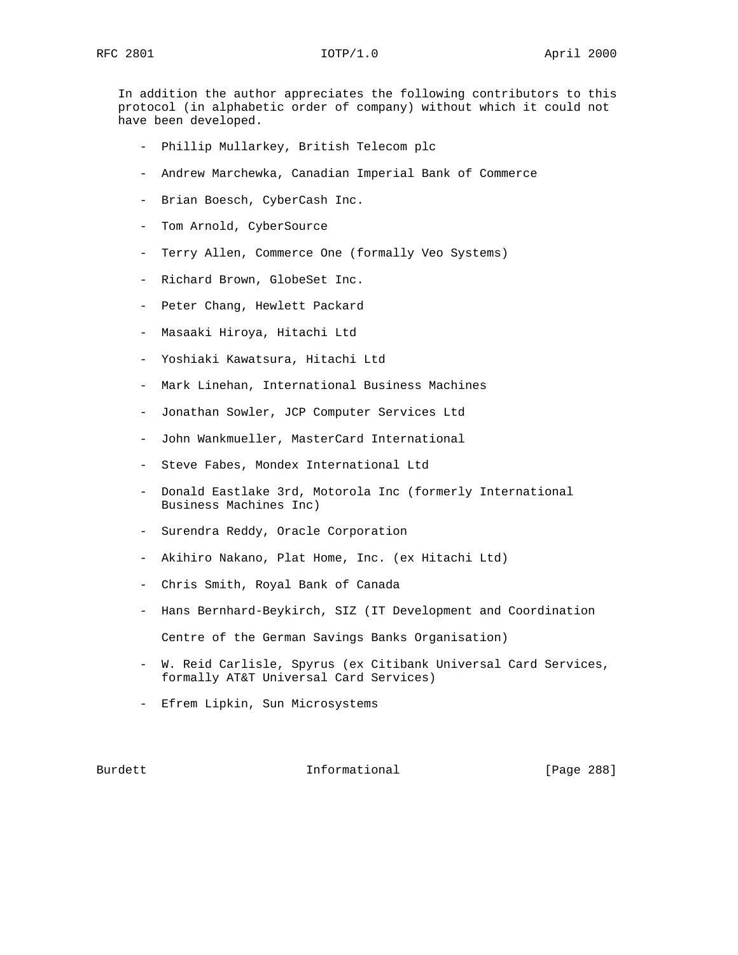In addition the author appreciates the following contributors to this protocol (in alphabetic order of company) without which it could not have been developed.

- Phillip Mullarkey, British Telecom plc
- Andrew Marchewka, Canadian Imperial Bank of Commerce
- Brian Boesch, CyberCash Inc.
- Tom Arnold, CyberSource
- Terry Allen, Commerce One (formally Veo Systems)
- Richard Brown, GlobeSet Inc.
- Peter Chang, Hewlett Packard
- Masaaki Hiroya, Hitachi Ltd
- Yoshiaki Kawatsura, Hitachi Ltd
- Mark Linehan, International Business Machines
- Jonathan Sowler, JCP Computer Services Ltd
- John Wankmueller, MasterCard International
- Steve Fabes, Mondex International Ltd
- Donald Eastlake 3rd, Motorola Inc (formerly International Business Machines Inc)
- Surendra Reddy, Oracle Corporation
- Akihiro Nakano, Plat Home, Inc. (ex Hitachi Ltd)
- Chris Smith, Royal Bank of Canada
- Hans Bernhard-Beykirch, SIZ (IT Development and Coordination

Centre of the German Savings Banks Organisation)

- W. Reid Carlisle, Spyrus (ex Citibank Universal Card Services, formally AT&T Universal Card Services)
- Efrem Lipkin, Sun Microsystems

## Burdett **Informational Informational** [Page 288]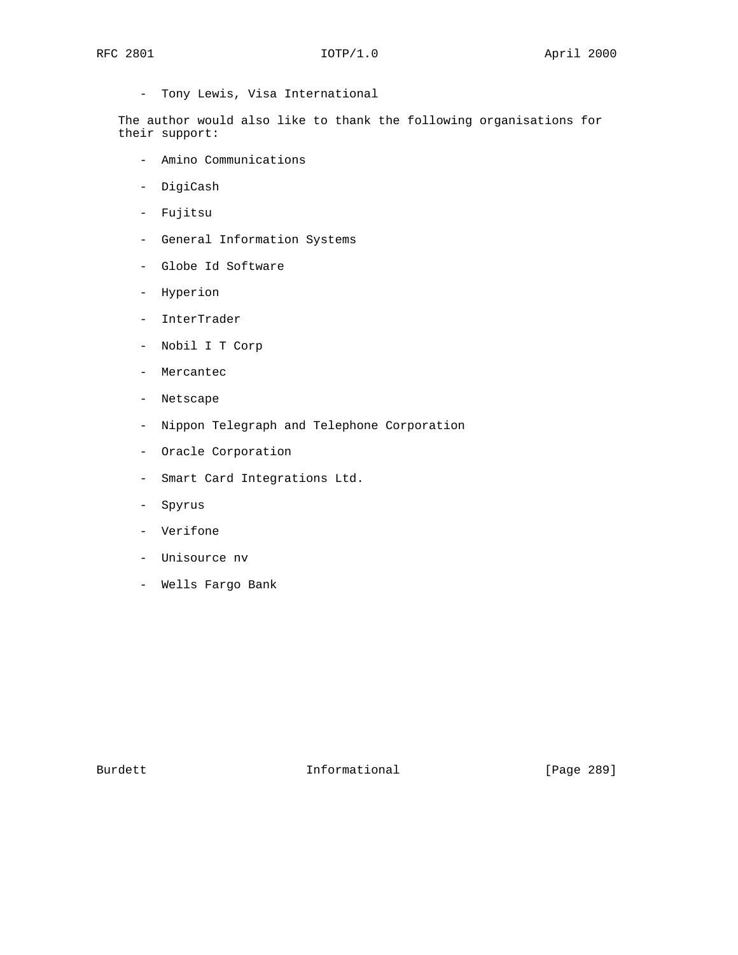- Tony Lewis, Visa International

 The author would also like to thank the following organisations for their support:

- Amino Communications
- DigiCash
- Fujitsu
- General Information Systems
- Globe Id Software
- Hyperion
- InterTrader
- Nobil I T Corp
- Mercantec
- Netscape
- Nippon Telegraph and Telephone Corporation
- Oracle Corporation
- Smart Card Integrations Ltd.
- Spyrus
- Verifone
- Unisource nv
- Wells Fargo Bank

Burdett Informational [Page 289]